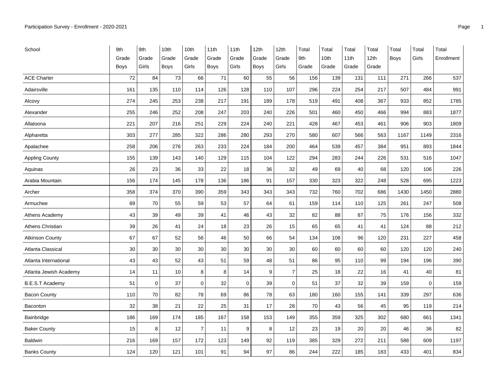| School                 | 9th         | 9th         | 10th  | 10th  | 11th  | 11th        | 12th        | 12th           | Total | Total | Total | Total            | Total       | Total | Total      |
|------------------------|-------------|-------------|-------|-------|-------|-------------|-------------|----------------|-------|-------|-------|------------------|-------------|-------|------------|
|                        | Grade       | Grade       | Grade | Grade | Grade | Grade       | Grade       | Grade          | 9th   | 10th  | 11th  | 12 <sub>th</sub> | <b>Boys</b> | Girls | Enrollment |
|                        | <b>Boys</b> | Girls       | Boys  | Girls | Boys  | Girls       | <b>Boys</b> | Girls          | Grade | Grade | Grade | Grade            |             |       |            |
| <b>ACE Charter</b>     | 72          | 84          | 73    | 66    | 71    | 60          | 55          | 56             | 156   | 139   | 131   | 111              | 271         | 266   | 537        |
| Adairsville            | 161         | 135         | 110   | 114   | 126   | 128         | 110         | 107            | 296   | 224   | 254   | 217              | 507         | 484   | 991        |
| Alcovy                 | 274         | 245         | 253   | 238   | 217   | 191         | 189         | 178            | 519   | 491   | 408   | 367              | 933         | 852   | 1785       |
| Alexander              | 255         | 246         | 252   | 208   | 247   | 203         | 240         | 226            | 501   | 460   | 450   | 466              | 994         | 883   | 1877       |
| Allatoona              | 221         | 207         | 216   | 251   | 229   | 224         | 240         | 221            | 428   | 467   | 453   | 461              | 906         | 903   | 1809       |
| Alpharetta             | 303         | 277         | 285   | 322   | 286   | 280         | 293         | 270            | 580   | 607   | 566   | 563              | 1167        | 1149  | 2316       |
| Apalachee              | 258         | 206         | 276   | 263   | 233   | 224         | 184         | 200            | 464   | 539   | 457   | 384              | 951         | 893   | 1844       |
| <b>Appling County</b>  | 155         | 139         | 143   | 140   | 129   | 115         | 104         | 122            | 294   | 283   | 244   | 226              | 531         | 516   | 1047       |
| Aquinas                | 26          | 23          | 36    | 33    | 22    | 18          | 36          | 32             | 49    | 69    | 40    | 68               | 120         | 106   | 226        |
| Arabia Mountain        | 156         | 174         | 145   | 178   | 136   | 186         | 91          | 157            | 330   | 323   | 322   | 248              | 528         | 695   | 1223       |
| Archer                 | 358         | 374         | 370   | 390   | 359   | 343         | 343         | 343            | 732   | 760   | 702   | 686              | 1430        | 1450  | 2880       |
| Armuchee               | 89          | 70          | 55    | 59    | 53    | 57          | 64          | 61             | 159   | 114   | 110   | 125              | 261         | 247   | 508        |
| Athens Academy         | 43          | 39          | 49    | 39    | 41    | 46          | 43          | 32             | 82    | 88    | 87    | 75               | 176         | 156   | 332        |
| Athens Christian       | 39          | 26          | 41    | 24    | 18    | 23          | 26          | 15             | 65    | 65    | 41    | 41               | 124         | 88    | 212        |
| <b>Atkinson County</b> | 67          | 67          | 52    | 56    | 46    | 50          | 66          | 54             | 134   | 108   | 96    | 120              | 231         | 227   | 458        |
| Atlanta Classical      | 30          | 30          | 30    | 30    | 30    | 30          | 30          | 30             | 60    | 60    | 60    | 60               | 120         | 120   | 240        |
| Atlanta International  | 43          | 43          | 52    | 43    | 51    | 59          | 48          | 51             | 86    | 95    | 110   | 99               | 194         | 196   | 390        |
| Atlanta Jewish Academy | 14          | 11          | 10    | 8     | 8     | 14          | 9           | $\overline{7}$ | 25    | 18    | 22    | 16               | 41          | 40    | 81         |
| <b>B.E.S.T Academy</b> | 51          | $\mathbf 0$ | 37    | 0     | 32    | $\mathbf 0$ | 39          | 0              | 51    | 37    | 32    | 39               | 159         | 0     | 159        |
| <b>Bacon County</b>    | 110         | 70          | 82    | 78    | 69    | 86          | 78          | 63             | 180   | 160   | 155   | 141              | 339         | 297   | 636        |
| <b>Baconton</b>        | 32          | 38          | 21    | 22    | 25    | 31          | 17          | 28             | 70    | 43    | 56    | 45               | 95          | 119   | 214        |
| Bainbridge             | 186         | 169         | 174   | 185   | 167   | 158         | 153         | 149            | 355   | 359   | 325   | 302              | 680         | 661   | 1341       |
| <b>Baker County</b>    | 15          | 8           | 12    | 7     | 11    | 9           | 8           | 12             | 23    | 19    | 20    | 20               | 46          | 36    | 82         |
| <b>Baldwin</b>         | 216         | 169         | 157   | 172   | 123   | 149         | 92          | 119            | 385   | 329   | 272   | 211              | 588         | 609   | 1197       |
| <b>Banks County</b>    | 124         | 120         | 121   | 101   | 91    | 94          | 97          | 86             | 244   | 222   | 185   | 183              | 433         | 401   | 834        |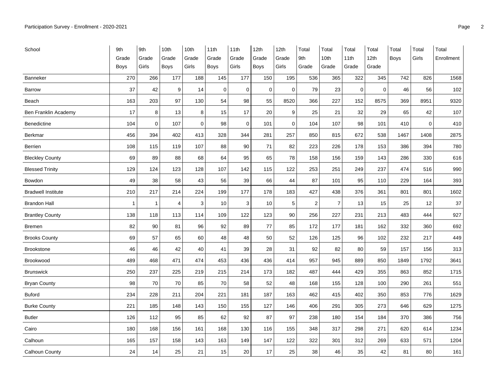| School                      | 9th            | 9th          | 10th  | 10th        | 11th        | 11th        | 12th        | 12th        | Total          | Total          | Total       | Total            | Total       | Total       | Total      |
|-----------------------------|----------------|--------------|-------|-------------|-------------|-------------|-------------|-------------|----------------|----------------|-------------|------------------|-------------|-------------|------------|
|                             | Grade          | Grade        | Grade | Grade       | Grade       | Grade       | Grade       | Grade       | 9th            | 10th           | 11th        | 12 <sub>th</sub> | <b>Boys</b> | Girls       | Enrollment |
|                             | <b>Boys</b>    | Girls        | Boys  | Girls       | <b>Boys</b> | Girls       | <b>Boys</b> | Girls       | Grade          | Grade          | Grade       | Grade            |             |             |            |
| Banneker                    | 270            | 266          | 177   | 188         | 145         | 177         | 150         | 195         | 536            | 365            | 322         | 345              | 742         | 826         | 1568       |
| <b>Barrow</b>               | 37             | 42           | 9     | 14          | $\mathbf 0$ | $\mathbf 0$ | $\mathbf 0$ | $\mathbf 0$ | 79             | 23             | $\mathbf 0$ | $\mathbf 0$      | 46          | 56          | 102        |
| Beach                       | 163            | 203          | 97    | 130         | 54          | 98          | 55          | 8520        | 366            | 227            | 152         | 8575             | 369         | 8951        | 9320       |
| <b>Ben Franklin Academy</b> | 17             | 8            | 13    | 8           | 15          | 17          | 20          | 9           | 25             | 21             | 32          | 29               | 65          | 42          | 107        |
| Benedictine                 | 104            | $\mathbf 0$  | 107   | $\mathbf 0$ | 98          | $\mathbf 0$ | 101         | $\mathbf 0$ | 104            | 107            | 98          | 101              | 410         | $\mathbf 0$ | 410        |
| Berkmar                     | 456            | 394          | 402   | 413         | 328         | 344         | 281         | 257         | 850            | 815            | 672         | 538              | 1467        | 1408        | 2875       |
| Berrien                     | 108            | 115          | 119   | 107         | 88          | 90          | 71          | 82          | 223            | 226            | 178         | 153              | 386         | 394         | 780        |
| <b>Bleckley County</b>      | 69             | 89           | 88    | 68          | 64          | 95          | 65          | 78          | 158            | 156            | 159         | 143              | 286         | 330         | 616        |
| <b>Blessed Trinity</b>      | 129            | 124          | 123   | 128         | 107         | 142         | 115         | 122         | 253            | 251            | 249         | 237              | 474         | 516         | 990        |
| Bowdon                      | 49             | 38           | 58    | 43          | 56          | 39          | 66          | 44          | 87             | 101            | 95          | 110              | 229         | 164         | 393        |
| <b>Bradwell Institute</b>   | 210            | 217          | 214   | 224         | 199         | 177         | 178         | 183         | 427            | 438            | 376         | 361              | 801         | 801         | 1602       |
| <b>Brandon Hall</b>         | $\overline{1}$ | $\mathbf{1}$ | 4     | 3           | 10          | 3           | 10          | 5           | $\overline{2}$ | $\overline{7}$ | 13          | 15               | 25          | 12          | 37         |
| <b>Brantley County</b>      | 138            | 118          | 113   | 114         | 109         | 122         | 123         | 90          | 256            | 227            | 231         | 213              | 483         | 444         | 927        |
| <b>Bremen</b>               | 82             | 90           | 81    | 96          | 92          | 89          | 77          | 85          | 172            | 177            | 181         | 162              | 332         | 360         | 692        |
| <b>Brooks County</b>        | 69             | 57           | 65    | 60          | 48          | 48          | 50          | 52          | 126            | 125            | 96          | 102              | 232         | 217         | 449        |
| <b>Brookstone</b>           | 46             | 46           | 42    | 40          | 41          | 39          | 28          | 31          | 92             | 82             | 80          | 59               | 157         | 156         | 313        |
| Brookwood                   | 489            | 468          | 471   | 474         | 453         | 436         | 436         | 414         | 957            | 945            | 889         | 850              | 1849        | 1792        | 3641       |
| <b>Brunswick</b>            | 250            | 237          | 225   | 219         | 215         | 214         | 173         | 182         | 487            | 444            | 429         | 355              | 863         | 852         | 1715       |
| <b>Bryan County</b>         | 98             | 70           | 70    | 85          | 70          | 58          | 52          | 48          | 168            | 155            | 128         | 100              | 290         | 261         | 551        |
| <b>Buford</b>               | 234            | 228          | 211   | 204         | 221         | 181         | 187         | 163         | 462            | 415            | 402         | 350              | 853         | 776         | 1629       |
| <b>Burke County</b>         | 221            | 185          | 148   | 143         | 150         | 155         | 127         | 146         | 406            | 291            | 305         | 273              | 646         | 629         | 1275       |
| <b>Butler</b>               | 126            | 112          | 95    | 85          | 62          | 92          | 87          | 97          | 238            | 180            | 154         | 184              | 370         | 386         | 756        |
| Cairo                       | 180            | 168          | 156   | 161         | 168         | 130         | 116         | 155         | 348            | 317            | 298         | 271              | 620         | 614         | 1234       |
| Calhoun                     | 165            | 157          | 158   | 143         | 163         | 149         | 147         | 122         | 322            | 301            | 312         | 269              | 633         | 571         | 1204       |
| Calhoun County              | 24             | 14           | 25    | 21          | 15          | 20          | 17          | 25          | 38             | 46             | 35          | 42               | 81          | 80          | 161        |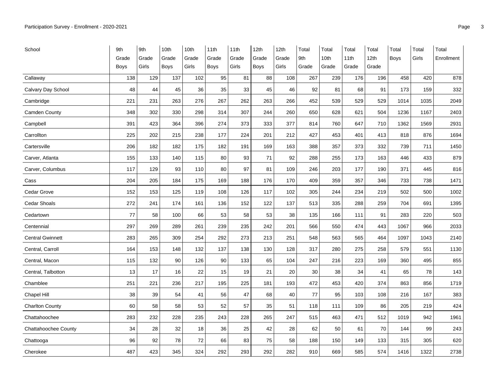| School                      | 9th         | 9th   | 10th  | 10th  | 11th  | 11th  | 12th        | 12th  | Total | Total | Total | Total            | Total       | Total | Total      |
|-----------------------------|-------------|-------|-------|-------|-------|-------|-------------|-------|-------|-------|-------|------------------|-------------|-------|------------|
|                             | Grade       | Grade | Grade | Grade | Grade | Grade | Grade       | Grade | 9th   | 10th  | 11th  | 12 <sub>th</sub> | <b>Boys</b> | Girls | Enrollment |
|                             | <b>Boys</b> | Girls | Boys  | Girls | Boys  | Girls | <b>Boys</b> | Girls | Grade | Grade | Grade | Grade            |             |       |            |
| Callaway                    | 138         | 129   | 137   | 102   | 95    | 81    | 88          | 108   | 267   | 239   | 176   | 196              | 458         | 420   | 878        |
| Calvary Day School          | 48          | 44    | 45    | 36    | 35    | 33    | 45          | 46    | 92    | 81    | 68    | 91               | 173         | 159   | 332        |
| Cambridge                   | 221         | 231   | 263   | 276   | 267   | 262   | 263         | 266   | 452   | 539   | 529   | 529              | 1014        | 1035  | 2049       |
| Camden County               | 348         | 302   | 330   | 298   | 314   | 307   | 244         | 260   | 650   | 628   | 621   | 504              | 1236        | 1167  | 2403       |
| Campbell                    | 391         | 423   | 364   | 396   | 274   | 373   | 333         | 377   | 814   | 760   | 647   | 710              | 1362        | 1569  | 2931       |
| Carrollton                  | 225         | 202   | 215   | 238   | 177   | 224   | 201         | 212   | 427   | 453   | 401   | 413              | 818         | 876   | 1694       |
| Cartersville                | 206         | 182   | 182   | 175   | 182   | 191   | 169         | 163   | 388   | 357   | 373   | 332              | 739         | 711   | 1450       |
| Carver, Atlanta             | 155         | 133   | 140   | 115   | 80    | 93    | 71          | 92    | 288   | 255   | 173   | 163              | 446         | 433   | 879        |
| Carver, Columbus            | 117         | 129   | 93    | 110   | 80    | 97    | 81          | 109   | 246   | 203   | 177   | 190              | 371         | 445   | 816        |
| Cass                        | 204         | 205   | 184   | 175   | 169   | 188   | 176         | 170   | 409   | 359   | 357   | 346              | 733         | 738   | 1471       |
| Cedar Grove                 | 152         | 153   | 125   | 119   | 108   | 126   | 117         | 102   | 305   | 244   | 234   | 219              | 502         | 500   | 1002       |
| <b>Cedar Shoals</b>         | 272         | 241   | 174   | 161   | 136   | 152   | 122         | 137   | 513   | 335   | 288   | 259              | 704         | 691   | 1395       |
| Cedartown                   | 77          | 58    | 100   | 66    | 53    | 58    | 53          | 38    | 135   | 166   | 111   | 91               | 283         | 220   | 503        |
| Centennial                  | 297         | 269   | 289   | 261   | 239   | 235   | 242         | 201   | 566   | 550   | 474   | 443              | 1067        | 966   | 2033       |
| <b>Central Gwinnett</b>     | 283         | 265   | 309   | 254   | 292   | 273   | 213         | 251   | 548   | 563   | 565   | 464              | 1097        | 1043  | 2140       |
| Central, Carroll            | 164         | 153   | 148   | 132   | 137   | 138   | 130         | 128   | 317   | 280   | 275   | 258              | 579         | 551   | 1130       |
| Central, Macon              | 115         | 132   | 90    | 126   | 90    | 133   | 65          | 104   | 247   | 216   | 223   | 169              | 360         | 495   | 855        |
| Central, Talbotton          | 13          | 17    | 16    | 22    | 15    | 19    | 21          | 20    | 30    | 38    | 34    | 41               | 65          | 78    | 143        |
| Chamblee                    | 251         | 221   | 236   | 217   | 195   | 225   | 181         | 193   | 472   | 453   | 420   | 374              | 863         | 856   | 1719       |
| <b>Chapel Hill</b>          | 38          | 39    | 54    | 41    | 56    | 47    | 68          | 40    | 77    | 95    | 103   | 108              | 216         | 167   | 383        |
| <b>Charlton County</b>      | 60          | 58    | 58    | 53    | 52    | 57    | 35          | 51    | 118   | 111   | 109   | 86               | 205         | 219   | 424        |
| Chattahoochee               | 283         | 232   | 228   | 235   | 243   | 228   | 265         | 247   | 515   | 463   | 471   | 512              | 1019        | 942   | 1961       |
| <b>Chattahoochee County</b> | 34          | 28    | 32    | 18    | 36    | 25    | 42          | 28    | 62    | 50    | 61    | 70               | 144         | 99    | 243        |
| Chattooga                   | 96          | 92    | 78    | 72    | 66    | 83    | 75          | 58    | 188   | 150   | 149   | 133              | 315         | 305   | 620        |
| Cherokee                    | 487         | 423   | 345   | 324   | 292   | 293   | 292         | 282   | 910   | 669   | 585   | 574              | 1416        | 1322  | 2738       |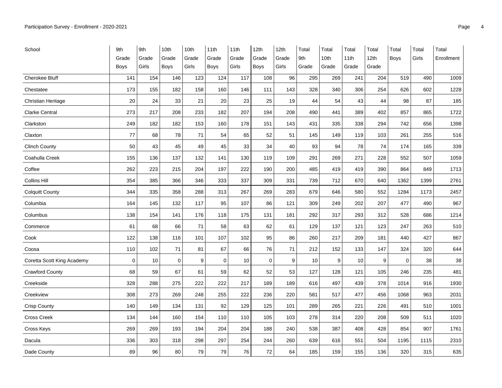| School                     | 9th         | 9th   | 10th        | 10th  | 11th        | 11th  | 12th        | 12th  | Total | Total | Total | Total            | Total       | Total | Total      |
|----------------------------|-------------|-------|-------------|-------|-------------|-------|-------------|-------|-------|-------|-------|------------------|-------------|-------|------------|
|                            | Grade       | Grade | Grade       | Grade | Grade       | Grade | Grade       | Grade | 9th   | 10th  | 11th  | 12 <sub>th</sub> | <b>Boys</b> | Girls | Enrollment |
|                            | <b>Boys</b> | Girls | <b>Boys</b> | Girls | <b>Boys</b> | Girls | <b>Boys</b> | Girls | Grade | Grade | Grade | Grade            |             |       |            |
| Cherokee Bluff             | 141         | 154   | 146         | 123   | 124         | 117   | 108         | 96    | 295   | 269   | 241   | 204              | 519         | 490   | 1009       |
| Chestatee                  | 173         | 155   | 182         | 158   | 160         | 146   | 111         | 143   | 328   | 340   | 306   | 254              | 626         | 602   | 1228       |
| Christian Heritage         | 20          | 24    | 33          | 21    | 20          | 23    | 25          | 19    | 44    | 54    | 43    | 44               | 98          | 87    | 185        |
| Clarke Central             | 273         | 217   | 208         | 233   | 182         | 207   | 194         | 208   | 490   | 441   | 389   | 402              | 857         | 865   | 1722       |
| Clarkston                  | 249         | 182   | 182         | 153   | 160         | 178   | 151         | 143   | 431   | 335   | 338   | 294              | 742         | 656   | 1398       |
| Claxton                    | 77          | 68    | 78          | 71    | 54          | 65    | 52          | 51    | 145   | 149   | 119   | 103              | 261         | 255   | 516        |
| <b>Clinch County</b>       | 50          | 43    | 45          | 49    | 45          | 33    | 34          | 40    | 93    | 94    | 78    | 74               | 174         | 165   | 339        |
| Coahulla Creek             | 155         | 136   | 137         | 132   | 141         | 130   | 119         | 109   | 291   | 269   | 271   | 228              | 552         | 507   | 1059       |
| Coffee                     | 262         | 223   | 215         | 204   | 197         | 222   | 190         | 200   | 485   | 419   | 419   | 390              | 864         | 849   | 1713       |
| <b>Collins Hill</b>        | 354         | 385   | 366         | 346   | 333         | 337   | 309         | 331   | 739   | 712   | 670   | 640              | 1362        | 1399  | 2761       |
| <b>Colquitt County</b>     | 344         | 335   | 358         | 288   | 313         | 267   | 269         | 283   | 679   | 646   | 580   | 552              | 1284        | 1173  | 2457       |
| Columbia                   | 164         | 145   | 132         | 117   | 95          | 107   | 86          | 121   | 309   | 249   | 202   | 207              | 477         | 490   | 967        |
| Columbus                   | 138         | 154   | 141         | 176   | 118         | 175   | 131         | 181   | 292   | 317   | 293   | 312              | 528         | 686   | 1214       |
| Commerce                   | 61          | 68    | 66          | 71    | 58          | 63    | 62          | 61    | 129   | 137   | 121   | 123              | 247         | 263   | 510        |
| Cook                       | 122         | 138   | 116         | 101   | 107         | 102   | 95          | 86    | 260   | 217   | 209   | 181              | 440         | 427   | 867        |
| Coosa                      | 110         | 102   | 71          | 81    | 67          | 66    | 76          | 71    | 212   | 152   | 133   | 147              | 324         | 320   | 644        |
| Coretta Scott King Academy | $\mathbf 0$ | 10    | $\mathbf 0$ | 9     | $\mathbf 0$ | 10    | $\mathbf 0$ | 9     | 10    | 9     | 10    | 9                | $\mathbf 0$ | 38    | 38         |
| <b>Crawford County</b>     | 68          | 59    | 67          | 61    | 59          | 62    | 52          | 53    | 127   | 128   | 121   | 105              | 246         | 235   | 481        |
| Creekside                  | 328         | 288   | 275         | 222   | 222         | 217   | 189         | 189   | 616   | 497   | 439   | 378              | 1014        | 916   | 1930       |
| Creekview                  | 308         | 273   | 269         | 248   | 255         | 222   | 236         | 220   | 581   | 517   | 477   | 456              | 1068        | 963   | 2031       |
| Crisp County               | 140         | 149   | 134         | 131   | 92          | 129   | 125         | 101   | 289   | 265   | 221   | 226              | 491         | 510   | 1001       |
| <b>Cross Creek</b>         | 134         | 144   | 160         | 154   | 110         | 110   | 105         | 103   | 278   | 314   | 220   | 208              | 509         | 511   | 1020       |
| Cross Keys                 | 269         | 269   | 193         | 194   | 204         | 204   | 188         | 240   | 538   | 387   | 408   | 428              | 854         | 907   | 1761       |
| Dacula                     | 336         | 303   | 318         | 298   | 297         | 254   | 244         | 260   | 639   | 616   | 551   | 504              | 1195        | 1115  | 2310       |
| Dade County                | 89          | 96    | 80          | 79    | 79          | 76    | $72\,$      | 64    | 185   | 159   | 155   | 136              | 320         | 315   | 635        |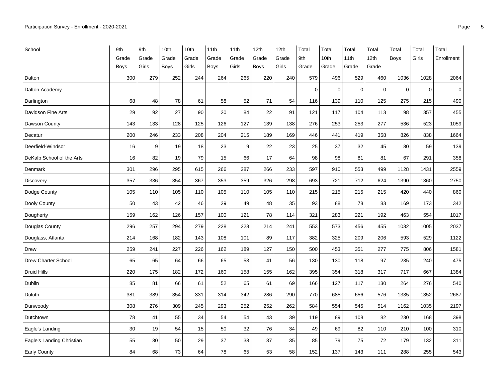| School                     | 9th         | 9th   | 10th  | 10th  | 11th  | 11th  | 12th        | 12th  | Total       | Total       | Total       | Total | Total       | Total       | Total      |
|----------------------------|-------------|-------|-------|-------|-------|-------|-------------|-------|-------------|-------------|-------------|-------|-------------|-------------|------------|
|                            | Grade       | Grade | Grade | Grade | Grade | Grade | Grade       | Grade | 9th         | 10th        | 11th        | 12th  | Boys        | Girls       | Enrollment |
|                            | <b>Boys</b> | Girls | Boys  | Girls | Boys  | Girls | <b>Boys</b> | Girls | Grade       | Grade       | Grade       | Grade |             |             |            |
| Dalton                     | 300         | 279   | 252   | 244   | 264   | 265   | 220         | 240   | 579         | 496         | 529         | 460   | 1036        | 1028        | 2064       |
| Dalton Academy             |             |       |       |       |       |       |             |       | $\mathbf 0$ | $\mathbf 0$ | $\mathbf 0$ | 0     | $\mathbf 0$ | $\mathbf 0$ | $\pmb{0}$  |
| Darlington                 | 68          | 48    | 78    | 61    | 58    | 52    | 71          | 54    | 116         | 139         | 110         | 125   | 275         | 215         | 490        |
| Davidson Fine Arts         | 29          | 92    | 27    | 90    | 20    | 84    | 22          | 91    | 121         | 117         | 104         | 113   | 98          | 357         | 455        |
| Dawson County              | 143         | 133   | 128   | 125   | 126   | 127   | 139         | 138   | 276         | 253         | 253         | 277   | 536         | 523         | 1059       |
| Decatur                    | 200         | 246   | 233   | 208   | 204   | 215   | 189         | 169   | 446         | 441         | 419         | 358   | 826         | 838         | 1664       |
| Deerfield-Windsor          | 16          | 9     | 19    | 18    | 23    | 9     | 22          | 23    | 25          | 37          | 32          | 45    | 80          | 59          | 139        |
| DeKalb School of the Arts  | 16          | 82    | 19    | 79    | 15    | 66    | 17          | 64    | 98          | 98          | 81          | 81    | 67          | 291         | 358        |
| Denmark                    | 301         | 296   | 295   | 615   | 266   | 287   | 266         | 233   | 597         | 910         | 553         | 499   | 1128        | 1431        | 2559       |
| <b>Discovery</b>           | 357         | 336   | 354   | 367   | 353   | 359   | 326         | 298   | 693         | 721         | 712         | 624   | 1390        | 1360        | 2750       |
| Dodge County               | 105         | 110   | 105   | 110   | 105   | 110   | 105         | 110   | 215         | 215         | 215         | 215   | 420         | 440         | 860        |
| Dooly County               | 50          | 43    | 42    | 46    | 29    | 49    | 48          | 35    | 93          | 88          | 78          | 83    | 169         | 173         | 342        |
| Dougherty                  | 159         | 162   | 126   | 157   | 100   | 121   | 78          | 114   | 321         | 283         | 221         | 192   | 463         | 554         | 1017       |
| Douglas County             | 296         | 257   | 294   | 279   | 228   | 228   | 214         | 241   | 553         | 573         | 456         | 455   | 1032        | 1005        | 2037       |
| Douglass, Atlanta          | 214         | 168   | 182   | 143   | 108   | 101   | 89          | 117   | 382         | 325         | 209         | 206   | 593         | 529         | 1122       |
| Drew                       | 259         | 241   | 227   | 226   | 162   | 189   | 127         | 150   | 500         | 453         | 351         | 277   | 775         | 806         | 1581       |
| <b>Drew Charter School</b> | 65          | 65    | 64    | 66    | 65    | 53    | 41          | 56    | 130         | 130         | 118         | 97    | 235         | 240         | 475        |
| Druid Hills                | 220         | 175   | 182   | 172   | 160   | 158   | 155         | 162   | 395         | 354         | 318         | 317   | 717         | 667         | 1384       |
| Dublin                     | 85          | 81    | 66    | 61    | 52    | 65    | 61          | 69    | 166         | 127         | 117         | 130   | 264         | 276         | 540        |
| Duluth                     | 381         | 389   | 354   | 331   | 314   | 342   | 286         | 290   | 770         | 685         | 656         | 576   | 1335        | 1352        | 2687       |
| Dunwoody                   | 308         | 276   | 309   | 245   | 293   | 252   | 252         | 262   | 584         | 554         | 545         | 514   | 1162        | 1035        | 2197       |
| Dutchtown                  | 78          | 41    | 55    | 34    | 54    | 54    | 43          | 39    | 119         | 89          | 108         | 82    | 230         | 168         | 398        |
| Eagle's Landing            | 30          | 19    | 54    | 15    | 50    | 32    | 76          | 34    | 49          | 69          | 82          | 110   | 210         | 100         | 310        |
| Eagle's Landing Christian  | 55          | 30    | 50    | 29    | 37    | 38    | 37          | 35    | 85          | 79          | 75          | 72    | 179         | 132         | 311        |
| Early County               | 84          | 68    | 73    | 64    | 78    | 65    | 53          | 58    | 152         | 137         | 143         | 111   | 288         | 255         | 543        |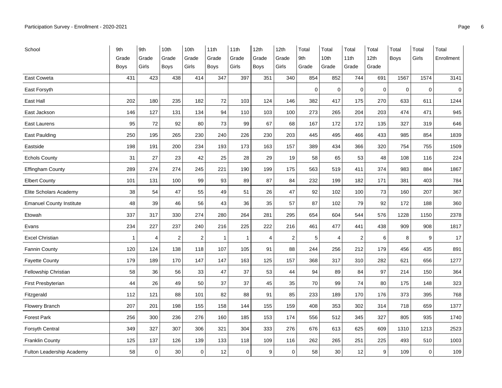| School                          | 9th   | 9th            | 10th                    | 10th        | 11th           | 11th        | 12th        | 12th        | Total          | Total          | Total                   | Total            | Total       | Total       | Total       |
|---------------------------------|-------|----------------|-------------------------|-------------|----------------|-------------|-------------|-------------|----------------|----------------|-------------------------|------------------|-------------|-------------|-------------|
|                                 | Grade | Grade          | Grade                   | Grade       | Grade          | Grade       | Grade       | Grade       | 9th            | 10th           | 11th                    | 12 <sub>th</sub> | <b>Boys</b> | Girls       | Enrollment  |
|                                 | Boys  | Girls          | Boys                    | Girls       | <b>Boys</b>    | Girls       | <b>Boys</b> | Girls       | Grade          | Grade          | Grade                   | Grade            |             |             |             |
| <b>East Coweta</b>              | 431   | 423            | 438                     | 414         | 347            | 397         | 351         | 340         | 854            | 852            | 744                     | 691              | 1567        | 1574        | 3141        |
| East Forsyth                    |       |                |                         |             |                |             |             |             | $\overline{0}$ | $\mathbf 0$    | $\pmb{0}$               | $\mathbf 0$      | $\mathbf 0$ | $\pmb{0}$   | $\mathbf 0$ |
| East Hall                       | 202   | 180            | 235                     | 182         | 72             | 103         | 124         | 146         | 382            | 417            | 175                     | 270              | 633         | 611         | 1244        |
| East Jackson                    | 146   | 127            | 131                     | 134         | 94             | 110         | 103         | 100         | 273            | 265            | 204                     | 203              | 474         | 471         | 945         |
| East Laurens                    | 95    | 72             | 92                      | 80          | 73             | 99          | 67          | 68          | 167            | 172            | 172                     | 135              | 327         | 319         | 646         |
| <b>East Paulding</b>            | 250   | 195            | 265                     | 230         | 240            | 226         | 230         | 203         | 445            | 495            | 466                     | 433              | 985         | 854         | 1839        |
| Eastside                        | 198   | 191            | 200                     | 234         | 193            | 173         | 163         | 157         | 389            | 434            | 366                     | 320              | 754         | 755         | 1509        |
| <b>Echols County</b>            | 31    | 27             | 23                      | 42          | 25             | 28          | 29          | 19          | 58             | 65             | 53                      | 48               | 108         | 116         | 224         |
| <b>Effingham County</b>         | 289   | 274            | 274                     | 245         | 221            | 190         | 199         | 175         | 563            | 519            | 411                     | 374              | 983         | 884         | 1867        |
| <b>Elbert County</b>            | 101   | 131            | 100                     | 99          | 93             | 89          | 87          | 84          | 232            | 199            | 182                     | 171              | 381         | 403         | 784         |
| Elite Scholars Academy          | 38    | 54             | 47                      | 55          | 49             | 51          | 26          | 47          | 92             | 102            | 100                     | 73               | 160         | 207         | 367         |
| <b>Emanuel County Institute</b> | 48    | 39             | 46                      | 56          | 43             | 36          | 35          | 57          | 87             | 102            | 79                      | 92               | 172         | 188         | 360         |
| Etowah                          | 337   | 317            | 330                     | 274         | 280            | 264         | 281         | 295         | 654            | 604            | 544                     | 576              | 1228        | 1150        | 2378        |
| Evans                           | 234   | 227            | 237                     | 240         | 216            | 225         | 222         | 216         | 461            | 477            | 441                     | 438              | 909         | 908         | 1817        |
| <b>Excel Christian</b>          | 1     | $\overline{4}$ | $\overline{\mathbf{c}}$ | 2           | $\overline{1}$ | 1           | 4           | 2           | 5              | $\overline{4}$ | $\overline{\mathbf{c}}$ | 6                | 8           | 9           | 17          |
| <b>Fannin County</b>            | 120   | 124            | 138                     | 118         | 107            | 105         | 91          | 88          | 244            | 256            | 212                     | 179              | 456         | 435         | 891         |
| <b>Fayette County</b>           | 179   | 189            | 170                     | 147         | 147            | 163         | 125         | 157         | 368            | 317            | 310                     | 282              | 621         | 656         | 1277        |
| Fellowship Christian            | 58    | 36             | 56                      | 33          | 47             | 37          | 53          | 44          | 94             | 89             | 84                      | 97               | 214         | 150         | 364         |
| <b>First Presbyterian</b>       | 44    | 26             | 49                      | 50          | 37             | 37          | 45          | 35          | 70             | 99             | 74                      | 80               | 175         | 148         | 323         |
| Fitzgerald                      | 112   | 121            | 88                      | 101         | 82             | 88          | 91          | 85          | 233            | 189            | 170                     | 176              | 373         | 395         | 768         |
| <b>Flowery Branch</b>           | 207   | 201            | 198                     | 155         | 158            | 144         | 155         | 159         | 408            | 353            | 302                     | 314              | 718         | 659         | 1377        |
| <b>Forest Park</b>              | 256   | 300            | 236                     | 276         | 160            | 185         | 153         | 174         | 556            | 512            | 345                     | 327              | 805         | 935         | 1740        |
| Forsyth Central                 | 349   | 327            | 307                     | 306         | 321            | 304         | 333         | 276         | 676            | 613            | 625                     | 609              | 1310        | 1213        | 2523        |
| <b>Franklin County</b>          | 125   | 137            | 126                     | 139         | 133            | 118         | 109         | 116         | 262            | 265            | 251                     | 225              | 493         | 510         | 1003        |
| Fulton Leadership Academy       | 58    | $\mathbf 0$    | 30                      | $\mathbf 0$ | 12             | $\mathbf 0$ | 9           | $\mathbf 0$ | 58             | 30             | 12                      | 9                | 109         | $\mathbf 0$ | 109         |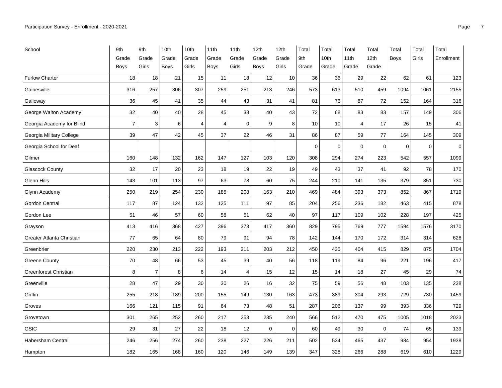| School                    | 9th            | 9th            | 10th  | 10th  | 11th           | 11th           | 12th        | 12th  | Total       | Total | Total       | Total            | Total       | Total       | Total       |
|---------------------------|----------------|----------------|-------|-------|----------------|----------------|-------------|-------|-------------|-------|-------------|------------------|-------------|-------------|-------------|
|                           | Grade          | Grade          | Grade | Grade | Grade          | Grade          | Grade       | Grade | 9th         | 10th  | 11th        | 12 <sub>th</sub> | <b>Boys</b> | Girls       | Enrollment  |
|                           | <b>Boys</b>    | Girls          | Boys  | Girls | Boys           | Girls          | <b>Boys</b> | Girls | Grade       | Grade | Grade       | Grade            |             |             |             |
| <b>Furlow Charter</b>     | 18             | 18             | 21    | 15    | 11             | 18             | 12          | 10    | 36          | 36    | 29          | 22               | 62          | 61          | 123         |
| Gainesville               | 316            | 257            | 306   | 307   | 259            | 251            | 213         | 246   | 573         | 613   | 510         | 459              | 1094        | 1061        | 2155        |
| Galloway                  | 36             | 45             | 41    | 35    | 44             | 43             | 31          | 41    | 81          | 76    | 87          | 72               | 152         | 164         | 316         |
| George Walton Academy     | 32             | 40             | 40    | 28    | 45             | 38             | 40          | 43    | 72          | 68    | 83          | 83               | 157         | 149         | 306         |
| Georgia Academy for Blind | $\overline{7}$ | 3              | 6     | 4     | $\overline{4}$ | $\mathbf 0$    | 9           | 8     | 10          | 10    | 4           | 17               | 26          | 15          | 41          |
| Georgia Military College  | 39             | 47             | 42    | 45    | 37             | 22             | 46          | 31    | 86          | 87    | 59          | 77               | 164         | 145         | 309         |
| Georgia School for Deaf   |                |                |       |       |                |                |             |       | $\mathbf 0$ | 0     | $\mathbf 0$ | 0                | $\mathbf 0$ | $\mathbf 0$ | $\mathbf 0$ |
| Gilmer                    | 160            | 148            | 132   | 162   | 147            | 127            | 103         | 120   | 308         | 294   | 274         | 223              | 542         | 557         | 1099        |
| <b>Glascock County</b>    | 32             | 17             | 20    | 23    | 18             | 19             | 22          | 19    | 49          | 43    | 37          | 41               | 92          | 78          | 170         |
| Glenn Hills               | 143            | 101            | 113   | 97    | 63             | 78             | 60          | 75    | 244         | 210   | 141         | 135              | 379         | 351         | 730         |
| Glynn Academy             | 250            | 219            | 254   | 230   | 185            | 208            | 163         | 210   | 469         | 484   | 393         | 373              | 852         | 867         | 1719        |
| <b>Gordon Central</b>     | 117            | 87             | 124   | 132   | 125            | 111            | 97          | 85    | 204         | 256   | 236         | 182              | 463         | 415         | 878         |
| Gordon Lee                | 51             | 46             | 57    | 60    | 58             | 51             | 62          | 40    | 97          | 117   | 109         | 102              | 228         | 197         | 425         |
| Grayson                   | 413            | 416            | 368   | 427   | 396            | 373            | 417         | 360   | 829         | 795   | 769         | 777              | 1594        | 1576        | 3170        |
| Greater Atlanta Christian | 77             | 65             | 64    | 80    | 79             | 91             | 94          | 78    | 142         | 144   | 170         | 172              | 314         | 314         | 628         |
| Greenbrier                | 220            | 230            | 213   | 222   | 193            | 211            | 203         | 212   | 450         | 435   | 404         | 415              | 829         | 875         | 1704        |
| <b>Greene County</b>      | 70             | 48             | 66    | 53    | 45             | 39             | 40          | 56    | 118         | 119   | 84          | 96               | 221         | 196         | 417         |
| Greenforest Christian     | 8              | $\overline{7}$ | 8     | 6     | 14             | $\overline{4}$ | 15          | 12    | 15          | 14    | 18          | 27               | 45          | 29          | 74          |
| Greenville                | 28             | 47             | 29    | 30    | 30             | 26             | 16          | 32    | 75          | 59    | 56          | 48               | 103         | 135         | 238         |
| Griffin                   | 255            | 218            | 189   | 200   | 155            | 149            | 130         | 163   | 473         | 389   | 304         | 293              | 729         | 730         | 1459        |
| Groves                    | 166            | 121            | 115   | 91    | 64             | 73             | 48          | 51    | 287         | 206   | 137         | 99               | 393         | 336         | 729         |
| Grovetown                 | 301            | 265            | 252   | 260   | 217            | 253            | 235         | 240   | 566         | 512   | 470         | 475              | 1005        | 1018        | 2023        |
| <b>GSIC</b>               | 29             | 31             | 27    | 22    | 18             | 12             | $\mathbf 0$ | 0     | 60          | 49    | 30          | $\mathbf 0$      | 74          | 65          | 139         |
| <b>Habersham Central</b>  | 246            | 256            | 274   | 260   | 238            | 227            | 226         | 211   | 502         | 534   | 465         | 437              | 984         | 954         | 1938        |
| Hampton                   | 182            | 165            | 168   | 160   | 120            | 146            | 149         | 139   | 347         | 328   | 266         | 288              | 619         | 610         | 1229        |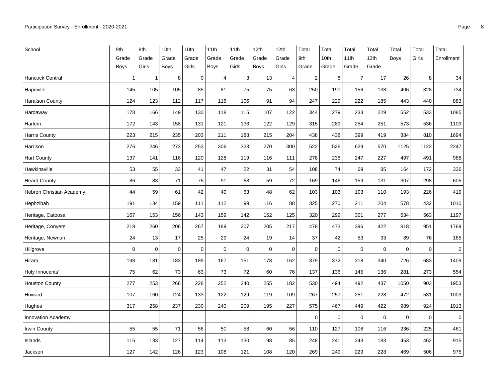| School                    | 9th            | 9th          | 10th  | 10th        | 11th           | 11th        | 12th        | 12th           | Total          | Total       | Total          | Total            | Total       | Total       | Total      |
|---------------------------|----------------|--------------|-------|-------------|----------------|-------------|-------------|----------------|----------------|-------------|----------------|------------------|-------------|-------------|------------|
|                           | Grade          | Grade        | Grade | Grade       | Grade          | Grade       | Grade       | Grade          | 9th            | 10th        | 11th           | 12 <sub>th</sub> | <b>Boys</b> | Girls       | Enrollment |
|                           | <b>Boys</b>    | Girls        | Boys  | Girls       | Boys           | Girls       | <b>Boys</b> | Girls          | Grade          | Grade       | Grade          | Grade            |             |             |            |
| <b>Hancock Central</b>    | $\overline{1}$ | $\mathbf{1}$ | 8     | $\mathbf 0$ | $\overline{4}$ | $\mathsf 3$ | 13          | $\overline{4}$ | $\overline{2}$ | 8           | $\overline{7}$ | 17               | 26          | 8           | 34         |
| Hapeville                 | 145            | 105          | 105   | 85          | 81             | 75          | 75          | 63             | 250            | 190         | 156            | 138              | 406         | 328         | 734        |
| <b>Haralson County</b>    | 124            | 123          | 112   | 117         | 116            | 106         | 91          | 94             | 247            | 229         | 222            | 185              | 443         | 440         | 883        |
| Hardaway                  | 178            | 166          | 149   | 130         | 118            | 115         | 107         | 122            | 344            | 279         | 233            | 229              | 552         | 533         | 1085       |
| Harlem                    | 172            | 143          | 158   | 131         | 121            | 133         | 122         | 129            | 315            | 289         | 254            | 251              | 573         | 536         | 1109       |
| Harris County             | 223            | 215          | 235   | 203         | 211            | 188         | 215         | 204            | 438            | 438         | 399            | 419              | 884         | 810         | 1694       |
| Harrison                  | 276            | 246          | 273   | 253         | 306            | 323         | 270         | 300            | 522            | 526         | 629            | 570              | 1125        | 1122        | 2247       |
| <b>Hart County</b>        | 137            | 141          | 116   | 120         | 128            | 119         | 116         | 111            | 278            | 236         | 247            | 227              | 497         | 491         | 988        |
| Hawkinsville              | 53             | 55           | 33    | 41          | 47             | 22          | 31          | 54             | 108            | 74          | 69             | 85               | 164         | 172         | 336        |
| <b>Heard County</b>       | 86             | 83           | 71    | 75          | 91             | 68          | 59          | 72             | 169            | 146         | 159            | 131              | 307         | 298         | 605        |
| Hebron Christian Academy  | 44             | 59           | 61    | 42          | 40             | 63          | 48          | 62             | 103            | 103         | 103            | 110              | 193         | 226         | 419        |
| Hephzibah                 | 191            | 134          | 159   | 111         | 112            | 99          | 116         | 88             | 325            | 270         | 211            | 204              | 578         | 432         | 1010       |
| Heritage, Catoosa         | 167            | 153          | 156   | 143         | 159            | 142         | 152         | 125            | 320            | 299         | 301            | 277              | 634         | 563         | 1197       |
| Heritage, Conyers         | 218            | 260          | 206   | 267         | 189            | 207         | 205         | 217            | 478            | 473         | 396            | 422              | 818         | 951         | 1769       |
| Heritage, Newnan          | 24             | 13           | 17    | 25          | 29             | 24          | 19          | 14             | 37             | 42          | 53             | 33               | 89          | 76          | 165        |
| Hillgrove                 | 0              | $\mathbf 0$  | 0     | 0           | $\mathbf 0$    | $\mathbf 0$ | $\mathbf 0$ | 0              | $\mathbf 0$    | 0           | $\mathbf 0$    | 0                | $\mathbf 0$ | $\mathbf 0$ | $\pmb{0}$  |
| Hiram                     | 198            | 181          | 183   | 189         | 167            | 151         | 178         | 162            | 379            | 372         | 318            | 340              | 726         | 683         | 1409       |
| Holy Innocents'           | 75             | 62           | 73    | 63          | 73             | 72          | 60          | 76             | 137            | 136         | 145            | 136              | 281         | 273         | 554        |
| <b>Houston County</b>     | 277            | 253          | 266   | 228         | 252            | 240         | 255         | 182            | 530            | 494         | 492            | 437              | 1050        | 903         | 1953       |
| Howard                    | 107            | 160          | 124   | 133         | 122            | 129         | 119         | 109            | 267            | 257         | 251            | 228              | 472         | 531         | 1003       |
| Hughes                    | 317            | 258          | 237   | 230         | 240            | 209         | 195         | 227            | 575            | 467         | 449            | 422              | 989         | 924         | 1913       |
| <b>Innovation Academy</b> |                |              |       |             |                |             |             |                | $\mathbf 0$    | $\mathbf 0$ | $\mathbf 0$    | 0                | $\mathbf 0$ | $\mathbf 0$ | $\pmb{0}$  |
| Irwin County              | 55             | 55           | 71    | 56          | 50             | 58          | 60          | 56             | 110            | 127         | 108            | 116              | 236         | 225         | 461        |
| Islands                   | 115            | 133          | 127   | 114         | 113            | 130         | 98          | 85             | 248            | 241         | 243            | 183              | 453         | 462         | 915        |
| Jackson                   | 127            | 142          | 126   | 123         | 108            | 121         | 108         | 120            | 269            | 249         | 229            | 228              | 469         | 506         | 975        |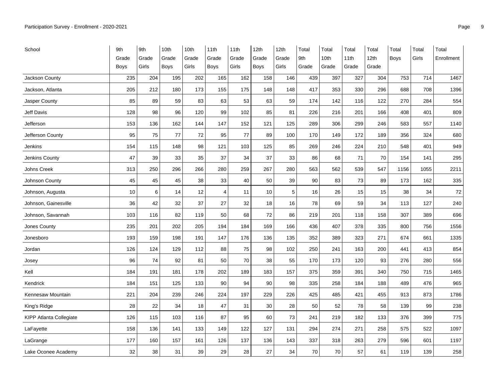| School                         | 9th         | 9th   | 10th  | 10th  | 11th           | 11th  | 12th        | 12th  | Total | Total | Total | Total | Total       | Total | Total      |
|--------------------------------|-------------|-------|-------|-------|----------------|-------|-------------|-------|-------|-------|-------|-------|-------------|-------|------------|
|                                | Grade       | Grade | Grade | Grade | Grade          | Grade | Grade       | Grade | 9th   | 10th  | 11th  | 12th  | <b>Boys</b> | Girls | Enrollment |
|                                | <b>Boys</b> | Girls | Boys  | Girls | Boys           | Girls | <b>Boys</b> | Girls | Grade | Grade | Grade | Grade |             |       |            |
| Jackson County                 | 235         | 204   | 195   | 202   | 165            | 162   | 158         | 146   | 439   | 397   | 327   | 304   | 753         | 714   | 1467       |
| Jackson, Atlanta               | 205         | 212   | 180   | 173   | 155            | 175   | 148         | 148   | 417   | 353   | 330   | 296   | 688         | 708   | 1396       |
| Jasper County                  | 85          | 89    | 59    | 83    | 63             | 53    | 63          | 59    | 174   | 142   | 116   | 122   | 270         | 284   | 554        |
| Jeff Davis                     | 128         | 98    | 96    | 120   | 99             | 102   | 85          | 81    | 226   | 216   | 201   | 166   | 408         | 401   | 809        |
| Jefferson                      | 153         | 136   | 162   | 144   | 147            | 152   | 121         | 125   | 289   | 306   | 299   | 246   | 583         | 557   | 1140       |
| Jefferson County               | 95          | 75    | 77    | 72    | 95             | 77    | 89          | 100   | 170   | 149   | 172   | 189   | 356         | 324   | 680        |
| Jenkins                        | 154         | 115   | 148   | 98    | 121            | 103   | 125         | 85    | 269   | 246   | 224   | 210   | 548         | 401   | 949        |
| Jenkins County                 | 47          | 39    | 33    | 35    | 37             | 34    | 37          | 33    | 86    | 68    | 71    | 70    | 154         | 141   | 295        |
| <b>Johns Creek</b>             | 313         | 250   | 296   | 266   | 280            | 259   | 267         | 280   | 563   | 562   | 539   | 547   | 1156        | 1055  | 2211       |
| Johnson County                 | 45          | 45    | 45    | 38    | 33             | 40    | 50          | 39    | 90    | 83    | 73    | 89    | 173         | 162   | 335        |
| Johnson, Augusta               | 10          | 6     | 14    | 12    | $\overline{4}$ | 11    | 10          | 5     | 16    | 26    | 15    | 15    | 38          | 34    | 72         |
| Johnson, Gainesville           | 36          | 42    | 32    | 37    | 27             | 32    | 18          | 16    | 78    | 69    | 59    | 34    | 113         | 127   | 240        |
| Johnson, Savannah              | 103         | 116   | 82    | 119   | 50             | 68    | 72          | 86    | 219   | 201   | 118   | 158   | 307         | 389   | 696        |
| Jones County                   | 235         | 201   | 202   | 205   | 194            | 184   | 169         | 166   | 436   | 407   | 378   | 335   | 800         | 756   | 1556       |
| Jonesboro                      | 193         | 159   | 198   | 191   | 147            | 176   | 136         | 135   | 352   | 389   | 323   | 271   | 674         | 661   | 1335       |
| Jordan                         | 126         | 124   | 129   | 112   | 88             | 75    | 98          | 102   | 250   | 241   | 163   | 200   | 441         | 413   | 854        |
| Josey                          | 96          | 74    | 92    | 81    | 50             | 70    | 38          | 55    | 170   | 173   | 120   | 93    | 276         | 280   | 556        |
| Kell                           | 184         | 191   | 181   | 178   | 202            | 189   | 183         | 157   | 375   | 359   | 391   | 340   | 750         | 715   | 1465       |
| Kendrick                       | 184         | 151   | 125   | 133   | 90             | 94    | 90          | 98    | 335   | 258   | 184   | 188   | 489         | 476   | 965        |
| Kennesaw Mountain              | 221         | 204   | 239   | 246   | 224            | 197   | 229         | 226   | 425   | 485   | 421   | 455   | 913         | 873   | 1786       |
| King's Ridge                   | 28          | 22    | 34    | 18    | 47             | 31    | 30          | 28    | 50    | 52    | 78    | 58    | 139         | 99    | 238        |
| <b>KIPP Atlanta Collegiate</b> | 126         | 115   | 103   | 116   | 87             | 95    | 60          | 73    | 241   | 219   | 182   | 133   | 376         | 399   | 775        |
| LaFayette                      | 158         | 136   | 141   | 133   | 149            | 122   | 127         | 131   | 294   | 274   | 271   | 258   | 575         | 522   | 1097       |
| LaGrange                       | 177         | 160   | 157   | 161   | 126            | 137   | 136         | 143   | 337   | 318   | 263   | 279   | 596         | 601   | 1197       |
| Lake Oconee Academy            | 32          | 38    | 31    | 39    | 29             | 28    | 27          | 34    | 70    | 70    | 57    | 61    | 119         | 139   | 258        |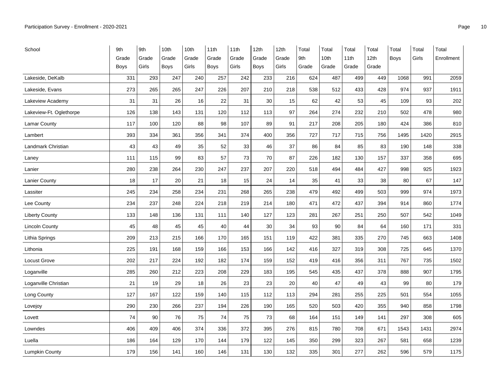| School                  | 9th         | 9th   | 10th  | 10th  | 11th        | 11th  | 12th        | 12th  | Total | Total | Total | Total | Total       | Total | Total      |
|-------------------------|-------------|-------|-------|-------|-------------|-------|-------------|-------|-------|-------|-------|-------|-------------|-------|------------|
|                         | Grade       | Grade | Grade | Grade | Grade       | Grade | Grade       | Grade | 9th   | 10th  | 11th  | 12th  | <b>Boys</b> | Girls | Enrollment |
|                         | <b>Boys</b> | Girls | Boys  | Girls | <b>Boys</b> | Girls | <b>Boys</b> | Girls | Grade | Grade | Grade | Grade |             |       |            |
| Lakeside, DeKalb        | 331         | 293   | 247   | 240   | 257         | 242   | 233         | 216   | 624   | 487   | 499   | 449   | 1068        | 991   | 2059       |
| Lakeside, Evans         | 273         | 265   | 265   | 247   | 226         | 207   | 210         | 218   | 538   | 512   | 433   | 428   | 974         | 937   | 1911       |
| Lakeview Academy        | 31          | 31    | 26    | 16    | 22          | 31    | 30          | 15    | 62    | 42    | 53    | 45    | 109         | 93    | 202        |
| Lakeview-Ft. Oglethorpe | 126         | 138   | 143   | 131   | 120         | 112   | 113         | 97    | 264   | 274   | 232   | 210   | 502         | 478   | 980        |
| Lamar County            | 117         | 100   | 120   | 88    | 98          | 107   | 89          | 91    | 217   | 208   | 205   | 180   | 424         | 386   | 810        |
| Lambert                 | 393         | 334   | 361   | 356   | 341         | 374   | 400         | 356   | 727   | 717   | 715   | 756   | 1495        | 1420  | 2915       |
| Landmark Christian      | 43          | 43    | 49    | 35    | 52          | 33    | 46          | 37    | 86    | 84    | 85    | 83    | 190         | 148   | 338        |
| Laney                   | 111         | 115   | 99    | 83    | 57          | 73    | 70          | 87    | 226   | 182   | 130   | 157   | 337         | 358   | 695        |
| Lanier                  | 280         | 238   | 264   | 230   | 247         | 237   | 207         | 220   | 518   | 494   | 484   | 427   | 998         | 925   | 1923       |
| <b>Lanier County</b>    | 18          | 17    | 20    | 21    | 18          | 15    | 24          | 14    | 35    | 41    | 33    | 38    | 80          | 67    | 147        |
| Lassiter                | 245         | 234   | 258   | 234   | 231         | 268   | 265         | 238   | 479   | 492   | 499   | 503   | 999         | 974   | 1973       |
| Lee County              | 234         | 237   | 248   | 224   | 218         | 219   | 214         | 180   | 471   | 472   | 437   | 394   | 914         | 860   | 1774       |
| <b>Liberty County</b>   | 133         | 148   | 136   | 131   | 111         | 140   | 127         | 123   | 281   | 267   | 251   | 250   | 507         | 542   | 1049       |
| <b>Lincoln County</b>   | 45          | 48    | 45    | 45    | 40          | 44    | 30          | 34    | 93    | 90    | 84    | 64    | 160         | 171   | 331        |
| Lithia Springs          | 209         | 213   | 215   | 166   | 170         | 165   | 151         | 119   | 422   | 381   | 335   | 270   | 745         | 663   | 1408       |
| Lithonia                | 225         | 191   | 168   | 159   | 166         | 153   | 166         | 142   | 416   | 327   | 319   | 308   | 725         | 645   | 1370       |
| Locust Grove            | 202         | 217   | 224   | 192   | 182         | 174   | 159         | 152   | 419   | 416   | 356   | 311   | 767         | 735   | 1502       |
| Loganville              | 285         | 260   | 212   | 223   | 208         | 229   | 183         | 195   | 545   | 435   | 437   | 378   | 888         | 907   | 1795       |
| Loganville Christian    | 21          | 19    | 29    | 18    | 26          | 23    | 23          | 20    | 40    | 47    | 49    | 43    | 99          | 80    | 179        |
| Long County             | 127         | 167   | 122   | 159   | 140         | 115   | 112         | 113   | 294   | 281   | 255   | 225   | 501         | 554   | 1055       |
| Lovejoy                 | 290         | 230   | 266   | 237   | 194         | 226   | 190         | 165   | 520   | 503   | 420   | 355   | 940         | 858   | 1798       |
| Lovett                  | 74          | 90    | 76    | 75    | 74          | 75    | 73          | 68    | 164   | 151   | 149   | 141   | 297         | 308   | 605        |
| Lowndes                 | 406         | 409   | 406   | 374   | 336         | 372   | 395         | 276   | 815   | 780   | 708   | 671   | 1543        | 1431  | 2974       |
| Luella                  | 186         | 164   | 129   | 170   | 144         | 179   | 122         | 145   | 350   | 299   | 323   | 267   | 581         | 658   | 1239       |
| Lumpkin County          | 179         | 156   | 141   | 160   | 146         | 131   | 130         | 132   | 335   | 301   | 277   | 262   | 596         | 579   | 1175       |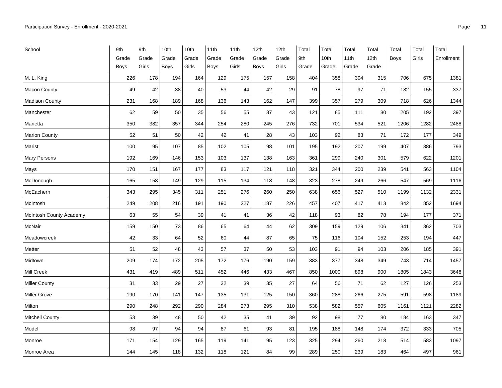| School                         | 9th         | 9th   | 10th  | 10th  | 11th  | 11th  | 12th        | 12th  | Total | Total | Total | Total            | Total       | Total | Total      |
|--------------------------------|-------------|-------|-------|-------|-------|-------|-------------|-------|-------|-------|-------|------------------|-------------|-------|------------|
|                                | Grade       | Grade | Grade | Grade | Grade | Grade | Grade       | Grade | 9th   | 10th  | 11th  | 12 <sub>th</sub> | <b>Boys</b> | Girls | Enrollment |
|                                | <b>Boys</b> | Girls | Boys  | Girls | Boys  | Girls | <b>Boys</b> | Girls | Grade | Grade | Grade | Grade            |             |       |            |
| M. L. King                     | 226         | 178   | 194   | 164   | 129   | 175   | 157         | 158   | 404   | 358   | 304   | 315              | 706         | 675   | 1381       |
| <b>Macon County</b>            | 49          | 42    | 38    | 40    | 53    | 44    | 42          | 29    | 91    | 78    | 97    | 71               | 182         | 155   | 337        |
| <b>Madison County</b>          | 231         | 168   | 189   | 168   | 136   | 143   | 162         | 147   | 399   | 357   | 279   | 309              | 718         | 626   | 1344       |
| Manchester                     | 62          | 59    | 50    | 35    | 56    | 55    | 37          | 43    | 121   | 85    | 111   | 80               | 205         | 192   | 397        |
| Marietta                       | 350         | 382   | 357   | 344   | 254   | 280   | 245         | 276   | 732   | 701   | 534   | 521              | 1206        | 1282  | 2488       |
| <b>Marion County</b>           | 52          | 51    | 50    | 42    | 42    | 41    | 28          | 43    | 103   | 92    | 83    | 71               | 172         | 177   | 349        |
| Marist                         | 100         | 95    | 107   | 85    | 102   | 105   | 98          | 101   | 195   | 192   | 207   | 199              | 407         | 386   | 793        |
| Mary Persons                   | 192         | 169   | 146   | 153   | 103   | 137   | 138         | 163   | 361   | 299   | 240   | 301              | 579         | 622   | 1201       |
| Mays                           | 170         | 151   | 167   | 177   | 83    | 117   | 121         | 118   | 321   | 344   | 200   | 239              | 541         | 563   | 1104       |
| McDonough                      | 165         | 158   | 149   | 129   | 115   | 134   | 118         | 148   | 323   | 278   | 249   | 266              | 547         | 569   | 1116       |
| McEachern                      | 343         | 295   | 345   | 311   | 251   | 276   | 260         | 250   | 638   | 656   | 527   | 510              | 1199        | 1132  | 2331       |
| McIntosh                       | 249         | 208   | 216   | 191   | 190   | 227   | 187         | 226   | 457   | 407   | 417   | 413              | 842         | 852   | 1694       |
| <b>McIntosh County Academy</b> | 63          | 55    | 54    | 39    | 41    | 41    | 36          | 42    | 118   | 93    | 82    | 78               | 194         | 177   | 371        |
| McNair                         | 159         | 150   | 73    | 86    | 65    | 64    | 44          | 62    | 309   | 159   | 129   | 106              | 341         | 362   | 703        |
| Meadowcreek                    | 42          | 33    | 64    | 52    | 60    | 44    | 87          | 65    | 75    | 116   | 104   | 152              | 253         | 194   | 447        |
| Metter                         | 51          | 52    | 48    | 43    | 57    | 37    | 50          | 53    | 103   | 91    | 94    | 103              | 206         | 185   | 391        |
| Midtown                        | 209         | 174   | 172   | 205   | 172   | 176   | 190         | 159   | 383   | 377   | 348   | 349              | 743         | 714   | 1457       |
| Mill Creek                     | 431         | 419   | 489   | 511   | 452   | 446   | 433         | 467   | 850   | 1000  | 898   | 900              | 1805        | 1843  | 3648       |
| <b>Miller County</b>           | 31          | 33    | 29    | 27    | 32    | 39    | 35          | 27    | 64    | 56    | 71    | 62               | 127         | 126   | 253        |
| <b>Miller Grove</b>            | 190         | 170   | 141   | 147   | 135   | 131   | 125         | 150   | 360   | 288   | 266   | 275              | 591         | 598   | 1189       |
| Milton                         | 290         | 248   | 292   | 290   | 284   | 273   | 295         | 310   | 538   | 582   | 557   | 605              | 1161        | 1121  | 2282       |
| <b>Mitchell County</b>         | 53          | 39    | 48    | 50    | 42    | 35    | 41          | 39    | 92    | 98    | 77    | 80               | 184         | 163   | 347        |
| Model                          | 98          | 97    | 94    | 94    | 87    | 61    | 93          | 81    | 195   | 188   | 148   | 174              | 372         | 333   | 705        |
| Monroe                         | 171         | 154   | 129   | 165   | 119   | 141   | 95          | 123   | 325   | 294   | 260   | 218              | 514         | 583   | 1097       |
| Monroe Area                    | 144         | 145   | 118   | 132   | 118   | 121   | 84          | 99    | 289   | 250   | 239   | 183              | 464         | 497   | 961        |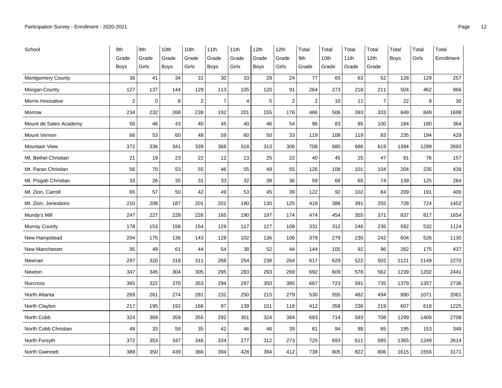| School                 | 9th            | 9th         | 10th        | 10th           | 11th             | 11th           | 12th        | 12th           | Total          | Total | Total | Total            | Total       | Total | Total      |
|------------------------|----------------|-------------|-------------|----------------|------------------|----------------|-------------|----------------|----------------|-------|-------|------------------|-------------|-------|------------|
|                        | Grade          | Grade       | Grade       | Grade          | Grade            | Grade          | Grade       | Grade          | 9th            | 10th  | 11th  | 12 <sub>th</sub> | <b>Boys</b> | Girls | Enrollment |
|                        | Boys           | Girls       | <b>Boys</b> | Girls          | <b>Boys</b>      | Girls          | Boys        | Girls          | Grade          | Grade | Grade | Grade            |             |       |            |
| Montgomery County      | 36             | 41          | 34          | 31             | 30               | 33             | 28          | 24             | 77             | 65    | 63    | 52               | 128         | 129   | 257        |
| Morgan County          | 127            | 137         | 144         | 129            | 113              | 105            | 120         | 91             | 264            | 273   | 218   | 211              | 504         | 462   | 966        |
| Morris Innovative      | $\overline{c}$ | $\mathbf 0$ | 8           | $\overline{c}$ | $\boldsymbol{7}$ | $\overline{4}$ | $\mathbf 5$ | $\overline{2}$ | $\overline{2}$ | 10    | 11    | $\overline{7}$   | 22          | 8     | 30         |
| Morrow                 | 234            | 232         | 268         | 238            | 192              | 201            | 155         | 178            | 466            | 506   | 393   | 333              | 849         | 849   | 1698       |
| Mount de Sales Academy | 50             | 46          | 43          | 40             | 45               | 40             | 46          | 54             | 96             | 83    | 85    | 100              | 184         | 180   | 364        |
| Mount Vernon           | 66             | 53          | 60          | 48             | 59               | 60             | 50          | 33             | 119            | 108   | 119   | 83               | 235         | 194   | 429        |
| <b>Mountain View</b>   | 372            | 336         | 341         | 339            | 368              | 318            | 313         | 306            | 708            | 680   | 686   | 619              | 1394        | 1299  | 2693       |
| Mt. Bethel Christian   | 21             | 19          | 23          | 22             | 12               | 13             | 25          | 22             | 40             | 45    | 25    | 47               | 81          | 76    | 157        |
| Mt. Paran Christian    | 56             | 70          | 53          | 55             | 46               | 55             | 49          | 55             | 126            | 108   | 101   | 104              | 204         | 235   | 439        |
| Mt. Pisgah Christian   | 33             | 26          | 35          | 31             | 33               | 32             | 38          | 36             | 59             | 66    | 65    | 74               | 139         | 125   | 264        |
| Mt. Zion, Carroll      | 65             | 57          | 50          | 42             | 49               | 53             | 45          | 39             | 122            | 92    | 102   | 84               | 209         | 191   | 400        |
| Mt. Zion, Jonesboro    | 210            | 208         | 187         | 201            | 201              | 190            | 130         | 125            | 418            | 388   | 391   | 255              | 728         | 724   | 1452       |
| Mundy's Mill           | 247            | 227         | 228         | 226            | 165              | 190            | 197         | 174            | 474            | 454   | 355   | 371              | 837         | 817   | 1654       |
| <b>Murray County</b>   | 178            | 153         | 158         | 154            | 129              | 117            | 127         | 108            | 331            | 312   | 246   | 235              | 592         | 532   | 1124       |
| New Hampstead          | 204            | 175         | 136         | 143            | 128              | 102            | 136         | 106            | 379            | 279   | 230   | 242              | 604         | 526   | 1130       |
| <b>New Manchester</b>  | 95             | 49          | 61          | 44             | 54               | 38             | 52          | 44             | 144            | 105   | 92    | 96               | 262         | 175   | 437        |
| Newnan                 | 297            | 320         | 318         | 311            | 268              | 254            | 238         | 264            | 617            | 629   | 522   | 502              | 1121        | 1149  | 2270       |
| Newton                 | 347            | 345         | 304         | 305            | 295              | 283            | 293         | 269            | 692            | 609   | 578   | 562              | 1239        | 1202  | 2441       |
| <b>Norcross</b>        | 365            | 322         | 370         | 353            | 294              | 297            | 350         | 385            | 687            | 723   | 591   | 735              | 1379        | 1357  | 2736       |
| North Atlanta          | 269            | 261         | 274         | 281            | 232              | 250            | 215         | 279            | 530            | 555   | 482   | 494              | 990         | 1071  | 2061       |
| North Clayton          | 217            | 195         | 192         | 166            | 97               | 139            | 101         | 118            | 412            | 358   | 236   | 219              | 607         | 618   | 1225       |
| North Cobb             | 324            | 369         | 359         | 355            | 292              | 301            | 324         | 384            | 693            | 714   | 593   | 708              | 1299        | 1409  | 2708       |
| North Cobb Christian   | 48             | 33          | 59          | 35             | 42               | 46             | 46          | 39             | 81             | 94    | 88    | 85               | 195         | 153   | 348        |
| North Forsyth          | 372            | 353         | 347         | 346            | 334              | 277            | 312         | 273            | 725            | 693   | 611   | 585              | 1365        | 1249  | 2614       |
| North Gwinnett         | 388            | 350         | 439         | 366            | 394              | 428            | 394         | 412            | 738            | 805   | 822   | 806              | 1615        | 1556  | 3171       |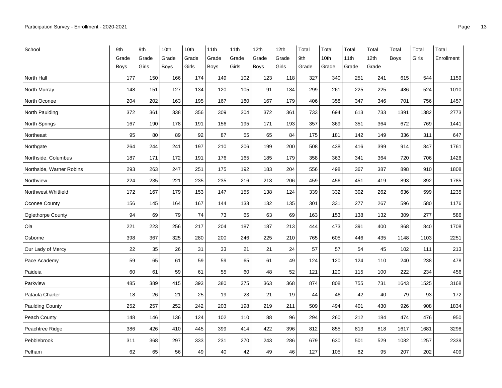| School                   | 9th         | 9th   | 10th  | 10th  | 11th  | 11th  | 12th        | 12th  | Total | Total | Total | Total | Total | Total | Total      |
|--------------------------|-------------|-------|-------|-------|-------|-------|-------------|-------|-------|-------|-------|-------|-------|-------|------------|
|                          | Grade       | Grade | Grade | Grade | Grade | Grade | Grade       | Grade | 9th   | 10th  | 11th  | 12th  | Boys  | Girls | Enrollment |
|                          | <b>Boys</b> | Girls | Boys  | Girls | Boys  | Girls | <b>Boys</b> | Girls | Grade | Grade | Grade | Grade |       |       |            |
| North Hall               | 177         | 150   | 166   | 174   | 149   | 102   | 123         | 118   | 327   | 340   | 251   | 241   | 615   | 544   | 1159       |
| North Murray             | 148         | 151   | 127   | 134   | 120   | 105   | 91          | 134   | 299   | 261   | 225   | 225   | 486   | 524   | 1010       |
| North Oconee             | 204         | 202   | 163   | 195   | 167   | 180   | 167         | 179   | 406   | 358   | 347   | 346   | 701   | 756   | 1457       |
| North Paulding           | 372         | 361   | 338   | 356   | 309   | 304   | 372         | 361   | 733   | 694   | 613   | 733   | 1391  | 1382  | 2773       |
| North Springs            | 167         | 190   | 178   | 191   | 156   | 195   | 171         | 193   | 357   | 369   | 351   | 364   | 672   | 769   | 1441       |
| Northeast                | 95          | 80    | 89    | 92    | 87    | 55    | 65          | 84    | 175   | 181   | 142   | 149   | 336   | 311   | 647        |
| Northgate                | 264         | 244   | 241   | 197   | 210   | 206   | 199         | 200   | 508   | 438   | 416   | 399   | 914   | 847   | 1761       |
| Northside, Columbus      | 187         | 171   | 172   | 191   | 176   | 165   | 185         | 179   | 358   | 363   | 341   | 364   | 720   | 706   | 1426       |
| Northside, Warner Robins | 293         | 263   | 247   | 251   | 175   | 192   | 183         | 204   | 556   | 498   | 367   | 387   | 898   | 910   | 1808       |
| Northview                | 224         | 235   | 221   | 235   | 235   | 216   | 213         | 206   | 459   | 456   | 451   | 419   | 893   | 892   | 1785       |
| Northwest Whitfield      | 172         | 167   | 179   | 153   | 147   | 155   | 138         | 124   | 339   | 332   | 302   | 262   | 636   | 599   | 1235       |
| Oconee County            | 156         | 145   | 164   | 167   | 144   | 133   | 132         | 135   | 301   | 331   | 277   | 267   | 596   | 580   | 1176       |
| <b>Oglethorpe County</b> | 94          | 69    | 79    | 74    | 73    | 65    | 63          | 69    | 163   | 153   | 138   | 132   | 309   | 277   | 586        |
| Ola                      | 221         | 223   | 256   | 217   | 204   | 187   | 187         | 213   | 444   | 473   | 391   | 400   | 868   | 840   | 1708       |
| Osborne                  | 398         | 367   | 325   | 280   | 200   | 246   | 225         | 210   | 765   | 605   | 446   | 435   | 1148  | 1103  | 2251       |
| Our Lady of Mercy        | 22          | 35    | 26    | 31    | 33    | 21    | 21          | 24    | 57    | 57    | 54    | 45    | 102   | 111   | 213        |
| Pace Academy             | 59          | 65    | 61    | 59    | 59    | 65    | 61          | 49    | 124   | 120   | 124   | 110   | 240   | 238   | 478        |
| Paideia                  | 60          | 61    | 59    | 61    | 55    | 60    | 48          | 52    | 121   | 120   | 115   | 100   | 222   | 234   | 456        |
| Parkview                 | 485         | 389   | 415   | 393   | 380   | 375   | 363         | 368   | 874   | 808   | 755   | 731   | 1643  | 1525  | 3168       |
| Pataula Charter          | 18          | 26    | 21    | 25    | 19    | 23    | 21          | 19    | 44    | 46    | 42    | 40    | 79    | 93    | 172        |
| <b>Paulding County</b>   | 252         | 257   | 252   | 242   | 203   | 198   | 219         | 211   | 509   | 494   | 401   | 430   | 926   | 908   | 1834       |
| Peach County             | 148         | 146   | 136   | 124   | 102   | 110   | 88          | 96    | 294   | 260   | 212   | 184   | 474   | 476   | 950        |
| Peachtree Ridge          | 386         | 426   | 410   | 445   | 399   | 414   | 422         | 396   | 812   | 855   | 813   | 818   | 1617  | 1681  | 3298       |
| Pebblebrook              | 311         | 368   | 297   | 333   | 231   | 270   | 243         | 286   | 679   | 630   | 501   | 529   | 1082  | 1257  | 2339       |
| Pelham                   | 62          | 65    | 56    | 49    | 40    | 42    | 49          | 46    | 127   | 105   | 82    | 95    | 207   | 202   | 409        |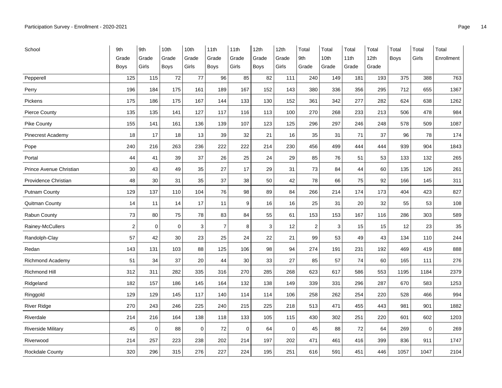| School                    | 9th              | 9th         | 10th        | 10th  | 11th           | 11th  | 12th        | 12th        | Total          | Total | Total | Total | Total | Total | Total      |
|---------------------------|------------------|-------------|-------------|-------|----------------|-------|-------------|-------------|----------------|-------|-------|-------|-------|-------|------------|
|                           | Grade            | Grade       | Grade       | Grade | Grade          | Grade | Grade       | Grade       | 9th            | 10th  | 11th  | 12th  | Boys  | Girls | Enrollment |
|                           | <b>Boys</b>      | Girls       | Boys        | Girls | Boys           | Girls | <b>Boys</b> | Girls       | Grade          | Grade | Grade | Grade |       |       |            |
| Pepperell                 | 125              | 115         | 72          | 77    | 96             | 85    | 82          | 111         | 240            | 149   | 181   | 193   | 375   | 388   | 763        |
| Perry                     | 196              | 184         | 175         | 161   | 189            | 167   | 152         | 143         | 380            | 336   | 356   | 295   | 712   | 655   | 1367       |
| Pickens                   | 175              | 186         | 175         | 167   | 144            | 133   | 130         | 152         | 361            | 342   | 277   | 282   | 624   | 638   | 1262       |
| <b>Pierce County</b>      | 135              | 135         | 141         | 127   | 117            | 116   | 113         | 100         | 270            | 268   | 233   | 213   | 506   | 478   | 984        |
| <b>Pike County</b>        | 155              | 141         | 161         | 136   | 139            | 107   | 123         | 125         | 296            | 297   | 246   | 248   | 578   | 509   | 1087       |
| Pinecrest Academy         | 18               | 17          | 18          | 13    | 39             | 32    | 21          | 16          | 35             | 31    | 71    | 37    | 96    | 78    | 174        |
| Pope                      | 240              | 216         | 263         | 236   | 222            | 222   | 214         | 230         | 456            | 499   | 444   | 444   | 939   | 904   | 1843       |
| Portal                    | 44               | 41          | 39          | 37    | 26             | 25    | 24          | 29          | 85             | 76    | 51    | 53    | 133   | 132   | 265        |
| Prince Avenue Christian   | 30               | 43          | 49          | 35    | 27             | 17    | 29          | 31          | 73             | 84    | 44    | 60    | 135   | 126   | 261        |
| Providence Christian      | 48               | 30          | 31          | 35    | 37             | 38    | 50          | 42          | 78             | 66    | 75    | 92    | 166   | 145   | 311        |
| Putnam County             | 129              | 137         | 110         | 104   | 76             | 98    | 89          | 84          | 266            | 214   | 174   | 173   | 404   | 423   | 827        |
| Quitman County            | 14               | 11          | 14          | 17    | 11             | 9     | 16          | 16          | 25             | 31    | 20    | 32    | 55    | 53    | 108        |
| Rabun County              | 73               | 80          | 75          | 78    | 83             | 84    | 55          | 61          | 153            | 153   | 167   | 116   | 286   | 303   | 589        |
| Rainey-McCullers          | $\boldsymbol{2}$ | $\mathbf 0$ | $\mathbf 0$ | 3     | $\overline{7}$ | 8     | 3           | 12          | $\overline{2}$ | 3     | 15    | 15    | 12    | 23    | 35         |
| Randolph-Clay             | 57               | 42          | 30          | 23    | 25             | 24    | 22          | 21          | 99             | 53    | 49    | 43    | 134   | 110   | 244        |
| Redan                     | 143              | 131         | 103         | 88    | 125            | 106   | 98          | 94          | 274            | 191   | 231   | 192   | 469   | 419   | 888        |
| Richmond Academy          | 51               | 34          | 37          | 20    | 44             | 30    | 33          | 27          | 85             | 57    | 74    | 60    | 165   | 111   | 276        |
| <b>Richmond Hill</b>      | 312              | 311         | 282         | 335   | 316            | 270   | 285         | 268         | 623            | 617   | 586   | 553   | 1195  | 1184  | 2379       |
| Ridgeland                 | 182              | 157         | 186         | 145   | 164            | 132   | 138         | 149         | 339            | 331   | 296   | 287   | 670   | 583   | 1253       |
| Ringgold                  | 129              | 129         | 145         | 117   | 140            | 114   | 114         | 106         | 258            | 262   | 254   | 220   | 528   | 466   | 994        |
| <b>River Ridge</b>        | 270              | 243         | 246         | 225   | 240            | 215   | 225         | 218         | 513            | 471   | 455   | 443   | 981   | 901   | 1882       |
| Riverdale                 | 214              | 216         | 164         | 138   | 118            | 133   | 105         | 115         | 430            | 302   | 251   | 220   | 601   | 602   | 1203       |
| <b>Riverside Military</b> | 45               | $\mathbf 0$ | 88          | 0     | 72             | 0     | 64          | $\mathbf 0$ | 45             | 88    | 72    | 64    | 269   | 0     | 269        |
| Riverwood                 | 214              | 257         | 223         | 238   | 202            | 214   | 197         | 202         | 471            | 461   | 416   | 399   | 836   | 911   | 1747       |
| Rockdale County           | 320              | 296         | 315         | 276   | 227            | 224   | 195         | 251         | 616            | 591   | 451   | 446   | 1057  | 1047  | 2104       |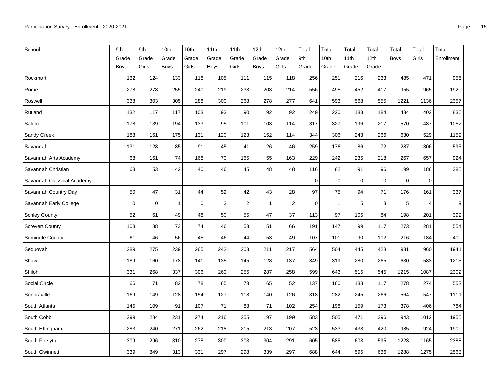| School                     | 9th         | 9th         | 10th           | 10th  | 11th  | 11th           | 12th         | 12th           | Total       | Total        | Total       | Total            | Total       | Total          | Total      |
|----------------------------|-------------|-------------|----------------|-------|-------|----------------|--------------|----------------|-------------|--------------|-------------|------------------|-------------|----------------|------------|
|                            | Grade       | Grade       | Grade          | Grade | Grade | Grade          | Grade        | Grade          | 9th         | 10th         | 11th        | 12 <sub>th</sub> | <b>Boys</b> | Girls          | Enrollment |
|                            | <b>Boys</b> | Girls       | Boys           | Girls | Boys  | Girls          | <b>Boys</b>  | Girls          | Grade       | Grade        | Grade       | Grade            |             |                |            |
| Rockmart                   | 132         | 124         | 133            | 118   | 105   | 111            | 115          | 118            | 256         | 251          | 216         | 233              | 485         | 471            | 956        |
| Rome                       | 278         | 278         | 255            | 240   | 219   | 233            | 203          | 214            | 556         | 495          | 452         | 417              | 955         | 965            | 1920       |
| Roswell                    | 338         | 303         | 305            | 288   | 300   | 268            | 278          | 277            | 641         | 593          | 568         | 555              | 1221        | 1136           | 2357       |
| Rutland                    | 132         | 117         | 117            | 103   | 93    | 90             | 92           | 92             | 249         | 220          | 183         | 184              | 434         | 402            | 836        |
| Salem                      | 178         | 139         | 194            | 133   | 95    | 101            | 103          | 114            | 317         | 327          | 196         | 217              | 570         | 487            | 1057       |
| Sandy Creek                | 183         | 161         | 175            | 131   | 120   | 123            | 152          | 114            | 344         | 306          | 243         | 266              | 630         | 529            | 1159       |
| Savannah                   | 131         | 128         | 85             | 91    | 45    | 41             | 26           | 46             | 259         | 176          | 86          | 72               | 287         | 306            | 593        |
| Savannah Arts Academy      | 68          | 161         | 74             | 168   | 70    | 165            | 55           | 163            | 229         | 242          | 235         | 218              | 267         | 657            | 924        |
| Savannah Christian         | 63          | 53          | 42             | 40    | 46    | 45             | 48           | 48             | 116         | 82           | 91          | 96               | 199         | 186            | 385        |
| Savannah Classical Academy |             |             |                |       |       |                |              |                | $\mathbf 0$ | $\mathbf 0$  | $\mathbf 0$ | $\mathbf 0$      | $\mathbf 0$ | $\mathbf 0$    | $\pmb{0}$  |
| Savannah Country Day       | 50          | 47          | 31             | 44    | 52    | 42             | 43           | 28             | 97          | 75           | 94          | 71               | 176         | 161            | 337        |
| Savannah Early College     | $\mathbf 0$ | $\mathbf 0$ | $\overline{1}$ | 0     | 3     | $\overline{2}$ | $\mathbf{1}$ | $\overline{2}$ | $\mathbf 0$ | $\mathbf{1}$ | 5           | 3                | 5           | $\overline{4}$ | 9          |
| <b>Schley County</b>       | 52          | 61          | 49             | 48    | 50    | 55             | 47           | 37             | 113         | 97           | 105         | 84               | 198         | 201            | 399        |
| <b>Screven County</b>      | 103         | 88          | 73             | 74    | 46    | 53             | 51           | 66             | 191         | 147          | 99          | 117              | 273         | 281            | 554        |
| Seminole County            | 61          | 46          | 56             | 45    | 46    | 44             | 53           | 49             | 107         | 101          | 90          | 102              | 216         | 184            | 400        |
| Sequoyah                   | 289         | 275         | 239            | 265   | 242   | 203            | 211          | 217            | 564         | 504          | 445         | 428              | 981         | 960            | 1941       |
| Shaw                       | 189         | 160         | 178            | 141   | 135   | 145            | 128          | 137            | 349         | 319          | 280         | 265              | 630         | 583            | 1213       |
| Shiloh                     | 331         | 268         | 337            | 306   | 260   | 255            | 287          | 258            | 599         | 643          | 515         | 545              | 1215        | 1087           | 2302       |
| Social Circle              | 66          | 71          | 82             | 78    | 65    | 73             | 65           | 52             | 137         | 160          | 138         | 117              | 278         | 274            | 552        |
| Sonoraville                | 169         | 149         | 128            | 154   | 127   | 118            | 140          | 126            | 318         | 282          | 245         | 266              | 564         | 547            | 1111       |
| South Atlanta              | 145         | 109         | 91             | 107   | 71    | 88             | 71           | 102            | 254         | 198          | 159         | 173              | 378         | 406            | 784        |
| South Cobb                 | 299         | 284         | 231            | 274   | 216   | 255            | 197          | 199            | 583         | 505          | 471         | 396              | 943         | 1012           | 1955       |
| South Effingham            | 283         | 240         | 271            | 262   | 218   | 215            | 213          | 207            | 523         | 533          | 433         | 420              | 985         | 924            | 1909       |
| South Forsyth              | 309         | 296         | 310            | 275   | 300   | 303            | 304          | 291            | 605         | 585          | 603         | 595              | 1223        | 1165           | 2388       |
| South Gwinnett             | 339         | 349         | 313            | 331   | 297   | 298            | 339          | 297            | 688         | 644          | 595         | 636              | 1288        | 1275           | 2563       |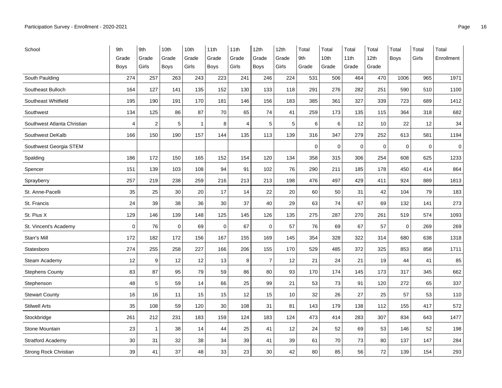| School                      | 9th            | 9th            | 10th  | 10th         | 11th        | 11th  | 12th           | 12th  | Total       | Total       | Total       | Total            | Total       | Total       | Total       |
|-----------------------------|----------------|----------------|-------|--------------|-------------|-------|----------------|-------|-------------|-------------|-------------|------------------|-------------|-------------|-------------|
|                             | Grade          | Grade          | Grade | Grade        | Grade       | Grade | Grade          | Grade | 9th         | 10th        | 11th        | 12 <sub>th</sub> | <b>Boys</b> | Girls       | Enrollment  |
|                             | Boys           | Girls          | Boys  | Girls        | Boys        | Girls | Boys           | Girls | Grade       | Grade       | Grade       | Grade            |             |             |             |
| South Paulding              | 274            | 257            | 263   | 243          | 223         | 241   | 246            | 224   | 531         | 506         | 464         | 470              | 1006        | 965         | 1971        |
| Southeast Bulloch           | 164            | 127            | 141   | 135          | 152         | 130   | 133            | 118   | 291         | 276         | 282         | 251              | 590         | 510         | 1100        |
| Southeast Whitfield         | 195            | 190            | 191   | 170          | 181         | 146   | 156            | 183   | 385         | 361         | 327         | 339              | 723         | 689         | 1412        |
| Southwest                   | 134            | 125            | 86    | 87           | 70          | 65    | 74             | 41    | 259         | 173         | 135         | 115              | 364         | 318         | 682         |
| Southwest Atlanta Christian | $\overline{4}$ | $\overline{2}$ | 5     | $\mathbf{1}$ | 8           | 4     | 5              | 5     | 6           | 6           | 12          | 10               | 22          | 12          | 34          |
| Southwest DeKalb            | 166            | 150            | 190   | 157          | 144         | 135   | 113            | 139   | 316         | 347         | 279         | 252              | 613         | 581         | 1194        |
| Southwest Georgia STEM      |                |                |       |              |             |       |                |       | $\mathbf 0$ | $\mathbf 0$ | $\mathbf 0$ | 0                | $\mathbf 0$ | $\mathbf 0$ | $\mathbf 0$ |
| Spalding                    | 186            | 172            | 150   | 165          | 152         | 154   | 120            | 134   | 358         | 315         | 306         | 254              | 608         | 625         | 1233        |
| Spencer                     | 151            | 139            | 103   | 108          | 94          | 91    | 102            | 76    | 290         | 211         | 185         | 178              | 450         | 414         | 864         |
| Sprayberry                  | 257            | 219            | 238   | 259          | 216         | 213   | 213            | 198   | 476         | 497         | 429         | 411              | 924         | 889         | 1813        |
| St. Anne-Pacelli            | 35             | 25             | 30    | 20           | 17          | 14    | 22             | 20    | 60          | 50          | 31          | 42               | 104         | 79          | 183         |
| St. Francis                 | 24             | 39             | 38    | 36           | 30          | 37    | 40             | 29    | 63          | 74          | 67          | 69               | 132         | 141         | 273         |
| St. Pius X                  | 129            | 146            | 139   | 148          | 125         | 145   | 126            | 135   | 275         | 287         | 270         | 261              | 519         | 574         | 1093        |
| St. Vincent's Academy       | $\mathbf 0$    | 76             | 0     | 69           | $\mathbf 0$ | 67    | $\mathbf 0$    | 57    | 76          | 69          | 67          | 57               | $\mathbf 0$ | 269         | 269         |
| Starr's Mill                | 172            | 182            | 172   | 156          | 167         | 155   | 169            | 145   | 354         | 328         | 322         | 314              | 680         | 638         | 1318        |
| Statesboro                  | 274            | 255            | 258   | 227          | 166         | 206   | 155            | 170   | 529         | 485         | 372         | 325              | 853         | 858         | 1711        |
| Steam Academy               | 12             | 9              | 12    | 12           | 13          | 8     | $\overline{7}$ | 12    | 21          | 24          | 21          | 19               | 44          | 41          | 85          |
| <b>Stephens County</b>      | 83             | 87             | 95    | 79           | 59          | 86    | 80             | 93    | 170         | 174         | 145         | 173              | 317         | 345         | 662         |
| Stephenson                  | 48             | 5              | 59    | 14           | 66          | 25    | 99             | 21    | 53          | 73          | 91          | 120              | 272         | 65          | 337         |
| <b>Stewart County</b>       | 16             | 16             | 11    | 15           | 15          | 12    | 15             | 10    | 32          | 26          | 27          | 25               | 57          | 53          | 110         |
| <b>Stilwell Arts</b>        | 35             | 108            | 59    | 120          | 30          | 108   | 31             | 81    | 143         | 179         | 138         | 112              | 155         | 417         | 572         |
| Stockbridge                 | 261            | 212            | 231   | 183          | 159         | 124   | 183            | 124   | 473         | 414         | 283         | 307              | 834         | 643         | 1477        |
| Stone Mountain              | 23             | $\mathbf{1}$   | 38    | 14           | 44          | 25    | 41             | 12    | 24          | 52          | 69          | 53               | 146         | 52          | 198         |
| <b>Stratford Academy</b>    | 30             | 31             | 32    | 38           | 34          | 39    | 41             | 39    | 61          | 70          | 73          | 80               | 137         | 147         | 284         |
| Strong Rock Christian       | 39             | 41             | 37    | 48           | 33          | 23    | 30             | 42    | 80          | 85          | 56          | 72               | 139         | 154         | 293         |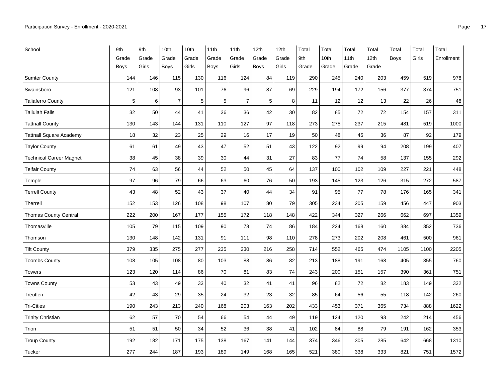| School                         | 9th   | 9th   | 10th           | 10th  | 11th  | 11th           | 12th        | 12th  | Total | Total            | Total | Total            | Total | Total | Total      |
|--------------------------------|-------|-------|----------------|-------|-------|----------------|-------------|-------|-------|------------------|-------|------------------|-------|-------|------------|
|                                | Grade | Grade | Grade          | Grade | Grade | Grade          | Grade       | Grade | 9th   | 10 <sub>th</sub> | 11th  | 12 <sub>th</sub> | Boys  | Girls | Enrollment |
|                                | Boys  | Girls | Boys           | Girls | Boys  | Girls          | <b>Boys</b> | Girls | Grade | Grade            | Grade | Grade            |       |       |            |
| <b>Sumter County</b>           | 144   | 146   | 115            | 130   | 116   | 124            | 84          | 119   | 290   | 245              | 240   | 203              | 459   | 519   | 978        |
| Swainsboro                     | 121   | 108   | 93             | 101   | 76    | 96             | 87          | 69    | 229   | 194              | 172   | 156              | 377   | 374   | 751        |
| <b>Taliaferro County</b>       | 5     | $\,6$ | $\overline{7}$ | 5     | 5     | $\overline{7}$ | 5           | 8     | 11    | 12               | 12    | 13               | 22    | 26    | 48         |
| <b>Tallulah Falls</b>          | 32    | 50    | 44             | 41    | 36    | 36             | 42          | 30    | 82    | 85               | 72    | 72               | 154   | 157   | 311        |
| <b>Tattnall County</b>         | 130   | 143   | 144            | 131   | 110   | 127            | 97          | 118   | 273   | 275              | 237   | 215              | 481   | 519   | 1000       |
| <b>Tattnall Square Academy</b> | 18    | 32    | 23             | 25    | 29    | 16             | 17          | 19    | 50    | 48               | 45    | 36               | 87    | 92    | 179        |
| <b>Taylor County</b>           | 61    | 61    | 49             | 43    | 47    | 52             | 51          | 43    | 122   | 92               | 99    | 94               | 208   | 199   | 407        |
| <b>Technical Career Magnet</b> | 38    | 45    | 38             | 39    | 30    | 44             | 31          | 27    | 83    | 77               | 74    | 58               | 137   | 155   | 292        |
| <b>Telfair County</b>          | 74    | 63    | 56             | 44    | 52    | 50             | 45          | 64    | 137   | 100              | 102   | 109              | 227   | 221   | 448        |
| Temple                         | 97    | 96    | 79             | 66    | 63    | 60             | 76          | 50    | 193   | 145              | 123   | 126              | 315   | 272   | 587        |
| <b>Terrell County</b>          | 43    | 48    | 52             | 43    | 37    | 40             | 44          | 34    | 91    | 95               | 77    | 78               | 176   | 165   | 341        |
| Therrell                       | 152   | 153   | 126            | 108   | 98    | 107            | 80          | 79    | 305   | 234              | 205   | 159              | 456   | 447   | 903        |
| <b>Thomas County Central</b>   | 222   | 200   | 167            | 177   | 155   | 172            | 118         | 148   | 422   | 344              | 327   | 266              | 662   | 697   | 1359       |
| Thomasville                    | 105   | 79    | 115            | 109   | 90    | 78             | 74          | 86    | 184   | 224              | 168   | 160              | 384   | 352   | 736        |
| Thomson                        | 130   | 148   | 142            | 131   | 91    | 111            | 98          | 110   | 278   | 273              | 202   | 208              | 461   | 500   | 961        |
| <b>Tift County</b>             | 379   | 335   | 275            | 277   | 235   | 230            | 216         | 258   | 714   | 552              | 465   | 474              | 1105  | 1100  | 2205       |
| <b>Toombs County</b>           | 108   | 105   | 108            | 80    | 103   | 88             | 86          | 82    | 213   | 188              | 191   | 168              | 405   | 355   | 760        |
| <b>Towers</b>                  | 123   | 120   | 114            | 86    | 70    | 81             | 83          | 74    | 243   | 200              | 151   | 157              | 390   | 361   | 751        |
| <b>Towns County</b>            | 53    | 43    | 49             | 33    | 40    | 32             | 41          | 41    | 96    | 82               | 72    | 82               | 183   | 149   | 332        |
| Treutlen                       | 42    | 43    | 29             | 35    | 24    | 32             | 23          | 32    | 85    | 64               | 56    | 55               | 118   | 142   | 260        |
| <b>Tri-Cities</b>              | 190   | 243   | 213            | 240   | 168   | 203            | 163         | 202   | 433   | 453              | 371   | 365              | 734   | 888   | 1622       |
| <b>Trinity Christian</b>       | 62    | 57    | 70             | 54    | 66    | 54             | 44          | 49    | 119   | 124              | 120   | 93               | 242   | 214   | 456        |
| Trion                          | 51    | 51    | 50             | 34    | 52    | 36             | 38          | 41    | 102   | 84               | 88    | 79               | 191   | 162   | 353        |
| <b>Troup County</b>            | 192   | 182   | 171            | 175   | 138   | 167            | 141         | 144   | 374   | 346              | 305   | 285              | 642   | 668   | 1310       |
| Tucker                         | 277   | 244   | 187            | 193   | 189   | 149            | 168         | 165   | 521   | 380              | 338   | 333              | 821   | 751   | 1572       |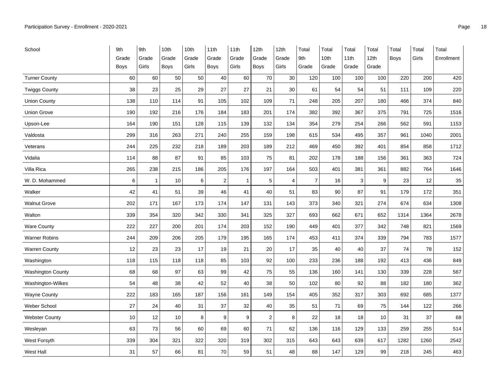| School                   | 9th         | 9th          | 10th        | 10th  | 11th       | 11th  | 12th           | 12th           | Total          | Total | Total        | Total | Total | Total | Total      |
|--------------------------|-------------|--------------|-------------|-------|------------|-------|----------------|----------------|----------------|-------|--------------|-------|-------|-------|------------|
|                          | Grade       | Grade        | Grade       | Grade | Grade      | Grade | Grade          | Grade          | 9th            | 10th  | 11th         | 12th  | Boys  | Girls | Enrollment |
|                          | <b>Boys</b> | Girls        | <b>Boys</b> | Girls | Boys       | Girls | <b>Boys</b>    | Girls          | Grade          | Grade | Grade        | Grade |       |       |            |
| <b>Turner County</b>     | 60          | 60           | 50          | 50    | 40         | 60    | 70             | 30             | 120            | 100   | 100          | 100   | 220   | 200   | 420        |
| <b>Twiggs County</b>     | 38          | 23           | 25          | 29    | 27         | 27    | 21             | 30             | 61             | 54    | 54           | 51    | 111   | 109   | 220        |
| <b>Union County</b>      | 138         | 110          | 114         | 91    | 105        | 102   | 109            | 71             | 248            | 205   | 207          | 180   | 466   | 374   | 840        |
| <b>Union Grove</b>       | 190         | 192          | 216         | 176   | 184        | 183   | 201            | 174            | 382            | 392   | 367          | 375   | 791   | 725   | 1516       |
| Upson-Lee                | 164         | 190          | 151         | 128   | 115        | 139   | 132            | 134            | 354            | 279   | 254          | 266   | 562   | 591   | 1153       |
| Valdosta                 | 299         | 316          | 263         | 271   | 240        | 255   | 159            | 198            | 615            | 534   | 495          | 357   | 961   | 1040  | 2001       |
| Veterans                 | 244         | 225          | 232         | 218   | 189        | 203   | 189            | 212            | 469            | 450   | 392          | 401   | 854   | 858   | 1712       |
| Vidalia                  | 114         | 88           | 87          | 91    | 85         | 103   | 75             | 81             | 202            | 178   | 188          | 156   | 361   | 363   | 724        |
| Villa Rica               | 265         | 238          | 215         | 186   | 205        | 176   | 197            | 164            | 503            | 401   | 381          | 361   | 882   | 764   | 1646       |
| W. D. Mohammed           | 6           | $\mathbf{1}$ | 10          | 6     | $\sqrt{2}$ | 1     | $\mathbf 5$    | $\overline{4}$ | $\overline{7}$ | 16    | $\mathbf{3}$ | 9     | 23    | 12    | 35         |
| Walker                   | 42          | 41           | 51          | 39    | 46         | 41    | 40             | 51             | 83             | 90    | 87           | 91    | 179   | 172   | 351        |
| <b>Walnut Grove</b>      | 202         | 171          | 167         | 173   | 174        | 147   | 131            | 143            | 373            | 340   | 321          | 274   | 674   | 634   | 1308       |
| Walton                   | 339         | 354          | 320         | 342   | 330        | 341   | 325            | 327            | 693            | 662   | 671          | 652   | 1314  | 1364  | 2678       |
| Ware County              | 222         | 227          | 200         | 201   | 174        | 203   | 152            | 190            | 449            | 401   | 377          | 342   | 748   | 821   | 1569       |
| <b>Warner Robins</b>     | 244         | 209          | 206         | 205   | 179        | 195   | 165            | 174            | 453            | 411   | 374          | 339   | 794   | 783   | 1577       |
| <b>Warren County</b>     | 12          | 23           | 23          | 17    | 19         | 21    | 20             | 17             | 35             | 40    | 40           | 37    | 74    | 78    | 152        |
| Washington               | 118         | 115          | 118         | 118   | 85         | 103   | 92             | 100            | 233            | 236   | 188          | 192   | 413   | 436   | 849        |
| <b>Washington County</b> | 68          | 68           | 97          | 63    | 99         | 42    | 75             | 55             | 136            | 160   | 141          | 130   | 339   | 228   | 567        |
| Washington-Wilkes        | 54          | 48           | 38          | 42    | 52         | 40    | 38             | 50             | 102            | 80    | 92           | 88    | 182   | 180   | 362        |
| <b>Wayne County</b>      | 222         | 183          | 165         | 187   | 156        | 161   | 149            | 154            | 405            | 352   | 317          | 303   | 692   | 685   | 1377       |
| <b>Weber School</b>      | 27          | 24           | 40          | 31    | 37         | 32    | 40             | 35             | 51             | 71    | 69           | 75    | 144   | 122   | 266        |
| <b>Webster County</b>    | 10          | 12           | 10          | 8     | 9          | 9     | $\overline{c}$ | 8              | 22             | 18    | 18           | 10    | 31    | 37    | 68         |
| Wesleyan                 | 63          | 73           | 56          | 60    | 69         | 60    | 71             | 62             | 136            | 116   | 129          | 133   | 259   | 255   | 514        |
| West Forsyth             | 339         | 304          | 321         | 322   | 320        | 319   | 302            | 315            | 643            | 643   | 639          | 617   | 1282  | 1260  | 2542       |
| <b>West Hall</b>         | 31          | 57           | 66          | 81    | 70         | 59    | 51             | 48             | 88             | 147   | 129          | 99    | 218   | 245   | 463        |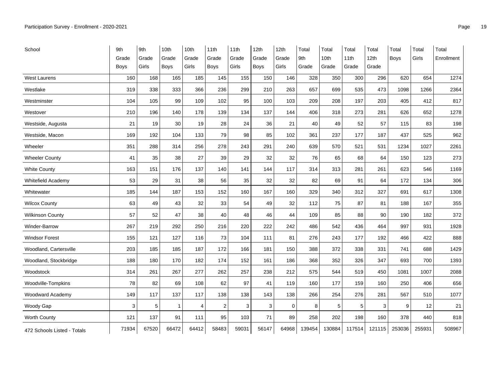| School                      | 9th         | 9th   | 10th         | 10th  | 11th           | 11th  | 12th        | 12th        | Total  | Total  | Total  | Total  | Total       | Total  | Total      |
|-----------------------------|-------------|-------|--------------|-------|----------------|-------|-------------|-------------|--------|--------|--------|--------|-------------|--------|------------|
|                             | Grade       | Grade | Grade        | Grade | Grade          | Grade | Grade       | Grade       | 9th    | 10th   | 11th   | 12th   | <b>Boys</b> | Girls  | Enrollment |
|                             | <b>Boys</b> | Girls | <b>Boys</b>  | Girls | Boys           | Girls | <b>Boys</b> | Girls       | Grade  | Grade  | Grade  | Grade  |             |        |            |
| <b>West Laurens</b>         | 160         | 168   | 165          | 185   | 145            | 155   | 150         | 146         | 328    | 350    | 300    | 296    | 620         | 654    | 1274       |
| Westlake                    | 319         | 338   | 333          | 366   | 236            | 299   | 210         | 263         | 657    | 699    | 535    | 473    | 1098        | 1266   | 2364       |
| Westminster                 | 104         | 105   | 99           | 109   | 102            | 95    | 100         | 103         | 209    | 208    | 197    | 203    | 405         | 412    | 817        |
| Westover                    | 210         | 196   | 140          | 178   | 139            | 134   | 137         | 144         | 406    | 318    | 273    | 281    | 626         | 652    | 1278       |
| Westside, Augusta           | 21          | 19    | 30           | 19    | 28             | 24    | 36          | 21          | 40     | 49     | 52     | 57     | 115         | 83     | 198        |
| Westside, Macon             | 169         | 192   | 104          | 133   | 79             | 98    | 85          | 102         | 361    | 237    | 177    | 187    | 437         | 525    | 962        |
| Wheeler                     | 351         | 288   | 314          | 256   | 278            | 243   | 291         | 240         | 639    | 570    | 521    | 531    | 1234        | 1027   | 2261       |
| <b>Wheeler County</b>       | 41          | 35    | 38           | 27    | 39             | 29    | 32          | 32          | 76     | 65     | 68     | 64     | 150         | 123    | 273        |
| <b>White County</b>         | 163         | 151   | 176          | 137   | 140            | 141   | 144         | 117         | 314    | 313    | 281    | 261    | 623         | 546    | 1169       |
| Whitefield Academy          | 53          | 29    | 31           | 38    | 56             | 35    | 32          | 32          | 82     | 69     | 91     | 64     | 172         | 134    | 306        |
| Whitewater                  | 185         | 144   | 187          | 153   | 152            | 160   | 167         | 160         | 329    | 340    | 312    | 327    | 691         | 617    | 1308       |
| <b>Wilcox County</b>        | 63          | 49    | 43           | 32    | 33             | 54    | 49          | 32          | 112    | 75     | 87     | 81     | 188         | 167    | 355        |
| <b>Wilkinson County</b>     | 57          | 52    | 47           | 38    | 40             | 48    | 46          | 44          | 109    | 85     | 88     | 90     | 190         | 182    | 372        |
| Winder-Barrow               | 267         | 219   | 292          | 250   | 216            | 220   | 222         | 242         | 486    | 542    | 436    | 464    | 997         | 931    | 1928       |
| <b>Windsor Forest</b>       | 155         | 121   | 127          | 116   | 73             | 104   | 111         | 81          | 276    | 243    | 177    | 192    | 466         | 422    | 888        |
| Woodland, Cartersville      | 203         | 185   | 185          | 187   | 172            | 166   | 181         | 150         | 388    | 372    | 338    | 331    | 741         | 688    | 1429       |
| Woodland, Stockbridge       | 188         | 180   | 170          | 182   | 174            | 152   | 161         | 186         | 368    | 352    | 326    | 347    | 693         | 700    | 1393       |
| Woodstock                   | 314         | 261   | 267          | 277   | 262            | 257   | 238         | 212         | 575    | 544    | 519    | 450    | 1081        | 1007   | 2088       |
| Woodville-Tompkins          | 78          | 82    | 69           | 108   | 62             | 97    | 41          | 119         | 160    | 177    | 159    | 160    | 250         | 406    | 656        |
| Woodward Academy            | 149         | 117   | 137          | 117   | 138            | 138   | 143         | 138         | 266    | 254    | 276    | 281    | 567         | 510    | 1077       |
| Woody Gap                   | 3           | 5     | $\mathbf{1}$ | 4     | $\overline{2}$ | 3     | 3           | $\mathbf 0$ | 8      | 5      | 5      | 3      | 9           | 12     | 21         |
| Worth County                | 121         | 137   | 91           | 111   | 95             | 103   | 71          | 89          | 258    | 202    | 198    | 160    | 378         | 440    | 818        |
| 472 Schools Listed - Totals | 71934       | 67520 | 66472        | 64412 | 58483          | 59031 | 56147       | 64968       | 139454 | 130884 | 117514 | 121115 | 253036      | 255931 | 508967     |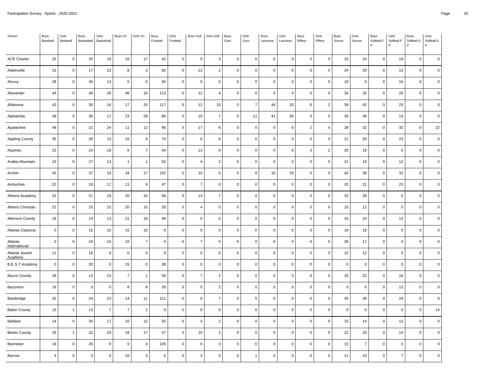| School                    | Boys<br>Baseball | Girls<br>Baseball | Boys<br>Basketball | Girls<br>Basketball | Boys XC        | Girls XC       | Boys<br>Football | Girls<br>Football   | <b>Boys Golf</b> | Girls Golf     | Boys<br>Gym. | Girls<br>Gym.       | Boys<br>Lacrosse | Girls<br>Lacrosse | Boys<br>Riflery     | Girls<br>Riflery | Boys<br>Soccer | Girls<br>Soccer | Boys<br>Softball-F<br>Þ | Girls<br>Softball-F | Boys<br>Softball-S<br>P | Girls<br>Softball-S<br>P |
|---------------------------|------------------|-------------------|--------------------|---------------------|----------------|----------------|------------------|---------------------|------------------|----------------|--------------|---------------------|------------------|-------------------|---------------------|------------------|----------------|-----------------|-------------------------|---------------------|-------------------------|--------------------------|
| ACE Charter               | 25               | $\mathsf 0$       | 20                 | 18                  | 16             | $17$           | 42               | $\mathbf 0$         | $\overline{9}$   | 3              | $\mathbf 0$  | $\mathsf 0$         | $\mathbf 0$      | $\mathbf 0$       | $\mathsf{O}\xspace$ | $\mathbf 0$      | 33             | 24              | $\mathbf 0$             | 18                  | $\mathsf{O}\xspace$     | $\mathbf 0$              |
| Adairsville               | 31               | $\mathsf 0$       | 17                 | 22                  | 8              | 3              | 82               | 0                   | 12               | $\overline{2}$ | $\mathbf 0$  | 0                   | $\mathbf 0$      | $\mathbf 0$       | $\mathbf 0$         | $\mathbf 0$      | 24             | 20              | $\mathbf 0$             | 13                  | $\mathbf 0$             | $\mathbf 0$              |
|                           |                  |                   |                    |                     | $\mathbf 0$    | $\mathbf 0$    |                  |                     |                  |                |              |                     | $\mathbf 0$      | $\mathbf 0$       | $\mathsf 0$         |                  |                | $\overline{0}$  |                         |                     |                         | $\mathbf 0$              |
| Alcovy                    | 28               | $\mathbf 0$       | 35                 | 13                  |                |                | 60               | $\mathsf 0$         | 5                | 5              | $\mathbf 0$  | $\mathbf 0$         |                  |                   |                     | $\mathbf 0$      | 18             |                 | $\mathbf 0$             | 16                  | $\mathbf 0$             |                          |
| Alexander                 | 44               | $\mathsf 0$       | 40                 | 28                  | 46             | 16             | 112              | $\mathsf 0$         | 12               | $\overline{4}$ | $\mathbf 0$  | 0                   | $\pmb{0}$        | $\mathbf 0$       | $\mathbf 0$         | $\mathsf 0$      | 34             | 32              | $\pmb{0}$               | 28                  | $\mathsf{O}\xspace$     | $\pmb{0}$                |
| Allatoona                 | 43               | $\mathbf 0$       | 35                 | 16                  | 17             | 20             | 117              | 0                   | 12               | 10             | $\mathbf 0$  | $\overline{7}$      | 44               | 33                | 6                   | $\overline{c}$   | 39             | 42              | $\mathbf 0$             | 25                  | $\mathbf 0$             | $\mathbf 0$              |
| Alpharetta                | 48               | $\mathbf 0$       | 36                 | 17                  | 23             | 28             | 80               | $\mathsf 0$         | 16               | $\overline{7}$ | $\mathbf 0$  | 11                  | 41               | 35                | $\mathsf 0$         | $\mathsf 0$      | 35             | 39              | $\mathbf 0$             | 14                  | $\mathbf 0$             | $\mathbf 0$              |
| Apalachee                 | 48               | $\mathsf 0$       | 22                 | 24                  | $11$           | 12             | 95               | $\pmb{0}$           | $17$             | $\,6\,$        | $\mathbf 0$  | $\mathsf 0$         | $\pmb{0}$        | $\Omega$          | $\sqrt{2}$          | $\overline{4}$   | 38             | 32              | $\pmb{0}$               | 32                  | $\mathbf 0$             | 22                       |
| <b>Appling County</b>     | 35               | $\mathbf 0$       | 28                 | 13                  | 15             | 9              | 74               | $\mathsf 0$         | 6                | 6              | $\mathbf 0$  | 0                   | $\mathbf 0$      | $\mathbf 0$       | $\mathsf 0$         | $\mathsf 0$      | 21             | 20              | $\mathbf 0$             | 23                  | $\mathbf 0$             | $\mathbf 0$              |
| Aquinas                   | 22               | $\mathsf 0$       | 24                 | 18                  | 6              | $\overline{7}$ | 54               | $\mathbf 0$         | 13               | $\mathbf 0$    | $\mathbf 0$  | $\mathbf 0$         | $\mathbf 0$      | $\mathbf 0$       | 3                   | $\overline{2}$   | 20             | 18              | $\mathbf 0$             | $\mathbf 0$         | $\mathbf 0$             | $\mathbf 0$              |
| Arabia Mountain           | 23               | $\mathbf 0$       | 27                 | 13                  | $\overline{1}$ | $\overline{1}$ | 52               | $\mathsf{O}\xspace$ | $\overline{4}$   | $\overline{2}$ | $\mathbf 0$  | 0                   | $\pmb{0}$        | $\Omega$          | $\mathbf 0$         | $\mathsf 0$      | 21             | 19              | $\mathbf 0$             | 12                  | $\mathbf 0$             | $\pmb{0}$                |
| Archer                    | 45               | $\mathbf 0$       | 37                 | 19                  | 34             | 17             | 152              | $\mathsf 0$         | 10               | 5              | $\mathbf 0$  | 0                   | 16               | 33                | $\mathsf 0$         | $\mathbf 0$      | 42             | 39              | $\mathbf 0$             | 32                  | $\mathbf 0$             | $\overline{0}$           |
| Armuchee                  | 23               | $\mathbf 0$       | 19                 | 17                  | 11             | 9              | 47               | $\mathsf 0$         | $\overline{7}$   | $\mathbf 0$    | $\mathbf 0$  | 0                   | $\mathbf 0$      | $\Omega$          | $\mathsf 0$         | $\mathsf 0$      | 20             | 21              | $\mathbf 0$             | 23                  | $\mathbf 0$             | $\mathbf 0$              |
| Athens Academy            | 31               | $\mathsf 0$       | 21                 | 19                  | 20             | 16             | 66               | $\pmb{0}$           | 13               | $\overline{7}$ | $\pmb{0}$    | 0                   | $\pmb{0}$        | $\Omega$          | $\mathbf 0$         | $\mathsf 0$      | 32             | 28              | $\mathsf 0$             | $\mathbf 0$         | $\pmb{0}$               | $\mathbf 0$              |
| Athens Christian          | 21               | $\mathsf 0$       | 15                 | 15                  | 20             | 15             | 35               | 0                   | $\overline{4}$   | $\mathbf 0$    | $\mathbf 0$  | 0                   | $\mathbf 0$      | $\mathbf 0$       | $\mathbf 0$         | $\mathbf 0$      | 15             | 12              | $\mathbf 0$             | $\mathbf 0$         | $\mathbf 0$             | $\mathbf 0$              |
| <b>Atkinson County</b>    | 18               | $\mathbf 0$       | 14                 | 13                  | 21             | 18             | 46               | $\mathsf 0$         | $\mathbf 0$      | $\mathbf 0$    | $\mathbf 0$  | 0                   | $\mathbf 0$      | $\mathbf 0$       | $\mathsf 0$         | $\mathbf 0$      | 33             | 24              | $\mathbf 0$             | 13                  | $\mathsf 0$             | $\mathbf 0$              |
| Atlanta Classical         | $\mathbf 0$      | $\mathsf 0$       | 15                 | 15                  | 15             | 15             | $\mathsf 0$      | $\pmb{0}$           | $\pmb{0}$        | $\pmb{0}$      | $\mathbf 0$  | 0                   | $\pmb{0}$        | $\Omega$          | $\mathbf 0$         | $\mathbf 0$      | 18             | 18              | $\pmb{0}$               | $\mathbf 0$         | $\mathbf 0$             | $\mathbf 0$              |
| Atlanta<br>International  | $\overline{0}$   | $\mathbf 0$       | 24                 | 10                  | 10             | $\overline{7}$ | $\mathbf 0$      | 0                   | $\overline{7}$   | 5              | $\mathbf 0$  | $\mathbf 0$         | $\mathbf 0$      | $\Omega$          | $\mathsf 0$         | $\mathbf 0$      | 39             | 17              | $\Omega$                | $\mathbf 0$         | $\mathbf 0$             | $\overline{0}$           |
| Atlanta Jewish<br>Academy | 11               | $\mathsf 0$       | 16                 | 9                   | $\mathbf 0$    | $\mathbf 0$    | $\mathsf 0$      | $\mathsf 0$         | $\mathbf 0$      | $\mathbf 0$    | $\mathbf 0$  | 0                   | $\mathbf 0$      | $\mathbf 0$       | $\mathsf 0$         | $\mathsf 0$      | 12             | 12              | $\mathbf 0$             | $\mathbf 0$         | $\mathbf 0$             | $\mathbf 0$              |
| <b>B.E.S.T Academy</b>    | $\pmb{0}$        | $\mathsf 0$       | 20                 | $\mathbf 0$         | 15             | $\mathsf 0$    | 38               | $\pmb{0}$           | $\pmb{0}$        | $\pmb{0}$      | $\mathbf 0$  | $\mathsf{O}\xspace$ | $\pmb{0}$        | $\Omega$          | $\mathbf 0$         | $\mathbf 0$      | $\mathsf 0$    | $\overline{0}$  | $\mathsf 0$             | $\mathbf 0$         | $\mathbf 0$             | $\pmb{0}$                |
| <b>Bacon County</b>       | 28               | $\mathsf 0$       | 13                 | 15                  | $\overline{7}$ | $\overline{1}$ | 59               | $\mathsf 0$         | $\overline{7}$   | $\overline{2}$ | $\mathbf 0$  | 0                   | $\mathbf 0$      | $\Omega$          | $\mathsf 0$         | $\mathsf 0$      | 25             | 22              | $\mathbf 0$             | 16                  | $\mathbf 0$             | $\mathbf 0$              |
| Baconton                  | 16               | $\mathsf 0$       | $\mathbf 0$        | $\mathbf 0$         | 8              | 8              | 35               | $\mathbf 0$         | 5                | $\overline{c}$ | $\mathbf 0$  | $\mathsf 0$         | $\mathbf 0$      | $\mathbf 0$       | $\mathbf 0$         | $\mathbf 0$      | $\mathsf 0$    | $\overline{0}$  | $\mathbf 0$             | 13                  | $\mathsf 0$             | $\mathbf 0$              |
| Bainbridge                | 32               | $\mathsf 0$       | 24                 | 23                  | 14             | 11             | 111              | $\mathsf 0$         | 9                | $\overline{7}$ | $\Omega$     | 5                   | $\pmb{0}$        | $\Omega$          | $\mathsf 0$         | $\mathsf 0$      | 35             | 39              | $\mathbf 0$             | 29                  | $\mathsf{O}\xspace$     | $\pmb{0}$                |
| <b>Baker County</b>       | 15               | $\overline{1}$    | 13                 | $\overline{7}$      | $\overline{7}$ | $\overline{2}$ | $\mathbf 0$      | $\mathsf 0$         | $\mathbf 0$      | $\mathbf 0$    | $\mathbf 0$  | 0                   | $\mathbf 0$      | $\Omega$          | $\mathsf 0$         | $\mathbf 0$      | $\mathsf 0$    | $\overline{0}$  | $\mathbf 0$             | $\mathbf 0$         | $\mathbf 0$             | 14                       |
| Baldwin                   | 14               | $\mathbf 0$       | 30                 | 17                  | 10             | 12             | 55               | $\mathsf 0$         | 3                | $\overline{2}$ | $\mathbf 0$  | 0                   | $\mathbf 0$      | $\Omega$          | $\mathsf 0$         | $\mathsf 0$      | 15             | 14              | $\Omega$                | 12                  | $\mathbf 0$             | $\mathbf 0$              |
| <b>Banks County</b>       | 29               | $\overline{1}$    | 22                 | 19                  | 19             | 17             | 57               | 3                   | 10               | $\overline{2}$ | $\mathbf 0$  | 0                   | $\pmb{0}$        | $\Omega$          | $\mathsf 0$         | $\mathsf 0$      | 22             | 20              | $\mathbf 0$             | 14                  | $\mathsf{O}\xspace$     | $\pmb{0}$                |
| Banneker                  | 19               | $\mathsf 0$       | 26                 | 9                   | $\mathbf 0$    | $\overline{4}$ | 105              | $\mathsf 0$         | $\mathbf 0$      | $\mathbf 0$    | $\mathbf 0$  | 0                   | $\mathbf 0$      | 0                 | 0                   | $\mathbf 0$      | 15             | $\overline{7}$  | $\Omega$                | $\mathbf 0$         | 0                       | $\mathbf 0$              |
| Barrow                    | $\overline{4}$   | $\mathbf 0$       | $\Omega$           | $\mathbf 0$         | 16             | 3              | $\mathbf 0$      | $\mathsf 0$         | 3                | $\Omega$       | $\mathbf 0$  | $\mathbf{1}$        | $\mathbf 0$      | $\Omega$          | $\mathbf 0$         | $\mathsf 0$      | 11             | 10              | $\Omega$                | $\overline{7}$      | $\Omega$                | $\Omega$                 |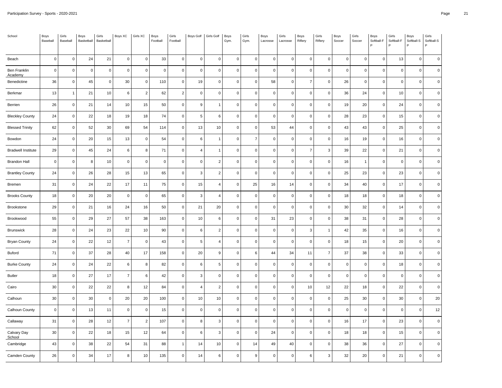| School                    | Boys<br>Baseball | Girls<br>Baseball | Boys<br>Basketball | Girls<br>Basketball | Boys XC        | Girls XC            | Boys<br>Football | Girls<br>Football | Boys Golf      | Girls Golf     | Boys<br>Gym. | Girls<br>Gym.  | Boys<br>Lacrosse | Girls<br>Lacrosse | Boys<br>Riflery | Girls<br>Riflery | Boys<br>Soccer | Girls<br>Soccer | Boys<br>Softball-F<br>P | Girls<br>Softball-F | Boys<br>Softball-S<br>P | Girls<br>Softball-S<br>P |
|---------------------------|------------------|-------------------|--------------------|---------------------|----------------|---------------------|------------------|-------------------|----------------|----------------|--------------|----------------|------------------|-------------------|-----------------|------------------|----------------|-----------------|-------------------------|---------------------|-------------------------|--------------------------|
| Beach                     | $\mathbf 0$      | $\mathsf 0$       | 24                 | 21                  | $\mathbf 0$    | $\mathsf{O}\xspace$ | 33               | $\mathbf 0$       | $\mathbf 0$    | $\mathbf 0$    | $\mathbf 0$  | $\mathsf 0$    | $\pmb{0}$        | $\mathbf 0$       | $\mathbf 0$     | $\mathsf 0$      | $\mathsf 0$    | $\overline{0}$  | $\mathbf 0$             | 13                  | $\mathsf{O}\xspace$     | $\mathbf 0$              |
| Ben Franklin<br>Academy   | $\overline{0}$   | $\mathbf 0$       | $\mathbf 0$        | $\mathbf 0$         | $\pmb{0}$      | $\mathbf 0$         | $\mathsf 0$      | 0                 | $\mathbf 0$    | $\mathbf 0$    | $\mathbf 0$  | 0              | $\mathbf 0$      | $\mathbf 0$       | $\mathbf 0$     | $\mathbf 0$      | $\mathsf 0$    | $\pmb{0}$       | $\mathbf 0$             | $\mathbf 0$         | $\mathbf 0$             | $\mathbf 0$              |
| Benedictine               | 36               | $\mathbf 0$       | 45                 | $\mathbf 0$         | 30             | $\mathbf 0$         | 110              | $\mathbf 0$       | 19             | $\mathbf 0$    | $\mathbf 0$  | $\mathsf 0$    | 58               | $\Omega$          | $\overline{7}$  | $\mathbf{0}$     | 26             | $\mathbf 0$     | $\mathbf 0$             | $\mathbf{0}$        | $\mathbf 0$             | $\mathbf 0$              |
| Berkmar                   | 13               | $\overline{1}$    | 21                 | 10                  | 6              | $\overline{c}$      | 62               | $\overline{2}$    | $\mathbf 0$    | $\mathbf 0$    | $\mathsf 0$  | $\mathsf 0$    | $\mathbf 0$      | $\mathbf 0$       | $\mathsf 0$     | $\mathsf 0$      | 36             | 24              | $\mathbf 0$             | 10                  | $\mathsf 0$             | $\mathbf 0$              |
| Berrien                   | 26               | $\mathbf 0$       | 21                 | 14                  | 10             | 15                  | 50               | 0                 | $\overline{9}$ | $\mathbf{1}$   | $\mathbf 0$  | 0              | $\pmb{0}$        | $\mathbf 0$       | $\mathsf 0$     | $\mathbf 0$      | 19             | 20              | $\mathbf 0$             | 24                  | $\mathsf 0$             | $\mathbf 0$              |
| <b>Bleckley County</b>    | 24               | $\mathbf 0$       | 22                 | 18                  | 19             | 18                  | 74               | $\mathsf 0$       | 5              | 6              | $\mathbf 0$  | 0              | $\mathbf 0$      | $\Omega$          | $\mathbf{0}$    | $\mathsf 0$      | 28             | 23              | $\mathbf 0$             | 15                  | $\mathsf 0$             | $\mathbf 0$              |
| <b>Blessed Trinity</b>    | 62               | $\mathsf 0$       | 52                 | 30                  | 69             | 54                  | 114              | $\mathsf 0$       | 13             | 10             | $\mathbf 0$  | $\mathsf 0$    | 53               | 44                | $\mathsf 0$     | $\mathsf 0$      | 43             | 43              | $\mathbf 0$             | 25                  | $\mathsf 0$             | $\mathbf 0$              |
| Bowdon                    | 24               | $\mathbf 0$       | 20                 | 15                  | 13             | $\mathbf 0$         | 54               | 0                 | 6              | $\mathbf{1}$   | $\mathbf 0$  | $\overline{7}$ | $\mathbf 0$      | $\mathbf 0$       | $\mathsf 0$     | $\mathbf 0$      | 16             | 19              | $\mathbf 0$             | 16                  | $\mathbf 0$             | $\mathbf 0$              |
| <b>Bradwell Institute</b> | 29               | $\mathbf 0$       | 45                 | 24                  | 6              | 8                   | 71               | $\mathsf 0$       | $\overline{4}$ | $\overline{1}$ | $\mathbf{0}$ | $\mathsf 0$    | $\mathbf 0$      | $\Omega$          | $\overline{7}$  | $\mathbf{3}$     | 39             | 22              | $\mathbf 0$             | 21                  | $\mathbf 0$             | $\mathbf 0$              |
| <b>Brandon Hall</b>       | $\overline{0}$   | $\mathsf 0$       | 8                  | 10                  | $\pmb{0}$      | $\mathbf 0$         | $\mathsf 0$      | $\mathbf 0$       | $\mathbf 0$    | $\overline{c}$ | $\mathbf 0$  | $\mathsf 0$    | $\pmb{0}$        | $\mathbf 0$       | $\mathsf 0$     | $\mathsf 0$      | 16             | $\overline{1}$  | $\mathbf 0$             | $\mathsf 0$         | $\mathbf 0$             | $\mathbf 0$              |
| <b>Brantley County</b>    | 24               | $\mathsf 0$       | 26                 | 28                  | 15             | 13                  | 65               | 0                 | 3              | $\overline{2}$ | $\mathbf 0$  | 0              | $\mathbf 0$      | $\Omega$          | $\mathbf 0$     | $\mathbf 0$      | 25             | 23              | $\mathbf 0$             | 23                  | $\mathbf 0$             | $\mathbf 0$              |
| Bremen                    | 31               | $\mathbf 0$       | 24                 | 22                  | 17             | 11                  | 75               | $\mathsf 0$       | 15             | $\overline{4}$ | $\mathbf 0$  | 25             | $16\,$           | 14                | $\mathbf{0}$    | $\mathsf 0$      | 34             | 40              | $\mathbf 0$             | 17                  | $\mathbf 0$             | $\mathbf 0$              |
| <b>Brooks County</b>      | 18               | $\mathsf 0$       | 20                 | 20                  | $\mathbf 0$    | $\mathbf 0$         | 65               | $\mathsf 0$       | 3              | $\overline{4}$ | $\mathsf 0$  | 0              | $\pmb{0}$        | $\mathbf 0$       | $\mathsf 0$     | $\mathsf 0$      | 18             | 18              | $\mathbf 0$             | 18                  | $\mathsf{O}\xspace$     | $\mathbf 0$              |
| Brookstone                | 29               | $\mathbf 0$       | 21                 | 16                  | 24             | 16                  | 50               | 0                 | 21             | 20             | $\mathbf 0$  | 0              | $\mathbf 0$      | $\Omega$          | $\mathbf 0$     | $\mathbf 0$      | 30             | 32              | $\mathbf 0$             | 14                  | $\mathbf 0$             | $\Omega$                 |
| Brookwood                 | 55               | $\mathbf 0$       | 29                 | 27                  | 57             | 38                  | 163              | $\mathbf 0$       | 10             | 6              | $\mathbf{0}$ | $\mathbf 0$    | 31               | 23                | $\mathbf 0$     | $\mathbf 0$      | 38             | 31              | $\mathbf 0$             | 28                  | $\mathbf 0$             | $\mathbf 0$              |
| <b>Brunswick</b>          | 28               | $\mathsf 0$       | 24                 | 23                  | 22             | 10                  | 90               | $\mathbf 0$       | 6              | $\overline{2}$ | $\mathsf 0$  | $\mathbf 0$    | $\mathbf 0$      | $\mathbf 0$       | $\mathbf{3}$    | $\overline{1}$   | 42             | 35              | $\pmb{0}$               | 16                  | $\mathsf{O}\xspace$     | $\mathbf 0$              |
| <b>Bryan County</b>       | 24               | $\mathbf 0$       | 22                 | 12                  | $\overline{7}$ | $\mathbf 0$         | 43               | 0                 | 5              | $\overline{4}$ | $\mathbf 0$  | 0              | $\pmb{0}$        | $\Omega$          | $\mathbf 0$     | $\mathbf 0$      | 18             | 15              | $\mathbf 0$             | 20                  | $\mathbf 0$             | $\mathbf 0$              |
| Buford                    | 71               | $\mathbf 0$       | 37                 | 28                  | 40             | 17                  | 158              | $\mathsf 0$       | 20             | 9              | $\mathbf 0$  | 6              | 44               | 34                | 11              | $\overline{7}$   | 37             | 38              | $\mathbf 0$             | 33                  | $\mathbf 0$             | $\mathbf 0$              |
| <b>Burke County</b>       | 24               | $\mathsf 0$       | 24                 | 22                  | 6              | 8                   | 82               | $\mathsf 0$       | 6              | $\,$ 5         | $\mathbf 0$  | 0              | $\mathbf 0$      | $\mathbf 0$       | $\mathsf 0$     | $\mathsf 0$      | $\mathsf 0$    | $\overline{0}$  | $\mathbf 0$             | 18                  | $\mathsf{O}\xspace$     | $\mathbf 0$              |
| Butler                    | 18               | $\mathbf 0$       | 27                 | 17                  | $\overline{7}$ | 6                   | 42               | 0                 | 3              | $\mathbf 0$    | $\mathbf 0$  | 0              | $\pmb{0}$        | $\Omega$          | $\mathbf 0$     | $\mathbf 0$      | $\mathsf 0$    | $\mathbf 0$     | $\mathbf 0$             | $\mathbf 0$         | $\mathbf 0$             | $\mathbf 0$              |
| Cairo                     | 30               | $\mathbf 0$       | 22                 | 22                  | 8              | 12                  | 84               | $\mathsf 0$       | $\overline{4}$ | $\overline{2}$ | $\mathbf{0}$ | $\mathsf 0$    | $\mathbf 0$      | $\mathbf 0$       | 10              | 12               | 22             | 18              | $\mathbf 0$             | 22                  | $\mathbf 0$             | $\mathbf 0$              |
| Calhoun                   | 30               | $\mathsf 0$       | 30                 | $\mathbf 0$         | 20             | 20                  | 100              | $\mathbf 0$       | 10             | 10             | $\mathbf 0$  | 0              | $\pmb{0}$        | $\mathbf 0$       | $\mathsf 0$     | $\mathsf 0$      | 25             | 30              | $\mathbf 0$             | 30                  | $\mathsf{O}\xspace$     | 20                       |
| Calhoun County            | $\overline{0}$   | $\mathsf 0$       | 13                 | 11                  | $\pmb{0}$      | $\mathsf{O}\xspace$ | 15               | $\mathsf 0$       | $\mathbf 0$    | $\mathbf 0$    | $\pmb{0}$    | 0              | $\pmb{0}$        | $\Omega$          | $\mathbf 0$     | $\mathbf 0$      | $\mathsf 0$    | $\overline{0}$  | $\mathbf 0$             | $\mathbf 0$         | $\mathsf{O}\xspace$     | 12                       |
| Callaway                  | 31               | $\mathbf 0$       | 28                 | 12                  | $\overline{7}$ | $\overline{2}$      | 107              | $\mathsf 0$       | 8              | 3              | $\mathbf 0$  | 0              | $\mathbf 0$      | $\Omega$          | $\mathsf 0$     | $\mathsf 0$      | 16             | 17              | $\Omega$                | 23                  | $\mathbf 0$             | $\mathbf 0$              |
| Calvary Day<br>School     | 30               | $\mathsf 0$       | 22                 | 18                  | 15             | 12                  | 64               | $\mathsf 0$       | 6              | 3              | $\mathbf 0$  | 0              | 24               | $\mathbf 0$       | $\mathsf 0$     | $\mathsf 0$      | 18             | 18              | $\mathbf 0$             | 15                  | $\mathsf{O}\xspace$     | $\pmb{0}$                |
| Cambridge                 | 43               | $\pmb{0}$         | 38                 | 22                  | 54             | 31                  | 88               | $\mathbf{1}$      | 14             | 10             | $\mathbf 0$  | 14             | 49               | 40                | 0               | $\mathsf 0$      | 38             | 36              | $\mathbf 0$             | 27                  | 0                       | 0                        |
| Camden County             | 26               | $\mathbf 0$       | 34                 | 17                  | 8              | 10                  | 135              | $\mathbf 0$       | 14             | 6              | $\mathbf 0$  | 9              | $\mathbf 0$      | $\Omega$          | 6               | 3                | 32             | 20              | $\Omega$                | 21                  | $\Omega$                | $\Omega$                 |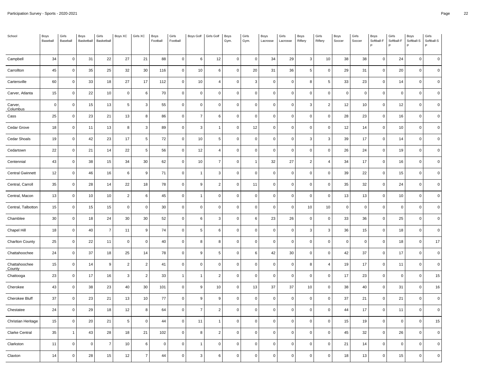| School                  | Boys<br>Baseball | Girls<br>Baseball | Boys<br>Basketball | Girls<br>Basketball | Boys XC        | Girls XC         | Boys<br>Football | Girls<br>Football | Boys Golf      | Girls Golf     | Boys<br>Gym. | Girls<br>Gym.       | Boys<br>Lacrosse | Girls<br>Lacrosse | Boys<br>Riflery | Girls<br>Riflery | Boys<br>Soccer | Girls<br>Soccer | Boys<br>Softball-F<br>P | Girls<br>Softball-F | Boys<br>Softball-S<br>P | Girls<br>Softball-S<br>P |
|-------------------------|------------------|-------------------|--------------------|---------------------|----------------|------------------|------------------|-------------------|----------------|----------------|--------------|---------------------|------------------|-------------------|-----------------|------------------|----------------|-----------------|-------------------------|---------------------|-------------------------|--------------------------|
| Campbell                | 34               | $\mathsf 0$       | 31                 | 22                  | 27             | 21               | 88               | $\mathbf 0$       | $\,6\,$        | 12             | $\mathbf 0$  | $\mathsf{O}\xspace$ | 34               | 29                | $\mathbf{3}$    | 10               | 38             | 38              | $\mathbf 0$             | 24                  | $\mathsf 0$             | $\mathbf 0$              |
| Carrollton              | 45               | $\mathsf 0$       | 35                 | 25                  | 32             | 30               | 116              | $\mathsf 0$       | 10             | 6              | $\mathbf 0$  | 20                  | 31               | 36                | 5               | $\mathsf 0$      | 29             | 31              | $\mathbf 0$             | 20                  | $\mathsf 0$             | $\mathbf 0$              |
| Cartersville            | 60               | $\mathbf 0$       | 33                 | 18                  | 27             | 17               | 112              | 0                 | 10             | $\overline{4}$ | $\mathbf 0$  | 3                   | $\mathbf 0$      | $\mathbf 0$       | 8               | 5                | 33             | 23              | $\mathbf 0$             | 14                  | $\mathbf 0$             | $\mathbf 0$              |
| Carver, Atlanta         | 15               | $\mathsf 0$       | 22                 | 10                  | $\pmb{0}$      | 6                | 70               | $\mathbf 0$       | $\mathbf 0$    | $\mathbf 0$    | $\mathbf{0}$ | $\mathsf{O}\xspace$ | $\pmb{0}$        | $\mathbf 0$       | $\mathbf 0$     | $\mathsf 0$      | $\mathsf 0$    | $\overline{0}$  | $\mathbf 0$             | $\mathsf 0$         | $\mathsf 0$             | $\mathbf 0$              |
| Carver,<br>Columbus     | $\overline{0}$   | $\mathsf 0$       | 15                 | 13                  | $\overline{5}$ | 3                | 55               | $\mathbf 0$       | $\mathbf 0$    | $\mathbf 0$    | $\mathbf 0$  | 0                   | $\mathbf 0$      | $\mathbf 0$       | $\mathbf{3}$    | $\overline{2}$   | 12             | 10              | $\mathbf 0$             | 12                  | $\mathsf{O}\xspace$     | $\mathbf 0$              |
| Cass                    | 25               | $\mathbf 0$       | 23                 | 21                  | 13             | 8                | 86               | 0                 | $\overline{7}$ | 6              | $\mathbf 0$  | 0                   | $\mathbf 0$      | $\mathbf 0$       | $\mathsf 0$     | $\mathbf 0$      | 28             | 23              | $\mathbf 0$             | 16                  | $\mathbf 0$             | $\mathbf 0$              |
| Cedar Grove             | 18               | $\mathbf 0$       | 11                 | 13                  | 8              | 3                | 89               | 0                 | 3              | $\mathbf{1}$   | $\mathbf 0$  | 12                  | $\pmb{0}$        | $\Omega$          | $\mathbf 0$     | $\mathbf 0$      | 12             | 14              | $\mathbf 0$             | 10                  | $\mathbf 0$             | $\mathbf 0$              |
| Cedar Shoals            | 19               | $\mathsf 0$       | 42                 | 23                  | 17             | 5                | 72               | $\mathsf 0$       | 10             | 5              | $\mathbf 0$  | 0                   | $\mathbf 0$      | $\mathbf 0$       | $\mathbf{3}$    | $\mathbf{3}$     | 39             | 17              | $\mathbf 0$             | 14                  | $\mathsf{O}\xspace$     | $\mathbf 0$              |
| Cedartown               | 22               | $\mathbf 0$       | 21                 | 14                  | 22             | 5                | 56               | 0                 | 12             | $\overline{4}$ | $\mathbf 0$  | 0                   | $\mathbf 0$      | $\mathbf 0$       | $\mathbf 0$     | $\mathbf 0$      | 26             | 24              | $\mathbf 0$             | 19                  | $\mathbf 0$             | $\mathbf 0$              |
| Centennial              | 43               | $\mathbf 0$       | 38                 | 15                  | 34             | 30               | 62               | 0                 | 10             | $\overline{7}$ | $\mathbf 0$  | $\mathbf{1}$        | 32               | 27                | $\overline{2}$  | 4                | 34             | 17              | $\mathbf 0$             | 16                  | $\mathbf 0$             | $\mathbf 0$              |
| <b>Central Gwinnett</b> | 12               | $\mathsf 0$       | 46                 | 16                  | $\,6\,$        | $\boldsymbol{9}$ | $\bf 71$         | $\mathsf 0$       | $\overline{1}$ | $\overline{3}$ | $\mathbf 0$  | 0                   | $\pmb{0}$        | $\mathbf 0$       | $\mathbf 0$     | $\mathsf 0$      | 39             | 22              | $\pmb{0}$               | 15                  | $\mathbf 0$             | $\pmb{0}$                |
| Central, Carroll        | 35               | $\mathbf 0$       | 28                 | 14                  | 22             | 18               | 78               | 0                 | $\overline{9}$ | $\overline{2}$ | $\mathbf 0$  | 11                  | $\mathbf 0$      | $\mathbf 0$       | $\mathsf 0$     | 0                | 35             | 32              | $\mathbf 0$             | 24                  | $\mathbf 0$             | $\mathbf 0$              |
| Central, Macon          | 13               | $\mathbf 0$       | 10                 | 10                  | $\overline{2}$ | 6                | 45               | $\mathsf 0$       | $\overline{1}$ | $\mathbf 0$    | $\mathbf 0$  | $\mathbf 0$         | $\mathbf 0$      | $\mathbf 0$       | $\mathsf 0$     | $\mathsf 0$      | 13             | 13              | $\mathbf 0$             | 10                  | $\mathbf 0$             | $\mathbf 0$              |
| Central, Talbotton      | 15               | $\mathsf 0$       | 15                 | 15                  | $\pmb{0}$      | $\mathbf 0$      | 30               | $\mathsf 0$       | $\pmb{0}$      | $\mathbf 0$    | $\mathbf 0$  | $\mathbf 0$         | $\pmb{0}$        | $\Omega$          | $10$            | 10               | $\mathsf 0$    | $\pmb{0}$       | $\mathsf 0$             | $\mathbf 0$         | $\mathbf 0$             | $\mathbf 0$              |
| Chamblee                | 30               | $\mathsf 0$       | 18                 | 24                  | 30             | 30               | 52               | $\mathsf 0$       | 6              | 3              | $\mathbf 0$  | 6                   | 23               | 26                | $\mathsf 0$     | $\mathsf 0$      | 33             | 36              | $\mathbf 0$             | 25                  | $\mathbf 0$             | $\mathbf 0$              |
| Chapel Hill             | 18               | $\mathsf 0$       | 40                 | $\overline{7}$      | 11             | 9                | 74               | $\mathbf 0$       | 5              | 6              | $\mathsf 0$  | $\mathsf 0$         | $\mathbf 0$      | $\mathbf 0$       | 3               | $\mathbf{3}$     | 36             | 15              | $\mathbf 0$             | 18                  | $\mathsf 0$             | $\mathbf 0$              |
| <b>Charlton County</b>  | 25               | $\mathsf 0$       | 22                 | 11                  | $\pmb{0}$      | $\mathbf 0$      | 40               | $\mathsf 0$       | 8              | 8              | $\mathbf 0$  | 0                   | $\pmb{0}$        | $\Omega$          | $\mathsf 0$     | $\mathsf 0$      | $\mathsf 0$    | $\overline{0}$  | $\mathbf 0$             | 18                  | $\mathsf{O}\xspace$     | 17                       |
| Chattahoochee           | 24               | $\mathsf 0$       | 37                 | 18                  | 25             | 14               | 78               | $\mathsf 0$       | $\overline{9}$ | 5              | $\mathbf 0$  | 6                   | 42               | 30                | $\mathsf 0$     | $\mathbf 0$      | 42             | 37              | $\mathbf 0$             | 17                  | $\mathbf 0$             | $\mathbf 0$              |
| Chattahoochee<br>County | 15               | $\mathbf 0$       | 14                 | 9                   | $\overline{c}$ | $\overline{2}$   | 41               | $\mathsf 0$       | $\mathbf 0$    | $\mathbf 0$    | $\mathbf 0$  | 0                   | $\mathbf 0$      | $\Omega$          | 8               | $\overline{4}$   | 19             | 17              | $\mathbf 0$             | 11                  | $\mathbf 0$             | $\mathbf 0$              |
| Chattooga               | 23               | $\mathsf 0$       | 17                 | 16                  | $\mathbf{3}$   | $\overline{c}$   | 33               | $\mathbf{1}$      | $\overline{1}$ | $\overline{2}$ | $\mathsf 0$  | $\mathbf 0$         | $\mathbf 0$      | $\mathbf 0$       | $\mathsf 0$     | $\mathsf 0$      | 17             | 23              | $\mathbf 0$             | $\mathsf 0$         | $\mathsf{O}\xspace$     | 15                       |
| Cherokee                | 43               | $\mathbf 0$       | 38                 | 23                  | 40             | 30               | 101              | 0                 | 9              | 10             | $\mathbf 0$  | 13                  | 37               | 37                | 10              | $\mathbf 0$      | 38             | 40              | $\mathbf 0$             | 31                  | $\mathbf 0$             | 16                       |
| Cherokee Bluff          | 37               | $\mathbf 0$       | 23                 | 21                  | 13             | 10               | 77               | $\mathsf 0$       | $\overline{9}$ | 9              | $\mathbf{0}$ | 0                   | $\mathbf 0$      | $\mathbf 0$       | $\mathbf{0}$    | $\mathbf 0$      | 37             | 21              | $\mathbf 0$             | 21                  | $\mathbf 0$             | $\mathbf 0$              |
| Chestatee               | 24               | $\mathsf 0$       | 29                 | 18                  | 12             | 8                | 64               | $\mathbf 0$       | $\overline{7}$ | $\overline{c}$ | $\mathsf 0$  | $\mathbf 0$         | $\mathbf 0$      | $\mathbf 0$       | $\mathbf 0$     | $\mathsf 0$      | 44             | 17              | $\pmb{0}$               | 11                  | $\mathsf{O}\xspace$     | $\mathbf 0$              |
| Christian Heritage      | 15               | $\mathbf 0$       | 20                 | 21                  | 5              | $\Omega$         | 44               | 0                 | 11             | $\mathbf{1}$   | $\mathbf 0$  | 0                   | $\pmb{0}$        | $\Omega$          | $\mathsf 0$     | $\mathbf 0$      | 15             | 19              | $\mathbf 0$             | $\mathbf 0$         | $\mathbf 0$             | 15                       |
| Clarke Central          | 35               | $\overline{1}$    | 43                 | 28                  | 18             | 21               | 102              | $\mathsf 0$       | 8              | $\overline{2}$ | $\mathbf 0$  | 0                   | $\mathbf 0$      | $\Omega$          | $\mathbf 0$     | $\mathsf 0$      | 45             | 32              | $\mathbf 0$             | 26                  | $\mathbf 0$             | $\mathbf 0$              |
| Clarkston               | 11               | $\mathsf 0$       | $\mathbf 0$        | $\overline{7}$      | 10             | 6                | $\mathsf 0$      | $\mathsf 0$       | -1             | $\mathbf 0$    | $\mathbf 0$  | 0                   | $\mathbf 0$      | $\Omega$          | $\mathsf 0$     | $\mathsf 0$      | 21             | 14              | $\mathbf 0$             | $\mathsf 0$         | $\pmb{0}$               | $\mathbf 0$              |
| Claxton                 | 14               | $\mathbf 0$       | 28                 | 15                  | 12             | $\overline{7}$   | 44               | $\mathsf 0$       | 3              | 6              | $\mathbf 0$  | 0                   | $\mathbf 0$      | $\Omega$          | $\mathsf 0$     | $\mathsf 0$      | 18             | 13              | $\Omega$                | 15                  | $\mathbf 0$             | $\mathbf 0$              |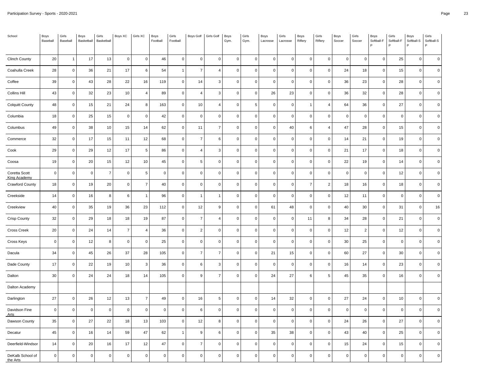| School                               | Boys<br>Baseball | Girls<br>Baseball | Boys<br>Basketball | Girls<br>Basketball | Boys XC        | Girls XC            | Boys<br>Football | Girls<br>Football   | <b>Boys Golf</b> | Girls Golf              | Boys<br>Gym. | Girls<br>Gym.       | Boys<br>Lacrosse | Girls<br>Lacrosse | Boys<br>Riflery | Girls<br>Riflery | Boys<br>Soccer | Girls<br>Soccer | Boys<br>Softball-F<br>Þ | Girls<br>Softball-F | Boys<br>Softball-S<br>P | Girls<br>Softball-S<br>P |
|--------------------------------------|------------------|-------------------|--------------------|---------------------|----------------|---------------------|------------------|---------------------|------------------|-------------------------|--------------|---------------------|------------------|-------------------|-----------------|------------------|----------------|-----------------|-------------------------|---------------------|-------------------------|--------------------------|
| <b>Clinch County</b>                 | 20               | $\overline{1}$    | 17                 | 13                  | $\pmb{0}$      | $\mathsf{O}\xspace$ | 46               | $\mathbf 0$         | $\mathbf 0$      | $\mathbf 0$             | $\mathbf 0$  | $\mathsf 0$         | $\mathbf 0$      | $\mathbf 0$       | $\mathsf 0$     | $\mathbf 0$      | $\pmb{0}$      | $\overline{0}$  | $\mathbf 0$             | 25                  | $\mathbf 0$             | $\mathbf 0$              |
| Coahulla Creek                       | 28               | $\mathsf 0$       | 36                 | 21                  | 17             | 6                   | 54               | $\mathbf{1}$        | $\overline{7}$   | $\overline{4}$          | $\mathbf 0$  | 0                   | $\mathbf 0$      | $\mathbf 0$       | $\mathbf 0$     | $\mathbf 0$      | 24             | 18              | $\mathbf 0$             | 15                  | $\mathsf 0$             | $\mathbf 0$              |
| Coffee                               | 39               | $\mathbf 0$       | 43                 | 28                  | 22             | 16                  | 119              | $\mathbf 0$         | 14               | 3                       | $\mathbf 0$  | $\mathbf 0$         | $\mathbf 0$      | $\mathbf 0$       | $\mathsf 0$     | $\mathbf 0$      | 36             | 23              | $\mathbf 0$             | 28                  | $\mathbf 0$             | $\mathbf 0$              |
| <b>Collins Hill</b>                  | 43               | $\mathsf 0$       | 32                 | 23                  | 10             | 4                   | 89               | $\mathbf 0$         | $\overline{4}$   | 3                       | $\mathbf 0$  | $\pmb{0}$           | 26               | 23                | $\mathbf 0$     | $\mathsf 0$      | 36             | 32              | $\pmb{0}$               | 28                  | $\mathsf{O}\xspace$     | $\pmb{0}$                |
| <b>Colquitt County</b>               | 48               | $\mathbf 0$       | 15                 | 21                  | 24             | 8                   | 163              | 0                   | 10               | $\overline{4}$          | $\mathbf 0$  | 5                   | $\mathbf 0$      | $\overline{0}$    |                 | 4                | 64             | 36              | $\mathbf 0$             | 27                  | $\mathbf 0$             | $\mathbf 0$              |
| Columbia                             | 18               | $\mathbf 0$       | 25                 | 15                  | $\pmb{0}$      | $\mathbf 0$         | 42               | $\mathsf 0$         | $\mathbf 0$      | $\mathbf 0$             | $\mathbf 0$  | 0                   | $\mathbf 0$      | $\mathbf 0$       | $\mathsf 0$     | $\mathsf 0$      | $\mathsf 0$    | $\overline{0}$  | $\mathbf 0$             | $\mathbf 0$         | $\mathbf 0$             | $\mathbf 0$              |
| Columbus                             | 49               | $\mathsf 0$       | 38                 | $10\,$              | 15             | 14                  | 62               | $\mathsf 0$         | 11               | $\overline{7}$          | $\mathbf 0$  | 0                   | $\pmb{0}$        | 40                | 6               | $\overline{4}$   | $47\,$         | 28              | $\pmb{0}$               | 15                  | $\mathbf 0$             | $\pmb{0}$                |
| Commerce                             | 32               | $\mathbf 0$       | 17                 | 15                  | 11             | 12                  | 68               | $\mathsf 0$         | $\overline{7}$   | 6                       | $\mathbf 0$  | 0                   | $\mathbf 0$      | $\mathbf 0$       | $\mathsf 0$     | $\mathsf 0$      | 14             | 21              | $\mathbf 0$             | 19                  | $\mathbf 0$             | $\mathbf 0$              |
| Cook                                 | 29               | $\mathsf 0$       | 29                 | 12                  | 17             | 5                   | 86               | $\mathbf 0$         | $\overline{4}$   | $\overline{\mathbf{3}}$ | $\mathbf 0$  | $\mathbf 0$         | $\mathbf 0$      | $\mathbf 0$       | $\mathbf 0$     | $\mathbf 0$      | 21             | 17              | $\mathbf 0$             | 18                  | $\mathbf 0$             | $\mathbf 0$              |
| Coosa                                | 19               | $\mathsf 0$       | 20                 | 15                  | 12             | $10$                | 45               | $\pmb{0}$           | $\sqrt{5}$       | $\pmb{0}$               | $\mathbf 0$  | 0                   | $\pmb{0}$        | $\Omega$          | $\mathbf 0$     | $\mathbf 0$      | 22             | 19              | $\mathbf 0$             | 14                  | $\mathbf 0$             | $\pmb{0}$                |
| Coretta Scott<br><b>King Academy</b> | $\overline{0}$   | $\mathsf 0$       | $\mathbf 0$        | $\overline{7}$      | $\mathbf 0$    | 5                   | $\mathbf 0$      | $\mathsf 0$         | $\mathbf 0$      | $\mathbf 0$             | $\mathbf 0$  | 0                   | $\mathbf 0$      | $\mathbf 0$       | $\mathsf 0$     | $\mathbf 0$      | $\mathsf 0$    | $\mathbf 0$     | $\mathbf 0$             | 12                  | $\mathbf 0$             | $\mathbf 0$              |
| <b>Crawford County</b>               | 18               | $\mathbf 0$       | 19                 | 20                  | $\mathbf 0$    | $\overline{7}$      | 40               | $\mathsf 0$         | $\mathbf 0$      | $\mathbf 0$             | $\mathbf 0$  | $\mathsf 0$         | $\mathbf 0$      | $\Omega$          | $\overline{7}$  | $\overline{c}$   | 18             | 16              | $\mathbf 0$             | 18                  | $\mathbf 0$             | $\mathbf 0$              |
| Creekside                            | 14               | $\mathsf 0$       | 16                 | 8                   | $\,6\,$        | $\overline{1}$      | 96               | $\mathsf{O}\xspace$ | $\overline{1}$   | $\overline{1}$          | $\mathbf 0$  | 0                   | $\pmb{0}$        | $\Omega$          | $\mathbf 0$     | $\mathbf 0$      | 12             | 11              | $\mathsf 0$             | $\mathbf 0$         | $\mathbf 0$             | $\pmb{0}$                |
| Creekview                            | 40               | $\mathsf 0$       | 35                 | 19                  | 36             | 23                  | 112              | $\mathsf 0$         | 12               | 9                       | $\mathbf 0$  | 0                   | 61               | 48                | $\mathbf 0$     | $\mathbf 0$      | 40             | 30              | $\mathbf 0$             | 31                  | $\mathbf 0$             | 16                       |
| <b>Crisp County</b>                  | 32               | $\mathsf 0$       | 29                 | 18                  | 18             | 19                  | 87               | $\mathbf 0$         | $\overline{7}$   | $\overline{4}$          | $\mathbf 0$  | 0                   | $\mathbf 0$      | $\mathbf 0$       | 11              | 8                | 34             | 28              | $\mathbf 0$             | 21                  | $\mathsf 0$             | $\mathbf 0$              |
| Cross Creek                          | 20               | $\mathsf 0$       | 24                 | 14                  | $\overline{7}$ | 4                   | 36               | $\mathbf 0$         | $\overline{2}$   | $\pmb{0}$               | $\mathsf 0$  | 0                   | $\pmb{0}$        | $\mathbf 0$       | $\mathbf 0$     | $\mathbf 0$      | 12             | $\overline{2}$  | $\mathbf 0$             | 12                  | $\mathbf 0$             | $\mathbf 0$              |
| Cross Keys                           | $\overline{0}$   | $\mathbf 0$       | 12                 | 8                   | $\mathbf 0$    | $\mathbf 0$         | 25               | 0                   | $\mathbf 0$      | $\mathbf 0$             | $\mathbf 0$  | 0                   | $\mathbf 0$      | $\Omega$          | $\mathsf 0$     | $\mathbf 0$      | 30             | 25              | $\mathbf 0$             | $\mathbf 0$         | $\mathbf 0$             | $\overline{0}$           |
| Dacula                               | 34               | $\mathbf 0$       | 45                 | 26                  | 37             | 28                  | 105              | $\mathsf 0$         | $\overline{7}$   | $\overline{7}$          | $\mathbf 0$  | $\mathsf 0$         | 21               | 15                | $\mathsf 0$     | $\mathsf 0$      | 60             | 27              | $\mathbf 0$             | 30                  | $\mathbf 0$             | $\mathbf 0$              |
| Dade County                          | 17               | $\mathsf 0$       | 22                 | 19                  | 10             | $\mathbf 3$         | 36               | $\pmb{0}$           | $\,6\,$          | 3                       | $\pmb{0}$    | $\mathsf{O}\xspace$ | $\pmb{0}$        | $\Omega$          | $\mathbf 0$     | $\mathbf 0$      | 16             | 14              | $\pmb{0}$               | 23                  | $\mathbf 0$             | $\mathbf 0$              |
| Dalton                               | 30               | $\mathbf 0$       | 24                 | 24                  | 18             | 14                  | 105              | $\mathbf 0$         | 9                | $\overline{7}$          | $\mathsf 0$  | 0                   | 24               | 27                | 6               | 5                | 45             | 35              | $\mathbf 0$             | 16                  | $\mathbf 0$             | $\mathbf 0$              |
| Dalton Academy                       |                  |                   |                    |                     |                |                     |                  |                     |                  |                         |              |                     |                  |                   |                 |                  |                |                 |                         |                     |                         |                          |
| Darlington                           | 27               | $\mathsf 0$       | 26                 | 12                  | 13             | $\overline{7}$      | 49               | $\mathsf 0$         | 16               | 5                       | $\mathbf 0$  | 0                   | 14               | 32                | $\mathsf 0$     | $\mathsf 0$      | 27             | 24              | $\mathbf 0$             | 10                  | $\mathsf{O}\xspace$     | $\pmb{0}$                |
| Davidson Fine<br><u>Arts</u>         | $\overline{0}$   | $\mathsf 0$       | $\mathbf 0$        | $\mathbf 0$         | $\mathbf 0$    | $\mathbf 0$         | $\mathbf 0$      | $\mathsf 0$         | 6                | $\mathbf 0$             | $\mathbf 0$  | 0                   | $\mathbf 0$      | $\mathbf 0$       | $\mathsf 0$     | $\mathsf 0$      | $\mathsf 0$    | $\mathbf 0$     | $\mathbf 0$             | $\mathbf 0$         | $\mathbf 0$             | $\overline{0}$           |
| Dawson County                        | 35               | $\mathbf 0$       | 27                 | 22                  | 18             | 13                  | 103              | $\mathsf 0$         | 12               | 8                       | $\mathbf 0$  | $\mathsf 0$         | $\mathbf 0$      | $\Omega$          | $\mathsf 0$     | $\mathbf 0$      | 24             | 26              | $\mathbf 0$             | 27                  | $\mathbf 0$             | $\Omega$                 |
| Decatur                              | 45               | $\mathsf 0$       | 16                 | 14                  | 59             | 47                  | 62               | $\mathbf{1}$        | 9                | 6                       | $\mathbf 0$  | 0                   | 35               | 38                | $\mathbf 0$     | $\mathsf 0$      | 43             | 40              | $\mathbf 0$             | 25                  | $\mathsf{O}\xspace$     | $\pmb{0}$                |
| Deerfield-Windsor                    | 14               | $\mathsf 0$       | 20                 | 16                  | 17             | 12                  | 47               | $\mathsf 0$         | $\overline{7}$   | $\mathbf 0$             | $\mathbf 0$  | 0                   | $\mathbf 0$      | 0                 | 0               | $\mathbf 0$      | 15             | 24              | $\mathbf 0$             | 15                  | 0                       | $\mathbf 0$              |
| DeKalb School of<br>the Arts         | $\mathbf 0$      | $\mathbf 0$       | $\Omega$           | $\mathbf 0$         | $\mathbf 0$    | $\mathbf 0$         | $\mathbf 0$      | $\mathsf 0$         | $\mathbf 0$      | $\Omega$                | $\mathbf 0$  | 0                   | $\mathbf 0$      | $\Omega$          | $\mathbf 0$     | $\mathsf 0$      | $\mathsf 0$    | $\mathbf 0$     | $\Omega$                | $\mathbf 0$         | $\Omega$                | $\mathbf 0$              |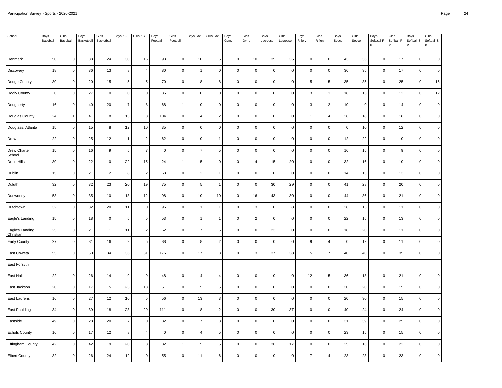| School                       | Boys<br>Baseball | Girls<br>Baseball | Boys<br>Basketball | Girls<br>Basketball | Boys XC        | Girls XC       | Boys<br>Football | Girls<br>Football   | <b>Boys Golf</b> | Girls Golf     | Boys<br>Gym. | Girls<br>Gym.  | Boys<br>Lacrosse | Girls<br>Lacrosse | Boys<br>Riflery | Girls<br>Riflery | Boys<br>Soccer | Girls<br>Soccer | Boys<br>Softball-F<br>P | Girls<br>Softball-F | Boys<br>Softball-S<br>P | Girls<br>Softball-S<br>P |
|------------------------------|------------------|-------------------|--------------------|---------------------|----------------|----------------|------------------|---------------------|------------------|----------------|--------------|----------------|------------------|-------------------|-----------------|------------------|----------------|-----------------|-------------------------|---------------------|-------------------------|--------------------------|
| Denmark                      | 50               | $\mathsf 0$       | 38                 | 24                  | 30             | 16             | 93               | $\mathbf 0$         | 10               | $\sqrt{5}$     | $\mathsf 0$  | 10             | 35               | 36                | $\mathsf 0$     | $\mathbf 0$      | 43             | 36              | $\mathbf 0$             | 17                  | $\mathbf 0$             | $\mathbf 0$              |
| Discovery                    | 18               | $\mathbf 0$       | 36                 | 13                  | 8              | $\overline{4}$ | 80               | 0                   | $\overline{1}$   | $\mathbf 0$    | $\mathbf 0$  | 0              | $\mathbf 0$      | $\mathbf 0$       | $\mathbf 0$     | $\mathbf 0$      | 36             | 35              | $\mathbf 0$             | 17                  | $\mathbf 0$             | $\mathbf 0$              |
| Dodge County                 | 30               | $\mathbf 0$       | 20                 | 15                  | 5              | 5              | 70               | $\mathbf 0$         | 8                | 8              | $\mathbf 0$  | $\mathbf 0$    | $\mathbf 0$      | $\mathbf 0$       | 5               | $5\phantom{.0}$  | 35             | 35              | $\mathbf 0$             | 25                  | $\mathbf 0$             | 15                       |
| Dooly County                 | $\mathbf 0$      | $\mathsf 0$       | 27                 | $10\,$              | $\pmb{0}$      | $\pmb{0}$      | 35               | $\mathbf 0$         | $\pmb{0}$        | $\pmb{0}$      | $\pmb{0}$    | $\pmb{0}$      | $\pmb{0}$        | $\mathbf 0$       | $\mathbf{3}$    | $\mathbf{1}$     | 18             | 15              | $\pmb{0}$               | 12                  | $\mathbf 0$             | 12                       |
| Dougherty                    | 16               | $\mathbf 0$       | 40                 | 20                  | $\overline{7}$ | 8              | 68               | $\overline{1}$      | $\mathbf 0$      | $\mathbf 0$    | $\mathbf 0$  | 0              | $\mathbf 0$      | $\mathbf 0$       | 3               | $\overline{c}$   | $10$           | $\mathbf 0$     | $\mathbf 0$             | 14                  | $\mathbf 0$             | $\mathbf 0$              |
| Douglas County               | 24               | $\overline{1}$    | 41                 | 18                  | 13             | 8              | 104              | $\mathsf 0$         | $\overline{4}$   | $\sqrt{2}$     | $\mathbf 0$  | 0              | $\mathbf 0$      | $\Omega$          | $\overline{1}$  | 4                | 28             | 18              | $\mathbf 0$             | 18                  | $\mathbf 0$             | $\mathbf 0$              |
| Douglass, Atlanta            | 15               | $\mathsf 0$       | 15                 | 8                   | 12             | $10$           | 35               | $\mathbf 0$         | $\pmb{0}$        | $\pmb{0}$      | $\pmb{0}$    | $\mathsf 0$    | $\pmb{0}$        | $\Omega$          | $\mathbf 0$     | $\mathbf 0$      | $\pmb{0}$      | 10              | $\mathbf 0$             | 12                  | $\mathbf 0$             | $\pmb{0}$                |
| Drew                         | 22               | $\mathbf 0$       | 25                 | 12                  | $\overline{1}$ | $\overline{2}$ | 62               | $\mathsf 0$         | $\mathbf 0$      | $\overline{1}$ | $\mathbf 0$  | 0              | $\mathbf 0$      | $\mathbf 0$       | $\mathsf 0$     | $\mathsf 0$      | 12             | 22              | $\mathbf 0$             | $\mathbf 0$         | $\mathbf 0$             | $\mathbf 0$              |
| Drew Charter<br>School       | 15               | $\mathbf 0$       | 16                 | 9                   | 5              | $\overline{7}$ | $\mathbf 0$      | $\mathbf 0$         | $\overline{7}$   | 5              | $\mathbf 0$  | $\mathbf 0$    | $\mathbf 0$      | $\mathbf 0$       | $\mathbf 0$     | $\mathbf 0$      | 16             | 15              | $\mathbf 0$             | 9                   | $\mathbf 0$             | $\mathbf 0$              |
| Druid Hills                  | 30               | $\mathsf 0$       | 22                 | $\pmb{0}$           | 22             | 15             | 24               | $\mathbf{1}$        | $\sqrt{5}$       | $\pmb{0}$      | $\mathbf 0$  | 4              | 15               | 20                | $\mathbf 0$     | $\mathsf 0$      | 32             | 16              | $\mathbf 0$             | 10                  | $\pmb{0}$               | $\pmb{0}$                |
| Dublin                       | 15               | $\mathbf 0$       | 21                 | 12                  | 8              | $\overline{2}$ | 68               | $\mathsf 0$         | $\overline{2}$   | $\mathbf{1}$   | $\mathbf 0$  | 0              | $\mathbf 0$      | $\mathbf 0$       | $\mathsf 0$     | $\mathbf 0$      | 14             | 13              | $\mathbf 0$             | 13                  | $\mathbf 0$             | $\mathbf 0$              |
| Duluth                       | 32               | $\mathbf 0$       | 32                 | 23                  | 20             | 19             | 75               | $\mathsf 0$         | 5                | $\mathbf{1}$   | $\mathbf 0$  | $\mathsf 0$    | $30\,$           | 29                | $\mathsf 0$     | $\mathsf 0$      | 41             | 28              | $\mathbf 0$             | 20                  | $\mathbf 0$             | $\mathbf 0$              |
| Dunwoody                     | 53               | $\mathsf 0$       | 35                 | 10                  | 13             | 12             | 98               | $\mathsf{O}\xspace$ | 10               | $10$           | $\mathbf 0$  | 16             | 43               | $30\,$            | $\mathsf 0$     | $\mathsf 0$      | 44             | 36              | $\mathbf 0$             | 21                  | $\mathbf 0$             | $\pmb{0}$                |
| Dutchtown                    | 32               | $\mathsf 0$       | 32                 | 20                  | 11             | $\mathbf 0$    | 96               | $\mathsf 0$         | $\overline{1}$   | $\overline{1}$ | $\mathbf 0$  | 3              | $\mathbf 0$      | 8                 | $\mathsf 0$     | $\mathsf 0$      | 28             | 15              | $\mathbf 0$             | 11                  | $\mathbf 0$             | $\mathbf 0$              |
| Eagle's Landing              | 15               | $\mathsf 0$       | 18                 | $\mathbf 0$         | 5              | 5              | 53               | $\mathbf 0$         | $\overline{1}$   | $\overline{1}$ | $\mathbf 0$  | $\overline{c}$ | $\mathbf 0$      | $\mathbf 0$       | $\mathbf 0$     | $\mathbf 0$      | 22             | 15              | $\mathbf 0$             | 13                  | $\mathsf 0$             | $\mathbf 0$              |
| Eagle's Landing<br>Christian | 25               | $\mathsf 0$       | 21                 | 11                  | 11             | $\sqrt{2}$     | 62               | $\mathbf 0$         | $\overline{7}$   | $\sqrt{5}$     | $\mathbf 0$  | 0              | 23               | $\mathbf 0$       | $\mathbf 0$     | $\mathbf 0$      | 18             | 20              | $\mathbf 0$             | 11                  | $\mathbf 0$             | $\mathbf 0$              |
| Early County                 | 27               | $\mathbf 0$       | 31                 | 16                  | 9              | 5              | 88               | 0                   | 8                | $\overline{2}$ | $\mathbf 0$  | 0              | $\mathbf 0$      | $\Omega$          | 9               | 4                | $\mathsf 0$    | 12              | $\mathbf 0$             | 11                  | $\mathbf 0$             | $\mathbf 0$              |
| East Coweta                  | 55               | $\mathbf 0$       | 50                 | 34                  | 36             | 31             | 176              | $\mathsf 0$         | 17               | 8              | $\mathbf 0$  | 3              | 37               | 38                | 5               | $\overline{7}$   | 40             | 40              | $\mathbf 0$             | 35                  | $\mathbf 0$             | $\mathbf 0$              |
| East Forsyth                 |                  |                   |                    |                     |                |                |                  |                     |                  |                |              |                |                  |                   |                 |                  |                |                 |                         |                     |                         |                          |
| East Hall                    | 22               | $\mathsf 0$       | 26                 | 14                  | 9              | 9              | 48               | $\mathsf 0$         | $\overline{4}$   | $\overline{4}$ | $\mathbf 0$  | 0              | $\mathbf 0$      | $\mathbf 0$       | 12              | 5                | 36             | 18              | $\mathbf 0$             | 21                  | $\mathsf 0$             | $\mathbf 0$              |
| East Jackson                 | 20               | $\mathsf 0$       | 17                 | 15                  | 23             | 13             | 51               | $\mathbf 0$         | 5                | 5              | $\mathbf 0$  | $\mathbf 0$    | $\mathbf 0$      | $\mathbf 0$       | $\mathbf 0$     | $\mathbf 0$      | 30             | 20              | $\mathbf 0$             | 15                  | $\mathsf 0$             | $\mathbf 0$              |
| East Laurens                 | 16               | $\mathsf 0$       | 27                 | 12                  | 10             | 5              | 56               | $\mathbf 0$         | 13               | 3              | $\mathbf 0$  | 0              | $\pmb{0}$        | $\mathbf 0$       | $\mathbf 0$     | $\mathsf 0$      | 20             | 30              | $\pmb{0}$               | 15                  | $\mathsf{O}\xspace$     | $\pmb{0}$                |
| East Paulding                | 34               | $\mathsf 0$       | 39                 | 18                  | 23             | 29             | 111              | $\mathsf 0$         | 8                | $\overline{2}$ | $\mathbf 0$  | 0              | 30               | 37                | $\mathsf 0$     | $\mathbf 0$      | 40             | 24              | $\mathbf 0$             | 24                  | $\mathbf 0$             | $\overline{0}$           |
| Eastside                     | 49               | $\mathbf 0$       | 28                 | 20                  | $\overline{7}$ | $\mathbf 0$    | 82               | $\mathsf 0$         | $\overline{7}$   | 8              | $\mathbf 0$  | 0              | $\mathbf 0$      | $\Omega$          | $\mathsf 0$     | $\mathbf 0$      | 31             | 39              | $\mathbf 0$             | 25                  | $\mathbf 0$             | $\Omega$                 |
| <b>Echols County</b>         | 16               | $\mathsf 0$       | 17                 | 12                  | 8              | $\overline{4}$ | $\mathsf 0$      | $\mathsf 0$         | $\overline{4}$   | $\,$ 5         | $\mathbf 0$  | 0              | $\mathbf 0$      | $\mathbf 0$       | $\mathsf 0$     | $\mathsf 0$      | 23             | 15              | $\mathbf 0$             | 15                  | $\mathsf{O}\xspace$     | $\pmb{0}$                |
| Effingham County             | 42               | $\mathsf 0$       | 42                 | 19                  | 20             | 8              | 82               | $\mathbf{1}$        | 5                | 5              | 0            | 0              | 36               | 17                | 0               | $\mathbf 0$      | 25             | 16              | $\mathbf 0$             | 22                  | 0                       | $\mathbf 0$              |
| <b>Elbert County</b>         | 32               | $\mathbf 0$       | 26                 | 24                  | 12             | $\mathbf 0$    | 55               | $\mathsf{O}\xspace$ | 11               | 6              | $\mathbf 0$  | 0              | $\mathbf 0$      | $\Omega$          | $\overline{7}$  | 4                | 23             | 23              | $\Omega$                | 23                  | $\mathbf 0$             | $\mathbf 0$              |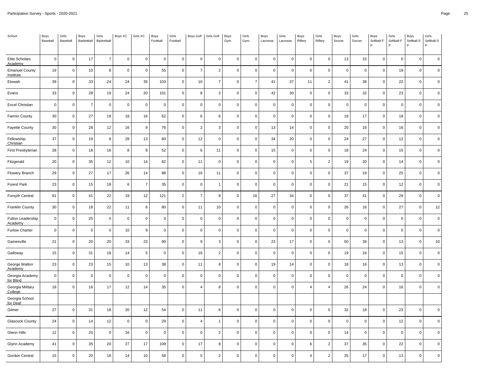| School                                        | Boys<br>Baseball | Girls<br>Baseball | Boys<br>Basketball | Girls<br>Basketball | Boys XC     | Girls XC            | Boys<br>Football | Girls<br>Football | <b>Boys Golf</b> | Girls Golf     | Boys<br>Gym. | Girls<br>Gym.       | Boys<br>Lacrosse | Girls<br>Lacrosse | Boys<br>Riflery | Girls<br>Riflery | Boys<br>Soccer | Girls<br>Soccer | Boys<br>Softball-F<br>P | Girls<br>Softball-F | Boys<br>Softball-S<br>P | Girls<br>Softball-S<br>P |
|-----------------------------------------------|------------------|-------------------|--------------------|---------------------|-------------|---------------------|------------------|-------------------|------------------|----------------|--------------|---------------------|------------------|-------------------|-----------------|------------------|----------------|-----------------|-------------------------|---------------------|-------------------------|--------------------------|
| Elite Scholars                                | $\mathsf 0$      | $\mathsf 0$       | 17                 | $\boldsymbol{7}$    | $\mathbf 0$ | $\mathsf{O}\xspace$ | $\mathsf 0$      | $\mathbf 0$       | $\mathbf 0$      | $\mathbf 0$    | $\mathbf 0$  | $\pmb{0}$           | $\mathbf 0$      | $\mathbf 0$       | $\mathsf 0$     | $\mathbf 0$      | 13             | 15              | $\mathbf 0$             | $\mathbf 0$         | $\mathsf{O}\xspace$     | $\mathbf 0$              |
| Academy<br><b>Emanuel County</b><br>Institute | 19               | $\mathbf 0$       | 10                 | 8                   | $\mathbf 0$ | $\mathbf 0$         | 55               | 0                 | $\overline{7}$   | $\overline{2}$ | $\mathbf 0$  | 0                   | $\mathbf 0$      | $\mathbf 0$       | $\mathbf 0$     | $\mathbf 0$      | $\mathsf 0$    | $\mathbf 0$     | $\mathbf 0$             | 19                  | $\mathbf 0$             | $\mathbf 0$              |
| Etowah                                        | 39               | $\mathbf 0$       | 33                 | 24                  | 24          | 35                  | 103              | $\mathbf 0$       | 10               | $\overline{7}$ | $\mathbf 0$  | $\overline{7}$      | 41               | 37                | 11              | $\overline{2}$   | 41             | 38              | $\mathbf 0$             | 22                  | $\mathbf 0$             | $\mathbf 0$              |
| Evans                                         | 33               | $\mathsf 0$       | 28                 | 19                  | 24          | $20\,$              | 101              | $\pmb{0}$         | 8                | 3              | $\pmb{0}$    | $\pmb{0}$           | 42               | 30                | $\mathbf 0$     | $\mathsf 0$      | 33             | 32              | $\pmb{0}$               | 23                  | $\mathsf 0$             | $\pmb{0}$                |
| <b>Excel Christian</b>                        | $\overline{0}$   | $\mathbf 0$       | $\overline{7}$     | $\mathbf 0$         | $\mathbf 0$ | $\mathbf 0$         | $\mathbf 0$      | 0                 | $\mathbf 0$      | $\mathbf 0$    | $\mathbf 0$  | 0                   | $\mathbf 0$      | $\mathbf 0$       | $\mathsf 0$     | $\mathbf 0$      | $\mathsf 0$    | $\mathbf 0$     | $\Omega$                | $\mathbf 0$         | $\mathbf 0$             | $\mathbf 0$              |
| Fannin County                                 | 30               | $\mathbf 0$       | 27                 | 19                  | 18          | 16                  | 62               | $\mathsf 0$       | 6                | 6              | $\mathbf 0$  | 0                   | $\mathbf 0$      | $\Omega$          | $\mathsf 0$     | $\mathsf 0$      | 18             | 17              | $\mathbf 0$             | 18                  | $\mathbf 0$             | $\mathbf 0$              |
| Fayette County                                | 30               | $\mathsf 0$       | 28                 | 12                  | 16          | $\boldsymbol{9}$    | 76               | $\pmb{0}$         | $\overline{2}$   | 3              | $\pmb{0}$    | 0                   | $13\,$           | 14                | $\mathbf 0$     | $\mathsf 0$      | 20             | 16              | $\pmb{0}$               | 16                  | $\mathbf 0$             | $\pmb{0}$                |
| Fellowship<br>Christian                       | 37               | $\mathbf 0$       | 19                 | 8                   | 28          | 13                  | 60               | $\mathsf 0$       | 12               | $\mathbf 0$    | $\mathbf 0$  | 0                   | 34               | 20                | $\mathsf 0$     | $\mathsf 0$      | 24             | 27              | $\mathbf 0$             | 12                  | $\mathbf 0$             | $\mathbf 0$              |
| First Presbyterian                            | 28               | $\mathsf 0$       | 18                 | 16                  | 8           | 8                   | 52               | $\mathbf 0$       | 6                | 11             | $\mathbf 0$  | $\mathbf 0$         | 15               | $\mathbf 0$       | $\mathbf 0$     | $\mathbf 0$      | 18             | 24              | $\mathbf 0$             | 15                  | $\mathbf 0$             | $\mathbf 0$              |
| Fitzgerald                                    | 20               | $\mathbf 0$       | 35                 | 12                  | 10          | 14                  | 82               | $\pmb{0}$         | 11               | $\overline{0}$ | $\mathbf 0$  | 0                   | $\pmb{0}$        | $\Omega$          | $\sqrt{5}$      | $\overline{2}$   | 19             | 20              | $\pmb{0}$               | 14                  | $\mathbf 0$             | $\pmb{0}$                |
| Flowery Branch                                | 29               | $\mathbf 0$       | 27                 | 17                  | 26          | 14                  | 88               | $\mathsf 0$       | 16               | 11             | $\mathbf 0$  | 0                   | $\mathbf 0$      | $\mathbf 0$       | $\mathsf 0$     | $\mathbf 0$      | 37             | 19              | $\mathbf 0$             | 25                  | $\mathbf 0$             | $\mathbf 0$              |
| Forest Park                                   | 23               | $\mathbf 0$       | 15                 | 18                  | 6           | $\overline{7}$      | 35               | $\mathsf 0$       | $\mathbf 0$      | $\mathbf{1}$   | $\mathbf 0$  | 0                   | $\mathbf 0$      | $\Omega$          | $\mathsf 0$     | $\mathsf 0$      | 21             | 15              | $\mathbf 0$             | 12                  | $\mathbf 0$             | $\mathbf 0$              |
| Forsyth Central                               | 61               | $\mathsf 0$       | 41                 | 22                  | 19          | 12                  | 121              | $\overline{2}$    | $\overline{7}$   | 8              | $\mathbf 0$  | 16                  | 27               | 34                | $\mathbf 0$     | $\mathsf 0$      | 37             | 41              | $\mathbf 0$             | 29                  | $\mathbf 0$             | $\pmb{0}$                |
| Franklin County                               | 30               | $\mathsf 0$       | 18                 | 22                  | 11          | 6                   | 80               | $\mathsf 0$       | 11               | 10             | $\mathbf 0$  | 0                   | $\mathbf 0$      | $\mathbf 0$       | $\mathsf 0$     | $\mathsf 0$      | 26             | 18              | $\mathbf 0$             | 27                  | $\mathbf 0$             | 12                       |
| Fulton Leadership<br>Academy                  | $\overline{0}$   | $\mathbf 0$       | 25                 | $\mathbf 0$         | $\mathbf 0$ | $\mathbf 0$         | $\mathbf 0$      | $\mathsf 0$       | $\mathbf 0$      | $\mathbf 0$    | $\mathbf 0$  | 0                   | $\mathbf 0$      | $\mathbf 0$       | $\mathsf 0$     | $\mathbf 0$      | $\mathsf 0$    | $\mathbf 0$     | $\Omega$                | $\mathsf 0$         | $\mathbf 0$             | $\mathbf 0$              |
| <b>Furlow Charter</b>                         | $\pmb{0}$        | $\mathsf 0$       | $\mathbf 0$        | $\mathbf 0$         | 10          | $\boldsymbol{9}$    | $\mathsf 0$      | $\pmb{0}$         | $\pmb{0}$        | $\pmb{0}$      | $\mathbf 0$  | 0                   | $\pmb{0}$        | $\mathbf 0$       | $\mathbf 0$     | $\mathsf 0$      | $\mathsf 0$    | $\overline{0}$  | $\mathsf 0$             | $\mathbf 0$         | $\mathbf 0$             | $\mathbf 0$              |
| Gainesville                                   | 21               | $\mathbf 0$       | 20                 | 20                  | 33          | 23                  | 90               | 0                 | 9                | 3              | $\mathbf 0$  | 0                   | 23               | 17                | $\mathsf 0$     | $\mathbf 0$      | 50             | 39              | $\Omega$                | 13                  | $\mathbf 0$             | 10                       |
| Galloway                                      | 15               | $\mathbf 0$       | 31                 | 18                  | 14          | 5                   | $\mathsf 0$      | $\mathsf 0$       | 16               | $\overline{2}$ | $\mathbf 0$  | 0                   | $\mathbf 0$      | $\mathbf 0$       | $\mathsf 0$     | $\mathsf 0$      | 19             | 16              | $\mathbf 0$             | 15                  | $\mathbf 0$             | $\mathbf 0$              |
| George Walton<br>Academy                      | 23               | $\mathsf 0$       | 23                 | 15                  | 10          | 13                  | 38               | $\pmb{0}$         | 11               | 8              | $\mathbf 0$  | $\mathsf{O}\xspace$ | $19$             | 14                | $\mathbf 0$     | $\mathsf 0$      | 18             | 16              | $\mathsf 0$             | 13                  | $\mathbf 0$             | $\pmb{0}$                |
| Georgia Academy<br>for Blind                  | $\overline{0}$   | $\mathbf 0$       | $\mathbf 0$        | $\mathbf 0$         | $\mathbf 0$ | $\mathbf 0$         | $\mathsf 0$      | $\mathsf 0$       | $\mathbf 0$      | $\mathbf 0$    | $\mathbf 0$  | 0                   | $\mathbf 0$      | $\Omega$          | $\mathsf 0$     | $\mathbf 0$      | $\mathsf 0$    | $\mathbf 0$     | $\Omega$                | $\mathbf 0$         | $\mathbf 0$             | $\mathbf 0$              |
| Georgia Military<br>College                   | 18               | $\mathbf 0$       | 16                 | 17                  | 12          | 14                  | 35               | $\mathsf 0$       | $\overline{4}$   | 8              | $\mathbf 0$  | $\mathbf 0$         | $\mathbf 0$      | $\Omega$          | $\overline{4}$  | $\overline{4}$   | 26             | 24              | $\mathbf 0$             | 16                  | $\mathbf 0$             | $\mathbf 0$              |
| Georgia School<br>for Deaf                    |                  |                   |                    |                     |             |                     |                  |                   |                  |                |              |                     |                  |                   |                 |                  |                |                 |                         |                     |                         |                          |
| Gilmer                                        | 27               | $\mathsf 0$       | 31                 | 18                  | 20          | 12                  | 54               | $\mathsf 0$       | 11               | 6              | $\mathbf 0$  | $\mathbf 0$         | $\mathbf 0$      | $\Omega$          | $\mathsf 0$     | $\mathbf 0$      | 32             | 18              | $\mathbf 0$             | 23                  | $\mathbf 0$             | $\Omega$                 |
| Glascock County                               | 24               | $\mathbf 0$       | 14                 | 12                  | $\mathbf 0$ | $\Omega$            | 29               | $\mathsf 0$       | $\overline{4}$   | $\overline{1}$ | $\mathbf 0$  | 0                   | $\mathbf 0$      | $\Omega$          | $\mathsf 0$     | $\mathbf 0$      | $\mathsf 0$    | $\mathbf 0$     | $\Omega$                | 12                  | $\mathbf 0$             | $\Omega$                 |
| Glenn Hills                                   | 12               | $\mathsf 0$       | 25                 | $\mathbf 0$         | 16          | $\mathbf 0$         | $\mathsf 0$      | $\mathsf 0$       | $\mathbf 0$      | $\overline{2}$ | $\mathbf 0$  | 0                   | $\pmb{0}$        | $\Omega$          | $\mathsf 0$     | $\mathsf 0$      | 14             | $\overline{0}$  | $\mathbf 0$             | $\mathsf 0$         | $\mathsf{O}\xspace$     | $\pmb{0}$                |
| Glynn Academy                                 | 41               | $\mathsf 0$       | 35                 | 20                  | 27          | 17                  | 109              | $\mathsf 0$       | 17               | 8              | $\mathbf 0$  | 0                   | $\mathbf 0$      | $\Omega$          | 6               | $\overline{2}$   | 37             | 35              | $\Omega$                | 22                  | 0                       | $\mathbf 0$              |
| Gordon Central                                | 15               | $\mathbf 0$       | 20                 | 18                  | 14          | 10                  | 58               | $\mathsf 0$       | 5                | $\overline{c}$ | $\mathbf 0$  | 0                   | $\mathbf 0$      | $\Omega$          | $\overline{4}$  | $\overline{2}$   | 25             | 17              | $\Omega$                | 13                  | $\mathbf 0$             | $\mathbf 0$              |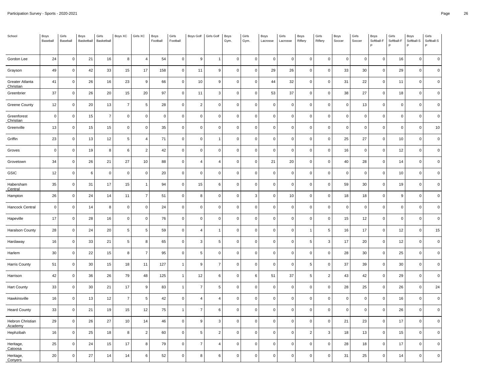| School                       | Boys<br>Baseball | Girls<br>Baseball | Boys<br>Basketball | Girls<br>Basketball | Boys XC        | Girls XC       | Boys<br>Football | Girls<br>Football | Boys Golf      | Girls Golf     | Boys<br>Gym. | Girls<br>Gym. | Boys<br>Lacrosse | Girls<br>Lacrosse | Boys<br>Riflery | Girls<br>Riflery    | Boys<br>Soccer | Girls<br>Soccer | Boys<br>Softball-F<br>P | Girls<br>Softball-F | Boys<br>Softball-S<br>P | Girls<br>Softball-S<br>P |
|------------------------------|------------------|-------------------|--------------------|---------------------|----------------|----------------|------------------|-------------------|----------------|----------------|--------------|---------------|------------------|-------------------|-----------------|---------------------|----------------|-----------------|-------------------------|---------------------|-------------------------|--------------------------|
| Gordon Lee                   | 24               | $\mathsf 0$       | 21                 | 16                  | 8              | $\overline{4}$ | 54               | $\mathbf 0$       | 9              | $\overline{1}$ | $\mathbf 0$  | $\mathsf 0$   | $\pmb{0}$        | $\mathbf 0$       | $\mathsf 0$     | $\mathbf 0$         | $\mathsf 0$    | $\overline{0}$  | $\mathbf 0$             | 16                  | $\mathsf{O}\xspace$     | $\mathbf 0$              |
| Grayson                      | 49               | $\mathbf 0$       | 42                 | 33                  | 15             | 17             | 158              | 0                 | 11             | 9              | $\mathbf 0$  | 0             | 29               | 26                | $\mathbf 0$     | $\mathbf 0$         | 33             | 30              | $\mathbf 0$             | 29                  | $\mathsf 0$             | $\mathbf 0$              |
| Greater Atlanta<br>Christian | 41               | $\mathbf 0$       | 26                 | 16                  | 23             | 9              | 66               | $\mathbf 0$       | 10             | 9              | $\mathbf 0$  | 0             | 44               | 32                | $\mathbf{0}$    | $\mathbf{0}$        | 31             | 22              | $\mathbf 0$             | 11                  | $\mathbf 0$             | $\mathbf 0$              |
| Greenbrier                   | 37               | $\mathsf 0$       | 26                 | 20                  | 15             | 20             | 97               | $\mathbf 0$       | 11             | $\mathbf{3}$   | $\mathsf 0$  | $\mathsf 0$   | 53               | 37                | $\mathsf 0$     | $\mathsf 0$         | 38             | 27              | $\mathbf 0$             | 18                  | $\mathsf{O}\xspace$     | $\mathbf 0$              |
| Greene County                | 12               | $\mathbf 0$       | 20                 | 13                  | $\overline{7}$ | 5              | 28               | 0                 | $\overline{2}$ | $\mathbf 0$    | $\mathbf 0$  | 0             | $\pmb{0}$        | $\mathbf 0$       | $\mathsf 0$     | $\mathbf 0$         | $\mathsf 0$    | 13              | $\mathbf 0$             | $\mathbf 0$         | $\mathsf 0$             | $\pmb{0}$                |
| Greenforest<br>Christian     | $\overline{0}$   | $\mathbf 0$       | 15                 | $\overline{7}$      | $\pmb{0}$      | $\mathbf 0$    | $\mathbf 0$      | $\mathsf 0$       | $\mathbf 0$    | $\mathbf 0$    | $\mathbf 0$  | 0             | $\mathbf 0$      | $\Omega$          | $\mathbf{0}$    | $\mathsf{O}\xspace$ | $\mathsf 0$    | $\pmb{0}$       | $\mathbf 0$             | $\mathbf 0$         | $\mathsf{O}\xspace$     | $\mathbf 0$              |
| Greenville                   | 13               | $\mathsf 0$       | 15                 | 15                  | $\pmb{0}$      | $\mathbf 0$    | 35               | $\mathsf 0$       | $\mathbf 0$    | $\mathbf 0$    | $\mathbf 0$  | 0             | $\mathbf 0$      | $\Omega$          | $\mathsf 0$     | $\mathsf 0$         | $\mathsf 0$    | $\mathbf 0$     | $\mathbf 0$             | $\mathsf 0$         | $\mathsf{O}\xspace$     | 10                       |
| Griffin                      | 23               | $\mathbf 0$       | 13                 | 12                  | 5              | $\overline{4}$ | 71               | 0                 | $\mathbf 0$    | $\mathbf{1}$   | $\mathbf 0$  | 0             | $\pmb{0}$        | $\mathbf 0$       | $\mathsf 0$     | $\mathsf 0$         | 25             | 27              | $\mathbf 0$             | 10                  | $\mathbf 0$             | $\pmb{0}$                |
| Groves                       | $\overline{0}$   | $\mathbf 0$       | 19                 | 8                   | 6              | 2              | 42               | $\mathsf 0$       | $\mathbf 0$    | $\mathbf 0$    | $\mathbf{0}$ | $\mathsf 0$   | $\mathbf 0$      | $\mathbf 0$       | $\mathbf{0}$    | $\mathbf 0$         | 16             | $\overline{0}$  | $\mathbf 0$             | 12                  | $\mathbf 0$             | $\mathbf 0$              |
| Grovetown                    | 34               | $\mathsf 0$       | 26                 | 21                  | 27             | 10             | 88               | $\mathbf 0$       | $\overline{4}$ | $\overline{4}$ | $\mathbf 0$  | $\mathsf 0$   | 21               | 20                | $\mathsf 0$     | $\mathsf 0$         | 40             | 28              | $\mathbf 0$             | 14                  | $\mathsf{O}\xspace$     | $\mathbf 0$              |
| GSIC                         | 12               | $\mathbf 0$       | 6                  | $\mathbf 0$         | $\mathbf 0$    | $\mathbf 0$    | 20               | 0                 | $\mathbf 0$    | $\mathbf 0$    | $\mathbf 0$  | 0             | $\mathbf 0$      | $\mathbf 0$       | $\mathsf 0$     | $\mathbf 0$         | $\mathsf 0$    | $\overline{0}$  | $\mathbf 0$             | 10                  | $\mathbf 0$             | $\mathbf 0$              |
| Habersham<br>Central         | 35               | $\mathbf 0$       | 31                 | 17                  | 15             | $\overline{1}$ | 94               | $\mathsf 0$       | 15             | 6              | $\mathbf 0$  | 0             | $\mathbf 0$      | $\Omega$          | $\mathbf 0$     | $\mathsf 0$         | 59             | 30              | $\mathbf 0$             | 19                  | $\mathbf 0$             | $\mathbf 0$              |
| Hampton                      | 26               | $\mathsf 0$       | 24                 | 14                  | 11             | $\overline{7}$ | 51               | $\mathsf 0$       | 8              | $\mathbf 0$    | $\mathbf 0$  | 3             | $\pmb{0}$        | 10                | $\mathsf 0$     | $\mathsf 0$         | 18             | 18              | $\mathbf 0$             | 9                   | $\mathsf 0$             | $\mathbf 0$              |
| Hancock Central              | $\overline{0}$   | $\mathbf 0$       | 14                 | 8                   | $\mathbf 0$    | $\mathbf 0$    | 24               | 0                 | $\mathbf 0$    | $\mathbf 0$    | $\mathbf 0$  | 0             | $\mathbf 0$      | $\Omega$          | $\mathbf 0$     | $\mathbf 0$         | $\mathsf 0$    | $\mathbf 0$     | $\mathbf 0$             | $\mathbf 0$         | $\mathbf 0$             | $\mathbf 0$              |
| Hapeville                    | 17               | $\mathbf 0$       | 28                 | 16                  | $\mathbf 0$    | $\mathbf 0$    | 76               | $\mathsf 0$       | $\mathbf 0$    | $\Omega$       | $\mathbf{0}$ | 0             | $\mathbf 0$      | $\mathbf 0$       | $\mathbf{0}$    | $\mathbf{0}$        | 15             | 12              | $\Omega$                | $\mathbf{0}$        | $\mathbf 0$             | $\mathbf 0$              |
| <b>Haralson County</b>       | 28               | $\mathsf 0$       | 24                 | 20                  | 5              | 5              | 59               | $\mathbf 0$       | $\overline{4}$ | $\overline{1}$ | $\mathsf 0$  | $\mathbf 0$   | $\mathbf 0$      | $\mathbf 0$       | $\overline{1}$  | 5 <sub>1</sub>      | 16             | 17              | $\mathbf 0$             | 12                  | $\mathsf{O}\xspace$     | 15                       |
| Hardaway                     | 16               | $\mathbf 0$       | 33                 | 21                  | 5              | 8              | 65               | 0                 | 3              | 5              | $\mathbf 0$  | 0             | $\pmb{0}$        | $\Omega$          | $\,$ 5 $\,$     | 3                   | 17             | 20              | $\mathbf 0$             | 12                  | $\mathbf 0$             | $\mathbf 0$              |
| Harlem                       | 30               | $\mathbf 0$       | 22                 | 15                  | 8              | $\overline{7}$ | 95               | $\mathsf 0$       | 5              | $\mathbf 0$    | $\mathbf 0$  | 0             | $\mathbf 0$      | $\Omega$          | $\mathbf{0}$    | $\mathbf 0$         | 28             | 30              | $\mathbf 0$             | 25                  | $\mathsf 0$             | $\mathbf 0$              |
| Harris County                | 51               | $\mathsf 0$       | 30                 | 15                  | 18             | 11             | 127              | $\mathbf{1}$      | 9              | $\overline{7}$ | $\mathbf 0$  | 0             | $\mathbf 0$      | $\Omega$          | 5               | $\mathsf 0$         | 37             | 39              | $\mathbf 0$             | 30                  | $\mathsf{O}\xspace$     | $\mathbf 0$              |
| Harrison                     | 42               | $\mathbf 0$       | 36                 | 26                  | 79             | 48             | 125              | $\mathbf{1}$      | 12             | 6              | $\mathbf 0$  | 6             | 51               | 37                | $\,$ 5 $\,$     | $\overline{2}$      | 43             | 42              | $\mathbf 0$             | 29                  | $\mathbf 0$             | $\pmb{0}$                |
| Hart County                  | 33               | $\mathbf 0$       | 30                 | 21                  | 17             | 9              | 83               | $\overline{1}$    | $\overline{7}$ | 5              | $\mathbf{0}$ | $\mathsf 0$   | $\mathbf 0$      | $\mathbf 0$       | $\mathbf 0$     | $\mathbf 0$         | 28             | 25              | $\mathbf 0$             | 26                  | $\mathsf 0$             | 24                       |
| Hawkinsville                 | 16               | $\mathsf 0$       | 13                 | 12                  | $\overline{7}$ | 5              | 42               | $\mathbf 0$       | $\overline{4}$ | $\overline{4}$ | $\mathbf 0$  | 0             | $\pmb{0}$        | $\mathbf 0$       | $\mathsf 0$     | $\mathsf 0$         | $\mathsf 0$    | $\overline{0}$  | $\mathbf 0$             | 16                  | $\mathsf{O}\xspace$     | $\pmb{0}$                |
| <b>Heard County</b>          | 33               | $\mathsf 0$       | 21                 | 19                  | 15             | 12             | 75               | $\overline{1}$    | $\overline{7}$ | 6              | $\mathbf 0$  | 0             | $\pmb{0}$        | $\Omega$          | $\mathbf 0$     | $\mathbf 0$         | $\mathsf 0$    | $\pmb{0}$       | $\mathbf 0$             | 26                  | $\pmb{0}$               | $\Omega$                 |
| Hebron Christian<br>Academy  | 29               | $\mathbf 0$       | 26                 | 27                  | 10             | 14             | 46               | $\mathsf 0$       | $\overline{9}$ | 3              | $\mathbf 0$  | 0             | $\mathbf 0$      | $\Omega$          | $\mathbf 0$     | $\mathsf 0$         | 21             | 23              | $\Omega$                | 17                  | $\mathbf 0$             | $\Omega$                 |
| Hephzibah                    | 16               | $\mathsf 0$       | 25                 | 18                  | 8              | $\overline{2}$ | 60               | $\mathsf 0$       | 5              | $\overline{2}$ | $\mathbf 0$  | 0             | $\pmb{0}$        | $\Omega$          | $\overline{2}$  | $\mathbf{3}$        | 18             | 13              | $\mathbf 0$             | 15                  | $\mathsf{O}\xspace$     | $\pmb{0}$                |
| Heritage,<br>Catoosa         | 25               | $\pmb{0}$         | 24                 | 15                  | 17             | 8              | 79               | $\mathsf 0$       | $\overline{7}$ | $\overline{4}$ | 0            | 0             | $\mathbf 0$      | $\Omega$          | 0               | $\mathsf{O}\xspace$ | 28             | 18              | $\mathbf 0$             | 17                  | 0                       | $\pmb{0}$                |
| Heritage,<br><b>Conyers</b>  | 20               | $\mathbf 0$       | 27                 | 14                  | 14             | 6              | 52               | $\mathsf 0$       | 8              | 6              | $\mathbf 0$  | 0             | $\mathbf 0$      | $\Omega$          | $\mathbf 0$     | $\mathbf 0$         | 31             | 25              | $\Omega$                | 14                  | $\mathbf 0$             | $\Omega$                 |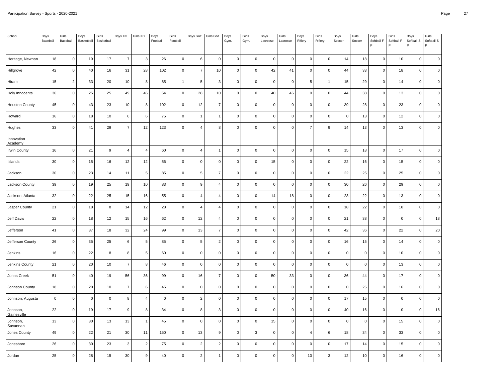| School                      | Boys<br>Baseball | Girls<br>Baseball | Boys<br>Basketball | Girls<br>Basketball | Boys XC        | Girls XC       | Boys<br>Football | Girls<br>Football   | Boys Golf      | Girls Golf     | Boys<br>Gym. | Girls<br>Gym.       | Boys<br>Lacrosse | Girls<br>Lacrosse | Boys<br>Riflery     | Girls<br>Riflery | Boys<br>Soccer | Girls<br>Soccer | Boys<br>Softball-F<br>Þ | Girls<br>Softball-F | Boys<br>Softball-S<br>P | Girls<br>Softball-S<br>P |
|-----------------------------|------------------|-------------------|--------------------|---------------------|----------------|----------------|------------------|---------------------|----------------|----------------|--------------|---------------------|------------------|-------------------|---------------------|------------------|----------------|-----------------|-------------------------|---------------------|-------------------------|--------------------------|
| Heritage, Newnan            | 18               | $\mathsf 0$       | 19                 | 17                  | $\overline{7}$ | 3              | 26               | $\mathbf 0$         | $\,6\,$        | $\mathbf 0$    | $\mathbf 0$  | $\mathsf 0$         | $\mathbf 0$      | $\mathbf 0$       | $\mathsf{O}\xspace$ | $\mathbf 0$      | $14$           | 18              | $\mathbf 0$             | 10                  | $\mathbf 0$             | $\mathbf 0$              |
|                             |                  |                   |                    |                     |                |                |                  |                     |                |                |              |                     |                  |                   |                     |                  |                |                 |                         |                     |                         |                          |
| Hillgrove                   | 42               | $\mathbf 0$       | 40                 | 16                  | 31             | 28             | 102              | $\mathsf 0$         | $\overline{7}$ | 10             | $\mathbf 0$  | 0                   | 42               | 41                | $\mathbf 0$         | $\mathbf 0$      | 44             | 33              | $\mathbf 0$             | 18                  | $\mathbf 0$             | $\mathbf 0$              |
| Hiram                       | 15               | 2                 | 33                 | 20                  | 10             | 8              | 85               | $\overline{1}$      | 5              | $\overline{3}$ | $\mathbf 0$  | $\mathbf 0$         | $\mathbf 0$      | $\mathbf 0$       | 5                   | $\overline{1}$   | 15             | 29              | $\mathbf 0$             | 14                  | $\mathbf 0$             | $\mathbf 0$              |
| Holy Innocents'             | 36               | $\mathsf 0$       | 25                 | 25                  | 49             | 46             | 54               | $\pmb{0}$           | 28             | 10             | $\mathbf 0$  | $\pmb{0}$           | $40\,$           | 46                | $\mathbf 0$         | $\mathsf 0$      | 44             | 38              | $\pmb{0}$               | 13                  | $\mathsf 0$             | $\pmb{0}$                |
| <b>Houston County</b>       | 45               | $\mathbf 0$       | 43                 | 23                  | 10             | 8              | 102              | 0                   | 12             | $\overline{7}$ | $\mathbf 0$  | 0                   | $\mathbf 0$      | $\mathbf 0$       | $\mathsf 0$         | $\mathbf 0$      | 39             | 28              | $\mathbf 0$             | 23                  | $\mathbf 0$             | $\mathbf 0$              |
| Howard                      | 16               | $\mathbf 0$       | 18                 | 10                  | 6              | 6              | 75               | $\mathsf 0$         | $\overline{1}$ | $\mathbf{1}$   | $\mathbf 0$  | 0                   | $\mathbf 0$      | $\Omega$          | $\mathsf 0$         | $\mathsf 0$      | $\mathsf 0$    | 13              | $\mathbf 0$             | 12                  | $\mathbf 0$             | $\mathbf 0$              |
| Hughes                      | 33               | $\mathbf 0$       | 41                 | 29                  | $\overline{7}$ | 12             | 123              | $\pmb{0}$           | $\overline{4}$ | 8              | $\mathbf 0$  | 0                   | $\pmb{0}$        | $\Omega$          | $\overline{7}$      | 9                | 14             | 13              | $\mathbf 0$             | 13                  | $\pmb{0}$               | $\pmb{0}$                |
| Innovation<br>Academy       |                  |                   |                    |                     |                |                |                  |                     |                |                |              |                     |                  |                   |                     |                  |                |                 |                         |                     |                         |                          |
| Irwin County                | 16               | $\mathsf 0$       | 21                 | 9                   | $\overline{4}$ | $\overline{4}$ | 60               | $\mathbf 0$         | $\overline{4}$ | $\overline{1}$ | $\mathbf 0$  | $\mathsf 0$         | $\mathbf 0$      | $\mathbf 0$       | $\mathsf 0$         | $\mathsf 0$      | 15             | 18              | $\mathbf 0$             | 17                  | $\mathsf{O}\xspace$     | $\mathbf 0$              |
| Islands                     | 30               | $\mathsf 0$       | 15                 | 16                  | 12             | 12             | 56               | $\mathsf{O}\xspace$ | $\pmb{0}$      | $\pmb{0}$      | $\mathbf 0$  | 0                   | 15               | $\Omega$          | $\mathbf 0$         | $\mathsf 0$      | 22             | 16              | $\mathbf 0$             | 15                  | $\mathbf 0$             | $\pmb{0}$                |
| Jackson                     | 30               | $\mathbf 0$       | 23                 | 14                  | 11             | 5              | 85               | $\mathsf 0$         | 5              | $\overline{7}$ | $\mathbf 0$  | 0                   | $\mathbf 0$      | $\Omega$          | $\mathsf 0$         | $\mathbf 0$      | 22             | 25              | $\mathbf 0$             | 25                  | $\mathbf 0$             | $\mathbf 0$              |
| Jackson County              | 39               | $\mathbf 0$       | 19                 | 25                  | 19             | 10             | 83               | $\mathsf 0$         | $\overline{9}$ | $\overline{4}$ | $\mathbf 0$  | 0                   | $\mathbf 0$      | $\Omega$          | $\mathsf 0$         | $\mathsf 0$      | 30             | 26              | $\mathbf 0$             | 29                  | $\mathbf 0$             | $\mathbf 0$              |
| Jackson, Atlanta            | 32               | $\mathsf 0$       | 22                 | 25                  | 15             | $16\,$         | 55               | $\mathsf{O}\xspace$ | $\overline{4}$ | $\overline{4}$ | $\mathbf 0$  | 0                   | 14               | 18                | $\mathbf 0$         | $\mathsf 0$      | 23             | 22              | $\mathbf 0$             | 13                  | $\mathbf 0$             | $\pmb{0}$                |
| Jasper County               | 21               | $\mathsf 0$       | 18                 | 8                   | 14             | 12             | 28               | $\mathsf 0$         | $\overline{4}$ | $\overline{4}$ | $\mathbf 0$  | 0                   | $\mathbf 0$      | $\mathbf 0$       | $\mathbf 0$         | $\mathbf 0$      | 18             | 22              | $\mathbf 0$             | 18                  | $\mathbf 0$             | $\mathbf 0$              |
| Jeff Davis                  | 22               | $\mathbf 0$       | 18                 | 12                  | 15             | 16             | 62               | $\mathbf 0$         | 12             | $\overline{4}$ | $\mathbf 0$  | 0                   | $\mathbf 0$      | $\mathbf 0$       | $\mathsf 0$         | $\mathbf 0$      | 21             | 38              | $\mathbf 0$             | $\mathsf 0$         | $\mathsf 0$             | 18                       |
| Jefferson                   | 41               | $\mathsf 0$       | 37                 | 18                  | 32             | 24             | 99               | $\mathbf 0$         | 13             | $\overline{7}$ | $\mathbf 0$  | 0                   | $\pmb{0}$        | $\Omega$          | $\mathbf 0$         | $\mathbf 0$      | 42             | 36              | $\pmb{0}$               | 22                  | $\mathbf 0$             | 20                       |
| Jefferson County            | 26               | $\mathsf 0$       | 35                 | 25                  | 6              | 5              | 85               | 0                   | 5              | $\overline{2}$ | $\mathbf 0$  | $\mathbf 0$         | $\mathbf 0$      | $\Omega$          | $\mathsf 0$         | $\mathbf 0$      | 16             | 15              | $\Omega$                | 14                  | $\mathbf 0$             | $\mathbf 0$              |
| Jenkins                     | 16               | $\mathsf 0$       | 22                 | 8                   | 8              | 5              | 60               | $\mathsf 0$         | $\mathbf 0$    | $\mathbf 0$    | $\mathbf 0$  | 0                   | $\mathbf 0$      | $\Omega$          | $\mathsf 0$         | $\mathbf 0$      | $\mathsf 0$    | $\overline{0}$  | $\mathbf 0$             | 10                  | $\mathbf 0$             | $\mathbf 0$              |
| Jenkins County              | 21               | $\mathsf 0$       | 20                 | 10                  | $\overline{7}$ | 8              | 46               | $\pmb{0}$           | $\pmb{0}$      | $\pmb{0}$      | $\mathbf 0$  | $\mathsf{O}\xspace$ | $\pmb{0}$        | $\Omega$          | $\mathbf 0$         | $\mathsf 0$      | $\mathsf 0$    | $\pmb{0}$       | $\mathsf 0$             | 13                  | $\mathbf 0$             | $\pmb{0}$                |
| Johns Creek                 | 51               | $\mathsf 0$       | 40                 | 19                  | 56             | 36             | 99               | $\mathsf 0$         | 16             | $\overline{7}$ | $\mathbf 0$  | 0                   | 50               | 33                | $\mathsf 0$         | $\mathbf 0$      | 36             | 44              | $\mathbf 0$             | 17                  | $\mathbf 0$             | $\mathbf 0$              |
| Johnson County              | 18               | $\mathsf 0$       | 20                 | 10                  | $\overline{7}$ | 6              | 45               | $\mathbf 0$         | $\mathbf 0$    | $\mathbf 0$    | $\mathbf 0$  | $\mathsf 0$         | $\mathbf 0$      | $\mathbf 0$       | $\mathsf 0$         | $\mathbf 0$      | $\mathsf 0$    | 25              | $\mathbf 0$             | 16                  | $\mathbf 0$             | $\mathbf 0$              |
| Johnson, Augusta            | $\overline{0}$   | $\mathsf 0$       | $\mathbf 0$        | $\mathbf 0$         | 8              | $\overline{4}$ | $\mathsf 0$      | $\mathsf 0$         | $\overline{2}$ | $\pmb{0}$      | $\Omega$     | 0                   | $\pmb{0}$        | $\Omega$          | $\mathsf 0$         | $\mathsf 0$      | 17             | 15              | $\mathbf 0$             | $\mathbf 0$         | $\mathsf{O}\xspace$     | $\pmb{0}$                |
| Johnson,<br>Gainesville     | 22               | $\mathsf 0$       | 19                 | 17                  | 9              | 8              | 34               | $\mathsf 0$         | 8              | 3              | $\mathbf 0$  | 0                   | $\mathbf 0$      | $\Omega$          | $\mathsf 0$         | $\mathbf 0$      | 40             | 16              | $\mathbf 0$             | $\mathbf 0$         | $\mathbf 0$             | 16                       |
| Johnson,<br><u>Savannah</u> | 13               | $\mathbf 0$       | 30                 | 13                  | 13             | $\overline{1}$ | 45               | $\mathsf 0$         | $\mathbf 0$    | $\mathbf 0$    | $\mathbf 0$  | 0                   | 15               | $\Omega$          | $\mathsf 0$         | $\mathsf 0$      | $\mathsf 0$    | $\mathbf 0$     | $\Omega$                | 15                  | $\mathbf 0$             | $\mathbf 0$              |
| Jones County                | 49               | $\mathsf 0$       | 22                 | 21                  | 30             | 11             | 150              | $\mathsf 0$         | 13             | 9              | $\mathbf 0$  | 3                   | $\pmb{0}$        | $\Omega$          | $\overline{4}$      | 6                | 18             | 34              | $\mathbf 0$             | 33                  | $\mathsf{O}\xspace$     | $\pmb{0}$                |
| Jonesboro                   | 26               | $\mathsf 0$       | 30                 | 23                  | 3              | $\overline{2}$ | 75               | $\mathsf 0$         | $\overline{2}$ | $\overline{2}$ | 0            | 0                   | $\mathbf 0$      | 0                 | 0                   | $\mathbf 0$      | 17             | 14              | $\Omega$                | 15                  | 0                       | $\mathbf 0$              |
| Jordan                      | 25               | $\mathbf 0$       | 28                 | 15                  | 30             | 9              | 40               | $\mathsf 0$         | $\overline{2}$ | 1              | $\mathbf 0$  | 0                   | $\mathbf 0$      | $\Omega$          | 10                  | 3                | 12             | 10              | $\Omega$                | 16                  | $\mathbf 0$             | $\mathbf 0$              |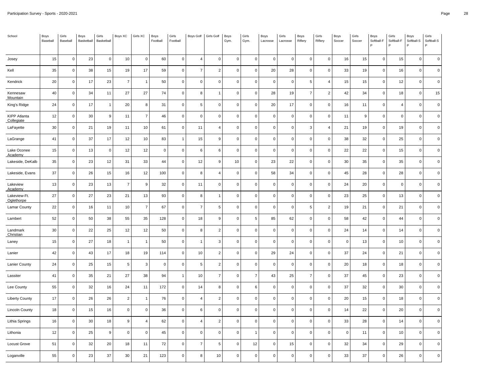| School                       | Boys<br>Baseball | Girls<br>Baseball | Boys<br>Basketball | Girls<br>Basketball | Boys XC        | Girls XC       | Boys<br>Football | Girls<br>Football | <b>Boys Golf</b> | Girls Golf     | Boys<br>Gym. | Girls<br>Gym.  | Boys<br>Lacrosse | Girls<br>Lacrosse | Boys<br>Riflery | Girls<br>Riflery    | Boys<br>Soccer | Girls<br>Soccer | Boys<br>Softball-F<br>P | Girls<br>Softball-F | Boys<br>Softball-S<br>P | Girls<br>Softball-S<br>P |
|------------------------------|------------------|-------------------|--------------------|---------------------|----------------|----------------|------------------|-------------------|------------------|----------------|--------------|----------------|------------------|-------------------|-----------------|---------------------|----------------|-----------------|-------------------------|---------------------|-------------------------|--------------------------|
| Josey                        | 15               | $\mathsf 0$       | 23                 | $\mathbf 0$         | 10             | $\pmb{0}$      | 60               | $\mathbf 0$       | $\overline{4}$   | $\pmb{0}$      | $\mathbf 0$  | 0              | $\pmb{0}$        | $\pmb{0}$         | $\mathsf 0$     | $\mathbf 0$         | $16\,$         | 15              | $\mathbf 0$             | 15                  | $\mathbf 0$             | $\pmb{0}$                |
| Kell                         | 35               | $\mathsf 0$       | 38                 | 15                  | 19             | 17             | 59               | $\mathsf 0$       | $\overline{7}$   | $\overline{2}$ | $\mathbf 0$  | 0              | 20               | 28                | $\mathbf 0$     | $\mathsf 0$         | 33             | 19              | $\mathbf 0$             | 16                  | $\mathbf 0$             | $\mathbf 0$              |
| Kendrick                     | 20               | $\mathbf 0$       | 17                 | 23                  | $\overline{7}$ | $\overline{1}$ | 50               | $\mathsf 0$       | $\mathbf 0$      | $\mathbf 0$    | $\mathbf 0$  | 0              | $\mathbf 0$      | $\mathbf 0$       | 5               | $\overline{4}$      | 15             | 15              | $\mathbf 0$             | 12                  | $\mathbf 0$             | $\mathbf 0$              |
| Kennesaw<br>Mountain         | 40               | $\mathsf 0$       | 34                 | 11                  | 27             | 27             | 74               | $\mathsf 0$       | 8                | $\overline{1}$ | $\mathbf 0$  | $\mathbf 0$    | 28               | 19                | $\overline{7}$  | $\overline{2}$      | 42             | 34              | $\pmb{0}$               | 18                  | $\mathsf{O}\xspace$     | 15                       |
| King's Ridge                 | 24               | $\mathbf 0$       | 17                 | $\mathbf{1}$        | 20             | 8              | 31               | $\mathsf 0$       | 5                | $\mathbf 0$    | $\mathbf 0$  | 0              | 20               | 17                | $\mathbf 0$     | $\mathsf{O}\xspace$ | 16             | 11              | $\Omega$                | $\overline{4}$      | $\mathsf{O}\xspace$     | $\pmb{0}$                |
| KIPP Atlanta<br>Collegiate   | 12               | $\mathbf 0$       | 30                 | 9                   | 11             | $\overline{7}$ | 46               | $\mathsf 0$       | $\mathbf 0$      | $\mathbf 0$    | $\mathbf 0$  | 0              | $\mathbf 0$      | $\mathbf 0$       | $\mathbf 0$     | $\mathsf 0$         | 11             | 9               | $\Omega$                | $\mathbf 0$         | $\mathbf 0$             | $\mathbf 0$              |
| LaFayette                    | 30               | $\mathsf 0$       | 21                 | 19                  | 11             | 10             | 61               | $\mathsf 0$       | 11               | $\overline{4}$ | $\mathbf 0$  | 0              | $\mathbf 0$      | $\Omega$          | $\mathbf{3}$    | $\overline{4}$      | 21             | 19              | $\mathbf 0$             | 19                  | $\mathsf 0$             | $\mathbf 0$              |
| LaGrange                     | 41               | $\mathbf 0$       | 37                 | 17                  | 12             | 10             | 83               | $\mathbf{1}$      | 15               | 9              | $\mathbf 0$  | 0              | $\pmb{0}$        | $\mathbf 0$       | $\mathsf 0$     | $\mathbf 0$         | 38             | 32              | $\mathbf 0$             | 25                  | $\mathbf 0$             | $\pmb{0}$                |
| Lake Oconee<br>Academy       | 15               | $\mathbf 0$       | 13                 | $\mathbf 0$         | 12             | 12             | $\mathbf 0$      | $\mathsf 0$       | 6                | 6              | $\mathbf{0}$ | 0              | $\mathbf 0$      | $\Omega$          | $\mathbf 0$     | $\mathsf 0$         | 22             | 22              | $\mathbf 0$             | 15                  | $\mathsf 0$             | $\mathbf 0$              |
| Lakeside, DeKalb             | 35               | $\mathbf 0$       | 23                 | 12                  | 31             | 33             | 44               | $\mathsf 0$       | 12               | 9              | 10           | 0              | 23               | 22                | $\mathsf 0$     | $\mathbf 0$         | 30             | 35              | $\mathbf 0$             | 35                  | $\mathbf 0$             | $\mathbf 0$              |
| Lakeside, Evans              | 37               | $\mathbf 0$       | 26                 | 15                  | 16             | 12             | 100              | 0                 | 8                | $\overline{4}$ | $\mathbf 0$  | 0              | 58               | 34                | $\mathsf 0$     | $\mathbf 0$         | 45             | 28              | $\mathbf 0$             | 28                  | $\mathbf 0$             | $\mathbf 0$              |
| Lakeview<br>Academy          | 13               | $\mathbf 0$       | 23                 | 13                  | $\overline{7}$ | 9              | 32               | 0                 | 11               | $\Omega$       | $\mathbf 0$  | 0              | $\mathbf 0$      | $\Omega$          | $\mathbf 0$     | $\mathbf 0$         | 24             | 20              | $\mathbf 0$             | $\Omega$            | $\mathbf 0$             | $\mathbf 0$              |
| Lakeview-Ft.<br>Oglethorpe   | 27               | $\mathsf 0$       | 27                 | 23                  | 21             | 13             | 93               | $\mathsf 0$       | 8                | $\mathbf{1}$   | $\mathbf 0$  | 0              | $\pmb{0}$        | $\mathbf 0$       | $\mathbf 0$     | $\mathbf 0$         | 23             | 25              | $\mathbf 0$             | 13                  | $\mathsf 0$             | $\mathbf 0$              |
| <b>Lamar County</b>          | 22               | $\mathsf 0$       | 16                 | 11                  | 10             | $\overline{7}$ | 67               | $\mathsf 0$       | $\overline{7}$   | 5              | $\mathbf 0$  | 0              | $\mathbf 0$      | $\mathbf 0$       | 5               | $\overline{2}$      | 19             | 21              | $\mathbf 0$             | 21                  | $\mathbf 0$             | $\mathbf 0$              |
| Lambert                      | 52               | $\mathbf 0$       | 50                 | 38                  | 55             | 35             | 128              | 0                 | 18               | 9              | $\mathbf 0$  | 5              | 85               | 62                | $\mathsf 0$     | $\mathbf 0$         | 58             | 42              | $\mathbf 0$             | 44                  | $\mathbf 0$             | $\mathbf 0$              |
| Landmark<br><b>Christian</b> | 30               | $\mathbf 0$       | 22                 | 25                  | 12             | 12             | 50               | $\mathbf 0$       | 8                | $\overline{c}$ | $\mathbf 0$  | $\mathbf 0$    | $\pmb{0}$        | $\mathbf 0$       | $\mathbf 0$     | $\mathbf 0$         | 24             | 14              | $\mathbf 0$             | 14                  | $\mathbf 0$             | $\mathbf 0$              |
| Laney                        | 15               | $\mathsf 0$       | 27                 | 18                  | $\overline{1}$ | $\overline{1}$ | 50               | $\mathsf 0$       | $\overline{1}$   | 3              | $\mathbf 0$  | $\pmb{0}$      | $\mathbf 0$      | $\Omega$          | $\mathsf 0$     | $\mathsf 0$         | $\pmb{0}$      | 13              | $\mathbf 0$             | 10                  | $\mathsf 0$             | $\mathbf 0$              |
| Lanier                       | 42               | $\mathbf 0$       | 43                 | 17                  | 18             | 19             | 114              | 0                 | 10               | $\overline{2}$ | $\mathbf 0$  | 0              | 29               | 24                | $\mathsf 0$     | $\mathbf 0$         | 37             | 24              | $\mathbf 0$             | 21                  | $\mathbf 0$             | $\overline{0}$           |
| Lanier County                | 24               | $\mathbf 0$       | 25                 | 15                  | 5              | 3              | $\mathbf 0$      | 0                 | 5                | $\overline{2}$ | $\mathbf 0$  | 0              | $\mathbf 0$      | $\Omega$          | $\mathsf 0$     | $\mathbf 0$         | 20             | 18              | $\mathbf 0$             | 18                  | $\mathbf 0$             | $\mathbf 0$              |
| Lassiter                     | 41               | $\mathsf 0$       | 35                 | 21                  | 27             | 38             | 94               | $\mathbf{1}$      | $10$             | $\overline{7}$ | $\mathbf 0$  | $\overline{7}$ | 43               | 25                | $\overline{7}$  | $\mathsf 0$         | 37             | 45              | $\pmb{0}$               | 23                  | $\mathbf 0$             | $\mathbf 0$              |
| Lee County                   | 55               | $\mathsf 0$       | 32                 | 16                  | 24             | 11             | 172              | 0                 | 14               | 8              | $\mathbf 0$  | 6              | $\mathbf 0$      | $\mathbf 0$       | $\mathbf 0$     | $\mathbf 0$         | 37             | 32              | $\mathbf 0$             | 30                  | $\mathbf 0$             | $\mathbf 0$              |
| <b>Liberty County</b>        | 17               | $\mathbf 0$       | 26                 | 26                  | $\overline{2}$ | $\overline{1}$ | 76               | $\mathsf 0$       | $\overline{4}$   | $\overline{2}$ | $\mathbf 0$  | 0              | $\mathbf 0$      | $\mathbf 0$       | $\mathbf 0$     | $\mathbf 0$         | 20             | 15              | $\mathbf 0$             | 18                  | $\mathsf 0$             | $\mathbf 0$              |
| <b>Lincoln County</b>        | 18               | $\mathsf 0$       | 15                 | 16                  | $\pmb{0}$      | $\mathbf 0$    | 36               | $\mathbf 0$       | 6                | $\mathbf 0$    | $\mathsf 0$  | 0              | $\mathbf 0$      | $\mathbf 0$       | $\mathbf 0$     | $\mathbf 0$         | 14             | 22              | $\pmb{0}$               | 20                  | $\mathbf 0$             | $\mathbf 0$              |
| Lithia Springs               | 16               | $\mathbf 0$       | 30                 | 18                  | 9              | $\overline{4}$ | 62               | 0                 | $\overline{4}$   | $\overline{2}$ | $\mathbf 0$  | 0              | $\pmb{0}$        | $\Omega$          | $\mathbf 0$     | $\mathbf 0$         | 33             | 28              | $\Omega$                | 14                  | 0                       | $\Omega$                 |
| Lithonia                     | 12               | $\mathbf 0$       | 25                 | 9                   | $\mathbf 0$    | $\Omega$       | 45               | $\mathsf 0$       | $\mathbf 0$      | $\mathbf 0$    | $\mathbf 0$  | $\mathbf{1}$   | $\mathbf 0$      | $\Omega$          | $\mathbf 0$     | $\mathsf 0$         | $\mathsf 0$    | 11              | $\mathbf 0$             | 10                  | $\mathbf 0$             | $\mathbf 0$              |
| Locust Grove                 | 51               | $\mathsf 0$       | 32                 | 20                  | 18             | 11             | 72               | $\mathsf 0$       | $\overline{7}$   | 5              | $\mathbf 0$  | 12             | $\mathbf 0$      | 15                | $\mathsf 0$     | $\mathsf 0$         | 32             | 34              | $\mathbf 0$             | 29                  | $\mathsf 0$             | $\mathbf 0$              |
| Loganville                   | 55               | $\mathbf 0$       | 23                 | 37                  | 30             | 21             | 123              | $\mathsf 0$       | 8                | 10             | $\mathbf 0$  | 0              | $\mathbf 0$      | $\mathbf 0$       | $\mathsf 0$     | $\mathsf 0$         | 33             | 37              | $\mathbf 0$             | 26                  | $\mathbf 0$             | $\mathbf 0$              |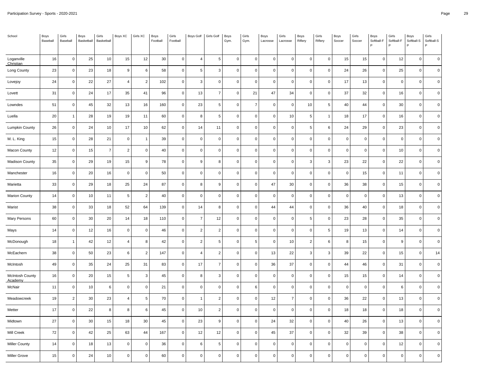| School                     | Boys<br>Baseball | Girls<br>Baseball | Boys<br>Basketball | Girls<br>Basketball | Boys XC        | Girls XC         | Boys<br>Football | Girls<br>Football | <b>Boys Golf</b> | Girls Golf     | Boys<br>Gym. | Girls<br>Gym.       | Boys<br>Lacrosse | Girls<br>Lacrosse | Boys<br>Riflery | Girls<br>Riflery | Boys<br>Soccer | Girls<br>Soccer | Boys<br>Softball-F<br>Þ | Girls<br>Softball-F | Boys<br>Softball-S<br>P | Girls<br>Softball-S<br>P |
|----------------------------|------------------|-------------------|--------------------|---------------------|----------------|------------------|------------------|-------------------|------------------|----------------|--------------|---------------------|------------------|-------------------|-----------------|------------------|----------------|-----------------|-------------------------|---------------------|-------------------------|--------------------------|
|                            | 16               | $\mathsf 0$       | 25                 | $10\,$              | 15             | 12               | 30               | $\mathbf 0$       | $\overline{4}$   | $\sqrt{5}$     | $\mathbf 0$  | $\mathsf 0$         | $\mathbf 0$      | $\mathbf 0$       | $\mathsf 0$     | $\mathbf 0$      | $15\,$         | 15              | $\mathbf 0$             | 12                  | $\mathbf 0$             | $\mathbf 0$              |
| Loganville<br>Christian    |                  |                   |                    |                     |                |                  |                  |                   |                  |                |              |                     |                  |                   |                 |                  |                |                 |                         |                     |                         |                          |
| Long County                | 23               | $\mathbf 0$       | 23                 | 18                  | 9              | 6                | 58               | 0                 | 5                | 3              | $\mathbf 0$  | 0                   | $\mathbf 0$      | $\mathbf 0$       | $\mathbf 0$     | $\mathbf 0$      | 24             | 26              | $\mathbf 0$             | 25                  | $\mathbf 0$             | $\mathbf 0$              |
| Lovejoy                    | 24               | $\mathbf 0$       | 22                 | 27                  | $\overline{4}$ | 2                | 102              | $\mathbf 0$       | 3                | $\mathbf 0$    | $\mathbf 0$  | $\mathbf 0$         | $\mathbf 0$      | $\mathbf 0$       | $\mathsf 0$     | $\mathbf 0$      | 17             | 13              | $\mathbf 0$             | $\mathbf 0$         | $\mathbf 0$             | $\mathbf 0$              |
| Lovett                     | 31               | $\mathsf 0$       | 24                 | $17$                | 35             | 41               | 96               | $\pmb{0}$         | 13               | $\overline{7}$ | $\mathbf 0$  | 21                  | $47\,$           | 34                | $\mathbf 0$     | $\mathsf 0$      | $37\,$         | 32              | $\pmb{0}$               | 16                  | $\mathsf 0$             | $\pmb{0}$                |
| Lowndes                    | 51               | $\mathbf 0$       | 45                 | 32                  | 13             | 16               | 160              | 0                 | 23               | 5              | $\mathbf 0$  | $\overline{7}$      | $\mathbf 0$      | $\mathbf 0$       | 10              | 5                | 40             | 44              | $\mathbf 0$             | 30                  | $\mathbf 0$             | $\mathbf 0$              |
| Luella                     | 20               | $\overline{1}$    | 28                 | 19                  | 19             | 11               | 60               | $\mathsf 0$       | 8                | 5              | $\mathbf 0$  | 0                   | $\mathbf 0$      | 10                | 5               | $\mathbf{1}$     | 18             | 17              | $\mathbf 0$             | 16                  | $\mathbf 0$             | $\mathbf 0$              |
| Lumpkin County             | 26               | $\mathsf 0$       | 24                 | $10\,$              | 17             | $10$             | 62               | $\pmb{0}$         | 14               | 11             | $\mathbf 0$  | 0                   | $\pmb{0}$        | $\Omega$          | 5               | 6                | 24             | 29              | $\pmb{0}$               | 23                  | $\mathbf 0$             | $\pmb{0}$                |
| M. L. King                 | 15               | $\mathbf 0$       | 28                 | 21                  | $\mathbf 0$    | $\overline{1}$   | 39               | $\mathsf 0$       | $\mathbf 0$      | $\overline{0}$ | $\mathbf 0$  | 0                   | $\mathbf 0$      | $\mathbf 0$       | $\mathsf 0$     | $\mathsf 0$      | $\mathsf 0$    | $\mathbf 0$     | $\mathbf 0$             | $\mathbf 0$         | $\mathbf 0$             | $\mathbf 0$              |
| Macon County               | 12               | $\mathsf 0$       | 15                 | $\overline{7}$      | $\overline{2}$ | $\mathbf 0$      | 40               | $\mathbf 0$       | $\mathbf 0$      | $\mathbf 0$    | $\mathbf 0$  | $\mathbf 0$         | $\mathbf 0$      | $\mathbf 0$       | $\mathbf 0$     | $\mathbf 0$      | $\mathsf 0$    | $\overline{0}$  | $\mathbf 0$             | 10                  | $\mathbf 0$             | $\mathbf 0$              |
| <b>Madison County</b>      | 35               | $\mathsf 0$       | 29                 | 19                  | 15             | $\boldsymbol{9}$ | 78               | $\pmb{0}$         | $\boldsymbol{9}$ | 8              | $\mathbf 0$  | 0                   | $\pmb{0}$        | $\Omega$          | $\mathbf{3}$    | 3                | 23             | 22              | $\mathbf 0$             | 22                  | $\pmb{0}$               | $\pmb{0}$                |
| Manchester                 | 16               | $\mathbf 0$       | 20                 | 16                  | $\mathbf 0$    | $\mathbf 0$      | 50               | $\mathsf 0$       | $\mathbf 0$      | $\mathbf 0$    | $\mathbf 0$  | 0                   | $\mathbf 0$      | $\Omega$          | $\mathsf 0$     | $\mathbf 0$      | $\mathsf 0$    | 15              | $\mathbf 0$             | 11                  | $\mathbf 0$             | $\mathbf 0$              |
| Marietta                   | 33               | $\mathbf 0$       | 29                 | 18                  | 25             | 24               | 87               | $\mathsf 0$       | 8                | 9              | $\mathbf 0$  | 0                   | 47               | 30                | $\mathsf 0$     | $\mathsf 0$      | 36             | 38              | $\mathbf 0$             | 15                  | $\mathbf 0$             | $\mathbf 0$              |
| <b>Marion County</b>       | 14               | $\mathsf 0$       | 10                 | 11                  | $\overline{5}$ | $\sqrt{2}$       | 40               | $\pmb{0}$         | $\pmb{0}$        | $\mathbf 0$    | $\mathbf 0$  | 0                   | $\pmb{0}$        | $\Omega$          | $\mathbf 0$     | $\mathsf 0$      | $\mathsf 0$    | $\overline{0}$  | $\pmb{0}$               | 13                  | $\mathbf 0$             | $\mathbf 0$              |
| Marist                     | 38               | $\mathsf 0$       | 33                 | 18                  | 52             | 64               | 139              | 0                 | 14               | 8              | $\mathbf 0$  | 0                   | 44               | 44                | $\mathbf 0$     | $\mathbf 0$      | 36             | 40              | $\mathbf 0$             | 18                  | $\mathbf 0$             | $\mathbf 0$              |
| Mary Persons               | 60               | $\mathbf 0$       | 30                 | 20                  | 14             | 18               | 110              | $\mathsf 0$       | $\overline{7}$   | 12             | $\mathbf 0$  | 0                   | $\mathbf 0$      | $\mathbf 0$       | 5               | $\mathbf 0$      | 23             | 28              | $\mathbf 0$             | 35                  | $\mathsf 0$             | $\mathbf 0$              |
| Mays                       | 14               | $\mathsf 0$       | 12                 | $16\,$              | $\pmb{0}$      | $\pmb{0}$        | 46               | $\pmb{0}$         | $\overline{2}$   | $\overline{2}$ | $\mathbf 0$  | 0                   | $\pmb{0}$        | $\mathbf 0$       | $\mathbf 0$     | 5                | 19             | 13              | $\mathbf 0$             | 14                  | $\mathbf 0$             | $\mathbf 0$              |
| McDonough                  | 18               | -1                | 42                 | 12                  | $\overline{4}$ | 8                | 42               | 0                 | $\overline{2}$   | 5              | $\mathbf 0$  | 5                   | $\mathbf 0$      | 10                | $\overline{2}$  | 6                | 8              | 15              | $\Omega$                | 9                   | $\mathbf 0$             | $\mathbf 0$              |
| McEachern                  | 38               | $\mathbf 0$       | 50                 | 23                  | 6              | $\overline{2}$   | 147              | $\mathsf 0$       | $\overline{4}$   | $\overline{2}$ | $\mathbf 0$  | 0                   | 13               | 22                | $\mathbf{3}$    | $\mathbf{3}$     | 39             | 22              | $\mathbf 0$             | 15                  | $\mathsf{O}\xspace$     | 14                       |
| McIntosh                   | 49               | $\mathsf 0$       | 35                 | 24                  | 25             | 31               | 83               | $\pmb{0}$         | $17$             | $\overline{7}$ | $\mathbf 0$  | $\mathsf{O}\xspace$ | 36               | 37                | $\mathbf 0$     | $\mathsf 0$      | 44             | 46              | $\pmb{0}$               | 31                  | $\mathbf 0$             | $\pmb{0}$                |
| McIntosh County<br>Academy | 16               | $\mathsf 0$       | 20                 | 15                  | 5              | 3                | 45               | $\mathsf 0$       | 8                | 3              | $\mathbf 0$  | 0                   | $\mathbf 0$      | $\mathbf 0$       | $\mathsf 0$     | $\mathbf 0$      | 15             | 15              | $\mathbf 0$             | 14                  | $\mathbf 0$             | $\mathbf 0$              |
| McNair                     | 11               | $\mathsf 0$       | 10                 | 6                   | $\mathbf 0$    | $\mathbf 0$      | 21               | $\mathbf 0$       | $\mathbf 0$      | $\mathbf 0$    | $\mathbf 0$  | 6                   | $\mathbf 0$      | $\mathbf 0$       | $\mathbf 0$     | $\mathbf 0$      | $\mathsf 0$    | $\mathbf 0$     | $\mathbf 0$             | 6                   | $\mathbf 0$             | $\mathbf 0$              |
| Meadowcreek                | 19               | $\overline{2}$    | 30                 | 23                  | $\overline{4}$ | 5                | 70               | $\mathsf 0$       | $\overline{1}$   | $\overline{2}$ | $\Omega$     | 0                   | 12               | $\overline{7}$    | $\mathsf 0$     | $\mathsf 0$      | 36             | 22              | $\mathbf 0$             | 13                  | $\mathsf{O}\xspace$     | $\pmb{0}$                |
| Metter                     | 17               | $\mathsf 0$       | 22                 | 8                   | 8              | 6                | 45               | $\mathsf 0$       | 10               | $\overline{2}$ | $\mathbf 0$  | 0                   | $\mathbf 0$      | $\Omega$          | $\mathsf 0$     | $\mathbf 0$      | 18             | 18              | $\mathbf 0$             | 18                  | $\mathbf 0$             | $\Omega$                 |
| Midtown                    | 27               | $\mathbf 0$       | 30                 | 15                  | 18             | 30               | 45               | $\mathsf 0$       | 23               | 9              | $\mathbf 0$  | 0                   | 24               | 32                | $\mathsf 0$     | $\mathbf 0$      | 40             | 26              | $\mathbf 0$             | 13                  | $\mathbf 0$             | $\Omega$                 |
| Mill Creek                 | 72               | $\mathbf 0$       | 42                 | 25                  | 63             | 44               | 167              | $\mathsf 0$       | 12               | 12             | $\mathbf 0$  | 0                   | 45               | 37                | $\mathsf 0$     | $\mathsf 0$      | 32             | 39              | $\mathbf 0$             | 38                  | $\mathsf{O}\xspace$     | $\pmb{0}$                |
| <b>Miller County</b>       | 14               | $\mathsf 0$       | 18                 | 13                  | $\mathbf 0$    | 0                | 36               | $\mathsf 0$       | 6                | 5              | $\mathbf 0$  | 0                   | $\mathbf 0$      | 0                 | 0               | $\mathbf 0$      | $\mathsf 0$    | $\mathbf 0$     | $\Omega$                | 12                  | 0                       | $\mathbf 0$              |
| <b>Miller Grove</b>        | 15               | $\mathbf 0$       | 24                 | 10                  | $\mathbf 0$    | $\Omega$         | 60               | $\mathsf 0$       | $\mathbf 0$      | $\Omega$       | $\mathbf 0$  | 0                   | $\mathbf 0$      | $\Omega$          | $\mathbf 0$     | $\mathbf 0$      | $\mathsf 0$    | $\mathbf 0$     | $\Omega$                | $\mathbf 0$         | $\Omega$                | $\mathbf 0$              |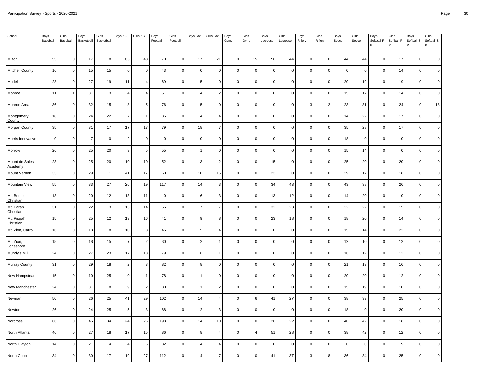| School                    | Boys<br>Baseball | Girls<br>Baseball | Boys<br>Basketball | Girls<br>Basketball | Boys XC        | Girls XC       | Boys<br>Football | Girls<br>Football | Boys Golf      | Girls Golf     | Boys<br>Gym. | Girls<br>Gym. | Boys<br>Lacrosse | Girls<br>Lacrosse | Boys<br>Riflery | Girls<br>Riflery | Boys<br>Soccer | Girls<br>Soccer | Boys<br>Softball-F<br>P | Girls<br>Softball-F | Boys<br>Softball-S<br>P | Girls<br>Softball-S<br>P |
|---------------------------|------------------|-------------------|--------------------|---------------------|----------------|----------------|------------------|-------------------|----------------|----------------|--------------|---------------|------------------|-------------------|-----------------|------------------|----------------|-----------------|-------------------------|---------------------|-------------------------|--------------------------|
| Milton                    | 55               | $\mathsf 0$       | 17                 | 8                   | 65             | 48             | 70               | $\mathbf 0$       | 17             | 21             | $\mathbf 0$  | 15            | 56               | 44                | $\mathsf 0$     | $\mathsf 0$      | 44             | 44              | $\mathbf 0$             | 17                  | $\mathsf{O}\xspace$     | $\mathbf 0$              |
| <b>Mitchell County</b>    | 16               | $\mathbf 0$       | 15                 | 15                  | $\pmb{0}$      | $\mathbf 0$    | 43               | 0                 | $\mathbf 0$    | $\mathbf 0$    | $\mathbf 0$  | 0             | $\mathbf 0$      | $\mathbf 0$       | $\mathbf 0$     | $\mathbf 0$      | $\mathsf 0$    | $\pmb{0}$       | $\mathbf 0$             | 14                  | $\mathsf 0$             | $\mathbf 0$              |
| Model                     | 28               | $\mathbf 0$       | 27                 | 19                  | 11             | $\overline{4}$ | 69               | $\mathsf 0$       | 5              | $\Omega$       | $\mathbf 0$  | 0             | $\mathbf 0$      | $\Omega$          | $\mathbf 0$     | $\mathbf{0}$     | 20             | 19              | $\mathbf 0$             | 19                  | $\mathbf 0$             | $\mathbf 0$              |
| Monroe                    | 11               | $\overline{1}$    | 31                 | 13                  | $\overline{4}$ | $\overline{4}$ | 51               | $\mathbf 0$       | $\overline{4}$ | $\overline{2}$ | $\mathsf 0$  | $\mathsf 0$   | $\mathbf 0$      | $\mathbf 0$       | $\mathsf 0$     | $\mathsf 0$      | 15             | 17              | $\mathbf 0$             | 14                  | $\mathsf{O}\xspace$     | $\mathbf 0$              |
| Monroe Area               | 36               | $\mathbf 0$       | 32                 | 15                  | 8              | 5              | 76               | 0                 | 5              | $\mathbf 0$    | $\mathbf 0$  | 0             | $\pmb{0}$        | $\mathbf 0$       | 3               | $\overline{2}$   | 23             | 31              | $\mathbf 0$             | 24                  | $\mathsf{O}\xspace$     | 18                       |
| Montgomery<br>County      | 18               | $\mathbf 0$       | 24                 | 22                  | $\overline{7}$ | $\overline{1}$ | 35               | $\mathsf 0$       | $\overline{4}$ | $\overline{4}$ | $\mathbf 0$  | 0             | $\mathbf 0$      | $\Omega$          | $\mathbf 0$     | $\mathbf 0$      | 14             | 22              | $\mathbf 0$             | 17                  | $\mathsf{O}\xspace$     | $\mathbf 0$              |
| Morgan County             | 35               | $\mathsf 0$       | 31                 | 17                  | 17             | 17             | 79               | $\mathsf 0$       | 18             | $\overline{7}$ | $\mathbf 0$  | 0             | $\mathbf 0$      | $\Omega$          | $\mathsf 0$     | $\mathsf 0$      | 35             | 28              | $\mathbf 0$             | 17                  | $\mathsf{O}\xspace$     | $\mathbf 0$              |
| Morris Innovative         | $\mathbf 0$      | $\mathbf 0$       | $\overline{7}$     | $\mathbf 0$         | $\overline{2}$ | $\mathbf 0$    | $\mathsf 0$      | 0                 | $\mathbf 0$    | $\mathbf 0$    | $\mathbf 0$  | 0             | $\pmb{0}$        | $\mathbf 0$       | $\mathsf 0$     | $\mathsf 0$      | 18             | $\overline{0}$  | $\mathbf 0$             | $\mathbf 0$         | $\mathbf 0$             | $\pmb{0}$                |
| Morrow                    | 26               | $\mathbf 0$       | 25                 | 20                  | 9              | 5              | 55               | $\mathsf 0$       | $\overline{1}$ | $\mathbf 0$    | $\mathbf{0}$ | $\mathsf 0$   | $\mathbf 0$      | $\Omega$          | $\mathbf 0$     | $\mathbf 0$      | 15             | 14              | $\mathbf 0$             | $\mathbf{0}$        | $\mathbf 0$             | $\mathbf 0$              |
| Mount de Sales<br>Academy | 23               | $\mathsf 0$       | 25                 | 20                  | 10             | 10             | 52               | $\mathbf 0$       | 3              | $\overline{2}$ | $\mathbf{0}$ | $\mathsf 0$   | 15               | $\mathbf 0$       | $\mathsf 0$     | $\mathsf 0$      | 25             | 20              | $\mathbf 0$             | 20                  | $\mathbf 0$             | $\mathbf 0$              |
| Mount Vernon              | 33               | $\mathsf 0$       | 29                 | 11                  | 41             | 17             | 60               | 0                 | 10             | 15             | $\mathbf 0$  | 0             | 23               | $\Omega$          | $\mathsf 0$     | $\mathbf 0$      | 29             | 17              | $\mathbf 0$             | 18                  | $\mathbf 0$             | $\mathbf 0$              |
| Mountain View             | 55               | $\mathbf 0$       | 33                 | 27                  | 26             | 19             | 117              | $\mathsf 0$       | 14             | 3              | $\mathbf 0$  | 0             | 34               | 43                | $\mathbf 0$     | $\mathsf 0$      | 43             | 38              | $\mathbf 0$             | 26                  | $\mathbf 0$             | $\mathbf 0$              |
| Mt. Bethel<br>Christian   | 13               | $\mathsf 0$       | 20                 | 12                  | 13             | 11             | $\mathsf 0$      | $\mathsf 0$       | 6              | 3              | $\mathsf 0$  | 0             | 13               | 12                | $\mathsf 0$     | $\mathsf 0$      | 14             | 20              | $\mathbf 0$             | $\mathsf 0$         | $\mathsf 0$             | $\mathbf 0$              |
| Mt. Paran<br>Christian    | 31               | $\mathbf 0$       | 22                 | 13                  | 13             | 14             | 55               | 0                 | $\overline{7}$ | $\overline{7}$ | $\mathbf 0$  | 0             | 32               | 23                | $\mathbf 0$     | $\mathbf 0$      | 22             | 22              | $\mathbf 0$             | 15                  | $\mathbf 0$             | $\mathbf 0$              |
| Mt. Pisgah<br>Christian   | 15               | $\mathbf 0$       | 25                 | 12                  | 13             | 16             | 41               | $\mathsf 0$       | $\overline{9}$ | 8              | $\mathbf{0}$ | 0             | 23               | 18                | $\mathbf 0$     | $\mathbf{0}$     | 18             | 20              | $\mathbf 0$             | 14                  | $\mathbf 0$             | $\mathbf 0$              |
| Mt. Zion, Carroll         | 16               | $\mathsf 0$       | 18                 | 18                  | 10             | 8              | 45               | $\mathbf 0$       | 5              | $\overline{4}$ | $\mathsf 0$  | $\mathsf 0$   | $\mathbf 0$      | $\mathbf 0$       | $\mathsf 0$     | $\mathsf 0$      | 15             | 14              | $\mathbf 0$             | 22                  | $\mathsf 0$             | $\mathbf 0$              |
| Mt. Zion,<br>Jonesboro    | 18               | $\mathbf 0$       | 18                 | 15                  | $\overline{7}$ | $\overline{2}$ | 30               | 0                 | $\overline{c}$ | $\mathbf{1}$   | $\mathbf 0$  | 0             | $\pmb{0}$        | $\Omega$          | $\mathsf 0$     | $\mathbf 0$      | 12             | 10              | $\mathbf 0$             | 12                  | $\mathbf 0$             | $\mathbf 0$              |
| Mundy's Mill              | 24               | $\mathbf 0$       | 27                 | 23                  | 17             | 13             | 79               | $\mathsf 0$       | 6              | $\overline{1}$ | $\mathbf 0$  | 0             | $\mathbf 0$      | $\Omega$          | $\mathsf 0$     | $\mathsf 0$      | 16             | 12              | $\mathbf 0$             | 12                  | $\mathbf 0$             | $\mathbf 0$              |
| Murray County             | 31               | $\mathsf 0$       | 29                 | 18                  | $\overline{c}$ | 3              | 82               | $\mathsf 0$       | 8              | $\mathbf 0$    | $\mathbf 0$  | 0             | $\mathbf 0$      | $\Omega$          | $\mathsf 0$     | $\mathsf 0$      | 21             | 19              | $\mathbf 0$             | 16                  | $\mathsf{O}\xspace$     | $\mathbf 0$              |
| New Hampstead             | 15               | $\mathbf 0$       | 10                 | 25                  | $\mathbf 0$    | $\mathbf{1}$   | 78               | 0                 | $\overline{1}$ | $\overline{0}$ | $\mathbf 0$  | 0             | $\pmb{0}$        | $\Omega$          | $\mathbf 0$     | $\mathbf 0$      | 20             | 20              | $\mathbf 0$             | 12                  | $\mathbf 0$             | $\mathbf 0$              |
| New Manchester            | 24               | $\mathbf 0$       | 31                 | 18                  | 9              | 2              | 80               | $\mathbf 0$       | $\overline{1}$ | $\overline{2}$ | $\mathbf{0}$ | $\mathsf 0$   | $\mathbf 0$      | $\mathbf 0$       | $\mathbf 0$     | $\mathbf 0$      | 15             | 19              | $\mathbf 0$             | 10                  | $\mathsf 0$             | $\mathbf 0$              |
| Newnan                    | 50               | $\mathsf 0$       | 26                 | 25                  | 41             | 29             | 102              | $\mathbf 0$       | 14             | $\overline{4}$ | $\mathbf 0$  | 6             | 41               | 27                | $\mathsf 0$     | $\mathsf 0$      | 38             | 39              | $\mathbf 0$             | 25                  | $\mathsf{O}\xspace$     | $\pmb{0}$                |
| Newton                    | 26               | $\mathsf 0$       | 24                 | 25                  | 5              | $\mathbf 3$    | 88               | $\mathsf 0$       | $\overline{2}$ | 3              | $\mathbf 0$  | 0             | $\pmb{0}$        | $\Omega$          | $\mathbf 0$     | $\mathbf 0$      | 18             | $\overline{0}$  | $\pmb{0}$               | 20                  | $\pmb{0}$               | $\mathbf 0$              |
| Norcross                  | 66               | $\mathbf 0$       | 45                 | 34                  | 24             | 26             | 198              | $\mathsf 0$       | 14             | 10             | $\mathbf 0$  | 0             | 26               | 22                | $\mathbf 0$     | $\mathsf 0$      | 40             | 42              | $\Omega$                | 18                  | $\mathsf 0$             | $\Omega$                 |
| North Atlanta             | 46               | $\mathsf 0$       | 27                 | 18                  | 17             | 15             | 86               | $\mathsf 0$       | 8              | $\overline{4}$ | $\mathbf 0$  | 4             | 51               | 28                | $\mathsf 0$     | $\mathsf 0$      | 38             | 42              | $\mathbf 0$             | 12                  | $\mathsf{O}\xspace$     | $\mathbf 0$              |
| North Clayton             | 14               | $\pmb{0}$         | 21                 | 14                  | $\overline{4}$ | 6              | 32               | $\mathsf 0$       | $\overline{4}$ | $\overline{4}$ | 0            | 0             | $\mathbf 0$      | $\mathbf 0$       | 0               | $\mathsf 0$      | $\mathsf 0$    | $\pmb{0}$       | $\Omega$                | 9                   | 0                       | $\pmb{0}$                |
| North Cobb                | 34               | $\mathbf 0$       | 30                 | 17                  | 19             | 27             | 112              | $\mathsf 0$       | $\overline{4}$ | $\overline{7}$ | $\mathbf 0$  | 0             | 41               | 37                | 3               | 8                | 36             | 34              | $\Omega$                | 25                  | $\Omega$                | $\Omega$                 |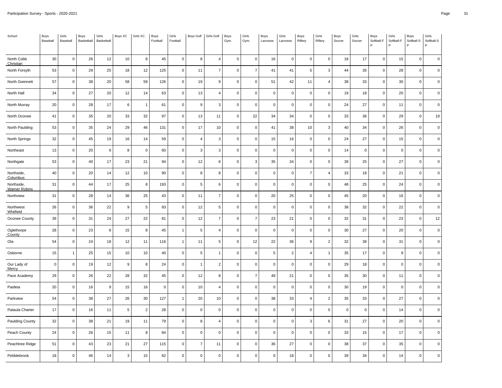| School                             | Boys<br>Baseball | Girls<br>Baseball | Boys<br>Basketball | Girls<br>Basketball | Boys XC | Girls XC       | Boys<br>Football | Girls<br>Football   | Boys Golf      | Girls Golf     | Boys<br>Gym. | Girls<br>Gym.  | Boys<br>Lacrosse | Girls<br>Lacrosse | Boys<br>Riflery | Girls<br>Riflery | Boys<br>Soccer | Girls<br>Soccer | Boys<br>Softball-F<br>P | Girls<br>Softball-F | Boys<br>Softball-S<br>P | Girls<br>Softball-S<br>P |
|------------------------------------|------------------|-------------------|--------------------|---------------------|---------|----------------|------------------|---------------------|----------------|----------------|--------------|----------------|------------------|-------------------|-----------------|------------------|----------------|-----------------|-------------------------|---------------------|-------------------------|--------------------------|
| North Cobb<br>Christian            | 30               | $\mathsf 0$       | 26                 | 12                  | 10      | 8              | 45               | $\mathbf 0$         | 8              | $\overline{4}$ | $\mathbf 0$  | $\mathsf 0$    | 16               | $\mathbf 0$       | $\mathsf 0$     | $\mathsf 0$      | 18             | 17              | $\mathbf 0$             | 15                  | $\mathsf{O}\xspace$     | $\mathbf 0$              |
| North Forsyth                      | 53               | $\mathbf 0$       | 29                 | 25                  | 18      | 12             | 125              | 0                   | 11             | $\overline{7}$ | $\mathbf 0$  | $\overline{7}$ | 41               | 41                | 5               | 3                | 44             | 35              | $\mathbf 0$             | 28                  | $\mathsf 0$             | $\mathbf 0$              |
| North Gwinnett                     | 57               | $\mathbf 0$       | 38                 | 20                  | 58      | 59             | 126              | $\mathsf{O}\xspace$ | 19             | 9              | $\mathbf 0$  | 0              | 51               | 42                | 11              | $\overline{4}$   | 38             | 33              | $\mathbf 0$             | 30                  | $\mathbf 0$             | $\mathbf 0$              |
| North Hall                         | 34               | $\mathsf 0$       | 27                 | 20                  | 12      | 14             | 63               | $\mathbf 0$         | 13             | $\overline{4}$ | $\mathsf 0$  | $\mathsf 0$    | $\mathbf 0$      | $\mathbf 0$       | $\mathsf 0$     | $\mathsf 0$      | 19             | 18              | $\mathbf 0$             | 20                  | $\mathsf 0$             | $\mathbf 0$              |
| North Murray                       | 20               | $\mathbf 0$       | 28                 | 17                  | 6       | $\overline{1}$ | 61               | 0                   | $\overline{9}$ | 3              | $\mathbf 0$  | 0              | $\pmb{0}$        | $\mathbf 0$       | $\mathsf 0$     | $\mathbf 0$      | 24             | 27              | $\mathbf 0$             | 11                  | $\mathsf 0$             | $\pmb{0}$                |
| North Oconee                       | 41               | $\mathbf 0$       | 35                 | 20                  | 33      | 32             | 97               | $\mathsf 0$         | 13             | 11             | $\mathbf 0$  | 22             | 34               | 34                | $\mathbf{0}$    | $\mathsf 0$      | 33             | 36              | $\mathbf 0$             | 29                  | $\mathsf 0$             | 19                       |
| North Paulding                     | 53               | $\mathsf 0$       | 35                 | 24                  | 29      | 46             | 131              | $\mathsf 0$         | 17             | 10             | $\mathbf 0$  | 0              | 41               | 38                | 10              | $\mathbf{3}$     | 40             | 34              | $\mathbf 0$             | 26                  | $\mathsf 0$             | $\pmb{0}$                |
| North Springs                      | 32               | $\mathbf 0$       | 45                 | 19                  | 16      | 14             | 59               | 0                   | $\overline{4}$ | 3              | $\mathbf 0$  | 0              | 15               | 16                | $\mathsf 0$     | $\mathbf 0$      | 24             | 27              | $\mathbf 0$             | 15                  | $\mathbf 0$             | $\pmb{0}$                |
| Northeast                          | 13               | $\mathbf 0$       | 20                 | 9                   | 8       | $\mathbf 0$    | 60               | $\mathsf 0$         | 3              | 3              | $\mathbf{0}$ | $\mathsf 0$    | $\mathbf 0$      | $\mathbf 0$       | $\mathbf{0}$    | $\mathbf 0$      | 14             | $\mathbf 0$     | $\mathbf 0$             | $\mathsf 0$         | $\mathbf 0$             | $\mathbf 0$              |
| Northgate                          | 53               | $\mathsf 0$       | 40                 | 17                  | 23      | 21             | 94               | $\mathsf 0$         | 12             | 6              | $\mathbf 0$  | 3              | 35               | 34                | $\mathsf 0$     | $\mathsf 0$      | 39             | 25              | $\mathbf 0$             | 27                  | $\mathsf{O}\xspace$     | $\mathbf 0$              |
| Northside,<br>Columbus             | 40               | $\mathbf 0$       | 20                 | 14                  | 12      | 10             | 90               | 0                   | 8              | 8              | $\mathbf 0$  | 0              | $\mathbf 0$      | $\mathbf 0$       | $\overline{7}$  | 4                | 33             | 18              | $\mathbf 0$             | 21                  | $\mathbf 0$             | $\mathbf 0$              |
| Northside,<br><b>Warner Robins</b> | 31               | $\mathbf 0$       | 44                 | 17                  | 25      | 8              | 193              | $\mathsf 0$         | 5              | 6              | $\mathbf 0$  | 0              | $\mathbf 0$      | $\Omega$          | $\mathbf{0}$    | $\mathsf 0$      | 48             | 25              | $\Omega$                | 24                  | $\mathbf 0$             | $\mathbf 0$              |
| Northview                          | 31               | $\mathsf 0$       | 28                 | 14                  | 36      | 25             | 43               | $\mathsf 0$         | 11             | $\overline{7}$ | $\mathsf 0$  | 0              | 20               | 25                | $\mathsf 0$     | $\mathsf 0$      | 45             | 20              | $\mathbf 0$             | 16                  | $\mathsf 0$             | $\mathbf 0$              |
| Northwest<br>Whitfield             | 26               | $\mathbf 0$       | 36                 | 22                  | 9       | 5              | 93               | 0                   | 12             | 5              | $\mathbf 0$  | 0              | $\mathbf 0$      | $\Omega$          | $\mathbf 0$     | $\mathbf 0$      | 38             | 32              | $\mathbf 0$             | 22                  | $\mathbf 0$             | $\mathbf 0$              |
| Oconee County                      | 39               | $\mathbf 0$       | 31                 | 24                  | 27      | 22             | 81               | $\mathsf 0$         | 12             | $\overline{7}$ | $\mathbf{0}$ | $\overline{7}$ | 23               | 21                | $\mathbf 0$     | $\mathbf{0}$     | 32             | 31              | $\mathbf 0$             | 23                  | $\mathsf 0$             | $12\,$                   |
| Oglethorpe<br>County               | 28               | $\mathsf 0$       | 23                 | 8                   | 15      | 8              | 45               | $\mathbf{1}$        | 5              | $\overline{4}$ | $\mathsf 0$  | $\mathbf 0$    | $\mathbf 0$      | $\mathbf 0$       | $\mathsf 0$     | $\mathsf 0$      | 30             | 27              | $\mathbf 0$             | 20                  | $\mathsf 0$             | $\mathbf 0$              |
| Ola                                | 54               | $\mathbf 0$       | 24                 | 18                  | 12      | 11             | 116              | $\mathbf{1}$        | 11             | 5              | $\mathbf 0$  | 12             | 22               | 36                | 9               | $\overline{2}$   | 32             | 39              | $\Omega$                | 31                  | $\mathbf 0$             | $\mathbf 0$              |
| Osborne                            | 15               | -1                | 25                 | 15                  | 10      | 10             | 40               | $\mathsf 0$         | 5              | $\overline{1}$ | $\mathbf 0$  | 0              | $\,$ 5 $\,$      | 2                 | $\overline{4}$  | $\mathbf{1}$     | 35             | 17              | $\mathbf 0$             | 9                   | $\mathbf 0$             | $\mathbf 0$              |
| Our Lady of<br>Mercy               | $\overline{0}$   | $\mathsf 0$       | 19                 | 12                  | 9       | 8              | 24               | $\mathsf 0$         | $\overline{1}$ | $\overline{2}$ | $\mathbf 0$  | 0              | $\mathbf 0$      | $\Omega$          | $\mathsf 0$     | $\mathsf 0$      | 29             | 18              | $\mathbf 0$             | $\mathsf 0$         | $\mathsf 0$             | $\mathbf 0$              |
| Pace Academy                       | 29               | $\mathbf 0$       | 26                 | 22                  | 28      | 32             | 45               | 0                   | 12             | 8              | $\mathbf 0$  | $\overline{7}$ | 49               | 21                | $\mathbf 0$     | $\mathbf 0$      | 35             | 30              | $\mathbf 0$             | 11                  | $\mathbf 0$             | $\mathbf 0$              |
| Paideia                            | 20               | $\mathbf 0$       | 16                 | 9                   | 15      | 16             | $\mathsf 0$      | $\mathsf 0$         | 10             | $\overline{4}$ | $\mathbf{0}$ | $\mathsf 0$    | $\mathbf 0$      | $\mathbf 0$       | $\mathbf 0$     | $\mathbf 0$      | 30             | 19              | $\mathbf 0$             | $\mathsf 0$         | $\mathbf 0$             | $\mathbf 0$              |
| Parkview                           | 54               | $\mathsf 0$       | 38                 | 27                  | 26      | 30             | 127              | $\mathbf{1}$        | 20             | 10             | $\mathbf 0$  | 0              | 38               | 33                | $\overline{4}$  | $\overline{2}$   | 35             | 33              | $\mathbf 0$             | 27                  | $\mathsf{O}\xspace$     | $\pmb{0}$                |
| Pataula Charter                    | 17               | $\mathsf 0$       | 16                 | 11                  | 5       | 2              | 28               | $\mathsf 0$         | $\mathbf 0$    | $\mathbf 0$    | $\mathbf 0$  | 0              | $\pmb{0}$        | $\Omega$          | $\mathbf 0$     | $\mathbf 0$      | $\mathsf 0$    | $\pmb{0}$       | $\pmb{0}$               | 14                  | $\mathsf{O}\xspace$     | $\Omega$                 |
| Paulding County                    | 32               | $\mathbf 0$       | 38                 | 21                  | 19      | 11             | 79               | $\mathsf 0$         | 8              | $\overline{4}$ | $\mathbf 0$  | 0              | $\mathbf 0$      | $\Omega$          | 3               | 6                | 31             | 27              | $\Omega$                | 20                  | $\mathbf 0$             | $\mathbf 0$              |
| Peach County                       | 24               | $\mathsf 0$       | 26                 | 15                  | 11      | 8              | 84               | $\mathsf 0$         | $\mathbf 0$    | $\mathbf 0$    | $\mathbf 0$  | 0              | $\mathbf 0$      | $\mathbf 0$       | $\mathsf 0$     | $\mathsf 0$      | 33             | 15              | $\mathbf 0$             | 17                  | $\mathsf{O}\xspace$     | $\pmb{0}$                |
| Peachtree Ridge                    | 51               | $\pmb{0}$         | 43                 | 23                  | 21      | 27             | 115              | $\mathsf 0$         | $\overline{7}$ | 11             | 0            | 0              | 36               | 27                | 0               | $\mathsf 0$      | 38             | 37              | $\Omega$                | 35                  | 0                       | $\pmb{0}$                |
| Pebblebrook                        | 18               | $\mathbf 0$       | 46                 | 14                  | 3       | 15             | 82               | $\mathsf 0$         | $\mathbf 0$    | $\Omega$       | $\mathbf 0$  | 0              | $\mathbf 0$      | 18                | $\mathbf 0$     | $\mathsf 0$      | 39             | 34              | $\Omega$                | 14                  | $\mathbf 0$             | $\mathbf 0$              |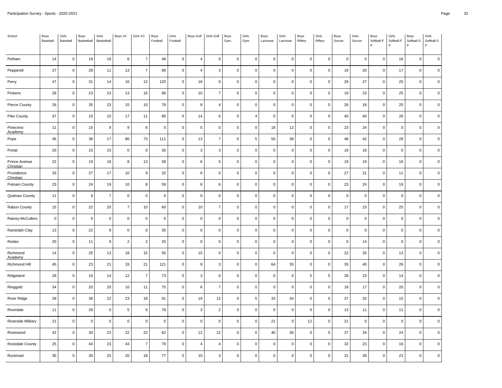| School                     | Boys<br>Baseball | Girls<br>Baseball | Boys<br>Basketball | Girls<br>Basketball | Boys XC        | Girls XC       | Boys<br>Football | Girls<br>Football | Boys Golf      | Girls Golf     | Boys<br>Gym. | Girls<br>Gym. | Boys<br>Lacrosse | Girls<br>Lacrosse | Boys<br>Riflery | Girls<br>Riflery | Boys<br>Soccer | Girls<br>Soccer | Boys<br>Softball-F<br>P | Girls<br>Softball-F | Boys<br>Softball-S<br>P | Girls<br>Softball-S<br>P |
|----------------------------|------------------|-------------------|--------------------|---------------------|----------------|----------------|------------------|-------------------|----------------|----------------|--------------|---------------|------------------|-------------------|-----------------|------------------|----------------|-----------------|-------------------------|---------------------|-------------------------|--------------------------|
| Pelham                     | 14               | $\mathsf 0$       | 16                 | 18                  | 6              | $\overline{7}$ | 48               | $\mathbf 0$       | $\overline{4}$ | $\mathbf 0$    | $\mathbf 0$  | $\mathsf 0$   | $\pmb{0}$        | $\mathbf 0$       | $\mathsf 0$     | $\mathbf 0$      | $\mathsf 0$    | $\overline{0}$  | $\mathbf 0$             | 16                  | $\mathsf{O}\xspace$     | $\mathbf 0$              |
| Pepperell                  | 27               | $\mathbf 0$       | 28                 | 11                  | 13             | $\overline{7}$ | 66               | 0                 | $\overline{4}$ | 3              | $\mathbf 0$  | 0             | $\mathbf 0$      | $\mathbf 0$       | $\mathbf 0$     | $\mathbf 0$      | 19             | 20              | $\mathbf 0$             | 17                  | $\mathsf 0$             | $\mathbf 0$              |
| Perry                      | 47               | $\mathbf 0$       | 31                 | 14                  | 16             | 12             | 120              | $\mathsf 0$       | 16             | $\mathbf 0$    | $\mathbf 0$  | 0             | $\mathbf 0$      | $\Omega$          | $\mathbf 0$     | $\mathbf{0}$     | 29             | 27              | $\mathbf 0$             | 25                  | $\mathbf 0$             | $\mathbf 0$              |
| Pickens                    | 28               | $\mathsf 0$       | 23                 | 23                  | 13             | 16             | 66               | $\mathbf 0$       | 10             | $\overline{7}$ | $\mathsf 0$  | $\mathsf 0$   | $\mathbf 0$      | $\mathbf 0$       | $\mathsf 0$     | $\mathsf 0$      | 19             | 23              | $\mathbf 0$             | 25                  | $\mathsf{O}\xspace$     | $\mathbf 0$              |
| Pierce County              | 26               | $\mathbf 0$       | 35                 | 23                  | 15             | 10             | 78               | 0                 | 8              | $\overline{4}$ | $\mathbf 0$  | 0             | $\pmb{0}$        | $\mathbf 0$       | $\mathsf 0$     | $\mathbf 0$      | 26             | 18              | $\mathbf 0$             | 25                  | $\mathsf 0$             | $\pmb{0}$                |
| Pike County                | 37               | $\mathbf 0$       | 15                 | 15                  | 17             | 11             | 80               | $\mathsf 0$       | 14             | 6              | $\mathbf 0$  | 4             | $\mathbf 0$      | $\Omega$          | $\mathbf 0$     | $\mathsf 0$      | 40             | 40              | $\mathbf 0$             | 26                  | $\mathsf 0$             | $\mathbf 0$              |
| Pinecrest<br>Academy       | 11               | $\mathsf 0$       | 15                 | 9                   | 9              | 6              | $\mathsf 0$      | $\mathsf 0$       | 5              | $\mathbf 0$    | $\mathbf 0$  | 0             | 18               | 12                | $\mathsf 0$     | $\mathsf 0$      | 23             | 24              | $\mathbf 0$             | $\mathsf 0$         | $\mathsf 0$             | $\mathbf 0$              |
| Pope                       | 46               | $\mathbf 0$       | 38                 | 17                  | 86             | 73             | 111              | 0                 | 13             | $\overline{7}$ | $\mathbf 0$  | 5             | 50               | 38                | $\mathsf 0$     | $\mathbf 0$      | 48             | 42              | $\mathbf 0$             | 29                  | $\mathbf 0$             | $\pmb{0}$                |
| Portal                     | 20               | $\mathbf 0$       | 15                 | 15                  | $\mathbf 0$    | $\mathbf 0$    | 35               | $\mathsf 0$       | 3              | 3              | $\mathbf{0}$ | $\mathsf 0$   | $\mathbf 0$      | $\mathbf 0$       | $\mathbf 0$     | $\mathbf 0$      | 19             | 18              | $\mathbf 0$             | $\mathsf 0$         | $\mathbf 0$             | $\mathbf 0$              |
| Prince Avenue<br>Christian | 22               | $\mathsf 0$       | 19                 | 18                  | 8              | 13             | 58               | $\mathbf 0$       | 6              | 5              | $\mathbf 0$  | 0             | $\pmb{0}$        | $\mathbf 0$       | $\mathsf 0$     | $\mathsf 0$      | 19             | 19              | $\mathbf 0$             | 16                  | $\mathsf{O}\xspace$     | $\mathbf 0$              |
| Providence<br>Christian    | 33               | $\mathsf 0$       | 27                 | 17                  | 10             | 9              | 32               | 0                 | 6              | $\mathbf 0$    | $\mathbf 0$  | 0             | $\pmb{0}$        | $\Omega$          | $\mathbf 0$     | $\mathbf 0$      | 27             | 21              | $\mathbf 0$             | 11                  | $\mathbf 0$             | $\mathbf 0$              |
| Putnam County              | 23               | $\mathbf 0$       | 24                 | 19                  | 10             | 8              | 59               | $\mathsf 0$       | 6              | 6              | $\mathbf 0$  | 0             | $\mathbf 0$      | $\Omega$          | $\mathbf 0$     | $\mathbf 0$      | 23             | 24              | $\Omega$                | 19                  | $\mathbf 0$             | $\mathbf 0$              |
| Quitman County             | 11               | $\mathsf 0$       | 9                  | $\overline{7}$      | $\pmb{0}$      | $\mathbf 0$    | $\mathsf 0$      | $\mathsf 0$       | $\mathbf 0$    | $\mathbf 0$    | $\mathbf 0$  | 0             | $\pmb{0}$        | $\Omega$          | $\mathsf 0$     | $\mathsf 0$      | $\mathsf 0$    | $\overline{0}$  | $\mathbf 0$             | $\mathsf 0$         | $\mathsf 0$             | $\mathbf 0$              |
| Rabun County               | 15               | $\mathbf 0$       | 22                 | 20                  | $\overline{7}$ | 10             | 60               | 0                 | 10             | $\overline{7}$ | $\mathbf 0$  | 0             | $\mathbf 0$      | $\Omega$          | $\mathbf 0$     | $\mathbf 0$      | 17             | 23              | $\mathbf 0$             | 25                  | $\mathbf 0$             | $\mathbf 0$              |
| Rainey-McCullers           | $\overline{0}$   | $\mathbf 0$       | $\mathbf 0$        | $\mathbf 0$         | $\mathbf 0$    | $\mathbf 0$    | $\mathbf 0$      | $\mathsf 0$       | $\mathbf 0$    | $\Omega$       | $\mathbf{0}$ | 0             | $\mathbf 0$      | $\Omega$          | $\mathbf 0$     | $\mathbf{0}$     | $\mathsf 0$    | $\mathbf 0$     | $\Omega$                | $\mathbf{0}$        | $\mathbf 0$             | $\mathbf 0$              |
| Randolph-Clay              | 13               | $\mathsf 0$       | 22                 | 9                   | $\pmb{0}$      | $\mathbf 0$    | 35               | $\mathbf 0$       | $\mathbf 0$    | $\mathbf 0$    | $\mathsf 0$  | $\mathbf 0$   | $\mathbf 0$      | $\mathbf 0$       | $\mathsf 0$     | $\mathsf 0$      | $\mathsf 0$    | $\overline{0}$  | $\mathbf 0$             | $\mathsf 0$         | $\mathsf 0$             | $\mathbf 0$              |
| Redan                      | 20               | $\mathbf 0$       | 11                 | 9                   | $\overline{2}$ | $\overline{2}$ | 25               | 0                 | $\mathbf 0$    | $\mathbf 0$    | $\mathbf 0$  | 0             | $\pmb{0}$        | $\Omega$          | $\mathbf 0$     | $\mathbf 0$      | $\mathsf 0$    | 14              | $\Omega$                | $\mathbf 0$         | $\mathbf 0$             | $\mathbf 0$              |
| Richmond<br>Academy        | 14               | $\mathbf 0$       | 25                 | 13                  | 18             | 15             | 55               | $\mathsf 0$       | 15             | $\mathbf 0$    | $\mathbf 0$  | 0             | $\mathbf 0$      | $\Omega$          | $\mathsf 0$     | $\mathsf 0$      | 22             | 25              | $\mathbf 0$             | 13                  | $\mathbf 0$             | $\mathbf 0$              |
| Richmond Hill              | 45               | $\mathsf 0$       | 23                 | 21                  | 33             | 21             | 121              | $\mathsf 0$       | 9              | 3              | $\mathbf 0$  | 0             | 64               | 35                | $\mathsf 0$     | $\mathsf 0$      | 35             | 40              | $\mathbf 0$             | 26                  | $\mathsf{O}\xspace$     | $\pmb{0}$                |
| Ridgeland                  | 28               | $\mathbf 0$       | 16                 | 14                  | 12             | $\overline{7}$ | 73               | 0                 | 3              | $\mathbf 0$    | $\mathbf 0$  | 0             | $\pmb{0}$        | $\Omega$          | $\,$ 5 $\,$     | 5                | 28             | 23              | $\mathbf 0$             | 14                  | $\mathbf 0$             | $\mathbf 0$              |
| Ringgold                   | 34               | $\mathbf 0$       | 20                 | 20                  | 10             | 11             | 75               | $\mathsf 0$       | 6              | $\overline{7}$ | $\mathbf{0}$ | $\mathsf 0$   | $\mathbf 0$      | $\mathbf 0$       | $\mathbf 0$     | $\mathbf 0$      | 18             | 17              | $\mathbf 0$             | 20                  | $\mathsf 0$             | $\mathbf 0$              |
| <b>River Ridge</b>         | 39               | $\mathsf 0$       | 38                 | 22                  | 23             | 18             | 91               | $\mathbf 0$       | 19             | 12             | $\mathbf 0$  | 5             | 33               | 34                | $\mathsf 0$     | $\mathsf 0$      | 37             | 32              | $\mathbf 0$             | 15                  | $\mathsf{O}\xspace$     | $\pmb{0}$                |
| Riverdale                  | 11               | $\mathsf 0$       | 28                 | $\pmb{0}$           | 5              | 6              | 78               | $\mathsf 0$       | 3              | $\overline{2}$ | $\mathbf 0$  | 0             | $\pmb{0}$        | $\Omega$          | $\mathbf 0$     | $\mathbf 0$      | 13             | 11              | $\pmb{0}$               | 11                  | $\mathsf{O}\xspace$     | $\Omega$                 |
| Riverside Military         | 21               | $\mathbf 0$       | $\mathbf 0$        | $\mathbf 0$         | $\mathbf 0$    | $\Omega$       | $\mathbf 0$      | $\mathsf 0$       | $\mathbf 0$    | $\mathbf 0$    | $\mathbf 0$  | 0             | 21               | $\Omega$          | 12              | $\mathsf 0$      | 21             | $\mathbf 0$     | $\Omega$                | $\mathbf 0$         | $\mathbf 0$             | $\mathbf 0$              |
| Riverwood                  | 42               | $\mathsf 0$       | 30                 | 23                  | 22             | 22             | 62               | $\mathsf 0$       | 12             | 12             | $\mathbf 0$  | 0             | 40               | 36                | $\mathsf 0$     | $\mathsf 0$      | 37             | 34              | $\mathbf 0$             | 24                  | $\mathsf{O}\xspace$     | $\pmb{0}$                |
| Rockdale County            | 25               | $\pmb{0}$         | 44                 | 23                  | 43             | $\overline{7}$ | 79               | 0                 | $\overline{4}$ | $\overline{4}$ | 0            | 0             | $\mathbf 0$      | 0                 | 0               | $\mathsf 0$      | 32             | 23              | $\mathbf 0$             | 16                  | 0                       | $\pmb{0}$                |
| Rockmart                   | 35               | $\mathbf 0$       | 30                 | 25                  | 20             | 18             | 77               | $\mathsf 0$       | 10             | 3              | $\mathbf 0$  | 0             | $\mathbf 0$      | $\Omega$          | $\mathbf{0}$    | $\mathsf 0$      | 31             | 28              | $\Omega$                | 23                  | $\mathbf 0$             | $\mathbf 0$              |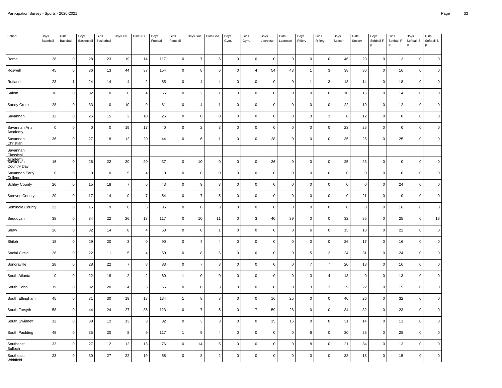| School                                             | Boys<br>Baseball        | Girls<br>Baseball | Boys<br>Basketball | Girls<br>Basketball | Boys XC        | Girls XC       | Boys<br>Football | Girls<br>Football   | Boys Golf        | Girls Golf     | Boys<br>Gym. | Girls<br>Gym.       | Boys<br>Lacrosse | Girls<br>Lacrosse       | Boys<br>Riflery     | Girls<br>Riflery    | Boys<br>Soccer      | Girls<br>Soccer | Boys<br>Softball-F<br>P | Girls<br>Softball-F<br>P | Boys<br>Softball-S<br>P | Girls<br>Softball-S<br>P |
|----------------------------------------------------|-------------------------|-------------------|--------------------|---------------------|----------------|----------------|------------------|---------------------|------------------|----------------|--------------|---------------------|------------------|-------------------------|---------------------|---------------------|---------------------|-----------------|-------------------------|--------------------------|-------------------------|--------------------------|
| Rome                                               | 28                      | $\mathsf 0$       | 28                 | 23                  | 19             | 14             | 117              | $\mathsf{O}\xspace$ | $\overline{7}$   | 5              | $\mathsf 0$  | $\mathsf 0$         | $\mathbf 0$      | $\overline{\mathbf{0}}$ | $\mathsf{O}\xspace$ | $\mathsf{O}\xspace$ | 46                  | 29              | $\mathsf 0$             | 13                       | 0                       | $\mathsf 0$              |
| Roswell                                            | 45                      | $\mathsf 0$       | 36                 | 13                  | 44             | 37             | 154              | 0                   | 8                | 6              | $\mathbf 0$  | 4                   | 54               | 43                      | $\mathbf{1}$        | 3                   | 38                  | 36              | $\mathbf 0$             | 16                       | 0                       | $\mathbf 0$              |
| Rutland                                            | 23                      | $\overline{1}$    | 24                 | 14                  | $\overline{4}$ | $\overline{2}$ | 65               | 0                   | $\overline{4}$   | $\overline{4}$ | $\mathbf 0$  | 0                   | $\mathbf 0$      | $\mathbf 0$             | $\overline{1}$      | 3                   | 18                  | 14              | $\mathbf 0$             | 18                       | 0                       | $\mathsf 0$              |
| Salem                                              | 16                      | $\mathsf 0$       | 32                 | $\mathbf 0$         | 6              | $\overline{4}$ | 56               | $\mathsf 0$         | $\overline{2}$   | $\overline{1}$ | $\mathbf{0}$ | $\mathsf 0$         | $\mathbf 0$      | $\pmb{0}$               | $\mathsf 0$         | $\mathsf 0$         | 10                  | 16              | $\overline{0}$          | 14                       | $\pmb{0}$               | $\mathsf 0$              |
| Sandy Creek                                        | 28                      | $\mathsf 0$       | 33                 | $\mathsf 0$         | 10             | 9              | 81               | 0                   | $\overline{4}$   | $\mathbf{1}$   | $\mathbf 0$  | $\mathsf 0$         | $\mathbf 0$      | $\mathbf 0$             | $\mathbf 0$         | $\mathsf 0$         | 22                  | 19              | $\mathbf 0$             | 12                       | 0                       | $\mathsf 0$              |
| Savannah                                           | 12                      | $\mathbf 0$       | 25                 | 15                  | $\overline{c}$ | 10             | 25               | 0                   | $\mathbf 0$      | $\mathbf 0$    | $\mathbf 0$  | $\mathbf 0$         | $\mathbf 0$      | $\mathbf 0$             | 3                   | 3                   | $\mathbf 0$         | 12              | $\Omega$                | $\mathbf 0$              | 0                       | $\mathbf 0$              |
| Savannah Arts<br>Academy                           | $\mathbf 0$             | $\mathbf 0$       | $\mathbf 0$        | $\mathsf 0$         | 19             | 17             | $\mathsf 0$      | $\pmb{0}$           | $\overline{2}$   | $\mathbf{3}$   | $\mathbf{0}$ | $\mathsf 0$         | $\mathsf 0$      | $\mathbf 0$             | $\mathbf 0$         | $\mathbf 0$         | 23                  | 25              | $\mathbf 0$             | $\mathbf 0$              | $\mathbf 0$             | $\mathbf 0$              |
| Savannah<br>Christian                              | 36                      | $\mathbf 0$       | 27                 | 18                  | 12             | 20             | 44               | $\mathsf 0$         | 6                | $\mathbf{1}$   | $\mathbf 0$  | $\mathbf 0$         | 28               | $\mathbf 0$             | $\mathsf 0$         | $\mathbf 0$         | 35                  | 25              | $\mathbf 0$             | 25                       | 0                       | $\mathsf 0$              |
| Savannah<br>Classical                              |                         |                   |                    |                     |                |                |                  |                     |                  |                |              |                     |                  |                         |                     |                     |                     |                 |                         |                          |                         |                          |
| <b>A</b> sademy <sub>h</sub><br><b>Country Day</b> | 16                      | $\mathbf 0$       | 26                 | 22                  | $20\,$         | 20             | 37               | $\mathsf 0$         | $10\,$           | $\overline{0}$ | $\mathbf{0}$ | $\mathsf 0$         | 26               | $\pmb{0}$               | $\mathbf 0$         | $\mathsf 0$         | 25                  | 23              | $\Omega$                | $\mathbf 0$              | $\mathbf 0$             | $\mathsf 0$              |
| Savannah Early<br>College                          | $\overline{\mathbf{0}}$ | $\mathsf 0$       | $\mathbf 0$        | $\mathsf 0$         | $\sqrt{5}$     | $\overline{4}$ | $\mathbf 0$      | 0                   | $\mathbf 0$      | $\mathbf 0$    | $\mathbf 0$  | $\mathsf 0$         | $\mathsf 0$      | $\mathbf 0$             | $\mathsf 0$         | $\mathsf 0$         | $\mathsf 0$         | $\mathbf 0$     | $\mathbf 0$             | $\mathbf 0$              | 0                       | $\mathsf 0$              |
| <b>Schley County</b>                               | 26                      | $\mathbf 0$       | 15                 | 18                  | $\overline{7}$ | 6              | 43               | 0                   | 9                | 3              | $\mathbf 0$  | $\mathsf 0$         | $\mathbf 0$      | $\mathbf 0$             | $\mathbf 0$         | $\mathbf 0$         | $\mathbf 0$         | $\mathbf 0$     | $\mathbf 0$             | 24                       | 0                       | $\mathbf 0$              |
| Screven County                                     | 20                      | $\mathbf 0$       | 17                 | 14                  | $\mathbf 0$    | $\overline{7}$ | 54               | $\mathsf 0$         | $\overline{7}$   | $\sqrt{5}$     | $\mathbf{0}$ | $\mathsf{O}$        | $\mathbf 0$      | $\pmb{0}$               | $\mathbf 0$         | $\mathsf 0$         | $\mathsf 0$         | 21              | $\mathbf 0$             | $\mathbf 0$              | 0                       | $\mathbf 0$              |
| Seminole County                                    | 22                      | $\mathsf 0$       | 15                 | 9                   | 8              | 5              | 36               | 0                   | 8                | 3              | $\mathbf 0$  | $\mathsf{O}\xspace$ | $\mathsf 0$      | $\mathbf 0$             | $\mathbf 0$         | $\mathsf 0$         | $\mathsf{O}\xspace$ | $\mathbf 0$     | $\mathbf 0$             | 16                       | 0                       | $\mathbf 0$              |
| Sequoyah                                           | 38                      | $\mathbf 0$       | 34                 | 22                  | 26             | 13             | 117              | 0                   | 10               | 11             | $\mathbf 0$  | 3                   | 40               | 39                      | $\mathsf 0$         | $\mathbf 0$         | 32                  | 35              | $\mathbf 0$             | 25                       | 0                       | 18                       |
| Shaw                                               | 26                      | $\mathbf 0$       | 32                 | 14                  | 8              | $\overline{4}$ | 63               | $\mathsf 0$         | $\mathbf 0$      | $\overline{1}$ | $\mathbf{0}$ | $\mathsf 0$         | $\mathbf 0$      | $\pmb{0}$               | 6                   | $\mathsf 0$         | 15                  | 18              | $\mathbf 0$             | 22                       | 0                       | $\mathsf 0$              |
| Shiloh                                             | 18                      | $\mathsf 0$       | 29                 | 20                  | $\mathbf{3}$   | $\mathbf 0$    | 90               | $\mathsf 0$         | $\overline{4}$   | $\overline{4}$ | $\mathbf 0$  | $\mathsf 0$         | $\mathsf 0$      | $\mathbf 0$             | $\mathbf 0$         | $\mathsf 0$         | 26                  | 17              | $\mathbf 0$             | 16                       | 0                       | $\mathsf 0$              |
| Social Circle                                      | 26                      | $\mathbf 0$       | 22                 | 11                  | 5              | 4              | 50               | 0                   | 8                | 6              | $\mathbf 0$  | $\mathbf 0$         | $\mathbf 0$      | $\mathbf 0$             | 5                   | 2                   | 24                  | 31              | $\mathbf 0$             | 24                       | 0                       | $\mathbf 0$              |
| Sonoraville                                        | 28                      | $\mathbf 0$       | 28                 | 22                  | $\overline{7}$ | 8              | 83               | $\mathsf 0$         | $\overline{7}$   | 3              | $\mathbf 0$  | $\mathsf 0$         | $\mathbf 0$      | $\pmb{0}$               | $\overline{7}$      | $\overline{7}$      | 20                  | 18              | $\Omega$                | $16$                     | 0                       | $\mathbf 0$              |
| South Atlanta                                      | $\overline{0}$          | $\mathsf 0$       | 22                 | 18                  | $\overline{2}$ | $\overline{2}$ | 60               | $\mathbf{1}$        | $\mathbf 0$      | $\mathbf 0$    | $\mathbf 0$  | $\mathbf 0$         | $\mathsf 0$      | $\mathbf 0$             | 3                   | $\overline{4}$      | 13                  | $\mathbf 0$     | $\mathsf 0$             | 13                       | 0                       | $\mathsf 0$              |
| South Cobb                                         | 19                      | $\mathbf 0$       | 32                 | 20                  | $\overline{4}$ | 5              | 65               | 0                   | $\mathbf 0$      | 3              | $\mathbf 0$  | 0                   | $\mathbf 0$      | $\mathbf 0$             | 3                   | 3                   | 29                  | 22              | $\mathbf 0$             | 15                       | 0                       | $\mathbf 0$              |
| South Effingham                                    | 45                      | $\mathbf 0$       | 31                 | 30                  | 19             | 18             | 134              | $\mathbf{1}$        | 8                | 8              | $\mathbf 0$  | $\mathsf 0$         | 16               | 25                      | $\mathbf 0$         | $\mathbf{0}$        | 40                  | 26              | $\mathbf 0$             | 32                       | 0                       | $\mathsf 0$              |
| South Forsyth                                      | 58                      | $\mathsf 0$       | 44                 | 24                  | 27             | 35             | 123              | $\mathbf 0$         | $\overline{7}$   | 5              | $\mathsf 0$  | $\overline{7}$      | 59               | 28                      | $\mathsf{O}\xspace$ | $\mathsf 0$         | 34                  | 32              | $\mathbf 0$             | 23                       | 0                       | $\mathsf 0$              |
| South Gwinnett                                     | 12                      | $\mathbf 0$       | 38                 | 12                  | 13             | 3              | 82               | 0                   | 3                | 3              | $\mathbf 0$  | $\mathsf 0$         | 15               | 16                      | $\mathbf 0$         | $\mathbf 0$         | 31                  | 14              | $\mathbf 0$             | 11                       | 0                       | $\mathbf 0$              |
| South Paulding                                     | 48                      | $\mathbf 0$       | 35                 | 20                  | 8              | 9              | 117              | $\mathbf{1}$        | $\boldsymbol{9}$ | $\overline{4}$ | $\mathbf 0$  | $\mathsf 0$         | $\mathsf 0$      | $\pmb{0}$               | 6                   | $\mathbf 0$         | 30                  | 35              | $\mathbf 0$             | 28                       | 0                       | $\mathbf 0$              |
| Southeast<br>Bulloch                               | 33                      | $\mathsf 0$       | 27                 | 12                  | 12             | 13             | 76               | 0                   | 14               | 5              | $\mathbf 0$  | $\mathsf 0$         | $\mathbf 0$      | $\mathbf 0$             | 8                   | $\mathsf 0$         | 21                  | 34              | $\mathbf 0$             | 13                       | 0                       | $\mathsf 0$              |
| Southeast<br>Whitfield                             | 23                      | $\mathbf 0$       | 30                 | 27                  | 22             | 19             | 58               | $\mathsf 0$         | 8                | $\overline{2}$ | $\mathbf 0$  | 0                   | $\mathsf 0$      | $\mathbf 0$             | $\mathsf 0$         | $\mathbf 0$         | 38                  | 18              | $\mathbf 0$             | 15                       | 0                       | $\mathbf 0$              |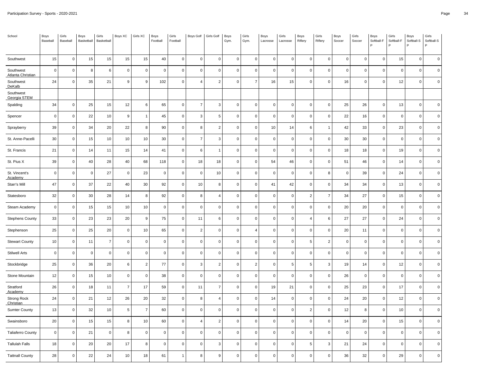| School                          | Boys<br>Baseball        | Girls<br>Baseball | Boys<br>Basketball | Girls<br>Basketball | Boys XC         | Girls XC       | Boys<br>Football | Girls<br>Football | <b>Boys Golf</b> | Girls Golf     | Boys<br>Gym. | Girls<br>Gym.       | Boys<br>Lacrosse    | Girls<br>Lacrosse | Boys<br>Riflery     | Girls<br>Riflery    | Boys<br>Soccer      | Girls<br>Soccer | Boys<br>Softball-F<br>P | Girls<br>Softball-F<br>P | Boys<br>Softball-S<br>P | Girls<br>Softball-S<br>P |
|---------------------------------|-------------------------|-------------------|--------------------|---------------------|-----------------|----------------|------------------|-------------------|------------------|----------------|--------------|---------------------|---------------------|-------------------|---------------------|---------------------|---------------------|-----------------|-------------------------|--------------------------|-------------------------|--------------------------|
| Southwest                       | 15                      | $\mathbf 0$       | 15                 | 15                  | 15              | 15             | 40               | 0                 | 0                | 0              | $\mathbf 0$  | $\mathbf 0$         | $\mathsf 0$         | $\pmb{0}$         | $\mathbf 0$         | $\mathbf 0$         | 0                   | $\mathbf 0$     | 0                       | 15                       | 0                       | $\mathsf 0$              |
| Southwest<br>Atlanta Christian  | $\overline{0}$          | $\mathbf 0$       | 8                  | 6                   | $\mathbf 0$     | $\Omega$       | $\mathbf 0$      | $\mathbf 0$       | $\mathbf 0$      | $\mathbf 0$    | $\mathbf{0}$ | $\mathsf 0$         | $\mathsf 0$         | $\mathbf 0$       | $\mathbf{0}$        | $\mathbf 0$         | $\mathbf 0$         | $\mathbf 0$     | $\Omega$                | $\mathbf 0$              | $\mathbf 0$             | $\mathbf 0$              |
| Southwest<br>DeKalb             | 24                      | $\mathbf 0$       | 35                 | 21                  | $\mathsf g$     | 9              | 102              | $\mathbf 0$       | $\overline{4}$   | $\overline{2}$ | $\mathbf 0$  | $\overline{7}$      | 16                  | 15                | $\mathbf 0$         | $\mathsf 0$         | 16                  | $\mathbf 0$     | $\mathbf 0$             | 12                       | 0                       | $\mathsf 0$              |
| Southwest<br>Georgia STEM       |                         |                   |                    |                     |                 |                |                  |                   |                  |                |              |                     |                     |                   |                     |                     |                     |                 |                         |                          |                         |                          |
| Spalding                        | 34                      | $\mathbf 0$       | 25                 | 15                  | 12              | 6              | 65               | $\mathsf 0$       | $\overline{7}$   | 3              | $\mathbf{0}$ | $\mathsf 0$         | $\mathbf 0$         | $\pmb{0}$         | $\mathbf 0$         | $\mathsf 0$         | 25                  | 26              | $\Omega$                | 13                       | 0                       | $\mathbf 0$              |
| Spencer                         | $\overline{\mathbf{0}}$ | $\mathsf 0$       | 22                 | 10                  | 9               | 1              | 45               | $\mathsf 0$       | $\mathbf{3}$     | $\,$ 5 $\,$    | $\mathbf 0$  | 0                   | $\mathbf 0$         | $\mathbf 0$       | $\mathbf{0}$        | $\mathsf 0$         | 22                  | 16              | $\mathbf 0$             | $\mathbf 0$              | 0                       | $\mathsf 0$              |
| Sprayberry                      | 39                      | $\mathbf 0$       | 34                 | 20                  | 22              | 8              | 90               | 0                 | 8                | $\overline{2}$ | $\mathbf 0$  | $\mathsf 0$         | 10                  | 14                | 6                   | $\mathbf{1}$        | 42                  | 33              | $\mathbf 0$             | 23                       | 0                       | $\mathbf 0$              |
| St. Anne-Pacelli                | 30                      | $\mathbf 0$       | 15                 | 10                  | 10              | 10             | 30               | 0                 | $\overline{7}$   | -3             | $\mathbf 0$  | 0                   | $\mathbf 0$         | $\mathbf 0$       | $\mathbf 0$         | $\mathbf 0$         | 30                  | 30              | $\Omega$                | $\mathbf 0$              | 0                       | $\mathsf 0$              |
| St. Francis                     | 21                      | $\mathsf 0$       | 14                 | 11                  | 15              | 14             | 41               | $\mathsf 0$       | 6                | -1             | $\mathbf 0$  | $\mathsf 0$         | $\mathbf 0$         | $\pmb{0}$         | $\mathsf 0$         | $\mathbf 0$         | 18                  | 18              | $\mathbf 0$             | 19                       | 0                       | $\mathsf 0$              |
| St. Pius X                      | 39                      | $\mathbf 0$       | 40                 | 28                  | 40              | 68             | 118              | 0                 | 18               | 18             | $\mathbf 0$  | $\mathbf 0$         | 54                  | 46                | $\mathbf 0$         | $\mathbf 0$         | 51                  | 46              | $\mathbf 0$             | 14                       | 0                       | $\mathsf 0$              |
| St. Vincent's<br>Academy        | $\overline{\mathbf{0}}$ | $\mathbf 0$       | $\pmb{0}$          | 27                  | $\mathbf 0$     | 23             | $\mathbf 0$      | 0                 | $\mathbf 0$      | 10             | $\mathbf 0$  | $\mathbf 0$         | $\mathbf 0$         | $\mathbf 0$       | $\mathbf 0$         | 8                   | $\mathbf 0$         | 39              | $\mathbf 0$             | 24                       | 0                       | $\mathbf 0$              |
| Starr's Mill                    | 47                      | $\mathbf 0$       | $37\,$             | 22                  | $40\,$          | 30             | 92               | $\pmb{0}$         | $10\,$           | 8              | $\mathbf{0}$ | $\mathsf 0$         | 41                  | 42                | $\mathsf 0$         | $\mathbf 0$         | 34                  | 34              | $\mathbf 0$             | 13                       | 0                       | $\mathbf 0$              |
| Statesboro                      | 32                      | $\mathsf 0$       | 30                 | 28                  | 14              | 8              | 92               | $\mathsf 0$       | 8                | $\overline{4}$ | $\mathbf 0$  | $\mathbf 0$         | $\mathsf 0$         | $\mathbf 0$       | $\overline{2}$      | $\overline{7}$      | 34                  | 27              | $\mathsf 0$             | 15                       | 0                       | $\mathsf 0$              |
| Steam Academy                   | $\overline{0}$          | $\mathbf 0$       | 15                 | 15                  | 10              | 10             | $\mathbf 0$      | 0                 | $\mathbf 0$      | $\mathbf 0$    | $\mathbf 0$  | $\mathbf 0$         | $\mathbf 0$         | $\mathbf 0$       | $\mathbf 0$         | $\mathbf 0$         | 20                  | 20              | $\mathbf 0$             | $\mathbf 0$              | 0                       | $\mathbf 0$              |
| <b>Stephens County</b>          | 33                      | $\mathbf 0$       | 23                 | 23                  | $20\,$          | 9              | ${\bf 75}$       | 0                 | 11               | 6              | $\mathbf 0$  | $\mathsf 0$         | $\mathsf{O}\xspace$ | $\pmb{0}$         | $\overline{4}$      | 6                   | 27                  | 27              | $\Omega$                | 24                       | 0                       | $\mathsf 0$              |
| Stephenson                      | 25                      | $\mathsf 0$       | 25                 | 20                  | $\mathbf 0$     | 10             | 65               | $\mathsf 0$       | $\overline{2}$   | $\overline{0}$ | $\mathbf 0$  | 4                   | $\mathbf 0$         | $\mathbf 0$       | $\mathsf 0$         | $\mathbf 0$         | 20                  | 11              | $\mathbf 0$             | $\mathbf 0$              | 0                       | $\mathsf 0$              |
| <b>Stewart County</b>           | 10                      | $\mathbf 0$       | 11                 | $\overline{7}$      | $\mathbf 0$     | $\mathbf 0$    | $\mathbf 0$      | $\mathbf 0$       | $\mathbf 0$      | $\mathbf 0$    | $\mathbf 0$  | 0                   | $\mathsf 0$         | $\mathbf 0$       | 5                   | 2                   | $\mathbf 0$         | $\mathbf 0$     | $\mathbf 0$             | $\mathbf 0$              | $\mathbf 0$             | $\mathbf 0$              |
| <b>Stilwell Arts</b>            | $\overline{0}$          | $\mathbf 0$       | $\pmb{0}$          | $\mathsf 0$         | $\mathbf 0$     | $\Omega$       | $\mathsf 0$      | $\mathsf 0$       | $\mathbf 0$      | $\mathbf 0$    | $\mathbf 0$  | $\mathsf 0$         | $\mathbf 0$         | $\pmb{0}$         | $\mathbf 0$         | $\mathsf 0$         | $\mathsf{O}\xspace$ | $\mathbf 0$     | $\Omega$                | $\mathbf 0$              | 0                       | $\mathbf 0$              |
| Stockbridge                     | 25                      | $\mathsf 0$       | 36                 | 20                  | $6\phantom{1}6$ | $\overline{2}$ | 77               | $\mathsf 0$       | $\mathbf{3}$     | $\overline{2}$ | $\mathsf 0$  | $\overline{2}$      | $\mathsf 0$         | 5                 | 5                   | $\mathbf{3}$        | 19                  | 14              | $\mathbf 0$             | 12                       | $\mathbf 0$             | $\mathsf 0$              |
| Stone Mountain                  | 12                      | $\mathbf 0$       | 15                 | 10                  | $\mathbf 0$     | $\mathbf 0$    | 38               | 0                 | $\mathbf 0$      | $\mathbf 0$    | $\mathbf 0$  | $\mathbf 0$         | $\mathsf 0$         | $\mathbf 0$       | $\mathbf 0$         | $\mathbf 0$         | 26                  | $\mathbf 0$     | $\mathbf 0$             | $\mathbf 0$              | 0                       | $\mathsf 0$              |
| Stratford<br>Academy            | 26                      | $\mathbf 0$       | 18                 | 11                  | $\overline{7}$  | 17             | 59               | $\mathbf 0$       | 11               | $\overline{7}$ | $\mathbf 0$  | $\mathbf 0$         | 19                  | 21                | $\mathbf 0$         | $\mathbf 0$         | 25                  | 23              | $\mathbf 0$             | 17                       | 0                       | $\mathsf 0$              |
| <b>Strong Rock</b><br>Christian | 24                      | $\mathbf 0$       | 21                 | 12                  | 26              | 20             | 32               | 0                 | 8                | $\overline{4}$ | $\mathbf 0$  | $\mathsf 0$         | 14                  | $\pmb{0}$         | $\mathbf 0$         | $\mathbf 0$         | 24                  | 20              | $\pmb{0}$               | 12                       | 0                       | $\mathsf 0$              |
| <b>Sumter County</b>            | 13                      | $\mathbf 0$       | 32                 | 10                  | 5               | $\overline{7}$ | 60               | 0                 | $\mathbf 0$      | $\mathbf 0$    | $\mathbf 0$  | $\mathsf{O}\xspace$ | $\mathsf 0$         | $\mathbf 0$       | $\overline{2}$      | $\mathbf 0$         | 12                  | 8               | $\mathbf 0$             | 10                       | $\mathbf 0$             | $\mathbf 0$              |
| Swainsboro                      | 20                      | $\mathbf 0$       | 15                 | 15                  | 8               | 10             | 60               | $\mathsf 0$       | $\overline{4}$   | $\overline{2}$ | $\mathbf{0}$ | $\mathsf{O}\xspace$ | $\mathsf 0$         | $\mathbf 0$       | $\mathbf 0$         | $\mathbf 0$         | 14                  | 20              | $\Omega$                | 15                       | 0                       | $\mathbf 0$              |
| <b>Taliaferro County</b>        | $\mathbf 0$             | $\mathbf 0$       | 21                 | $\mathsf{O}\xspace$ | 8               | $\mathsf 0$    | $\mathsf 0$      | $\pmb{0}$         | $\mathbf 0$      | $\mathbf 0$    | $\mathsf 0$  | $\mathsf 0$         | $\mathsf 0$         | $\pmb{0}$         | $\mathsf{O}\xspace$ | $\mathsf{O}\xspace$ | $\mathsf 0$         | $\pmb{0}$       | $\mathbf 0$             | $\mathbf 0$              | 0                       | $\mathsf 0$              |
| <b>Tallulah Falls</b>           | 18                      | $\mathsf 0$       | 20                 | 20                  | 17              | 8              | $\mathbf 0$      | 0                 | $\mathbf 0$      | 3              | $\mathbf 0$  | $\mathsf 0$         | $\mathbf 0$         | $\mathbf 0$       | 5                   | 3                   | 21                  | 24              | $\mathbf 0$             | $\mathbf 0$              | 0                       | $\mathsf 0$              |
| <b>Tattnall County</b>          | 28                      | $\mathbf 0$       | 22                 | 24                  | 10              | 18             | 61               | $\mathbf{1}$      | 8                | 9              | $\mathbf 0$  | $\mathbf 0$         | $\mathsf 0$         | $\overline{0}$    | $\mathbf 0$         | $\mathbf{0}$        | 36                  | 32              | $\Omega$                | 29                       | $\mathbf 0$             | $\mathsf 0$              |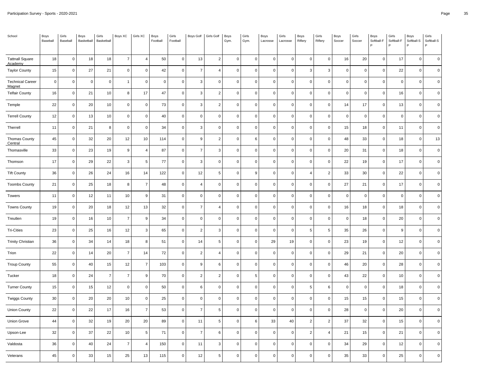| School                            | Boys<br>Baseball | Girls<br>Baseball | Boys<br>Basketball | Girls<br>Basketball | Boys XC        | Girls XC                | Boys<br>Football | Girls<br>Football | <b>Boys Golf</b> | Girls Golf              | Boys<br>Gym.        | Girls<br>Gym. | Boys<br>Lacrosse | Girls<br>Lacrosse | Boys<br>Riflery | Girls<br>Riflery | Boys<br>Soccer | Girls<br>Soccer | Boys<br>Softball-F<br>P | Girls<br>Softball-F<br>P | Boys<br>Softball-S<br>P | Girls<br>Softball-S<br>P |
|-----------------------------------|------------------|-------------------|--------------------|---------------------|----------------|-------------------------|------------------|-------------------|------------------|-------------------------|---------------------|---------------|------------------|-------------------|-----------------|------------------|----------------|-----------------|-------------------------|--------------------------|-------------------------|--------------------------|
| <b>Tattnall Square</b><br>Academy | 18               | $\pmb{0}$         | 18                 | 18                  | $\overline{7}$ | $\overline{\mathbf{4}}$ | 50               | $\mathbf 0$       | 13               | $\overline{c}$          | 0                   | $\mathbf 0$   | $\pmb{0}$        | $\mathbf 0$       | $\mathbf 0$     | $\pmb{0}$        | $16\,$         | 20              | $\mathbf 0$             | 17                       | $\mathsf{O}\xspace$     | $\mathsf 0$              |
| <b>Taylor County</b>              | 15               | $\mathsf 0$       | 27                 | 21                  | $\mathsf 0$    | 0                       | 42               | $\overline{0}$    | $\overline{7}$   | $\overline{4}$          | 0                   | $\mathsf 0$   | $\mathbf 0$      | $\mathbf 0$       | 3               | 3                | $\mathsf 0$    | $\mathbf 0$     | $\mathbf 0$             | 22                       | $\mathbf 0$             | $\mathsf 0$              |
| <b>Technical Career</b><br>Magnet | 0                | $\mathsf 0$       | $\mathbf 0$        | $\mathbf 0$         | $\overline{1}$ | 0                       | $\mathsf 0$      | $\mathbf 0$       | 3                | $\mathbf 0$             | 0                   | $\mathsf 0$   | $\mathbf 0$      | $\mathbf 0$       | $\mathsf 0$     | 0                | $\mathsf 0$    | $\mathbf 0$     | $\mathbf 0$             | $\mathbf 0$              | $\mathbf 0$             | $\mathsf 0$              |
| <b>Telfair County</b>             | 16               | $\mathsf 0$       | 21                 | 10                  | 8              | 17                      | 47               | $\overline{0}$    | 3                | $\overline{2}$          | $\mathbf 0$         | $\mathsf 0$   | $\mathbf 0$      | $\mathbf 0$       | $\mathbf 0$     | $\mathbf 0$      | $\mathsf 0$    | $\mathbf 0$     | $\mathbf 0$             | 16                       | $\mathbf 0$             | $\mathsf 0$              |
| Temple                            | 22               | $\mathsf 0$       | 20                 | $10$                | $\pmb{0}$      | $\pmb{0}$               | $73\,$           | $\overline{0}$    | 3                | $\overline{2}$          | $\mathsf{O}\xspace$ | $\mathsf 0$   | $\pmb{0}$        | $\mathbf 0$       | $\mathbf 0$     | $\pmb{0}$        | 14             | 17              | $\pmb{0}$               | 13                       | $\pmb{0}$               | $\mathbf 0$              |
| <b>Terrell County</b>             | 12               | $\mathsf 0$       | 13                 | 10                  | $\mathbf 0$    | 0                       | 40               | $\overline{0}$    | $\Omega$         | $\mathbf 0$             | 0                   | $\mathsf 0$   | $\mathbf 0$      | $\mathbf 0$       | $\mathbf 0$     | 0                | $\mathsf 0$    | $\mathbf 0$     | $\mathbf 0$             | $\mathbf 0$              | $\mathbf 0$             | $\mathsf 0$              |
| Therrell                          | 11               | $\mathsf 0$       | 21                 | 8                   | $\mathbf 0$    | $\mathbf 0$             | 34               | $\mathbf 0$       | 3                | $\mathbf 0$             | $\mathbf 0$         | $\mathsf 0$   | $\mathbf 0$      | $\mathbf 0$       | $\mathsf 0$     | $\mathbf 0$      | 15             | 18              | $\mathbf 0$             | 11                       | $\mathbf 0$             | $\mathsf 0$              |
| Thomas County<br>Central          | 45               | $\mathsf 0$       | 32                 | 20                  | 12             | 10                      | 114              | $\overline{0}$    | 9                | $\overline{2}$          | $\mathbf 0$         | $\,6\,$       | $\mathbf 0$      | $\mathbf 0$       | $\mathsf 0$     | 0                | 48             | 33              | $\mathbf 0$             | 18                       | $\mathsf 0$             | 13                       |
| Thomasville                       | 33               | $\mathsf 0$       | 23                 | 19                  | 9              | 4                       | 87               | $\overline{0}$    | $\overline{7}$   | 3                       | 0                   | $\mathsf 0$   | $\mathbf 0$      | $\mathbf 0$       | $\mathbf 0$     | 0                | 20             | 31              | $\pmb{0}$               | 18                       | $\mathbf 0$             | $\mathsf 0$              |
| Thomson                           | 17               | $\mathsf 0$       | 29                 | 22                  | 3              | $\overline{5}$          | 77               | $\mathbf 0$       | 3                | $\mathbf 0$             | 0                   | $\mathbf 0$   | $\mathbf 0$      | $\Omega$          | $\mathbf{0}$    | $\mathbf 0$      | 22             | 19              | $\mathbf 0$             | 17                       | $\mathbf 0$             | $\mathsf 0$              |
| <b>Tift County</b>                | 36               | $\mathsf 0$       | 26                 | 24                  | 16             | 14                      | 122              | $\overline{0}$    | 12               | 5                       | $\mathbf 0$         | 9             | $\mathbf 0$      | $\mathbf 0$       | $\overline{4}$  | $\overline{c}$   | 33             | 30              | $\mathbf 0$             | 22                       | $\mathbf 0$             | $\mathsf 0$              |
| <b>Toombs County</b>              | 21               | $\mathsf 0$       | 25                 | 18                  | 8              | $\overline{7}$          | 48               | $\overline{0}$    | $\overline{4}$   | $\mathbf 0$             | 0                   | $\mathsf 0$   | $\mathbf 0$      | $\mathbf 0$       | $\mathsf 0$     | 0                | 27             | 21              | $\mathbf 0$             | 17                       | $\mathbf 0$             | $\mathsf 0$              |
| Towers                            | 11               | $\mathsf 0$       | 12                 | 11                  | 10             | 9                       | 31               | $\pmb{0}$         | $\mathbf 0$      | $\mathbf 0$             | 0                   | $\mathsf 0$   | $\mathbf 0$      | $\mathbf 0$       | $\mathbf 0$     | 0                | $\mathbf 0$    | $\mathbf 0$     | $\mathbf 0$             | $\mathbf 0$              | $\mathbf 0$             | $\mathbf 0$              |
| <b>Towns County</b>               | 19               | $\mathsf 0$       | 20                 | $18\,$              | 12             | 13                      | 32               | $\overline{0}$    | $\overline{7}$   | $\overline{\mathbf{4}}$ | $\pmb{0}$           | $\mathsf 0$   | $\pmb{0}$        | $\mathbf 0$       | $\mathbf 0$     | 0                | $16\,$         | 18              | $\mathbf 0$             | 18                       | $\mathsf{O}\xspace$     | $\mathsf 0$              |
| Treutlen                          | 19               | $\mathsf 0$       | 16                 | 10                  | $\overline{7}$ | 9                       | 34               | $\overline{0}$    | $\mathbf 0$      | $\mathbf 0$             | 0                   | $\mathsf 0$   | $\mathbf 0$      | $\mathbf 0$       | $\mathsf 0$     | $\mathbf 0$      | $\mathsf 0$    | 18              | $\mathbf 0$             | 20                       | $\mathbf 0$             | $\mathsf 0$              |
| <b>Tri-Cities</b>                 | 23               | $\mathsf 0$       | 25                 | 16                  | 12             | 3                       | 65               | $\pmb{0}$         | $\overline{2}$   | 3                       | 0                   | $\mathsf 0$   | $\mathbf 0$      | $\mathbf 0$       | 5               | 5                | 35             | 26              | $\mathbf 0$             | 9                        | $\mathbf 0$             | $\pmb{0}$                |
| <b>Trinity Christian</b>          | 36               | $\mathsf 0$       | 34                 | 14                  | 18             | 8                       | 51               | $\overline{0}$    | 14               | 5                       | 0                   | $\mathsf 0$   | 29               | 19                | $\mathsf 0$     | 0                | 23             | 19              | $\mathbf 0$             | 12                       | $\mathbf 0$             | $\mathsf 0$              |
| Trion                             | 22               | $\mathsf 0$       | 14                 | 20                  | $\overline{7}$ | 14                      | $72\,$           | $\overline{0}$    | $\overline{2}$   | $\overline{4}$          | $\mathbf 0$         | $\mathsf 0$   | $\pmb{0}$        | $\mathbf 0$       | $\mathbf 0$     | 0                | 29             | 21              | $\mathbf 0$             | 20                       | $\mathbf 0$             | $\mathsf 0$              |
| <b>Troup County</b>               | 55               | $\mathsf 0$       | 40                 | 15                  | 12             | $\overline{7}$          | 103              | $\mathbf 0$       | 9                | 6                       | 0                   | $\mathsf 0$   | $\mathbf 0$      | $\Omega$          | $\mathbf 0$     | $\mathbf 0$      | 46             | 20              | $\mathbf 0$             | 28                       | $\mathbf 0$             | $\mathsf 0$              |
| Tucker                            | 18               | $\mathsf 0$       | 24                 | $\overline{7}$      | $\overline{7}$ | 9                       | 70               | $\overline{0}$    | 2                | $\overline{2}$          | 0                   | $\,$ 5 $\,$   | $\mathbf 0$      | $\mathbf 0$       | $\mathsf 0$     | $\mathbf 0$      | 43             | 22              | $\mathbf 0$             | 10                       | $\mathbf 0$             | $\mathsf 0$              |
| <b>Turner County</b>              | 15               | $\mathsf 0$       | 15                 | 12                  | $\pmb{0}$      | $\mathbf 0$             | 50               | $\overline{0}$    | 6                | $\pmb{0}$               | $\mathsf 0$         | $\mathsf 0$   | $\pmb{0}$        | $\mathbf 0$       | 5               | 6                | $\mathsf 0$    | $\pmb{0}$       | $\mathbf 0$             | 18                       | $\mathsf 0$             | $\mathsf 0$              |
| <b>Twiggs County</b>              | 30               | $\mathsf 0$       | 20                 | 20                  | 10             | 0                       | 25               | $\overline{0}$    | $\mathbf 0$      | $\mathbf 0$             | 0                   | $\mathsf 0$   | $\pmb{0}$        | $\mathsf 0$       | $\mathbf 0$     | 0                | 15             | 15              | $\mathbf 0$             | 15                       | $\mathbf 0$             | $\mathsf 0$              |
| <b>Union County</b>               | 22               | $\mathsf 0$       | 22                 | 17                  | 16             | $\overline{7}$          | 53               | $\,0\,$           | $\overline{7}$   | 5                       | $\mathsf 0$         | $\mathsf 0$   | $\mathbf 0$      | $\mathbf 0$       | $\mathsf 0$     | $\mathbf 0$      | 28             | $\mathbf 0$     | $\mathbf 0$             | 20                       | $\mathbf 0$             | $\mathsf 0$              |
| Union Grove                       | 44               | $\mathsf 0$       | 32                 | 19                  | 20             | 20                      | 89               | $\overline{0}$    | 11               | 5                       | 0                   | $\,6\,$       | 33               | 40                | $\overline{2}$  | $\overline{c}$   | 37             | 32              | $\mathbf 0$             | 15                       | $\mathbf 0$             | $\mathsf 0$              |
| Upson-Lee                         | 32               | $\mathsf 0$       | 37                 | 22                  | 10             | 5                       | 71               | $\overline{0}$    | $\overline{7}$   | $\,6\,$                 | 0                   | $\mathsf 0$   | $\mathbf 0$      | $\mathbf 0$       | $\overline{2}$  | $\overline{4}$   | 21             | 15              | $\mathbf 0$             | 21                       | $\mathbf 0$             | $\mathsf 0$              |
| Valdosta                          | 36               | $\mathsf 0$       | 40                 | 24                  | $\overline{7}$ | 4                       | 150              | $\pmb{0}$         | 11               | 3                       | 0                   | $\mathsf 0$   | $\mathbf 0$      | $\mathbf 0$       | $\mathbf 0$     | 0                | 34             | 29              | $\mathbf 0$             | 12                       | $\mathbf 0$             | $\mathbf 0$              |
| Veterans                          | 45               | $\mathsf 0$       | 33                 | 15                  | 25             | 13                      | 115              | $\pmb{0}$         | 12               | 5                       | 0                   | $\mathsf 0$   | $\pmb{0}$        | $\mathbf 0$       | $\mathsf 0$     | $\pmb{0}$        | 35             | 33              | $\mathbf 0$             | 25                       | $\mathsf 0$             | $\pmb{0}$                |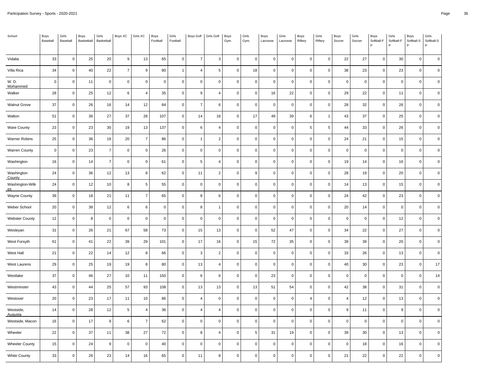| School                      | Boys<br>Baseball | Girls<br>Baseball | Boys<br>Basketball | Girls<br>Basketball | Boys XC        | Girls XC       | Boys<br>Football | Girls<br>Football | Boys Golf      | Girls Golf     | Boys<br>Gym. | Girls<br>Gym. | Boys<br>Lacrosse | Girls<br>Lacrosse | Boys<br>Riflery | Girls<br>Riflery | Boys<br>Soccer | Girls<br>Soccer | Boys<br>Softball-F<br>P | Girls<br>Softball-F | Boys<br>Softball-S<br>P | Girls<br>Softball-S<br>P |
|-----------------------------|------------------|-------------------|--------------------|---------------------|----------------|----------------|------------------|-------------------|----------------|----------------|--------------|---------------|------------------|-------------------|-----------------|------------------|----------------|-----------------|-------------------------|---------------------|-------------------------|--------------------------|
| Vidalia                     | 33               | $\mathsf 0$       | 25                 | 20                  | 9              | 13             | 65               | $\mathbf 0$       | $\overline{7}$ | 3              | $\mathbf 0$  | $\mathsf 0$   | $\mathbf 0$      | $\mathbf 0$       | $\mathsf 0$     | $\mathsf 0$      | 22             | 27              | $\mathbf 0$             | 30                  | $\mathsf{O}\xspace$     | $\mathbf 0$              |
| Villa Rica                  | 34               | $\mathbf 0$       | 40                 | 22                  | $\overline{7}$ | 9              | 80               | $\mathbf{1}$      | $\overline{4}$ | 5              | $\mathbf 0$  | 18            | $\mathbf 0$      | $\mathbf 0$       | $\mathbf 0$     | $\mathbf 0$      | 38             | 23              | $\mathbf 0$             | 23                  | $\mathbf 0$             | $\mathbf 0$              |
| W. D.<br><b>Mohammed</b>    | $\pmb{0}$        | $\mathbf 0$       | 11                 | $\mathbf 0$         | $\pmb{0}$      | $\mathbf 0$    | $\mathbf 0$      | $\mathsf 0$       | $\mathbf 0$    | $\Omega$       | $\mathbf 0$  | 0             | $\mathbf 0$      | $\Omega$          | $\mathbf{0}$    | $\mathbf{0}$     | $\mathsf 0$    | $\mathbf 0$     | $\mathbf 0$             | $\mathbf{0}$        | $\mathbf 0$             | $\mathbf 0$              |
| Walker                      | 28               | $\mathsf 0$       | 25                 | 12                  | 6              | $\overline{4}$ | 35               | $\mathbf 0$       | 9              | $\overline{4}$ | $\mathsf 0$  | $\mathsf 0$   | 16               | 22                | $\mathsf 0$     | $\mathsf 0$      | 29             | 22              | $\mathbf 0$             | 11                  | $\mathsf 0$             | $\mathbf 0$              |
| <b>Walnut Grove</b>         | 37               | $\mathbf 0$       | 26                 | 16                  | 14             | 12             | 84               | 0                 | $\overline{7}$ | 6              | $\mathbf 0$  | 0             | $\pmb{0}$        | $\mathbf 0$       | $\mathsf 0$     | $\mathbf 0$      | 28             | 32              | $\mathbf 0$             | 26                  | $\mathsf 0$             | $\pmb{0}$                |
| Walton                      | 51               | $\mathbf 0$       | 36                 | 27                  | 37             | 28             | 107              | $\mathsf 0$       | 14             | 18             | $\mathbf 0$  | 17            | 49               | 39                | 6               | $\mathbf{1}$     | 43             | 37              | $\mathbf 0$             | 25                  | $\mathsf 0$             | $\mathbf 0$              |
| <b>Ware County</b>          | 23               | $\mathsf 0$       | 23                 | 30                  | 19             | 13             | 137              | $\mathsf 0$       | 6              | $\overline{4}$ | $\mathbf 0$  | $\mathsf 0$   | $\mathbf 0$      | $\mathbf 0$       | 5               | 5                | 44             | 33              | $\mathbf 0$             | 26                  | $\mathsf 0$             | $\mathbf 0$              |
| <b>Warner Robins</b>        | 25               | $\mathbf 0$       | 36                 | 18                  | 20             | $\overline{7}$ | 86               | 0                 | $\overline{1}$ | $\overline{2}$ | $\mathbf 0$  | 0             | $\pmb{0}$        | $\mathbf 0$       | $\mathbf 0$     | $\mathbf 0$      | 24             | 21              | $\mathbf 0$             | 15                  | $\mathbf 0$             | $\pmb{0}$                |
| <b>Warren County</b>        | $\overline{0}$   | $\mathbf 0$       | 23                 | $\overline{7}$      | $\mathbf 0$    | $\mathbf 0$    | 26               | $\mathbf 0$       | $\mathbf 0$    | $\mathbf 0$    | $\mathbf{0}$ | $\mathsf 0$   | $\mathbf 0$      | $\Omega$          | $\mathbf{0}$    | $\mathbf 0$      | $\mathsf 0$    | $\mathbf 0$     | $\mathbf 0$             | $\mathsf 0$         | $\mathbf 0$             | $\mathbf 0$              |
| Washington                  | 16               | $\mathsf 0$       | 14                 | $\overline{7}$      | $\pmb{0}$      | $\mathbf 0$    | 61               | $\mathbf 0$       | 5              | $\overline{4}$ | $\mathbf 0$  | $\mathsf 0$   | $\pmb{0}$        | $\mathbf 0$       | $\mathsf 0$     | $\mathsf 0$      | 19             | 14              | $\mathbf 0$             | 16                  | $\mathbf 0$             | $\mathbf 0$              |
| Washington<br>County        | 24               | $\mathsf 0$       | 36                 | 12                  | 13             | 8              | 62               | 0                 | 11             | $\overline{c}$ | $\mathbf 0$  | 9             | $\pmb{0}$        | $\Omega$          | $\mathsf 0$     | $\mathbf 0$      | 28             | 19              | $\mathbf 0$             | 20                  | $\mathbf 0$             | $\mathbf 0$              |
| Washington-Wilk<br>es       | 24               | $\mathbf 0$       | 12                 | 10                  | 8              | 5              | 55               | $\mathsf 0$       | $\mathbf 0$    | $\mathbf 0$    | $\mathbf 0$  | 0             | $\mathbf 0$      | $\Omega$          | $\mathsf 0$     | $\mathbf 0$      | 14             | 13              | $\mathbf 0$             | 15                  | $\mathbf 0$             | $\mathbf 0$              |
| <b>Wayne County</b>         | 39               | $\mathsf 0$       | 18                 | 21                  | 11             | $\overline{7}$ | 65               | $\mathsf 0$       | 8              | $\,6\,$        | $\mathsf 0$  | 0             | $\pmb{0}$        | $\Omega$          | $\mathsf 0$     | $\mathsf 0$      | 24             | 42              | $\mathbf 0$             | 23                  | $\mathsf 0$             | $\mathbf 0$              |
| Weber School                | 20               | $\mathbf 0$       | 38                 | 12                  | 6              | 6              | $\mathsf 0$      | 0                 | 8              | $\mathbf{1}$   | $\mathbf 0$  | 0             | $\mathbf 0$      | $\Omega$          | $\mathbf 0$     | $\mathbf 0$      | 20             | 14              | $\mathbf 0$             | $\mathbf 0$         | $\mathbf 0$             | $\mathbf 0$              |
| <b>Webster County</b>       | 12               | $\mathbf 0$       | 8                  | $\mathbf 0$         | $\mathbf 0$    | $\mathbf 0$    | $\mathbf 0$      | $\mathsf 0$       | $\mathbf 0$    | $\mathbf 0$    | $\mathbf{0}$ | 0             | $\mathbf 0$      | $\mathbf 0$       | $\mathbf 0$     | $\mathbf{0}$     | $\mathsf 0$    | $\mathbf 0$     | $\mathbf 0$             | 12                  | $\mathbf 0$             | $\mathbf 0$              |
| Wesleyan                    | 31               | $\mathsf 0$       | 26                 | 21                  | 67             | 58             | 73               | $\mathbf 0$       | 15             | 13             | $\mathsf 0$  | $\mathbf 0$   | 52               | 47                | $\mathbf 0$     | $\mathsf 0$      | 34             | 22              | $\pmb{0}$               | 27                  | $\pmb{0}$               | $\mathbf 0$              |
| West Forsyth                | 61               | $\mathbf 0$       | 41                 | 22                  | 39             | 29             | 101              | 0                 | 17             | 16             | $\mathbf 0$  | 15            | $72\,$           | 35                | $\mathbf 0$     | $\mathbf 0$      | 39             | 39              | $\mathbf 0$             | 20                  | $\mathbf 0$             | $\mathbf 0$              |
| West Hall                   | 21               | $\mathbf 0$       | 22                 | 14                  | 12             | 8              | 66               | $\mathsf 0$       | 3              | $\overline{2}$ | $\mathbf 0$  | 0             | $\mathbf 0$      | $\mathbf 0$       | $\mathsf 0$     | $\mathbf 0$      | 33             | 26              | $\mathbf 0$             | 13                  | $\mathbf 0$             | $\mathbf 0$              |
| West Laurens                | 29               | $\mathsf 0$       | 25                 | 19                  | 19             | 8              | 80               | $\mathsf 0$       | 13             | $\overline{4}$ | $\mathbf 0$  | $\mathsf 0$   | $\mathbf 0$      | $\mathbf 0$       | $\mathsf 0$     | $\mathsf 0$      | 40             | 30              | $\mathbf 0$             | 23                  | $\mathsf{O}\xspace$     | 17                       |
| Westlake                    | 37               | $\mathbf 0$       | 46                 | 27                  | 10             | 11             | 150              | 0                 | 6              | 6              | 0            | 0             | 23               | $\Omega$          | $\mathbf 0$     | $\mathbf 0$      | $\mathsf 0$    | $\overline{0}$  | $\mathbf 0$             | $\mathbf 0$         | $\mathbf 0$             | 14                       |
| Westminster                 | 43               | $\mathbf 0$       | 44                 | 25                  | 57             | 93             | 108              | $\mathbf 0$       | 13             | 13             | $\mathbf 0$  | 13            | 51               | 54                | $\mathsf 0$     | $\mathbf 0$      | 42             | 38              | $\mathbf 0$             | 31                  | $\mathbf 0$             | $\mathbf 0$              |
| Westover                    | 20               | $\mathsf 0$       | 23                 | 17                  | 11             | 10             | 86               | $\mathbf 0$       | $\overline{4}$ | $\mathbf 0$    | $\mathbf 0$  | 0             | $\pmb{0}$        | $\mathbf 0$       | $\overline{4}$  | $\mathsf 0$      | $\overline{4}$ | 12              | $\mathbf 0$             | 13                  | $\mathsf{O}\xspace$     | $\pmb{0}$                |
| Westside,<br><b>Augusta</b> | 14               | $\mathsf 0$       | 28                 | 12                  | 5              | $\overline{4}$ | 36               | $\mathsf 0$       | $\overline{4}$ | $\overline{4}$ | $\pmb{0}$    | 0             | $\pmb{0}$        | $\Omega$          | $\mathbf 0$     | $\mathsf 0$      | $\mathsf g$    | 11              | $\mathbf 0$             | $\boldsymbol{9}$    | 0                       | $\mathbf 0$              |
| Westside, Macon             | 16               | $\mathbf 0$       | 17                 | 9                   | 6              | $\overline{7}$ | 62               | $\mathsf 0$       | $\mathbf 0$    | $\mathbf 0$    | $\mathbf 0$  | 0             | $\mathbf 0$      | $\Omega$          | $\mathsf 0$     | $\mathsf 0$      | $\mathsf 0$    | $\mathbf 0$     | $\Omega$                | $\mathbf 0$         | $\mathbf 0$             | $\Omega$                 |
| Wheeler                     | 22               | $\mathsf 0$       | 37                 | 11                  | 38             | 27             | 72               | $\mathsf 0$       | 8              | $\overline{4}$ | $\mathbf 0$  | 5             | 31               | 19                | $\mathsf 0$     | $\mathsf 0$      | 39             | 30              | $\mathbf 0$             | 13                  | $\mathsf{O}\xspace$     | $\pmb{0}$                |
| <b>Wheeler County</b>       | 15               | $\pmb{0}$         | 24                 | $\boldsymbol{9}$    | $\pmb{0}$      | 0              | 40               | 0                 | 0              | $\mathbf 0$    | $\pmb{0}$    | 0             | $\mathbf 0$      | 0                 | 0               | $\mathsf 0$      | $\mathsf 0$    | 18              | $\mathbf 0$             | 16                  | 0                       | $\pmb{0}$                |
| <b>White County</b>         | 33               | $\mathbf 0$       | 26                 | 23                  | 14             | 16             | 65               | $\mathsf 0$       | 11             | 8              | $\mathbf 0$  | 0             | $\mathbf 0$      | $\Omega$          | $\mathbf{0}$    | $\mathbf 0$      | 21             | 22              | $\Omega$                | 22                  | $\Omega$                | $\mathbf 0$              |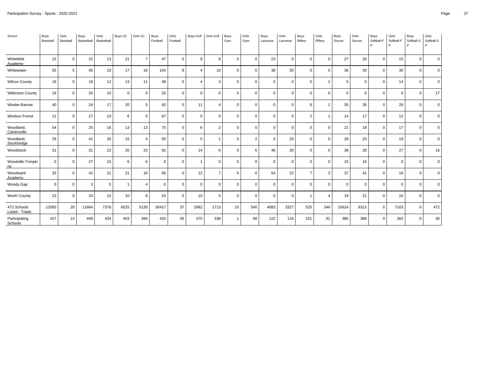| School                         | Boys<br>Baseball | Girls<br>Baseball | Boys<br>Basketball | Girls<br>Basketball | Boys XC     | Girls XC       | Boys<br>Football | Girls<br>Football | Boys Golf      | Girls Golf     | Boys<br>Gym. | Girls<br>Gym. | Boys<br>Lacrosse | Girls<br>Lacrosse | Boys<br>Riflery | Girls<br>Riflery | Boys<br>Soccer | Girls<br>Soccer | Boys<br>Softball-F<br>P | Girls<br>Softball-F | Boys<br>Softball-S<br>D | Girls<br>Softball-S<br>P. |
|--------------------------------|------------------|-------------------|--------------------|---------------------|-------------|----------------|------------------|-------------------|----------------|----------------|--------------|---------------|------------------|-------------------|-----------------|------------------|----------------|-----------------|-------------------------|---------------------|-------------------------|---------------------------|
| Whitefield<br>Academy          | 23               | $\mathbf 0$       | 22                 | 13                  | 21          | $\overline{7}$ | 47               | $\Omega$          | 9              | 8              | $\Omega$     | $\Omega$      | 23               | $\Omega$          | $\Omega$        | $\mathbf 0$      | 27             | 20              | $\Omega$                | 15                  | $\Omega$                | $\Omega$                  |
| Whitewater                     | 55               | 5                 | 45                 | 16                  | 17          | 16             | 104              | 8                 | $\overline{4}$ | 10             | $\Omega$     | $\Omega$      | 38               | 35                | $\mathbf 0$     | $\mathbf{0}$     | 36             | 30              | $\Omega$                | 30                  | $\Omega$                | $\Omega$                  |
| <b>Wilcox County</b>           | 18               | $\mathbf 0$       | 16                 | 12                  | 13          | 11             | 48               | $\Omega$          | $\overline{4}$ | 3              | $\Omega$     | $\Omega$      | $\mathbf 0$      | $\Omega$          | 5               | $\overline{2}$   | $\mathbf 0$    | $\mathbf 0$     | $\Omega$                | 14                  | $\Omega$                | $\overline{0}$            |
| <b>Wilkinson County</b>        | 19               | $\mathbf 0$       | 25                 | 10                  | $\mathbf 0$ | $\mathbf 0$    | 25               | $\mathbf 0$       | $\mathbf 0$    | $\mathbf 0$    | $\Omega$     | $\Omega$      | $\mathbf 0$      | $\mathbf 0$       | $\mathbf 0$     | $\mathbf{0}$     | $\mathbf 0$    | $\mathbf 0$     | $\Omega$                | $\mathbf 0$         | $\Omega$                | 17                        |
| Winder-Barrow                  | 40               | $\mathbf 0$       | 24                 | 17                  | 20          | 5              | 92               | $\mathbf{0}$      | 11             | $\overline{4}$ | $\Omega$     | $\Omega$      | $\mathbf 0$      | $\mathbf 0$       | 6               | 1                | 35             | 35              | $\mathbf 0$             | 29                  | $\Omega$                | $\overline{0}$            |
| <b>Windsor Forest</b>          | 12               | $\mathbf 0$       | 27                 | 10                  | 6           | $\Omega$       | 67               | $\Omega$          | $\Omega$       | $\mathbf 0$    | $\Omega$     | $\Omega$      | $\mathbf 0$      | $\mathbf 0$       | 2               |                  | 14             | 17              | $\Omega$                | 12                  |                         | $\mathbf 0$               |
| Woodland,<br>Cartersville      | 54               | $\mathbf 0$       | 25                 | 16                  | 13          | 13             | 75               | $\mathbf 0$       | 6              | $\overline{2}$ | $\Omega$     | $\Omega$      | $\mathbf 0$      | $\mathbf 0$       | $\mathbf 0$     | $\mathbf 0$      | 21             | 18              | $\mathbf 0$             | 17                  | $\Omega$                | $\Omega$                  |
| Woodland,<br>Stockbridge       | 29               | $\mathbf 0$       | 41                 | 26                  | 15          | $\overline{4}$ | 93               | $\Omega$          | 5              | $\overline{1}$ | $\Omega$     | $\mathcal{P}$ | $\mathbf 0$      | 20                | $\Omega$        | $\mathbf 0$      | 28             | 23              | $\Omega$                | 19                  |                         | $\Omega$                  |
| Woodstock                      | 31               | $\mathbf 0$       | 31                 | 22                  | 20          | 23             | 92               | $\Omega$          | 14             | 6              | $\Omega$     | 6             | 46               | 30                | $\mathbf 0$     | $\mathbf 0$      | 38             | 28              | $\Omega$                | 27                  | $\Omega$                | 16                        |
| Woodville-Tompki<br>ns         | $\mathbf 0$      | $\mathbf 0$       | 27                 | 15                  | 6           | 6              | $\Omega$         | $\Omega$          | $\mathbf{1}$   | $\mathbf 0$    | $\Omega$     | $\Omega$      | $\mathbf 0$      | $\Omega$          | $\Omega$        | $\Omega$         | 15             | 16              | $\Omega$                | $\Omega$            |                         | $\overline{0}$            |
| Woodward<br>Academy            | 33               | $\mathbf 0$       | 42                 | 21                  | 21          | 16             | 66               | $\mathbf 0$       | 12             | $\overline{7}$ | $\Omega$     | $\Omega$      | 54               | 22                | $\overline{7}$  | 3                | 37             | 41              | $\Omega$                | 16                  |                         | $\overline{0}$            |
| Woody Gap                      | $\mathbf 0$      | $\mathbf 0$       | 3                  | 5                   |             | $\overline{4}$ | $\Omega$         | $\Omega$          | $\mathbf 0$    | $\mathbf 0$    | $\Omega$     | $\Omega$      | $\mathbf 0$      | $\Omega$          | $\Omega$        | $\mathbf 0$      | $\mathbf 0$    | $\mathbf 0$     | $\Omega$                | $\mathbf 0$         |                         | $\overline{0}$            |
| Worth County                   | 23               | $\mathbf 0$       | 33                 | 15                  | 10          | 8              | 53               | $\mathbf 0$       | 10             | 5              | $\Omega$     | $\Omega$      | $\mathbf 0$      | $\mathbf 0$       |                 | Δ                | 19             | 21              | $\Omega$                | 16                  |                         | $\mathbf 0$               |
| 472 Schools<br>Listed - Totals | 12083            | 20                | 11684              | 7378                | 6525        | 5130           | 30417            | 37                | 2982           | 1713           | 10           | 540           | 4083             | 3327              | 525             | 349              | 10624          | 9313            | $\mathbf 0$             | 7103                | $\Omega$                | 472                       |
| Participating<br>Schools       | 427              | 14                | 449                | 434                 | 403         | 394            | 420              | 26                | 375            | 338            |              | 68            | 122              | 116               | 101             | 91               | 385            | 386             | $\Omega$                | 383                 |                         | 30                        |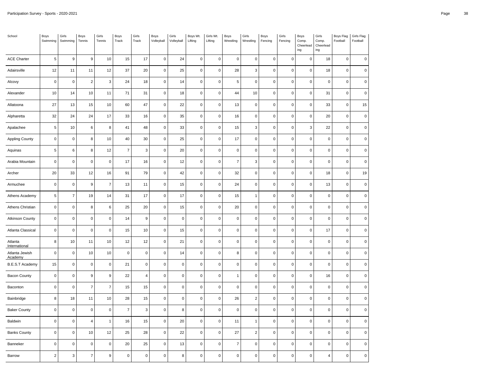| School                    | Boys<br>Swimming | Girls<br>Swimming | Boys<br>Tennis   | Girls<br>Tennis  | Boys<br>Track  | Girls<br>Track   | Boys<br>Volleyball  | Girls<br>Volleyball | Boys Wt.<br>Lifting | Girls Wt.<br>Lifting | Boys<br>Wrestling | Girls<br>Wrestling | Boys<br>Fencing | Girls<br>Fencing | Boys<br>Comp.<br>Cheerlead<br>$ing$ | Girls<br>Comp.<br>Cheerlead<br>ing | Boys Flag<br>Football | Girls Flag<br>Football |
|---------------------------|------------------|-------------------|------------------|------------------|----------------|------------------|---------------------|---------------------|---------------------|----------------------|-------------------|--------------------|-----------------|------------------|-------------------------------------|------------------------------------|-----------------------|------------------------|
| <b>ACE Charter</b>        | 5                | $\boldsymbol{9}$  | $\boldsymbol{9}$ | 10               | 15             | 17               | $\mathsf 0$         | 24                  | $\mathbf 0$         | $\mathsf 0$          | $\mathbf 0$       | $\pmb{0}$          | $\mathbf 0$     | $\mathsf 0$      | $\mathbf 0$                         | 18                                 | $\mathsf 0$           | $\pmb{0}$              |
| Adairsville               | 12               | 11                | 11               | 12               | 37             | 20               | $\mathsf{O}\xspace$ | 25                  | $\mathsf 0$         | $\mathbf 0$          | 28                | 3                  | $\pmb{0}$       | $\pmb{0}$        | $\mathbf 0$                         | 18                                 | $\mathsf 0$           | $\mathsf 0$            |
| Alcovy                    | $\pmb{0}$        | $\mathbf 0$       | $\sqrt{2}$       | $\mathbf{3}$     | 24             | 18               | $\mathsf{O}\xspace$ | 14                  | $\pmb{0}$           | $\mathbf 0$          | 5                 | $\mathsf 0$        | $\mathbf 0$     | $\mathbf 0$      | $\mathbf 0$                         | 0                                  | $\pmb{0}$             | $\pmb{0}$              |
| Alexander                 | 10               | 14                | 10               | 11               | 71             | 31               | $\mathbf 0$         | 18                  | $\mathsf 0$         | $\pmb{0}$            | 44                | 10                 | $\mathbf 0$     | 0                | $\mathbf 0$                         | 31                                 | $\mathsf 0$           | $\mathsf 0$            |
| Allatoona                 | 27               | 13                | 15               | 10               | 60             | 47               | $\mathsf{O}\xspace$ | 22                  | $\mathsf 0$         | $\pmb{0}$            | 13                | $\pmb{0}$          | $\pmb{0}$       | $\pmb{0}$        | $\mathbf 0$                         | 33                                 | $\mathsf 0$           | 15                     |
| Alpharetta                | 32               | 24                | 24               | 17               | 33             | 16               | $\mathsf 0$         | 35                  | $\mathsf 0$         | $\pmb{0}$            | 16                | $\pmb{0}$          | $\mathbf 0$     | $\mathsf 0$      | $\mathsf 0$                         | 20                                 | $\mathsf 0$           | $\mathsf 0$            |
| Apalachee                 | $\overline{5}$   | 10                | 6                | 8                | 41             | 48               | $\mathsf{O}\xspace$ | 33                  | $\mathsf{O}\xspace$ | $\pmb{0}$            | 15                | 3                  | $\pmb{0}$       | $\pmb{0}$        | $\mathbf{3}$                        | 22                                 | $\mathsf 0$           | $\mathsf 0$            |
| <b>Appling County</b>     | $\pmb{0}$        | $\pmb{0}$         | 8                | $10$             | 40             | 30               | $\mathsf 0$         | 25                  | $\mathsf 0$         | $\mathbf 0$          | 17                | $\pmb{0}$          | $\mathsf 0$     | $\mathsf 0$      | $\mathsf 0$                         | $\mathsf{O}\xspace$                | $\mathsf 0$           | $\mathbf 0$            |
| Aquinas                   | $\sqrt{5}$       | $\boldsymbol{6}$  | 8                | 12               | $\overline{7}$ | 3                | $\mathsf 0$         | 20                  | $\pmb{0}$           | $\mathbf 0$          | $\pmb{0}$         | $\pmb{0}$          | 0               | 0                | $\mathbf 0$                         | 0                                  | 0                     | $\mathsf 0$            |
| Arabia Mountain           | $\pmb{0}$        | $\mathbf 0$       | $\pmb{0}$        | $\pmb{0}$        | 17             | 16               | $\mathsf{O}\xspace$ | 12                  | $\pmb{0}$           | $\mathsf 0$          | $\overline{7}$    | 3                  | $\pmb{0}$       | $\mathbf 0$      | $\pmb{0}$                           | 0                                  | $\mathsf 0$           | $\pmb{0}$              |
| Archer                    | 20               | 33                | 12               | 16               | 91             | 79               | $\mathsf 0$         | 42                  | $\mathsf 0$         | $\mathbf 0$          | 32                | $\mathsf 0$        | $\mathsf 0$     | $\mathsf 0$      | $\mathsf 0$                         | 18                                 | $\mathsf 0$           | 19                     |
| Armuchee                  | $\mathbf 0$      | $\pmb{0}$         | 9                | $\overline{7}$   | 13             | 11               | $\mathsf 0$         | 15                  | $\mathbf 0$         | $\mathbf 0$          | 24                | $\mathsf 0$        | $\mathbf 0$     | $\mathbf 0$      | $\mathbf 0$                         | 13                                 | $\mathbf 0$           | 0                      |
| Athens Academy            | $\sqrt{5}$       | $\overline{7}$    | 19               | 14               | 31             | 17               | $\mathsf{O}\xspace$ | 17                  | $\mathsf 0$         | $\mathbf 0$          | 15                | $\mathbf{1}$       | $\mathsf 0$     | $\mathbf 0$      | $\mathbf 0$                         | 0                                  | $\mathsf 0$           | $\mathbf 0$            |
| Athens Christian          | $\mathbf 0$      | $\mathbf 0$       | 8                | $\,6\,$          | 25             | 20               | $\mathsf{O}\xspace$ | 15                  | $\mathsf 0$         | $\mathbf 0$          | 20                | $\mathsf 0$        | $\mathbf 0$     | $\pmb{0}$        | $\mathsf{O}\xspace$                 | 0                                  | $\mathsf{O}\xspace$   | $\mathsf 0$            |
| <b>Atkinson County</b>    | $\mathbf 0$      | $\mathbf 0$       | $\mathbf 0$      | $\mathbf 0$      | 14             | $\boldsymbol{9}$ | $\mathsf 0$         | $\pmb{0}$           | $\pmb{0}$           | $\pmb{0}$            | $\pmb{0}$         | $\pmb{0}$          | $\pmb{0}$       | $\mathbf 0$      | $\pmb{0}$                           | 0                                  | 0                     | $\mathsf 0$            |
| Atlanta Classical         | $\mathsf 0$      | $\pmb{0}$         | $\mathbf 0$      | $\pmb{0}$        | 15             | 10               | $\mathsf{O}\xspace$ | 15                  | $\mathsf 0$         | $\pmb{0}$            | $\pmb{0}$         | $\pmb{0}$          | $\mathbf 0$     | $\pmb{0}$        | $\mathbf 0$                         | 17                                 | $\mathsf 0$           | $\mathsf 0$            |
| Atlanta<br>International  | 8                | 10                | 11               | 10               | 12             | 12               | $\mathsf 0$         | 21                  | $\mathsf 0$         | $\pmb{0}$            | $\pmb{0}$         | $\pmb{0}$          | $\mathbf 0$     | $\mathsf 0$      | 0                                   | 0                                  | $\mathsf 0$           | $\mathsf 0$            |
| Atlanta Jewish<br>Academy | $\mathbf 0$      | $\pmb{0}$         | 10               | 10               | $\mathbf 0$    | $\pmb{0}$        | $\mathbf 0$         | 14                  | $\mathsf 0$         | $\pmb{0}$            | 8                 | $\pmb{0}$          | $\mathbf 0$     | $\pmb{0}$        | $\mathbf 0$                         | 0                                  | $\mathsf 0$           | $\mathbf 0$            |
| <b>B.E.S.T Academy</b>    | 15               | $\pmb{0}$         | $\mathbf 0$      | $\pmb{0}$        | 21             | $\pmb{0}$        | $\mathsf 0$         | $\mathbf 0$         | $\pmb{0}$           | $\mathbf 0$          | $\mathbf 0$       | $\mathsf 0$        | $\pmb{0}$       | $\mathbf 0$      | $\mathbf 0$                         | $\pmb{0}$                          | $\mathsf 0$           | $\pmb{0}$              |
| <b>Bacon County</b>       | $\pmb{0}$        | $\pmb{0}$         | $\boldsymbol{9}$ | $\boldsymbol{9}$ | 22             | $\overline{4}$   | $\mathbf 0$         | $\pmb{0}$           | $\pmb{0}$           | $\pmb{0}$            | $\overline{1}$    | $\pmb{0}$          | $\pmb{0}$       | $\mathbf 0$      | $\pmb{0}$                           | 16                                 | $\pmb{0}$             | $\mathsf 0$            |
| Baconton                  | $\pmb{0}$        | $\pmb{0}$         | $\overline{7}$   | $\overline{7}$   | 15             | 15               | $\mathsf 0$         | $\mathbf 0$         | $\pmb{0}$           | $\mathbf 0$          | $\pmb{0}$         | $\mathsf 0$        | $\mathsf 0$     | $\mathbf 0$      | $\mathsf 0$                         | $\pmb{0}$                          | $\mathsf 0$           | $\pmb{0}$              |
| Bainbridge                | 8                | 18                | 11               | 10               | 28             | 15               | $\mathsf 0$         | $\pmb{0}$           | $\mathsf 0$         | $\mathbf 0$          | 26                | $\mathbf 2$        | $\mathsf 0$     | $\mathsf 0$      | $\mathsf 0$                         | 0                                  | $\mathsf 0$           | $\pmb{0}$              |
| <b>Baker County</b>       | $\mathbf 0$      | $\mathbf 0$       | $\mathbf 0$      | $\mathbf 0$      | $\overline{7}$ | 3                | $\mathbf 0$         | 8                   | $\mathsf 0$         | $\mathbf 0$          | $\pmb{0}$         | $\mathsf 0$        | $\mathbf 0$     | 0                | $\mathbf 0$                         | 0                                  | $\mathsf{O}\xspace$   | $\mathsf 0$            |
| Baldwin                   | $\mathsf 0$      | $\pmb{0}$         | $\overline{4}$   | $\mathbf{1}$     | 16             | 15               | $\mathsf 0$         | 20                  | $\mathsf 0$         | $\mathbf 0$          | 11                | $\mathbf{1}$       | 0               | $\mathbf 0$      | $\mathbf 0$                         | $\pmb{0}$                          | $\mathsf 0$           | $\mathbf 0$            |
| <b>Banks County</b>       | $\mathbf 0$      | $\pmb{0}$         | 10               | 12               | 25             | 28               | $\mathsf 0$         | 22                  | $\pmb{0}$           | $\mathbf 0$          | 27                | $\mathbf 2$        | $\mathsf 0$     | $\pmb{0}$        | $\mathsf 0$                         | 0                                  | $\mathsf 0$           | $\pmb{0}$              |
| Banneker                  | $\mathsf 0$      | $\mathbf 0$       | $\mathbf 0$      | $\mathbf 0$      | 20             | 25               | $\mathsf 0$         | 13                  | $\mathbf 0$         | $\pmb{0}$            | $\overline{7}$    | $\pmb{0}$          | $\mathbf 0$     | $\mathsf 0$      | $\mathbf 0$                         | 0                                  | $\mathbf 0$           | $\mathsf 0$            |
| Barrow                    | $\mathbf 2$      | $\mathbf{3}$      | $\overline{7}$   | $9\,$            | $\mathbf 0$    | $\pmb{0}$        | $\mathsf{O}\xspace$ | 8                   | $\pmb{0}$           | $\pmb{0}$            | $\pmb{0}$         | $\pmb{0}$          | $\pmb{0}$       | $\mathbf 0$      | 0                                   | 4                                  | 0                     | 0                      |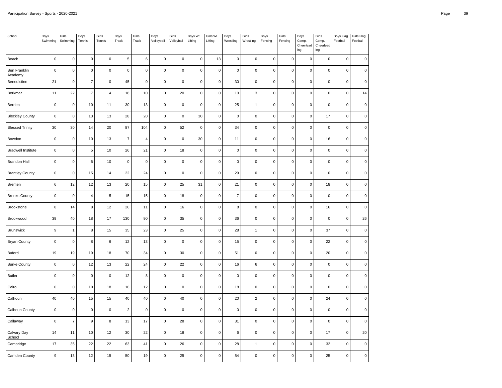| School                    | Boys<br>Swimming | Girls<br>Swimming | Boys<br>Tennis   | Girls<br>Tennis | Boys<br>Track  | Girls<br>Track          | Boys<br>Volleyball  | Girls<br>Volleyball | Boys Wt.<br>Lifting | Girls Wt.<br>Lifting | Boys<br>Wrestling | Girls<br>Wrestling | Boys<br>Fencing | Girls<br>Fencing | Boys<br>Comp.<br>Cheerlead<br>ing | Girls<br>Comp.<br>Cheerlead<br>ing | Boys Flag<br>Football | Girls Flag<br>Football |
|---------------------------|------------------|-------------------|------------------|-----------------|----------------|-------------------------|---------------------|---------------------|---------------------|----------------------|-------------------|--------------------|-----------------|------------------|-----------------------------------|------------------------------------|-----------------------|------------------------|
| Beach                     | $\mathbf 0$      | $\pmb{0}$         | $\mathbf 0$      | $\mathbf 0$     | 5              | $\,6\,$                 | $\mathsf{O}\xspace$ | $\pmb{0}$           | $\mathsf 0$         | 13                   | $\pmb{0}$         | $\pmb{0}$          | $\mathbf 0$     | 0                | $\pmb{0}$                         | 0                                  | $\mathsf{O}\xspace$   | $\mathsf 0$            |
| Ben Franklin<br>Academy   | $\mathbf 0$      | $\pmb{0}$         | $\mathbf 0$      | $\pmb{0}$       | $\mathbf 0$    | $\pmb{0}$               | $\mathsf 0$         | $\pmb{0}$           | $\mathsf{O}\xspace$ | $\pmb{0}$            | $\pmb{0}$         | $\pmb{0}$          | $\pmb{0}$       | $\pmb{0}$        | $\mathsf 0$                       | $\pmb{0}$                          | $\mathsf 0$           | $\mathsf 0$            |
| Benedictine               | 21               | $\mathbf 0$       | $\overline{7}$   | $\mathbf 0$     | 45             | $\pmb{0}$               | $\mathsf 0$         | $\pmb{0}$           | $\mathsf 0$         | $\mathbf 0$          | 30                | $\mathsf 0$        | $\mathsf 0$     | $\pmb{0}$        | $\mathsf 0$                       | $\pmb{0}$                          | $\mathsf 0$           | $\mathbf 0$            |
| Berkmar                   | 11               | 22                | $\overline{7}$   | $\overline{4}$  | 18             | 10                      | $\mathsf 0$         | 20                  | $\pmb{0}$           | $\pmb{0}$            | 10                | 3                  | $\mathbf 0$     | $\pmb{0}$        | $\mathbf 0$                       | 0                                  | $\mathsf{O}\xspace$   | 14                     |
| Berrien                   | $\mathbf 0$      | $\pmb{0}$         | 10               | 11              | 30             | 13                      | $\mathsf 0$         | $\pmb{0}$           | $\pmb{0}$           | $\mathbf 0$          | 25                | $\mathbf{1}$       | 0               | $\mathbf 0$      | $\mathsf 0$                       | 0                                  | $\mathsf 0$           | $\mathbf 0$            |
| <b>Bleckley County</b>    | $\mathsf 0$      | $\pmb{0}$         | 13               | 13              | 28             | 20                      | $\mathsf 0$         | $\pmb{0}$           | 30                  | $\mathbf 0$          | $\pmb{0}$         | $\mathsf 0$        | $\mathsf 0$     | $\mathbf 0$      | $\mathsf 0$                       | 17                                 | $\mathsf 0$           | $\pmb{0}$              |
| <b>Blessed Trinity</b>    | $30\,$           | $30\,$            | 14               | 20              | 87             | 104                     | $\mathbf 0$         | 52                  | $\mathsf 0$         | $\mathsf 0$          | 34                | $\pmb{0}$          | 0               | $\pmb{0}$        | $\mathsf 0$                       | $\pmb{0}$                          | $\mathsf{O}\xspace$   | $\pmb{0}$              |
| Bowdon                    | $\pmb{0}$        | $\pmb{0}$         | 10               | 13              | $\overline{7}$ | $\overline{\mathbf{4}}$ | $\mathsf 0$         | $\pmb{0}$           | 30                  | $\mathbf 0$          | 11                | $\mathsf 0$        | $\mathbf 0$     | $\pmb{0}$        | $\mathbf 0$                       | 16                                 | $\mathsf 0$           | $\mathbf 0$            |
| <b>Bradwell Institute</b> | $\mathsf 0$      | $\mathbf 0$       | 5                | 10              | 26             | 21                      | $\mathsf 0$         | 18                  | $\pmb{0}$           | $\mathbf 0$          | $\pmb{0}$         | $\mathbf 0$        | $\mathbf 0$     | $\mathsf 0$      | $\pmb{0}$                         | 0                                  | 0                     | $\pmb{0}$              |
| <b>Brandon Hall</b>       | $\mathbf 0$      | $\pmb{0}$         | 6                | 10              | $\mathbf 0$    | $\pmb{0}$               | $\mathsf{O}\xspace$ | $\pmb{0}$           | $\mathsf 0$         | $\pmb{0}$            | $\pmb{0}$         | $\pmb{0}$          | 0               | $\mathbf 0$      | $\pmb{0}$                         | 0                                  | $\mathsf 0$           | $\mathsf 0$            |
| <b>Brantley County</b>    | $\mathbf 0$      | $\mathbf 0$       | $15\,$           | 14              | 22             | 24                      | $\mathsf 0$         | $\mathbf 0$         | $\pmb{0}$           | $\mathbf 0$          | 29                | $\mathsf 0$        | $\pmb{0}$       | $\pmb{0}$        | $\pmb{0}$                         | $\pmb{0}$                          | $\mathsf 0$           | $\pmb{0}$              |
| Bremen                    | $\,6\,$          | 12                | 12               | 13              | 20             | 15                      | $\mathsf 0$         | 25                  | 31                  | $\mathbf 0$          | 21                | $\pmb{0}$          | $\pmb{0}$       | $\mathsf 0$      | $\mathsf 0$                       | 18                                 | 0                     | $\mathsf 0$            |
| <b>Brooks County</b>      | $\pmb{0}$        | $\mathbf 0$       | 4                | $\,$ 5 $\,$     | 15             | 15                      | $\mathsf 0$         | 18                  | $\pmb{0}$           | $\mathsf 0$          | $\overline{7}$    | $\mathsf 0$        | $\pmb{0}$       | $\mathbf 0$      | $\pmb{0}$                         | $\pmb{0}$                          | $\mathsf 0$           | $\pmb{0}$              |
| Brookstone                | 8                | 14                | 8                | 12              | 26             | 11                      | $\mathsf 0$         | 16                  | $\pmb{0}$           | $\mathbf 0$          | 8                 | $\pmb{0}$          | $\mathsf 0$     | $\pmb{0}$        | $\mathsf 0$                       | 16                                 | $\mathsf 0$           | $\pmb{0}$              |
| Brookwood                 | 39               | 40                | 18               | 17              | 130            | 90                      | $\mathsf 0$         | 35                  | $\pmb{0}$           | $\mathbf 0$          | 36                | $\mathsf 0$        | 0               | $\mathbf 0$      | $\pmb{0}$                         | 0                                  | $\mathsf 0$           | 26                     |
| <b>Brunswick</b>          | $\boldsymbol{9}$ | $\mathbf{1}$      | 8                | 15              | 35             | 23                      | $\mathsf 0$         | 25                  | $\mathsf 0$         | $\mathbf 0$          | 28                | $\mathbf{1}$       | $\mathbf 0$     | $\pmb{0}$        | $\mathsf 0$                       | 37                                 | $\mathsf 0$           | $\mathbf 0$            |
| <b>Bryan County</b>       | $\mathbf 0$      | $\pmb{0}$         | 8                | $\,6\,$         | 12             | 13                      | $\mathsf 0$         | $\pmb{0}$           | $\mathsf 0$         | $\mathbf 0$          | 15                | $\mathsf 0$        | $\pmb{0}$       | $\mathbf 0$      | $\pmb{0}$                         | 22                                 | $\mathsf{O}\xspace$   | $\mathsf 0$            |
| <b>Buford</b>             | 19               | 19                | 19               | 18              | 70             | 34                      | $\mathbf 0$         | 30                  | $\mathsf 0$         | $\mathbf 0$          | 51                | $\pmb{0}$          | $\mathbf 0$     | 0                | $\mathbf 0$                       | 20                                 | $\mathsf 0$           | $\mathbf 0$            |
| <b>Burke County</b>       | $\mathbf 0$      | $\pmb{0}$         | 12               | 13              | 22             | 24                      | $\mathsf 0$         | 22                  | $\mathsf 0$         | $\pmb{0}$            | 16                | 6                  | $\pmb{0}$       | $\pmb{0}$        | $\mathbf 0$                       | $\mathbf 0$                        | $\mathsf 0$           | $\mathsf 0$            |
| <b>Butler</b>             | $\mathbf 0$      | $\mathbf 0$       | $\mathsf 0$      | $\mathbf 0$     | 12             | 8                       | $\mathbf 0$         | $\pmb{0}$           | $\pmb{0}$           | $\pmb{0}$            | $\pmb{0}$         | $\pmb{0}$          | $\mathbf 0$     | $\mathbf 0$      | $\pmb{0}$                         | 0                                  | $\pmb{0}$             | $\mathsf 0$            |
| Cairo                     | $\mathbf 0$      | $\pmb{0}$         | 10               | 18              | 16             | 12                      | $\mathsf{O}\xspace$ | $\pmb{0}$           | $\mathsf 0$         | $\pmb{0}$            | 18                | $\pmb{0}$          | $\mathbf 0$     | $\pmb{0}$        | $\mathbf 0$                       | $\mathsf{O}\xspace$                | $\mathsf 0$           | $\mathsf 0$            |
| Calhoun                   | 40               | 40                | 15               | 15              | 40             | 40                      | $\mathsf 0$         | $40\,$              | $\mathsf 0$         | $\mathsf 0$          | $20\,$            | $\mathbf 2$        | $\mathsf 0$     | $\mathsf 0$      | $\mathsf 0$                       | 24                                 | $\mathsf 0$           | $\mathbf 0$            |
| Calhoun County            | $\mathbf 0$      | $\pmb{0}$         | $\mathbf 0$      | $\mathbf 0$     | $\overline{2}$ | $\mathbf 0$             | $\mathbf 0$         | $\pmb{0}$           | $\mathsf 0$         | $\mathbf 0$          | $\pmb{0}$         | $\pmb{0}$          | $\mathbf 0$     | $\pmb{0}$        | $\mathbf 0$                       | $\mathsf 0$                        | $\mathsf{O}\xspace$   | $\mathbf 0$            |
| Callaway                  | $\pmb{0}$        | $\overline{7}$    | $\boldsymbol{9}$ | 8               | 13             | 17                      | $\mathsf 0$         | 28                  | $\pmb{0}$           | $\mathsf 0$          | 31                | $\mathsf 0$        | $\mathbf 0$     | $\pmb{0}$        | $\mathsf 0$                       | $\pmb{0}$                          | $\pmb{0}$             | $\pmb{0}$              |
| Calvary Day<br>School     | 14               | 11                | 10               | 12              | 30             | 22                      | $\mathsf 0$         | 18                  | $\pmb{0}$           | $\mathbf 0$          | 6                 | $\mathsf 0$        | $\mathsf 0$     | $\pmb{0}$        | $\mathbf 0$                       | 17                                 | $\mathsf 0$           | 20                     |
| Cambridge                 | 17               | 35                | 22               | 22              | 63             | 41                      | $\mathsf 0$         | 26                  | $\mathbf 0$         | $\mathbf 0$          | 28                | $\mathbf{1}$       | $\mathbf 0$     | $\mathbf 0$      | $\pmb{0}$                         | 32                                 | $\mathsf 0$           | $\mathsf 0$            |
| Camden County             | 9                | 13                | 12               | 15              | 50             | 19                      | $\mathsf{O}\xspace$ | 25                  | $\pmb{0}$           | $\pmb{0}$            | 54                | $\pmb{0}$          | $\pmb{0}$       | $\mathbf 0$      | 0                                 | 25                                 | 0                     | 0                      |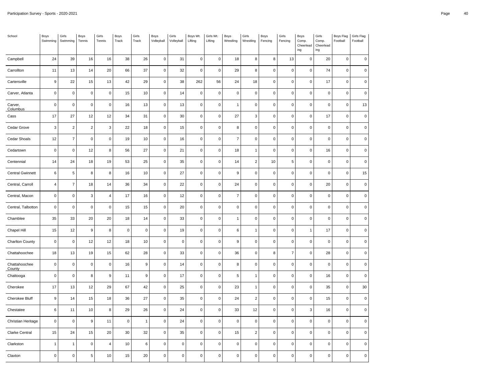| School                  | Boys<br>Swimming    | Girls<br>Swimming | Boys<br>Tennis | Girls<br>Tennis  | Boys<br>Track | Girls<br>Track   | Boys<br>Volleyball  | Girls<br>Volleyball | Boys Wt.<br>Lifting | Girls Wt.<br>Lifting | Boys<br>Wrestling | Girls<br>Wrestling | Boys<br>Fencing | Girls<br>Fencing | Boys<br>Comp.<br>Cheerlead<br>ing | Girls<br>Comp.<br>Cheerlead<br>ing | Boys Flag<br>Football | Girls Flag<br>Football |
|-------------------------|---------------------|-------------------|----------------|------------------|---------------|------------------|---------------------|---------------------|---------------------|----------------------|-------------------|--------------------|-----------------|------------------|-----------------------------------|------------------------------------|-----------------------|------------------------|
| Campbell                | 24                  | 39                | 16             | 16               | 38            | 26               | $\mathsf 0$         | 31                  | $\mathbf 0$         | $\mathbf 0$          | 18                | 8                  | $\bf 8$         | 13               | $\mathbf 0$                       | 20                                 | $\mathsf 0$           | $\pmb{0}$              |
| Carrollton              | 11                  | 13                | 14             | 20               | 66            | 37               | $\mathsf 0$         | 32                  | $\mathsf 0$         | $\mathbf 0$          | 29                | 8                  | $\mathbf 0$     | $\pmb{0}$        | $\mathbf 0$                       | 74                                 | $\mathsf 0$           | $\pmb{0}$              |
| Cartersville            | $\boldsymbol{9}$    | 22                | 15             | 13               | 42            | 29               | $\mathsf 0$         | 38                  | 262                 | 56                   | 24                | 18                 | $\mathbf 0$     | $\pmb{0}$        | $\mathsf 0$                       | 17                                 | $\mathsf 0$           | $\pmb{0}$              |
| Carver, Atlanta         | $\mathsf 0$         | $\mathbf 0$       | $\mathbf 0$    | $\mathbf 0$      | 15            | 10               | $\mathsf 0$         | 14                  | $\mathbf 0$         | $\pmb{0}$            | $\mathbf 0$       | $\pmb{0}$          | $\mathbf 0$     | $\pmb{0}$        | $\mathbf 0$                       | 0                                  | $\mathbf 0$           | $\mathsf 0$            |
| Carver,<br>Columbus     | $\mathbf 0$         | $\pmb{0}$         | $\pmb{0}$      | $\pmb{0}$        | 16            | 13               | $\mathsf 0$         | 13                  | $\mathsf 0$         | $\pmb{0}$            | $\mathbf{1}$      | $\pmb{0}$          | $\pmb{0}$       | $\pmb{0}$        | $\mathbf 0$                       | $\mathsf{O}\xspace$                | $\mathsf 0$           | 13                     |
| Cass                    | 17                  | 27                | 12             | 12               | 34            | 31               | $\mathsf 0$         | 30                  | $\pmb{0}$           | $\mathbf 0$          | 27                | 3                  | $\pmb{0}$       | $\mathbf 0$      | $\pmb{0}$                         | 17                                 | $\mathsf{O}\xspace$   | $\mathsf 0$            |
| Cedar Grove             | $\mathbf{3}$        | $\overline{2}$    | $\overline{2}$ | $\mathbf 3$      | 22            | 18               | $\mathbf 0$         | 15                  | $\mathbf 0$         | $\pmb{0}$            | 8                 | $\pmb{0}$          | 0               | $\mathbf 0$      | $\mathbf 0$                       | $\mathbf 0$                        | $\mathsf 0$           | $\mathbf 0$            |
| Cedar Shoals            | 12                  | $\overline{7}$    | $\mathbf 0$    | $\mathbf 0$      | 19            | 10               | $\mathsf 0$         | 16                  | $\mathsf 0$         | $\mathbf 0$          | $\overline{7}$    | $\pmb{0}$          | $\mathbf 0$     | $\mathbf 0$      | $\mathbf 0$                       | $\mathsf{O}\xspace$                | $\mathsf 0$           | $\mathbf 0$            |
| Cedartown               | $\pmb{0}$           | $\mathbf 0$       | 12             | 8                | 56            | 27               | $\mathsf{O}\xspace$ | 21                  | $\pmb{0}$           | $\mathbf 0$          | 18                | $\overline{1}$     | $\mathbf 0$     | $\mathbf 0$      | $\pmb{0}$                         | $16\,$                             | $\pmb{0}$             | $\pmb{0}$              |
| Centennial              | 14                  | 24                | 18             | 19               | 53            | 25               | $\mathbf 0$         | 35                  | $\mathsf 0$         | $\pmb{0}$            | 14                | $\boldsymbol{2}$   | 10              | 5                | $\mathbf 0$                       | $\mathsf{O}\xspace$                | $\mathsf 0$           | $\mathsf 0$            |
| <b>Central Gwinnett</b> | 6                   | $\,$ 5 $\,$       | 8              | 8                | 16            | 10               | $\mathsf 0$         | 27                  | $\mathsf 0$         | $\pmb{0}$            | $\boldsymbol{9}$  | $\pmb{0}$          | $\pmb{0}$       | $\pmb{0}$        | $\mathbf 0$                       | $\mathsf{O}\xspace$                | $\mathsf 0$           | 15                     |
| Central, Carroll        | $\overline{4}$      | $\overline{7}$    | 18             | 14               | 36            | 34               | $\mathsf 0$         | 22                  | $\mathsf 0$         | $\pmb{0}$            | 24                | $\pmb{0}$          | $\pmb{0}$       | $\pmb{0}$        | $\pmb{0}$                         | 20                                 | $\mathsf 0$           | $\mathsf 0$            |
| Central, Macon          | $\mathsf 0$         | $\pmb{0}$         | 3              | $\overline{4}$   | 17            | 16               | $\mathbf 0$         | 12                  | $\mathbf 0$         | $\mathbf 0$          | $\overline{7}$    | $\pmb{0}$          | $\mathbf 0$     | 0                | $\mathbf 0$                       | $\mathbf 0$                        | $\mathsf{O}\xspace$   | $\mathbf 0$            |
| Central, Talbotton      | $\mathbf 0$         | $\pmb{0}$         | $\mathbf 0$    | $\pmb{0}$        | 15            | 15               | $\mathsf 0$         | 20                  | $\pmb{0}$           | $\mathbf 0$          | $\mathbf 0$       | $\mathsf 0$        | $\pmb{0}$       | $\mathbf 0$      | $\mathbf 0$                       | $\pmb{0}$                          | $\mathsf 0$           | $\pmb{0}$              |
| Chamblee                | 35                  | 33                | 20             | 20               | 18            | 14               | $\mathsf 0$         | 33                  | $\pmb{0}$           | $\pmb{0}$            | 1                 | $\pmb{0}$          | $\mathbf 0$     | $\mathbf 0$      | 0                                 | 0                                  | $\pmb{0}$             | $\mathsf 0$            |
| Chapel Hill             | 15                  | 12                | 9              | 8                | $\mathbf 0$   | $\pmb{0}$        | $\mathsf 0$         | 19                  | $\mathsf 0$         | $\pmb{0}$            | 6                 | $\mathbf{1}$       | 0               | $\pmb{0}$        | $\mathbf{1}$                      | 17                                 | $\mathsf{O}\xspace$   | $\mathsf 0$            |
| Charlton County         | $\mathbf 0$         | $\pmb{0}$         | 12             | 12               | 18            | 10               | $\mathsf 0$         | $\mathbf 0$         | $\mathsf{O}\xspace$ | $\mathbf 0$          | $\boldsymbol{9}$  | $\mathsf 0$        | $\mathbf 0$     | $\pmb{0}$        | $\mathbf 0$                       | $\pmb{0}$                          | $\mathsf 0$           | $\mathbf 0$            |
| Chattahoochee           | 18                  | 13                | 19             | 15               | 62            | 28               | $\mathsf 0$         | 33                  | $\mathsf 0$         | $\pmb{0}$            | 36                | $\pmb{0}$          | 8               | $\overline{7}$   | $\pmb{0}$                         | 28                                 | $\mathsf 0$           | $\mathsf 0$            |
| Chattahoochee<br>County | $\mathsf{O}\xspace$ | $\pmb{0}$         | $\mathbf 0$    | $\pmb{0}$        | 16            | $\boldsymbol{9}$ | $\mathsf{O}\xspace$ | 14                  | $\mathsf{O}\xspace$ | $\pmb{0}$            | 8                 | $\pmb{0}$          | $\pmb{0}$       | $\pmb{0}$        | $\mathsf 0$                       | $\pmb{0}$                          | $\mathsf 0$           | $\mathsf 0$            |
| Chattooga               | $\mathbf 0$         | $\mathbf 0$       | 8              | $\boldsymbol{9}$ | 11            | 9                | $\mathsf 0$         | 17                  | $\mathsf 0$         | $\mathbf 0$          | 5                 | $\overline{1}$     | $\mathsf 0$     | $\mathsf 0$      | $\mathsf 0$                       | $16\,$                             | $\mathsf 0$           | $\pmb{0}$              |
| Cherokee                | 17                  | 13                | 12             | 29               | 67            | 42               | $\mathbf 0$         | 25                  | $\pmb{0}$           | $\pmb{0}$            | 23                | $\mathbf{1}$       | 0               | 0                | $\mathbf 0$                       | 35                                 | $\mathsf{O}\xspace$   | 30                     |
| Cherokee Bluff          | $\boldsymbol{9}$    | 14                | $15\,$         | 18               | 36            | 27               | $\mathsf 0$         | 35                  | $\pmb{0}$           | $\mathbf 0$          | 24                | $\mathbf 2$        | $\mathbf 0$     | $\mathbf 0$      | $\pmb{0}$                         | 15                                 | $\mathsf 0$           | $\pmb{0}$              |
| Chestatee               | $\,6\,$             | 11                | $10$           | 8                | 29            | 26               | $\mathsf 0$         | 24                  | $\mathbf 0$         | $\mathbf 0$          | 33                | 12                 | $\mathsf 0$     | $\pmb{0}$        | 3                                 | 16                                 | $\mathsf 0$           | $\pmb{0}$              |
| Christian Heritage      | $\mathsf 0$         | $\pmb{0}$         | 9              | 11               | $\mathbf 0$   | $\mathbf{1}$     | $\mathbf 0$         | 24                  | $\mathbf 0$         | $\pmb{0}$            | $\pmb{0}$         | $\pmb{0}$          | 0               | $\pmb{0}$        | $\mathbf 0$                       | $\mathsf 0$                        | $\mathbf 0$           | $\mathsf 0$            |
| Clarke Central          | 15                  | 24                | $15\,$         | 20               | 30            | 32               | $\mathsf 0$         | 35                  | $\pmb{0}$           | $\mathsf 0$          | 15                | $\mathbf 2$        | $\mathbf 0$     | $\mathbf 0$      | $\pmb{0}$                         | 0                                  | $\mathsf 0$           | $\pmb{0}$              |
| Clarkston               | $\mathbf{1}$        | $\mathbf{1}$      | $\pmb{0}$      | $\sqrt{4}$       | 10            | $\,6$            | $\mathsf 0$         | $\pmb{0}$           | $\pmb{0}$           | $\mathbf 0$          | $\mathbf 0$       | $\mathsf 0$        | $\mathsf 0$     | $\pmb{0}$        | $\mathsf 0$                       | 0                                  | $\mathsf 0$           | $\pmb{0}$              |
| Claxton                 | $\pmb{0}$           | $\mathbf 0$       | 5              | 10               | 15            | 20               | $\mathbf 0$         | $\pmb{0}$           | $\pmb{0}$           | $\pmb{0}$            | $\mathsf 0$       | $\pmb{0}$          | $\pmb{0}$       | $\pmb{0}$        | 0                                 | 0                                  | 0                     | 0                      |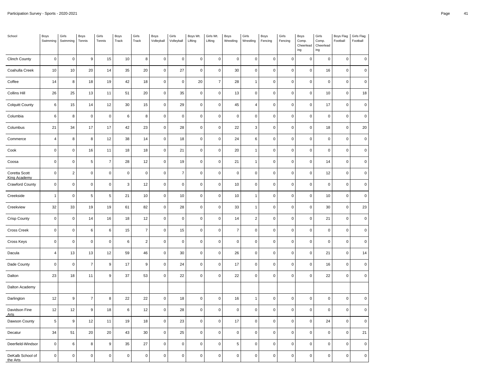| School                               | Boys<br>Swimming        | Girls<br>Swimming   | Boys<br>Tennis      | Girls<br>Tennis  | Boys<br>Track | Girls<br>Track | Boys<br>Volleyball | Girls<br>Volleyball | Boys Wt.<br>Lifting | Girls Wt.<br>Lifting | Boys<br>Wrestling | Girls<br>Wrestling | Boys<br>Fencing     | Girls<br>Fencing | Boys<br>Comp.<br>Cheerlead<br>ing | Girls<br>Comp.<br>Cheerlead<br>ing | Boys Flag<br>Football | Girls Flag<br>Football |
|--------------------------------------|-------------------------|---------------------|---------------------|------------------|---------------|----------------|--------------------|---------------------|---------------------|----------------------|-------------------|--------------------|---------------------|------------------|-----------------------------------|------------------------------------|-----------------------|------------------------|
| <b>Clinch County</b>                 | $\pmb{0}$               | $\mathsf{O}\xspace$ | $\boldsymbol{9}$    | 15               | 10            | 8              | $\mathbf 0$        | $\pmb{0}$           | $\pmb{0}$           | $\mathsf 0$          | $\mathsf 0$       | $\mathsf 0$        | $\mathsf 0$         | $\pmb{0}$        | $\mathbf 0$                       | $\pmb{0}$                          | $\pmb{0}$             | $\mathsf 0$            |
| Coahulla Creek                       | 10                      | 10                  | 20                  | 14               | 35            | 20             | $\pmb{0}$          | 27                  | $\pmb{0}$           | $\mathbf 0$          | 30                | $\mathsf 0$        | $\mathbf 0$         | $\pmb{0}$        | $\mathsf 0$                       | 16                                 | $\mathsf 0$           | $\mathsf 0$            |
| Coffee                               | 14                      | 8                   | 18                  | 19               | 42            | 18             | $\mathbf 0$        | $\mathsf 0$         | 20                  | $\overline{7}$       | 28                | $\mathbf{1}$       | $\pmb{0}$           | $\pmb{0}$        | $\mathsf 0$                       | $\pmb{0}$                          | $\pmb{0}$             | $\pmb{0}$              |
| <b>Collins Hill</b>                  | 26                      | 25                  | 13                  | 11               | 51            | 20             | $\mathbf 0$        | 35                  | $\pmb{0}$           | $\pmb{0}$            | 13                | $\mathbf 0$        | $\mathsf 0$         | $\pmb{0}$        | $\mathsf 0$                       | 10                                 | $\pmb{0}$             | 18                     |
| <b>Colquitt County</b>               | 6                       | 15                  | 14                  | 12               | 30            | 15             | $\pmb{0}$          | 29                  | $\pmb{0}$           | $\pmb{0}$            | 45                | $\overline{4}$     | $\pmb{0}$           | $\pmb{0}$        | $\mathsf 0$                       | 17                                 | $\pmb{0}$             | $\mathsf 0$            |
| Columbia                             | $\,6$                   | 8                   | $\mathsf{O}\xspace$ | $\mathbf 0$      | $\,6\,$       | $\bf8$         | $\pmb{0}$          | $\pmb{0}$           | $\mathbf 0$         | $\mathbf 0$          | $\mathbf 0$       | $\mathsf 0$        | $\mathbf 0$         | $\pmb{0}$        | $\mathbf 0$                       | $\pmb{0}$                          | $\pmb{0}$             | $\pmb{0}$              |
| Columbus                             | 21                      | 34                  | 17                  | 17               | 42            | 23             | $\mathbf 0$        | 28                  | $\pmb{0}$           | $\mathsf 0$          | 22                | 3                  | $\mathbf 0$         | $\pmb{0}$        | $\mathsf 0$                       | 18                                 | $\pmb{0}$             | 20                     |
| Commerce                             | $\overline{\mathbf{4}}$ | 8                   | 8                   | 12               | 38            | 14             | $\pmb{0}$          | 18                  | $\pmb{0}$           | $\mathbf 0$          | 24                | 6                  | $\mathbf 0$         | $\pmb{0}$        | $\mathbf 0$                       | $\pmb{0}$                          | $\mathsf 0$           | $\mathbf 0$            |
| Cook                                 | $\pmb{0}$               | $\mathsf 0$         | $16\,$              | 11               | 18            | 18             | $\mathbf 0$        | 21                  | $\mathbf 0$         | $\mathsf 0$          | 20                | $\mathbf{1}$       | $\mathbf 0$         | $\mathbf 0$      | $\mathsf 0$                       | $\pmb{0}$                          | $\pmb{0}$             | $\mathbf 0$            |
| Coosa                                | $\mathbf 0$             | 0                   | 5                   | $\overline{7}$   | 28            | 12             | $\mathbf 0$        | 19                  | $\pmb{0}$           | $\mathsf 0$          | 21                | $\overline{1}$     | $\pmb{0}$           | $\pmb{0}$        | $\mathbf 0$                       | 14                                 | $\pmb{0}$             | $\mathsf 0$            |
| Coretta Scott<br><b>King Academy</b> | $\mathbf 0$             | $\sqrt{2}$          | $\pmb{0}$           | $\pmb{0}$        | $\pmb{0}$     | $\mathbf 0$    | $\mathbf 0$        | $\overline{7}$      | $\mathbf 0$         | $\mathbf 0$          | $\mathbf 0$       | $\pmb{0}$          | $\pmb{0}$           | $\pmb{0}$        | $\mathbf 0$                       | 12                                 | $\pmb{0}$             | $\pmb{0}$              |
| <b>Crawford County</b>               | $\pmb{0}$               | $\mathsf 0$         | $\mathbf 0$         | $\pmb{0}$        | 3             | 12             | $\pmb{0}$          | $\mathsf 0$         | $\pmb{0}$           | $\mathbf 0$          | 10                | $\mathsf 0$        | $\mathbf 0$         | $\pmb{0}$        | $\mathsf 0$                       | $\pmb{0}$                          | $\pmb{0}$             | $\pmb{0}$              |
| Creekside                            | $\overline{1}$          | $\mathsf 0$         | 5                   | $\,$ 5           | 21            | 10             | $\pmb{0}$          | 10                  | $\pmb{0}$           | $\mathsf 0$          | 10                | $\overline{1}$     | $\mathbf 0$         | $\pmb{0}$        | $\mathsf 0$                       | 10                                 | $\mathsf 0$           | $\mathbf 0$            |
| Creekview                            | 32                      | 33                  | $19$                | $19$             | 61            | 82             | $\mathbf 0$        | 28                  | $\pmb{0}$           | $\pmb{0}$            | 33                | $\mathbf{1}$       | $\pmb{0}$           | $\pmb{0}$        | $\mathbf 0$                       | $30\,$                             | $\pmb{0}$             | 23                     |
| <b>Crisp County</b>                  | $\pmb{0}$               | $\mathsf 0$         | 14                  | 16               | 18            | 12             | $\pmb{0}$          | $\mathsf 0$         | $\pmb{0}$           | $\pmb{0}$            | 14                | $\mathbf 2$        | $\mathbf 0$         | $\pmb{0}$        | $\mathsf 0$                       | 21                                 | $\pmb{0}$             | $\mathbf 0$            |
| Cross Creek                          | $\pmb{0}$               | 0                   | 6                   | 6                | 15            | $\overline{7}$ | $\mathbf 0$        | 15                  | $\pmb{0}$           | $\mathsf 0$          | $\overline{7}$    | $\mathsf 0$        | $\pmb{0}$           | $\pmb{0}$        | $\mathsf 0$                       | $\pmb{0}$                          | $\mathsf 0$           | $\mathsf 0$            |
| Cross Keys                           | $\pmb{0}$               | $\pmb{0}$           | $\,0\,$             | $\pmb{0}$        | 6             | $\overline{2}$ | $\pmb{0}$          | $\pmb{0}$           | $\mathbf 0$         | $\mathbf 0$          | $\mathbf 0$       | $\mathsf 0$        | $\pmb{0}$           | $\pmb{0}$        | $\mathbf 0$                       | $\mathbf 0$                        | $\pmb{0}$             | $\mathsf 0$            |
| Dacula                               | $\overline{4}$          | 13                  | 13                  | 12               | 59            | 46             | $\pmb{0}$          | 30                  | $\pmb{0}$           | $\mathbf 0$          | 26                | $\pmb{0}$          | $\mathsf{O}\xspace$ | $\pmb{0}$        | $\mathbf 0$                       | 21                                 | $\pmb{0}$             | 14                     |
| Dade County                          | $\mathbf 0$             | $\mathsf 0$         | $\overline{7}$      | $\boldsymbol{9}$ | 17            | 9              | $\pmb{0}$          | 24                  | $\mathbf 0$         | 0                    | 17                | $\pmb{0}$          | $\mathbf 0$         | $\pmb{0}$        | $\mathbf 0$                       | 16                                 | $\mathbf 0$           | 0                      |
| Dalton                               | 23                      | 18                  | 11                  | $\mathsf g$      | 37            | 53             | $\pmb{0}$          | 22                  | $\pmb{0}$           | $\mathsf 0$          | 22                | $\mathbf 0$        | $\mathsf 0$         | $\pmb{0}$        | $\mathbf 0$                       | 22                                 | $\pmb{0}$             | $\pmb{0}$              |
| Dalton Academy                       |                         |                     |                     |                  |               |                |                    |                     |                     |                      |                   |                    |                     |                  |                                   |                                    |                       |                        |
| Darlington                           | 12                      | 9                   | $\overline{7}$      | $\bf8$           | 22            | 22             | $\pmb{0}$          | 18                  | $\pmb{0}$           | $\pmb{0}$            | 16                | $\overline{1}$     | $\pmb{0}$           | $\pmb{0}$        | $\mathbf 0$                       | $\pmb{0}$                          | $\mathsf 0$           | $\mathbf 0$            |
| Davidson Fine<br><b>Arts</b>         | 12                      | 12                  | 9                   | 18               | $\,6\,$       | 12             | $\pmb{0}$          | 28                  | $\pmb{0}$           | $\mathbf 0$          | $\mathsf 0$       | $\pmb{0}$          | $\mathbf 0$         | $\pmb{0}$        | $\mathsf{O}\xspace$               | $\pmb{0}$                          | $\pmb{0}$             | $\mathbf 0$            |
| Dawson County                        | 5                       | 9                   | 12                  | 11               | 19            | 18             | $\pmb{0}$          | 23                  | $\pmb{0}$           | $\mathbf 0$          | 17                | $\pmb{0}$          | $\mathbf 0$         | $\pmb{0}$        | $\mathsf 0$                       | 24                                 | $\pmb{0}$             | $\mathsf 0$            |
| Decatur                              | 34                      | 51                  | $20\,$              | 20               | 43            | 30             | $\mathbf 0$        | 25                  | $\pmb{0}$           | $\mathsf 0$          | $\mathsf 0$       | $\mathsf 0$        | $\mathbf 0$         | $\mathbf 0$      | $\mathbf 0$                       | $\pmb{0}$                          | $\mathbf 0$           | 21                     |
| Deerfield-Windsor                    | $\pmb{0}$               | $\,6\,$             | 8                   | $\boldsymbol{9}$ | 35            | 27             | $\pmb{0}$          | $\mathsf 0$         | $\pmb{0}$           | $\mathbf 0$          | $\,$ 5 $\,$       | $\pmb{0}$          | $\pmb{0}$           | $\pmb{0}$        | $\mathsf 0$                       | $\pmb{0}$                          | $\pmb{0}$             | $\mathbf 0$            |
| DeKalb School of<br>the Arts         | $\mathbf 0$             | $\pmb{0}$           | $\pmb{0}$           | $\pmb{0}$        | $\pmb{0}$     | $\pmb{0}$      | $\mathbf 0$        | $\mathbf 0$         | $\pmb{0}$           | 0                    | $\mathbf 0$       | $\pmb{0}$          | $\pmb{0}$           | $\pmb{0}$        | $\mathbf 0$                       | $\pmb{0}$                          | $\mathsf 0$           | $\mathsf 0$            |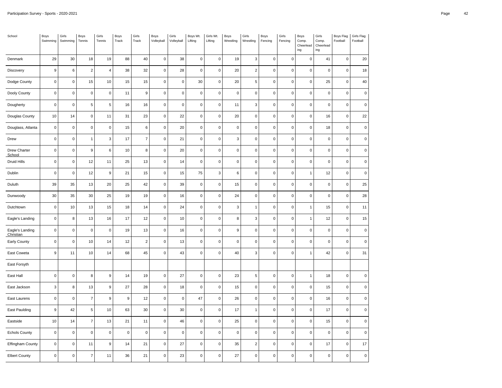| School                       | Boys<br>Swimming | Girls<br>Swimming   | Boys<br>Tennis           | Girls<br>Tennis  | Boys<br>Track    | Girls<br>Track | Boys<br>Volleyball  | Girls<br>Volleyball | Boys Wt.<br>Lifting | Girls Wt.<br>Lifting | Boys<br>Wrestling         | Girls<br>Wrestling | Boys<br>Fencing | Girls<br>Fencing | Boys<br>Comp.<br>Cheerlead<br>ing | Girls<br>Comp.<br>Cheerlead<br>ing | Boys Flag<br>Football | Girls Flag<br>Football |
|------------------------------|------------------|---------------------|--------------------------|------------------|------------------|----------------|---------------------|---------------------|---------------------|----------------------|---------------------------|--------------------|-----------------|------------------|-----------------------------------|------------------------------------|-----------------------|------------------------|
| Denmark                      | 29               | 30                  | 18                       | 19               | 88               | 40             | $\mathsf 0$         | 38                  | $\mathbf 0$         | $\pmb{0}$            | 19                        | 3                  | $\mathbf 0$     | $\mathbf 0$      | $\pmb{0}$                         | 41                                 | $\mathsf 0$           | 20                     |
| Discovery                    | $\boldsymbol{9}$ | 6                   | $\sqrt{2}$               | $\overline{4}$   | 38               | 32             | $\mathsf 0$         | 28                  | $\mathbf 0$         | $\pmb{0}$            | 20                        | $\sqrt{2}$         | $\mathsf 0$     | $\pmb{0}$        | 0                                 | $\pmb{0}$                          | $\mathsf{O}\xspace$   | 18                     |
| Dodge County                 | $\pmb{0}$        | $\mathbf 0$         | 15                       | 10               | 15               | 15             | $\mathsf 0$         | $\pmb{0}$           | $30\,$              | $\pmb{0}$            | 20                        | 5                  | $\mathbf 0$     | $\pmb{0}$        | $\mathsf{O}\xspace$               | 25                                 | $\mathsf{O}\xspace$   | $40\,$                 |
| Dooly County                 | $\pmb{0}$        | $\mathsf 0$         | $\pmb{0}$                | $\pmb{0}$        | 11               | $\mathsf g$    | $\mathsf 0$         | $\mathbf 0$         | $\mathbf 0$         | $\mathbf 0$          | $\mathbf 0$               | $\pmb{0}$          | $\mathsf 0$     | $\mathbf 0$      | $\pmb{0}$                         | $\pmb{0}$                          | $\mathsf 0$           | $\mathbf 0$            |
| Dougherty                    | $\pmb{0}$        | $\pmb{0}$           | $\,$ 5 $\,$              | 5                | 16               | 16             | $\mathsf{O}\xspace$ | $\mathbf 0$         | $\mathbf 0$         | $\pmb{0}$            | 11                        | 3                  | $\mathbf 0$     | $\pmb{0}$        | $\pmb{0}$                         | $\pmb{0}$                          | 0                     | $\mathsf 0$            |
| Douglas County               | 10               | 14                  | $\pmb{0}$                | 11               | 31               | 23             | $\mathsf 0$         | 22                  | $\mathbf 0$         | $\mathbf 0$          | 20                        | $\pmb{0}$          | $\mathbf 0$     | $\mathbf 0$      | $\mathsf{O}$                      | 16                                 | $\mathsf 0$           | 22                     |
| Douglass, Atlanta            | $\pmb{0}$        | $\mathsf 0$         | $\pmb{0}$                | $\pmb{0}$        | 15               | 6              | $\mathsf 0$         | 20                  | $\mathbf 0$         | $\pmb{0}$            | $\mathsf{O}\xspace$       | $\pmb{0}$          | $\mathbf 0$     | $\pmb{0}$        | $\mathsf 0$                       | 18                                 | 0                     | $\mathsf 0$            |
| Drew                         | $\pmb{0}$        | $\pmb{0}$           | $\mathbf{1}$             | $\mathsf 3$      | 17               | $\overline{7}$ | $\pmb{0}$           | 21                  | $\mathbf 0$         | $\pmb{0}$            | $\ensuremath{\mathsf{3}}$ | $\pmb{0}$          | $\mathbf 0$     | $\pmb{0}$        | $\pmb{0}$                         | $\mathsf 0$                        | $\mathsf 0$           | $\pmb{0}$              |
| Drew Charter<br>School       | $\pmb{0}$        | $\mathsf 0$         | $\boldsymbol{9}$         | 6                | $10$             | 8              | $\mathsf 0$         | 20                  | $\pmb{0}$           | $\pmb{0}$            | $\mathbf 0$               | $\pmb{0}$          | $\mathbf 0$     | $\pmb{0}$        | $\pmb{0}$                         | $\mathbf 0$                        | $\mathsf 0$           | $\pmb{0}$              |
| Druid Hills                  | $\pmb{0}$        | $\pmb{0}$           | 12                       | 11               | 25               | 13             | 0                   | 14                  | $\mathbf 0$         | $\pmb{0}$            | $\mathsf{O}\xspace$       | $\pmb{0}$          | $\mathbf 0$     | $\pmb{0}$        | $\pmb{0}$                         | $\pmb{0}$                          | $\mathsf{O}\xspace$   | $\mathsf 0$            |
| Dublin                       | $\pmb{0}$        | $\pmb{0}$           | 12                       | $\boldsymbol{9}$ | 21               | 15             | $\mathsf 0$         | 15                  | 75                  | $\mathbf{3}$         | 6                         | $\pmb{0}$          | $\mathbf 0$     | $\pmb{0}$        | $\mathbf{1}$                      | 12                                 | $\mathsf 0$           | $\mathbf 0$            |
| Duluth                       | 39               | 35                  | 13                       | 20               | 25               | 42             | $\mathsf 0$         | 39                  | $\pmb{0}$           | $\pmb{0}$            | 15                        | $\pmb{0}$          | $\mathbf 0$     | $\pmb{0}$        | $\pmb{0}$                         | $\mathbf 0$                        | $\mathsf 0$           | 25                     |
| Dunwoody                     | 30               | 35                  | $30\,$                   | 25               | 19               | 19             | $\mathsf 0$         | $16\,$              | $\mathbf 0$         | $\mathsf 0$          | 24                        | $\pmb{0}$          | $\mathbf 0$     | $\mathbf 0$      | $\mathbf 0$                       | $\pmb{0}$                          | $\mathbf 0$           | 28                     |
| Dutchtown                    | $\pmb{0}$        | 10                  | 13                       | 15               | 18               | 14             | $\mathsf 0$         | 24                  | $\mathbf 0$         | $\pmb{0}$            | $\mathbf 3$               | $\mathbf{1}$       | $\mathbf 0$     | $\pmb{0}$        | $\mathbf{1}$                      | 15                                 | $\mathsf 0$           | 11                     |
| Eagle's Landing              | $\pmb{0}$        | $\bf8$              | 13                       | 16               | 17               | 12             | $\mathsf{O}\xspace$ | 10                  | $\pmb{0}$           | $\pmb{0}$            | 8                         | 3                  | $\mathbf 0$     | $\pmb{0}$        | $\mathbf{1}$                      | 12                                 | $\mathsf{O}\xspace$   | 15                     |
| Eagle's Landing<br>Christian | $\pmb{0}$        | $\mathsf 0$         | $\pmb{0}$                | $\pmb{0}$        | 19               | 13             | $\mathsf 0$         | 16                  | $\mathbf 0$         | $\mathbf 0$          | $\boldsymbol{9}$          | $\pmb{0}$          | $\mathbf 0$     | $\mathbf 0$      | $\pmb{0}$                         | $\pmb{0}$                          | $\mathbf 0$           | $\mathbf 0$            |
| Early County                 | $\pmb{0}$        | $\pmb{0}$           | 10                       | 14               | 12               | $\overline{c}$ | $\mathsf 0$         | 13                  | $\mathbf 0$         | $\pmb{0}$            | $\mathsf 0$               | $\pmb{0}$          | $\mathbf 0$     | $\pmb{0}$        | $\pmb{0}$                         | $\pmb{0}$                          | $\mathsf 0$           | $\mathsf 0$            |
| East Coweta                  | $\boldsymbol{9}$ | 11                  | 10                       | 14               | 68               | 45             | 0                   | 43                  | $\mathbf 0$         | $\mathbf 0$          | 40                        | 3                  | $\pmb{0}$       | $\mathbf 0$      | $\mathbf{1}$                      | 42                                 | $\mathbf 0$           | 31                     |
| East Forsyth                 |                  |                     |                          |                  |                  |                |                     |                     |                     |                      |                           |                    |                 |                  |                                   |                                    |                       |                        |
| East Hall                    | $\pmb{0}$        | $\mathsf{O}\xspace$ | 8                        | 9                | 14               | 19             | $\mathsf{O}\xspace$ | 27                  | $\mathbf 0$         | $\pmb{0}$            | 23                        | 5                  | $\mathbf 0$     | $\pmb{0}$        | $\mathbf{1}$                      | 18                                 | $\mathsf 0$           | $\pmb{0}$              |
| East Jackson                 | $\mathbf{3}$     | 8                   | 13                       | $\mathsf g$      | 27               | 28             | 0                   | 18                  | $\mathbf 0$         | $\pmb{0}$            | 15                        | $\pmb{0}$          | $\mathsf 0$     | $\mathbf 0$      | $\pmb{0}$                         | 15                                 | 0                     | $\pmb{0}$              |
| East Laurens                 | $\pmb{0}$        | $\pmb{0}$           | $\boldsymbol{7}$         | $\boldsymbol{9}$ | $\boldsymbol{9}$ | 12             | $\pmb{0}$           | $\mathbf 0$         | 47                  | $\pmb{0}$            | 26                        | $\pmb{0}$          | $\mathbf 0$     | $\pmb{0}$        | $\pmb{0}$                         | $16$                               | 0                     | $\mathsf 0$            |
| East Paulding                | $\boldsymbol{9}$ | 42                  | $\mathbf 5$              | 10               | 63               | $30\,$         | $\mathsf 0$         | $30\,$              | $\mathbf 0$         | $\pmb{0}$            | 17                        | $\mathbf{1}$       | $\mathbf 0$     | $\mathbf 0$      | $\mathsf{O}$                      | 17                                 | $\mathsf 0$           | $\pmb{0}$              |
| Eastside                     | $10$             | 14                  | $\overline{\mathcal{I}}$ | 13               | 21               | 11             | $\mathsf 0$         | 46                  | $\mathbf 0$         | $\pmb{0}$            | 25                        | $\pmb{0}$          | $\mathbf 0$     | $\pmb{0}$        | $\mathsf 0$                       | 15                                 | 0                     | $\mathsf 0$            |
| <b>Echols County</b>         | $\pmb{0}$        | $\pmb{0}$           | $\mathbf 0$              | $\pmb{0}$        | $\pmb{0}$        | $\pmb{0}$      | $\pmb{0}$           | $\pmb{0}$           | $\mathbf 0$         | $\pmb{0}$            | $\pmb{0}$                 | $\pmb{0}$          | $\mathbf 0$     | $\pmb{0}$        | $\pmb{0}$                         | $\mathsf 0$                        | $\mathsf{O}\xspace$   | $\pmb{0}$              |
| Effingham County             | $\pmb{0}$        | $\mathsf{O}\xspace$ | 11                       | $\mathsf g$      | 14               | 21             | $\mathsf{O}\xspace$ | 27                  | $\pmb{0}$           | $\pmb{0}$            | 35                        | $\overline{c}$     | $\pmb{0}$       | $\pmb{0}$        | $\pmb{0}$                         | 17                                 | $\mathsf{O}\xspace$   | 17                     |
| <b>Elbert County</b>         | $\pmb{0}$        | $\mathbf 0$         | $\overline{7}$           | 11               | 36               | 21             | 0                   | 23                  | $\pmb{0}$           | $\pmb{0}$            | 27                        | $\pmb{0}$          | $\pmb{0}$       | $\mathbf 0$      | $\mathsf 0$                       | $\mathbf 0$                        | 0                     | 0                      |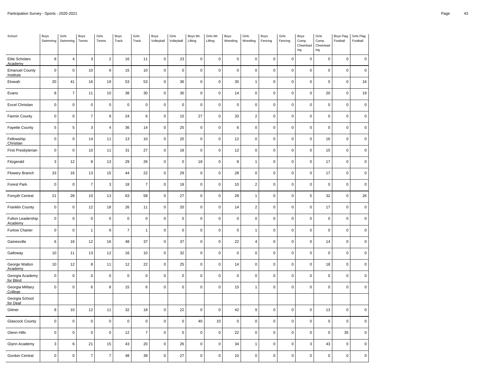| School                             | Boys<br>Swimming          | Girls<br>Swimming | Boys<br>Tennis | Girls<br>Tennis  | Boys<br>Track  | Girls<br>Track | Boys<br>Volleyball  | Girls<br>Volleyball | Boys Wt.<br>Lifting | Girls Wt.<br>Lifting | Boys<br>Wrestling | Girls<br>Wrestling | Boys<br>Fencing | Girls<br>Fencing | Boys<br>Comp.<br>Cheerlead<br>ing | Girls<br>Comp.<br>Cheerlead<br>ing | Boys Flag<br>Football | Girls Flag<br>Football |
|------------------------------------|---------------------------|-------------------|----------------|------------------|----------------|----------------|---------------------|---------------------|---------------------|----------------------|-------------------|--------------------|-----------------|------------------|-----------------------------------|------------------------------------|-----------------------|------------------------|
| Elite Scholars<br>Academy          | 8                         | $\overline{4}$    | 3              | $\overline{2}$   | 16             | 11             | $\mathbf 0$         | 23                  | $\mathsf 0$         | $\mathbf 0$          | $\pmb{0}$         | $\pmb{0}$          | $\mathsf 0$     | 0                | $\pmb{0}$                         | 0                                  | $\mathsf 0$           | $\mathsf 0$            |
| <b>Emanuel County</b><br>Institute | $\mathbf 0$               | $\pmb{0}$         | 10             | $\boldsymbol{9}$ | 15             | 10             | $\mathsf 0$         | $\pmb{0}$           | $\mathsf{O}\xspace$ | $\pmb{0}$            | $\pmb{0}$         | $\pmb{0}$          | $\mathbf 0$     | $\pmb{0}$        | $\mathbf 0$                       | $\mathsf{O}\xspace$                | $\mathsf 0$           | $\mathbf 0$            |
| Etowah                             | 20                        | 41                | 16             | 19               | 53             | 53             | $\mathsf 0$         | 36                  | $\mathsf 0$         | $\mathbf 0$          | 35                | $\overline{1}$     | $\mathsf 0$     | $\mathsf 0$      | $\mathsf 0$                       | $\pmb{0}$                          | $\mathsf 0$           | 16                     |
| Evans                              | 8                         | $\overline{7}$    | 11             | 10               | 38             | 30             | $\mathsf{O}\xspace$ | 30                  | $\pmb{0}$           | $\pmb{0}$            | 14                | $\pmb{0}$          | $\mathbf 0$     | 0                | $\mathbf 0$                       | 20                                 | $\mathsf{O}\xspace$   | 19                     |
| <b>Excel Christian</b>             | $\mathbf 0$               | $\pmb{0}$         | $\mathsf 0$    | $\mathbf 0$      | $\mathbf 0$    | $\pmb{0}$      | $\mathsf 0$         | $\pmb{0}$           | $\pmb{0}$           | $\mathbf 0$          | $\pmb{0}$         | $\pmb{0}$          | 0               | $\mathsf 0$      | $\pmb{0}$                         | 0                                  | $\mathsf 0$           | $\mathbf 0$            |
| Fannin County                      | $\mathsf 0$               | $\pmb{0}$         | $\overline{7}$ | $\boldsymbol{9}$ | 24             | $\,6$          | $\mathsf 0$         | 15                  | 27                  | $\mathbf 0$          | 33                | $\mathbf 2$        | $\mathsf 0$     | $\mathsf 0$      | $\mathsf 0$                       | 0                                  | $\mathsf 0$           | $\pmb{0}$              |
| <b>Fayette County</b>              | $\,$ 5 $\,$               | $\,$ 5 $\,$       | 3              | $\overline{4}$   | 36             | 14             | $\mathbf 0$         | 25                  | $\mathsf 0$         | $\pmb{0}$            | 6                 | $\pmb{0}$          | $\mathbf 0$     | $\mathsf 0$      | $\mathsf 0$                       | $\mathsf 0$                        | $\mathsf{O}\xspace$   | $\pmb{0}$              |
| Fellowship<br>Christian            | $\mathbf 0$               | $\pmb{0}$         | 14             | 11               | 13             | 10             | $\mathsf 0$         | 20                  | $\mathsf 0$         | $\mathbf 0$          | 12                | $\mathsf 0$        | $\mathbf 0$     | $\mathbf 0$      | $\mathbf 0$                       | 16                                 | $\mathsf 0$           | $\mathbf 0$            |
| First Presbyterian                 | $\mathbf 0$               | $\mathbf 0$       | 10             | 11               | 31             | 27             | $\mathsf 0$         | 18                  | $\pmb{0}$           | $\mathbf 0$          | 12                | $\mathbf 0$        | $\mathbf 0$     | $\mathsf 0$      | $\mathsf 0$                       | 15                                 | $\pmb{0}$             | $\mathsf 0$            |
| Fitzgerald                         | $\ensuremath{\mathsf{3}}$ | 12                | 8              | 13               | 29             | 26             | $\mathsf{O}\xspace$ | $\pmb{0}$           | 18                  | $\pmb{0}$            | 8                 | $\mathbf{1}$       | $\pmb{0}$       | $\pmb{0}$        | $\mathbf 0$                       | 17                                 | $\mathsf{O}\xspace$   | $\mathsf 0$            |
| Flowery Branch                     | 33                        | 16                | $13$           | 15               | 44             | 22             | $\mathsf 0$         | 29                  | $\pmb{0}$           | $\mathbf 0$          | 28                | $\mathsf 0$        | $\pmb{0}$       | $\mathbf 0$      | $\pmb{0}$                         | $17$                               | $\mathsf 0$           | $\pmb{0}$              |
| <b>Forest Park</b>                 | $\mathbf 0$               | $\pmb{0}$         | $\overline{7}$ | 3                | 18             | $\overline{7}$ | $\mathsf 0$         | 18                  | $\mathsf 0$         | $\pmb{0}$            | 10                | $\overline{2}$     | $\pmb{0}$       | $\mathsf 0$      | $\pmb{0}$                         | 0                                  | 0                     | $\mathsf 0$            |
| Forsyth Central                    | 21                        | 28                | $10$           | 13               | 63             | 58             | $\mathsf 0$         | 27                  | $\pmb{0}$           | $\mathsf 0$          | 28                | $\mathbf{1}$       | $\mathbf 0$     | $\mathbf 0$      | $\,$ 5 $\,$                       | 32                                 | $\mathsf 0$           | 26                     |
| <b>Franklin County</b>             | $\mathbf 0$               | $\pmb{0}$         | 12             | 18               | 26             | 11             | $\mathsf 0$         | 20                  | $\mathsf 0$         | $\mathbf 0$          | 14                | $\mathbf 2$        | $\mathsf 0$     | $\pmb{0}$        | $\mathsf 0$                       | 17                                 | $\mathsf 0$           | $\pmb{0}$              |
| Fulton Leadership<br>Academy       | $\mathbf 0$               | $\pmb{0}$         | $\mathsf 0$    | $\mathbf 0$      | $\mathsf 0$    | $\mathbf 0$    | $\mathsf 0$         | $\pmb{0}$           | $\pmb{0}$           | $\mathbf 0$          | $\mathsf 0$       | $\pmb{0}$          | 0               | $\mathsf 0$      | $\pmb{0}$                         | 0                                  | 0                     | $\pmb{0}$              |
| <b>Furlow Charter</b>              | $\mathbf 0$               | $\pmb{0}$         | $\mathbf{1}$   | $9\,$            | $\overline{7}$ | $\mathbf{1}$   | $\mathbf 0$         | $\pmb{0}$           | $\mathsf 0$         | $\mathbf 0$          | 5                 | $\mathbf{1}$       | $\mathbf 0$     | $\mathbf 0$      | $\mathsf 0$                       | $\pmb{0}$                          | $\mathsf 0$           | $\mathbf 0$            |
| Gainesville                        | 6                         | 16                | 12             | 16               | 48             | 37             | $\mathsf{O}\xspace$ | 37                  | $\mathsf 0$         | $\mathbf 0$          | 22                | 4                  | $\pmb{0}$       | $\mathbf 0$      | $\pmb{0}$                         | 14                                 | $\mathsf{O}\xspace$   | $\mathsf 0$            |
| Galloway                           | 10                        | 11                | 13             | 12               | 16             | 10             | $\mathbf 0$         | 32                  | $\mathsf 0$         | $\pmb{0}$            | $\mathbf 0$       | $\pmb{0}$          | $\mathbf 0$     | $\pmb{0}$        | $\mathbf 0$                       | $\mathbf 0$                        | $\mathsf 0$           | $\mathbf 0$            |
| George Walton<br>Academy           | 10                        | 12                | 8              | 11               | 12             | 22             | $\mathsf 0$         | 25                  | $\mathsf 0$         | $\pmb{0}$            | 14                | $\pmb{0}$          | $\pmb{0}$       | $\pmb{0}$        | $\mathbf 0$                       | 18                                 | $\mathsf 0$           | $\mathsf 0$            |
| Georgia Academy<br>for Blind       | $\mathbf 0$               | $\mathbf 0$       | $\mathsf 0$    | $\mathbf 0$      | $\mathbf 0$    | $\mathbf 0$    | $\mathbf 0$         | $\pmb{0}$           | $\pmb{0}$           | $\pmb{0}$            | $\pmb{0}$         | $\pmb{0}$          | $\pmb{0}$       | $\mathbf 0$      | $\pmb{0}$                         | 0                                  | $\pmb{0}$             | $\mathsf 0$            |
| Georgia Military<br>College        | $\mathbf 0$               | $\pmb{0}$         | 6              | 8                | 15             | $\,6\,$        | $\mathsf 0$         | $\pmb{0}$           | $\pmb{0}$           | $\pmb{0}$            | 15                | $\mathbf{1}$       | 0               | $\pmb{0}$        | $\pmb{0}$                         | 0                                  | $\mathsf 0$           | $\mathsf 0$            |
| Georgia School<br>for Deaf         |                           |                   |                |                  |                |                |                     |                     |                     |                      |                   |                    |                 |                  |                                   |                                    |                       |                        |
| Gilmer                             | 8                         | 10                | 12             | 11               | 32             | 18             | $\mathbf 0$         | 22                  | $\pmb{0}$           | $\mathbf 0$          | 42                | 9                  | $\mathbf 0$     | 0                | $\mathbf 0$                       | 13                                 | $\mathsf{O}\xspace$   | $\mathsf 0$            |
| Glascock County                    | $\mathsf{O}\xspace$       | $\mathbf 0$       | $\mathbf 0$    | $\mathbf 0$      | $\mathbf 0$    | $\pmb{0}$      | $\mathbf 0$         | $\mathbf 0$         | $40\,$              | $10$                 | $\pmb{0}$         | $\mathsf 0$        | 0               | $\mathbf 0$      | $\mathsf 0$                       | $\pmb{0}$                          | $\mathsf 0$           | $\pmb{0}$              |
| Glenn Hills                        | $\mathbf 0$               | $\pmb{0}$         | $\mathsf 0$    | $\mathbf 0$      | 12             | $\overline{7}$ | $\mathsf 0$         | $\pmb{0}$           | $\pmb{0}$           | $\mathbf 0$          | 22                | $\mathsf 0$        | $\mathsf 0$     | $\pmb{0}$        | $\mathsf 0$                       | 0                                  | 35                    | $\pmb{0}$              |
| Glynn Academy                      | $\mathbf{3}$              | $\,6\,$           | 21             | 15               | 43             | 20             | $\mathsf 0$         | 26                  | $\mathbf 0$         | $\mathbf 0$          | 34                | $\mathbf{1}$       | $\mathbf 0$     | $\mathbf 0$      | $\mathsf 3$                       | 43                                 | $\mathbf 0$           | $\mathsf 0$            |
| Gordon Central                     | $\pmb{0}$                 | $\pmb{0}$         | $\overline{7}$ | $\overline{7}$   | 48             | 39             | $\mathsf{O}\xspace$ | 27                  | $\pmb{0}$           | $\pmb{0}$            | 10                | $\pmb{0}$          | 0               | $\mathbf 0$      | 0                                 | 0                                  | $\mathsf{O}\xspace$   | 0                      |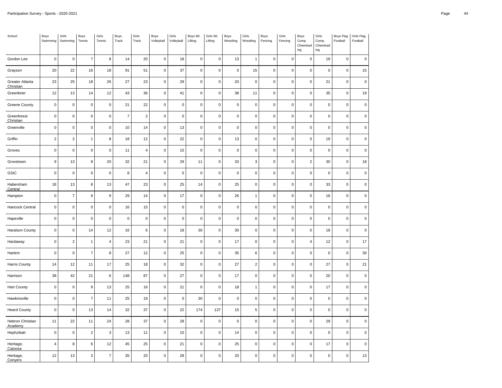| School                       | Boys<br>Swimming | Girls<br>Swimming | Boys<br>Tennis   | Girls<br>Tennis  | Boys<br>Track  | Girls<br>Track          | Boys<br>Volleyball  | Girls<br>Volleyball | Boys Wt.<br>Lifting | Girls Wt.<br>Lifting | Boys<br>Wrestling | Girls<br>Wrestling | Boys<br>Fencing | Girls<br>Fencing | Boys<br>Comp.<br>Cheerlead<br>ing | Girls<br>Comp.<br>Cheerlead<br>ing | Boys Flag<br>Football | Girls Flag<br>Football |
|------------------------------|------------------|-------------------|------------------|------------------|----------------|-------------------------|---------------------|---------------------|---------------------|----------------------|-------------------|--------------------|-----------------|------------------|-----------------------------------|------------------------------------|-----------------------|------------------------|
| Gordon Lee                   | $\mathsf 0$      | $\mathbf 0$       | $\overline{7}$   | 8                | 14             | 20                      | $\mathsf 0$         | 18                  | $\mathsf 0$         | $\pmb{0}$            | 13                | $\mathbf{1}$       | $\mathsf 0$     | 0                | $\pmb{0}$                         | 19                                 | $\mathsf 0$           | $\mathbf 0$            |
| Grayson                      | 20               | 22                | 16               | 18               | 91             | 51                      | $\mathsf{O}\xspace$ | 37                  | $\mathbf 0$         | $\pmb{0}$            | $\pmb{0}$         | 15                 | $\mathbf 0$     | $\pmb{0}$        | $\mathbf 0$                       | $\mathbf 0$                        | $\mathsf 0$           | 15                     |
| Greater Atlanta<br>Christian | 23               | 25                | 18               | 26               | 27             | 23                      | $\mathsf{O}\xspace$ | 29                  | $\mathsf 0$         | $\mathbf 0$          | 20                | $\pmb{0}$          | $\pmb{0}$       | $\pmb{0}$        | $\mathbf 0$                       | 21                                 | $\mathsf 0$           | $\pmb{0}$              |
| Greenbrier                   | 12               | 13                | 14               | 12               | 43             | 36                      | $\mathsf 0$         | 41                  | $\pmb{0}$           | $\pmb{0}$            | 38                | 11                 | $\mathbf 0$     | $\pmb{0}$        | $\mathsf 0$                       | 35                                 | $\mathsf 0$           | 19                     |
| <b>Greene County</b>         | $\mathbf 0$      | $\pmb{0}$         | $\mathbf 0$      | $\mathbf 0$      | 21             | 22                      | $\mathsf{O}\xspace$ | $\pmb{0}$           | $\mathsf 0$         | $\pmb{0}$            | $\pmb{0}$         | $\pmb{0}$          | 0               | $\pmb{0}$        | $\pmb{0}$                         | $\mathsf{O}\xspace$                | $\mathsf 0$           | $\mathbf 0$            |
| Greenforest<br>Christian     | $\mathsf 0$      | $\mathbf 0$       | $\mathbf 0$      | $\pmb{0}$        | $\overline{7}$ | $\overline{\mathbf{c}}$ | $\mathsf 0$         | $\pmb{0}$           | $\pmb{0}$           | $\mathbf 0$          | $\mathbf 0$       | $\mathsf 0$        | $\pmb{0}$       | $\pmb{0}$        | $\pmb{0}$                         | $\pmb{0}$                          | $\mathsf 0$           | $\mathbf 0$            |
| Greenville                   | $\mathsf 0$      | $\pmb{0}$         | $\mathsf 0$      | $\mathbf 0$      | 10             | 14                      | $\mathsf 0$         | 13                  | $\mathsf 0$         | $\pmb{0}$            | $\pmb{0}$         | $\pmb{0}$          | $\pmb{0}$       | $\pmb{0}$        | $\pmb{0}$                         | 0                                  | $\mathsf 0$           | $\mathsf 0$            |
| Griffin                      | $\overline{2}$   | $\sqrt{2}$        | $\mathbf{1}$     | 8                | 18             | 12                      | $\mathsf 0$         | 22                  | $\mathsf 0$         | $\pmb{0}$            | 13                | $\pmb{0}$          | $\mathbf 0$     | $\pmb{0}$        | $\mathbf 0$                       | 19                                 | $\mathsf 0$           | $\mathsf 0$            |
| Groves                       | $\pmb{0}$        | $\mathbf 0$       | $\mathbf 0$      | $\mathbf 0$      | $11$           | $\overline{4}$          | $\mathsf 0$         | 15                  | $\pmb{0}$           | $\mathsf 0$          | $\pmb{0}$         | $\pmb{0}$          | $\mathsf 0$     | $\mathsf 0$      | $\mathsf 0$                       | $\mathsf{O}\xspace$                | $\mathsf 0$           | $\mathbf 0$            |
| Grovetown                    | $\boldsymbol{9}$ | 13                | 8                | 20               | 32             | 21                      | $\mathsf 0$         | 29                  | 11                  | $\pmb{0}$            | 33                | 3                  | $\pmb{0}$       | $\mathbf 0$      | $\overline{2}$                    | 30                                 | $\mathsf 0$           | 18                     |
| GSIC                         | $\mathbf 0$      | $\pmb{0}$         | $\mathbf 0$      | $\pmb{0}$        | 8              | $\overline{4}$          | $\mathsf 0$         | $\mathbf 0$         | $\pmb{0}$           | $\mathbf 0$          | $\mathbf 0$       | $\mathsf 0$        | $\pmb{0}$       | $\mathbf 0$      | $\mathsf 0$                       | $\pmb{0}$                          | $\mathsf 0$           | $\pmb{0}$              |
| Habersham<br>Central         | 18               | 13                | 8                | 13               | 47             | 23                      | $\mathsf 0$         | 25                  | 14                  | $\pmb{0}$            | 25                | $\pmb{0}$          | $\pmb{0}$       | $\pmb{0}$        | $\mathsf 0$                       | 33                                 | $\mathsf 0$           | $\pmb{0}$              |
| Hampton                      | $\mathbf 0$      | $\overline{7}$    | $\boldsymbol{9}$ | $\boldsymbol{9}$ | 29             | 14                      | $\mathbf 0$         | 17                  | $\mathsf 0$         | $\mathbf 0$          | 26                | $\mathbf{1}$       | $\pmb{0}$       | $\pmb{0}$        | $\mathbf 0$                       | 16                                 | $\mathsf 0$           | $\mathsf 0$            |
| Hancock Central              | $\mathbf 0$      | $\mathbf 0$       | $\mathbf 0$      | $\pmb{0}$        | 16             | 15                      | $\mathsf 0$         | $\mathbf 0$         | $\pmb{0}$           | $\mathsf 0$          | $\mathbf 0$       | $\mathsf 0$        | $\pmb{0}$       | $\mathbf 0$      | $\pmb{0}$                         | $\pmb{0}$                          | $\pmb{0}$             | $\pmb{0}$              |
| Hapeville                    | $\mathbf 0$      | $\pmb{0}$         | $\mathsf 0$      | $\mathbf 0$      | $\mathsf 0$    | $\pmb{0}$               | $\mathsf 0$         | $\pmb{0}$           | $\pmb{0}$           | $\mathbf 0$          | $\pmb{0}$         | $\mathsf 0$        | $\mathsf 0$     | $\pmb{0}$        | $\mathsf 0$                       | $\pmb{0}$                          | $\mathsf 0$           | $\pmb{0}$              |
| <b>Haralson County</b>       | $\mathbf 0$      | $\mathsf 0$       | 14               | 12               | 16             | $\,6$                   | $\mathsf{O}\xspace$ | 18                  | 30                  | $\mathbf 0$          | 30                | $\pmb{0}$          | 0               | $\pmb{0}$        | $\mathbf 0$                       | 18                                 | $\mathsf{O}\xspace$   | $\mathsf 0$            |
| Hardaway                     | $\pmb{0}$        | $\sqrt{2}$        | $\mathbf{1}$     | $\overline{4}$   | 23             | 21                      | $\mathsf{O}\xspace$ | 21                  | $\pmb{0}$           | $\mathsf 0$          | 17                | $\mathsf 0$        | 0               | $\mathbf 0$      | $\overline{4}$                    | 12                                 | $\pmb{0}$             | $17\,$                 |
| Harlem                       | $\mathbf 0$      | $\pmb{0}$         | $\overline{7}$   | 8                | 27             | 12                      | $\mathsf 0$         | 25                  | $\pmb{0}$           | $\mathbf 0$          | 35                | 6                  | $\mathsf 0$     | $\pmb{0}$        | $\mathsf 0$                       | $\pmb{0}$                          | $\mathsf 0$           | $30\,$                 |
| Harris County                | 14               | 12                | 11               | 17               | 25             | 18                      | $\mathsf 0$         | 32                  | 0                   | $\mathbf 0$          | 27                | $\mathbf 2$        | $\mathbf 0$     | $\mathbf 0$      | $\pmb{0}$                         | 27                                 | $\mathsf 0$           | 21                     |
| Harrison                     | 38               | 42                | 21               | $\,6\,$          | 148            | 87                      | $\mathsf 0$         | 27                  | $\mathsf 0$         | $\mathbf 0$          | 17                | $\mathsf 0$        | $\mathsf 0$     | $\mathbf 0$      | $\mathsf 0$                       | 20                                 | $\mathsf 0$           | $\mathbf 0$            |
| <b>Hart County</b>           | $\mathbf 0$      | $\pmb{0}$         | $\boldsymbol{9}$ | 13               | 25             | 16                      | $\mathsf 0$         | 21                  | $\pmb{0}$           | $\mathbf 0$          | 18                | $\mathbf{1}$       | $\mathbf 0$     | $\pmb{0}$        | $\mathsf 0$                       | 17                                 | $\mathsf 0$           | $\mathsf 0$            |
| Hawkinsville                 | $\pmb{0}$        | $\pmb{0}$         | $\overline{7}$   | 11               | 25             | 19                      | $\mathsf 0$         | $\pmb{0}$           | 30                  | $\mathbf 0$          | $\mathbf 0$       | $\mathsf 0$        | $\mathbf 0$     | $\mathbf 0$      | $\mathbf 0$                       | 0                                  | 0                     | $\pmb{0}$              |
| <b>Heard County</b>          | $\mathbf 0$      | $\pmb{0}$         | 13               | 14               | 32             | 37                      | $\mathsf 0$         | 22                  | 174                 | 137                  | 15                | 5                  | $\mathbf 0$     | $\pmb{0}$        | $\mathbf 0$                       | $\pmb{0}$                          | $\mathsf 0$           | $\mathsf 0$            |
| Hebron Christian<br>Academy  | 11               | 22                | 11               | 24               | 28             | 37                      | $\mathsf 0$         | 28                  | $\pmb{0}$           | $\pmb{0}$            | $\pmb{0}$         | $\mathsf 0$        | 0               | $\mathbf 0$      | $\pmb{0}$                         | 29                                 | $\mathsf 0$           | $\mathsf 0$            |
| Hephzibah                    | $\mathsf 0$      | $\mathbf 0$       | $\overline{2}$   | 3                | 13             | 11                      | $\mathbf 0$         | $10$                | $\mathsf 0$         | $\mathsf 0$          | 14                | $\pmb{0}$          | $\mathbf 0$     | $\mathsf 0$      | $\mathbf 0$                       | $\mathsf 0$                        | $\mathsf{O}\xspace$   | $\pmb{0}$              |
| Heritage,<br>Catoosa         | 4                | 8                 | 6                | 12               | 45             | 25                      | $\mathsf 0$         | 21                  | $\mathsf 0$         | $\pmb{0}$            | 25                | $\pmb{0}$          | $\pmb{0}$       | $\pmb{0}$        | $\mathbf 0$                       | 17                                 | $\mathsf 0$           | $\mathsf 0$            |
| Heritage,<br>Convers         | 12               | 13                | $\mathsf 3$      | $\overline{7}$   | 35             | 20                      | $\mathbf 0$         | 28                  | $\pmb{0}$           | $\mathbf 0$          | 20                | $\mathsf 0$        | $\mathbf 0$     | $\mathbf 0$      | $\mathbf 0$                       | 0                                  | $\mathsf 0$           | 13                     |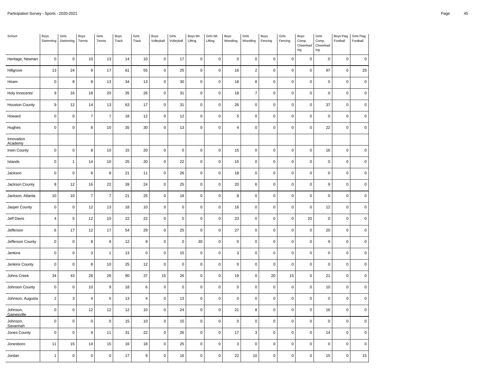| School                  | Boys<br>Swimming | Girls<br>Swimming   | Boys<br>Tennis           | Girls<br>Tennis | Boys<br>Track | Girls<br>Track   | Boys<br>Volleyball  | Girls<br>Volleyball | Boys Wt.<br>Lifting | Girls Wt.<br>Lifting | Boys<br>Wrestling   | Girls<br>Wrestling | Boys<br>Fencing | Girls<br>Fencing | Boys<br>Comp.<br>Cheerlead<br>ing | Girls<br>Comp.<br>Cheerlead<br>ing | Boys Flag<br>Football | Girls Flag<br>Football |
|-------------------------|------------------|---------------------|--------------------------|-----------------|---------------|------------------|---------------------|---------------------|---------------------|----------------------|---------------------|--------------------|-----------------|------------------|-----------------------------------|------------------------------------|-----------------------|------------------------|
| Heritage, Newnan        | $\pmb{0}$        | $\mathsf 0$         | 10                       | 13              | 14            | 10               | $\mathsf 0$         | 17                  | $\mathbf 0$         | $\pmb{0}$            | $\mathsf{O}\xspace$ | $\mathbf 0$        | $\mathbf 0$     | $\mathbf 0$      | $\pmb{0}$                         | $\pmb{0}$                          | $\mathsf 0$           | $\mathbf 0$            |
| Hillgrove               | 13               | 24                  | $\boldsymbol{9}$         | 17              | 61            | 55               | $\mathsf 0$         | 25                  | $\mathbf 0$         | $\pmb{0}$            | 16                  | $\sqrt{2}$         | $\mathbf 0$     | $\pmb{0}$        | 0                                 | 97                                 | 0                     | 25                     |
| Hiram                   | $\pmb{0}$        | 8                   | 8                        | 13              | 34            | 13               | $\mathsf{O}\xspace$ | $30\,$              | $\pmb{0}$           | $\pmb{0}$            | 18                  | 8                  | $\mathbf 0$     | $\mathbf 0$      | $\pmb{0}$                         | $\mathsf 0$                        | $\mathsf 0$           | $\pmb{0}$              |
| Holy Innocents'         | 9                | 16                  | 18                       | 20              | 35            | 26               | 0                   | 31                  | $\mathbf 0$         | $\pmb{0}$            | 18                  | $\overline{7}$     | $\mathsf 0$     | $\mathbf 0$      | $\pmb{0}$                         | $\pmb{0}$                          | $\mathsf 0$           | $\mathsf 0$            |
| <b>Houston County</b>   | $\boldsymbol{9}$ | 12                  | 14                       | 13              | 63            | 17               | $\mathsf 0$         | 31                  | $\mathbf 0$         | $\pmb{0}$            | 26                  | $\pmb{0}$          | $\pmb{0}$       | $\pmb{0}$        | $\pmb{0}$                         | 37                                 | $\pmb{0}$             | $\pmb{0}$              |
| Howard                  | $\pmb{0}$        | $\pmb{0}$           | $\overline{\mathcal{I}}$ | $\overline{7}$  | 18            | 12               | $\mathsf 0$         | 12                  | $\mathbf 0$         | $\pmb{0}$            | 5                   | $\pmb{0}$          | $\mathbf 0$     | $\mathbf 0$      | $\mathsf{o}\,$                    | $\mathbf 0$                        | $\mathsf 0$           | $\pmb{0}$              |
| Hughes                  | $\pmb{0}$        | $\mathsf 0$         | 8                        | 10              | 35            | 30               | $\mathsf 0$         | 13                  | $\pmb{0}$           | $\pmb{0}$            | 4                   | $\pmb{0}$          | $\mathbf 0$     | $\pmb{0}$        | $\pmb{0}$                         | 22                                 | $\mathsf 0$           | $\pmb{0}$              |
| Innovation<br>Academy   |                  |                     |                          |                 |               |                  |                     |                     |                     |                      |                     |                    |                 |                  |                                   |                                    |                       |                        |
| <b>Irwin County</b>     | $\pmb{0}$        | $\mathbf 0$         | 8                        | 10              | 15            | 20               | $\mathsf{O}\xspace$ | $\pmb{0}$           | $\pmb{0}$           | $\pmb{0}$            | 15                  | $\mathbf 0$        | $\mathbf 0$     | $\pmb{0}$        | $\mathsf 0$                       | 16                                 | $\mathsf 0$           | $\mathbf 0$            |
| Islands                 | $\pmb{0}$        | $\mathbf{1}$        | 14                       | $10$            | 25            | 20               | 0                   | 22                  | $\mathbf 0$         | $\mathbf 0$          | 15                  | $\pmb{0}$          | $\mathbf 0$     | $\mathbf 0$      | $\mathsf 0$                       | $\pmb{0}$                          | $\mathsf{O}\xspace$   | $\mathbf 0$            |
| Jackson                 | $\pmb{0}$        | $\pmb{0}$           | 8                        | 8               | 21            | 11               | $\mathsf 0$         | 26                  | $\mathbf 0$         | $\pmb{0}$            | 18                  | $\pmb{0}$          | $\mathbf 0$     | $\pmb{0}$        | $\pmb{0}$                         | $\mathbf 0$                        | $\mathsf 0$           | $\mathbf 0$            |
| Jackson County          | 8                | 12                  | 16                       | 22              | 39            | 24               | 0                   | 25                  | $\mathbf 0$         | $\mathbf 0$          | 20                  | $\,6\,$            | $\mathsf 0$     | $\mathbf 0$      | $\pmb{0}$                         | 9                                  | $\mathbf 0$           | $\mathsf 0$            |
| Jackson, Atlanta        | 10               | 10                  | $\overline{7}$           | $\overline{7}$  | 21            | 25               | $\mathsf 0$         | 18                  | $\mathbf 0$         | $\pmb{0}$            | 8                   | $\pmb{0}$          | $\mathbf 0$     | $\pmb{0}$        | $\mathsf 0$                       | $\pmb{0}$                          | $\mathsf{O}\xspace$   | $\mathbf 0$            |
| Jasper County           | $\pmb{0}$        | $\mathsf{O}\xspace$ | 12                       | 13              | $18\,$        | 10               | $\mathsf 0$         | $\pmb{0}$           | $\mathbf 0$         | $\pmb{0}$            | 16                  | $\pmb{0}$          | $\mathbf 0$     | $\pmb{0}$        | $\pmb{0}$                         | 12                                 | $\mathsf 0$           | $\mathbf 0$            |
| Jeff Davis              | $\overline{4}$   | $\overline{5}$      | 12                       | 10              | 22            | 22               | 0                   | $\mathbf 0$         | $\pmb{0}$           | $\pmb{0}$            | 23                  | $\pmb{0}$          | $\mathsf 0$     | $\mathbf 0$      | 20                                | $\pmb{0}$                          | $\mathbf 0$           | $\pmb{0}$              |
| Jefferson               | $\,6\,$          | 17                  | 12                       | 17              | 54            | 29               | $\pmb{0}$           | 25                  | $\mathbf 0$         | $\pmb{0}$            | 27                  | $\pmb{0}$          | $\mathbf 0$     | $\pmb{0}$        | $\pmb{0}$                         | 20                                 | $\mathsf 0$           | $\mathsf 0$            |
| Jefferson County        | $\pmb{0}$        | $\mathsf 0$         | 8                        | $\mathsf g$     | 12            | $\boldsymbol{9}$ | $\mathsf{O}\xspace$ | $\mathbf 0$         | 30                  | $\pmb{0}$            | $\mathbf 0$         | $\pmb{0}$          | $\mathbf 0$     | $\mathbf 0$      | $\pmb{0}$                         | $\boldsymbol{9}$                   | $\mathsf 0$           | $\pmb{0}$              |
| Jenkins                 | $\pmb{0}$        | $\mathsf 0$         | 3                        | $\mathbf{1}$    | 13            | $\mathbf 0$      | 0                   | 15                  | $\mathbf 0$         | $\pmb{0}$            | 3                   | $\pmb{0}$          | $\mathbf 0$     | $\mathbf 0$      | $\mathsf 0$                       | $\mathbf 0$                        | $\mathsf 0$           | $\mathsf 0$            |
| Jenkins County          | $\pmb{0}$        | $\mathsf 0$         | 8                        | 10              | 25            | 12               | $\pmb{0}$           | $\mathbf 0$         | $\mathbf 0$         | $\pmb{0}$            | $\mathsf{O}\xspace$ | $\pmb{0}$          | $\mathbf 0$     | $\pmb{0}$        | $\pmb{0}$                         | $\mathsf 0$                        | $\mathsf 0$           | $\mathbf 0$            |
| Johns Creek             | 34               | 43                  | 28                       | 28              | 90            | 37               | 15                  | 26                  | $\pmb{0}$           | $\pmb{0}$            | 19                  | $\pmb{0}$          | 20              | 15               | $\pmb{0}$                         | 21                                 | $\mathsf{O}\xspace$   | $\pmb{0}$              |
| Johnson County          | $\pmb{0}$        | $\mathbf 0$         | 10                       | $\overline{9}$  | 18            | 6                | $\mathsf 0$         | $\pmb{0}$           | $\pmb{0}$           | $\pmb{0}$            | $\pmb{0}$           | $\pmb{0}$          | $\mathbf 0$     | $\pmb{0}$        | $\mathbf 0$                       | 10                                 | $\mathbf 0$           | $\pmb{0}$              |
| Johnson, Augusta        | $\sqrt{2}$       | $\mathsf 3$         | $\sqrt{4}$               | 5               | 13            | $\pmb{4}$        | $\mathsf 0$         | 13                  | $\mathbf 0$         | $\pmb{0}$            | $\mathsf 0$         | $\pmb{0}$          | $\mathbf 0$     | $\pmb{0}$        | $\pmb{0}$                         | $\mathbf 0$                        | $\pmb{0}$             | $\mathsf 0$            |
| Johnson,<br>Gainesville | $\pmb{0}$        | $\mathsf 0$         | 12                       | 12              | 12            | $10$             | 0                   | 24                  | $\mathbf 0$         | $\pmb{0}$            | 21                  | 8                  | $\mathbf 0$     | $\pmb{0}$        | $\pmb{0}$                         | 16                                 | $\mathsf{O}\xspace$   | $\pmb{0}$              |
| Johnson,<br>Savannah    | $\pmb{0}$        | $\mathsf 0$         | $\pmb{0}$                | $\mathsf 0$     | 15            | 10               | $\mathsf 0$         | 15                  | $\mathbf 0$         | $\pmb{0}$            | $\mathsf 0$         | $\pmb{0}$          | $\mathbf 0$     | $\mathbf 0$      | $\mathsf 0$                       | $\pmb{0}$                          | $\mathsf{O}\xspace$   | $\mathbf 0$            |
| Jones County            | $\pmb{0}$        | $\mathsf 0$         | $\boldsymbol{9}$         | 11              | 31            | 22               | $\mathsf{O}\xspace$ | 26                  | $\mathbf 0$         | $\pmb{0}$            | 17                  | 3                  | $\mathbf 0$     | $\pmb{0}$        | $\pmb{0}$                         | 14                                 | $\mathsf{O}\xspace$   | $\pmb{0}$              |
| Jonesboro               | 11               | 15                  | 14                       | 15              | 16            | 18               | 0                   | 25                  | $\mathbf 0$         | $\mathbf 0$          | 3                   | $\pmb{0}$          | $\mathsf 0$     | $\mathbf 0$      | $\pmb{0}$                         | $\pmb{0}$                          | 0                     | $\mathsf 0$            |
| Jordan                  | $\mathbf{1}$     | $\mathbf 0$         | $\pmb{0}$                | $\pmb{0}$       | 17            | $\boldsymbol{9}$ | 0                   | 16                  | $\mathbf 0$         | $\mathbf 0$          | 22                  | 10                 | $\mathbf 0$     | $\mathbf 0$      | $\pmb{0}$                         | 15                                 | 0                     | 15                     |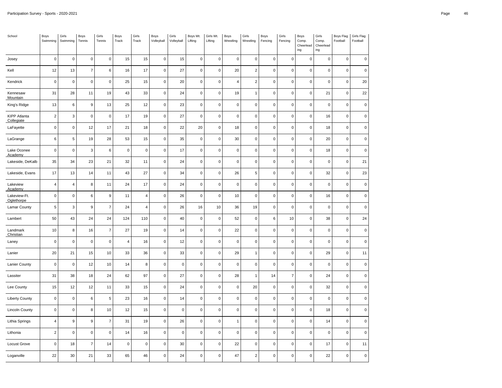$\overline{a}$  $\sim$ ÷. J.

J. ÷.  $\overline{a}$ ÷,

J.  $\overline{a}$  $\sim$ J.

Ĭ.  $\sim$ i.  $\overline{a}$ 

÷, J.  $\overline{a}$  $\overline{a}$ 

| School                            | Boys<br>Swimming | Girls<br>Swimming | Boys<br>Tennis   | Girls<br>Tennis | Boys<br>Track  | Girls<br>Track | Boys<br>Volleyball  | Girls<br>Volleyball | Boys Wt.<br>Lifting | Girls Wt.<br>Lifting | Boys<br>Wrestling | Girls<br>Wrestling      | Boys<br>Fencing | Girls<br>Fencing | Boys<br>Comp.<br>Cheerlead<br>ing | Girls<br>Comp.<br>Cheerlead<br>ing | Boys Flag<br>Football | Girls Flag<br>Football |
|-----------------------------------|------------------|-------------------|------------------|-----------------|----------------|----------------|---------------------|---------------------|---------------------|----------------------|-------------------|-------------------------|-----------------|------------------|-----------------------------------|------------------------------------|-----------------------|------------------------|
| Josey                             | $\mathsf{o}\,$   | $\mathbf 0$       | $\mathbf 0$      | $\pmb{0}$       | 15             | 15             | $\mathsf 0$         | 15                  | $\pmb{0}$           | $\pmb{0}$            | $\mathbf 0$       | $\mathsf 0$             | $\pmb{0}$       | $\mathbf 0$      | $\mathbf 0$                       | $\mathsf 0$                        | $\mathsf 0$           | $\mathbf 0$            |
| Kell                              | 12               | 13                | $\overline{7}$   | $\,6\,$         | 16             | $17$           | $\mathsf 0$         | $27\,$              | $\pmb{0}$           | $\pmb{0}$            | 20                | $\overline{\mathbf{c}}$ | $\pmb{0}$       | $\pmb{0}$        | $\pmb{0}$                         | $\mathbf 0$                        | $\mathsf 0$           | $\pmb{0}$              |
| Kendrick                          | $\pmb{0}$        | $\mathbf 0$       | $\pmb{0}$        | $\mathbf 0$     | 25             | 15             | 0                   | 20                  | $\pmb{0}$           | $\pmb{0}$            | $\overline{4}$    | $\overline{c}$          | $\pmb{0}$       | $\mathbf 0$      | $\mathbf 0$                       | $\mathbf 0$                        | $\pmb{0}$             | 20                     |
| Kennesaw<br><b>Mountain</b>       | 31               | 28                | 11               | 19              | 43             | 33             | $\mathsf 0$         | 24                  | $\pmb{0}$           | $\mathsf 0$          | 19                | $\mathbf{1}$            | $\pmb{0}$       | $\pmb{0}$        | $\pmb{0}$                         | 21                                 | $\mathsf 0$           | 22                     |
| King's Ridge                      | 13               | $\,6\,$           | 9                | 13              | 25             | 12             | $\mathsf{O}\xspace$ | 23                  | $\pmb{0}$           | $\pmb{0}$            | $\pmb{0}$         | $\mathsf 0$             | $\pmb{0}$       | $\mathsf 0$      | $\mathbf 0$                       | $\mathbf 0$                        | $\pmb{0}$             | $\mathsf 0$            |
| <b>KIPP Atlanta</b><br>Collegiate | $\overline{c}$   | 3                 | $\pmb{0}$        | $\pmb{0}$       | 17             | 19             | $\mathsf{O}\xspace$ | 27                  | $\pmb{0}$           | $\mathsf 0$          | $\pmb{0}$         | 0                       | $\pmb{0}$       | $\mathbf 0$      | $\pmb{0}$                         | 16                                 | $\mathsf 0$           | 0                      |
| LaFayette                         | $\mathbf 0$      | $\pmb{0}$         | 12               | 17              | 21             | 18             | $\mathsf 0$         | 22                  | 20                  | $\mathsf 0$          | 18                | $\mathsf 0$             | $\pmb{0}$       | $\mathbf 0$      | $\pmb{0}$                         | 18                                 | $\mathsf 0$           | $\pmb{0}$              |
| LaGrange                          | 6                | 5                 | 19               | 28              | 53             | 15             | $\mathsf{O}\xspace$ | 35                  | $\pmb{0}$           | $\pmb{0}$            | 30                | $\pmb{0}$               | $\pmb{0}$       | $\pmb{0}$        | $\pmb{0}$                         | 20                                 | $\mathsf 0$           | $\mathsf 0$            |
| Lake Oconee<br>Academy            | $\pmb{0}$        | $\mathbf 0$       | 3                | $6\phantom{1}6$ | $\mathsf 0$    | $\mathbf 0$    | $\mathsf 0$         | 17                  | $\pmb{0}$           | $\mathsf 0$          | $\mathbf 0$       | $\mathsf 0$             | $\pmb{0}$       | $\mathbf 0$      | $\mathbf 0$                       | 18                                 | $\mathsf 0$           | $\mathsf 0$            |
| Lakeside, DeKalb                  | 35               | 34                | 23               | 21              | 32             | 11             | $\pmb{0}$           | 24                  | $\pmb{0}$           | $\pmb{0}$            | $\pmb{0}$         | 0                       | $\pmb{0}$       | $\pmb{0}$        | $\pmb{0}$                         | $\mathbf 0$                        | $\mathsf{O}\xspace$   | 21                     |
| Lakeside, Evans                   | 17               | 13                | 14               | 11              | 43             | 27             | 0                   | 34                  | $\pmb{0}$           | $\mathsf 0$          | 26                | 5                       | $\pmb{0}$       | $\mathbf 0$      | $\mathbf 0$                       | 32                                 | $\mathbf 0$           | 23                     |
| Lakeview<br>Academy               | $\overline{4}$   | 4                 | 8                | 11              | 24             | 17             | $\mathsf 0$         | 24                  | $\pmb{0}$           | $\pmb{0}$            | $\pmb{0}$         | $\mathsf 0$             | $\pmb{0}$       | $\mathbf 0$      | $\pmb{0}$                         | $\mathbf 0$                        | $\mathsf 0$           | $\mathbf 0$            |
| Lakeview-Ft.<br>Oglethorpe        | $\mathbf 0$      | $\mathbf 0$       | $\boldsymbol{6}$ | 9               | 11             | $\sqrt{4}$     | $\mathsf{O}\xspace$ | 26                  | $\pmb{0}$           | $\pmb{0}$            | 10                | $\mathsf 0$             | $\pmb{0}$       | $\mathsf 0$      | $\mathbf 0$                       | 16                                 | $\pmb{0}$             | $\pmb{0}$              |
| Lamar County                      | 5                | 3                 | $\boldsymbol{9}$ | $\overline{7}$  | 24             | $\overline{4}$ | $\mathsf 0$         | 26                  | 16                  | 10                   | 36                | 19                      | $\pmb{0}$       | $\mathbf 0$      | $\pmb{0}$                         | $\mathbf 0$                        | $\mathsf 0$           | $\pmb{0}$              |
| Lambert                           | 50               | 43                | 24               | 24              | 124            | 110            | $\mathsf 0$         | 40                  | $\pmb{0}$           | $\pmb{0}$            | 52                | $\mathsf 0$             | $\,6\,$         | 10               | $\pmb{0}$                         | 38                                 | $\pmb{0}$             | 24                     |
| Landmark<br>Christian             | 10               | 8                 | 16               | $\overline{7}$  | 27             | 19             | $\mathsf 0$         | 14                  | $\pmb{0}$           | $\pmb{0}$            | 22                | $\mathsf 0$             | $\pmb{0}$       | $\pmb{0}$        | $\pmb{0}$                         | $\mathbf 0$                        | $\mathsf 0$           | $\mathbf 0$            |
| Laney                             | $\mathbf 0$      | $\pmb{0}$         | $\pmb{0}$        | $\mathbf 0$     | $\overline{4}$ | 16             | $\mathsf 0$         | 12                  | $\pmb{0}$           | $\mathsf 0$          | $\mathbf 0$       | $\mathsf 0$             | $\pmb{0}$       | $\mathbf 0$      | $\mathbf 0$                       | $\mathsf 0$                        | $\mathsf 0$           | $\mathsf 0$            |
| Lanier                            | 20               | 21                | 15               | 10              | 33             | 36             | $\mathsf 0$         | 33                  | $\pmb{0}$           | $\pmb{0}$            | 29                | $\mathbf{1}$            | $\pmb{0}$       | $\pmb{0}$        | $\pmb{0}$                         | 29                                 | $\mathsf 0$           | 11                     |
| Lanier County                     | $\mathsf 0$      | $\mathbf 0$       | 12               | 10              | 14             | 8              | 0                   | $\mathsf 0$         | $\pmb{0}$           | $\pmb{0}$            | $\mathbf 0$       | 0                       | $\mathbf 0$     | $\mathbf 0$      | $\mathbf 0$                       | $\mathsf 0$                        | $\pmb{0}$             | $\pmb{0}$              |
| Lassiter                          | 31               | 38                | 18               | 24              | 62             | 97             | $\pmb{0}$           | 27                  | $\pmb{0}$           | $\mathsf 0$          | 28                | $\mathbf{1}$            | 14              | $\overline{7}$   | $\pmb{0}$                         | 24                                 | $\mathsf 0$           | $\pmb{0}$              |
| Lee County                        | 15               | 12                | 12               | 11              | 33             | 15             | $\mathsf 0$         | 24                  | $\pmb{0}$           | $\pmb{0}$            | $\pmb{0}$         | 20                      | $\pmb{0}$       | $\mathbf 0$      | $\mathbf 0$                       | 32                                 | $\mathsf 0$           | $\mathsf 0$            |
| <b>Liberty County</b>             | $\pmb{0}$        | $\pmb{0}$         | $\,6$            | $\sqrt{5}$      | 23             | 16             | $\pmb{0}$           | 14                  | $\pmb{0}$           | $\pmb{0}$            | $\pmb{0}$         | $\mathsf 0$             | $\pmb{0}$       | $\pmb{0}$        | $\pmb{0}$                         | $\mathbf 0$                        | $\mathsf 0$           | 0                      |
| <b>Lincoln County</b>             | $\pmb{0}$        | $\mathbf 0$       | $\bf 8$          | 10              | 12             | 15             | $\mathsf 0$         | $\pmb{0}$           | $\pmb{0}$           | $\pmb{0}$            | $\pmb{0}$         | $\mathsf 0$             | $\pmb{0}$       | $\mathbf 0$      | $\mathbf 0$                       | 18                                 | $\mathbf 0$           | $\mathsf 0$            |
| Lithia Springs                    | $\overline{4}$   | 9                 | $\boldsymbol{9}$ | $\overline{7}$  | 31             | 19             | $\mathsf 0$         | 26                  | $\pmb{0}$           | $\pmb{0}$            | $\mathbf{1}$      | $\pmb{0}$               | $\pmb{0}$       | $\mathbf 0$      | $\pmb{0}$                         | 14                                 | $\mathsf 0$           | $\pmb{0}$              |
| Lithonia                          | $\overline{2}$   | $\mathbf 0$       | $\pmb{0}$        | $\mathbf 0$     | 14             | 16             | $\mathsf 0$         | $\pmb{0}$           | $\pmb{0}$           | $\pmb{0}$            | $\mathbf 0$       | 0                       | $\pmb{0}$       | $\mathbf 0$      | $\mathbf 0$                       | $\mathsf 0$                        | $\mathsf 0$           | $\mathsf 0$            |
| Locust Grove                      | $\pmb{0}$        | 18                | $\overline{7}$   | 14              | $\mathbf 0$    | $\mathbf 0$    | $\mathsf 0$         | 30                  | $\pmb{0}$           | 0                    | 22                | $\mathsf 0$             | $\pmb{0}$       | $\mathbf 0$      | $\pmb{0}$                         | 17                                 | $\mathsf 0$           | 11                     |
| Loganville                        | 22               | 30                | 21               | 33              | 65             | 46             | 0                   | 24                  | $\mathbf 0$         | $\pmb{0}$            | 47                | $\overline{2}$          | $\mathbf 0$     | $\pmb{0}$        | $\mathbf 0$                       | 22                                 | $\pmb{0}$             | 0                      |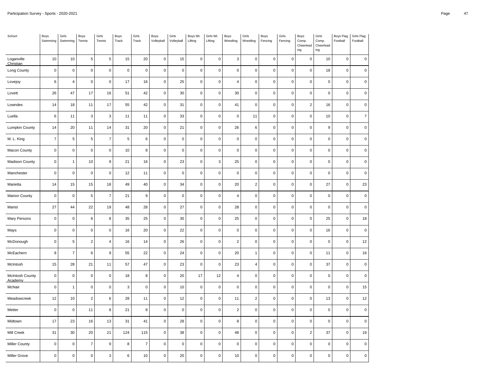| School                            | Boys<br>Swimming | Girls<br>Swimming | Boys<br>Tennis           | Girls<br>Tennis           | Boys<br>Track | Girls<br>Track   | Boys<br>Volleyball  | Girls<br>Volleyball | Boys Wt.<br>Lifting | Girls Wt.<br>Lifting | Boys<br>Wrestling   | Girls<br>Wrestling | Boys<br>Fencing | Girls<br>Fencing | Boys<br>Comp.<br>Cheerlead<br>ing | Girls<br>Comp.<br>Cheerlead<br>ing | Boys Flag<br>Football | Girls Flag<br>Football |
|-----------------------------------|------------------|-------------------|--------------------------|---------------------------|---------------|------------------|---------------------|---------------------|---------------------|----------------------|---------------------|--------------------|-----------------|------------------|-----------------------------------|------------------------------------|-----------------------|------------------------|
| Loganville<br>Christian           | 10               | 10                | $\sqrt{5}$               | 5                         | 15            | 20               | $\mathsf 0$         | 15                  | $\mathbf 0$         | $\pmb{0}$            | 3                   | $\pmb{0}$          | $\mathbf 0$     | $\mathbf 0$      | $\pmb{0}$                         | 10                                 | $\mathsf{O}\xspace$   | $\mathsf 0$            |
| Long County                       | $\pmb{0}$        | $\pmb{0}$         | $\pmb{0}$                | $\mathsf 0$               | $\mathsf 0$   | $\mathsf 0$      | $\mathsf 0$         | $\mathbf 0$         | $\mathbf 0$         | $\mathbf 0$          | $\mathsf{O}\xspace$ | $\pmb{0}$          | $\mathbf 0$     | $\pmb{0}$        | 0                                 | 18                                 | $\mathsf 0$           | $\pmb{0}$              |
| Lovejoy                           | $\,6\,$          | $\overline{4}$    | $\pmb{0}$                | $\mathsf 0$               | 17            | 16               | $\mathsf{O}\xspace$ | 25                  | $\pmb{0}$           | $\pmb{0}$            | $\overline{4}$      | $\pmb{0}$          | $\mathbf 0$     | $\pmb{0}$        | $\pmb{0}$                         | $\mathbf 0$                        | $\mathsf 0$           | $\pmb{0}$              |
| Lovett                            | 26               | 47                | 17                       | 16                        | 51            | 42               | $\mathsf{O}\xspace$ | 30                  | $\mathbf 0$         | $\pmb{0}$            | 30                  | $\pmb{0}$          | $\mathbf 0$     | $\mathbf 0$      | $\pmb{0}$                         | $\pmb{0}$                          | $\mathsf 0$           | $\mathsf 0$            |
| Lowndes                           | 14               | 18                | 11                       | 17                        | 55            | 42               | $\mathsf{O}\xspace$ | 31                  | $\mathbf 0$         | $\pmb{0}$            | 41                  | $\pmb{0}$          | $\mathbf 0$     | $\pmb{0}$        | $\mathbf 2$                       | 16                                 | 0                     | $\pmb{0}$              |
| Luella                            | $\,6\,$          | 11                | 3                        | 3                         | 11            | 11               | $\mathsf{O}\xspace$ | 33                  | $\mathbf 0$         | $\pmb{0}$            | $\mathbf 0$         | 11                 | $\pmb{0}$       | $\pmb{0}$        | $\mathsf{o}\,$                    | 10                                 | $\mathsf 0$           | $\overline{7}$         |
| Lumpkin County                    | 14               | 20                | 11                       | 14                        | 31            | 20               | $\mathsf 0$         | 21                  | $\mathbf 0$         | $\pmb{0}$            | 26                  | $\,6\,$            | $\mathbf 0$     | $\mathbf 0$      | $\mathsf 0$                       | $\boldsymbol{9}$                   | $\mathsf 0$           | $\pmb{0}$              |
| M. L. King                        | $\overline{7}$   | $\,$ 5 $\,$       | $\,$ 5 $\,$              | $\overline{7}$            | $\,$ 5 $\,$   | 6                | $\mathsf{O}\xspace$ | $\mathbf 0$         | $\mathbf 0$         | $\pmb{0}$            | $\mathsf 0$         | $\pmb{0}$          | $\mathbf 0$     | $\pmb{0}$        | $\pmb{0}$                         | $\mathbf 0$                        | $\mathsf{O}\xspace$   | $\mathbf 0$            |
| Macon County                      | $\pmb{0}$        | $\mathbf 0$       | $\pmb{0}$                | $\pmb{0}$                 | 10            | 8                | 0                   | $\mathbf 0$         | $\pmb{0}$           | $\mathbf 0$          | $\mathsf 0$         | $\mathbf 0$        | $\mathsf 0$     | $\mathbf 0$      | $\pmb{0}$                         | $\mathbf 0$                        | $\mathbf 0$           | $\mathsf 0$            |
| Madison County                    | $\pmb{0}$        | $\mathbf{1}$      | 10                       | 9                         | 21            | 16               | $\mathsf 0$         | 23                  | $\mathbf 0$         | 3                    | 25                  | $\pmb{0}$          | $\mathbf 0$     | $\pmb{0}$        | $\mathsf 0$                       | $\pmb{0}$                          | $\mathsf{O}\xspace$   | $\pmb{0}$              |
| Manchester                        | $\pmb{0}$        | $\pmb{0}$         | $\pmb{0}$                | $\pmb{0}$                 | 12            | 11               | $\mathsf 0$         | $\pmb{0}$           | $\mathbf 0$         | $\pmb{0}$            | $\pmb{0}$           | $\pmb{0}$          | $\mathbf 0$     | $\pmb{0}$        | $\pmb{0}$                         | $\mathbf 0$                        | $\mathsf 0$           | $\pmb{0}$              |
| Marietta                          | 14               | 15                | 15                       | 18                        | 49            | 40               | 0                   | 34                  | $\pmb{0}$           | $\pmb{0}$            | 20                  | $\sqrt{2}$         | $\mathbf 0$     | $\mathbf 0$      | $\pmb{0}$                         | 27                                 | $\mathsf 0$           | 23                     |
| <b>Marion County</b>              | $\pmb{0}$        | $\pmb{0}$         | $\mathbf 5$              | $\overline{7}$            | 21            | $\boldsymbol{9}$ | $\mathsf 0$         | $\pmb{0}$           | $\mathbf 0$         | $\pmb{0}$            | 4                   | $\pmb{0}$          | $\mathbf 0$     | $\pmb{0}$        | $\pmb{0}$                         | $\mathsf 0$                        | $\mathsf 0$           | $\pmb{0}$              |
| Marist                            | 27               | 44                | 22                       | 19                        | 48            | 28               | $\mathsf 0$         | 27                  | $\pmb{0}$           | $\pmb{0}$            | 28                  | $\pmb{0}$          | $\mathbf 0$     | $\pmb{0}$        | $\pmb{0}$                         | $\mathbf 0$                        | $\mathsf 0$           | $\pmb{0}$              |
| Mary Persons                      | $\pmb{0}$        | $\mathsf 0$       | $\,6$                    | 8                         | 35            | 25               | 0                   | 30                  | $\pmb{0}$           | $\pmb{0}$            | 25                  | $\pmb{0}$          | $\mathsf 0$     | $\mathbf 0$      | $\pmb{0}$                         | 25                                 | $\mathsf 0$           | 18                     |
| Mays                              | $\pmb{0}$        | $\pmb{0}$         | $\pmb{0}$                | $\mathsf 0$               | 16            | 20               | $\mathsf 0$         | 22                  | $\mathbf 0$         | $\pmb{0}$            | $\mathsf 0$         | $\pmb{0}$          | $\mathbf 0$     | $\pmb{0}$        | $\pmb{0}$                         | 16                                 | $\mathsf 0$           | $\mathbf 0$            |
| McDonough                         | $\pmb{0}$        | $\,$ 5 $\,$       | $\mathbf 2$              | $\sqrt{4}$                | 16            | 14               | 0                   | 26                  | $\mathbf 0$         | $\pmb{0}$            | $\overline{2}$      | $\mathbf 0$        | $\pmb{0}$       | $\pmb{0}$        | $\pmb{0}$                         | $\pmb{0}$                          | $\mathsf{O}\xspace$   | 12                     |
| McEachern                         | 8                | $\overline{7}$    | $\,6$                    | $\boldsymbol{9}$          | 55            | 22               | $\mathsf 0$         | 24                  | $\mathbf 0$         | $\pmb{0}$            | 20                  | $\mathbf{1}$       | $\mathbf 0$     | $\mathbf 0$      | $\mathsf 0$                       | 11                                 | $\mathsf 0$           | 16                     |
| McIntosh                          | 15               | 28                | 21                       | 11                        | 57            | 47               | $\mathsf{O}\xspace$ | 23                  | $\mathbf 0$         | $\pmb{0}$            | 23                  | $\overline{4}$     | $\mathbf 0$     | $\pmb{0}$        | $\pmb{0}$                         | 37                                 | $\mathsf 0$           | $\mathsf 0$            |
| <b>McIntosh County</b><br>Academy | $\pmb{0}$        | $\mathbf 0$       | $\pmb{0}$                | $\pmb{0}$                 | 18            | 8                | 0                   | 20                  | 17                  | 12                   | $\overline{4}$      | $\pmb{0}$          | $\mathsf 0$     | $\mathbf 0$      | $\pmb{0}$                         | $\pmb{0}$                          | 0                     | $\mathsf 0$            |
| McNair                            | $\pmb{0}$        | $\mathbf{1}$      | $\pmb{0}$                | $\pmb{0}$                 | $\mathbf 3$   | $\mathbf 0$      | $\mathsf 0$         | 10                  | $\mathbf 0$         | $\pmb{0}$            | $\mathsf 0$         | $\pmb{0}$          | $\mathbf 0$     | $\pmb{0}$        | $\mathsf 0$                       | $\pmb{0}$                          | $\mathsf{O}\xspace$   | 15                     |
| Meadowcreek                       | 12               | 10                | $\boldsymbol{2}$         | 6                         | 28            | 11               | $\mathsf 0$         | 12                  | $\mathbf 0$         | $\pmb{0}$            | 11                  | $\sqrt{2}$         | $\mathbf 0$     | $\mathbf 0$      | $\pmb{0}$                         | 13                                 | $\mathsf 0$           | $12\,$                 |
| Metter                            | $\pmb{0}$        | $\mathsf 0$       | 11                       | 8                         | 21            | 8                | 0                   | $\mathbf 0$         | $\mathbf 0$         | $\pmb{0}$            | $\overline{2}$      | $\pmb{0}$          | $\mathbf 0$     | $\mathbf 0$      | $\mathsf 0$                       | $\mathbf 0$                        | $\mathsf 0$           | $\mathbf 0$            |
| Midtown                           | 17               | 23                | 16                       | 13                        | 31            | 41               | $\pmb{0}$           | 28                  | $\mathbf 0$         | $\pmb{0}$            | 8                   | $\pmb{0}$          | $\mathsf 0$     | $\pmb{0}$        | $\mathsf 0$                       | $\mathsf 0$                        | $\mathsf 0$           | $\pmb{0}$              |
| Mill Creek                        | 31               | 30                | 20                       | 21                        | 124           | 115              | $\mathsf{O}\xspace$ | 38                  | $\pmb{0}$           | $\pmb{0}$            | 48                  | $\pmb{0}$          | $\mathsf 0$     | $\pmb{0}$        | $\mathbf 2$                       | 37                                 | $\mathsf 0$           | 19                     |
| Miller County                     | $\pmb{0}$        | $\mathbf 0$       | $\overline{\mathcal{I}}$ | $\boldsymbol{9}$          | 8             | $\overline{7}$   | 0                   | $\mathbf 0$         | $\pmb{0}$           | $\pmb{0}$            | $\mathsf{O}\xspace$ | $\pmb{0}$          | $\mathbf 0$     | $\pmb{0}$        | $\mathbf 0$                       | $\mathbf 0$                        | $\mathbf 0$           | $\pmb{0}$              |
| Miller Grove                      | $\pmb{0}$        | $\pmb{0}$         | $\pmb{0}$                | $\ensuremath{\mathsf{3}}$ | 6             | 10               | 0                   | 20                  | $\mathbf 0$         | $\mathbf 0$          | 10                  | $\pmb{0}$          | $\pmb{0}$       | $\pmb{0}$        | $\pmb{0}$                         | $\pmb{0}$                          | 0                     | 0                      |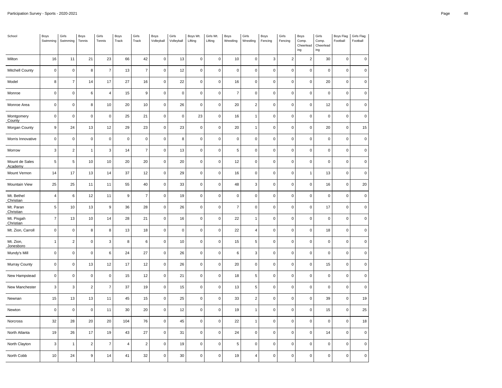| School                    | Boys<br>Swimming | Girls<br>Swimming | Boys<br>Tennis | Girls<br>Tennis | Boys<br>Track | Girls<br>Track | Boys<br>Volleyball  | Girls<br>Volleyball | Boys Wt.<br>Lifting | Girls Wt.<br>Lifting | Boys<br>Wrestling | Girls<br>Wrestling | Boys<br>Fencing     | Girls<br>Fencing | Boys<br>Comp.<br>Cheerlead<br>ing | Girls<br>Comp.<br>Cheerlead<br>ing | Boys Flag<br>Football | Girls Flag<br>Football |
|---------------------------|------------------|-------------------|----------------|-----------------|---------------|----------------|---------------------|---------------------|---------------------|----------------------|-------------------|--------------------|---------------------|------------------|-----------------------------------|------------------------------------|-----------------------|------------------------|
| Milton                    | 16               | 11                | 21             | 23              | 66            | 42             | 0                   | 13                  | $\mathsf 0$         | $\mathsf 0$          | 10                | $\mathbf 0$        | 3                   | $\overline{2}$   | $\overline{2}$                    | 30                                 | $\mathsf 0$           | $\pmb{0}$              |
| Mitchell County           | $\pmb{0}$        | $\mathsf 0$       | 8              | $\overline{7}$  | 13            | $\overline{7}$ | $\pmb{0}$           | 12                  | $\mathbf 0$         | $\mathbf 0$          | $\mathbf 0$       | $\pmb{0}$          | $\mathsf{O}\xspace$ | $\pmb{0}$        | $\mathsf 0$                       | $\pmb{0}$                          | $\mathbf 0$           | $\pmb{0}$              |
| Model                     | 8                | $\bf 7$           | 14             | 17              | 27            | 16             | $\mathsf 0$         | 22                  | $\pmb{0}$           | $\pmb{0}$            | $16\,$            | $\pmb{0}$          | $\pmb{0}$           | $\pmb{0}$        | $\mathbf 0$                       | 20                                 | $\mathsf{O}\xspace$   | $\mathbf 0$            |
| Monroe                    | $\pmb{0}$        | $\mathsf 0$       | 6              | $\overline{4}$  | 15            | 9              | $\pmb{0}$           | $\mathbf 0$         | $\mathbf 0$         | $\mathbf 0$          | $\overline{7}$    | $\mathbf 0$        | $\pmb{0}$           | $\mathbf 0$      | $\pmb{0}$                         | $\mathbf 0$                        | $\pmb{0}$             | $\pmb{0}$              |
| Monroe Area               | $\pmb{0}$        | $\pmb{0}$         | 8              | 10              | 20            | 10             | 0                   | 26                  | $\pmb{0}$           | $\pmb{0}$            | 20                | $\overline{2}$     | $\pmb{0}$           | $\pmb{0}$        | $\pmb{0}$                         | 12                                 | $\mathsf 0$           | $\pmb{0}$              |
| Montgomery<br>County      | $\pmb{0}$        | $\mathsf 0$       | $\mathbf 0$    | $\pmb{0}$       | 25            | 21             | $\mathsf{O}\xspace$ | $\mathsf 0$         | 23                  | $\mathsf 0$          | 16                | $\mathbf{1}$       | $\mathbf 0$         | $\mathbf 0$      | $\mathsf{O}\xspace$               | $\mathbf 0$                        | $\mathsf 0$           | $\pmb{0}$              |
| Morgan County             | $\boldsymbol{9}$ | 24                | 13             | 12              | 29            | 23             | 0                   | 23                  | $\mathbf 0$         | $\mathsf 0$          | 20                | $\mathbf{1}$       | $\pmb{0}$           | $\pmb{0}$        | $\mathsf 0$                       | 20                                 | $\mathsf 0$           | 15                     |
| Morris Innovative         | $\pmb{0}$        | $\mathsf 0$       | $\pmb{0}$      | $\pmb{0}$       | $\mathbf 0$   | $\pmb{0}$      | $\mathsf 0$         | $\bf8$              | $\mathbf 0$         | $\pmb{0}$            | $\pmb{0}$         | $\pmb{0}$          | $\pmb{0}$           | $\pmb{0}$        | $\pmb{0}$                         | $\pmb{0}$                          | $\mathsf{O}\xspace$   | $\pmb{0}$              |
| Morrow                    | 3                | $\overline{2}$    | $\mathbf{1}$   | 3               | 14            | $\overline{7}$ | $\pmb{0}$           | 13                  | $\mathbf 0$         | $\mathbf 0$          | $\,$ 5 $\,$       | $\pmb{0}$          | $\mathbf 0$         | $\pmb{0}$        | $\pmb{0}$                         | $\pmb{0}$                          | $\mathsf 0$           | $\pmb{0}$              |
| Mount de Sales<br>Academy | $\sqrt{5}$       | $\sqrt{5}$        | 10             | 10              | 20            | 20             | 0                   | 20                  | $\pmb{0}$           | $\mathbf 0$          | 12                | $\pmb{0}$          | $\pmb{0}$           | $\pmb{0}$        | $\pmb{0}$                         | $\mathbf 0$                        | $\mathsf 0$           | $\pmb{0}$              |
| Mount Vernon              | 14               | 17                | 13             | 14              | 37            | 12             | 0                   | 29                  | $\mathsf 0$         | $\mathbf 0$          | 16                | $\mathbf 0$        | $\pmb{0}$           | $\pmb{0}$        | $\mathbf{1}$                      | 13                                 | $\mathsf 0$           | $\pmb{0}$              |
| Mountain View             | 25               | 25                | 11             | 11              | 55            | 40             | 0                   | 33                  | $\pmb{0}$           | $\pmb{0}$            | 48                | $\mathbf{3}$       | $\pmb{0}$           | $\pmb{0}$        | $\pmb{0}$                         | 16                                 | $\mathsf 0$           | 20                     |
| Mt. Bethel<br>Christian   | $\overline{4}$   | 6                 | 12             | 11              | $\mathsf g$   | $\overline{7}$ | $\mathsf 0$         | 19                  | $\mathsf 0$         | $\mathbf 0$          | $\mathsf 0$       | $\mathbf 0$        | $\pmb{0}$           | $\mathbf 0$      | $\mathsf 0$                       | $\mathbf 0$                        | $\mathbf 0$           | $\pmb{0}$              |
| Mt. Paran<br>Christian    | $\sqrt{5}$       | 10                | 13             | 9               | 36            | 28             | $\mathsf 0$         | 26                  | $\mathbf 0$         | $\mathbf 0$          | $\overline{7}$    | $\pmb{0}$          | $\mathbf 0$         | $\pmb{0}$        | $\mathsf{O}\xspace$               | 17                                 | $\mathsf 0$           | $\pmb{0}$              |
| Mt. Pisgah<br>Christian   | $\overline{7}$   | 13                | 10             | 14              | 28            | 21             | $\mathsf 0$         | 16                  | $\pmb{0}$           | $\pmb{0}$            | 22                | $\mathbf{1}$       | $\pmb{0}$           | $\pmb{0}$        | $\pmb{0}$                         | $\pmb{0}$                          | $\pmb{0}$             | $\pmb{0}$              |
| Mt. Zion, Carroll         | $\pmb{0}$        | $\mathsf 0$       | 8              | 8               | 13            | 18             | 0                   | $\mathsf 0$         | $\mathbf 0$         | $\mathbf 0$          | 22                | $\overline{4}$     | $\pmb{0}$           | $\mathbf 0$      | $\mathsf 0$                       | 18                                 | $\mathbf 0$           | $\pmb{0}$              |
| Mt. Zion,<br>Jonesboro    | $\mathbf{1}$     | $\overline{2}$    | $\pmb{0}$      | 3               | 8             | 6              | $\mathsf 0$         | 10                  | $\mathbf 0$         | $\mathbf 0$          | 15                | 5                  | $\pmb{0}$           | $\pmb{0}$        | $\pmb{0}$                         | $\pmb{0}$                          | $\mathsf 0$           | $\pmb{0}$              |
| Mundy's Mill              | $\pmb{0}$        | $\mathsf 0$       | $\mathbf 0$    | 6               | 24            | 27             | $\mathsf 0$         | 26                  | $\mathbf 0$         | $\mathbf 0$          | 6                 | 3                  | $\pmb{0}$           | $\mathbf 0$      | $\pmb{0}$                         | $\mathbf 0$                        | $\mathsf 0$           | $\pmb{0}$              |
| Murray County             | $\pmb{0}$        | $\mathsf 0$       | 13             | 12              | 17            | 12             | 0                   | 26                  | $\mathbf 0$         | $\mathbf 0$          | 20                | $\pmb{0}$          | $\pmb{0}$           | $\pmb{0}$        | $\mathsf{O}\xspace$               | 15                                 | $\mathbf 0$           | $\pmb{0}$              |
| New Hampstead             | $\pmb{0}$        | $\mathsf 0$       | $\pmb{0}$      | $\pmb{0}$       | 15            | 12             | $\mathsf 0$         | 21                  | $\mathsf 0$         | $\mathbf 0$          | $18\,$            | 5                  | $\pmb{0}$           | $\pmb{0}$        | $\pmb{0}$                         | $\pmb{0}$                          | $\mathsf 0$           | $\pmb{0}$              |
| New Manchester            | 3                | $\mathbf{3}$      | $\overline{2}$ | $\overline{7}$  | 37            | 19             | 0                   | 15                  | $\mathbf 0$         | $\mathbf 0$          | 13                | 5                  | $\pmb{0}$           | $\mathbf 0$      | $\pmb{0}$                         | $\mathbf 0$                        | $\pmb{0}$             | $\pmb{0}$              |
| Newnan                    | 15               | 13                | 13             | 11              | 45            | 15             | 0                   | 25                  | $\mathsf 0$         | $\pmb{0}$            | 33                | $\overline{c}$     | $\pmb{0}$           | $\pmb{0}$        | $\pmb{0}$                         | 39                                 | $\mathsf 0$           | 19                     |
| Newton                    | $\pmb{0}$        | $\mathsf 0$       | $\mathbf 0$    | 11              | $30\,$        | $20\,$         | $\mathsf 0$         | $12\,$              | $\pmb{0}$           | $\mathsf 0$          | $19$              | $\mathbf{1}$       | $\mathbf 0$         | $\mathbf 0$      | $\mathsf{O}\xspace$               | 15                                 | $\mathsf 0$           | 25                     |
| Norcross                  | 32               | 28                | 20             | 20              | 104           | 76             | 0                   | 45                  | $\mathbf 0$         | $\mathbf 0$          | 22                | $\mathbf{1}$       | $\pmb{0}$           | $\pmb{0}$        | $\pmb{0}$                         | $\mathbf 0$                        | $\mathsf{O}\xspace$   | 18                     |
| North Atlanta             | 19               | 26                | 17             | 19              | 43            | 27             | $\mathsf 0$         | 31                  | $\mathbf 0$         | $\mathbf 0$          | 24                | $\pmb{0}$          | $\pmb{0}$           | $\pmb{0}$        | $\pmb{0}$                         | 14                                 | $\mathsf 0$           | $\pmb{0}$              |
| North Clayton             | 3                | $\mathbf{1}$      | $\overline{2}$ | $\overline{7}$  | 4             | $\overline{2}$ | 0                   | 19                  | $\mathsf 0$         | $\mathbf 0$          | 5                 | $\pmb{0}$          | $\mathbf 0$         | $\pmb{0}$        | $\pmb{0}$                         | $\pmb{0}$                          | $\mathsf{O}\xspace$   | $\pmb{0}$              |
| North Cobb                | 10               | 24                | $9\,$          | 14              | 41            | 32             | $\pmb{0}$           | 30                  | $\pmb{0}$           | $\mathbf 0$          | 19                | $\overline{4}$     | $\pmb{0}$           | $\pmb{0}$        | $\pmb{0}$                         | $\mathbf 0$                        | $\mathsf 0$           | $\pmb{0}$              |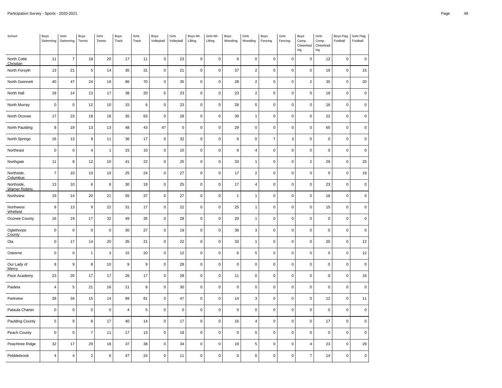| School                             | Boys<br>Swimming | Girls<br>Swimming       | Boys<br>Tennis   | Girls<br>Tennis | Boys<br>Track    | Girls<br>Track   | Boys<br>Volleyball  | Girls<br>Volleyball | Boys Wt.<br>Lifting | Girls Wt.<br>Lifting | Boys<br>Wrestling | Girls<br>Wrestling | Boys<br>Fencing | Girls<br>Fencing | Boys<br>Comp.<br>Cheerlead<br>ing | Girls<br>Comp.<br>Cheerlead<br>ing | Boys Flag<br>Football | Girls Flag<br>Football |
|------------------------------------|------------------|-------------------------|------------------|-----------------|------------------|------------------|---------------------|---------------------|---------------------|----------------------|-------------------|--------------------|-----------------|------------------|-----------------------------------|------------------------------------|-----------------------|------------------------|
| North Cobb<br>Christian            | 11               | $\overline{7}$          | 18               | 20              | 17               | 11               | $\mathsf 0$         | 23                  | $\mathbf 0$         | $\mathsf 0$          | 6                 | $\pmb{0}$          | $\mathsf 0$     | 0                | $\pmb{0}$                         | 12                                 | $\mathsf{O}\xspace$   | $\pmb{0}$              |
| North Forsyth                      | 13               | 21                      | 5                | 14              | 35               | 31               | $\mathsf 0$         | 21                  | $\mathsf 0$         | $\mathbf 0$          | 37                | $\boldsymbol{2}$   | $\pmb{0}$       | $\pmb{0}$        | $\mathbf 0$                       | 19                                 | $\mathsf 0$           | 15                     |
| North Gwinnett                     | 40               | 47                      | 24               | 19              | 86               | 70               | $\mathsf 0$         | 35                  | $\pmb{0}$           | $\mathbf 0$          | 28                | $\mathbf 2$        | $\mathbf 0$     | $\mathbf 0$      | $\sqrt{2}$                        | 30                                 | $\pmb{0}$             | 20                     |
| North Hall                         | 18               | 14                      | 13               | 17              | 38               | 20               | $\mathbf 0$         | 23                  | $\mathsf 0$         | $\pmb{0}$            | 23                | $\mathbf 2$        | 0               | 0                | $\mathbf 0$                       | 16                                 | $\mathsf{O}\xspace$   | $\mathbf 0$            |
| North Murray                       | $\mathbf 0$      | $\pmb{0}$               | 12               | 10              | 15               | $\,6\,$          | $\mathsf 0$         | 23                  | $\mathsf 0$         | $\pmb{0}$            | 28                | 5                  | $\pmb{0}$       | $\pmb{0}$        | $\mathsf 0$                       | 16                                 | $\mathsf 0$           | $\mathsf 0$            |
| North Oconee                       | 17               | 23                      | 18               | 18              | 35               | 63               | $\mathsf 0$         | 28                  | $\pmb{0}$           | $\pmb{0}$            | 39                | $\overline{1}$     | $\mathbf 0$     | $\pmb{0}$        | 0                                 | 22                                 | $\mathsf 0$           | $\mathsf 0$            |
| North Paulding                     | 8                | 19                      | 13               | 13              | 48               | 43               | 47                  | $\pmb{0}$           | $\mathsf 0$         | $\pmb{0}$            | 29                | $\pmb{0}$          | $\pmb{0}$       | $\pmb{0}$        | $\mathsf{O}\xspace$               | 65                                 | $\mathsf 0$           | $\mathsf 0$            |
| North Springs                      | 16               | 13                      | $\boldsymbol{9}$ | 11              | 36               | 17               | $\mathsf 0$         | 32                  | $\pmb{0}$           | $\mathsf 0$          | 6                 | $\pmb{0}$          | $\overline{7}$  | 3                | $\mathsf 0$                       | 0                                  | $\mathsf 0$           | $\mathbf 0$            |
| Northeast                          | $\pmb{0}$        | $\pmb{0}$               | $\overline{4}$   | $\mathbf{1}$    | 15               | 10               | $\mathsf 0$         | 10                  | $\pmb{0}$           | $\pmb{0}$            | 6                 | $\pmb{4}$          | $\pmb{0}$       | 0                | $\mathbf 0$                       | 0                                  | 0                     | $\mathsf 0$            |
| Northgate                          | 11               | 8                       | 12               | 10              | 41               | 22               | $\mathsf{O}\xspace$ | 25                  | $\mathbf 0$         | $\mathsf 0$          | 33                | $\mathbf{1}$       | $\pmb{0}$       | $\mathbf 0$      | $\sqrt{2}$                        | 29                                 | $\mathsf 0$           | 25                     |
| Northside,<br>Columbus             | $\overline{7}$   | 10                      | 10               | 10              | 25               | 24               | $\mathsf 0$         | 27                  | $\mathsf 0$         | $\mathbf 0$          | 17                | $\mathbf 2$        | $\mathsf 0$     | $\mathsf 0$      | $\mathsf 0$                       | $\pmb{0}$                          | $\mathsf 0$           | 19                     |
| Northside,<br><b>Warner Robins</b> | 13               | 10                      | 6                | 8               | 30               | 18               | 0                   | 25                  | 0                   | $\mathbf 0$          | 17                | 4                  | $\mathbf 0$     | $\mathbf 0$      | $\pmb{0}$                         | 23                                 | $\mathsf{O}\xspace$   | 0                      |
| Northview                          | 19               | 14                      | 20               | 21              | 55               | 37               | $\mathsf 0$         | 27                  | $\mathsf 0$         | $\mathbf 0$          | $\overline{1}$    | $\mathbf{1}$       | $\pmb{0}$       | $\mathbf 0$      | $\mathbf 0$                       | 16                                 | $\mathsf 0$           | $\mathbf 0$            |
| Northwest<br>Whitfield             | 8                | 13                      | $\boldsymbol{9}$ | 22              | 31               | 17               | $\mathsf{O}\xspace$ | 22                  | $\mathsf 0$         | $\mathbf 0$          | 25                | $\mathbf{1}$       | $\mathbf 0$     | $\pmb{0}$        | $\mathsf{O}\xspace$               | 15                                 | $\mathsf{O}\xspace$   | $\mathsf 0$            |
| Oconee County                      | 16               | 19                      | 17               | 32              | 49               | 35               | $\mathsf 0$         | 28                  | $\pmb{0}$           | $\pmb{0}$            | 20                | $\overline{1}$     | $\pmb{0}$       | $\mathbf 0$      | $\pmb{0}$                         | 0                                  | 0                     | $\mathsf 0$            |
| Oglethorpe<br>County               | $\mathbf 0$      | $\pmb{0}$               | $\mathbf 0$      | $\pmb{0}$       | 30               | 27               | $\mathsf 0$         | 19                  | $\mathsf 0$         | $\pmb{0}$            | 36                | 3                  | $\mathbf 0$     | $\pmb{0}$        | $\mathbf 0$                       | $\mathsf{O}\xspace$                | $\mathsf 0$           | $\mathbf 0$            |
| Ola                                | $\pmb{0}$        | 17                      | 14               | 20              | 35               | 21               | $\mathsf 0$         | 22                  | $\pmb{0}$           | $\pmb{0}$            | 33                | $\overline{1}$     | $\pmb{0}$       | $\pmb{0}$        | 0                                 | 20                                 | $\mathsf 0$           | 12                     |
| Osborne                            | $\mathbf 0$      | $\pmb{0}$               | $\mathbf{1}$     | $\sqrt{3}$      | 15               | 20               | $\mathbf 0$         | 12                  | $\mathsf 0$         | $\pmb{0}$            | 6                 | 5                  | 0               | $\pmb{0}$        | $\pmb{0}$                         | 0                                  | $\mathsf 0$           | 12                     |
| Our Lady of<br>Mercy               | 8                | $\boldsymbol{9}$        | 8                | 10              | $\boldsymbol{9}$ | $\boldsymbol{9}$ | $\mathsf 0$         | 28                  | $\pmb{0}$           | $\mathbf 0$          | $\mathbf 0$       | $\mathsf 0$        | $\pmb{0}$       | $\mathbf 0$      | $\pmb{0}$                         | $\pmb{0}$                          | $\mathsf 0$           | $\mathbf 0$            |
| Pace Academy                       | 23               | 20                      | 17               | 17              | 26               | 17               | $\mathsf 0$         | 28                  | $\pmb{0}$           | $\mathbf 0$          | 11                | $\pmb{0}$          | $\pmb{0}$       | $\mathbf 0$      | 0                                 | 0                                  | $\pmb{0}$             | 16                     |
| Paideia                            | 4                | $\sqrt{5}$              | 21               | 16              | 11               | 8                | $\mathsf 0$         | $30\,$              | $\pmb{0}$           | $\mathbf 0$          | $\mathsf 0$       | $\mathsf 0$        | $\mathsf 0$     | $\mathbf 0$      | $\mathsf 0$                       | 0                                  | $\mathsf 0$           | $\pmb{0}$              |
| Parkview                           | 28               | 34                      | 15               | 14              | 89               | 81               | $\mathsf 0$         | 47                  | $\mathsf 0$         | $\mathbf 0$          | 14                | 3                  | $\mathsf 0$     | $\mathsf 0$      | $\mathsf 0$                       | 12                                 | $\mathsf{O}\xspace$   | 11                     |
| Pataula Charter                    | $\mathbf 0$      | $\mathbf 0$             | $\mathbf 0$      | $\mathbf 0$     | $\overline{4}$   | $\overline{5}$   | $\mathbf 0$         | $\pmb{0}$           | $\mathsf 0$         | $\mathbf 0$          | $\pmb{0}$         | $\mathsf 0$        | 0               | $\pmb{0}$        | $\pmb{0}$                         | 0                                  | $\mathsf 0$           | $\mathbf 0$            |
| Paulding County                    | 5                | $\boldsymbol{9}$        | 8                | 17              | 40               | 14               | $\mathsf 0$         | 17                  | $\mathsf 0$         | $\mathbf 0$          | 16                | $\pmb{4}$          | 0               | $\mathbf 0$      | $\mathbf 0$                       | 17                                 | $\mathsf 0$           | $\mathbf 0$            |
| Peach County                       | $\pmb{0}$        | $\pmb{0}$               | $\overline{7}$   | 11              | 17               | 13               | $\mathsf 0$         | 18                  | $\pmb{0}$           | $\mathbf 0$          | $\pmb{0}$         | $\mathsf 0$        | $\mathbf 0$     | $\mathbf 0$      | $\pmb{0}$                         | 0                                  | $\pmb{0}$             | $\pmb{0}$              |
| Peachtree Ridge                    | 32               | 17                      | 29               | 18              | 37               | 38               | $\mathsf 0$         | 34                  | $\mathbf 0$         | $\pmb{0}$            | 19                | 5                  | $\mathbf 0$     | $\mathbf 0$      | $\overline{4}$                    | 23                                 | $\mathsf{O}\xspace$   | 29                     |
| Pebblebrook                        | $\pmb{4}$        | $\overline{\mathbf{4}}$ | $\overline{2}$   | $\,6\,$         | 47               | 24               | $\mathsf{O}\xspace$ | 11                  | $\pmb{0}$           | $\pmb{0}$            | $\pmb{0}$         | $\pmb{0}$          | $\pmb{0}$       | $\mathbf 0$      | $\overline{7}$                    | 14                                 | 0                     | 0                      |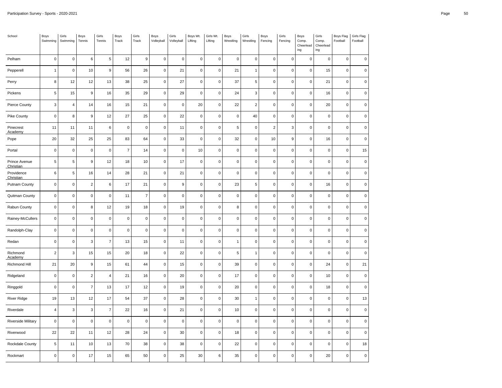| School                     | Boys<br>Swimming | Girls<br>Swimming | Boys<br>Tennis   | Girls<br>Tennis  | Boys<br>Track       | Girls<br>Track | Boys<br>Volleyball  | Girls<br>Volleyball | Boys Wt.<br>Lifting | Girls Wt.<br>Lifting | Boys<br>Wrestling | Girls<br>Wrestling | Boys<br>Fencing         | Girls<br>Fencing | Boys<br>Comp.<br>Cheerlead<br>$ing$ | Girls<br>Comp.<br>Cheerlead<br>ing | Boys Flag<br>Football | Girls Flag<br>Football |
|----------------------------|------------------|-------------------|------------------|------------------|---------------------|----------------|---------------------|---------------------|---------------------|----------------------|-------------------|--------------------|-------------------------|------------------|-------------------------------------|------------------------------------|-----------------------|------------------------|
| Pelham                     | $\mathsf 0$      | $\mathbf 0$       | 6                | $\,$ 5 $\,$      | 12                  | 9              | $\mathsf 0$         | $\pmb{0}$           | $\mathsf 0$         | $\mathsf 0$          | $\mathbf 0$       | $\pmb{0}$          | $\mathsf 0$             | 0                | $\pmb{0}$                           | 0                                  | $\mathsf{O}\xspace$   | $\pmb{0}$              |
| Pepperell                  | $\mathbf{1}$     | $\pmb{0}$         | 10               | $\boldsymbol{9}$ | 56                  | 26             | $\mathsf 0$         | 21                  | $\mathsf 0$         | $\pmb{0}$            | 21                | $\mathbf{1}$       | $\pmb{0}$               | $\pmb{0}$        | $\mathbf 0$                         | 15                                 | $\mathsf 0$           | $\mathsf 0$            |
| Perry                      | 8                | 12                | 12               | 13               | 38                  | 25             | $\mathsf 0$         | 27                  | $\pmb{0}$           | $\mathbf 0$          | 37                | 5                  | $\mathbf 0$             | $\mathbf 0$      | $\pmb{0}$                           | 21                                 | $\pmb{0}$             | $\pmb{0}$              |
| Pickens                    | $\,$ 5 $\,$      | 15                | $\boldsymbol{9}$ | 16               | 35                  | 29             | $\mathbf 0$         | 29                  | $\pmb{0}$           | $\pmb{0}$            | 24                | 3                  | $\mathbf 0$             | $\pmb{0}$        | $\mathbf 0$                         | 16                                 | $\mathsf{O}\xspace$   | $\mathsf 0$            |
| Pierce County              | $\mathbf{3}$     | $\overline{4}$    | 14               | 16               | 15                  | 21             | $\mathsf 0$         | $\pmb{0}$           | 20                  | $\pmb{0}$            | 22                | $\boldsymbol{2}$   | $\pmb{0}$               | $\pmb{0}$        | $\mathbf 0$                         | 20                                 | $\mathsf 0$           | $\mathsf 0$            |
| <b>Pike County</b>         | $\mathbf 0$      | 8                 | $\boldsymbol{9}$ | 12               | 27                  | 25             | $\mathsf 0$         | 22                  | $\pmb{0}$           | $\pmb{0}$            | $\pmb{0}$         | 40                 | $\mathbf 0$             | $\pmb{0}$        | 0                                   | 0                                  | $\mathsf 0$           | $\mathsf 0$            |
| Pinecrest<br>Academy       | 11               | 11                | 11               | $\,6\,$          | $\mathsf 0$         | $\pmb{0}$      | $\mathsf 0$         | 11                  | $\mathsf 0$         | $\pmb{0}$            | 5                 | $\pmb{0}$          | $\overline{\mathbf{c}}$ | 3                | $\mathsf 0$                         | $\pmb{0}$                          | $\mathsf 0$           | $\mathsf 0$            |
| Pope                       | 20               | 32                | 25               | 25               | 83                  | 64             | $\mathsf 0$         | 33                  | $\pmb{0}$           | $\mathsf 0$          | 32                | $\pmb{0}$          | 10                      | $\boldsymbol{9}$ | $\mathsf 0$                         | 16                                 | $\mathsf 0$           | $\pmb{0}$              |
| Portal                     | $\pmb{0}$        | $\pmb{0}$         | $\mathbf 0$      | $\mathbf 0$      | $\overline{7}$      | 14             | $\mathsf 0$         | $\pmb{0}$           | 10                  | $\pmb{0}$            | $\pmb{0}$         | $\pmb{0}$          | $\mathbf 0$             | 0                | $\mathbf 0$                         | 0                                  | 0                     | 15                     |
| Prince Avenue<br>Christian | $\,$ 5 $\,$      | $\sqrt{5}$        | $\boldsymbol{9}$ | 12               | 18                  | 10             | $\mathsf{O}\xspace$ | $17$                | $\pmb{0}$           | $\mathsf 0$          | $\pmb{0}$         | $\mathsf 0$        | $\pmb{0}$               | $\mathbf 0$      | $\pmb{0}$                           | 0                                  | $\mathsf 0$           | $\pmb{0}$              |
| Providence<br>Christian    | 6                | $\sqrt{5}$        | 16               | 14               | 28                  | 21             | $\mathsf 0$         | 21                  | $\pmb{0}$           | $\mathbf 0$          | $\pmb{0}$         | $\mathsf 0$        | $\mathsf 0$             | $\mathsf 0$      | $\mathsf 0$                         | 0                                  | $\mathsf 0$           | $\pmb{0}$              |
| Putnam County              | $\mathbf 0$      | $\pmb{0}$         | $\overline{2}$   | $\boldsymbol{6}$ | 17                  | 21             | 0                   | $\boldsymbol{9}$    | $\mathbf 0$         | $\mathbf 0$          | 23                | 5                  | $\mathbf 0$             | $\mathbf 0$      | $\pmb{0}$                           | 16                                 | $\mathbf 0$           | 0                      |
| Quitman County             | $\mathbf 0$      | $\pmb{0}$         | $\mathbf 0$      | $\pmb{0}$        | 11                  | $\overline{7}$ | $\mathsf 0$         | $\pmb{0}$           | $\mathsf 0$         | $\mathbf 0$          | $\pmb{0}$         | $\mathsf 0$        | $\mathsf 0$             | $\mathbf 0$      | $\mathbf 0$                         | 0                                  | $\mathsf 0$           | $\mathbf 0$            |
| Rabun County               | $\mathbf 0$      | $\mathbf 0$       | 8                | 12               | 19                  | 18             | $\mathsf 0$         | 19                  | $\pmb{0}$           | $\pmb{0}$            | 8                 | $\mathsf 0$        | $\mathbf 0$             | $\pmb{0}$        | $\mathsf 0$                         | 0                                  | $\mathsf 0$           | $\mathsf 0$            |
| Rainey-McCullers           | $\mathbf 0$      | $\mathbf 0$       | $\mathbf 0$      | $\mathbf 0$      | $\mathbf 0$         | $\mathbf 0$    | $\mathsf{O}\xspace$ | $\pmb{0}$           | $\pmb{0}$           | $\pmb{0}$            | $\pmb{0}$         | $\pmb{0}$          | $\pmb{0}$               | $\mathbf 0$      | $\pmb{0}$                           | 0                                  | 0                     | $\mathsf 0$            |
| Randolph-Clay              | $\mathbf 0$      | $\pmb{0}$         | $\mathbf 0$      | $\pmb{0}$        | $\mathsf{O}\xspace$ | $\pmb{0}$      | $\mathsf 0$         | $\pmb{0}$           | $\mathsf 0$         | $\pmb{0}$            | $\pmb{0}$         | $\pmb{0}$          | $\mathbf 0$             | $\pmb{0}$        | $\mathsf{O}\xspace$                 | 0                                  | $\mathsf 0$           | $\mathsf 0$            |
| Redan                      | $\pmb{0}$        | $\mathbf 0$       | 3                | $\overline{7}$   | 13                  | 15             | $\mathsf 0$         | 11                  | $\pmb{0}$           | $\pmb{0}$            | $\overline{1}$    | $\pmb{0}$          | $\pmb{0}$               | $\pmb{0}$        | 0                                   | 0                                  | $\mathsf 0$           | $\mathsf 0$            |
| Richmond<br>Academy        | $\overline{2}$   | $\mathbf{3}$      | 15               | 15               | 20                  | 18             | $\mathbf 0$         | 22                  | $\mathsf 0$         | $\pmb{0}$            | 5                 | $\mathbf{1}$       | $\mathbf 0$             | $\pmb{0}$        | $\pmb{0}$                           | 0                                  | $\mathsf 0$           | $\mathbf 0$            |
| Richmond Hill              | 21               | 20                | $\boldsymbol{9}$ | 15               | 61                  | 44             | $\mathsf{O}\xspace$ | 15                  | $\pmb{0}$           | $\mathsf 0$          | 39                | $\mathsf 0$        | $\pmb{0}$               | $\mathbf 0$      | $\mathbf 0$                         | 24                                 | $\mathsf 0$           | 21                     |
| Ridgeland                  | $\pmb{0}$        | $\pmb{0}$         | $\overline{2}$   | $\overline{4}$   | 21                  | 16             | $\mathsf 0$         | 20                  | $\pmb{0}$           | $\mathbf 0$          | 17                | $\pmb{0}$          | $\pmb{0}$               | $\pmb{0}$        | 0                                   | 10                                 | $\pmb{0}$             | $\mathsf 0$            |
| Ringgold                   | $\pmb{0}$        | $\pmb{0}$         | $\overline{7}$   | 13               | 17                  | 12             | $\mathsf{O}\xspace$ | 19                  | $\pmb{0}$           | $\mathbf 0$          | 20                | $\mathsf 0$        | $\mathsf 0$             | $\mathbf 0$      | $\pmb{0}$                           | 18                                 | $\mathsf 0$           | $\pmb{0}$              |
| <b>River Ridge</b>         | 19               | 13                | 12               | 17               | 54                  | 37             | $\mathsf 0$         | 28                  | $\pmb{0}$           | $\mathbf 0$          | 30                | $\mathbf{1}$       | $\mathsf 0$             | $\mathsf 0$      | $\mathsf 0$                         | $\pmb{0}$                          | $\mathsf 0$           | 13                     |
| Riverdale                  | $\overline{4}$   | $\mathbf{3}$      | 3                | $\overline{7}$   | 22                  | 16             | $\mathbf 0$         | 21                  | $\mathsf 0$         | $\mathbf 0$          | 10                | $\pmb{0}$          | 0                       | $\pmb{0}$        | $\pmb{0}$                           | 0                                  | $\mathsf{O}\xspace$   | $\mathbf 0$            |
| <b>Riverside Military</b>  | $\mathbf 0$      | $\pmb{0}$         | $\pmb{0}$        | $\pmb{0}$        | $\mathbf 0$         | $\pmb{0}$      | $\mathsf 0$         | $\pmb{0}$           | $\mathsf 0$         | $\mathbf 0$          | $\pmb{0}$         | $\mathsf 0$        | 0                       | $\mathbf 0$      | $\mathbf 0$                         | $\pmb{0}$                          | $\mathsf 0$           | $\mathbf 0$            |
| Riverwood                  | 22               | 22                | 11               | 12               | 28                  | 24             | $\mathsf 0$         | 30                  | $\pmb{0}$           | $\mathbf 0$          | 18                | $\mathsf 0$        | $\mathbf 0$             | $\mathbf 0$      | $\pmb{0}$                           | 0                                  | $\pmb{0}$             | $\pmb{0}$              |
| Rockdale County            | $\,$ 5 $\,$      | 11                | 10               | 13               | 70                  | 38             | $\mathsf 0$         | 38                  | $\mathbf 0$         | $\pmb{0}$            | 22                | $\pmb{0}$          | $\mathbf 0$             | $\mathsf 0$      | $\mathbf 0$                         | 0                                  | $\mathsf 0$           | 18                     |
| Rockmart                   | $\pmb{0}$        | $\pmb{0}$         | 17               | 15               | 65                  | 50             | $\mathsf 0$         | 25                  | 30                  | 6                    | 35                | $\pmb{0}$          | $\mathbf 0$             | $\mathbf 0$      | 0                                   | 20                                 | $\mathsf 0$           | 0                      |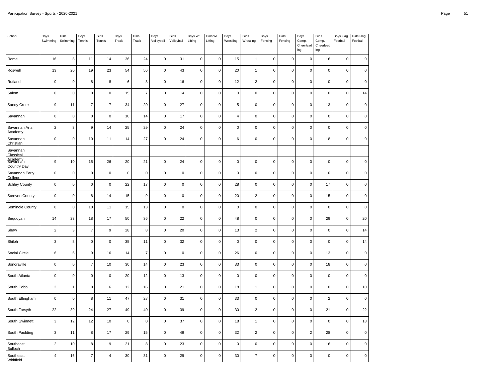| School                        | Boys<br>Swimming | Girls<br>Swimming | Boys<br>Tennis   | Girls<br>Tennis | Boys<br>Track | Girls<br>Track | Boys<br>Volleyball  | Girls<br>Volleyball | Boys Wt.<br>Lifting | Girls Wt.<br>Lifting | Boys<br>Wrestling | Girls<br>Wrestling  | Boys<br>Fencing | Girls<br>Fencing | Boys<br>Comp.<br>Cheerlead<br>ing | Girls<br>Comp.<br>Cheerlead<br>ing | Boys Flag<br>Football | Girls Flag<br>Football |
|-------------------------------|------------------|-------------------|------------------|-----------------|---------------|----------------|---------------------|---------------------|---------------------|----------------------|-------------------|---------------------|-----------------|------------------|-----------------------------------|------------------------------------|-----------------------|------------------------|
| Rome                          | 16               | $\bf8$            | 11               | 14              | 36            | 24             | $\mathsf{O}\xspace$ | 31                  | $\mathbf 0$         | $\mathbf 0$          | 15                | $\mathbf{1}$        | $\pmb{0}$       | $\pmb{0}$        | $\mathbf 0$                       | 16                                 | $\mathsf 0$           | $\mathbf 0$            |
| Roswell                       | 13               | 20                | 19               | 23              | 54            | 56             | $\mathsf{O}\xspace$ | 43                  | $\mathsf 0$         | $\mathbf 0$          | 20                | $\mathbf{1}$        | $\mathsf 0$     | $\mathbf 0$      | $\mathbf 0$                       | $\pmb{0}$                          | $\mathsf 0$           | $\pmb{0}$              |
| Rutland                       | $\mathbf 0$      | $\mathsf 0$       | 8                | 8               | 6             | 8              | $\mathsf 0$         | 16                  | $\mathbf 0$         | $\pmb{0}$            | 12                | $\overline{c}$      | $\pmb{0}$       | $\pmb{0}$        | $\mathbf 0$                       | $\pmb{0}$                          | $\mathsf 0$           | $\mathbf 0$            |
| Salem                         | $\mathbf 0$      | $\pmb{0}$         | $\mathbf 0$      | $\pmb{0}$       | 15            | $\overline{7}$ | $\mathsf 0$         | 14                  | $\pmb{0}$           | $\mathbf 0$          | $\pmb{0}$         | $\mathsf{O}\xspace$ | $\pmb{0}$       | $\pmb{0}$        | $\mathsf{O}\xspace$               | $\pmb{0}$                          | $\mathsf{O}\xspace$   | 14                     |
| Sandy Creek                   | $\boldsymbol{9}$ | 11                | $\overline{7}$   | $\overline{7}$  | 34            | 20             | $\mathsf 0$         | 27                  | $\mathbf 0$         | $\pmb{0}$            | $\,$ 5 $\,$       | $\pmb{0}$           | $\mathbf 0$     | $\pmb{0}$        | $\mathbf 0$                       | 13                                 | $\mathsf{O}\xspace$   | $\mathbf 0$            |
| Savannah                      | $\mathbf 0$      | $\pmb{0}$         | $\mathbf 0$      | $\mathbf 0$     | 10            | 14             | $\mathsf 0$         | 17                  | $\mathbf 0$         | $\pmb{0}$            | $\overline{4}$    | $\pmb{0}$           | $\pmb{0}$       | $\pmb{0}$        | $\mathbf 0$                       | $\pmb{0}$                          | $\mathsf 0$           | $\mathbf 0$            |
| Savannah Arts<br>Academy      | $\overline{2}$   | 3                 | 9                | 14              | 25            | 29             | $\mathsf 0$         | 24                  | $\mathbf 0$         | $\pmb{0}$            | $\mathbf 0$       | $\pmb{0}$           | $\pmb{0}$       | $\pmb{0}$        | $\mathsf 0$                       | $\mathsf 0$                        | $\mathsf 0$           | $\mathsf 0$            |
| Savannah<br>Christian         | $\mathbf 0$      | $\mathbf 0$       | $10$             | 11              | 14            | 27             | $\mathbf 0$         | 24                  | $\mathbf 0$         | $\mathbf 0$          | 6                 | $\pmb{0}$           | $\pmb{0}$       | $\pmb{0}$        | $\mathbf 0$                       | 18                                 | $\mathsf 0$           | $\pmb{0}$              |
| Savannah<br>Classical         |                  |                   |                  |                 |               |                |                     |                     |                     |                      |                   |                     |                 |                  |                                   |                                    |                       |                        |
| Agademy<br><b>Country Day</b> | $\boldsymbol{9}$ | 10                | 15               | 26              | 20            | 21             | $\mathsf 0$         | 24                  | $\mathbf 0$         | $\pmb{0}$            | $\mathsf 0$       | $\pmb{0}$           | $\pmb{0}$       | $\pmb{0}$        | $\mathsf 0$                       | $\pmb{0}$                          | $\mathsf 0$           | $\pmb{0}$              |
| Savannah Early<br>College     | $\mathbf 0$      | $\mathsf 0$       | $\mathbf 0$      | $\mathbf 0$     | $\mathsf 0$   | $\pmb{0}$      | $\mathsf 0$         | $\pmb{0}$           | $\mathbf 0$         | $\mathbf 0$          | $\mathbf 0$       | $\mathbf 0$         | $\pmb{0}$       | $\pmb{0}$        | $\mathbf 0$                       | $\mathsf 0$                        | $\mathsf{O}\xspace$   | 0                      |
| <b>Schley County</b>          | $\mathbf 0$      | $\pmb{0}$         | $\pmb{0}$        | $\pmb{0}$       | 22            | 17             | $\pmb{0}$           | $\pmb{0}$           | $\pmb{0}$           | $\pmb{0}$            | 28                | $\pmb{0}$           | $\pmb{0}$       | $\pmb{0}$        | $\pmb{0}$                         | 17                                 | $\mathsf 0$           | $\pmb{0}$              |
| <b>Screven County</b>         | $\mathbf 0$      | $\mathsf 0$       | 8                | 14              | 15            | 9              | $\mathsf 0$         | $\pmb{0}$           | $\mathbf 0$         | $\mathbf 0$          | 20                | $\overline{c}$      | $\mathsf 0$     | $\pmb{0}$        | $\mathsf 0$                       | 15                                 | $\mathsf 0$           | $\mathbf 0$            |
| Seminole County               | $\mathbf 0$      | $\mathsf 0$       | 10               | 11              | 15            | 13             | $\mathsf 0$         | $\pmb{0}$           | $\mathbf 0$         | $\mathbf 0$          | $\mathbf 0$       | $\pmb{0}$           | $\mathbf 0$     | $\pmb{0}$        | $\mathbf 0$                       | $\mathsf 0$                        | $\mathsf{O}\xspace$   | $\mathsf 0$            |
| Sequoyah                      | 14               | 23                | $18\,$           | 17              | 50            | 36             | $\mathsf{O}\xspace$ | 22                  | $\mathbf 0$         | $\pmb{0}$            | 48                | $\pmb{0}$           | $\mathbf 0$     | $\pmb{0}$        | $\mathbf 0$                       | 29                                 | $\mathsf 0$           | $20\,$                 |
| Shaw                          | $\overline{2}$   | $\mathsf 3$       | $\overline{7}$   | 9               | 28            | 8              | $\mathsf 0$         | 20                  | $\mathbf 0$         | $\pmb{0}$            | 13                | $\overline{c}$      | $\pmb{0}$       | $\pmb{0}$        | $\mathsf 0$                       | $\pmb{0}$                          | $\mathsf 0$           | 14                     |
| Shiloh                        | $\mathsf 3$      | 8                 | $\mathbf 0$      | $\mathbf 0$     | 35            | 11             | $\mathsf 0$         | 32                  | $\mathsf 0$         | $\mathbf 0$          | $\mathbf 0$       | $\mathbf 0$         | $\pmb{0}$       | $\pmb{0}$        | $\mathbf 0$                       | $\mathbf 0$                        | 0                     | 14                     |
| Social Circle                 | 6                | 6                 | $\boldsymbol{9}$ | 16              | 14            | $\overline{7}$ | $\mathsf 0$         | $\pmb{0}$           | $\mathbf 0$         | $\pmb{0}$            | 26                | $\pmb{0}$           | $\pmb{0}$       | $\pmb{0}$        | $\mathsf 0$                       | 13                                 | $\mathsf 0$           | $\mathsf 0$            |
| Sonoraville                   | $\mathbf 0$      | $\mathsf 0$       | $\boldsymbol{7}$ | 10              | 30            | 14             | $\mathsf 0$         | 23                  | $\mathbf 0$         | $\mathbf 0$          | 33                | $\mathbf 0$         | $\pmb{0}$       | $\pmb{0}$        | $\mathsf 0$                       | $18\,$                             | $\mathsf 0$           | $\mathbf 0$            |
| South Atlanta                 | $\mathsf 0$      | $\mathsf 0$       | $\mathbf 0$      | $\mathbf 0$     | 20            | 12             | $\mathsf{O}\xspace$ | 13                  | $\mathbf 0$         | $\mathbf 0$          | $\mathbf 0$       | $\mathbf 0$         | $\pmb{0}$       | $\pmb{0}$        | $\mathbf 0$                       | $\pmb{0}$                          | $\mathsf 0$           | $\pmb{0}$              |
| South Cobb                    | $\overline{2}$   | $\mathbf{1}$      | $\mathbf 0$      | $\,6$           | 12            | 16             | $\mathsf{O}\xspace$ | 21                  | $\mathsf 0$         | $\pmb{0}$            | 18                | $\mathbf{1}$        | $\pmb{0}$       | $\pmb{0}$        | $\mathsf 0$                       | $\pmb{0}$                          | $\mathsf 0$           | 10                     |
| South Effingham               | $\mathbf 0$      | $\pmb{0}$         | $\bf8$           | 11              | 47            | 28             | $\mathsf{O}\xspace$ | 31                  | $\mathbf 0$         | $\mathbf 0$          | 33                | $\pmb{0}$           | $\pmb{0}$       | $\pmb{0}$        | $\pmb{0}$                         | $\mathbf 2$                        | $\mathsf 0$           | $\pmb{0}$              |
| South Forsyth                 | 22               | 39                | 24               | 27              | 49            | 40             | $\mathsf{O}\xspace$ | 39                  | $\pmb{0}$           | $\mathbf 0$          | 30                | $\overline{2}$      | $\pmb{0}$       | $\pmb{0}$        | $\mathsf{O}\xspace$               | 21                                 | 0                     | 22                     |
| South Gwinnett                | 3                | 12                | 12               | 10              | $\mathbf 0$   | $\pmb{0}$      | $\mathsf 0$         | 37                  | $\mathbf 0$         | $\pmb{0}$            | 18                | $\mathbf{1}$        | $\pmb{0}$       | $\pmb{0}$        | $\mathbf 0$                       | $\pmb{0}$                          | $\mathsf 0$           | 18                     |
| South Paulding                | $\mathsf 3$      | 11                | $\bf8$           | 17              | 29            | 15             | $\mathsf{O}\xspace$ | 49                  | $\mathsf{O}\xspace$ | $\pmb{0}$            | 32                | $\overline{c}$      | $\pmb{0}$       | $\pmb{0}$        | $\sqrt{2}$                        | 28                                 | $\mathsf 0$           | $\mathbf 0$            |
| Southeast<br><b>Bulloch</b>   | $\sqrt{2}$       | 10                | 8                | 9               | 21            | 8              | $\pmb{0}$           | 23                  | $\mathbf 0$         | $\mathbf 0$          | $\mathbf 0$       | $\mathbf 0$         | $\pmb{0}$       | $\pmb{0}$        | $\pmb{0}$                         | 16                                 | 0                     | $\mathsf 0$            |
| Southeast<br>Whitfield        | $\overline{4}$   | 16                | $\overline{7}$   | $\overline{4}$  | 30            | 31             | $\mathbf 0$         | 29                  | $\mathbf 0$         | $\mathbf 0$          | 30                | $\overline{7}$      | $\pmb{0}$       | $\pmb{0}$        | $\mathbf 0$                       | $\mathsf 0$                        | $\mathsf 0$           | $\mathsf 0$            |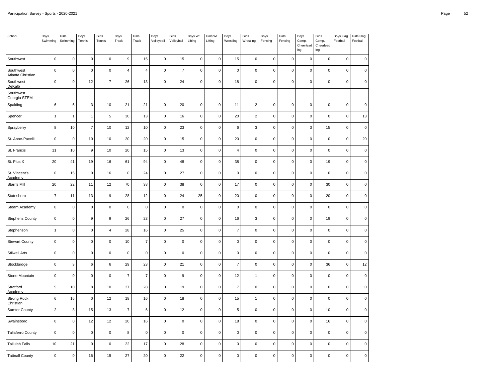| School                         | Boys<br>Swimming | Girls<br>Swimming         | Boys<br>Tennis   | Girls<br>Tennis  | Boys<br>Track       | Girls<br>Track  | Boys<br>Volleyball | Girls<br>Volleyball | Boys Wt.<br>Lifting | Girls Wt.<br>Lifting | Boys<br>Wrestling   | Girls<br>Wrestling | Boys<br>Fencing | Girls<br>Fencing | Boys<br>Comp.<br>Cheerlead<br>ing | Girls<br>Comp.<br>Cheerlead<br>ing | Boys Flag<br>Football | Girls Flag<br>Football |
|--------------------------------|------------------|---------------------------|------------------|------------------|---------------------|-----------------|--------------------|---------------------|---------------------|----------------------|---------------------|--------------------|-----------------|------------------|-----------------------------------|------------------------------------|-----------------------|------------------------|
| Southwest                      | $\mathbf 0$      | $\mathsf 0$               | $\mathbf 0$      | $\pmb{0}$        | $\boldsymbol{9}$    | 15              | $\mathsf 0$        | 15                  | $\mathbf 0$         | $\pmb{0}$            | 15                  | $\pmb{0}$          | $\pmb{0}$       | $\pmb{0}$        | $\pmb{0}$                         | $\pmb{0}$                          | $\pmb{0}$             | $\pmb{0}$              |
| Southwest<br>Atlanta Christian | $\mathsf 0$      | $\mathbf 0$               | $\mathbf 0$      | $\mathbf 0$      | $\overline{4}$      | $\overline{4}$  | $\mathsf 0$        | $\overline{7}$      | $\mathbf 0$         | $\pmb{0}$            | $\mathsf{O}\xspace$ | $\mathsf 0$        | $\mathbf 0$     | $\mathbf 0$      | $\mathsf 0$                       | $\pmb{0}$                          | $\mathsf 0$           | $\mathbf 0$            |
| Southwest<br>DeKalb            | $\mathbf 0$      | $\mathsf 0$               | 12               | $\overline{7}$   | 26                  | 13              | $\pmb{0}$          | 24                  | $\pmb{0}$           | $\pmb{0}$            | 18                  | $\pmb{0}$          | $\mathsf 0$     | $\pmb{0}$        | $\mathsf 0$                       | $\pmb{0}$                          | $\pmb{0}$             | $\pmb{0}$              |
| Southwest<br>Georgia STEM      |                  |                           |                  |                  |                     |                 |                    |                     |                     |                      |                     |                    |                 |                  |                                   |                                    |                       |                        |
| Spalding                       | 6                | $\,6\,$                   | $\mathsf 3$      | 10               | 21                  | 21              | $\mathsf 0$        | 20                  | $\,0\,$             | $\pmb{0}$            | 11                  | $\overline{2}$     | $\mathbf 0$     | $\pmb{0}$        | $\mathbf 0$                       | $\pmb{0}$                          | $\mathbf 0$           | $\pmb{0}$              |
| Spencer                        | $\mathbf{1}$     | $\overline{1}$            | $\mathbf{1}$     | $\sqrt{5}$       | 30                  | 13              | $\pmb{0}$          | 16                  | $\mathbf 0$         | $\pmb{0}$            | 20                  | $\sqrt{2}$         | $\mathsf 0$     | $\pmb{0}$        | $\mathsf 0$                       | $\pmb{0}$                          | $\pmb{0}$             | $13$                   |
| Sprayberry                     | 8                | 10                        | $\overline{7}$   | 10               | 12                  | 10              | $\mathsf 0$        | 23                  | $\mathbf 0$         | $\pmb{0}$            | 6                   | $\mathbf{3}$       | $\mathbf 0$     | $\mathbf 0$      | 3                                 | 15                                 | $\mathsf 0$           | $\pmb{0}$              |
| St. Anne-Pacelli               | $\mathbf 0$      | $\mathbf 0$               | $10$             | 10               | 20                  | 20              | $\mathsf 0$        | 15                  | $\mathbf 0$         | $\pmb{0}$            | 20                  | $\mathbf 0$        | $\mathsf 0$     | $\mathbf 0$      | $\mathbf 0$                       | $\pmb{0}$                          | $\pmb{0}$             | 20                     |
| St. Francis                    | $11$             | $10\,$                    | $\boldsymbol{9}$ | $10$             | 20                  | 15              | $\mathbf 0$        | 13                  | $\mathbf 0$         | $\pmb{0}$            | $\overline{4}$      | $\mathbf 0$        | $\mathbf 0$     | $\pmb{0}$        | $\mathbf 0$                       | $\mathbf 0$                        | $\mathsf 0$           | $\mathbf 0$            |
| St. Pius X                     | 20               | 41                        | 19               | 16               | 61                  | 94              | $\mathsf 0$        | 48                  | $\pmb{0}$           | $\pmb{0}$            | 38                  | $\mathbf 0$        | $\mathsf 0$     | $\pmb{0}$        | $\mathsf 0$                       | 19                                 | $\pmb{0}$             | $\pmb{0}$              |
| St. Vincent's<br>Academy       | $\mathbf 0$      | 15                        | $\mathbf 0$      | 16               | $\mathsf{O}\xspace$ | 24              | $\pmb{0}$          | 27                  | $\mathbf 0$         | $\pmb{0}$            | $\pmb{0}$           | $\mathbf 0$        | $\mathbf 0$     | $\mathbf 0$      | $\mathbf 0$                       | $\pmb{0}$                          | $\mathsf 0$           | $\pmb{0}$              |
| Starr's Mill                   | $20\,$           | 22                        | 11               | 12               | $70\,$              | 38              | $\mathbf 0$        | 38                  | $\pmb{0}$           | $\pmb{0}$            | 17                  | $\pmb{0}$          | $\pmb{0}$       | $\pmb{0}$        | $\pmb{0}$                         | $30\,$                             | $\pmb{0}$             | $\pmb{0}$              |
| Statesboro                     | $\overline{7}$   | 11                        | 13               | $\boldsymbol{9}$ | 28                  | 12              | $\mathsf 0$        | 24                  | 25                  | $\pmb{0}$            | 20                  | $\mathbf 0$        | $\mathsf 0$     | $\mathbf 0$      | $\mathsf{O}\xspace$               | 20                                 | $\mathsf 0$           | $\pmb{0}$              |
| Steam Academy                  | $\mathbf 0$      | $\mathbf 0$               | $\mathbf 0$      | $\mathbf 0$      | $\mathsf{O}\xspace$ | $\pmb{0}$       | $\pmb{0}$          | $\pmb{0}$           | $\mathbf 0$         | $\pmb{0}$            | $\pmb{0}$           | $\mathbf 0$        | $\mathbf 0$     | $\mathbf 0$      | $\mathbf 0$                       | $\pmb{0}$                          | $\mathsf 0$           | $\pmb{0}$              |
| <b>Stephens County</b>         | $\mathbf 0$      | $\pmb{0}$                 | $\boldsymbol{9}$ | 9                | 26                  | 23              | $\mathsf 0$        | 27                  | $\pmb{0}$           | $\pmb{0}$            | 16                  | $\mathbf{3}$       | $\mathbf 0$     | $\pmb{0}$        | $\mathbf 0$                       | 19                                 | $\mathbf 0$           | $\pmb{0}$              |
| Stephenson                     | $\mathbf{1}$     | $\mathsf 0$               | $\mathbf 0$      | $\overline{4}$   | 28                  | 16              | $\mathsf 0$        | 25                  | $\pmb{0}$           | $\pmb{0}$            | $\overline{7}$      | $\mathbf 0$        | $\mathsf 0$     | $\mathbf 0$      | $\mathsf 0$                       | $\pmb{0}$                          | $\pmb{0}$             | $\pmb{0}$              |
| <b>Stewart County</b>          | $\mathsf 0$      | $\mathbf 0$               | $\mathbf 0$      | $\mathbf 0$      | 10                  | $\overline{7}$  | $\mathsf 0$        | $\pmb{0}$           | $\pmb{0}$           | $\pmb{0}$            | $\pmb{0}$           | $\mathbf 0$        | $\mathbf 0$     | $\mathbf 0$      | $\mathbf 0$                       | $\mathbf 0$                        | $\mathsf 0$           | $\pmb{0}$              |
| <b>Stilwell Arts</b>           | $\mathbf 0$      | $\pmb{0}$                 | $\mathbf 0$      | $\mathbf 0$      | $\mathsf{O}\xspace$ | $\pmb{0}$       | $\pmb{0}$          | $\pmb{0}$           | $\mathbf 0$         | $\pmb{0}$            | $\mathbf 0$         | $\pmb{0}$          | $\mathbf 0$     | $\pmb{0}$        | $\mathbf 0$                       | $\pmb{0}$                          | $\mathsf 0$           | $\pmb{0}$              |
| Stockbridge                    | $\mathbf 0$      | $\ensuremath{\mathsf{3}}$ | $\,6\,$          | $\,6\,$          | 29                  | 23              | $\mathsf 0$        | 21                  | $\mathbf 0$         | $\pmb{0}$            | $\overline{7}$      | $\mathbf 0$        | $\mathsf 0$     | $\mathbf 0$      | $\mathsf{O}\xspace$               | 36                                 | $\mathsf 0$           | 12                     |
| Stone Mountain                 | $\mathsf 0$      | $\mathbf 0$               | $\mathbf 0$      | $\mathbf 0$      | $\overline{7}$      | $\overline{7}$  | $\mathsf 0$        | 9                   | $\mathbf 0$         | $\pmb{0}$            | 12                  | $\mathbf{1}$       | $\mathsf 0$     | $\mathbf 0$      | $\mathsf 0$                       | $\pmb{0}$                          | $\pmb{0}$             | $\mathsf 0$            |
| Stratford<br>Academy           | $\overline{5}$   | 10                        | 8                | $10$             | 37                  | 28              | $\mathsf 0$        | 19                  | $\mathbf 0$         | $\pmb{0}$            | $\overline{7}$      | $\pmb{0}$          | $\mathbf 0$     | $\pmb{0}$        | $\mathsf{O}\xspace$               | $\pmb{0}$                          | $\mathsf{O}\xspace$   | $\pmb{0}$              |
| Strong Rock<br>Christian       | $\,6\,$          | $16\,$                    | $\mathbf 0$      | 12               | 18                  | 16              | $\pmb{0}$          | 18                  | $\pmb{0}$           | $\pmb{0}$            | 15                  | $\mathbf{1}$       | $\pmb{0}$       | $\pmb{0}$        | $\pmb{0}$                         | $\pmb{0}$                          | $\pmb{0}$             | $\pmb{0}$              |
| <b>Sumter County</b>           | $\overline{2}$   | 3                         | 15               | 13               | $\overline{7}$      | $6\phantom{1}6$ | $\pmb{0}$          | 12                  | $\pmb{0}$           | $\pmb{0}$            | 5                   | $\mathbf 0$        | $\mathbf 0$     | $\mathbf 0$      | $\mathsf 0$                       | 10                                 | $\pmb{0}$             | $\pmb{0}$              |
| Swainsboro                     | $\mathbf 0$      | $\pmb{0}$                 | 12               | 12               | 20                  | 16              | $\pmb{0}$          | $\pmb{0}$           | $\,0\,$             | $\pmb{0}$            | 18                  | $\mathbf 0$        | $\mathbf 0$     | $\mathbf 0$      | $\mathbf 0$                       | 16                                 | $\mathsf 0$           | $\pmb{0}$              |
| <b>Taliaferro County</b>       | $\mathbf 0$      | $\pmb{0}$                 | $\mathbf 0$      | $\pmb{0}$        | 8                   | $\pmb{0}$       | $\mathsf 0$        | $\pmb{0}$           | $\mathbf 0$         | $\pmb{0}$            | $\mathsf 0$         | $\pmb{0}$          | $\pmb{0}$       | $\pmb{0}$        | $\pmb{0}$                         | $\pmb{0}$                          | $\pmb{0}$             | $\pmb{0}$              |
| <b>Tallulah Falls</b>          | 10               | 21                        | $\mathbf 0$      | $\mathbf 0$      | 22                  | 17              | $\pmb{0}$          | 28                  | $\mathbf 0$         | $\pmb{0}$            | $\mathsf 0$         | $\mathbf 0$        | $\mathbf 0$     | $\mathbf 0$      | $\mathsf 0$                       | $\pmb{0}$                          | $\mathsf 0$           | $\pmb{0}$              |
| <b>Tattnall County</b>         | $\mathsf 0$      | $\mathbf 0$               | 16               | 15               | 27                  | 20              | $\mathsf 0$        | 22                  | $\mathbf 0$         | $\pmb{0}$            | 0                   | $\mathbf 0$        | $\mathbf 0$     | $\mathbf 0$      | $\mathbf 0$                       | $\pmb{0}$                          | $\mathbf 0$           | $\pmb{0}$              |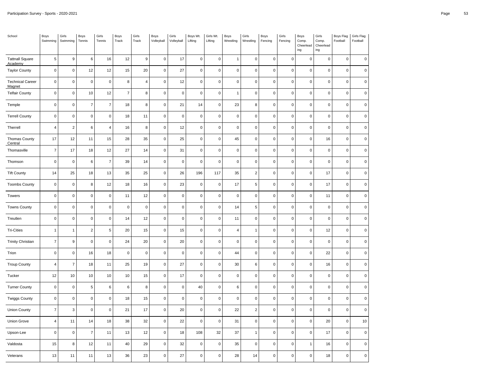| School                            | Boys<br>Swimming        | Girls<br>Swimming | Boys<br>Tennis   | Girls<br>Tennis | Boys<br>Track  | Girls<br>Track      | Boys<br>Volleyball | Girls<br>Volleyball | Boys Wt.<br>Lifting | Girls Wt.<br>Lifting | Boys<br>Wrestling | Girls<br>Wrestling  | Boys<br>Fencing | Girls<br>Fencing | Boys<br>Comp.<br>Cheerlead<br>ing | Girls<br>Comp.<br>Cheerlead<br>ing | Boys Flag<br>Football | Girls Flag<br>Football |
|-----------------------------------|-------------------------|-------------------|------------------|-----------------|----------------|---------------------|--------------------|---------------------|---------------------|----------------------|-------------------|---------------------|-----------------|------------------|-----------------------------------|------------------------------------|-----------------------|------------------------|
| <b>Tattnall Square</b><br>Academy | $\,$ 5 $\,$             | $\boldsymbol{9}$  | $\boldsymbol{6}$ | 16              | 12             | $\boldsymbol{9}$    | $\pmb{0}$          | 17                  | $\mathbf 0$         | $\pmb{0}$            | $\overline{1}$    | $\mathsf 0$         | $\pmb{0}$       | $\pmb{0}$        | $\pmb{0}$                         | $\mathbf 0$                        | $\mathsf 0$           | $\pmb{0}$              |
| <b>Taylor County</b>              | $\pmb{0}$               | $\mathsf 0$       | 12               | 12              | 15             | 20                  | $\pmb{0}$          | 27                  | $\pmb{0}$           | $\mathbf 0$          | $\mathbf 0$       | $\mathsf{O}\xspace$ | $\mathbf 0$     | $\pmb{0}$        | $\mathbf 0$                       | $\pmb{0}$                          | $\mathsf 0$           | 0                      |
| <b>Technical Career</b><br>Magnet | $\pmb{0}$               | $\mathbf 0$       | $\pmb{0}$        | $\pmb{0}$       | 8              | 4                   | $\pmb{0}$          | 12                  | $\pmb{0}$           | $\pmb{0}$            | $\pmb{0}$         | $\pmb{0}$           | $\pmb{0}$       | $\pmb{0}$        | $\mathbf 0$                       | $\pmb{0}$                          | $\pmb{0}$             | 0                      |
| <b>Telfair County</b>             | $\mathbf 0$             | $\pmb{0}$         | 10               | 12              | $\overline{7}$ | 8                   | $\pmb{0}$          | $\pmb{0}$           | $\pmb{0}$           | $\mathbf 0$          | $\mathbf{1}$      | $\pmb{0}$           | $\mathbf 0$     | $\mathbf 0$      | $\mathsf 0$                       | $\mathbf 0$                        | $\mathsf 0$           | $\pmb{0}$              |
| Temple                            | $\pmb{0}$               | $\mathsf 0$       | $\overline{7}$   | $\overline{7}$  | 18             | 8                   | $\pmb{0}$          | 21                  | 14                  | $\mathsf{O}\xspace$  | 23                | 8                   | $\pmb{0}$       | $\pmb{0}$        | $\pmb{0}$                         | $\pmb{0}$                          | $\pmb{0}$             | $\pmb{0}$              |
| <b>Terrell County</b>             | $\pmb{0}$               | $\pmb{0}$         | $\pmb{0}$        | $\mathbf 0$     | 18             | 11                  | $\pmb{0}$          | $\pmb{0}$           | $\pmb{0}$           | $\mathbf 0$          | $\pmb{0}$         | $\pmb{0}$           | $\pmb{0}$       | $\pmb{0}$        | $\pmb{0}$                         | $\mathbf 0$                        | $\pmb{0}$             | 0                      |
| Therrell                          | $\overline{4}$          | $\sqrt{2}$        | $\,6\,$          | $\overline{4}$  | 16             | 8                   | $\pmb{0}$          | 12                  | $\pmb{0}$           | $\mathsf{O}\xspace$  | $\pmb{0}$         | $\mathsf 0$         | $\pmb{0}$       | $\mathbf 0$      | $\mathbf 0$                       | $\mathbf 0$                        | $\mathsf 0$           | $\pmb{0}$              |
| Thomas County<br>Central          | 17                      | 12                | 11               | 15              | 28             | 35                  | $\mathbf 0$        | 25                  | $\mathbf 0$         | $\mathsf{O}\xspace$  | 45                | $\mathsf 0$         | $\pmb{0}$       | $\pmb{0}$        | $\mathbf 0$                       | 16                                 | $\pmb{0}$             | $\pmb{0}$              |
| Thomasville                       | $\overline{\mathbf{7}}$ | 17                | 18               | $12\,$          | 27             | 14                  | $\pmb{0}$          | 31                  | $\mathbf 0$         | $\mathbf 0$          | $\mathbf 0$       | $\mathsf 0$         | $\mathbf 0$     | $\pmb{0}$        | $\mathsf 0$                       | $\mathsf{O}\xspace$                | 0                     | 0                      |
| Thomson                           | $\pmb{0}$               | $\mathbf 0$       | $\,6\,$          | $\overline{7}$  | 39             | 14                  | $\pmb{0}$          | $\mathbf 0$         | $\pmb{0}$           | $\pmb{0}$            | $\pmb{0}$         | $\mathsf{O}\xspace$ | $\pmb{0}$       | $\pmb{0}$        | $\mathbf 0$                       | $\mathsf{O}\xspace$                | $\mathsf 0$           | $\pmb{0}$              |
| <b>Tift County</b>                | 14                      | 25                | 18               | 13              | 35             | 25                  | $\pmb{0}$          | 26                  | 196                 | 117                  | 35                | $\sqrt{2}$          | $\pmb{0}$       | $\pmb{0}$        | $\mathbf 0$                       | 17                                 | $\mathbf 0$           | $\pmb{0}$              |
| <b>Toombs County</b>              | $\pmb{0}$               | $\mathsf 0$       | 8                | 12              | 18             | 16                  | $\pmb{0}$          | 23                  | $\pmb{0}$           | $\mathsf{O}\xspace$  | 17                | $\,$ 5 $\,$         | $\mathbf 0$     | $\mathbf 0$      | $\mathbf 0$                       | 17                                 | $\mathsf 0$           | 0                      |
| Towers                            | $\pmb{0}$               | $\pmb{0}$         | $\pmb{0}$        | $\mathbf 0$     | 11             | 12                  | $\pmb{0}$          | $\mathbf 0$         | $\mathbf 0$         | $\mathsf{O}\xspace$  | $\pmb{0}$         | $\mathsf 0$         | $\pmb{0}$       | $\pmb{0}$        | $\mathbf 0$                       | 11                                 | $\mathsf 0$           | $\mathsf 0$            |
| <b>Towns County</b>               | $\pmb{0}$               | $\mathbf 0$       | $\mathbf 0$      | $\pmb{0}$       | $\pmb{0}$      | $\mathsf{O}\xspace$ | $\pmb{0}$          | $\pmb{0}$           | $\mathbf 0$         | $\pmb{0}$            | 14                | $\sqrt{5}$          | $\mathbf 0$     | $\pmb{0}$        | $\mathbf 0$                       | $\pmb{0}$                          | $\pmb{0}$             | 0                      |
| Treutlen                          | $\pmb{0}$               | $\mathsf 0$       | $\pmb{0}$        | $\mathsf 0$     | 14             | 12                  | $\pmb{0}$          | $\pmb{0}$           | $\pmb{0}$           | $\mathsf{O}\xspace$  | 11                | $\mathsf 0$         | $\pmb{0}$       | $\mathbf 0$      | $\mathbf 0$                       | $\pmb{0}$                          | $\mathsf 0$           | $\mathsf 0$            |
| <b>Tri-Cities</b>                 | $\mathbf{1}$            | $\mathbf{1}$      | $\sqrt{2}$       | $\,$ 5 $\,$     | 20             | 15                  | $\pmb{0}$          | 15                  | $\pmb{0}$           | $\mathbf 0$          | $\overline{4}$    | $\mathbf{1}$        | $\pmb{0}$       | $\pmb{0}$        | $\mathbf 0$                       | 12                                 | $\mathsf 0$           | $\mathbf 0$            |
| <b>Trinity Christian</b>          | $\overline{7}$          | $9\,$             | $\pmb{0}$        | $\pmb{0}$       | 24             | 20                  | $\pmb{0}$          | 20                  | $\pmb{0}$           | $\pmb{0}$            | $\mathbf 0$       | $\mathsf{O}\xspace$ | $\mathbf 0$     | $\pmb{0}$        | $\mathbf 0$                       | $\pmb{0}$                          | $\pmb{0}$             | 0                      |
| Trion                             | $\pmb{0}$               | $\pmb{0}$         | 16               | 18              | $\pmb{0}$      | $\mathbf 0$         | $\pmb{0}$          | $\mathbf 0$         | $\pmb{0}$           | $\mathsf{O}\xspace$  | 44                | $\mathsf 0$         | $\pmb{0}$       | $\mathbf 0$      | $\mathbf 0$                       | 22                                 | $\mathsf 0$           | $\mathsf 0$            |
| <b>Troup County</b>               | $\overline{4}$          | $\overline{7}$    | 18               | 11              | 25             | 19                  | $\pmb{0}$          | 27                  | $\pmb{0}$           | $\mathbf 0$          | 30                | $\,6\,$             | $\mathbf 0$     | $\pmb{0}$        | $\mathbf 0$                       | 16                                 | 0                     | 0                      |
| Tucker                            | 12                      | 10                | 10               | 10              | 10             | 15                  | $\pmb{0}$          | 17                  | $\pmb{0}$           | $\pmb{0}$            | $\mathbf 0$       | $\pmb{0}$           | $\mathbf 0$     | $\pmb{0}$        | $\mathbf 0$                       | $\pmb{0}$                          | $\pmb{0}$             | 0                      |
| <b>Turner County</b>              | $\mathbf 0$             | $\pmb{0}$         | $\,$ 5 $\,$      | $\,6\,$         | $\,6\,$        | 8                   | $\pmb{0}$          | $\pmb{0}$           | 40                  | $\mathbf 0$          | $\,6\,$           | $\pmb{0}$           | $\mathbf 0$     | $\pmb{0}$        | $\mathsf 0$                       | $\mathbf 0$                        | $\mathsf 0$           | $\pmb{0}$              |
| <b>Twiggs County</b>              | $\pmb{0}$               | $\mathsf 0$       | $\pmb{0}$        | $\mathsf 0$     | 18             | 15                  | $\pmb{0}$          | $\pmb{0}$           | $\pmb{0}$           | $\mathbf 0$          | $\pmb{0}$         | $\mathsf 0$         | $\pmb{0}$       | $\pmb{0}$        | $\pmb{0}$                         | $\pmb{0}$                          | $\pmb{0}$             | 0                      |
| <b>Union County</b>               | $\overline{7}$          | $\mathsf 3$       | $\pmb{0}$        | $\mathbf 0$     | 21             | 17                  | $\pmb{0}$          | 20                  | $\pmb{0}$           | $\mathbf 0$          | 22                | $\sqrt{2}$          | $\pmb{0}$       | $\pmb{0}$        | $\mathbf 0$                       | $\pmb{0}$                          | $\mathsf 0$           | 0                      |
| Union Grove                       | $\sqrt{4}$              | 11                | 14               | 18              | 38             | 32                  | $\pmb{0}$          | 22                  | $\pmb{0}$           | $\pmb{0}$            | 31                | $\mathsf 0$         | $\pmb{0}$       | $\mathbf 0$      | $\mathbf 0$                       | 20                                 | $\mathsf 0$           | $10\,$                 |
| Upson-Lee                         | $\pmb{0}$               | $\pmb{0}$         | $\overline{7}$   | 11              | 13             | 12                  | $\pmb{0}$          | 18                  | 108                 | 32                   | 37                | $\mathbf{1}$        | $\pmb{0}$       | $\pmb{0}$        | $\mathbf 0$                       | 17                                 | $\pmb{0}$             | $\mathbf 0$            |
| Valdosta                          | 15                      | 8                 | 12               | 11              | 40             | 29                  | $\pmb{0}$          | 32                  | $\pmb{0}$           | $\mathsf 0$          | 35                | $\mathsf 0$         | $\mathbf 0$     | $\pmb{0}$        | $\mathbf{1}$                      | 16                                 | 0                     | $\pmb{0}$              |
| Veterans                          | 13                      | 11                | 11               | 13              | 36             | 23                  | $\pmb{0}$          | 27                  | $\pmb{0}$           | $\mathsf{O}\xspace$  | 28                | 14                  | $\pmb{0}$       | $\pmb{0}$        | $\pmb{0}$                         | 18                                 | 0                     | 0                      |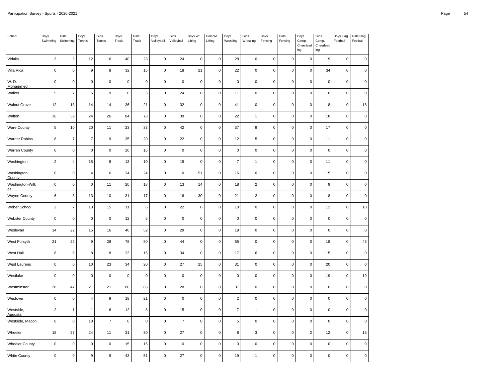| School                      | Boys<br>Swimming | Girls<br>Swimming | Boys<br>Tennis   | Girls<br>Tennis  | Boys<br>Track | Girls<br>Track | Boys<br>Volleyball  | Girls<br>Volleyball | Boys Wt.<br>Lifting | Girls Wt.<br>Lifting | Boys<br>Wrestling | Girls<br>Wrestling | Boys<br>Fencing | Girls<br>Fencing | Boys<br>Comp.<br>Cheerlead<br>$ing$ | Girls<br>Comp.<br>Cheerlead<br>ing | Boys Flag<br>Football | Girls Flag<br>Football |
|-----------------------------|------------------|-------------------|------------------|------------------|---------------|----------------|---------------------|---------------------|---------------------|----------------------|-------------------|--------------------|-----------------|------------------|-------------------------------------|------------------------------------|-----------------------|------------------------|
| Vidalia                     | 3                | 3                 | 12               | 16               | 40            | 23             | $\mathsf 0$         | 24                  | $\mathbf 0$         | $\mathbf 0$          | 28                | $\mathbf 0$        | $\mathbf 0$     | $\mathbf 0$      | $\mathsf 0$                         | 19                                 | $\mathsf{O}\xspace$   | $\mathbf 0$            |
| Villa Rica                  | $\pmb{0}$        | $\pmb{0}$         | $\boldsymbol{9}$ | 8                | 32            | 15             | $\mathsf 0$         | 18                  | 21                  | $\pmb{0}$            | 22                | $\pmb{0}$          | $\mathbf 0$     | $\pmb{0}$        | $\pmb{0}$                           | 34                                 | $\mathsf 0$           | $\mathsf 0$            |
| W. D.<br>Mohammed           | $\pmb{0}$        | $\pmb{0}$         | $\pmb{0}$        | $\pmb{0}$        | $\pmb{0}$     | $\mathbf 0$    | 0                   | $\pmb{0}$           | $\pmb{0}$           | $\pmb{0}$            | $\pmb{0}$         | $\pmb{0}$          | $\pmb{0}$       | $\pmb{0}$        | $\mathbf 0$                         | $\mathbf 0$                        | $\mathbf 0$           | $\mathbf 0$            |
| Walker                      | $\sqrt{5}$       | $\overline{7}$    | $\,6$            | $\boldsymbol{9}$ | $\mathbf 0$   | 5              | $\mathsf 0$         | 24                  | $\mathbf 0$         | $\mathbf 0$          | 11                | $\pmb{0}$          | $\mathbf 0$     | $\mathbf 0$      | $\mathsf 0$                         | $\pmb{0}$                          | $\mathsf{O}\xspace$   | $\mathsf 0$            |
| <b>Walnut Grove</b>         | 12               | 13                | 14               | 14               | 36            | 21             | $\mathsf{O}\xspace$ | 32                  | $\mathbf 0$         | $\pmb{0}$            | 41                | $\pmb{0}$          | $\mathbf 0$     | $\pmb{0}$        | $\pmb{0}$                           | 18                                 | $\mathsf{O}\xspace$   | 18                     |
| Walton                      | 36               | 59                | 24               | 26               | 84            | 73             | 0                   | 39                  | $\mathbf 0$         | $\pmb{0}$            | 22                | $\mathbf{1}$       | $\mathsf 0$     | $\mathbf 0$      | $\mathsf 0$                         | 18                                 | $\mathbf 0$           | $\pmb{0}$              |
| <b>Ware County</b>          | $\sqrt{5}$       | 10                | 20               | 11               | 23            | 33             | $\mathsf 0$         | 42                  | $\mathbf 0$         | $\mathbf 0$          | 37                | 9                  | $\mathbf 0$     | $\pmb{0}$        | $\pmb{0}$                           | 17                                 | $\mathsf{O}\xspace$   | $\mathsf 0$            |
| Warner Robins               | 8                | $\overline{7}$    | $\boldsymbol{7}$ | $\mathsf g$      | 35            | $20\,$         | $\mathsf 0$         | 22                  | $\pmb{0}$           | $\pmb{0}$            | 12                | 5                  | $\mathsf 0$     | $\mathbf 0$      | $\pmb{0}$                           | 11                                 | $\mathsf 0$           | $\mathbf 0$            |
| <b>Warren County</b>        | $\pmb{0}$        | $\mathsf 0$       | $\pmb{0}$        | $\pmb{0}$        | 20            | 15             | 0                   | $\mathbf 0$         | $\mathbf 0$         | $\pmb{0}$            | $\mathsf 0$       | $\pmb{0}$          | $\mathbf 0$     | $\mathbf 0$      | $\pmb{0}$                           | $\pmb{0}$                          | 0                     | 0                      |
| Washington                  | $\sqrt{2}$       | $\sqrt{4}$        | 15               | 8                | 13            | 10             | $\mathsf 0$         | 15                  | $\pmb{0}$           | $\pmb{0}$            | $\boldsymbol{7}$  | $\mathbf{1}$       | $\mathsf 0$     | $\pmb{0}$        | $\pmb{0}$                           | 11                                 | 0                     | $\pmb{0}$              |
| Washington<br>County        | $\pmb{0}$        | $\pmb{0}$         | $\overline{4}$   | 6                | 34            | 24             | $\mathsf 0$         | $\mathbf 0$         | 51                  | $\pmb{0}$            | 16                | $\pmb{0}$          | $\mathsf 0$     | $\mathbf 0$      | $\mathsf 0$                         | 15                                 | $\mathsf 0$           | $\pmb{0}$              |
| Washington-Wilk<br>es       | $\pmb{0}$        | $\mathbf 0$       | $\pmb{0}$        | 11               | 20            | 18             | $\mathsf 0$         | 13                  | 14                  | $\pmb{0}$            | 18                | $\sqrt{2}$         | $\mathbf 0$     | $\pmb{0}$        | $\mathbf 0$                         | 9                                  | $\mathbf 0$           | 0                      |
| <b>Wayne County</b>         | $\,6\,$          | 3                 | 13               | 10               | 31            | 17             | $\mathsf{O}\xspace$ | 16                  | 30                  | $\pmb{0}$            | 21                | $\overline{c}$     | $\mathbf 0$     | $\pmb{0}$        | $\mathsf 0$                         | 18                                 | $\mathsf 0$           | $\mathbf 0$            |
| Weber School                | $\overline{c}$   | $\overline{7}$    | 13               | 15               | 11            | 6              | $\mathsf{O}\xspace$ | 22                  | $\mathbf 0$         | $\pmb{0}$            | 10                | $\pmb{0}$          | $\pmb{0}$       | $\pmb{0}$        | $\pmb{0}$                           | 12                                 | $\mathsf{O}\xspace$   | 18                     |
| <b>Webster County</b>       | $\pmb{0}$        | $\mathbf 0$       | $\pmb{0}$        | $\pmb{0}$        | 12            | 5              | 0                   | $\mathbf 0$         | $\mathbf 0$         | $\mathbf 0$          | $\mathbf 0$       | $\pmb{0}$          | $\mathbf 0$     | $\mathbf 0$      | $\pmb{0}$                           | $\pmb{0}$                          | $\pmb{0}$             | $\mathsf 0$            |
| Wesleyan                    | 14               | 22                | 15               | 16               | 40            | 52             | $\mathsf{O}\xspace$ | 29                  | $\mathbf 0$         | $\pmb{0}$            | 19                | $\pmb{0}$          | $\mathbf 0$     | $\pmb{0}$        | $\pmb{0}$                           | $\pmb{0}$                          | $\mathsf{O}\xspace$   | $\mathsf 0$            |
| West Forsyth                | 21               | 22                | $\boldsymbol{9}$ | 28               | 78            | 80             | 0                   | 44                  | $\mathbf 0$         | $\mathbf 0$          | 65                | $\pmb{0}$          | $\mathsf 0$     | $\mathbf 0$      | $\pmb{0}$                           | 18                                 | 0                     | 43                     |
| West Hall                   | 8                | 8                 | 8                | 8                | 23            | 15             | $\mathsf{O}\xspace$ | 34                  | $\mathbf 0$         | $\pmb{0}$            | 17                | 6                  | $\mathbf 0$     | $\pmb{0}$        | $\mathsf 0$                         | 15                                 | $\mathsf 0$           | $\mathbf 0$            |
| West Laurens                | $\pmb{0}$        | $\pmb{0}$         | $10$             | 23               | 34            | $20\,$         | $\mathsf 0$         | 27                  | 25                  | $\pmb{0}$            | 31                | $\pmb{0}$          | $\mathbf 0$     | $\pmb{0}$        | $\pmb{0}$                           | $20\,$                             | $\mathsf{O}\xspace$   | $\mathbf 0$            |
| Westlake                    | $\pmb{0}$        | $\mathbf 0$       | $\pmb{0}$        | $\pmb{0}$        | $\mathbf 0$   | $\pmb{0}$      | 0                   | $\mathbf 0$         | $\mathbf 0$         | $\pmb{0}$            | $\mathbf 0$       | $\pmb{0}$          | $\mathbf 0$     | $\mathbf 0$      | $\pmb{0}$                           | 19                                 | 0                     | 19                     |
| Westminster                 | 28               | 47                | 21               | 21               | 80            | 85             | $\mathsf 0$         | 28                  | $\pmb{0}$           | $\pmb{0}$            | 31                | $\pmb{0}$          | $\pmb{0}$       | $\pmb{0}$        | $\pmb{0}$                           | $\mathbf 0$                        | $\mathsf 0$           | $\pmb{0}$              |
| Westover                    | $\pmb{0}$        | $\pmb{0}$         | $\sqrt{4}$       | $\mathsf g$      | 18            | 21             | 0                   | $\pmb{0}$           | $\mathbf 0$         | $\pmb{0}$            | $\overline{2}$    | $\pmb{0}$          | $\mathsf 0$     | $\mathbf 0$      | $\pmb{0}$                           | $\mathbf 0$                        | 0                     | $\pmb{0}$              |
| Westside,<br><b>Augusta</b> | $\overline{2}$   | $\mathbf{1}$      | $\mathbf{1}$     | 6                | 12            | 8              | 0                   | 15                  | $\mathbf 0$         | $\pmb{0}$            | $\overline{7}$    | $\mathbf{1}$       | $\mathbf 0$     | $\mathbf 0$      | $\mathsf 0$                         | $\pmb{0}$                          | $\mathsf{O}\xspace$   | $\mathsf 0$            |
| Westside, Macon             | $\pmb{0}$        | $\pmb{0}$         | 10               | $\overline{7}$   | $\pmb{0}$     | $\mathbf 0$    | $\mathsf 0$         | $\overline{7}$      | $\mathbf 0$         | $\pmb{0}$            | 5                 | $\pmb{0}$          | $\mathbf 0$     | $\pmb{0}$        | $\mathsf 0$                         | $\mathbf 0$                        | $\mathsf 0$           | $\mathbf 0$            |
| Wheeler                     | 18               | 27                | 24               | 11               | 31            | 30             | $\mathsf 0$         | 27                  | $\mathbf 0$         | $\pmb{0}$            | 8                 | 3                  | $\pmb{0}$       | $\pmb{0}$        | $\mathbf 2$                         | 12                                 | $\mathsf 0$           | 15                     |
| <b>Wheeler County</b>       | $\mathbf 0$      | $\mathbf 0$       | $\pmb{0}$        | $\mathbf 0$      | 15            | 15             | 0                   | $\mathbf 0$         | $\mathbf 0$         | $\mathbf 0$          | $\mathbf 0$       | $\mathbf 0$        | $\mathbf 0$     | $\mathbf 0$      | $\mathbf 0$                         | $\pmb{0}$                          | $\mathbf 0$           | $\mathsf 0$            |
| <b>White County</b>         | $\pmb{0}$        | $\pmb{0}$         | $\boldsymbol{9}$ | $\boldsymbol{9}$ | 43            | 51             | 0                   | 27                  | $\mathbf 0$         | $\pmb{0}$            | 19                | $\mathbf{1}$       | $\pmb{0}$       | $\pmb{0}$        | $\pmb{0}$                           | $\pmb{0}$                          | 0                     | 0                      |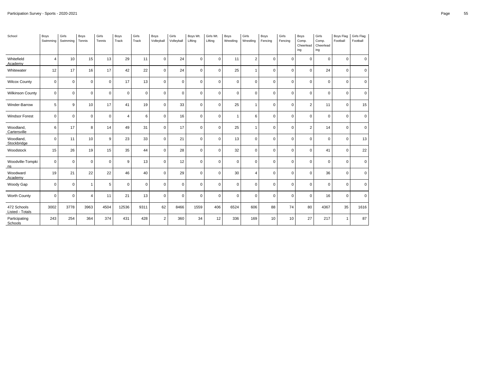| School                         | Boys<br>Swimming | Girls<br>Swimming | Boys<br>Tennis | Girls<br>Tennis | Boys<br>Track  | Girls<br>Track | Boys<br>Volleyball | Girls<br>Volleyball | Boys Wt.<br>Lifting | Girls Wt.<br>Lifting | Boys<br>Wrestling | Girls<br>Wrestling | Boys<br>Fencing | Girls<br>Fencing | Boys<br>Comp.<br>Cheerlead<br>ing | Girls<br>Comp.<br>Cheerlead<br>ing | Boys Flag<br>Football | Girls Flag<br>Football |
|--------------------------------|------------------|-------------------|----------------|-----------------|----------------|----------------|--------------------|---------------------|---------------------|----------------------|-------------------|--------------------|-----------------|------------------|-----------------------------------|------------------------------------|-----------------------|------------------------|
| Whitefield<br>Academy          | $\overline{4}$   | 10                | 15             | 13              | 29             | 11             | $\mathsf 0$        | 24                  | $\mathbf 0$         | $\mathbf 0$          | 11                | $\overline{2}$     | $\mathbf 0$     | $\Omega$         | $\pmb{0}$                         | $\mathbf{0}$                       | $\mathsf{O}\xspace$   | $\mathbf 0$            |
| Whitewater                     | 12               | 17                | 16             | 17              | 42             | 22             | $\mathbf 0$        | 24                  | $\mathbf 0$         | $\mathbf 0$          | 25                | $\mathbf{1}$       | $\mathbf 0$     | $\Omega$         | $\pmb{0}$                         | 24                                 | $\mathbf 0$           | $\mathbf 0$            |
| <b>Wilcox County</b>           | $\mathbf 0$      | $\mathbf 0$       | $\mathbf 0$    | $\mathbf 0$     | 17             | 13             | $\mathsf 0$        | $\mathbf 0$         | $\mathbf 0$         | $\mathbf{0}$         | $\mathbf 0$       | $\mathbf 0$        | $\mathbf 0$     | $\mathbf 0$      | $\mathbf 0$                       | $\mathbf 0$                        | $\mathsf 0$           | $\mathbf 0$            |
| <b>Wilkinson County</b>        | $\mathbf 0$      | $\mathbf 0$       | $\mathbf 0$    | $\mathbf 0$     | $\mathbf 0$    | $\mathbf 0$    | $\mathbf 0$        | $\mathbf 0$         | $\mathbf 0$         | $\mathbf 0$          | $\mathbf 0$       | $\mathbf 0$        | $\mathbf 0$     | $\Omega$         | $\mathbf 0$                       | $\mathbf 0$                        | $\mathbf 0$           | $\mathbf 0$            |
| Winder-Barrow                  | 5                | 9                 | 10             | 17              | 41             | 19             | $\mathsf 0$        | 33                  | $\mathbf 0$         | $\mathbf{0}$         | 25                | $\mathbf{1}$       | $\mathbf 0$     | $\mathbf 0$      | $\overline{2}$                    | 11                                 | $\mathsf 0$           | 15                     |
| <b>Windsor Forest</b>          | $\mathbf 0$      | $\mathsf 0$       | $\mathbf 0$    | $\mathbf 0$     | $\overline{4}$ | 6              | $\mathbf 0$        | 16                  | $\mathbf 0$         | 0                    | $\mathbf{1}$      | 6                  | $\mathbf 0$     | $\Omega$         | $\pmb{0}$                         | $\mathbf 0$                        | $\mathsf 0$           | $\mathbf 0$            |
| Woodland,<br>Cartersville      | 6                | 17                | 8              | 14              | 49             | 31             | $\mathsf 0$        | 17                  | $\mathbf 0$         | 0                    | 25                | $\mathbf{1}$       | $\mathbf 0$     | $\mathbf 0$      | $\overline{2}$                    | 14                                 | $\mathsf 0$           | $\mathbf 0$            |
| Woodland,<br>Stockbridge       | $\mathbf 0$      | 11                | 10             | 9               | 23             | 33             | $\mathbf 0$        | 21                  | $\mathbf 0$         | $\Omega$             | 13                | $\Omega$           | $\Omega$        | $\Omega$         | $\mathbf 0$                       | $\Omega$                           | $\mathbf 0$           | 13                     |
| Woodstock                      | 15               | 26                | 19             | 15              | 35             | 44             | $\mathbf 0$        | 28                  | $\mathbf 0$         | $\mathbf{0}$         | 32                | $\mathbf 0$        | $\mathbf 0$     | $\Omega$         | $\pmb{0}$                         | 41                                 | $\mathsf 0$           | 22                     |
| Woodville-Tompki<br>ns         | $\mathsf 0$      | $\mathbf 0$       | $\mathbf 0$    | $\mathbf 0$     | 9              | 13             | $\mathsf 0$        | 12                  | $\mathbf 0$         | $\mathbf{0}$         | $\mathbf 0$       | $\mathbf 0$        | $\mathbf 0$     | $\mathbf 0$      | $\pmb{0}$                         | $\mathbf 0$                        | $\mathsf 0$           | $\mathbf 0$            |
| Woodward<br>Academy            | 19               | 21                | 22             | 22              | 46             | 40             | $\mathbf 0$        | 29                  | $\mathbf 0$         | $\mathbf 0$          | 30                | $\overline{4}$     | 0               | $\mathbf 0$      | $\mathbf 0$                       | 36                                 | $\mathbf 0$           | $\mathbf 0$            |
| Woody Gap                      | $\mathbf 0$      | $\mathbf 0$       | $\mathbf{1}$   | 5               | $\mathbf 0$    | $\mathbf 0$    | $\mathsf 0$        | $\mathbf 0$         | $\mathbf 0$         | $\mathbf{0}$         | $\mathbf 0$       | $\mathbf 0$        | $\mathbf 0$     | $\mathbf 0$      | $\mathbf 0$                       | $\mathbf{0}$                       | $\mathbf 0$           | $\mathbf 0$            |
| Worth County                   | $\mathsf 0$      | $\mathbf 0$       | $\overline{4}$ | 11              | 21             | 13             | $\mathbf 0$        | $\mathbf 0$         | $\mathbf 0$         | $\mathbf 0$          | $\mathbf 0$       | $\Omega$           | $\mathbf 0$     | $\Omega$         | $\mathbf 0$                       | 16                                 | $\mathsf 0$           | $\mathbf 0$            |
| 472 Schools<br>Listed - Totals | 3002             | 3778              | 3963           | 4504            | 12536          | 9311           | 62                 | 8466                | 1559                | 406                  | 6524              | 606                | 88              | 74               | 80                                | 4367                               | 35                    | 1616                   |
| Participating<br>Schools       | 243              | 254               | 364            | 374             | 431            | 428            | $\overline{2}$     | 360                 | 34                  | 12                   | 336               | 169                | 10              | 10               | 27                                | 217                                | $\mathbf{1}$          | 87                     |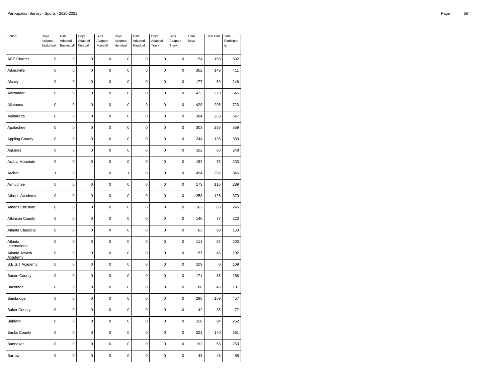| School                    | Boys<br>Adapted<br>Basketball | Girls<br>Adapted<br>Basketball | Boys<br>Adapted<br>Football | Girls<br>Adapted<br>Football | Boys<br>Adapted<br>Handball | Girls<br>Adapted<br>Handball | Boys<br>Adapted<br>Track | Girls<br>Adapted<br>Track | Total<br>Boys | <b>Total Girls</b> | Total<br>Participan<br>t s |
|---------------------------|-------------------------------|--------------------------------|-----------------------------|------------------------------|-----------------------------|------------------------------|--------------------------|---------------------------|---------------|--------------------|----------------------------|
| <b>ACE Charter</b>        | $\mathbf 0$                   | $\mathbf 0$                    | $\mathbf 0$                 | 0                            | 0                           | $\mathbf 0$                  | $\mathbf 0$              | 0                         | 174           | 158                | 332                        |
| Adairsville               | $\mathbf 0$                   | $\mathbf 0$                    | $\mathbf 0$                 | $\mathbf 0$                  | 0                           | $\mathbf 0$                  | $\mathbf 0$              | $\mathbf 0$               | 262           | 149                | 411                        |
| Alcovy                    | $\pmb{0}$                     | 0                              | $\pmb{0}$                   | $\mathbf 0$                  | 0                           | $\mathbf 0$                  | $\mathbf 0$              | $\pmb{0}$                 | 177           | 69                 | 246                        |
| Alexander                 | $\pmb{0}$                     | $\mathbf 0$                    | 0                           | 0                            | 0                           | $\pmb{0}$                    | $\pmb{0}$                | 0                         | 423           | 223                | 646                        |
| Allatoona                 | $\mathbf 0$                   | $\mathbf 0$                    | $\mathbf 0$                 | $\mathbf 0$                  | $\mathbf 0$                 | $\mathbf 0$                  | $\mathbf 0$              | $\pmb{0}$                 | 428           | 295                | 723                        |
| Alpharetta                | $\pmb{0}$                     | $\overline{0}$                 | $\mathbf 0$                 | $\pmb{0}$                    | $\mathbf 0$                 | $\mathbf 0$                  | $\mathbf 0$              | $\pmb{0}$                 | 384           | 263                | 647                        |
| Apalachee                 | $\mathbf 0$                   | $\mathbf 0$                    | $\mathbf 0$                 | $\mathbf 0$                  | $\mathbf 0$                 | $\mathbf 0$                  | $\mathbf 0$              | $\mathbf 0$               | 303           | 256                | 559                        |
| <b>Appling County</b>     | $\pmb{0}$                     | $\mathbf 0$                    | $\mathbf 0$                 | $\pmb{0}$                    | $\mathbf 0$                 | $\pmb{0}$                    | $\mathbf 0$              | $\pmb{0}$                 | 244           | 136                | 380                        |
| Aquinas                   | 0                             | $\mathbf 0$                    | 0                           | $\pmb{0}$                    | 0                           | $\pmb{0}$                    | $\pmb{0}$                | $\pmb{0}$                 | 162           | 86                 | 248                        |
| Arabia Mountain           | $\mathbf 0$                   | $\mathbf 0$                    | $\mathbf 0$                 | $\mathbf 0$                  | 0                           | $\mathbf 0$                  | $\mathbf 0$              | $\pmb{0}$                 | 152           | 78                 | 230                        |
| Archer                    | $\mathbf{1}$                  | $\mathbf 0$                    | $\mathbf{1}$                | $\pmb{0}$                    | 1                           | $\pmb{0}$                    | $\mathbf 0$              | $\pmb{0}$                 | 494           | 352                | 846                        |
| Armuchee                  | 0                             | $\mathbf 0$                    | $\mathbf 0$                 | $\mathbf 0$                  | $\mathbf 0$                 | $\mathbf 0$                  | $\mathbf 0$              | $\mathbf 0$               | 173           | 116                | 289                        |
| Athens Academy            | $\mathbf 0$                   | $\mathbf 0$                    | $\mathbf 0$                 | $\mathbf 0$                  | 0                           | $\mathbf 0$                  | $\mathbf 0$              | $\pmb{0}$                 | 253           | 126                | 379                        |
| Athens Christian          | $\pmb{0}$                     | $\mathbf 0$                    | $\pmb{0}$                   | $\pmb{0}$                    | $\mathbf 0$                 | $\pmb{0}$                    | $\mathbf 0$              | $\pmb{0}$                 | 163           | 83                 | 246                        |
| <b>Atkinson County</b>    | $\mathbf 0$                   | $\mathbf 0$                    | $\mathbf 0$                 | $\mathbf 0$                  | $\mathbf 0$                 | $\mathbf 0$                  | $\mathbf 0$              | $\mathbf 0$               | 146           | 77                 | 223                        |
| Atlanta Classical         | $\mathbf 0$                   | $\mathbf 0$                    | $\pmb{0}$                   | $\pmb{0}$                    | 0                           | $\pmb{0}$                    | $\mathbf 0$              | $\mathbf 0$               | 63            | 90                 | 153                        |
| Atlanta<br>International  | $\mathbf 0$                   | $\mathbf 0$                    | $\mathbf 0$                 | $\mathbf 0$                  | $\mathbf 0$                 | $\mathbf 0$                  | $\mathbf 0$              | $\mathbf 0$               | 111           | 92                 | 203                        |
| Atlanta Jewish<br>Academy | 0                             | $\mathbf 0$                    | $\mathbf 0$                 | $\mathbf 0$                  | $\mathbf 0$                 | $\mathbf 0$                  | $\mathbf 0$              | 0                         | 57            | 45                 | 102                        |
| B.E.S.T Academy           | $\mathbf 0$                   | $\mathbf 0$                    | $\mathbf 0$                 | $\mathbf 0$                  | 0                           | $\mathbf 0$                  | $\mathbf 0$              | $\mathbf 0$               | 109           | 0                  | 109                        |
| <b>Bacon County</b>       | $\pmb{0}$                     | $\mathbf 0$                    | $\mathbf 0$                 | $\mathbf 0$                  | $\mathbf 0$                 | $\mathbf 0$                  | $\mathbf 0$              | $\pmb{0}$                 | 171           | 85                 | 256                        |
| Baconton                  | 0                             | $\mathbf 0$                    | 0                           | $\pmb{0}$                    | 0                           | $\mathbf 0$                  | $\mathbf 0$              | 0                         | 86            | 45                 | 131                        |
| Bainbridge                | $\mathbf 0$                   | $\mathbf 0$                    | $\mathbf 0$                 | $\mathbf 0$                  | $\mathbf 0$                 | $\mathbf 0$                  | $\mathbf 0$              | $\pmb{0}$                 | 298           | 159                | 457                        |
| <b>Baker County</b>       | $\pmb{0}$                     | $\mathbf 0$                    | $\mathbf 0$                 | $\pmb{0}$                    | $\pmb{0}$                   | $\pmb{0}$                    | $\mathbf 0$              | $\pmb{0}$                 | 42            | 35                 | 77                         |
| Baldwin                   | $\mathbf 0$                   | $\mathbf 0$                    | $\mathbf 0$                 | $\mathbf 0$                  | $\mathbf 0$                 | $\mathbf 0$                  | $\mathbf 0$              | $\mathbf 0$               | 158           | 94                 | 252                        |
| <b>Banks County</b>       | $\pmb{0}$                     | 0                              | $\mathbf 0$                 | $\pmb{0}$                    | $\mathbf 0$                 | $\pmb{0}$                    | $\mathbf 0$              | $\pmb{0}$                 | 221           | 140                | 361                        |
| Banneker                  | 0                             | $\mathbf 0$                    | 0                           | 0                            | 0                           | $\pmb{0}$                    | $\pmb{0}$                | $\pmb{0}$                 | 192           | 58                 | 250                        |
| Barrow                    | 0                             | $\mathbf 0$                    | $\mathbf 0$                 | $\mathbf 0$                  | 0                           | $\mathbf 0$                  | $\mathbf 0$              | $\mathbf 0$               | 43            | 45                 | 88                         |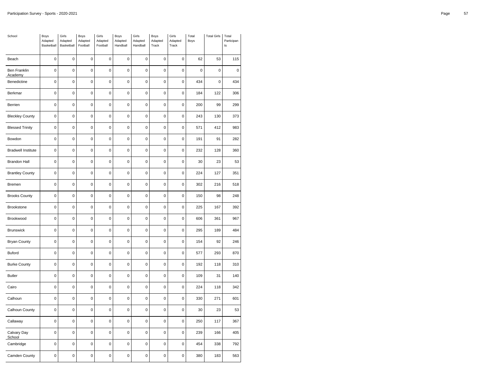| School                         | Boys<br>Adapted<br>Basketball | Girls<br>Adapted<br>Basketball | Boys<br>Adapted<br>Football | Girls<br>Adapted<br>Football | Boys<br>Adapted<br>Handball | Girls<br>Adapted<br>Handball | Boys<br>Adapted<br>Track | Girls<br>Adapted<br>Track | Total<br>Boys | <b>Total Girls</b> | Total<br>Participan<br>t s |
|--------------------------------|-------------------------------|--------------------------------|-----------------------------|------------------------------|-----------------------------|------------------------------|--------------------------|---------------------------|---------------|--------------------|----------------------------|
| Beach                          | $\pmb{0}$                     | $\mathbf 0$                    | 0                           | 0                            | $\mathbf 0$                 | $\mathbf 0$                  | $\mathbf 0$              | 0                         | 62            | 53                 | 115                        |
| <b>Ben Franklin</b><br>Academy | $\mathbf 0$                   | $\mathbf 0$                    | $\mathbf 0$                 | $\mathbf 0$                  | 0                           | $\mathbf 0$                  | $\mathbf 0$              | $\mathbf 0$               | $\mathbf 0$   | $\mathbf 0$        | $\pmb{0}$                  |
| Benedictine                    | $\pmb{0}$                     | 0                              | $\mathbf 0$                 | $\pmb{0}$                    | 0                           | $\pmb{0}$                    | $\pmb{0}$                | $\pmb{0}$                 | 434           | 0                  | 434                        |
| Berkmar                        | $\pmb{0}$                     | $\mathbf 0$                    | 0                           | 0                            | 0                           | $\pmb{0}$                    | $\pmb{0}$                | 0                         | 184           | 122                | 306                        |
| Berrien                        | $\mathbf 0$                   | $\mathbf 0$                    | $\mathbf 0$                 | $\mathbf 0$                  | $\mathbf 0$                 | $\mathbf 0$                  | $\mathbf 0$              | $\pmb{0}$                 | 200           | 99                 | 299                        |
| <b>Bleckley County</b>         | $\pmb{0}$                     | 0                              | $\mathbf 0$                 | $\pmb{0}$                    | $\mathbf 0$                 | $\pmb{0}$                    | $\mathbf 0$              | $\pmb{0}$                 | 243           | 130                | 373                        |
| <b>Blessed Trinity</b>         | $\mathbf 0$                   | $\mathbf 0$                    | $\mathbf 0$                 | $\mathbf 0$                  | $\mathbf 0$                 | $\mathbf 0$                  | $\mathbf 0$              | $\mathbf 0$               | 571           | 412                | 983                        |
| Bowdon                         | $\pmb{0}$                     | $\mathbf 0$                    | $\pmb{0}$                   | $\pmb{0}$                    | $\mathbf 0$                 | $\pmb{0}$                    | $\mathbf 0$              | $\pmb{0}$                 | 191           | 91                 | 282                        |
| <b>Bradwell Institute</b>      | 0                             | $\mathbf 0$                    | 0                           | 0                            | 0                           | $\pmb{0}$                    | $\pmb{0}$                | 0                         | 232           | 128                | 360                        |
| <b>Brandon Hall</b>            | $\mathbf 0$                   | $\mathbf 0$                    | $\mathbf 0$                 | $\mathbf 0$                  | 0                           | $\mathbf 0$                  | $\mathbf 0$              | $\pmb{0}$                 | 30            | 23                 | 53                         |
| <b>Brantley County</b>         | $\pmb{0}$                     | $\mathbf 0$                    | $\mathbf 0$                 | $\pmb{0}$                    | $\pmb{0}$                   | $\pmb{0}$                    | $\mathbf 0$              | 0                         | 224           | 127                | 351                        |
| Bremen                         | 0                             | $\mathbf 0$                    | $\mathbf 0$                 | $\mathbf 0$                  | $\mathbf 0$                 | $\mathbf 0$                  | $\mathbf 0$              | $\mathbf 0$               | 302           | 216                | 518                        |
| <b>Brooks County</b>           | $\mathbf 0$                   | $\mathbf 0$                    | $\mathbf 0$                 | $\mathbf 0$                  | 0                           | $\mathbf 0$                  | $\mathbf 0$              | $\pmb{0}$                 | 150           | 98                 | 248                        |
| Brookstone                     | $\pmb{0}$                     | $\mathbf 0$                    | $\mathbf 0$                 | $\pmb{0}$                    | $\mathbf 0$                 | $\pmb{0}$                    | $\mathbf 0$              | $\pmb{0}$                 | 225           | 167                | 392                        |
| Brookwood                      | $\mathbf 0$                   | $\mathbf 0$                    | $\mathbf 0$                 | $\mathbf 0$                  | $\mathbf 0$                 | $\mathbf 0$                  | $\mathbf 0$              | $\mathbf 0$               | 606           | 361                | 967                        |
| Brunswick                      | $\pmb{0}$                     | $\mathbf 0$                    | $\mathbf 0$                 | $\pmb{0}$                    | $\pmb{0}$                   | $\pmb{0}$                    | $\mathbf 0$              | $\mathbf 0$               | 295           | 189                | 484                        |
| <b>Bryan County</b>            | $\mathbf 0$                   | $\mathbf 0$                    | $\mathbf 0$                 | $\pmb{0}$                    | $\mathbf 0$                 | $\mathbf 0$                  | $\mathbf 0$              | $\pmb{0}$                 | 154           | 92                 | 246                        |
| <b>Buford</b>                  | 0                             | $\mathbf 0$                    | 0                           | $\mathbf 0$                  | $\mathbf 0$                 | $\mathbf 0$                  | $\mathbf 0$              | 0                         | 577           | 293                | 870                        |
| <b>Burke County</b>            | $\mathbf 0$                   | $\mathbf 0$                    | $\mathbf 0$                 | $\mathbf 0$                  | 0                           | $\mathbf 0$                  | $\mathbf 0$              | $\pmb{0}$                 | 192           | 118                | 310                        |
| <b>Butler</b>                  | $\pmb{0}$                     | $\mathbf 0$                    | $\mathbf 0$                 | $\pmb{0}$                    | 0                           | $\pmb{0}$                    | $\mathbf 0$              | $\pmb{0}$                 | 109           | 31                 | 140                        |
| Cairo                          | $\pmb{0}$                     | $\mathbf 0$                    | 0                           | 0                            | 0                           | $\pmb{0}$                    | $\pmb{0}$                | 0                         | 224           | 118                | 342                        |
| Calhoun                        | $\mathbf 0$                   | $\mathbf 0$                    | $\mathbf 0$                 | $\mathbf 0$                  | $\mathbf 0$                 | $\mathbf 0$                  | $\mathbf 0$              | $\pmb{0}$                 | 330           | 271                | 601                        |
| Calhoun County                 | $\pmb{0}$                     | 0                              | $\mathbf 0$                 | $\pmb{0}$                    | $\mathbf 0$                 | $\pmb{0}$                    | $\mathbf 0$              | $\pmb{0}$                 | 30            | 23                 | 53                         |
| Callaway                       | $\mathbf 0$                   | $\mathbf 0$                    | $\mathbf 0$                 | $\mathbf 0$                  | $\mathbf 0$                 | $\mathbf 0$                  | $\mathbf 0$              | $\mathbf 0$               | 250           | 117                | 367                        |
| Calvary Day<br>School          | $\pmb{0}$                     | $\mathbf 0$                    | $\pmb{0}$                   | $\pmb{0}$                    | $\mathbf 0$                 | $\pmb{0}$                    | $\mathbf 0$              | $\pmb{0}$                 | 239           | 166                | 405                        |
| Cambridge                      | 0                             | 0                              | 0                           | 0                            | 0                           | $\pmb{0}$                    | $\pmb{0}$                | 0                         | 454           | 338                | 792                        |
| Camden County                  | 0                             | $\mathbf 0$                    | $\mathbf 0$                 | $\mathbf 0$                  | 0                           | $\mathbf 0$                  | $\mathbf 0$              | $\mathbf 0$               | 380           | 183                | 563                        |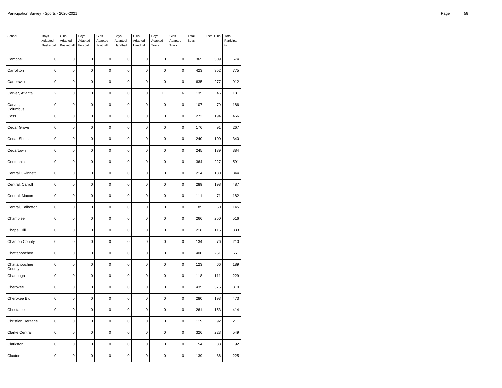| School                  | Boys<br>Adapted<br>Basketball | Girls<br>Adapted<br>Basketball | Boys<br>Adapted<br>Football | Girls<br>Adapted<br>Football | Boys<br>Adapted<br>Handball | Girls<br>Adapted<br>Handball | Boys<br>Adapted<br>Track | Girls<br>Adapted<br>Track | Total<br>Boys | <b>Total Girls</b> | Total<br>Participan<br>t s |
|-------------------------|-------------------------------|--------------------------------|-----------------------------|------------------------------|-----------------------------|------------------------------|--------------------------|---------------------------|---------------|--------------------|----------------------------|
| Campbell                | $\mathbf 0$                   | $\mathbf 0$                    | $\mathbf 0$                 | $\mathbf 0$                  | $\mathbf 0$                 | $\mathbf 0$                  | $\mathbf 0$              | 0                         | 365           | 309                | 674                        |
| Carrollton              | $\mathbf 0$                   | $\mathbf 0$                    | 0                           | 0                            | 0                           | $\mathbf 0$                  | $\mathbf 0$              | 0                         | 423           | 352                | 775                        |
| Cartersville            | $\mathbf 0$                   | $\pmb{0}$                      | $\pmb{0}$                   | $\mathbf 0$                  | 0                           | $\mathbf 0$                  | $\mathbf 0$              | $\mathbf 0$               | 635           | 277                | 912                        |
| Carver, Atlanta         | $\overline{2}$                | $\mathbf 0$                    | $\pmb{0}$                   | $\mathbf 0$                  | 0                           | $\mathbf 0$                  | 11                       | 6                         | 135           | 46                 | 181                        |
| Carver,<br>Columbus     | $\mathbf 0$                   | $\mathbf 0$                    | $\mathbf 0$                 | $\pmb{0}$                    | $\mathbf 0$                 | $\mathbf 0$                  | $\mathbf 0$              | $\pmb{0}$                 | 107           | 79                 | 186                        |
| Cass                    | $\mathbf 0$                   | 0                              | $\pmb{0}$                   | $\mathbf 0$                  | $\mathbf 0$                 | $\mathbf 0$                  | $\mathbf 0$              | $\mathbf 0$               | 272           | 194                | 466                        |
| Cedar Grove             | 0                             | $\mathbf 0$                    | 0                           | 0                            | 0                           | $\mathbf 0$                  | $\mathbf 0$              | 0                         | 176           | 91                 | 267                        |
| Cedar Shoals            | $\pmb{0}$                     | $\mathbf 0$                    | $\pmb{0}$                   | $\pmb{0}$                    | $\pmb{0}$                   | $\pmb{0}$                    | $\mathbf 0$              | $\pmb{0}$                 | 240           | 100                | 340                        |
| Cedartown               | 0                             | $\mathbf 0$                    | $\pmb{0}$                   | $\mathbf 0$                  | 0                           | $\mathbf 0$                  | $\mathbf 0$              | $\mathbf 0$               | 245           | 139                | 384                        |
| Centennial              | 0                             | $\mathbf 0$                    | 0                           | $\mathbf 0$                  | 0                           | $\mathbf 0$                  | $\mathbf 0$              | 0                         | 364           | 227                | 591                        |
| <b>Central Gwinnett</b> | $\mathbf 0$                   | $\mathbf 0$                    | $\pmb{0}$                   | $\pmb{0}$                    | $\mathbf 0$                 | $\mathbf 0$                  | $\pmb{0}$                | $\mathbf 0$               | 214           | 130                | 344                        |
| Central, Carroll        | $\mathbf 0$                   | $\mathbf 0$                    | $\pmb{0}$                   | $\pmb{0}$                    | $\mathbf 0$                 | $\mathbf 0$                  | $\mathbf 0$              | $\pmb{0}$                 | 289           | 198                | 487                        |
| Central, Macon          | 0                             | $\mathbf 0$                    | 0                           | 0                            | $\mathbf 0$                 | $\mathbf 0$                  | $\mathbf 0$              | 0                         | 111           | 71                 | 182                        |
| Central, Talbotton      | $\mathbf 0$                   | $\mathbf 0$                    | $\mathbf 0$                 | $\mathbf 0$                  | 0                           | $\mathbf 0$                  | $\mathbf 0$              | $\mathbf 0$               | 85            | 60                 | 145                        |
| Chamblee                | $\mathbf 0$                   | 0                              | $\pmb{0}$                   | $\mathbf 0$                  | $\mathbf 0$                 | $\mathbf 0$                  | $\mathbf 0$              | $\mathbf 0$               | 266           | 250                | 516                        |
| Chapel Hill             | 0                             | 0                              | 0                           | $\mathbf 0$                  | 0                           | $\mathbf 0$                  | $\mathbf 0$              | 0                         | 218           | 115                | 333                        |
| Charlton County         | $\mathbf 0$                   | $\mathbf 0$                    | $\mathbf 0$                 | $\mathbf 0$                  | $\mathbf 0$                 | $\mathbf 0$                  | $\mathbf 0$              | $\pmb{0}$                 | 134           | 76                 | 210                        |
| Chattahoochee           | $\mathbf 0$                   | 0                              | $\mathbf 0$                 | $\mathbf 0$                  | $\mathbf 0$                 | $\mathbf 0$                  | $\mathbf 0$              | $\pmb{0}$                 | 400           | 251                | 651                        |
| Chattahoochee<br>County | 0                             | 0                              | 0                           | 0                            | 0                           | $\mathbf 0$                  | $\mathbf 0$              | 0                         | 123           | 66                 | 189                        |
| Chattooga               | $\mathbf 0$                   | $\mathbf 0$                    | $\mathbf 0$                 | $\mathbf 0$                  | $\mathbf 0$                 | $\mathbf 0$                  | $\mathbf 0$              | $\pmb{0}$                 | 118           | 111                | 229                        |
| Cherokee                | 0                             | 0                              | $\mathbf 0$                 | $\pmb{0}$                    | 0                           | $\mathbf 0$                  | $\mathbf 0$              | $\pmb{0}$                 | 435           | 375                | 810                        |
| Cherokee Bluff          | 0                             | $\mathbf 0$                    | 0                           | $\pmb{0}$                    | $\mathbf 0$                 | $\mathbf 0$                  | $\mathbf 0$              | 0                         | 280           | 193                | 473                        |
| Chestatee               | $\mathbf 0$                   | $\mathbf 0$                    | $\pmb{0}$                   | $\pmb{0}$                    | $\mathbf 0$                 | $\mathbf 0$                  | $\mathbf 0$              | $\pmb{0}$                 | 261           | 153                | 414                        |
| Christian Heritage      | $\pmb{0}$                     | $\mathbf 0$                    | $\mathbf 0$                 | $\pmb{0}$                    | 0                           | $\mathbf 0$                  | $\mathbf 0$              | $\pmb{0}$                 | 119           | 92                 | 211                        |
| Clarke Central          | 0                             | $\mathbf 0$                    | 0                           | 0                            | $\mathbf 0$                 | $\mathbf 0$                  | $\mathbf 0$              | $\mathbf 0$               | 326           | 223                | 549                        |
| Clarkston               | $\pmb{0}$                     | $\mathbf 0$                    | $\mathbf 0$                 | $\pmb{0}$                    | $\mathbf 0$                 | $\pmb{0}$                    | $\mathbf 0$              | $\pmb{0}$                 | 54            | 38                 | 92                         |
| Claxton                 | 0                             | 0                              | $\pmb{0}$                   | $\mathbf 0$                  | $\mathbf 0$                 | $\mathbf 0$                  | $\mathbf 0$              | $\mathbf 0$               | 139           | 86                 | 225                        |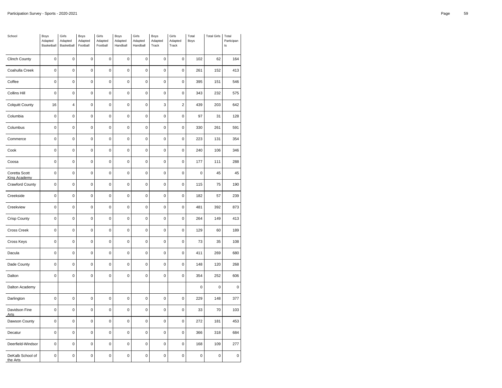| School                               | Boys<br>Adapted<br>Basketball | Girls<br>Adapted<br>Basketball | Boys<br>Adapted<br>Football | Girls<br>Adapted<br>Football | Boys<br>Adapted<br>Handball | Girls<br>Adapted<br>Handball | Boys<br>Adapted<br>Track | Girls<br>Adapted<br>Track | Total<br>Boys | <b>Total Girls</b> | Total<br>Participan<br>t s |
|--------------------------------------|-------------------------------|--------------------------------|-----------------------------|------------------------------|-----------------------------|------------------------------|--------------------------|---------------------------|---------------|--------------------|----------------------------|
| <b>Clinch County</b>                 | $\mathbf 0$                   | $\mathbf 0$                    | $\mathbf 0$                 | $\mathbf 0$                  | 0                           | $\mathbf 0$                  | $\mathbf 0$              | 0                         | 102           | 62                 | 164                        |
| Coahulla Creek                       | 0                             | $\mathbf 0$                    | $\mathbf 0$                 | $\mathbf 0$                  | 0                           | $\mathbf 0$                  | $\mathbf 0$              | $\mathbf 0$               | 261           | 152                | 413                        |
| Coffee                               | $\pmb{0}$                     | 0                              | $\pmb{0}$                   | $\pmb{0}$                    | $\pmb{0}$                   | $\pmb{0}$                    | $\mathbf 0$              | $\pmb{0}$                 | 395           | 151                | 546                        |
| <b>Collins Hill</b>                  | 0                             | $\mathbf 0$                    | $\pmb{0}$                   | $\mathbf 0$                  | 0                           | $\mathbf 0$                  | $\mathbf 0$              | $\mathbf 0$               | 343           | 232                | 575                        |
| <b>Colquitt County</b>               | 16                            | $\overline{4}$                 | $\mathbf 0$                 | $\mathbf 0$                  | 0                           | $\mathbf 0$                  | 3                        | $\mathbf 2$               | 439           | 203                | 642                        |
| Columbia                             | $\pmb{0}$                     | 0                              | $\mathbf 0$                 | $\pmb{0}$                    | $\pmb{0}$                   | $\pmb{0}$                    | $\mathbf 0$              | $\pmb{0}$                 | 97            | 31                 | 128                        |
| Columbus                             | 0                             | $\mathbf 0$                    | $\mathbf 0$                 | $\mathbf 0$                  | $\mathbf 0$                 | $\mathbf 0$                  | $\mathbf 0$              | $\mathbf 0$               | 330           | 261                | 591                        |
| Commerce                             | 0                             | $\mathbf 0$                    | $\mathbf 0$                 | $\mathbf 0$                  | 0                           | $\mathbf 0$                  | $\mathbf 0$              | $\mathbf 0$               | 223           | 131                | 354                        |
| Cook                                 | $\pmb{0}$                     | 0                              | $\pmb{0}$                   | $\pmb{0}$                    | $\mathbf 0$                 | $\pmb{0}$                    | $\mathbf 0$              | $\pmb{0}$                 | 240           | 106                | 346                        |
| Coosa                                | $\mathbf 0$                   | $\mathbf 0$                    | $\pmb{0}$                   | $\pmb{0}$                    | $\pmb{0}$                   | $\pmb{0}$                    | $\mathbf 0$              | $\pmb{0}$                 | 177           | 111                | 288                        |
| Coretta Scott<br><b>King Academy</b> | 0                             | 0                              | $\pmb{0}$                   | $\pmb{0}$                    | 0                           | $\mathbf 0$                  | $\pmb{0}$                | $\pmb{0}$                 | $\pmb{0}$     | 45                 | 45                         |
| Crawford County                      | $\mathbf 0$                   | 0                              | $\mathbf 0$                 | $\mathbf 0$                  | 0                           | $\mathbf 0$                  | $\mathbf 0$              | $\pmb{0}$                 | 115           | 75                 | 190                        |
| Creekside                            | $\pmb{0}$                     | $\mathbf 0$                    | $\pmb{0}$                   | $\pmb{0}$                    | $\pmb{0}$                   | $\pmb{0}$                    | $\mathbf 0$              | 0                         | 182           | 57                 | 239                        |
| Creekview                            | 0                             | $\mathbf 0$                    | $\mathbf 0$                 | $\mathbf 0$                  | 0                           | $\mathbf 0$                  | $\mathbf 0$              | $\mathbf 0$               | 481           | 392                | 873                        |
| Crisp County                         | $\pmb{0}$                     | $\mathbf 0$                    | $\mathbf 0$                 | $\mathbf 0$                  | $\mathbf 0$                 | $\pmb{0}$                    | $\mathbf 0$              | $\pmb{0}$                 | 264           | 149                | 413                        |
| Cross Creek                          | $\mathbf 0$                   | 0                              | $\mathbf 0$                 | $\pmb{0}$                    | $\mathbf 0$                 | $\pmb{0}$                    | $\mathbf 0$              | $\pmb{0}$                 | 129           | 60                 | 189                        |
| Cross Keys                           | $\mathbf 0$                   | $\mathbf 0$                    | $\mathbf 0$                 | $\mathbf 0$                  | 0                           | $\mathbf 0$                  | $\mathbf 0$              | $\mathbf 0$               | 73            | 35                 | 108                        |
| Dacula                               | $\mathbf 0$                   | $\mathbf 0$                    | $\pmb{0}$                   | $\pmb{0}$                    | 0                           | $\mathbf 0$                  | $\mathbf 0$              | $\pmb{0}$                 | 411           | 269                | 680                        |
| Dade County                          | $\mathbf 0$                   | 0                              | $\pmb{0}$                   | $\pmb{0}$                    | $\mathbf 0$                 | $\mathbf 0$                  | $\mathbf 0$              | $\pmb{0}$                 | 148           | 120                | 268                        |
| Dalton                               | $\mathbf 0$                   | $\mathbf 0$                    | 0                           | 0                            | $\mathbf 0$                 | $\mathbf 0$                  | $\mathbf 0$              | $\mathbf 0$               | 354           | 252                | 606                        |
| Dalton Academy                       |                               |                                |                             |                              |                             |                              |                          |                           | $\pmb{0}$     | $\mathbf 0$        | $\pmb{0}$                  |
| Darlington                           | $\pmb{0}$                     | $\mathbf 0$                    | $\pmb{0}$                   | $\mathbf 0$                  | 0                           | $\mathbf 0$                  | $\mathbf 0$              | $\pmb{0}$                 | 229           | 148                | 377                        |
| Davidson Fine<br><u>Arts</u>         | 0                             | 0                              | $\pmb{0}$                   | $\mathbf 0$                  | 0                           | $\mathbf 0$                  | $\mathbf 0$              | 0                         | 33            | 70                 | 103                        |
| Dawson County                        | $\mathbf 0$                   | $\mathbf 0$                    | $\mathbf 0$                 | $\mathbf 0$                  | $\mathbf 0$                 | $\mathbf 0$                  | $\mathbf 0$              | $\pmb{0}$                 | 272           | 181                | 453                        |
| Decatur                              | $\mathbf 0$                   | $\mathbf 0$                    | $\mathbf 0$                 | $\mathbf 0$                  | 0                           | $\mathbf 0$                  | $\pmb{0}$                | $\pmb{0}$                 | 366           | 318                | 684                        |
| Deerfield-Windsor                    | 0                             | 0                              | 0                           | 0                            | 0                           | $\mathbf 0$                  | $\mathbf 0$              | 0                         | 168           | 109                | 277                        |
| DeKalb School of<br>the Arts         | $\pmb{0}$                     | $\mathbf 0$                    | $\mathbf 0$                 | $\mathbf 0$                  | $\pmb{0}$                   | $\pmb{0}$                    | $\mathbf 0$              | $\pmb{0}$                 | $\pmb{0}$     | $\mathbf 0$        | 0                          |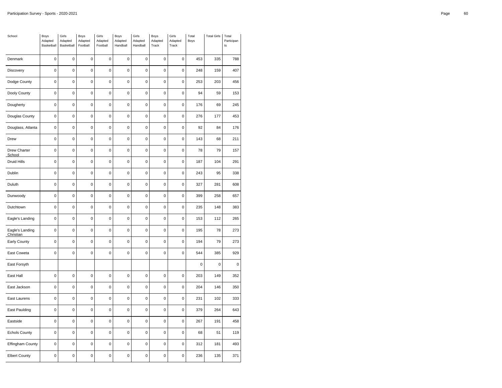| School                              | Boys<br>Adapted<br>Basketball | Girls<br>Adapted<br>Basketball | Boys<br>Adapted<br>Football | Girls<br>Adapted<br>Football | Boys<br>Adapted<br>Handball | Girls<br>Adapted<br>Handball | Boys<br>Adapted<br>Track | Girls<br>Adapted<br>Track | Total<br>Boys | <b>Total Girls</b> | Total<br>Participan<br>t s |
|-------------------------------------|-------------------------------|--------------------------------|-----------------------------|------------------------------|-----------------------------|------------------------------|--------------------------|---------------------------|---------------|--------------------|----------------------------|
| Denmark                             | $\mathbf 0$                   | $\mathbf 0$                    | $\mathbf 0$                 | 0                            | 0                           | $\mathbf 0$                  | $\mathbf 0$              | 0                         | 453           | 335                | 788                        |
| Discovery                           | $\mathbf 0$                   | $\mathbf 0$                    | $\mathbf 0$                 | $\mathbf 0$                  | 0                           | $\mathbf 0$                  | $\mathbf 0$              | $\mathbf 0$               | 248           | 159                | 407                        |
| Dodge County                        | $\pmb{0}$                     | 0                              | $\mathbf 0$                 | $\pmb{0}$                    | 0                           | $\pmb{0}$                    | $\mathbf 0$              | $\pmb{0}$                 | 253           | 203                | 456                        |
| Dooly County                        | $\pmb{0}$                     | 0                              | 0                           | 0                            | 0                           | $\pmb{0}$                    | $\pmb{0}$                | 0                         | 94            | 59                 | 153                        |
| Dougherty                           | $\mathbf 0$                   | $\mathbf 0$                    | $\mathbf 0$                 | $\mathbf 0$                  | $\mathbf 0$                 | $\mathbf 0$                  | $\mathbf 0$              | $\mathbf 0$               | 176           | 69                 | 245                        |
| Douglas County                      | $\pmb{0}$                     | 0                              | $\mathbf 0$                 | $\pmb{0}$                    | $\mathbf 0$                 | $\pmb{0}$                    | $\mathbf 0$              | $\pmb{0}$                 | 276           | 177                | 453                        |
| Douglass, Atlanta                   | $\mathbf 0$                   | $\mathbf 0$                    | $\mathbf 0$                 | $\mathbf 0$                  | 0                           | $\mathbf 0$                  | $\mathbf 0$              | $\mathbf 0$               | 92            | 84                 | 176                        |
| Drew                                | $\pmb{0}$                     | $\mathbf 0$                    | $\pmb{0}$                   | $\pmb{0}$                    | $\pmb{0}$                   | $\pmb{0}$                    | $\mathbf 0$              | $\pmb{0}$                 | 143           | 68                 | 211                        |
| Drew Charter<br>School              | 0                             | $\mathbf 0$                    | 0                           | 0                            | 0                           | $\pmb{0}$                    | $\pmb{0}$                | $\pmb{0}$                 | 78            | 79                 | 157                        |
| Druid Hills                         | $\mathbf 0$                   | 0                              | $\pmb{0}$                   | $\mathbf 0$                  | 0                           | $\mathbf 0$                  | $\mathbf 0$              | $\pmb{0}$                 | 187           | 104                | 291                        |
| Dublin                              | $\pmb{0}$                     | $\mathbf 0$                    | $\mathbf 0$                 | $\pmb{0}$                    | $\pmb{0}$                   | $\pmb{0}$                    | $\mathbf 0$              | $\pmb{0}$                 | 243           | 95                 | 338                        |
| Duluth                              | 0                             | $\mathbf 0$                    | $\mathbf 0$                 | $\mathbf 0$                  | $\mathbf 0$                 | $\mathbf 0$                  | $\mathbf 0$              | $\mathbf 0$               | 327           | 281                | 608                        |
| Dunwoody                            | $\mathbf 0$                   | $\mathbf 0$                    | $\pmb{0}$                   | $\mathbf 0$                  | 0                           | $\mathbf 0$                  | $\mathbf 0$              | $\pmb{0}$                 | 399           | 258                | 657                        |
| Dutchtown                           | $\pmb{0}$                     | $\mathbf 0$                    | $\mathbf 0$                 | $\pmb{0}$                    | $\mathbf 0$                 | $\pmb{0}$                    | $\mathbf 0$              | $\pmb{0}$                 | 235           | 148                | 383                        |
| Eagle's Landing                     | $\mathbf 0$                   | $\mathbf 0$                    | $\mathbf 0$                 | $\mathbf 0$                  | $\mathbf 0$                 | $\mathbf 0$                  | $\mathbf 0$              | $\mathbf 0$               | 153           | 112                | 265                        |
| Eagle's Landing<br><b>Christian</b> | $\pmb{0}$                     | $\mathbf 0$                    | $\mathbf 0$                 | $\pmb{0}$                    | $\mathbf 0$                 | $\pmb{0}$                    | $\mathbf 0$              | $\mathbf 0$               | 195           | 78                 | 273                        |
| Early County                        | $\mathbf 0$                   | $\mathbf 0$                    | $\mathbf 0$                 | $\pmb{0}$                    | $\mathbf 0$                 | $\mathbf 0$                  | $\mathbf 0$              | $\pmb{0}$                 | 194           | 79                 | 273                        |
| East Coweta                         | 0                             | $\mathbf 0$                    | 0                           | $\mathbf 0$                  | $\mathbf 0$                 | $\mathbf 0$                  | $\mathbf 0$              | 0                         | 544           | 385                | 929                        |
| East Forsyth                        |                               |                                |                             |                              |                             |                              |                          |                           | $\mathbf 0$   | 0                  | $\pmb{0}$                  |
| East Hall                           | $\pmb{0}$                     | $\mathbf 0$                    | $\mathbf 0$                 | $\pmb{0}$                    | $\pmb{0}$                   | $\pmb{0}$                    | $\mathbf 0$              | $\pmb{0}$                 | 203           | 149                | 352                        |
| East Jackson                        | 0                             | $\mathbf 0$                    | $\mathbf 0$                 | $\pmb{0}$                    | 0                           | $\pmb{0}$                    | $\pmb{0}$                | 0                         | 204           | 146                | 350                        |
| East Laurens                        | $\mathbf 0$                   | $\mathbf 0$                    | $\mathbf 0$                 | $\mathbf 0$                  | $\mathbf 0$                 | $\mathbf 0$                  | $\mathbf 0$              | $\mathbf 0$               | 231           | 102                | 333                        |
| East Paulding                       | $\pmb{0}$                     | 0                              | $\mathbf 0$                 | $\pmb{0}$                    | $\mathbf 0$                 | $\pmb{0}$                    | $\mathbf 0$              | $\pmb{0}$                 | 379           | 264                | 643                        |
| Eastside                            | $\mathbf 0$                   | $\mathbf 0$                    | $\mathbf 0$                 | $\mathbf 0$                  | $\mathbf 0$                 | $\mathbf 0$                  | $\mathbf 0$              | $\mathbf 0$               | 267           | 191                | 458                        |
| <b>Echols County</b>                | $\pmb{0}$                     | $\mathbf 0$                    | $\pmb{0}$                   | $\pmb{0}$                    | $\mathbf 0$                 | $\pmb{0}$                    | $\mathbf 0$              | $\pmb{0}$                 | 68            | 51                 | 119                        |
| <b>Effingham County</b>             | 0                             | $\mathbf 0$                    | 0                           | 0                            | 0                           | $\pmb{0}$                    | $\pmb{0}$                | 0                         | 312           | 181                | 493                        |
| <b>Elbert County</b>                | 0                             | $\mathbf 0$                    | $\mathbf 0$                 | $\mathbf 0$                  | 0                           | $\mathbf 0$                  | $\mathbf 0$              | $\mathbf 0$               | 236           | 135                | 371                        |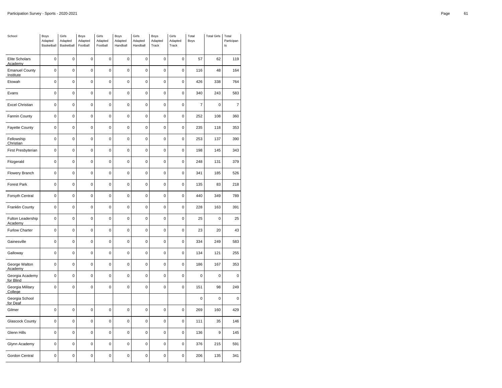| School                             | Boys<br>Adapted<br>Basketball | Girls<br>Adapted<br>Basketball | Boys<br>Adapted<br>Football | Girls<br>Adapted<br>Football | Boys<br>Adapted<br>Handball | Girls<br>Adapted<br>Handball | Boys<br>Adapted<br>Track | Girls<br>Adapted<br>Track | Total<br>Boys  | <b>Total Girls</b> | Total<br>Participan<br>t s |
|------------------------------------|-------------------------------|--------------------------------|-----------------------------|------------------------------|-----------------------------|------------------------------|--------------------------|---------------------------|----------------|--------------------|----------------------------|
| Elite Scholars<br>Academy          | $\mathbf 0$                   | $\mathbf 0$                    | $\mathbf 0$                 | 0                            | 0                           | $\mathbf 0$                  | $\mathbf 0$              | 0                         | 57             | 62                 | 119                        |
| <b>Emanuel County</b><br>Institute | $\mathbf 0$                   | $\mathbf 0$                    | $\mathbf 0$                 | $\mathbf 0$                  | $\mathbf 0$                 | $\mathbf 0$                  | $\mathbf 0$              | $\mathbf 0$               | 116            | 48                 | 164                        |
| Etowah                             | $\mathbf 0$                   | 0                              | $\mathbf 0$                 | $\mathbf 0$                  | $\mathbf 0$                 | $\mathbf 0$                  | $\mathbf 0$              | $\pmb{0}$                 | 426            | 338                | 764                        |
| Evans                              | 0                             | $\mathbf 0$                    | $\mathbf 0$                 | $\mathbf 0$                  | 0                           | $\mathbf 0$                  | $\mathbf 0$              | 0                         | 340            | 243                | 583                        |
| <b>Excel Christian</b>             | $\mathbf 0$                   | $\mathbf 0$                    | $\mathbf 0$                 | $\mathbf 0$                  | $\mathbf 0$                 | $\mathbf 0$                  | $\mathbf 0$              | $\mathbf 0$               | $\overline{7}$ | $\mathbf 0$        | $\overline{7}$             |
| Fannin County                      | $\mathbf 0$                   | $\overline{0}$                 | $\mathbf 0$                 | $\pmb{0}$                    | $\overline{0}$              | $\mathbf 0$                  | $\mathbf 0$              | $\pmb{0}$                 | 252            | 108                | 360                        |
| Fayette County                     | 0                             | $\mathbf 0$                    | $\mathbf 0$                 | $\mathbf 0$                  | $\mathbf 0$                 | $\mathbf 0$                  | $\mathbf 0$              | $\mathbf 0$               | 235            | 118                | 353                        |
| Fellowship<br>Christian            | $\pmb{0}$                     | $\mathbf 0$                    | $\mathbf 0$                 | $\mathbf 0$                  | $\mathbf 0$                 | $\mathbf 0$                  | $\mathbf 0$              | $\pmb{0}$                 | 253            | 137                | 390                        |
| First Presbyterian                 | 0                             | $\mathbf 0$                    | $\pmb{0}$                   | $\pmb{0}$                    | 0                           | $\pmb{0}$                    | $\pmb{0}$                | $\pmb{0}$                 | 198            | 145                | 343                        |
| Fitzgerald                         | $\mathbf 0$                   | $\mathbf 0$                    | $\mathbf 0$                 | $\mathbf 0$                  | 0                           | $\mathbf 0$                  | $\mathbf 0$              | $\pmb{0}$                 | 248            | 131                | 379                        |
| Flowery Branch                     | $\pmb{0}$                     | 0                              | $\pmb{0}$                   | $\pmb{0}$                    | $\mathbf 0$                 | $\pmb{0}$                    | $\mathbf 0$              | $\pmb{0}$                 | 341            | 185                | 526                        |
| <b>Forest Park</b>                 | 0                             | $\mathbf 0$                    | $\mathbf 0$                 | $\mathbf 0$                  | $\mathbf 0$                 | $\mathbf 0$                  | $\mathbf 0$              | $\mathbf 0$               | 135            | 83                 | 218                        |
| Forsyth Central                    | $\mathbf 0$                   | $\mathbf 0$                    | $\mathbf 0$                 | $\mathbf 0$                  | 0                           | $\mathbf 0$                  | $\mathbf 0$              | $\mathbf 0$               | 440            | 349                | 789                        |
| Franklin County                    | $\pmb{0}$                     | $\mathbf 0$                    | $\pmb{0}$                   | $\pmb{0}$                    | $\mathbf 0$                 | $\pmb{0}$                    | $\mathbf 0$              | $\pmb{0}$                 | 228            | 163                | 391                        |
| Fulton Leadership<br>Academy       | 0                             | $\mathbf 0$                    | $\mathbf 0$                 | $\mathbf 0$                  | $\mathbf 0$                 | $\mathbf 0$                  | $\mathbf 0$              | $\mathbf 0$               | 25             | $\mathbf 0$        | 25                         |
| Furlow Charter                     | $\mathbf 0$                   | $\mathbf 0$                    | $\pmb{0}$                   | $\mathbf 0$                  | 0                           | $\mathbf 0$                  | $\mathbf 0$              | $\mathbf 0$               | 23             | 20                 | 43                         |
| Gainesville                        | $\mathbf 0$                   | $\mathbf 0$                    | $\mathbf 0$                 | $\mathbf 0$                  | $\mathbf 0$                 | $\mathbf 0$                  | $\mathbf 0$              | $\mathbf 0$               | 334            | 249                | 583                        |
| Galloway                           | 0                             | $\mathbf 0$                    | $\mathbf 0$                 | $\mathbf 0$                  | $\mathbf 0$                 | $\mathbf 0$                  | $\mathbf 0$              | 0                         | 134            | 121                | 255                        |
| George Walton<br>Academy           | $\mathbf 0$                   | $\mathbf 0$                    | $\mathbf 0$                 | $\mathbf 0$                  | $\mathbf 0$                 | $\mathbf 0$                  | $\mathbf 0$              | $\mathbf 0$               | 186            | 167                | 353                        |
| Georgia Academy<br>for Blind       | $\mathbf 0$                   | 0                              | $\pmb{0}$                   | $\mathbf 0$                  | $\mathbf 0$                 | $\mathbf 0$                  | $\mathbf 0$              | $\mathbf 0$               | $\mathbf 0$    | 0                  | $\pmb{0}$                  |
| Georgia Military<br>College        | $\mathbf 0$                   | $\mathbf 0$                    | $\mathbf 0$                 | $\pmb{0}$                    | 0                           | $\mathbf 0$                  | $\mathbf 0$              | 0                         | 151            | 98                 | 249                        |
| Georgia School<br>for Deaf         |                               |                                |                             |                              |                             |                              |                          |                           | $\mathbf 0$    | $\mathbf 0$        | $\pmb{0}$                  |
| Gilmer                             | $\pmb{0}$                     | $\mathbf 0$                    | $\mathbf 0$                 | $\pmb{0}$                    | 0                           | $\pmb{0}$                    | $\mathbf 0$              | $\pmb{0}$                 | 269            | 160                | 429                        |
| Glascock County                    | 0                             | $\mathbf 0$                    | $\mathbf 0$                 | $\mathbf 0$                  | $\mathbf 0$                 | $\mathbf 0$                  | $\mathbf 0$              | $\mathbf 0$               | 111            | 35                 | 146                        |
| Glenn Hills                        | $\pmb{0}$                     | $\mathbf 0$                    | $\mathbf 0$                 | $\mathbf 0$                  | $\mathbf 0$                 | $\mathbf 0$                  | $\mathbf 0$              | $\pmb{0}$                 | 136            | 9                  | 145                        |
| Glynn Academy                      | 0                             | $\mathbf 0$                    | 0                           | $\pmb{0}$                    | 0                           | $\pmb{0}$                    | $\pmb{0}$                | $\pmb{0}$                 | 376            | 215                | 591                        |
| Gordon Central                     | 0                             | $\mathbf 0$                    | $\mathbf 0$                 | $\mathbf 0$                  | $\mathbf 0$                 | $\mathbf 0$                  | $\mathbf 0$              | $\mathbf 0$               | 206            | 135                | 341                        |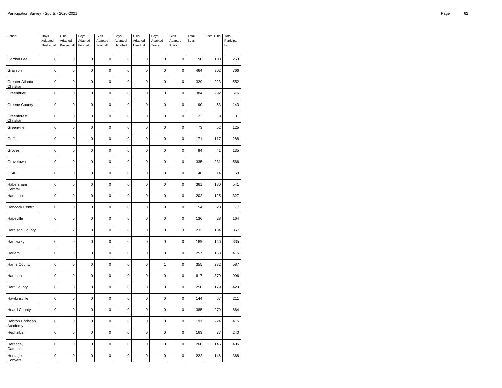| School                       | Boys<br>Adapted<br>Basketball | Girls<br>Adapted<br>Basketball | Boys<br>Adapted<br>Football | Girls<br>Adapted<br>Football | Boys<br>Adapted<br>Handball | Girls<br>Adapted<br>Handball | Boys<br>Adapted<br>Track | Girls<br>Adapted<br>Track | Total<br>Boys | <b>Total Girls</b> | Total<br>Participan<br>t s |
|------------------------------|-------------------------------|--------------------------------|-----------------------------|------------------------------|-----------------------------|------------------------------|--------------------------|---------------------------|---------------|--------------------|----------------------------|
| Gordon Lee                   | $\mathbf 0$                   | $\mathbf 0$                    | $\mathbf 0$                 | $\mathbf 0$                  | 0                           | $\mathbf 0$                  | $\mathbf 0$              | 0                         | 150           | 103                | 253                        |
| Grayson                      | 0                             | $\mathbf 0$                    | $\mathbf 0$                 | $\mathbf 0$                  | 0                           | $\mathbf 0$                  | $\mathbf 0$              | $\mathbf 0$               | 464           | 302                | 766                        |
| Greater Atlanta<br>Christian | $\pmb{0}$                     | 0                              | $\pmb{0}$                   | $\pmb{0}$                    | $\pmb{0}$                   | $\pmb{0}$                    | $\mathbf 0$              | $\pmb{0}$                 | 329           | 223                | 552                        |
| Greenbrier                   | 0                             | $\mathbf 0$                    | $\mathbf 0$                 | $\mathbf 0$                  | 0                           | $\mathbf 0$                  | $\mathbf 0$              | $\mathbf 0$               | 384           | 292                | 676                        |
| <b>Greene County</b>         | $\mathbf 0$                   | $\mathbf 0$                    | $\mathbf 0$                 | $\mathbf 0$                  | 0                           | $\mathbf 0$                  | $\mathbf 0$              | $\mathbf 0$               | 90            | 53                 | 143                        |
| Greenforest<br>Christian     | $\pmb{0}$                     | $\mathbf 0$                    | $\mathbf 0$                 | $\pmb{0}$                    | $\pmb{0}$                   | $\pmb{0}$                    | $\mathbf 0$              | $\pmb{0}$                 | 22            | 9                  | 31                         |
| Greenville                   | 0                             | $\mathbf 0$                    | $\mathbf 0$                 | $\mathbf 0$                  | $\mathbf 0$                 | $\mathbf 0$                  | $\mathbf 0$              | $\mathbf 0$               | 73            | 52                 | 125                        |
| Griffin                      | 0                             | $\mathbf 0$                    | $\mathbf 0$                 | $\mathbf 0$                  | 0                           | $\mathbf 0$                  | $\mathbf 0$              | $\mathbf 0$               | 171           | 117                | 288                        |
| Groves                       | $\pmb{0}$                     | 0                              | $\pmb{0}$                   | $\pmb{0}$                    | $\mathbf 0$                 | $\pmb{0}$                    | $\mathbf 0$              | $\pmb{0}$                 | 94            | 41                 | 135                        |
| Grovetown                    | $\pmb{0}$                     | $\mathbf 0$                    | $\pmb{0}$                   | $\pmb{0}$                    | $\pmb{0}$                   | $\pmb{0}$                    | $\mathbf 0$              | $\mathbf 0$               | 335           | 231                | 566                        |
| GSIC                         | 0                             | $\mathbf 0$                    | $\pmb{0}$                   | $\pmb{0}$                    | 0                           | $\mathbf 0$                  | $\pmb{0}$                | $\pmb{0}$                 | 46            | 14                 | 60                         |
| Habersham<br>Central         | $\mathbf 0$                   | 0                              | $\mathbf 0$                 | $\mathbf 0$                  | 0                           | $\mathbf 0$                  | $\mathbf 0$              | $\pmb{0}$                 | 361           | 180                | 541                        |
| Hampton                      | $\mathbf 0$                   | $\mathbf 0$                    | $\pmb{0}$                   | $\pmb{0}$                    | $\pmb{0}$                   | $\pmb{0}$                    | $\mathbf 0$              | 0                         | 202           | 125                | 327                        |
| Hancock Central              | 0                             | $\mathbf 0$                    | $\mathbf 0$                 | $\mathbf 0$                  | 0                           | $\mathbf 0$                  | $\mathbf 0$              | $\mathbf 0$               | 54            | 23                 | 77                         |
| Hapeville                    | $\pmb{0}$                     | $\mathbf 0$                    | $\mathbf 0$                 | $\mathbf 0$                  | $\mathbf 0$                 | $\pmb{0}$                    | $\mathbf 0$              | $\pmb{0}$                 | 136           | 28                 | 164                        |
| Haralson County              | 3                             | $\overline{c}$                 | 3                           | $\pmb{0}$                    | 0                           | $\pmb{0}$                    | $\mathbf 0$              | 3                         | 233           | 134                | 367                        |
| Hardaway                     | $\mathbf 0$                   | $\mathbf 0$                    | $\mathbf 0$                 | $\mathbf 0$                  | 0                           | $\mathbf 0$                  | $\mathbf 0$              | $\mathbf 0$               | 189           | 146                | 335                        |
| Harlem                       | $\mathbf 0$                   | $\mathbf 0$                    | $\mathbf 0$                 | $\mathbf 0$                  | 0                           | $\mathbf 0$                  | $\mathbf 0$              | $\pmb{0}$                 | 257           | 158                | 415                        |
| <b>Harris County</b>         | $\mathbf 0$                   | $\mathbf 0$                    | $\pmb{0}$                   | $\pmb{0}$                    | $\mathbf 0$                 | $\mathbf 0$                  | 1                        | $\pmb{0}$                 | 355           | 232                | 587                        |
| Harrison                     | $\mathbf 0$                   | $\mathbf 0$                    | 0                           | 0                            | 0                           | $\mathbf 0$                  | $\mathbf 0$              | 0                         | 617           | 379                | 996                        |
| Hart County                  | $\mathbf 0$                   | $\mathbf 0$                    | $\mathbf 0$                 | $\mathbf 0$                  | 0                           | $\mathbf 0$                  | $\mathbf 0$              | $\pmb{0}$                 | 250           | 179                | 429                        |
| Hawkinsville                 | $\mathbf 0$                   | $\mathbf 0$                    | $\mathbf 0$                 | $\mathbf 0$                  | 0                           | $\mathbf 0$                  | $\mathbf 0$              | $\pmb{0}$                 | 144           | 67                 | 211                        |
| <b>Heard County</b>          | 0                             | 0                              | $\pmb{0}$                   | $\mathbf 0$                  | 0                           | $\mathbf 0$                  | $\mathbf 0$              | 0                         | 385           | 279                | 664                        |
| Hebron Christian<br>Academy  | $\mathbf 0$                   | $\mathbf 0$                    | $\mathbf 0$                 | $\mathbf 0$                  | $\mathbf 0$                 | $\mathbf 0$                  | $\mathbf 0$              | $\mathbf 0$               | 191           | 224                | 415                        |
| Hephzibah                    | $\mathbf 0$                   | $\mathbf 0$                    | $\mathbf 0$                 | $\mathbf 0$                  | $\mathbf 0$                 | $\mathbf 0$                  | $\mathbf 0$              | $\pmb{0}$                 | 163           | 77                 | 240                        |
| Heritage,<br>Catoosa         | 0                             | $\mathbf 0$                    | 0                           | 0                            | 0                           | $\mathbf 0$                  | $\mathbf 0$              | 0                         | 260           | 145                | 405                        |
| Heritage,<br>Conyers         | $\pmb{0}$                     | $\mathbf 0$                    | $\mathbf 0$                 | $\mathbf 0$                  | $\pmb{0}$                   | $\pmb{0}$                    | $\mathbf 0$              | $\pmb{0}$                 | 222           | 146                | 368                        |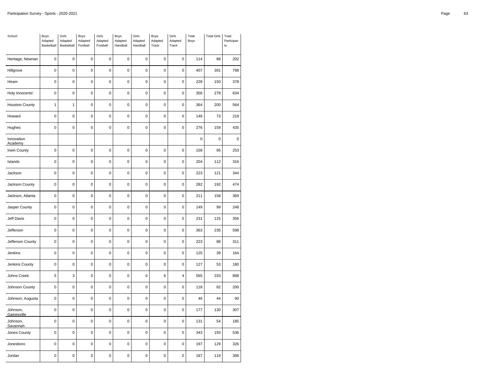| School                  | Boys<br>Adapted<br>Basketball | Girls<br>Adapted<br>Basketball | Boys<br>Adapted<br>Football | Girls<br>Adapted<br>Football | Boys<br>Adapted<br>Handball | Girls<br>Adapted<br>Handball | Boys<br>Adapted<br>Track | Girls<br>Adapted<br>Track | Total<br>Boys | <b>Total Girls</b> | Total<br>Participan<br>$\sf{ts}$ |
|-------------------------|-------------------------------|--------------------------------|-----------------------------|------------------------------|-----------------------------|------------------------------|--------------------------|---------------------------|---------------|--------------------|----------------------------------|
| Heritage, Newnan        | $\mathbf 0$                   | $\mathbf 0$                    | 0                           | 0                            | $\mathbf 0$                 | 0                            | $\mathbf 0$              | 0                         | 114           | 88                 | 202                              |
| Hillgrove               | $\mathbf 0$                   | $\mathbf 0$                    | $\mathbf 0$                 | $\mathbf 0$                  | $\mathbf 0$                 | 0                            | $\mathbf 0$              | $\mathbf 0$               | 407           | 391                | 798                              |
| Hiram                   | $\mathbf 0$                   | $\mathbf 0$                    | $\mathbf 0$                 | $\mathbf 0$                  | $\mathbf 0$                 | 0                            | $\mathbf 0$              | $\mathbf 0$               | 228           | 150                | 378                              |
| Holy Innocents'         | 0                             | $\mathbf 0$                    | 0                           | 0                            | $\mathbf 0$                 | $\mathbf 0$                  | 0                        | 0                         | 356           | 278                | 634                              |
| <b>Houston County</b>   | $\mathbf{1}$                  | $\mathbf{1}$                   | $\mathbf 0$                 | $\mathbf 0$                  | $\mathbf 0$                 | $\mathbf 0$                  | $\pmb{0}$                | $\pmb{0}$                 | 364           | 200                | 564                              |
| Howard                  | $\overline{0}$                | $\mathbf 0$                    | $\pmb{0}$                   | $\pmb{0}$                    | $\overline{0}$              | $\mathsf 0$                  | 0                        | 0                         | 146           | 73                 | 219                              |
| Hughes                  | $\mathbf 0$                   | $\mathbf 0$                    | $\mathbf 0$                 | $\mathbf 0$                  | $\mathbf 0$                 | 0                            | $\mathbf 0$              | $\mathbf 0$               | 276           | 159                | 435                              |
| Innovation<br>Academy   |                               |                                |                             |                              |                             |                              |                          |                           | 0             | 0                  | $\pmb{0}$                        |
| Irwin County            | 0                             | $\mathbf 0$                    | $\pmb{0}$                   | $\mathbf 0$                  | $\pmb{0}$                   | $\pmb{0}$                    | $\mathbf 0$              | $\mathbf 0$               | 158           | 95                 | 253                              |
| Islands                 | $\mathbf 0$                   | $\mathbf 0$                    | $\mathbf 0$                 | $\mathbf 0$                  | $\mathbf 0$                 | 0                            | 0                        | $\pmb{0}$                 | 204           | 112                | 316                              |
| Jackson                 | $\pmb{0}$                     | $\mathbf 0$                    | $\pmb{0}$                   | $\pmb{0}$                    | $\pmb{0}$                   | 0                            | $\mathbf 0$              | $\pmb{0}$                 | 223           | 121                | 344                              |
| Jackson County          | $\mathbf 0$                   | $\mathbf 0$                    | $\mathbf 0$                 | $\mathbf 0$                  | $\mathbf 0$                 | $\mathbf 0$                  | $\mathbf 0$              | 0                         | 282           | 192                | 474                              |
| Jackson, Atlanta        | $\mathbf 0$                   | $\pmb{0}$                      | $\mathbf 0$                 | $\mathbf 0$                  | $\mathbf 0$                 | 0                            | $\mathbf 0$              | 0                         | 211           | 158                | 369                              |
| Jasper County           | $\mathbf 0$                   | $\mathbf 0$                    | $\pmb{0}$                   | $\pmb{0}$                    | $\pmb{0}$                   | 0                            | 0                        | $\mathbf 0$               | 149           | 99                 | 248                              |
| Jeff Davis              | $\mathbf 0$                   | $\mathbf 0$                    | $\mathbf 0$                 | $\mathbf 0$                  | $\mathbf 0$                 | 0                            | 0                        | $\mathbf 0$               | 231           | 125                | 356                              |
| Jefferson               | $\mathbf 0$                   | $\mathbf 0$                    | $\pmb{0}$                   | $\mathbf 0$                  | $\pmb{0}$                   | 0                            | $\mathbf 0$              | $\mathbf 0$               | 363           | 235                | 598                              |
| Jefferson County        | $\mathbf 0$                   | $\mathbf 0$                    | $\mathbf 0$                 | $\mathbf 0$                  | $\mathbf 0$                 | 0                            | $\mathbf 0$              | $\pmb{0}$                 | 223           | 88                 | 311                              |
| Jenkins                 | $\mathbf 0$                   | $\mathbf 0$                    | 0                           | $\mathbf 0$                  | $\mathbf 0$                 | 0                            | $\mathbf 0$              | 0                         | 125           | 39                 | 164                              |
| Jenkins County          | $\mathbf 0$                   | $\mathbf 0$                    | $\mathbf 0$                 | $\mathbf 0$                  | $\mathbf 0$                 | 0                            | $\mathbf 0$              | $\mathbf 0$               | 127           | 53                 | 180                              |
| Johns Creek             | 5                             | 3                              | $\mathbf 0$                 | $\mathbf 0$                  | $\mathbf 0$                 | 0                            | 6                        | 4                         | 565           | 333                | 898                              |
| Johnson County          | 0                             | $\mathbf 0$                    | 0                           | 0                            | $\pmb{0}$                   | $\mathbf 0$                  | 0                        | 0                         | 118           | 82                 | 200                              |
| Johnson, Augusta        | $\mathbf 0$                   | $\mathbf 0$                    | $\mathbf 0$                 | $\mathbf 0$                  | $\mathbf 0$                 | $\mathbf 0$                  | $\mathbf 0$              | $\pmb{0}$                 | 46            | 44                 | 90                               |
| Johnson,<br>Gainesville | $\pmb{0}$                     | $\mathbf 0$                    | $\pmb{0}$                   | $\pmb{0}$                    | $\mathbf 0$                 | 0                            | 0                        | $\mathbf 0$               | 177           | 130                | 307                              |
| Johnson,<br>Savannah    | $\mathbf 0$                   | $\mathbf 0$                    | $\mathbf 0$                 | $\mathbf 0$                  | $\mathbf 0$                 | 0                            | $\mathbf 0$              | $\mathbf 0$               | 131           | 54                 | 185                              |
| Jones County            | $\mathbf 0$                   | $\mathbf 0$                    | $\mathbf 0$                 | $\pmb{0}$                    | $\mathbf 0$                 | 0                            | $\mathbf 0$              | $\mathbf 0$               | 343           | 193                | 536                              |
| Jonesboro               | 0                             | $\mathbf 0$                    | 0                           | 0                            | $\mathbf 0$                 | 0                            | 0                        | 0                         | 197           | 129                | 326                              |
| Jordan                  | $\mathbf 0$                   | $\mathbf 0$                    | $\mathbf 0$                 | $\mathbf 0$                  | $\mathbf 0$                 | 0                            | $\mathbf 0$              | 0                         | 187           | 119                | 306                              |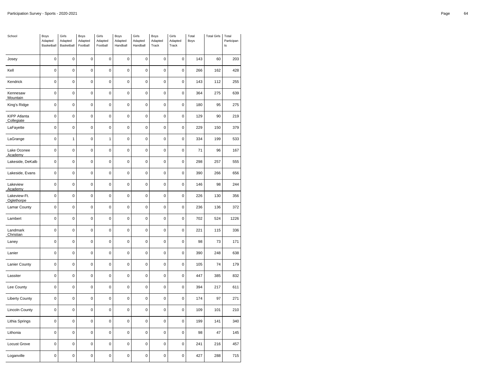| School                            | Boys<br>Adapted<br>Basketball | Girls<br>Adapted<br>Basketball | Boys<br>Adapted<br>Football | Girls<br>Adapted<br>Football | Boys<br>Adapted<br>Handball | Girls<br>Adapted<br>Handball | Boys<br>Adapted<br>Track | Girls<br>Adapted<br>Track | Total<br>Boys | <b>Total Girls</b> | Total<br>Participan<br>t s |
|-----------------------------------|-------------------------------|--------------------------------|-----------------------------|------------------------------|-----------------------------|------------------------------|--------------------------|---------------------------|---------------|--------------------|----------------------------|
| Josey                             | $\mathbf 0$                   | $\mathbf 0$                    | $\mathbf 0$                 | $\mathbf 0$                  | $\mathbf 0$                 | $\mathbf 0$                  | $\mathbf 0$              | 0                         | 143           | 60                 | 203                        |
| Kell                              | $\mathbf 0$                   | $\mathbf 0$                    | 0                           | $\pmb{0}$                    | 0                           | $\mathbf 0$                  | $\pmb{0}$                | 0                         | 266           | 162                | 428                        |
| Kendrick                          | $\mathbf 0$                   | $\mathbf 0$                    | $\pmb{0}$                   | $\mathbf 0$                  | 0                           | $\mathbf 0$                  | $\mathbf 0$              | $\pmb{0}$                 | 143           | 112                | 255                        |
| Kennesaw<br>Mountain              | 0                             | $\mathbf 0$                    | $\mathbf 0$                 | $\mathbf 0$                  | 0                           | $\mathbf 0$                  | $\mathbf 0$              | 0                         | 364           | 275                | 639                        |
| King's Ridge                      | $\mathbf 0$                   | $\mathbf 0$                    | $\mathbf 0$                 | $\pmb{0}$                    | $\mathbf 0$                 | $\mathbf 0$                  | $\mathbf 0$              | $\pmb{0}$                 | 180           | 95                 | 275                        |
| <b>KIPP Atlanta</b><br>Collegiate | $\mathbf 0$                   | $\mathbf 0$                    | $\pmb{0}$                   | $\mathbf 0$                  | $\mathbf 0$                 | $\mathbf 0$                  | $\mathbf 0$              | $\mathbf 0$               | 129           | 90                 | 219                        |
| LaFayette                         | 0                             | $\mathbf 0$                    | 0                           | $\mathbf 0$                  | 0                           | $\mathbf 0$                  | $\mathbf 0$              | 0                         | 229           | 150                | 379                        |
| LaGrange                          | $\pmb{0}$                     | $\mathbf{1}$                   | $\pmb{0}$                   | $\mathbf{1}$                 | $\mathbf 0$                 | $\pmb{0}$                    | $\mathbf 0$              | $\pmb{0}$                 | 334           | 199                | 533                        |
| Lake Oconee<br>Academy            | $\mathbf 0$                   | 0                              | $\pmb{0}$                   | $\pmb{0}$                    | 0                           | $\mathbf 0$                  | $\mathbf 0$              | $\mathbf 0$               | 71            | 96                 | 167                        |
| Lakeside, DeKalb                  | 0                             | $\mathbf 0$                    | $\mathbf 0$                 | $\mathbf 0$                  | $\mathbf 0$                 | $\mathbf 0$                  | $\mathbf 0$              | $\mathbf 0$               | 298           | 257                | 555                        |
| Lakeside, Evans                   | $\mathbf 0$                   | $\mathbf 0$                    | $\mathbf 0$                 | $\mathbf 0$                  | $\mathbf 0$                 | $\mathbf 0$                  | $\mathbf 0$              | $\mathbf 0$               | 390           | 266                | 656                        |
| Lakeview<br>Academy               | $\mathbf 0$                   | $\mathbf 0$                    | $\mathbf 0$                 | $\pmb{0}$                    | $\mathbf 0$                 | $\mathbf 0$                  | $\mathbf 0$              | $\mathbf 0$               | 146           | 98                 | 244                        |
| Lakeview-Ft.<br>Oglethorpe        | 0                             | $\mathbf 0$                    | 0                           | 0                            | $\mathbf 0$                 | $\mathbf 0$                  | $\mathbf 0$              | 0                         | 226           | 130                | 356                        |
| Lamar County                      | $\mathbf 0$                   | $\mathbf 0$                    | $\mathbf 0$                 | $\mathbf 0$                  | 0                           | $\mathbf 0$                  | $\mathbf 0$              | $\pmb{0}$                 | 236           | 136                | 372                        |
| Lambert                           | $\pmb{0}$                     | $\mathbf 0$                    | $\mathbf 0$                 | $\pmb{0}$                    | $\mathbf 0$                 | $\mathbf 0$                  | $\mathbf 0$              | $\mathbf 0$               | 702           | 524                | 1226                       |
| Landmark<br>Christian             | 0                             | 0                              | $\mathbf 0$                 | $\mathbf 0$                  | 0                           | $\mathbf 0$                  | $\mathbf 0$              | 0                         | 221           | 115                | 336                        |
| Laney                             | $\mathbf 0$                   | $\mathbf 0$                    | $\mathbf 0$                 | $\mathbf 0$                  | $\mathbf 0$                 | $\mathbf 0$                  | $\mathbf 0$              | $\pmb{0}$                 | 98            | 73                 | 171                        |
| Lanier                            | $\pmb{0}$                     | $\mathbf 0$                    | $\mathbf 0$                 | $\pmb{0}$                    | $\mathbf 0$                 | $\mathbf 0$                  | $\mathbf 0$              | $\mathbf 0$               | 390           | 248                | 638                        |
| Lanier County                     | 0                             | 0                              | 0                           | 0                            | 0                           | $\mathbf 0$                  | $\mathbf 0$              | 0                         | 105           | 74                 | 179                        |
| Lassiter                          | $\pmb{0}$                     | $\mathbf 0$                    | $\mathbf 0$                 | $\mathbf 0$                  | $\mathbf 0$                 | $\mathbf 0$                  | $\mathbf 0$              | $\pmb{0}$                 | 447           | 385                | 832                        |
| Lee County                        | $\mathbf 0$                   | 0                              | $\pmb{0}$                   | $\pmb{0}$                    | 0                           | $\pmb{0}$                    | $\mathbf 0$              | $\mathbf 0$               | 394           | 217                | 611                        |
| <b>Liberty County</b>             | 0                             | $\mathbf 0$                    | 0                           | $\pmb{0}$                    | $\mathbf 0$                 | $\mathbf 0$                  | $\mathbf 0$              | 0                         | 174           | 97                 | 271                        |
| Lincoln County                    | $\mathbf 0$                   | $\mathbf 0$                    | $\pmb{0}$                   | $\mathbf 0$                  | $\mathbf 0$                 | $\mathbf 0$                  | $\mathbf 0$              | $\pmb{0}$                 | 109           | 101                | 210                        |
| Lithia Springs                    | $\pmb{0}$                     | $\mathbf 0$                    | $\pmb{0}$                   | $\pmb{0}$                    | $\mathbf 0$                 | $\mathbf 0$                  | $\mathbf 0$              | $\pmb{0}$                 | 199           | 141                | 340                        |
| Lithonia                          | 0                             | $\mathbf 0$                    | 0                           | 0                            | $\mathbf 0$                 | $\mathbf 0$                  | $\mathbf 0$              | $\mathbf 0$               | 98            | 47                 | 145                        |
| Locust Grove                      | $\pmb{0}$                     | $\mathbf 0$                    | $\pmb{0}$                   | $\pmb{0}$                    | $\mathbf 0$                 | $\pmb{0}$                    | $\mathbf 0$              | $\pmb{0}$                 | 241           | 216                | 457                        |
| Loganville                        | $\mathbf 0$                   | 0                              | $\mathbf 0$                 | $\mathbf 0$                  | $\mathbf 0$                 | $\mathbf 0$                  | $\mathbf 0$              | $\mathbf 0$               | 427           | 288                | 715                        |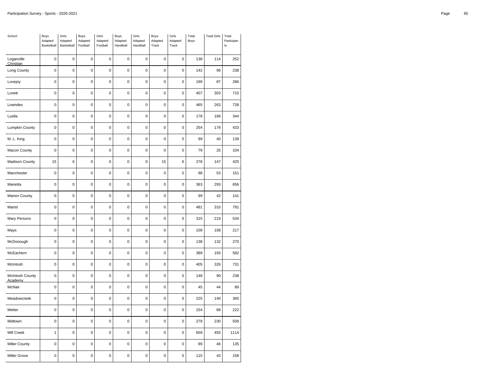| School                            | Boys<br>Adapted<br>Basketball | Girls<br>Adapted<br>Basketball | Boys<br>Adapted<br>Football | Girls<br>Adapted<br>Football | Boys<br>Adapted<br>Handball | Girls<br>Adapted<br>Handball | Boys<br>Adapted<br>Track | Girls<br>Adapted<br>Track | Total<br>Boys | <b>Total Girls</b> | Total<br>Participan<br>t s |
|-----------------------------------|-------------------------------|--------------------------------|-----------------------------|------------------------------|-----------------------------|------------------------------|--------------------------|---------------------------|---------------|--------------------|----------------------------|
| Loganville<br>Christian           | $\mathbf 0$                   | $\mathbf 0$                    | $\mathbf 0$                 | 0                            | $\mathbf 0$                 | $\mathbf 0$                  | $\mathbf 0$              | 0                         | 138           | 114                | 252                        |
| Long County                       | $\mathbf 0$                   | $\mathbf 0$                    | $\mathbf 0$                 | $\mathbf 0$                  | 0                           | $\mathbf 0$                  | $\mathbf 0$              | $\mathbf 0$               | 142           | 96                 | 238                        |
| Lovejoy                           | $\pmb{0}$                     | 0                              | $\mathbf 0$                 | $\pmb{0}$                    | 0                           | $\mathbf 0$                  | $\mathbf 0$              | $\pmb{0}$                 | 199           | 87                 | 286                        |
| Lovett                            | $\pmb{0}$                     | $\mathbf 0$                    | $\mathbf 0$                 | $\pmb{0}$                    | 0                           | $\pmb{0}$                    | $\pmb{0}$                | 0                         | 407           | 303                | 710                        |
| Lowndes                           | $\mathbf 0$                   | $\mathbf 0$                    | $\mathbf 0$                 | $\mathbf 0$                  | $\mathbf 0$                 | $\mathbf 0$                  | $\mathbf 0$              | $\pmb{0}$                 | 465           | 263                | 728                        |
| Luella                            | $\mathbf 0$                   | $\overline{0}$                 | $\mathbf 0$                 | $\pmb{0}$                    | $\mathbf 0$                 | $\mathbf 0$                  | $\mathbf 0$              | $\pmb{0}$                 | 178           | 166                | 344                        |
| Lumpkin County                    | $\mathbf 0$                   | $\mathbf 0$                    | $\mathbf 0$                 | $\mathbf 0$                  | $\mathbf 0$                 | $\mathbf 0$                  | $\mathbf 0$              | $\mathbf 0$               | 254           | 179                | 433                        |
| M. L. King                        | $\pmb{0}$                     | $\mathbf 0$                    | $\pmb{0}$                   | $\pmb{0}$                    | $\mathbf 0$                 | $\pmb{0}$                    | $\mathbf 0$              | $\pmb{0}$                 | 99            | 40                 | 139                        |
| <b>Macon County</b>               | 0                             | $\mathbf 0$                    | 0                           | $\pmb{0}$                    | 0                           | $\pmb{0}$                    | $\pmb{0}$                | $\pmb{0}$                 | 79            | 25                 | 104                        |
| Madison County                    | 15                            | 6                              | $\mathbf 0$                 | $\mathbf 0$                  | 0                           | $\mathbf 0$                  | 15                       | 6                         | 278           | 147                | 425                        |
| Manchester                        | $\pmb{0}$                     | $\mathbf 0$                    | $\pmb{0}$                   | $\pmb{0}$                    | $\pmb{0}$                   | $\pmb{0}$                    | $\mathbf 0$              | $\pmb{0}$                 | 98            | 53                 | 151                        |
| Marietta                          | 0                             | $\mathbf 0$                    | $\mathbf 0$                 | $\mathbf 0$                  | $\mathbf 0$                 | $\mathbf 0$                  | $\mathbf 0$              | $\mathbf 0$               | 363           | 293                | 656                        |
| <b>Marion County</b>              | $\mathbf 0$                   | $\mathbf 0$                    | $\mathbf 0$                 | $\mathbf 0$                  | 0                           | $\mathbf 0$                  | $\mathbf 0$              | $\pmb{0}$                 | 99            | 42                 | 141                        |
| Marist                            | $\pmb{0}$                     | $\mathbf 0$                    | $\pmb{0}$                   | $\pmb{0}$                    | $\mathbf 0$                 | $\pmb{0}$                    | $\mathbf 0$              | $\pmb{0}$                 | 481           | 310                | 791                        |
| Mary Persons                      | $\mathbf 0$                   | $\mathbf 0$                    | $\mathbf 0$                 | $\mathbf 0$                  | $\mathbf 0$                 | $\mathbf 0$                  | $\mathbf 0$              | $\mathbf 0$               | 315           | 219                | 534                        |
| Mays                              | $\pmb{0}$                     | $\mathbf 0$                    | $\mathbf 0$                 | $\pmb{0}$                    | $\mathbf 0$                 | $\pmb{0}$                    | $\mathbf 0$              | $\mathbf 0$               | 109           | 108                | 217                        |
| McDonough                         | $\mathbf 0$                   | $\mathbf 0$                    | $\mathbf 0$                 | $\pmb{0}$                    | $\mathbf 0$                 | $\mathbf 0$                  | $\mathbf 0$              | $\pmb{0}$                 | 138           | 132                | 270                        |
| McEachern                         | 0                             | $\mathbf 0$                    | $\mathbf 0$                 | $\mathbf 0$                  | $\mathbf 0$                 | $\mathbf 0$                  | $\mathbf 0$              | 0                         | 389           | 193                | 582                        |
| McIntosh                          | $\mathbf 0$                   | $\mathbf 0$                    | $\mathbf 0$                 | $\mathbf 0$                  | 0                           | $\mathbf 0$                  | $\mathbf 0$              | $\pmb{0}$                 | 405           | 326                | 731                        |
| <b>McIntosh County</b><br>Academy | $\pmb{0}$                     | $\mathbf 0$                    | $\mathbf 0$                 | $\pmb{0}$                    | $\mathbf 0$                 | $\pmb{0}$                    | $\mathbf 0$              | $\pmb{0}$                 | 148           | 90                 | 238                        |
| McNair                            | $\pmb{0}$                     | $\mathbf 0$                    | $\pmb{0}$                   | $\pmb{0}$                    | 0                           | $\pmb{0}$                    | $\pmb{0}$                | 0                         | 45            | 44                 | 89                         |
| Meadowcreek                       | $\mathbf 0$                   | $\mathbf 0$                    | $\mathbf 0$                 | $\mathbf 0$                  | $\mathbf 0$                 | $\mathbf 0$                  | $\mathbf 0$              | $\pmb{0}$                 | 225           | 140                | 365                        |
| Metter                            | $\pmb{0}$                     | $\mathbf 0$                    | $\mathbf 0$                 | $\pmb{0}$                    | $\pmb{0}$                   | $\pmb{0}$                    | $\mathbf 0$              | $\pmb{0}$                 | 154           | 68                 | 222                        |
| Midtown                           | $\mathbf 0$                   | $\mathbf 0$                    | $\mathbf 0$                 | $\mathbf 0$                  | $\mathbf 0$                 | $\mathbf 0$                  | $\mathbf 0$              | $\mathbf 0$               | 279           | 230                | 509                        |
| Mill Creek                        | $\mathbf{1}$                  | $\mathbf 0$                    | $\pmb{0}$                   | $\pmb{0}$                    | $\mathbf 0$                 | $\pmb{0}$                    | $\mathbf 0$              | $\pmb{0}$                 | 659           | 455                | 1114                       |
| <b>Miller County</b>              | 0                             | $\mathbf 0$                    | 0                           | 0                            | 0                           | $\pmb{0}$                    | $\pmb{0}$                | $\pmb{0}$                 | 89            | 46                 | 135                        |
| <b>Miller Grove</b>               | 0                             | $\mathbf 0$                    | $\mathbf 0$                 | $\mathbf 0$                  | 0                           | $\mathbf 0$                  | $\mathbf 0$              | $\mathbf 0$               | 115           | 43                 | 158                        |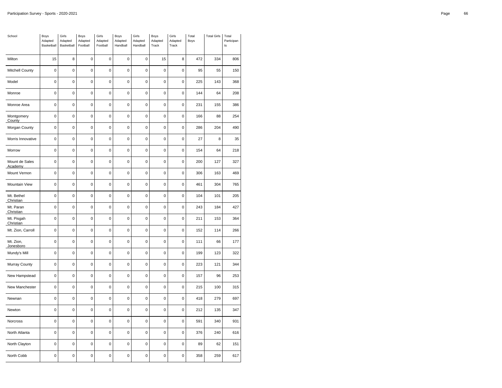| School                    | Boys<br>Adapted<br>Basketball | Girls<br>Adapted<br>Basketball | Boys<br>Adapted<br>Football | Girls<br>Adapted<br>Football | Boys<br>Adapted<br>Handball | Girls<br>Adapted<br>Handball | Boys<br>Adapted<br>Track | Girls<br>Adapted<br>Track | Total<br>Boys | <b>Total Girls</b> | Total<br>Participan<br>t s |
|---------------------------|-------------------------------|--------------------------------|-----------------------------|------------------------------|-----------------------------|------------------------------|--------------------------|---------------------------|---------------|--------------------|----------------------------|
| Milton                    | 15                            | 8                              | 0                           | 0                            | $\mathbf 0$                 | $\mathbf 0$                  | 15                       | 8                         | 472           | 334                | 806                        |
| Mitchell County           | $\mathbf 0$                   | $\mathbf 0$                    | $\mathbf 0$                 | $\mathbf 0$                  | $\mathbf 0$                 | $\mathbf 0$                  | $\mathbf 0$              | $\mathbf 0$               | 95            | 55                 | 150                        |
| Model                     | $\pmb{0}$                     | 0                              | $\pmb{0}$                   | $\mathbf 0$                  | 0                           | $\mathbf 0$                  | $\pmb{0}$                | $\pmb{0}$                 | 225           | 143                | 368                        |
| Monroe                    | 0                             | $\mathbf 0$                    | 0                           | 0                            | 0                           | $\pmb{0}$                    | $\pmb{0}$                | 0                         | 144           | 64                 | 208                        |
| Monroe Area               | $\mathbf 0$                   | $\mathbf 0$                    | $\mathbf 0$                 | $\mathbf 0$                  | $\mathbf 0$                 | $\mathbf 0$                  | $\mathbf 0$              | $\pmb{0}$                 | 231           | 155                | 386                        |
| Montgomery<br>County      | $\pmb{0}$                     | $\overline{0}$                 | $\mathbf 0$                 | $\pmb{0}$                    | $\mathbf 0$                 | $\pmb{0}$                    | $\mathbf 0$              | $\pmb{0}$                 | 166           | 88                 | 254                        |
| Morgan County             | $\mathbf 0$                   | $\mathbf 0$                    | $\mathbf 0$                 | $\mathbf 0$                  | $\mathbf 0$                 | $\mathbf 0$                  | $\mathbf 0$              | $\mathbf 0$               | 286           | 204                | 490                        |
| Morris Innovative         | $\pmb{0}$                     | $\mathbf 0$                    | $\mathbf 0$                 | $\pmb{0}$                    | $\mathbf 0$                 | $\pmb{0}$                    | $\mathbf 0$              | $\pmb{0}$                 | 27            | 8                  | 35                         |
| Morrow                    | 0                             | $\mathbf 0$                    | 0                           | 0                            | 0                           | $\pmb{0}$                    | $\pmb{0}$                | 0                         | 154           | 64                 | 218                        |
| Mount de Sales<br>Academy | $\mathbf 0$                   | $\mathbf 0$                    | $\mathbf 0$                 | $\mathbf 0$                  | 0                           | $\mathbf 0$                  | $\mathbf 0$              | $\mathbf 0$               | 200           | 127                | 327                        |
| Mount Vernon              | $\pmb{0}$                     | $\mathbf 0$                    | $\pmb{0}$                   | $\pmb{0}$                    | $\mathbf 0$                 | $\pmb{0}$                    | $\mathbf 0$              | $\pmb{0}$                 | 306           | 163                | 469                        |
| Mountain View             | 0                             | $\mathbf 0$                    | $\mathbf 0$                 | $\mathbf 0$                  | $\mathbf 0$                 | $\mathbf 0$                  | $\mathbf 0$              | $\mathbf 0$               | 461           | 304                | 765                        |
| Mt. Bethel<br>Christian   | $\mathbf 0$                   | $\mathbf 0$                    | $\mathbf 0$                 | $\mathbf 0$                  | 0                           | $\mathbf 0$                  | $\mathbf 0$              | $\mathbf 0$               | 104           | 101                | 205                        |
| Mt. Paran<br>Christian    | $\pmb{0}$                     | $\mathbf 0$                    | $\pmb{0}$                   | $\pmb{0}$                    | $\mathbf 0$                 | $\pmb{0}$                    | $\mathbf 0$              | $\pmb{0}$                 | 243           | 184                | 427                        |
| Mt. Pisgah<br>Christian   | 0                             | $\mathbf 0$                    | $\mathbf 0$                 | $\mathbf 0$                  | $\mathbf 0$                 | $\mathbf 0$                  | $\mathbf 0$              | 0                         | 211           | 153                | 364                        |
| Mt. Zion, Carroll         | $\mathbf 0$                   | $\mathbf 0$                    | $\pmb{0}$                   | $\pmb{0}$                    | 0                           | $\pmb{0}$                    | $\mathbf 0$              | $\pmb{0}$                 | 152           | 114                | 266                        |
| Mt. Zion,<br>Jonesboro    | $\mathbf 0$                   | $\mathbf 0$                    | $\mathbf 0$                 | $\pmb{0}$                    | $\mathbf 0$                 | $\mathbf 0$                  | $\mathbf 0$              | $\pmb{0}$                 | 111           | 66                 | 177                        |
| Mundy's Mill              | 0                             | $\mathbf 0$                    | 0                           | $\mathbf 0$                  | $\mathbf 0$                 | $\mathbf 0$                  | $\mathbf 0$              | 0                         | 199           | 123                | 322                        |
| Murray County             | $\mathbf 0$                   | $\mathbf 0$                    | $\mathbf 0$                 | $\mathbf 0$                  | $\mathbf 0$                 | $\mathbf 0$                  | $\mathbf 0$              | $\mathbf 0$               | 223           | 121                | 344                        |
| New Hampstead             | $\pmb{0}$                     | 0                              | $\mathbf 0$                 | $\mathbf 0$                  | 0                           | $\mathbf 0$                  | $\mathbf 0$              | $\pmb{0}$                 | 157           | 96                 | 253                        |
| New Manchester            | 0                             | $\mathbf 0$                    | 0                           | 0                            | 0                           | $\mathbf 0$                  | $\mathbf 0$              | 0                         | 215           | 100                | 315                        |
| Newnan                    | $\mathbf 0$                   | $\mathbf 0$                    | $\mathbf 0$                 | $\mathbf 0$                  | $\mathbf 0$                 | $\mathbf 0$                  | $\mathbf 0$              | $\pmb{0}$                 | 418           | 279                | 697                        |
| Newton                    | $\pmb{0}$                     | $\mathbf 0$                    | $\mathbf 0$                 | $\pmb{0}$                    | $\mathbf 0$                 | $\pmb{0}$                    | $\mathbf 0$              | $\pmb{0}$                 | 212           | 135                | 347                        |
| Norcross                  | $\mathbf 0$                   | $\mathbf 0$                    | $\mathbf 0$                 | $\mathbf 0$                  | $\mathbf 0$                 | $\mathbf 0$                  | $\mathbf 0$              | $\mathbf 0$               | 591           | 340                | 931                        |
| North Atlanta             | $\pmb{0}$                     | $\mathbf 0$                    | $\mathbf 0$                 | $\pmb{0}$                    | $\mathbf 0$                 | $\pmb{0}$                    | $\mathbf 0$              | $\pmb{0}$                 | 376           | 240                | 616                        |
| North Clayton             | 0                             | $\mathbf 0$                    | 0                           | 0                            | 0                           | $\mathbf 0$                  | $\pmb{0}$                | 0                         | 89            | 62                 | 151                        |
| North Cobb                | 0                             | $\mathbf 0$                    | $\mathbf 0$                 | $\mathbf 0$                  | $\mathbf 0$                 | $\mathbf 0$                  | $\mathbf 0$              | $\mathbf 0$               | 358           | 259                | 617                        |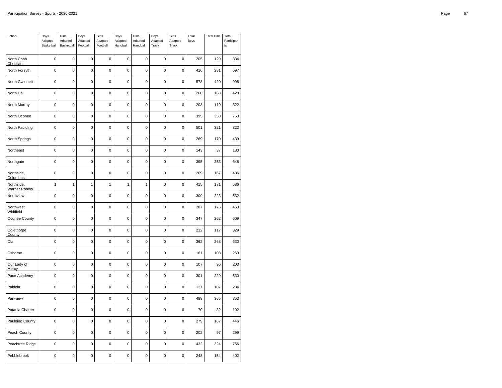| School                             | Boys<br>Adapted<br>Basketball | Girls<br>Adapted<br>Basketball | Boys<br>Adapted<br>Football | Girls<br>Adapted<br>Football | Boys<br>Adapted<br>Handball | Girls<br>Adapted<br>Handball | Boys<br>Adapted<br>Track | Girls<br>Adapted<br>Track | Total<br>Boys | <b>Total Girls</b> | Total<br>Participan<br>t s |
|------------------------------------|-------------------------------|--------------------------------|-----------------------------|------------------------------|-----------------------------|------------------------------|--------------------------|---------------------------|---------------|--------------------|----------------------------|
| North Cobb<br>Christian            | $\pmb{0}$                     | $\mathbf 0$                    | $\pmb{0}$                   | $\pmb{0}$                    | $\mathbf 0$                 | $\mathbf 0$                  | $\mathbf 0$              | 0                         | 205           | 129                | 334                        |
| North Forsyth                      | 0                             | $\mathbf 0$                    | $\mathbf 0$                 | $\mathbf 0$                  | $\mathbf 0$                 | $\mathbf 0$                  | $\mathbf 0$              | $\mathbf 0$               | 416           | 281                | 697                        |
| North Gwinnett                     | $\pmb{0}$                     | 0                              | $\pmb{0}$                   | $\pmb{0}$                    | $\mathbf 0$                 | $\pmb{0}$                    | $\pmb{0}$                | $\pmb{0}$                 | 578           | 420                | 998                        |
| North Hall                         | 0                             | $\mathbf 0$                    | $\mathbf 0$                 | $\mathbf 0$                  | $\mathbf 0$                 | $\mathbf 0$                  | $\mathbf 0$              | $\mathbf 0$               | 260           | 168                | 428                        |
| North Murray                       | $\mathbf 0$                   | $\mathbf 0$                    | $\mathbf 0$                 | $\mathbf 0$                  | 0                           | $\mathbf 0$                  | $\mathbf 0$              | $\mathbf 0$               | 203           | 119                | 322                        |
| North Oconee                       | $\mathbf 0$                   | $\mathbf 0$                    | $\mathbf 0$                 | $\mathbf 0$                  | $\mathbf 0$                 | $\mathbf 0$                  | $\mathbf 0$              | $\mathbf 0$               | 395           | 358                | 753                        |
| North Paulding                     | 0                             | $\mathbf 0$                    | 0                           | 0                            | 0                           | $\mathbf 0$                  | $\mathbf 0$              | 0                         | 501           | 321                | 822                        |
| North Springs                      | $\pmb{0}$                     | $\mathbf 0$                    | 0                           | $\pmb{0}$                    | $\mathbf 0$                 | $\pmb{0}$                    | $\pmb{0}$                | 0                         | 269           | 170                | 439                        |
| Northeast                          | $\mathbf 0$                   | 0                              | $\mathbf 0$                 | $\pmb{0}$                    | $\mathbf 0$                 | $\mathbf 0$                  | $\mathbf 0$              | $\mathbf 0$               | 143           | 37                 | 180                        |
| Northgate                          | $\pmb{0}$                     | $\mathbf 0$                    | 0                           | $\mathbf 0$                  | $\mathbf 0$                 | $\mathbf 0$                  | $\mathbf 0$              | 0                         | 395           | 253                | 648                        |
| Northside,<br>Columbus             | $\mathbf 0$                   | $\mathbf 0$                    | $\mathbf 0$                 | $\mathbf 0$                  | $\mathbf 0$                 | $\mathbf 0$                  | $\mathbf 0$              | $\pmb{0}$                 | 269           | 167                | 436                        |
| Northside,<br><b>Warner Robins</b> | $\mathbf{1}$                  | $\mathbf{1}$                   | $\mathbf{1}$                | $\mathbf{1}$                 | $\mathbf{1}$                | 1                            | $\mathbf 0$              | $\pmb{0}$                 | 415           | 171                | 586                        |
| Northview                          | $\mathbf 0$                   | $\mathbf 0$                    | $\mathbf 0$                 | $\mathbf 0$                  | $\mathbf 0$                 | $\mathbf 0$                  | $\mathbf 0$              | $\mathbf 0$               | 309           | 223                | 532                        |
| Northwest<br>Whitfield             | $\pmb{0}$                     | $\mathbf 0$                    | $\pmb{0}$                   | $\pmb{0}$                    | $\mathbf 0$                 | $\mathbf 0$                  | $\mathbf 0$              | $\pmb{0}$                 | 287           | 176                | 463                        |
| Oconee County                      | 0                             | $\mathbf 0$                    | $\mathbf 0$                 | $\mathbf 0$                  | $\mathbf 0$                 | $\mathbf 0$                  | $\mathbf 0$              | $\mathbf 0$               | 347           | 262                | 609                        |
| Oglethorpe<br>County               | $\mathbf 0$                   | $\mathbf 0$                    | $\pmb{0}$                   | $\mathbf 0$                  | 0                           | $\mathbf 0$                  | $\mathbf 0$              | $\mathbf 0$               | 212           | 117                | 329                        |
| Ola                                | $\pmb{0}$                     | $\mathbf 0$                    | $\pmb{0}$                   | $\pmb{0}$                    | $\mathbf 0$                 | $\mathbf 0$                  | $\mathbf 0$              | $\pmb{0}$                 | 362           | 268                | 630                        |
| Osborne                            | 0                             | $\mathbf 0$                    | $\mathbf 0$                 | $\mathbf 0$                  | $\mathbf 0$                 | $\mathbf 0$                  | $\mathbf 0$              | 0                         | 161           | 108                | 269                        |
| Our Lady of<br>Mercy               | 0                             | $\mathbf 0$                    | $\mathbf 0$                 | $\mathbf 0$                  | $\mathbf 0$                 | $\mathbf 0$                  | $\mathbf 0$              | $\pmb{0}$                 | 107           | 96                 | 203                        |
| Pace Academy                       | $\mathbf 0$                   | $\mathbf 0$                    | $\mathbf 0$                 | $\mathbf 0$                  | $\mathbf 0$                 | $\mathbf 0$                  | $\mathbf 0$              | $\mathbf 0$               | 301           | 229                | 530                        |
| Paideia                            | 0                             | $\mathbf 0$                    | $\mathbf 0$                 | $\mathbf 0$                  | 0                           | $\mathbf 0$                  | $\mathbf 0$              | 0                         | 127           | 107                | 234                        |
| Parkview                           | $\mathbf 0$                   | $\mathbf 0$                    | $\mathbf 0$                 | $\mathbf 0$                  | $\mathbf 0$                 | $\mathbf 0$                  | $\mathbf 0$              | $\mathbf 0$               | 488           | 365                | 853                        |
| Pataula Charter                    | $\pmb{0}$                     | $\mathbf 0$                    | $\mathbf 0$                 | $\pmb{0}$                    | $\mathbf 0$                 | $\pmb{0}$                    | $\mathbf 0$              | $\pmb{0}$                 | 70            | 32                 | 102                        |
| Paulding County                    | $\mathbf 0$                   | 0                              | $\pmb{0}$                   | $\pmb{0}$                    | $\mathbf 0$                 | $\mathbf 0$                  | $\mathbf 0$              | $\pmb{0}$                 | 279           | 167                | 446                        |
| Peach County                       | $\pmb{0}$                     | $\mathbf 0$                    | $\mathbf 0$                 | $\mathbf 0$                  | $\mathbf 0$                 | $\mathbf 0$                  | $\mathbf 0$              | $\pmb{0}$                 | 202           | 97                 | 299                        |
| Peachtree Ridge                    | 0                             | $\mathbf 0$                    | 0                           | 0                            | 0                           | $\mathbf 0$                  | $\pmb{0}$                | $\mathbf 0$               | 432           | 324                | 756                        |
| Pebblebrook                        | 0                             | $\mathbf 0$                    | $\mathbf 0$                 | $\mathbf 0$                  | $\mathbf 0$                 | $\mathbf 0$                  | $\mathbf 0$              | $\mathbf 0$               | 248           | 154                | 402                        |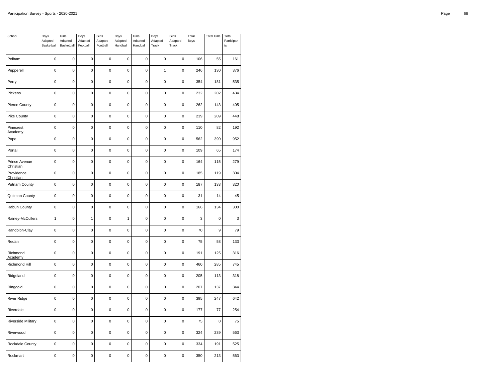| School                     | Boys<br>Adapted<br>Basketball | Girls<br>Adapted<br>Basketball | Boys<br>Adapted<br>Football | Girls<br>Adapted<br>Football | Boys<br>Adapted<br>Handball | Girls<br>Adapted<br>Handball | Boys<br>Adapted<br>Track | Girls<br>Adapted<br>Track | Total<br>Boys | <b>Total Girls</b> | Total<br>Participan<br>t s |
|----------------------------|-------------------------------|--------------------------------|-----------------------------|------------------------------|-----------------------------|------------------------------|--------------------------|---------------------------|---------------|--------------------|----------------------------|
| Pelham                     | $\mathbf 0$                   | $\mathbf 0$                    | $\mathbf 0$                 | 0                            | $\mathbf 0$                 | $\mathbf 0$                  | $\mathbf 0$              | 0                         | 106           | 55                 | 161                        |
| Pepperell                  | $\mathbf 0$                   | $\mathbf 0$                    | $\mathbf 0$                 | $\mathbf 0$                  | 0                           | $\mathbf 0$                  | 1                        | $\mathbf 0$               | 246           | 130                | 376                        |
| Perry                      | $\pmb{0}$                     | 0                              | $\mathbf 0$                 | $\mathbf 0$                  | 0                           | $\mathbf 0$                  | $\mathbf 0$              | $\pmb{0}$                 | 354           | 181                | 535                        |
| Pickens                    | $\pmb{0}$                     | $\mathbf 0$                    | 0                           | 0                            | 0                           | $\pmb{0}$                    | $\pmb{0}$                | 0                         | 232           | 202                | 434                        |
| Pierce County              | $\mathbf 0$                   | $\mathbf 0$                    | $\mathbf 0$                 | $\mathbf 0$                  | $\mathbf 0$                 | $\mathbf 0$                  | $\mathbf 0$              | $\pmb{0}$                 | 262           | 143                | 405                        |
| Pike County                | $\pmb{0}$                     | $\overline{0}$                 | $\mathbf 0$                 | $\pmb{0}$                    | $\mathbf 0$                 | $\mathbf 0$                  | $\mathbf 0$              | $\pmb{0}$                 | 239           | 209                | 448                        |
| Pinecrest<br>Academy       | $\mathbf 0$                   | $\mathbf 0$                    | $\mathbf 0$                 | $\mathbf 0$                  | $\mathbf 0$                 | $\mathbf 0$                  | $\mathbf 0$              | $\mathbf 0$               | 110           | 82                 | 192                        |
| Pope                       | $\pmb{0}$                     | $\mathbf 0$                    | $\pmb{0}$                   | $\pmb{0}$                    | $\mathbf 0$                 | $\pmb{0}$                    | $\mathbf 0$              | $\pmb{0}$                 | 562           | 390                | 952                        |
| Portal                     | $\pmb{0}$                     | $\mathbf 0$                    | 0                           | $\pmb{0}$                    | 0                           | $\pmb{0}$                    | $\pmb{0}$                | $\pmb{0}$                 | 109           | 65                 | 174                        |
| Prince Avenue<br>Christian | $\mathbf 0$                   | $\mathbf 0$                    | $\mathbf 0$                 | $\mathbf 0$                  | 0                           | $\mathbf 0$                  | $\mathbf 0$              | $\pmb{0}$                 | 164           | 115                | 279                        |
| Providence<br>Christian    | $\pmb{0}$                     | $\mathbf 0$                    | $\pmb{0}$                   | $\pmb{0}$                    | $\pmb{0}$                   | $\pmb{0}$                    | $\mathbf 0$              | $\pmb{0}$                 | 185           | 119                | 304                        |
| <b>Putnam County</b>       | 0                             | $\mathbf 0$                    | $\mathbf 0$                 | $\mathbf 0$                  | $\mathbf 0$                 | $\mathbf 0$                  | $\mathbf 0$              | $\mathbf 0$               | 187           | 133                | 320                        |
| Quitman County             | $\mathbf 0$                   | $\mathbf 0$                    | $\mathbf 0$                 | $\mathbf 0$                  | 0                           | $\mathbf 0$                  | $\mathbf 0$              | $\mathbf 0$               | 31            | 14                 | 45                         |
| Rabun County               | $\pmb{0}$                     | $\mathbf 0$                    | $\pmb{0}$                   | $\pmb{0}$                    | $\mathbf 0$                 | $\pmb{0}$                    | $\mathbf 0$              | $\pmb{0}$                 | 166           | 134                | 300                        |
| Rainey-McCullers           | $\mathbf{1}$                  | $\mathbf 0$                    | $\mathbf{1}$                | $\mathbf 0$                  | 1                           | $\mathbf 0$                  | $\mathbf 0$              | $\mathbf 0$               | 3             | $\mathbf 0$        | 3                          |
| Randolph-Clay              | $\pmb{0}$                     | $\mathbf 0$                    | $\pmb{0}$                   | $\pmb{0}$                    | 0                           | $\pmb{0}$                    | $\mathbf 0$              | $\mathbf 0$               | 70            | 9                  | 79                         |
| Redan                      | $\mathbf 0$                   | $\mathbf 0$                    | $\mathbf 0$                 | $\pmb{0}$                    | $\mathbf 0$                 | $\mathbf 0$                  | $\mathbf 0$              | $\mathbf 0$               | 75            | 58                 | 133                        |
| Richmond<br>Academy        | 0                             | $\mathbf 0$                    | $\mathbf 0$                 | $\mathbf 0$                  | $\mathbf 0$                 | $\mathbf 0$                  | $\mathbf 0$              | 0                         | 191           | 125                | 316                        |
| Richmond Hill              | $\mathbf 0$                   | $\mathbf 0$                    | $\mathbf 0$                 | $\mathbf 0$                  | 0                           | $\mathbf 0$                  | $\mathbf 0$              | $\mathbf 0$               | 460           | 285                | 745                        |
| Ridgeland                  | $\pmb{0}$                     | $\mathbf 0$                    | $\mathbf 0$                 | $\mathbf 0$                  | $\mathbf 0$                 | $\mathbf 0$                  | $\mathbf 0$              | $\pmb{0}$                 | 205           | 113                | 318                        |
| Ringgold                   | 0                             | $\mathbf 0$                    | 0                           | $\pmb{0}$                    | 0                           | $\mathbf 0$                  | $\mathbf 0$              | 0                         | 207           | 137                | 344                        |
| <b>River Ridge</b>         | $\mathbf 0$                   | $\mathbf 0$                    | $\mathbf 0$                 | $\mathbf 0$                  | $\mathbf 0$                 | $\mathbf 0$                  | $\mathbf 0$              | $\pmb{0}$                 | 395           | 247                | 642                        |
| Riverdale                  | $\pmb{0}$                     | $\mathbf 0$                    | $\mathbf 0$                 | $\pmb{0}$                    | $\mathbf 0$                 | $\pmb{0}$                    | $\mathbf 0$              | $\pmb{0}$                 | 177           | 77                 | 254                        |
| <b>Riverside Military</b>  | $\mathbf 0$                   | $\mathbf 0$                    | $\mathbf 0$                 | $\mathbf 0$                  | $\mathbf 0$                 | $\mathbf 0$                  | $\mathbf 0$              | $\mathbf 0$               | 75            | $\overline{0}$     | 75                         |
| Riverwood                  | $\pmb{0}$                     | $\mathbf 0$                    | $\pmb{0}$                   | $\pmb{0}$                    | $\mathbf 0$                 | $\pmb{0}$                    | $\mathbf 0$              | $\pmb{0}$                 | 324           | 239                | 563                        |
| Rockdale County            | 0                             | $\mathbf 0$                    | 0                           | 0                            | 0                           | $\pmb{0}$                    | $\pmb{0}$                | $\pmb{0}$                 | 334           | 191                | 525                        |
| Rockmart                   | 0                             | $\mathbf 0$                    | $\mathbf 0$                 | $\mathbf 0$                  | 0                           | $\mathbf 0$                  | $\mathbf 0$              | $\mathbf 0$               | 350           | 213                | 563                        |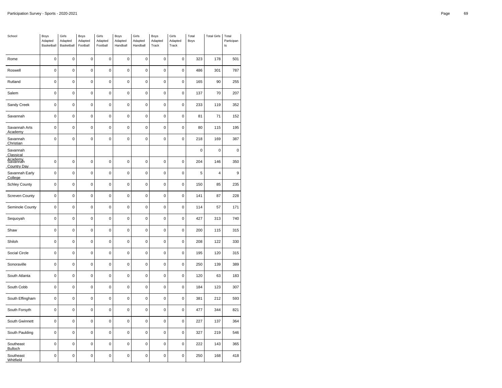| School                               | Boys<br>Adapted<br>Basketball | Girls<br>Adapted<br>Basketball | Boys<br>Adapted<br>Football | Girls<br>Adapted<br>Football | Boys<br>Adapted<br>Handball | Girls<br>Adapted<br>Handball | Boys<br>Adapted<br>Track | Girls<br>Adapted<br>Track | Total<br>Boys | <b>Total Girls</b> | Total<br>Participan<br>ts |
|--------------------------------------|-------------------------------|--------------------------------|-----------------------------|------------------------------|-----------------------------|------------------------------|--------------------------|---------------------------|---------------|--------------------|---------------------------|
| Rome                                 | $\mathbf 0$                   | $\mathbf 0$                    | $\mathbf 0$                 | 0                            | $\mathbf 0$                 | 0                            | $\mathbf 0$              | $\mathbf 0$               | 323           | 178                | 501                       |
| Roswell                              | $\mathbf 0$                   | $\mathbf 0$                    | $\mathbf 0$                 | $\pmb{0}$                    | $\pmb{0}$                   | 0                            | $\pmb{0}$                | 0                         | 486           | 301                | 787                       |
| Rutland                              | $\mathbf 0$                   | $\mathbf 0$                    | $\mathbf 0$                 | $\mathbf 0$                  | $\mathbf 0$                 | 0                            | $\pmb{0}$                | $\pmb{0}$                 | 165           | 90                 | 255                       |
| Salem                                | 0                             | $\pmb{0}$                      | $\mathbf 0$                 | $\mathbf 0$                  | $\pmb{0}$                   | 0                            | $\mathbf 0$              | $\mathbf 0$               | 137           | 70                 | 207                       |
| Sandy Creek                          | $\mathbf 0$                   | $\mathbf 0$                    | $\mathbf 0$                 | $\mathbf 0$                  | $\mathbf 0$                 | $\mathbf 0$                  | $\mathbf 0$              | $\pmb{0}$                 | 233           | 119                | 352                       |
| Savannah                             | $\mathbf 0$                   | $\mathbf 0$                    | $\mathbf 0$                 | $\mathbf 0$                  | $\mathbf 0$                 | 0                            | $\mathbf 0$              | $\pmb{0}$                 | 81            | 71                 | 152                       |
| Savannah Arts<br>Academy             | 0                             | $\mathbf 0$                    | 0                           | 0                            | $\mathbf 0$                 | 0                            | $\mathbf 0$              | 0                         | 80            | 115                | 195                       |
| Savannah<br>Christian                | $\mathbf 0$                   | $\mathbf 0$                    | $\mathbf 0$                 | $\pmb{0}$                    | $\pmb{0}$                   | $\pmb{0}$                    | $\mathbf 0$              | $\pmb{0}$                 | 218           | 169                | 387                       |
| Savannah<br>Classical                |                               |                                |                             |                              |                             |                              |                          |                           | 0             | 0                  | 0                         |
| <b>Agademy</b><br><b>Country Day</b> | $\mathbf 0$                   | $\mathbf 0$                    | $\mathbf 0$                 | $\mathbf 0$                  | $\mathbf 0$                 | 0                            | $\mathbf 0$              | $\mathbf 0$               | 204           | 146                | 350                       |
| Savannah Early<br>College            | $\mathbf 0$                   | $\mathbf 0$                    | $\mathbf 0$                 | $\pmb{0}$                    | $\mathbf 0$                 | 0                            | $\mathbf 0$              | $\pmb{0}$                 | 5             | 4                  | 9                         |
| Schley County                        | $\mathbf 0$                   | $\mathbf 0$                    | $\mathbf 0$                 | $\mathbf 0$                  | $\mathbf 0$                 | 0                            | $\mathbf 0$              | $\pmb{0}$                 | 150           | 85                 | 235                       |
| Screven County                       | $\mathbf 0$                   | $\mathbf 0$                    | 0                           | 0                            | $\mathbf 0$                 | 0                            | $\mathbf 0$              | 0                         | 141           | 87                 | 228                       |
| Seminole County                      | $\mathbf 0$                   | $\mathbf 0$                    | $\mathbf 0$                 | $\mathbf 0$                  | $\mathbf 0$                 | 0                            | $\mathbf 0$              | $\pmb{0}$                 | 114           | 57                 | 171                       |
| Sequoyah                             | $\mathbf 0$                   | $\mathbf 0$                    | $\mathbf 0$                 | $\mathbf 0$                  | $\mathbf 0$                 | 0                            | $\mathbf 0$              | $\pmb{0}$                 | 427           | 313                | 740                       |
| Shaw                                 | 0                             | $\mathbf 0$                    | 0                           | 0                            | $\pmb{0}$                   | 0                            | $\mathbf 0$              | $\mathbf 0$               | 200           | 115                | 315                       |
| Shiloh                               | $\mathbf 0$                   | $\mathbf 0$                    | $\mathbf 0$                 | $\mathbf 0$                  | $\mathbf 0$                 | $\mathbf 0$                  | $\mathbf 0$              | $\pmb{0}$                 | 208           | 122                | 330                       |
| Social Circle                        | $\mathbf 0$                   | $\mathbf 0$                    | $\mathbf 0$                 | $\mathbf 0$                  | $\mathbf 0$                 | 0                            | $\mathbf 0$              | $\pmb{0}$                 | 195           | 120                | 315                       |
| Sonoraville                          | 0                             | $\mathbf 0$                    | 0                           | 0                            | $\mathbf 0$                 | 0                            | $\mathbf 0$              | 0                         | 250           | 139                | 389                       |
| South Atlanta                        | $\mathbf 0$                   | $\mathbf 0$                    | $\mathbf 0$                 | $\mathbf 0$                  | $\mathbf 0$                 | 0                            | $\mathbf 0$              | $\mathbf 0$               | 120           | 63                 | 183                       |
| South Cobb                           | 0                             | $\mathbf 0$                    | $\mathbf 0$                 | $\mathbf 0$                  | $\mathbf 0$                 | 0                            | $\mathbf 0$              | $\pmb{0}$                 | 184           | 123                | 307                       |
| South Effingham                      | 0                             | $\mathbf 0$                    | 0                           | $\mathbf 0$                  | $\mathbf 0$                 | $\mathbf 0$                  | $\mathbf 0$              | $\mathbf 0$               | 381           | 212                | 593                       |
| South Forsyth                        | $\mathbf 0$                   | $\mathbf 0$                    | $\mathbf 0$                 | $\pmb{0}$                    | $\mathbf 0$                 | 0                            | $\mathbf 0$              | $\pmb{0}$                 | 477           | 344                | 821                       |
| South Gwinnett                       | $\mathbf 0$                   | $\mathbf 0$                    | $\mathbf 0$                 | $\mathbf 0$                  | $\mathbf 0$                 | 0                            | $\mathbf 0$              | $\mathbf 0$               | 227           | 137                | 364                       |
| South Paulding                       | $\mathbf 0$                   | $\mathbf 0$                    | $\mathbf 0$                 | 0                            | $\mathbf 0$                 | $\mathbf 0$                  | $\mathbf 0$              | 0                         | 327           | 219                | 546                       |
| Southeast<br><b>Bulloch</b>          | $\mathbf 0$                   | $\mathbf 0$                    | $\mathbf 0$                 | $\pmb{0}$                    | $\pmb{0}$                   | 0                            | $\mathbf 0$              | $\pmb{0}$                 | 222           | 143                | 365                       |
| Southeast<br>Whitfield               | $\mathbf 0$                   | $\mathbf 0$                    | $\mathbf 0$                 | $\mathbf 0$                  | $\mathbf 0$                 | 0                            | $\pmb{0}$                | $\mathbf 0$               | 250           | 168                | 418                       |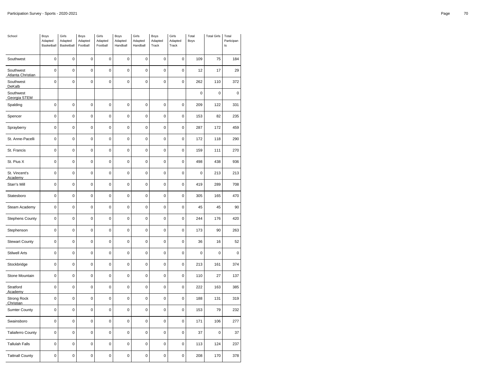| School                          | Boys<br>Adapted<br>Basketball | Girls<br>Adapted<br>Basketball | Boys<br>Adapted<br>Football | Girls<br>Adapted<br>Football | Boys<br>Adapted<br>Handball | Girls<br>Adapted<br>Handball | Boys<br>Adapted<br>Track | Girls<br>Adapted<br>Track | Total<br>Boys | <b>Total Girls</b> | Total<br>Participan<br>$t\mathbf{s}$ |
|---------------------------------|-------------------------------|--------------------------------|-----------------------------|------------------------------|-----------------------------|------------------------------|--------------------------|---------------------------|---------------|--------------------|--------------------------------------|
| Southwest                       | $\pmb{0}$                     | $\mathbf 0$                    | $\pmb{0}$                   | $\pmb{0}$                    | $\mathbf 0$                 | $\pmb{0}$                    | $\mathbf 0$              | $\pmb{0}$                 | 109           | 75                 | 184                                  |
| Southwest<br>Atlanta Christian  | $\mathbf 0$                   | $\mathbf 0$                    | $\mathbf 0$                 | $\mathbf 0$                  | $\mathbf 0$                 | $\mathbf 0$                  | $\mathbf 0$              | $\mathbf 0$               | 12            | 17                 | 29                                   |
| Southwest<br>DeKalb             | $\mathbf 0$                   | $\mathbf 0$                    | $\mathbf 0$                 | $\mathbf 0$                  | 0                           | $\mathbf 0$                  | $\mathbf 0$              | $\mathbf 0$               | 262           | 110                | 372                                  |
| Southwest<br>Georgia STEM       |                               |                                |                             |                              |                             |                              |                          |                           | 0             | 0                  | 0                                    |
| Spalding                        | $\mathbf 0$                   | $\mathbf 0$                    | $\mathbf 0$                 | $\mathbf 0$                  | 0                           | $\mathbf 0$                  | $\mathbf 0$              | $\mathbf 0$               | 209           | 122                | 331                                  |
| Spencer                         | $\pmb{0}$                     | $\mathbf 0$                    | $\pmb{0}$                   | $\pmb{0}$                    | 0                           | $\pmb{0}$                    | $\mathbf 0$              | $\pmb{0}$                 | 153           | 82                 | 235                                  |
| Sprayberry                      | $\pmb{0}$                     | $\mathbf 0$                    | $\pmb{0}$                   | $\pmb{0}$                    | $\mathbf 0$                 | $\mathbf 0$                  | $\mathbf 0$              | $\mathbf 0$               | 287           | 172                | 459                                  |
| St. Anne-Pacelli                | $\mathbf 0$                   | $\mathbf 0$                    | $\mathbf 0$                 | $\mathbf 0$                  | 0                           | $\mathbf 0$                  | $\mathbf 0$              | $\mathbf 0$               | 172           | 118                | 290                                  |
| St. Francis                     | $\pmb{0}$                     | 0                              | $\pmb{0}$                   | $\pmb{0}$                    | $\mathbf 0$                 | $\pmb{0}$                    | $\mathbf 0$              | $\pmb{0}$                 | 159           | 111                | 270                                  |
| St. Pius X                      | $\mathbf 0$                   | $\mathbf 0$                    | $\mathbf 0$                 | $\mathbf 0$                  | 0                           | $\mathbf 0$                  | $\mathbf 0$              | $\mathbf 0$               | 498           | 438                | 936                                  |
| St. Vincent's<br>Academy        | $\mathbf 0$                   | 0                              | $\mathbf 0$                 | $\mathbf 0$                  | 0                           | $\mathbf 0$                  | $\mathbf 0$              | $\mathbf 0$               | $\pmb{0}$     | 213                | 213                                  |
| Starr's Mill                    | $\pmb{0}$                     | $\mathbf 0$                    | $\pmb{0}$                   | $\pmb{0}$                    | $\pmb{0}$                   | $\pmb{0}$                    | $\mathbf 0$              | $\pmb{0}$                 | 419           | 289                | 708                                  |
| Statesboro                      | 0                             | $\mathbf 0$                    | $\mathbf 0$                 | $\mathbf 0$                  | 0                           | $\mathbf 0$                  | $\mathbf 0$              | $\mathbf 0$               | 305           | 165                | 470                                  |
| Steam Academy                   | $\mathbf 0$                   | $\mathbf 0$                    | $\mathbf 0$                 | $\mathbf 0$                  | 0                           | $\mathbf 0$                  | $\mathbf 0$              | $\mathbf 0$               | 45            | 45                 | 90                                   |
| <b>Stephens County</b>          | $\mathbf 0$                   | $\mathbf 0$                    | $\mathbf 0$                 | $\mathbf 0$                  | $\mathbf 0$                 | $\mathbf 0$                  | $\mathbf 0$              | $\mathbf 0$               | 244           | 176                | 420                                  |
| Stephenson                      | 0                             | $\mathbf 0$                    | $\mathbf 0$                 | $\mathbf 0$                  | 0                           | $\mathbf 0$                  | $\mathbf 0$              | $\mathbf 0$               | 173           | 90                 | 263                                  |
| <b>Stewart County</b>           | $\mathbf 0$                   | $\mathbf 0$                    | $\mathbf 0$                 | $\mathbf 0$                  | $\mathbf 0$                 | $\mathbf 0$                  | $\mathbf 0$              | $\mathbf 0$               | 36            | 16                 | 52                                   |
| <b>Stilwell Arts</b>            | $\mathbf 0$                   | $\mathbf 0$                    | $\mathbf 0$                 | $\mathbf 0$                  | $\mathbf 0$                 | $\mathbf 0$                  | $\mathbf 0$              | $\mathbf 0$               | $\mathbf 0$   | 0                  | $\pmb{0}$                            |
| Stockbridge                     | 0                             | $\mathbf 0$                    | $\mathbf 0$                 | $\mathbf 0$                  | $\mathbf 0$                 | $\mathbf 0$                  | $\mathbf 0$              | 0                         | 213           | 161                | 374                                  |
| Stone Mountain                  | $\pmb{0}$                     | $\mathbf 0$                    | $\mathbf 0$                 | $\mathbf 0$                  | $\pmb{0}$                   | $\pmb{0}$                    | $\mathbf 0$              | $\pmb{0}$                 | 110           | 27                 | 137                                  |
| Stratford<br>Academy            | $\mathbf 0$                   | $\mathbf 0$                    | $\mathbf 0$                 | $\mathbf 0$                  | 0                           | $\mathbf 0$                  | $\mathbf 0$              | $\mathbf 0$               | 222           | 163                | 385                                  |
| <b>Strong Rock</b><br>Christian | 0                             | $\mathbf 0$                    | $\mathbf 0$                 | $\mathbf 0$                  | 0                           | $\mathbf 0$                  | $\mathbf 0$              | $\mathbf 0$               | 188           | 131                | 319                                  |
| <b>Sumter County</b>            | $\mathbf 0$                   | $\mathbf 0$                    | $\mathbf 0$                 | $\mathbf 0$                  | 0                           | $\mathbf 0$                  | $\mathbf 0$              | $\mathbf 0$               | 153           | 79                 | 232                                  |
| Swainsboro                      | $\mathbf 0$                   | $\mathbf 0$                    | $\mathbf 0$                 | $\mathbf 0$                  | 0                           | $\mathbf 0$                  | $\mathbf 0$              | $\pmb{0}$                 | 171           | 106                | 277                                  |
| <b>Taliaferro County</b>        | $\mathbf 0$                   | $\mathbf 0$                    | $\mathbf 0$                 | 0                            | $\mathbf 0$                 | $\mathbf 0$                  | $\mathbf 0$              | 0                         | 37            | 0                  | 37                                   |
| <b>Tallulah Falls</b>           | $\mathbf 0$                   | $\mathbf 0$                    | $\mathbf 0$                 | $\mathbf 0$                  | 0                           | $\mathbf 0$                  | $\mathbf 0$              | $\pmb{0}$                 | 113           | 124                | 237                                  |
| <b>Tattnall County</b>          | 0                             | 0                              | $\pmb{0}$                   | $\mathbf 0$                  | $\mathbf 0$                 | $\mathbf 0$                  | $\mathbf 0$              | $\mathbf 0$               | 208           | 170                | 378                                  |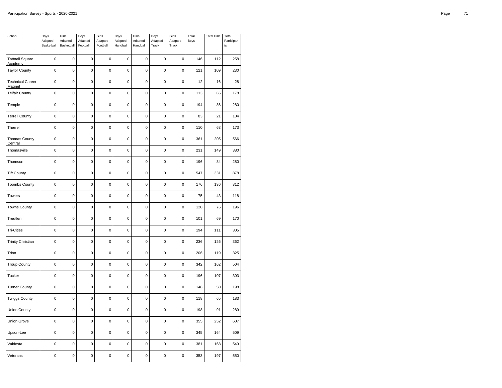| School                                   | Boys<br>Adapted<br>Basketball | Girls<br>Adapted<br>Basketball | Boys<br>Adapted<br>Football | Girls<br>Adapted<br>Football | Boys<br>Adapted<br>Handball | Girls<br>Adapted<br>Handball | Boys<br>Adapted<br>Track | Girls<br>Adapted<br>Track | Total<br>Boys | <b>Total Girls</b> | Total<br>Participan<br>$\sf{ts}$ |
|------------------------------------------|-------------------------------|--------------------------------|-----------------------------|------------------------------|-----------------------------|------------------------------|--------------------------|---------------------------|---------------|--------------------|----------------------------------|
| <b>Tattnall Square</b><br><b>Academy</b> | $\mathbf 0$                   | $\mathbf 0$                    | $\mathbf 0$                 | 0                            | $\mathbf 0$                 | 0                            | $\mathbf 0$              | $\mathbf 0$               | 146           | 112                | 258                              |
| <b>Taylor County</b>                     | $\mathbf 0$                   | $\mathbf 0$                    | $\mathbf 0$                 | $\pmb{0}$                    | $\mathbf 0$                 | 0                            | $\mathbf 0$              | $\pmb{0}$                 | 121           | 109                | 230                              |
| <b>Technical Career</b><br>Magnet        | $\mathbf 0$                   | $\mathbf 0$                    | $\mathbf 0$                 | $\mathbf 0$                  | $\mathbf 0$                 | 0                            | $\mathbf 0$              | $\mathbf 0$               | 12            | 16                 | 28                               |
| <b>Telfair County</b>                    | 0                             | $\mathbf 0$                    | 0                           | $\mathbf 0$                  | $\mathbf 0$                 | $\mathbf 0$                  | $\mathbf 0$              | $\mathbf 0$               | 113           | 65                 | 178                              |
| Temple                                   | $\mathbf 0$                   | $\mathbf 0$                    | $\mathbf 0$                 | $\mathbf 0$                  | $\mathbf 0$                 | 0                            | $\pmb{0}$                | $\pmb{0}$                 | 194           | 86                 | 280                              |
| <b>Terrell County</b>                    | $\mathbf 0$                   | $\mathsf{O}\xspace$            | $\pmb{0}$                   | $\pmb{0}$                    | $\mathbf 0$                 | $\mathsf 0$                  | $\mathbf 0$              | $\mathbf 0$               | 83            | 21                 | 104                              |
| Therrell                                 | $\mathbf 0$                   | $\mathbf 0$                    | $\mathbf 0$                 | $\mathbf 0$                  | $\mathbf 0$                 | 0                            | $\mathbf 0$              | $\pmb{0}$                 | 110           | 63                 | 173                              |
| <b>Thomas County</b><br>Central          | $\pmb{0}$                     | $\mathbf 0$                    | $\mathbf 0$                 | $\pmb{0}$                    | $\pmb{0}$                   | 0                            | $\mathbf 0$              | $\pmb{0}$                 | 361           | 205                | 566                              |
| Thomasville                              | 0                             | $\mathbf 0$                    | 0                           | $\pmb{0}$                    | $\pmb{0}$                   | $\pmb{0}$                    | 0                        | $\mathbf 0$               | 231           | 149                | 380                              |
| Thomson                                  | $\mathbf 0$                   | $\pmb{0}$                      | $\mathbf 0$                 | $\pmb{0}$                    | $\mathbf 0$                 | 0                            | $\pmb{0}$                | $\pmb{0}$                 | 196           | 84                 | 280                              |
| <b>Tift County</b>                       | $\pmb{0}$                     | $\mathbf 0$                    | $\pmb{0}$                   | $\pmb{0}$                    | $\pmb{0}$                   | 0                            | $\mathbf 0$              | $\pmb{0}$                 | 547           | 331                | 878                              |
| <b>Toombs County</b>                     | $\mathbf 0$                   | $\mathbf 0$                    | $\mathbf 0$                 | $\mathbf 0$                  | $\mathbf 0$                 | $\mathbf 0$                  | $\mathbf 0$              | $\mathbf 0$               | 176           | 136                | 312                              |
| Towers                                   | 0                             | $\pmb{0}$                      | $\mathbf 0$                 | $\mathbf 0$                  | $\mathbf 0$                 | 0                            | $\pmb{0}$                | $\pmb{0}$                 | 75            | 43                 | 118                              |
| <b>Towns County</b>                      | $\pmb{0}$                     | $\mathbf 0$                    | $\pmb{0}$                   | $\mathbf 0$                  | $\pmb{0}$                   | 0                            | $\mathbf 0$              | $\mathbf 0$               | 120           | 76                 | 196                              |
| Treutlen                                 | $\mathbf 0$                   | $\mathbf 0$                    | $\mathbf 0$                 | $\mathbf 0$                  | $\mathbf 0$                 | $\mathbf 0$                  | $\pmb{0}$                | $\mathbf 0$               | 101           | 69                 | 170                              |
| <b>Tri-Cities</b>                        | 0                             | $\mathbf 0$                    | $\pmb{0}$                   | $\mathbf 0$                  | $\mathbf 0$                 | 0                            | $\mathbf 0$              | $\mathbf 0$               | 194           | 111                | 305                              |
| <b>Trinity Christian</b>                 | $\mathbf 0$                   | $\mathbf 0$                    | $\mathbf 0$                 | $\mathbf 0$                  | $\mathbf 0$                 | 0                            | $\mathbf 0$              | $\pmb{0}$                 | 236           | 126                | 362                              |
| Trion                                    | $\mathbf 0$                   | $\mathbf 0$                    | $\mathbf 0$                 | $\mathbf 0$                  | $\mathbf 0$                 | 0                            | $\mathbf 0$              | 0                         | 206           | 119                | 325                              |
| <b>Troup County</b>                      | $\mathbf 0$                   | $\mathbf 0$                    | $\mathbf 0$                 | $\pmb{0}$                    | $\mathbf 0$                 | 0                            | $\mathbf 0$              | $\pmb{0}$                 | 342           | 162                | 504                              |
| Tucker                                   | $\mathbf 0$                   | $\mathbf 0$                    | $\mathbf 0$                 | $\pmb{0}$                    | $\mathbf 0$                 | 0                            | $\mathbf 0$              | $\pmb{0}$                 | 196           | 107                | 303                              |
| <b>Turner County</b>                     | 0                             | $\mathbf 0$                    | 0                           | $\mathbf 0$                  | $\pmb{0}$                   | $\mathbf 0$                  | 0                        | 0                         | 148           | 50                 | 198                              |
| <b>Twiggs County</b>                     | $\mathbf 0$                   | $\mathbf 0$                    | $\mathbf 0$                 | $\mathbf 0$                  | $\mathbf 0$                 | 0                            | $\mathbf 0$              | $\pmb{0}$                 | 118           | 65                 | 183                              |
| <b>Union County</b>                      | $\pmb{0}$                     | $\mathbf 0$                    | $\pmb{0}$                   | $\pmb{0}$                    | $\mathbf 0$                 | 0                            | $\mathbf 0$              | $\mathbf 0$               | 198           | 91                 | 289                              |
| Union Grove                              | $\mathbf 0$                   | $\mathbf 0$                    | $\mathbf 0$                 | $\mathbf 0$                  | $\mathbf 0$                 | 0                            | $\mathbf 0$              | $\mathbf 0$               | 355           | 252                | 607                              |
| Upson-Lee                                | $\pmb{0}$                     | $\mathbf 0$                    | $\mathbf 0$                 | $\pmb{0}$                    | $\pmb{0}$                   | 0                            | $\pmb{0}$                | $\pmb{0}$                 | 345           | 164                | 509                              |
| Valdosta                                 | 0                             | $\mathbf 0$                    | 0                           | $\pmb{0}$                    | $\mathbf 0$                 | $\pmb{0}$                    | $\mathbf 0$              | $\pmb{0}$                 | 381           | 168                | 549                              |
| Veterans                                 | $\mathbf 0$                   | $\pmb{0}$                      | $\mathbf 0$                 | $\mathbf 0$                  | $\mathbf 0$                 | 0                            | 0                        | 0                         | 353           | 197                | 550                              |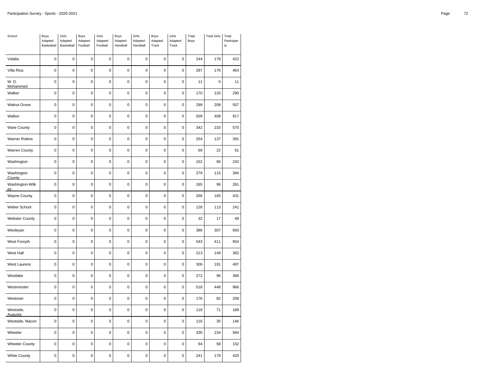| School                | Boys<br>Adapted<br>Basketball | Girls<br>Adapted<br>Basketball | Boys<br>Adapted<br>Football | Girls<br>Adapted<br>Football | Boys<br>Adapted<br>Handball | Girls<br>Adapted<br>Handball | Boys<br>Adapted<br>Track | Girls<br>Adapted<br>Track | Total<br>Boys | <b>Total Girls</b> | Total<br>Participan<br>ts |
|-----------------------|-------------------------------|--------------------------------|-----------------------------|------------------------------|-----------------------------|------------------------------|--------------------------|---------------------------|---------------|--------------------|---------------------------|
| Vidalia               | $\mathbf 0$                   | $\mathbf 0$                    | 0                           | 0                            | $\mathbf 0$                 | 0                            | $\mathbf 0$              | $\mathbf 0$               | 244           | 178                | 422                       |
| Villa Rica            | $\mathbf 0$                   | $\mathbf 0$                    | $\mathbf 0$                 | 0                            | $\pmb{0}$                   | 0                            | $\pmb{0}$                | $\mathbf 0$               | 287           | 176                | 463                       |
| W. D.<br>Mohammed     | $\mathbf 0$                   | $\mathbf 0$                    | $\mathbf 0$                 | $\mathbf 0$                  | $\mathbf 0$                 | 0                            | $\pmb{0}$                | $\pmb{0}$                 | 11            | 0                  | 11                        |
| Walker                | 0                             | $\pmb{0}$                      | $\mathbf 0$                 | $\mathbf 0$                  | $\pmb{0}$                   | 0                            | $\mathbf 0$              | $\mathbf 0$               | 170           | 120                | 290                       |
| <b>Walnut Grove</b>   | $\mathbf 0$                   | $\mathbf 0$                    | $\mathbf 0$                 | $\pmb{0}$                    | $\pmb{0}$                   | $\pmb{0}$                    | $\mathbf 0$              | $\pmb{0}$                 | 299           | 208                | 507                       |
| Walton                | $\mathbf 0$                   | $\mathbf 0$                    | $\mathbf 0$                 | $\mathbf 0$                  | $\mathbf 0$                 | 0                            | $\mathbf 0$              | $\pmb{0}$                 | 509           | 408                | 917                       |
| <b>Ware County</b>    | 0                             | $\mathbf 0$                    | 0                           | 0                            | $\mathbf 0$                 | 0                            | $\mathbf 0$              | 0                         | 342           | 233                | 575                       |
| Warner Robins         | $\pmb{0}$                     | $\mathbf 0$                    | $\mathbf 0$                 | $\pmb{0}$                    | $\pmb{0}$                   | $\pmb{0}$                    | $\mathbf 0$              | $\pmb{0}$                 | 254           | 137                | 391                       |
| <b>Warren County</b>  | 0                             | $\pmb{0}$                      | $\mathbf 0$                 | $\mathbf 0$                  | $\mathbf 0$                 | 0                            | $\pmb{0}$                | $\pmb{0}$                 | 69            | 22                 | 91                        |
| Washington            | $\mathbf 0$                   | $\pmb{0}$                      | 0                           | $\mathbf 0$                  | $\mathbf 0$                 | 0                            | 0                        | $\mathbf 0$               | 152           | 90                 | 242                       |
| Washington<br>County  | $\mathbf 0$                   | $\mathbf 0$                    | $\mathbf 0$                 | $\mathbf 0$                  | $\mathbf 0$                 | 0                            | $\pmb{0}$                | $\pmb{0}$                 | 279           | 115                | 394                       |
| Washington-Wilk<br>es | $\mathbf 0$                   | $\mathbf 0$                    | $\mathbf 0$                 | $\mathbf 0$                  | $\mathbf 0$                 | 0                            | $\mathbf 0$              | $\pmb{0}$                 | 165           | 96                 | 261                       |
| <b>Wayne County</b>   | $\mathbf 0$                   | $\mathbf 0$                    | 0                           | 0                            | $\mathbf 0$                 | 0                            | $\mathbf 0$              | 0                         | 266           | 165                | 431                       |
| Weber School          | $\mathbf 0$                   | $\mathbf 0$                    | $\mathbf 0$                 | $\mathbf 0$                  | $\mathbf 0$                 | 0                            | $\mathbf 0$              | $\mathbf 0$               | 128           | 113                | 241                       |
| <b>Webster County</b> | $\mathbf 0$                   | $\mathbf 0$                    | $\mathbf 0$                 | $\mathbf 0$                  | $\mathbf 0$                 | 0                            | $\mathbf 0$              | $\pmb{0}$                 | 32            | 17                 | 49                        |
| Wesleyan              | 0                             | $\mathbf 0$                    | 0                           | 0                            | $\pmb{0}$                   | 0                            | 0                        | 0                         | 386           | 307                | 693                       |
| West Forsyth          | $\mathbf 0$                   | $\mathbf 0$                    | $\mathbf 0$                 | $\mathbf 0$                  | $\mathbf 0$                 | $\mathbf 0$                  | $\pmb{0}$                | $\pmb{0}$                 | 543           | 411                | 954                       |
| West Hall             | $\mathbf 0$                   | $\mathbf 0$                    | $\pmb{0}$                   | $\pmb{0}$                    | $\mathbf 0$                 | 0                            | $\mathbf 0$              | $\pmb{0}$                 | 213           | 149                | 362                       |
| <b>West Laurens</b>   | 0                             | $\mathbf 0$                    | 0                           | 0                            | $\mathbf 0$                 | 0                            | $\mathbf 0$              | 0                         | 306           | 191                | 497                       |
| Westlake              | $\mathbf 0$                   | $\mathbf 0$                    | $\mathbf 0$                 | $\mathbf 0$                  | $\mathbf 0$                 | 0                            | $\mathbf 0$              | $\pmb{0}$                 | 272           | 96                 | 368                       |
| Westminster           | 0                             | $\mathbf 0$                    | $\mathbf 0$                 | $\pmb{0}$                    | $\mathbf 0$                 | 0                            | $\mathbf 0$              | $\pmb{0}$                 | 518           | 448                | 966                       |
| Westover              | 0                             | $\mathbf 0$                    | 0                           | $\mathbf 0$                  | $\mathbf 0$                 | $\mathbf 0$                  | 0                        | $\mathbf 0$               | 176           | 82                 | 258                       |
| Westside,<br>Augusta  | $\mathbf 0$                   | $\mathbf 0$                    | $\mathbf 0$                 | $\pmb{0}$                    | $\mathbf 0$                 | 0                            | $\pmb{0}$                | $\pmb{0}$                 | 118           | 71                 | 189                       |
| Westside, Macon       | $\pmb{0}$                     | $\mathbf 0$                    | $\mathbf 0$                 | $\pmb{0}$                    | $\mathbf 0$                 | 0                            | $\pmb{0}$                | $\mathbf 0$               | 116           | 30                 | 146                       |
| Wheeler               | $\mathbf 0$                   | $\mathbf 0$                    | $\mathbf 0$                 | 0                            | $\mathbf 0$                 | $\mathbf 0$                  | $\mathbf 0$              | 0                         | 330           | 234                | 564                       |
| Wheeler County        | $\mathbf 0$                   | $\mathbf 0$                    | $\mathbf 0$                 | $\pmb{0}$                    | $\pmb{0}$                   | $\mathbf 0$                  | $\mathbf 0$              | $\pmb{0}$                 | 94            | 58                 | 152                       |
| <b>White County</b>   | $\mathbf 0$                   | $\mathbf 0$                    | $\mathbf 0$                 | $\mathbf 0$                  | $\mathbf 0$                 | 0                            | $\pmb{0}$                | $\mathbf 0$               | 241           | 179                | 420                       |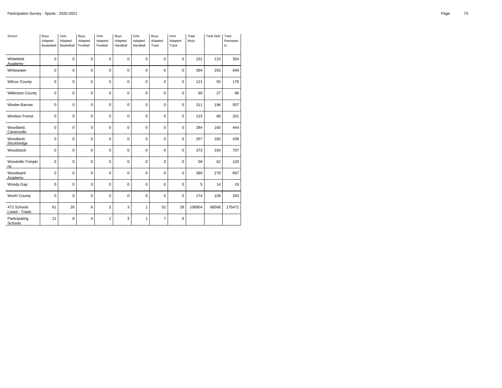| School                         | Boys<br>Adapted<br>Basketball | Girls<br>Adapted<br>Basketball | Boys<br>Adapted<br>Football | Girls<br>Adapted<br>Football | Boys<br>Adapted<br>Handball | Girls<br>Adapted<br>Handball | Boys<br>Adapted<br>Track | Girls<br>Adapted<br>Track | Total<br><b>Boys</b> | <b>Total Girls</b> | Total<br>Participan<br>ts |
|--------------------------------|-------------------------------|--------------------------------|-----------------------------|------------------------------|-----------------------------|------------------------------|--------------------------|---------------------------|----------------------|--------------------|---------------------------|
| Whitefield<br>Academy          | 0                             | $\mathbf 0$                    | 0                           | 0                            | 0                           | $\mathbf 0$                  | $\mathbf 0$              | 0                         | 231                  | 123                | 354                       |
| Whitewater                     | 0                             | $\mathbf 0$                    | $\mathbf 0$                 | 0                            | 0                           | $\Omega$                     | $\mathbf 0$              | $\mathbf 0$               | 394                  | 255                | 649                       |
| <b>Wilcox County</b>           | 0                             | $\mathbf 0$                    | $\mathbf 0$                 | $\mathbf 0$                  | $\mathbf 0$                 | $\mathbf 0$                  | $\mathbf 0$              | $\mathbf 0$               | 121                  | 55                 | 176                       |
| <b>Wilkinson County</b>        | 0                             | $\mathbf 0$                    | $\mathbf 0$                 | $\mathbf 0$                  | 0                           | $\mathbf 0$                  | $\mathbf 0$              | $\mathbf 0$               | 69                   | 27                 | 96                        |
| Winder-Barrow                  | 0                             | $\mathbf 0$                    | $\mathbf 0$                 | $\mathbf 0$                  | 0                           | $\mathbf 0$                  | $\mathbf 0$              | $\mathbf 0$               | 311                  | 196                | 507                       |
| <b>Windsor Forest</b>          | 0                             | $\mathbf 0$                    | 0                           | 0                            | 0                           | $\mathbf 0$                  | 0                        | 0                         | 133                  | 68                 | 201                       |
| Woodland.<br>Cartersville      | 0                             | $\mathbf 0$                    | $\mathbf 0$                 | $\mathbf 0$                  | 0                           | $\Omega$                     | $\mathbf 0$              | $\mathbf 0$               | 284                  | 160                | 444                       |
| Woodland.<br>Stockbridge       | 0                             | $\mathbf 0$                    | $\Omega$                    | $\Omega$                     | $\Omega$                    | $\Omega$                     | $\mathbf 0$              | $\mathbf 0$               | 257                  | 182                | 439                       |
| Woodstock                      | 0                             | $\mathbf 0$                    | $\mathbf 0$                 | $\mathbf 0$                  | 0                           | $\mathbf 0$                  | $\mathbf 0$              | $\mathbf 0$               | 373                  | 334                | 707                       |
| Woodville-Tompki<br>ns         | 0                             | $\mathbf 0$                    | $\mathbf 0$                 | $\mathbf 0$                  | $\mathbf 0$                 | $\mathbf 0$                  | $\mathbf 0$              | $\mathbf 0$               | 58                   | 62                 | 120                       |
| Woodward<br>Academy            | 0                             | $\mathbf 0$                    | 0                           | $\mathbf 0$                  | 0                           | $\mathbf 0$                  | $\mathbf 0$              | 0                         | 389                  | 278                | 667                       |
| Woody Gap                      | 0                             | $\mathbf 0$                    | $\mathbf 0$                 | 0                            | 0                           | $\mathbf 0$                  | $\mathbf 0$              | $\mathbf 0$               | 5                    | 14                 | 19                        |
| Worth County                   | 0                             | $\mathbf 0$                    | $\mathbf 0$                 | $\mathbf 0$                  | 0                           | $\mathbf 0$                  | $\mathbf 0$              | $\mathbf 0$               | 174                  | 109                | 283                       |
| 472 Schools<br>Listed - Totals | 61                            | 26                             | 6                           | $\overline{2}$               | 3                           | 1                            | 52                       | 29                        | 106904               | 68568              | 175472                    |
| Participating<br>Schools       | 11                            | 8                              | 4                           | $\overline{2}$               | 3                           | 1                            | $\overline{7}$           | 6                         |                      |                    |                           |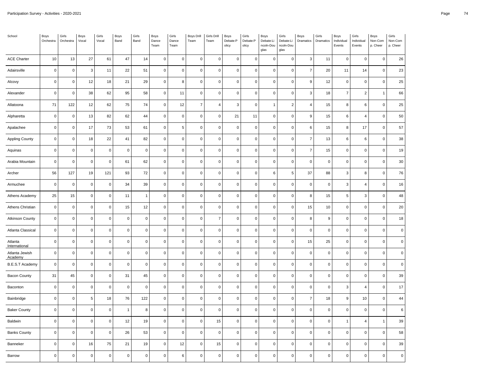| School                    | Boys<br>Orchestra | Girls<br>Orchestra  | Boys<br>Vocal       | Girls<br>Vocal | Boys<br>Band   | Girls<br>Band  | Boys<br>Dance<br>Team | Girls<br>Dance<br>Team | <b>Boys Drill</b><br>Team | Girls Drill<br>Team | Boys<br>Debate:P<br>olicy | Girls<br>Debate:P<br>olicy | Boys<br>Debate:Li<br>ncoln-Dou<br>glas | Girls<br>Debate:Li<br>ncoln-Dou<br>glas | Boys<br>Dramatics | Girls<br>Dramatics  | Boys<br>Individual<br>Events | Girls<br>Individual<br>Events | Boys<br>Non-Com<br>p. Cheer | Girls<br>Non-Com<br>p. Cheer |
|---------------------------|-------------------|---------------------|---------------------|----------------|----------------|----------------|-----------------------|------------------------|---------------------------|---------------------|---------------------------|----------------------------|----------------------------------------|-----------------------------------------|-------------------|---------------------|------------------------------|-------------------------------|-----------------------------|------------------------------|
| <b>ACE Charter</b>        | $10$              | 13                  | 27                  | 61             | 47             | 14             | $\mathsf{O}\xspace$   | $\mathsf{O}\xspace$    | $\mathbf 0$               | $\pmb{0}$           | $\pmb{0}$                 | $\mathsf 0$                | $\pmb{0}$                              | $\mathbf 0$                             | $\mathbf{3}$      | 11                  | $\mathsf 0$                  | $\mathbf 0$                   | $\mathbf 0$                 | 26                           |
| Adairsville               | $\mathbf 0$       | $\mathsf{O}\xspace$ | $\mathbf{3}$        | 11             | 22             | 51             | $\mathsf 0$           | $\mathbf 0$            | $\mathbf 0$               | $\pmb{0}$           | $\mathbf 0$               | $\mathsf{O}\xspace$        | $\mathsf 0$                            | $\mathsf 0$                             | $\overline{7}$    | 20                  | 11                           | 14                            | $\mathbf 0$                 | 23                           |
| Alcovy                    | $\mathbf 0$       | $\mathsf{O}\xspace$ | 12                  | 18             | 21             | 29             | $\mathsf{O}\xspace$   | 8                      | $\mathbf 0$               | $\mathbf 0$         | $\mathbf 0$               | 0                          | $\mathbf 0$                            | 0                                       | 9                 | 12                  | $\mathbf 0$                  | $\mathbf 0$                   | $\Omega$                    | 25                           |
| Alexander                 | $\mathbf 0$       | $\mathsf 0$         | 38                  | 62             | 95             | 58             | $\mathsf 0$           | 11                     | $\mathbf 0$               | $\pmb{0}$           | $\mathbf 0$               | $\mathsf 0$                | $\mathsf 0$                            | $\mathbf 0$                             | 3                 | 18                  | $\overline{7}$               | $\overline{2}$                | $\overline{1}$              | 66                           |
| Allatoona                 | 71                | 122                 | 12                  | 62             | 75             | 74             | $\mathsf 0$           | 12                     | $\overline{7}$            | $\overline{4}$      | $\mathbf{3}$              | 0                          | $\mathbf{1}$                           | $\overline{2}$                          | $\overline{4}$    | 15                  | 8                            | 6                             | $\mathbf 0$                 | 25                           |
| Alpharetta                | $\mathbf 0$       | $\pmb{0}$           | 13                  | 82             | 62             | 44             | $\mathsf{O}\xspace$   | $\mathbf{0}$           | $\mathbf 0$               | $\mathbf 0$         | 21                        | 11                         | $\mathsf 0$                            | $\mathbf 0$                             | 9                 | 15                  | 6                            | $\overline{4}$                | $\mathbf 0$                 | 50                           |
| Apalachee                 | $\pmb{0}$         | $\mathsf 0$         | 17                  | 73             | 53             | 61             | $\mathsf 0$           | 5                      | $\pmb{0}$                 | $\pmb{0}$           | $\pmb{0}$                 | $\mathsf 0$                | $\mathbf 0$                            | $\mathsf 0$                             | 6                 | 15                  | 8                            | 17                            | $\pmb{0}$                   | 57                           |
| <b>Appling County</b>     | $\pmb{0}$         | $\mathsf{O}\xspace$ | 18                  | 22             | 41             | 82             | $\mathsf 0$           | $\mathsf{O}\xspace$    | $\pmb{0}$                 | $\pmb{0}$           | $\pmb{0}$                 | $\pmb{0}$                  | $\pmb{0}$                              | $\mathbf 0$                             | $\overline{7}$    | 13                  | 6                            | $\,6$                         | $\Omega$                    | 38                           |
| Aquinas                   | $\mathbf 0$       | $\mathsf 0$         | $\mathbf 0$         | $\mathbf 0$    | $\mathbf 0$    | $\pmb{0}$      | $\mathsf 0$           | $\mathsf 0$            | $\mathbf 0$               | $\mathbf 0$         | $\mathbf 0$               | 0                          | $\mathsf 0$                            | $\mathbf 0$                             | $\overline{7}$    | 15                  | $\mathsf 0$                  | $\mathbf 0$                   | $\mathbf 0$                 | 19                           |
| Arabia Mountain           | $\pmb{0}$         | $\mathsf 0$         | $\mathbf 0$         | $\pmb{0}$      | 61             | 62             | $\mathsf 0$           | $\mathbf 0$            | $\pmb{0}$                 | $\pmb{0}$           | $\pmb{0}$                 | $\pmb{0}$                  | $\mathsf{O}\xspace$                    | $\pmb{0}$                               | $\pmb{0}$         | $\pmb{0}$           | $\mathsf 0$                  | $\mathsf{O}\xspace$           | $\pmb{0}$                   | 30                           |
| Archer                    | 56                | 127                 | 19                  | 121            | 93             | 72             | $\mathsf{O}\xspace$   | $\mathbf 0$            | $\mathbf 0$               | $\mathbf 0$         | $\mathbf 0$               | 0                          | 6                                      | 5                                       | 37                | 88                  | 3                            | 8                             | $\mathbf 0$                 | 76                           |
| Armuchee                  | $\pmb{0}$         | $\pmb{0}$           | $\mathbf 0$         | $\mathbf 0$    | 34             | 39             | $\mathsf{O}\xspace$   | $\mathbf 0$            | $\pmb{0}$                 | $\pmb{0}$           | $\pmb{0}$                 | $\mathsf 0$                | $\mathbf 0$                            | $\mathsf 0$                             | $\pmb{0}$         | $\pmb{0}$           | $\mathbf{3}$                 | $\overline{4}$                | $\mathbf 0$                 | 16                           |
| Athens Academy            | 25                | 15                  | $\mathbf 0$         | $\mathbf 0$    | 11             | $\overline{1}$ | $\mathsf{O}\xspace$   | $\mathsf 0$            | $\mathbf 0$               | $\mathbf 0$         | $\mathbf 0$               | $\pmb{0}$                  | $\mathsf 0$                            | $\mathsf 0$                             | 8                 | 15                  | 5                            | 3                             | $\mathsf 0$                 | 48                           |
| Athens Christian          | $\mathbf 0$       | $\mathsf{O}\xspace$ | $\mathbf 0$         | $\mathbf 0$    | 15             | 12             | $\mathsf 0$           | $\mathsf 0$            | $\mathbf 0$               | $\mathbf 0$         | $\mathbf 0$               | 0                          | $\mathbf 0$                            | $\mathsf 0$                             | 15                | 10                  | $\mathsf 0$                  | $\pmb{0}$                     | $\mathbf 0$                 | 20                           |
| <b>Atkinson County</b>    | $\mathbf 0$       | $\mathsf 0$         | $\mathbf 0$         | $\mathbf 0$    | $\mathbf 0$    | $\pmb{0}$      | $\mathsf 0$           | $\mathsf 0$            | $\mathbf 0$               | $\overline{7}$      | $\mathbf 0$               | $\mathsf 0$                | $\mathbf 0$                            | $\mathbf 0$                             | 8                 | $\boldsymbol{9}$    | $\mathsf 0$                  | $\mathbf 0$                   | $\mathbf 0$                 | 18                           |
| Atlanta Classical         | $\mathbf 0$       | $\mathsf{O}\xspace$ | $\mathbf 0$         | $\mathbf 0$    | $\mathbf 0$    | $\pmb{0}$      | $\mathsf 0$           | $\mathbf 0$            | $\mathbf 0$               | $\pmb{0}$           | $\mathbf 0$               | 0                          | $\mathsf 0$                            | $\mathsf 0$                             | $\mathbf 0$       | $\pmb{0}$           | $\mathsf 0$                  | $\mathsf 0$                   | $\mathbf 0$                 | $\pmb{0}$                    |
| Atlanta<br>International  | $\mathbf 0$       | $\mathsf 0$         | $\mathbf 0$         | $\mathbf 0$    | $\mathbf 0$    | $\pmb{0}$      | $\mathsf 0$           | $\mathbf 0$            | $\mathbf 0$               | $\overline{0}$      | $\mathbf 0$               | 0                          | $\mathsf 0$                            | $\mathbf 0$                             | 15                | 25                  | $\mathsf 0$                  | $\mathbf 0$                   | $\Omega$                    | $\mathbf 0$                  |
| Atlanta Jewish<br>Academy | $\mathbf 0$       | $\mathsf 0$         | $\mathbf 0$         | $\mathbf 0$    | $\mathbf 0$    | $\pmb{0}$      | $\mathsf 0$           | $\mathsf 0$            | $\mathbf 0$               | $\pmb{0}$           | $\mathbf 0$               | 0                          | $\mathsf 0$                            | $\mathbf 0$                             | $\mathbf 0$       | $\pmb{0}$           | $\mathsf 0$                  | $\mathbf 0$                   | $\mathbf 0$                 | $\pmb{0}$                    |
| <b>B.E.S.T Academy</b>    | $\pmb{0}$         | $\mathsf{O}\xspace$ | $\mathbf 0$         | $\mathbf 0$    | $\Omega$       | $\pmb{0}$      | $\mathsf{O}\xspace$   | $\mathbf 0$            | $\mathbf 0$               | $\pmb{0}$           | $\pmb{0}$                 | 0                          | $\mathbf 0$                            | $\mathsf 0$                             | $\pmb{0}$         | $\pmb{0}$           | $\mathsf 0$                  | $\mathbf 0$                   | $\Omega$                    | $\pmb{0}$                    |
| <b>Bacon County</b>       | 31                | 45                  | $\mathbf 0$         | $\mathbf 0$    | 31             | 45             | $\mathsf 0$           | $\mathsf 0$            | $\mathbf 0$               | $\mathbf 0$         | $\mathbf 0$               | 0                          | $\mathbf 0$                            | $\mathbf 0$                             | $\mathbf 0$       | $\mathbf 0$         | $\mathsf 0$                  | $\mathbf 0$                   | $\Omega$                    | 39                           |
| Baconton                  | $\pmb{0}$         | $\mathsf 0$         | $\mathbf 0$         | $\mathbf 0$    | $\mathbf 0$    | $\pmb{0}$      | $\mathsf 0$           | $\mathbf 0$            | $\pmb{0}$                 | $\pmb{0}$           | $\pmb{0}$                 | 0                          | $\mathbf 0$                            | $\mathsf 0$                             | $\pmb{0}$         | $\mathsf 0$         | 3                            | $\overline{4}$                | $\mathbf 0$                 | 17                           |
| Bainbridge                | $\mathbf 0$       | $\mathsf{O}\xspace$ | $\sqrt{5}$          | 18             | 76             | 122            | $\mathsf 0$           | $\mathbf 0$            | $\mathbf 0$               | $\mathbf 0$         | $\mathbf 0$               | 0                          | $\mathsf 0$                            | $\pmb{0}$                               | $\overline{7}$    | 18                  | 9                            | 10                            | $\mathbf 0$                 | 44                           |
| <b>Baker County</b>       | $\mathbf 0$       | $\mathsf 0$         | $\mathbf 0$         | $\mathbf 0$    | $\mathbf{1}$   | 8              | $\mathsf 0$           | $\mathsf 0$            | $\mathbf 0$               | $\pmb{0}$           | $\mathbf 0$               | $\mathsf{O}\xspace$        | $\mathsf 0$                            | $\mathbf 0$                             | $\mathbf 0$       | $\mathsf{O}\xspace$ | $\mathsf 0$                  | $\mathbf 0$                   | $\Omega$                    | $\,6\,$                      |
| Baldwin                   | $\mathbf 0$       | $\mathsf 0$         | $\mathbf 0$         | $\mathbf 0$    | 12             | 19             | $\mathsf 0$           | $\mathsf 0$            | $\mathbf 0$               | 15                  | $\mathbf 0$               | $\mathsf 0$                | $\mathsf 0$                            | $\mathsf 0$                             | $\mathbf 0$       | $\mathsf{O}\xspace$ | 1                            | $\overline{4}$                | $\mathbf{1}$                | 39                           |
| <b>Banks County</b>       | $\mathbf 0$       | $\mathsf 0$         | $\pmb{0}$           | $\mathbf 0$    | 26             | 53             | $\mathsf 0$           | $\mathsf 0$            | $\mathbf 0$               | $\mathbf 0$         | $\mathbf 0$               | 0                          | $\mathbf 0$                            | $\mathbf 0$                             | $\mathbf 0$       | $\mathbf 0$         | $\mathsf 0$                  | $\mathbf 0$                   | $\mathbf 0$                 | 58                           |
| Banneker                  | $\pmb{0}$         | $\mathsf 0$         | 16                  | ${\bf 75}$     | 21             | 19             | $\mathsf 0$           | 12                     | $\mathbf 0$               | 15                  | $\pmb{0}$                 | 0                          | $\mathsf 0$                            | $\mathbf 0$                             | $\pmb{0}$         | $\pmb{0}$           | $\mathsf 0$                  | $\mathbf 0$                   | $\mathbf 0$                 | 39                           |
| Barrow                    | $\mathbf 0$       | $\mathsf{O}\xspace$ | $\mathsf{O}\xspace$ | $\mathbf 0$    | $\overline{0}$ | $\mathbf 0$    | $\mathsf 0$           | 6                      | $\mathbf 0$               | $\mathbf 0$         | $\mathbf 0$               | 0                          | $\mathsf 0$                            | $\pmb{0}$                               | $\mathbf 0$       | $\pmb{0}$           | $\mathsf{O}\xspace$          | $\mathbf 0$                   | $\mathbf 0$                 | $\pmb{0}$                    |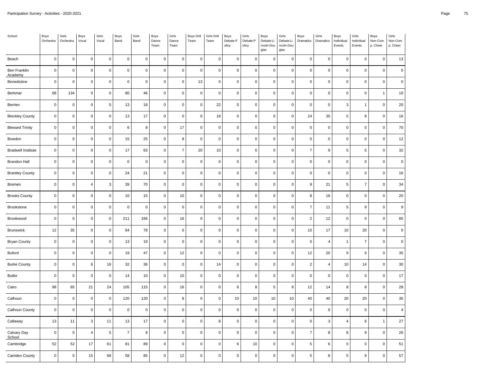| School                    | Boys<br>Orchestra | Girls<br>Orchestra  | Boys<br>Vocal  | Girls<br>Vocal | Boys<br>Band   | Girls<br>Band | Boys<br>Dance<br>Team | Girls<br>Dance<br>Team | Boys Drill<br>Team | Girls Drill<br>Team | Boys<br>Debate:P<br>olicy | Girls<br>Debate:P<br>olicy | Boys<br>Debate:Li<br>ncoln-Dou<br>glas | Girls<br>Debate:Li<br>ncoln-Dou<br>glas | Boys<br>Dramatics | Girls<br>Dramatics        | Boys<br>Individual<br>Events | Girls<br>Individual<br>Events | Boys<br>Non-Com<br>p. Cheer | Girls<br>Non-Com<br>p. Cheer |
|---------------------------|-------------------|---------------------|----------------|----------------|----------------|---------------|-----------------------|------------------------|--------------------|---------------------|---------------------------|----------------------------|----------------------------------------|-----------------------------------------|-------------------|---------------------------|------------------------------|-------------------------------|-----------------------------|------------------------------|
| Beach                     | $\mathbf 0$       | $\mathsf{O}\xspace$ | $\mathsf 0$    | $\mathbf 0$    | $\mathbf 0$    | $\pmb{0}$     | $\mathsf 0$           | $\mathbf 0$            | $\pmb{0}$          | $\pmb{0}$           | $\pmb{0}$                 | $\pmb{0}$                  | $\mathsf 0$                            | $\pmb{0}$                               | $\mathbf 0$       | $\pmb{0}$                 | 0                            | $\mathbf 0$                   | $\mathbf 0$                 | 13                           |
| Ben Franklin<br>Academy   | $\mathbf 0$       | $\mathsf 0$         | $\mathsf 0$    | $\mathsf 0$    | $\mathbf 0$    | $\pmb{0}$     | $\mathsf 0$           | $\mathbf 0$            | $\mathbf 0$        | $\mathbf 0$         | $\mathbf 0$               | $\mathsf 0$                | $\mathbf 0$                            | $\mathbf 0$                             | $\mathbf 0$       | $\mathbf 0$               | $\mathsf 0$                  | $\mathbf 0$                   | $\mathsf 0$                 | $\mathbf 0$                  |
| Benedictine               | $\mathbf 0$       | $\mathsf 0$         | $\mathbf 0$    | $\mathbf 0$    | $\Omega$       | $\mathbf 0$   | $\mathsf{O}\xspace$   | $\mathbf 0$            | 13                 | $\mathbf 0$         | $\mathbf 0$               | 0                          | $\mathbf 0$                            | $\mathbf 0$                             | $\mathbf 0$       | $\mathbf 0$               | $\pmb{0}$                    | $\mathbf 0$                   | 0                           | $\mathsf 0$                  |
| Berkmar                   | 68                | 134                 | $\mathbf 0$    | $\mathsf 0$    | 80             | 46            | $\mathsf{O}\xspace$   | $\mathbf 0$            | $\mathbf 0$        | $\mathbf 0$         | $\pmb{0}$                 | $\pmb{0}$                  | $\mathsf 0$                            | $\mathbf 0$                             | $\mathbf 0$       | $\mathbf 0$               | $\mathsf 0$                  | $\mathbf 0$                   | $\overline{1}$              | 10                           |
| Berrien                   | $\mathbf 0$       | $\mathsf{O}\xspace$ | $\mathbf 0$    | $\mathbf 0$    | 13             | 18            | $\mathsf{O}\xspace$   | $\mathbf 0$            | $\pmb{0}$          | 22                  | $\pmb{0}$                 | 0                          | $\mathbf 0$                            | $\pmb{0}$                               | $\mathbf 0$       | $\pmb{0}$                 | 3                            | $\mathbf{1}$                  | $\mathsf 0$                 | 20                           |
| <b>Bleckley County</b>    | $\mathbf 0$       | $\pmb{0}$           | $\mathsf 0$    | $\mathbf 0$    | 13             | 17            | $\mathsf 0$           | $\mathbf 0$            | $\mathbf 0$        | $18\,$              | $\mathbf 0$               | 0                          | $\mathbf 0$                            | $\mathbf 0$                             | 24                | 35                        | $\,$ 5 $\,$                  | 8                             | $\mathbf 0$                 | 16                           |
| <b>Blessed Trinity</b>    | $\pmb{0}$         | $\mathsf 0$         | $\mathbf 0$    | $\mathsf 0$    | 6              | 8             | $\mathsf 0$           | 17                     | $\pmb{0}$          | $\mathbf 0$         | $\pmb{0}$                 | 0                          | $\mathbf 0$                            | $\pmb{0}$                               | $\pmb{0}$         | $\pmb{0}$                 | $\mathsf 0$                  | $\mathbf 0$                   | $\mathsf 0$                 | 70                           |
| Bowdon                    | $\mathbf 0$       | $\mathsf{O}\xspace$ | $\pmb{0}$      | $\mathbf 0$    | 15             | 25            | $\mathsf{O}\xspace$   | 8                      | $\pmb{0}$          | $\mathbf 0$         | $\pmb{0}$                 | $\pmb{0}$                  | $\mathbf 0$                            | $\pmb{0}$                               | $\mathbf 0$       | $\pmb{0}$                 | $\mathsf 0$                  | $\pmb{0}$                     | $\pmb{0}$                   | 12                           |
| <b>Bradwell Institute</b> | $\mathbf 0$       | $\mathsf 0$         | $\mathsf 0$    | $\mathsf 0$    | 17             | 63            | $\mathsf 0$           | $\overline{7}$         | 20                 | 10                  | $\mathbf 0$               | 0                          | $\mathbf 0$                            | $\mathbf 0$                             | $\overline{7}$    | $\mathsf g$               | 5                            | 5                             | $\mathsf 0$                 | 32                           |
| <b>Brandon Hall</b>       | $\pmb{0}$         | $\mathsf 0$         | $\mathsf 0$    | $\mathsf 0$    | $\pmb{0}$      | $\pmb{0}$     | $\mathsf 0$           | $\mathbf 0$            | $\pmb{0}$          | $\mathbf 0$         | $\pmb{0}$                 | $\pmb{0}$                  | $\mathbf 0$                            | $\pmb{0}$                               | $\pmb{0}$         | $\pmb{0}$                 | $\mathsf 0$                  | $\mathbf 0$                   | $\pmb{0}$                   | $\mathbf 0$                  |
| <b>Brantley County</b>    | $\mathbf 0$       | $\mathsf 0$         | $\mathsf 0$    | $\mathsf 0$    | 24             | 21            | $\mathsf 0$           | $\mathsf 0$            | $\mathbf 0$        | $\mathbf 0$         | $\mathbf 0$               | $\mathsf 0$                | $\mathbf 0$                            | $\mathbf 0$                             | $\mathbf 0$       | $\mathbf 0$               | 0                            | $\mathbf 0$                   | $\mathsf 0$                 | 16                           |
| Bremen                    | $\pmb{0}$         | $\pmb{0}$           | $\overline{4}$ | $\mathbf{3}$   | 39             | 70            | $\pmb{0}$             | $\mathbf 0$            | $\pmb{0}$          | $\mathbf 0$         | $\pmb{0}$                 | 0                          | $\mathbf 0$                            | $\pmb{0}$                               | 9                 | 21                        | $\,$ 5 $\,$                  | $\overline{7}$                | $\mathsf 0$                 | 34                           |
| <b>Brooks County</b>      | $\mathbf 0$       | $\mathsf 0$         | $\pmb{0}$      | $\mathbf 0$    | $10$           | 15            | $\mathsf{O}\xspace$   | 10                     | $\mathsf 0$        | $\mathbf 0$         | $\mathbf 0$               | $\pmb{0}$                  | $\mathsf 0$                            | $\mathsf 0$                             | 8                 | 16                        | $\mathsf 0$                  | $\mathbf 0$                   | $\mathsf 0$                 | 20                           |
| Brookstone                | $\mathbf 0$       | $\mathsf 0$         | $\mathbf 0$    | $\mathbf 0$    | $\pmb{0}$      | $\mathbf 0$   | $\mathsf 0$           | $\mathbf 0$            | $\mathbf 0$        | $\mathsf 0$         | $\mathbf 0$               | 0                          | $\mathsf 0$                            | $\mathbf 0$                             | $\overline{7}$    | 11                        | 5                            | 9                             | $\mathsf 0$                 | $\boldsymbol{9}$             |
| Brookwood                 | $\mathbf 0$       | $\mathsf 0$         | $\mathbf 0$    | $\mathbf 0$    | 211            | 166           | $\mathsf 0$           | 16                     | $\mathbf 0$        | $\mathbf 0$         | $\pmb{0}$                 | 0                          | $\mathbf 0$                            | $\mathbf 0$                             | $\overline{c}$    | 12                        | 0                            | $\mathbf 0$                   | $\mathsf 0$                 | 85                           |
| <b>Brunswick</b>          | 12                | 35                  | $\mathsf 0$    | $\mathsf 0$    | 64             | 78            | $\mathsf 0$           | $\mathbf 0$            | $\mathbf 0$        | $\mathbf{0}$        | $\mathbf 0$               | 0                          | $\mathbf 0$                            | $\mathsf 0$                             | 10                | 17                        | 10                           | 20                            | $\mathsf 0$                 | $\mathbf 0$                  |
| <b>Bryan County</b>       | $\mathbf 0$       | 0                   | $\mathsf 0$    | $\mathbf 0$    | 13             | 19            | $\mathsf 0$           | $\mathbf 0$            | $\mathbf 0$        | $\mathbf 0$         | $\pmb{0}$                 | 0                          | $\mathbf 0$                            | $\mathbf 0$                             | $\mathbf 0$       | $\overline{4}$            | $\mathbf{1}$                 | $\overline{7}$                | $\mathbf 0$                 | $\mathbf 0$                  |
| Buford                    | $\mathbf 0$       | $\mathsf 0$         | $\mathbf 0$    | $\mathbf 0$    | 19             | 47            | $\mathsf 0$           | 12                     | $\mathbf 0$        | $\pmb{0}$           | $\pmb{0}$                 | $\pmb{0}$                  | $\mathsf 0$                            | $\mathbf 0$                             | 12                | 20                        | 9                            | 6                             | $\mathsf 0$                 | 35                           |
| <b>Burke County</b>       | $\pmb{0}$         | $\mathsf{O}\xspace$ | 6              | 16             | 32             | 36            | $\mathsf{O}\xspace$   | $\pmb{0}$              | $\pmb{0}$          | 14                  | $\pmb{0}$                 | 0                          | $\mathbf 0$                            | $\mathbf 0$                             | $\overline{c}$    | $\overline{4}$            | 10                           | 14                            | $\mathsf 0$                 | 30                           |
| <b>Butler</b>             | $\overline{0}$    | $\mathsf 0$         | $\mathbf 0$    | $\mathbf 0$    | 14             | 10            | $\mathsf 0$           | 10                     | $\mathbf 0$        | $\mathbf 0$         | $\mathbf 0$               | 0                          | $\mathsf 0$                            | $\mathbf 0$                             | $\mathbf 0$       | $\mathbf 0$               | 0                            | $\mathbf 0$                   | $\mathbf 0$                 | 17                           |
| Cairo                     | 98                | 65                  | 21             | 24             | 105            | 115           | $\mathsf 0$           | 16                     | $\pmb{0}$          | $\mathbf 0$         | 6                         | 8                          | 5                                      | 8                                       | 12                | 14                        | 8                            | 8                             | $\mathsf 0$                 | 28                           |
| Calhoun                   | $\mathbf 0$       | $\pmb{0}$           | $\mathbf 0$    | $\mathsf 0$    | 120            | 120           | $\mathsf 0$           | 8                      | $\mathsf 0$        | $\mathbf 0$         | 10                        | 10                         | 10                                     | 10                                      | 40                | 40                        | 20                           | 20                            | $\mathsf 0$                 | 35                           |
| Calhoun County            | $\mathbf 0$       | $\pmb{0}$           | $\mathbf 0$    | $\mathsf 0$    | $\mathbf 0$    | $\mathbf 0$   | $\mathsf 0$           | $\mathbf 0$            | $\mathbf 0$        | $\mathbf 0$         | $\mathbf 0$               | 0                          | $\mathbf 0$                            | $\mathbf 0$                             | $\mathbf 0$       | $\mathbf 0$               | $\mathsf{O}\xspace$          | $\mathbf 0$                   | $\mathsf 0$                 | $\overline{4}$               |
| Callaway                  | 13                | $11$                | $\mathsf 3$    | 11             | 13             | 17            | $\mathsf 0$           | $\mathbf 0$            | $\mathsf 0$        | $\bf8$              | $\mathbf 0$               | $\mathsf 0$                | $\mathsf 0$                            | $\mathsf 0$                             | $\mathbf 0$       | $\ensuremath{\mathsf{3}}$ | $\pmb{4}$                    | 6                             | $\mathbf{1}$                | 27                           |
| Calvary Day<br>School     | $\mathbf 0$       | $\mathsf 0$         | $\overline{4}$ | 5              | $\overline{7}$ | 8             | $\mathsf 0$           | $\mathbf 0$            | $\mathbf 0$        | $\mathbf 0$         | $\mathbf 0$               | 0                          | $\mathbf 0$                            | $\mathbf 0$                             | $\overline{7}$    | 8                         | 8                            | 9                             | $\mathsf 0$                 | 26                           |
| Cambridge                 | 52                | 52                  | 17             | 61             | 81             | 89            | $\mathsf 0$           | $\mathbf 0$            | $\mathbf 0$        | $\mathbf 0$         | $\,6\,$                   | $10\,$                     | $\mathbf 0$                            | $\mathbf 0$                             | 5                 | $\,6\,$                   | 0                            | $\mathbf 0$                   | 0                           | 51                           |
| Camden County             | $\mathbf 0$       | $\mathsf 0$         | 15             | 68             | 58             | 85            | $\mathsf 0$           | 12                     | $\mathbf 0$        | $\mathbf 0$         | $\mathbf 0$               | 0                          | $\mathsf 0$                            | $\mathbf 0$                             | 5                 | 8                         | 5                            | $\boldsymbol{9}$              | $\mathbf 0$                 | 57                           |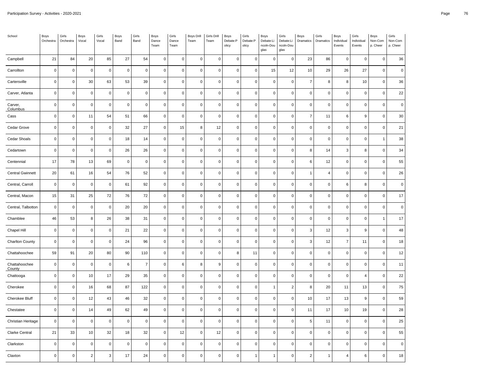| School                         | Boys<br>Orchestra | Girls<br>Orchestra  | Boys<br>Vocal  | Girls<br>Vocal | Boys<br>Band | Girls<br>Band  | Boys<br>Dance<br>Team | Girls<br>Dance<br>Team | <b>Boys Drill</b><br>Team | Girls Drill<br>Team | Boys<br>Debate:P<br>olicy | Girls<br>Debate:P<br>olicy | Boys<br>Debate:Li<br>ncoln-Dou<br>glas | Girls<br>Debate:Li<br>ncoln-Dou<br>glas | Boys<br>Dramatics | Girls<br>Dramatics  | Boys<br>Individual<br>Events | Girls<br>Individual<br>Events | Boys<br>Non-Com<br>p. Cheer | Girls<br>Non-Com<br>p. Cheer |
|--------------------------------|-------------------|---------------------|----------------|----------------|--------------|----------------|-----------------------|------------------------|---------------------------|---------------------|---------------------------|----------------------------|----------------------------------------|-----------------------------------------|-------------------|---------------------|------------------------------|-------------------------------|-----------------------------|------------------------------|
| Campbell                       | 21                | 84                  | 20             | 85             | $27\,$       | 54             | $\mathsf 0$           | $\mathsf 0$            | $\mathbf 0$               | $\mathbf 0$         | $\mathbf 0$               | 0                          | $\mathbf 0$                            | $\mathbf 0$                             | 23                | 86                  | $\mathsf 0$                  | $\mathbf 0$                   | $\mathbf 0$                 | 36                           |
| Carrollton                     | $\mathbf 0$       | $\mathsf 0$         | $\mathbf 0$    | $\mathbf 0$    | $\mathbf 0$  | $\pmb{0}$      | $\mathsf 0$           | $\mathbf 0$            | $\pmb{0}$                 | $\pmb{0}$           | $\mathbf 0$               | $\mathsf{O}\xspace$        | 15                                     | 12                                      | $10$              | 29                  | 26                           | 27                            | $\mathbf 0$                 | $\pmb{0}$                    |
| Cartersville                   | $\mathbf 0$       | $\mathsf{O}\xspace$ | 30             | 63             | 53           | 39             | $\mathsf 0$           | $\mathsf 0$            | $\mathbf 0$               | $\pmb{0}$           | $\pmb{0}$                 | 0                          | $\pmb{0}$                              | $\mathbf 0$                             | $\overline{7}$    | 8                   | 8                            | 10                            | $\Omega$                    | 36                           |
| Carver, Atlanta                | $\mathbf 0$       | $\mathsf 0$         | $\mathbf 0$    | $\mathbf 0$    | $\mathbf 0$  | $\pmb{0}$      | $\mathsf{O}\xspace$   | $\mathsf 0$            | $\mathbf 0$               | $\mathbf 0$         | $\mathbf 0$               | 0                          | $\mathsf 0$                            | $\mathbf 0$                             | $\mathbf 0$       | $\mathbf 0$         | $\mathsf 0$                  | $\mathbf 0$                   | $\mathbf 0$                 | 22                           |
| Carver,<br>Columbus            | $\mathbf 0$       | $\mathsf 0$         | $\mathbf 0$    | $\mathbf 0$    | $\mathbf 0$  | $\pmb{0}$      | $\mathsf 0$           | $\mathbf 0$            | $\pmb{0}$                 | $\pmb{0}$           | $\pmb{0}$                 | $\mathsf 0$                | $\mathbf 0$                            | $\mathsf 0$                             | $\pmb{0}$         | $\mathsf 0$         | $\mathsf 0$                  | $\mathsf 0$                   | $\mathbf 0$                 | $\pmb{0}$                    |
| Cass                           | $\mathbf 0$       | $\mathsf 0$         | 11             | 54             | 51           | 66             | $\mathsf 0$           | $\mathsf 0$            | $\mathbf 0$               | $\mathbf 0$         | $\mathbf 0$               | 0                          | $\mathsf{O}\xspace$                    | $\mathsf 0$                             | $\overline{7}$    | 11                  | 6                            | $\overline{9}$                | $\mathbf 0$                 | 30                           |
| Cedar Grove                    | $\mathbf 0$       | $\pmb{0}$           | $\mathbf 0$    | $\mathbf 0$    | 32           | 27             | $\mathsf 0$           | 15                     | 8                         | 12                  | $\pmb{0}$                 | $\mathsf 0$                | $\mathbf 0$                            | $\mathsf 0$                             | $\pmb{0}$         | $\pmb{0}$           | $\mathsf 0$                  | $\mathbf 0$                   | $\mathbf 0$                 | 21                           |
| Cedar Shoals                   | $\mathbf 0$       | $\mathsf 0$         | $\mathbf 0$    | $\mathbf 0$    | 18           | 14             | $\mathsf 0$           | $\mathbf 0$            | $\mathsf 0$               | $\mathbf 0$         | $\mathbf 0$               | $\mathsf{O}$               | $\mathsf 0$                            | $\mathsf 0$                             | $\mathbf 0$       | $\mathsf{O}\xspace$ | $\mathsf 0$                  | $\mathbf 0$                   | 1                           | 38                           |
| Cedartown                      | $\mathbf 0$       | $\mathsf{O}\xspace$ | $\mathbf 0$    | $\mathbf 0$    | 26           | 26             | $\mathsf 0$           | $\mathsf 0$            | $\mathbf 0$               | $\mathbf 0$         | $\mathbf 0$               | 0                          | $\mathsf 0$                            | $\mathsf 0$                             | 8                 | 14                  | 3                            | 8                             | $\mathbf 0$                 | 34                           |
| Centennial                     | 17                | 78                  | 13             | 69             | $\pmb{0}$    | $\pmb{0}$      | $\mathsf{O}\xspace$   | $\mathsf{O}\xspace$    | $\pmb{0}$                 | $\pmb{0}$           | $\pmb{0}$                 | $\mathsf 0$                | $\mathbf 0$                            | $\mathbf 0$                             | 6                 | $12$                | $\mathsf 0$                  | $\mathbf 0$                   | $\mathbf 0$                 | 55                           |
| <b>Central Gwinnett</b>        | 20                | 61                  | 16             | 54             | 76           | 52             | $\mathsf 0$           | $\mathbf 0$            | $\mathbf 0$               | $\mathbf 0$         | $\mathbf 0$               | 0                          | $\mathsf{O}\xspace$                    | $\mathsf 0$                             | $\mathbf{1}$      | 4                   | $\mathsf 0$                  | $\mathsf 0$                   | $\mathbf 0$                 | 26                           |
| Central, Carroll               | $\mathbf 0$       | $\mathsf 0$         | $\mathbf 0$    | $\mathbf 0$    | 61           | 92             | $\mathsf 0$           | $\mathbf 0$            | $\mathbf 0$               | $\pmb{0}$           | $\pmb{0}$                 | $\pmb{0}$                  | $\mathbf 0$                            | $\mathbf 0$                             | $\mathbf 0$       | $\pmb{0}$           | 6                            | 8                             | $\Omega$                    | $\pmb{0}$                    |
| Central, Macon                 | 15                | 31                  | 25             | 72             | 76           | 72             | $\mathsf 0$           | $\mathbf 0$            | $\mathbf 0$               | $\pmb{0}$           | $\mathbf 0$               | 0                          | $\mathsf 0$                            | $\mathbf 0$                             | $\mathbf 0$       | $\pmb{0}$           | $\mathsf 0$                  | $\mathbf 0$                   | $\mathbf 0$                 | 17                           |
| Central, Talbotton             | $\pmb{0}$         | $\mathsf{O}\xspace$ | $\mathbf 0$    | $\mathbf 0$    | 20           | 20             | $\mathsf 0$           | $\mathbf 0$            | $\pmb{0}$                 | $\mathbf 0$         | $\pmb{0}$                 | 0                          | $\mathbf 0$                            | $\mathsf 0$                             | $\pmb{0}$         | $\pmb{0}$           | $\mathsf 0$                  | $\mathbf 0$                   | $\mathbf 0$                 | $\pmb{0}$                    |
| Chamblee                       | 46                | 53                  | 8              | 26             | 38           | 31             | $\mathsf{O}\xspace$   | $\mathsf 0$            | $\mathbf 0$               | $\mathbf 0$         | $\mathbf 0$               | 0                          | $\mathbf 0$                            | $\mathbf 0$                             | $\mathbf 0$       | $\mathbf 0$         | $\mathsf 0$                  | $\mathbf 0$                   | 1                           | 17                           |
| Chapel Hill                    | $\mathbf 0$       | $\mathsf{O}\xspace$ | $\mathbf 0$    | $\mathbf 0$    | 21           | 22             | $\mathsf{O}\xspace$   | $\mathbf 0$            | $\pmb{0}$                 | $\pmb{0}$           | $\mathbf 0$               | 0                          | $\mathbf 0$                            | $\mathsf 0$                             | $\mathbf{3}$      | 12                  | 3                            | 9                             | $\mathbf 0$                 | 48                           |
| <b>Charlton County</b>         | $\mathbf 0$       | $\mathsf 0$         | $\mathbf 0$    | $\mathbf 0$    | 24           | 96             | $\mathsf 0$           | $\mathbf 0$            | $\mathbf 0$               | $\mathbf 0$         | $\mathbf 0$               | 0                          | $\mathbf 0$                            | $\mathbf 0$                             | 3                 | 12                  | $\overline{7}$               | 11                            | $\mathbf 0$                 | 18                           |
| Chattahoochee                  | 59                | 91                  | 20             | 80             | 90           | 110            | $\mathsf{O}\xspace$   | $\mathbf 0$            | $\mathbf 0$               | $\pmb{0}$           | 8                         | 11                         | $\mathsf 0$                            | $\mathbf 0$                             | $\mathbf 0$       | $\mathsf{O}\xspace$ | $\mathsf 0$                  | $\mathbf 0$                   | $\mathbf 0$                 | 12                           |
| Chattahoochee<br><b>County</b> | $\pmb{0}$         | $\mathsf 0$         | $\mathbf 0$    | $\pmb{0}$      | $\,6\,$      | $\overline{7}$ | $\mathsf{O}\xspace$   | $\,6\,$                | $\bf 8$                   | 9                   | $\pmb{0}$                 | $\mathsf 0$                | $\mathsf{O}\xspace$                    | $\pmb{0}$                               | $\pmb{0}$         | $\pmb{0}$           | $\mathsf 0$                  | $\mathbf 0$                   | $\pmb{0}$                   | $11$                         |
| Chattooga                      | $\mathbf 0$       | $\mathsf 0$         | 10             | 17             | 29           | 35             | $\mathsf 0$           | $\mathsf 0$            | $\mathbf 0$               | $\mathbf 0$         | $\mathbf 0$               | 0                          | $\mathbf 0$                            | $\pmb{0}$                               | $\mathbf 0$       | $\mathbf 0$         | $\mathsf 0$                  | $\overline{4}$                | $\mathbf 0$                 | 22                           |
| Cherokee                       | $\mathbf 0$       | $\mathsf 0$         | 16             | 68             | 87           | 122            | $\mathsf{O}\xspace$   | $\mathbf 0$            | $\mathbf 0$               | $\pmb{0}$           | $\mathbf 0$               | $\pmb{0}$                  | $\mathbf{1}$                           | $\overline{2}$                          | $\bf 8$           | $20\,$              | 11                           | 13                            | $\mathbf 0$                 | 75                           |
| Cherokee Bluff                 | $\mathbf 0$       | $\mathsf{O}\xspace$ | 12             | 43             | 46           | 32             | $\mathsf 0$           | $\mathbf 0$            | $\mathsf 0$               | $\mathbf 0$         | $\mathbf 0$               | $\pmb{0}$                  | $\mathsf 0$                            | $\mathsf 0$                             | 10                | 17                  | 13                           | 9                             | $\mathsf 0$                 | 59                           |
| Chestatee                      | $\mathbf 0$       | $\mathsf{O}\xspace$ | 14             | 49             | 62           | 49             | $\mathsf 0$           | $\mathbf 0$            | $\mathbf 0$               | $\mathbf 0$         | $\mathbf 0$               | 0                          | $\mathsf 0$                            | $\mathsf 0$                             | 11                | 17                  | 10                           | 19                            | 0                           | 28                           |
| Christian Heritage             | $\mathbf 0$       | $\mathsf{O}\xspace$ | $\mathbf 0$    | $\mathbf 0$    | $\mathbf 0$  | $\pmb{0}$      | $\mathsf{O}\xspace$   | $\mathbf 0$            | $\mathbf 0$               | $\pmb{0}$           | $\mathbf 0$               | $\mathsf 0$                | $\mathbf 0$                            | $\mathbf 0$                             | $\,$ 5            | 11                  | $\mathsf 0$                  | $\mathbf 0$                   | $\mathbf 0$                 | 25                           |
| Clarke Central                 | 21                | 33                  | 10             | 32             | 18           | 32             | $\mathsf{O}\xspace$   | 12                     | $\pmb{0}$                 | 12                  | $\mathbf 0$               | 0                          | $\mathbf 0$                            | $\mathsf 0$                             | $\mathbf 0$       | $\mathsf{O}\xspace$ | $\mathsf 0$                  | $\mathbf 0$                   | $\mathbf 0$                 | 55                           |
| Clarkston                      | $\mathbf 0$       | $\mathsf 0$         | $\mathbf 0$    | $\mathbf 0$    | $\mathbf 0$  | $\mathbf 0$    | $\mathsf 0$           | $\mathsf 0$            | $\mathbf 0$               | $\mathbf 0$         | $\mathbf 0$               | 0                          | $\mathsf 0$                            | $\mathbf 0$                             | $\overline{0}$    | $\mathsf 0$         | $\mathsf 0$                  | $\mathbf 0$                   | $\mathbf 0$                 | $\mathbf 0$                  |
| Claxton                        | $\mathbf 0$       | $\mathsf 0$         | $\overline{2}$ | 3              | 17           | 24             | $\mathsf 0$           | $\mathsf 0$            | $\mathbf 0$               | $\mathbf 0$         | $\mathbf 0$               | $\mathbf{1}$               | $\mathbf{1}$                           | $\mathbf 0$                             | $\overline{2}$    | $\mathbf{1}$        | 4                            | 6                             | $\Omega$                    | 18                           |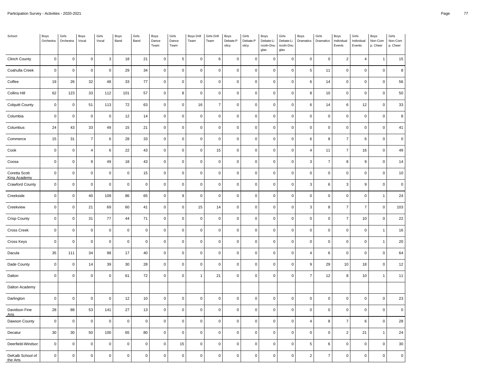| School                               | Boys<br>Orchestra | Girls<br>Orchestra  | Boys<br>Vocal    | Girls<br>Vocal | Boys<br>Band   | Girls<br>Band | Boys<br>Dance<br>Team | Girls<br>Dance<br>Team | Boys Drill<br>Team | Girls Drill<br>Team | Boys<br>Debate:P<br>olicy | Girls<br>Debate:P<br>olicy | Boys<br>Debate:Li<br>ncoln-Dou<br>glas | Girls<br>Debate:Li<br>ncoln-Dou<br>glas | Boys<br>Dramatics | Girls<br>Dramatics  | Boys<br>Individual<br>Events | Girls<br>Individual<br>Events | Boys<br>Non-Com<br>p. Cheer | Girls<br>Non-Com<br>p. Cheer |
|--------------------------------------|-------------------|---------------------|------------------|----------------|----------------|---------------|-----------------------|------------------------|--------------------|---------------------|---------------------------|----------------------------|----------------------------------------|-----------------------------------------|-------------------|---------------------|------------------------------|-------------------------------|-----------------------------|------------------------------|
| <b>Clinch County</b>                 | $\mathbf 0$       | $\pmb{0}$           | $\mathbf 0$      | 3              | 18             | 21            | $\mathsf 0$           | $\sqrt{5}$             | $\mathbf 0$        | 6                   | $\mathbf 0$               | $\mathsf 0$                | $\mathsf 0$                            | $\mathsf 0$                             | $\pmb{0}$         | $\mathsf 0$         | $\overline{2}$               | $\overline{4}$                | 1                           | 15                           |
| Coahulla Creek                       | $\pmb{0}$         | $\mathsf 0$         | $\mathbf 0$      | $\pmb{0}$      | 29             | 34            | $\mathsf 0$           | $\mathbf 0$            | $\pmb{0}$          | $\pmb{0}$           | $\pmb{0}$                 | $\pmb{0}$                  | $\mathsf 0$                            | $\pmb{0}$                               | $\sqrt{5}$        | $11$                | $\mathsf 0$                  | $\pmb{0}$                     | $\pmb{0}$                   | 8                            |
| Coffee                               | 19                | 26                  | 32               | 48             | 33             | 77            | $\mathsf 0$           | $\mathsf 0$            | $\mathbf 0$        | $\mathbf 0$         | $\mathbf 0$               | 0                          | $\mathsf 0$                            | $\pmb{0}$                               | 6                 | 14                  | $\mathsf 0$                  | $\pmb{0}$                     | $\mathbf 0$                 | 56                           |
| <b>Collins Hill</b>                  | 62                | 123                 | 33               | 112            | 101            | 57            | $\mathsf{O}\xspace$   | 8                      | $\mathbf 0$        | $\pmb{0}$           | $\mathbf 0$               | $\mathsf{O}\xspace$        | $\mathbf 0$                            | $\mathsf 0$                             | 8                 | 10                  | $\mathsf 0$                  | $\mathsf 0$                   | $\mathbf 0$                 | 50                           |
| <b>Colquitt County</b>               | $\pmb{0}$         | $\mathsf 0$         | 51               | 113            | 72             | 63            | $\mathsf{O}\xspace$   | $\mathbf 0$            | $16\,$             | $\overline{7}$      | $\pmb{0}$                 | $\mathsf 0$                | $\mathsf 0$                            | $\pmb{0}$                               | $\,6$             | 14                  | $\,6\,$                      | 12                            | $\pmb{0}$                   | 33                           |
| Columbia                             | $\mathbf 0$       | $\mathsf 0$         | $\mathbf 0$      | $\mathbf 0$    | 12             | 14            | $\mathsf 0$           | $\mathbf 0$            | $\mathbf 0$        | $\mathbf 0$         | $\mathbf 0$               | 0                          | $\mathsf 0$                            | $\mathsf 0$                             | $\mathbf 0$       | $\mathsf 0$         | $\mathsf 0$                  | $\mathbf 0$                   | $\mathbf 0$                 | 8                            |
| Columbus                             | 24                | 43                  | 33               | 49             | 15             | 21            | $\mathsf{O}\xspace$   | $\mathbf 0$            | $\pmb{0}$          | $\pmb{0}$           | $\pmb{0}$                 | $\pmb{0}$                  | $\mathbf 0$                            | $\mathsf 0$                             | $\pmb{0}$         | $\mathsf{O}\xspace$ | $\mathsf 0$                  | $\mathbf 0$                   | $\mathbf 0$                 | 41                           |
| Commerce                             | 15                | 31                  | $\overline{7}$   | 6              | 28             | 33            | $\mathsf{O}\xspace$   | $\mathbf 0$            | $\pmb{0}$          | $\mathbf 0$         | $\pmb{0}$                 | $\mathsf{O}\xspace$        | $\mathsf 0$                            | $\pmb{0}$                               | $\,6$             | 8                   | $\overline{7}$               | $\boldsymbol{6}$              | $\pmb{0}$                   | $\pmb{0}$                    |
| Cook                                 | $\mathbf 0$       | $\mathsf{O}\xspace$ | $\sqrt{4}$       | 6              | 22             | 43            | $\mathsf 0$           | $\mathsf 0$            | $\mathbf 0$        | 15                  | $\mathbf 0$               | 0                          | $\mathbf 0$                            | $\mathsf 0$                             | $\overline{4}$    | 11                  | $\overline{7}$               | 16                            | $\mathbf 0$                 | 49                           |
| Coosa                                | $\mathbf 0$       | $\mathsf 0$         | $\boldsymbol{9}$ | 49             | 18             | 43            | $\mathsf 0$           | $\mathbf 0$            | $\mathbf 0$        | $\pmb{0}$           | $\mathbf 0$               | 0                          | $\mathbf 0$                            | $\mathsf 0$                             | $\mathbf{3}$      | $\boldsymbol{7}$    | 8                            | 9                             | $\overline{0}$              | 14                           |
| Coretta Scott<br><b>King Academy</b> | $\pmb{0}$         | $\mathsf{O}\xspace$ | $\mathbf 0$      | $\pmb{0}$      | $\mathbf 0$    | 15            | $\mathsf 0$           | $\mathbf 0$            | $\pmb{0}$          | $\pmb{0}$           | $\pmb{0}$                 | $\mathsf{O}\xspace$        | $\mathsf 0$                            | $\pmb{0}$                               | $\pmb{0}$         | $\pmb{0}$           | $\mathsf 0$                  | $\mathsf 0$                   | $\pmb{0}$                   | $10$                         |
| <b>Crawford County</b>               | $\mathbf 0$       | $\mathsf 0$         | $\mathbf 0$      | $\mathbf 0$    | $\overline{0}$ | $\pmb{0}$     | $\mathsf 0$           | $\mathbf 0$            | $\mathbf 0$        | $\mathbf 0$         | $\mathbf 0$               | 0                          | $\mathbf 0$                            | $\pmb{0}$                               | 3                 | $\,6\,$             | 3                            | 9                             | $\mathbf 0$                 | $\pmb{0}$                    |
| Creekside                            | $\mathbf 0$       | $\mathsf{O}\xspace$ | 40               | 109            | 86             | 65            | $\mathsf{O}\xspace$   | 9                      | $\mathbf 0$        | $\pmb{0}$           | $\mathbf 0$               | 0                          | $\mathsf 0$                            | $\mathsf 0$                             | $\mathbf 0$       | $\mathsf{O}\xspace$ | $\mathsf 0$                  | $\mathbf 0$                   | 1                           | 24                           |
| Creekview                            | $\pmb{0}$         | $\pmb{0}$           | 21               | 69             | 60             | 41            | $\mathsf{O}\xspace$   | $\mathbf 0$            | 15                 | 14                  | $\pmb{0}$                 | 0                          | $\mathbf 0$                            | $\mathsf 0$                             | 3                 | 8                   | $\overline{7}$               | $\overline{7}$                | $\pmb{0}$                   | 103                          |
| <b>Crisp County</b>                  | $\mathbf 0$       | $\mathsf 0$         | 31               | 77             | 44             | 71            | $\mathsf 0$           | $\mathsf 0$            | $\mathbf 0$        | $\mathbf 0$         | $\mathbf 0$               | 0                          | $\mathsf 0$                            | $\pmb{0}$                               | $\mathbf 0$       | $\mathbf 0$         | $\overline{7}$               | 10                            | $\mathbf 0$                 | 22                           |
| Cross Creek                          | $\mathbf 0$       | $\mathsf{O}\xspace$ | $\mathbf 0$      | $\mathbf 0$    | $\mathbf 0$    | $\pmb{0}$     | $\mathsf{O}\xspace$   | $\mathsf 0$            | $\mathbf 0$        | $\mathbf 0$         | $\mathbf 0$               | 0                          | $\mathsf 0$                            | $\mathsf 0$                             | $\mathbf 0$       | $\mathsf{O}\xspace$ | $\mathsf 0$                  | $\mathsf 0$                   | 1                           | $16$                         |
| Cross Keys                           | $\pmb{0}$         | $\mathsf{O}\xspace$ | $\mathbf 0$      | $\mathbf 0$    | $\pmb{0}$      | $\pmb{0}$     | $\mathsf{O}\xspace$   | $\mathbf 0$            | $\pmb{0}$          | $\pmb{0}$           | $\pmb{0}$                 | 0                          | $\mathbf 0$                            | $\mathsf 0$                             | $\pmb{0}$         | $\mathsf 0$         | $\mathsf 0$                  | $\mathsf 0$                   | $\overline{1}$              | 20                           |
| Dacula                               | 35                | 111                 | 34               | 98             | 17             | 40            | $\mathsf 0$           | $\mathbf 0$            | $\mathbf 0$        | $\mathbf 0$         | $\mathbf 0$               | 0                          | $\mathsf 0$                            | $\mathsf 0$                             | $\overline{4}$    | 6                   | $\mathsf 0$                  | $\mathbf 0$                   | $\mathbf 0$                 | 64                           |
| Dade County                          | $\mathbf 0$       | $\mathsf 0$         | 14               | 39             | 30             | 28            | $\mathsf 0$           | $\mathbf 0$            | $\mathbf 0$        | $\mathbf 0$         | $\mathbf 0$               | 0                          | $\mathsf 0$                            | $\mathsf 0$                             | 9                 | 29                  | 10                           | 18                            | $\mathbf 0$                 | 12                           |
| Dalton                               | $\mathbf 0$       | $\mathsf 0$         | $\mathbf 0$      | $\mathbf 0$    | 61             | 72            | $\mathsf 0$           | $\mathbf 0$            | $\overline{1}$     | 21                  | $\mathbf 0$               | 0                          | $\mathsf 0$                            | $\mathsf 0$                             | $\overline{7}$    | 12                  | 8                            | 10                            | 1                           | 11                           |
| Dalton Academy                       |                   |                     |                  |                |                |               |                       |                        |                    |                     |                           |                            |                                        |                                         |                   |                     |                              |                               |                             |                              |
| Darlington                           | $\mathbf 0$       | $\mathsf{O}\xspace$ | $\mathbf 0$      | $\mathbf 0$    | 12             | 10            | $\mathsf{O}\xspace$   | $\mathsf 0$            | $\mathbf 0$        | $\mathbf 0$         | $\mathbf 0$               | 0                          | $\mathsf 0$                            | $\mathbf 0$                             | $\mathbf 0$       | $\mathbf 0$         | $\mathsf 0$                  | $\mathsf 0$                   | $\mathbf 0$                 | 23                           |
| Davidson Fine<br><b>Arts</b>         | 28                | 88                  | 53               | 141            | 27             | 13            | $\mathsf 0$           | $\mathbf 0$            | $\pmb{0}$          | $\pmb{0}$           | $\pmb{0}$                 | $\mathsf 0$                | $\mathsf 0$                            | $\mathsf 0$                             | $\pmb{0}$         | $\mathsf 0$         | $\mathsf 0$                  | $\mathsf 0$                   | $\mathbf 0$                 | $\pmb{0}$                    |
| Dawson County                        | $\pmb{0}$         | $\mathsf 0$         | $\mathbf 0$      | $\pmb{0}$      | $\pmb{0}$      | $\pmb{0}$     | $\mathsf 0$           | $\mathsf 0$            | $\pmb{0}$          | $\pmb{0}$           | $\pmb{0}$                 | 0                          | $\pmb{0}$                              | $\pmb{0}$                               | $\overline{4}$    | 8                   | $\overline{7}$               | $\,6$                         | $\mathbf 0$                 | 28                           |
| Decatur                              | 30                | 30                  | 50               | 100            | 65             | 80            | $\mathsf{O}\xspace$   | $\mathbf 0$            | $\mathbf 0$        | $\mathbf 0$         | $\mathbf 0$               | 0                          | $\mathsf 0$                            | $\mathbf 0$                             | $\overline{0}$    | $\mathbf 0$         | $\overline{2}$               | 21                            | 1                           | 24                           |
| Deerfield-Windsor                    | $\pmb{0}$         | $\pmb{0}$           | $\mathbf 0$      | $\mathbf 0$    | $\mathbf 0$    | $\pmb{0}$     | $\mathsf 0$           | 15                     | $\pmb{0}$          | $\pmb{0}$           | $\pmb{0}$                 | 0                          | $\mathbf 0$                            | $\mathsf 0$                             | 5                 | 6                   | $\mathsf 0$                  | $\mathbf 0$                   | $\pmb{0}$                   | $30\,$                       |
| DeKalb School of<br>the Arts         | $\pmb{0}$         | $\mathsf 0$         | $\pmb{0}$        | $\Omega$       | $\Omega$       | $\pmb{0}$     | $\mathsf 0$           | $\pmb{0}$              | $\mathbf 0$        | $\mathbf 0$         | $\mathbf 0$               | 0                          | $\pmb{0}$                              | $\mathbf 0$                             | $\overline{c}$    | $\overline{7}$      | 0                            | $\pmb{0}$                     | C                           | $\pmb{0}$                    |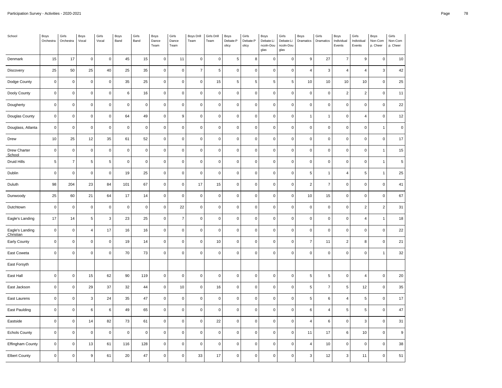| School                       | Boys<br>Orchestra | Girls<br>Orchestra  | Boys<br>Vocal    | Girls<br>Vocal | Boys<br>Band | Girls<br>Band | Boys<br>Dance<br>Team | Girls<br>Dance<br>Team | <b>Boys Drill</b><br>Team | Girls Drill<br>Team | Boys<br>Debate:P<br>olicy | Girls<br>Debate:P<br>olicy | Boys<br>Debate:Li<br>ncoln-Dou<br>glas | Girls<br>Debate:Li<br>ncoln-Dou<br>glas | Boys<br>Dramatics | Girls<br>Dramatics | Boys<br>Individual<br>Events | Girls<br>Individual<br>Events | Boys<br>Non-Com<br>p. Cheer | Girls<br>Non-Com<br>p. Cheer |
|------------------------------|-------------------|---------------------|------------------|----------------|--------------|---------------|-----------------------|------------------------|---------------------------|---------------------|---------------------------|----------------------------|----------------------------------------|-----------------------------------------|-------------------|--------------------|------------------------------|-------------------------------|-----------------------------|------------------------------|
| Denmark                      | 15                | 17                  | $\mathsf 0$      | $\mathsf 0$    | 45           | 15            | $\mathsf 0$           | 11                     | $\mathbf 0$               | $\mathbf 0$         | 5                         | 8                          | $\mathbf 0$                            | $\mathbf 0$                             | 9                 | 27                 | $\overline{7}$               | 9                             | $\mathsf 0$                 | $10$                         |
| Discovery                    | 25                | 50                  | 25               | 40             | 25           | 35            | $\mathsf{O}\xspace$   | $\mathbf 0$            | $\overline{7}$            | $\,$ 5 $\,$         | $\pmb{0}$                 | 0                          | $\mathbf 0$                            | $\pmb{0}$                               | $\overline{4}$    | $\mathbf{3}$       | $\pmb{4}$                    | 4                             | 3                           | 42                           |
| Dodge County                 | $\mathbf 0$       | $\mathsf 0$         | $\mathbf 0$      | $\pmb{0}$      | 35           | 25            | $\mathsf 0$           | $\mathbf 0$            | $\mathbf 0$               | 15                  | 5                         | 5                          | $\,$ 5 $\,$                            | $\sqrt{5}$                              | 10                | 10                 | 10                           | 10                            | $\mathsf 0$                 | $25\,$                       |
| Dooly County                 | $\pmb{0}$         | $\pmb{0}$           | $\mathbf 0$      | $\mathsf 0$    | 6            | $16$          | $\mathsf{O}\xspace$   | $\mathsf 0$            | $\mathbf 0$               | $\mathbf 0$         | $\pmb{0}$                 | 0                          | $\mathbf 0$                            | $\mathbf 0$                             | $\pmb{0}$         | $\pmb{0}$          | $\overline{c}$               | $\overline{2}$                | $\mathsf 0$                 | $11$                         |
| Dougherty                    | $\mathbf 0$       | $\mathsf{O}\xspace$ | $\mathsf 0$      | $\mathsf 0$    | $\mathsf 0$  | $\pmb{0}$     | $\mathsf 0$           | $\mathsf{O}\xspace$    | $\mathsf 0$               | $\mathbf 0$         | $\mathbf 0$               | $\mathsf 0$                | $\mathbf 0$                            | $\mathsf 0$                             | $\mathbf 0$       | $\mathbf 0$        | $\mathsf 0$                  | $\mathbf 0$                   | $\mathsf 0$                 | 22                           |
| Douglas County               | $\mathbf 0$       | $\pmb{0}$           | $\mathbf 0$      | $\mathsf 0$    | 64           | 49            | $\mathsf 0$           | $\boldsymbol{9}$       | $\mathbf 0$               | $\mathsf 0$         | $\pmb{0}$                 | 0                          | $\mathbf 0$                            | $\mathbf 0$                             |                   | $\mathbf{1}$       | 0                            | $\overline{4}$                | $\mathsf 0$                 | 12                           |
| Douglass, Atlanta            | $\mathbf 0$       | $\mathsf 0$         | $\mathbf 0$      | $\mathsf 0$    | $\mathsf 0$  | $\pmb{0}$     | $\mathsf 0$           | $\mathbf 0$            | $\pmb{0}$                 | $\mathbf 0$         | $\pmb{0}$                 | $\mathsf 0$                | $\mathbf 0$                            | $\mathbf 0$                             | $\mathbf 0$       | $\pmb{0}$          | $\mathsf{O}\xspace$          | $\mathbf 0$                   | $\overline{1}$              | $\mathsf{O}\xspace$          |
| Drew                         | 10                | 25                  | 12               | 35             | 61           | 52            | $\mathsf 0$           | $\pmb{0}$              | $\pmb{0}$                 | $\pmb{0}$           | $\pmb{0}$                 | $\mathsf 0$                | $\mathbf 0$                            | $\pmb{0}$                               | $\pmb{0}$         | $\pmb{0}$          | 0                            | $\mathbf 0$                   | $\mathsf 0$                 | 17                           |
| Drew Charter<br>School       | $\mathbf 0$       | $\mathsf{O}\xspace$ | $\mathbf 0$      | $\mathsf 0$    | $\mathbf 0$  | $\mathbf 0$   | $\mathsf 0$           | $\mathbf 0$            | $\mathbf 0$               | $\mathsf 0$         | $\mathbf 0$               | 0                          | $\mathbf 0$                            | $\mathbf 0$                             | $\mathbf 0$       | $\mathbf 0$        | $\mathsf{O}$                 | $\mathbf 0$                   | $\overline{1}$              | 15                           |
| Druid Hills                  | $\sqrt{5}$        | $\boldsymbol{7}$    | $\,$ 5 $\,$      | 5              | $\mathsf 0$  | $\pmb{0}$     | $\mathsf{O}\xspace$   | $\mathbf 0$            | $\pmb{0}$                 | $\mathbf 0$         | $\pmb{0}$                 | 0                          | $\mathbf 0$                            | $\pmb{0}$                               | $\mathbf 0$       | $\pmb{0}$          | $\mathsf 0$                  | $\mathbf 0$                   | $\overline{1}$              | $\sqrt{5}$                   |
| Dublin                       | $\mathbf 0$       | $\mathsf 0$         | $\mathsf 0$      | $\mathbf 0$    | 19           | 25            | $\mathsf 0$           | $\mathsf 0$            | $\mathsf 0$               | $\mathbf 0$         | $\mathbf 0$               | $\mathsf 0$                | $\mathsf 0$                            | $\mathbf 0$                             | 5                 | $\mathbf{1}$       | $\overline{4}$               | 5                             | 1                           | 25                           |
| Duluth                       | 98                | 204                 | 23               | 84             | 101          | 67            | $\mathsf 0$           | $\mathbf 0$            | 17                        | 15                  | $\pmb{0}$                 | 0                          | $\mathbf 0$                            | $\mathsf 0$                             | $\overline{2}$    | $\overline{7}$     | $\mathsf 0$                  | $\mathsf{O}\xspace$           | $\mathsf 0$                 | 41                           |
| Dunwoody                     | 25                | 60                  | 21               | 64             | 17           | 14            | $\mathsf{O}\xspace$   | $\mathbf 0$            | $\mathsf 0$               | $\mathbf{0}$        | $\mathbf 0$               | $\mathsf 0$                | $\mathbf 0$                            | $\mathsf 0$                             | 10                | 15                 | $\mathsf 0$                  | $\mathbf 0$                   | $\mathsf 0$                 | 67                           |
| Dutchtown                    | $\mathbf 0$       | $\mathsf{O}\xspace$ | $\mathbf 0$      | $\mathbf 0$    | $\mathbf 0$  | $\pmb{0}$     | $\mathsf 0$           | 22                     | $\mathbf 0$               | $\mathbf 0$         | $\pmb{0}$                 | 0                          | $\mathbf 0$                            | $\mathbf 0$                             | $\mathbf 0$       | $\mathbf 0$        | 0                            | $\overline{2}$                | $\overline{2}$              | 31                           |
| Eagle's Landing              | 17                | 14                  | 5                | $\mathbf{3}$   | 23           | 25            | $\mathsf{O}\xspace$   | $\overline{7}$         | $\mathsf 0$               | $\mathsf 0$         | $\pmb{0}$                 | $\pmb{0}$                  | $\mathbf 0$                            | $\mathbf 0$                             | $\mathbf 0$       | $\pmb{0}$          | $\mathsf 0$                  | $\overline{4}$                | $\overline{1}$              | 18                           |
| Eagle's Landing<br>Christian | $\pmb{0}$         | $\mathsf{O}\xspace$ | $\overline{4}$   | 17             | 16           | 16            | $\mathsf{O}\xspace$   | $\mathbf 0$            | $\pmb{0}$                 | $\mathbf 0$         | $\pmb{0}$                 | 0                          | $\mathbf 0$                            | $\pmb{0}$                               | $\mathbf 0$       | $\pmb{0}$          | $\mathsf{O}\xspace$          | $\mathbf 0$                   | $\mathsf 0$                 | 22                           |
| Early County                 | $\mathbf 0$       | $\mathsf{O}\xspace$ | $\mathsf 0$      | $\mathsf 0$    | 19           | 14            | $\mathsf 0$           | $\mathbf 0$            | $\mathbf 0$               | $10$                | $\pmb{0}$                 | 0                          | $\mathbf 0$                            | $\mathbf 0$                             | $\overline{7}$    | 11                 | $\overline{c}$               | 8                             | $\mathbf 0$                 | 21                           |
| East Coweta                  | $\mathbf 0$       | $\mathsf{O}\xspace$ | $\mathbf 0$      | $\mathsf 0$    | 70           | 73            | $\mathsf{O}\xspace$   | $\mathbf 0$            | $\pmb{0}$                 | $\mathbf 0$         | $\pmb{0}$                 | 0                          | $\mathsf 0$                            | $\pmb{0}$                               | $\pmb{0}$         | $\pmb{0}$          | 0                            | $\mathbf 0$                   | $\overline{1}$              | 32                           |
| East Forsyth                 |                   |                     |                  |                |              |               |                       |                        |                           |                     |                           |                            |                                        |                                         |                   |                    |                              |                               |                             |                              |
| East Hall                    | $\pmb{0}$         | $\pmb{0}$           | 15               | 62             | 90           | 119           | $\mathsf 0$           | $\mathbf 0$            | $\pmb{0}$                 | $\mathbf 0$         | $\pmb{0}$                 | 0                          | $\mathbf 0$                            | $\pmb{0}$                               | 5                 | $\sqrt{5}$         | $\mathsf 0$                  | $\overline{4}$                | $\mathsf 0$                 | 20                           |
| East Jackson                 | $\mathbf 0$       | $\mathsf 0$         | 29               | 37             | 32           | 44            | $\mathsf{O}\xspace$   | $10$                   | $\mathsf 0$               | 16                  | $\mathbf 0$               | $\mathsf 0$                | $\mathsf 0$                            | $\mathsf 0$                             | 5                 | $\overline{7}$     | 5                            | 12                            | $\mathsf 0$                 | 35                           |
| East Laurens                 | $\mathbf 0$       | $\pmb{0}$           | $\mathbf{3}$     | 24             | 35           | 47            | $\mathsf 0$           | $\mathbf 0$            | $\pmb{0}$                 | $\pmb{0}$           | $\pmb{0}$                 | 0                          | $\mathbf 0$                            | $\pmb{0}$                               | 5                 | $\,6\,$            | 4                            | 5                             | $\mathsf 0$                 | $17\,$                       |
| East Paulding                | $\mathbf 0$       | $\mathsf 0$         | 6                | 6              | 49           | 65            | $\mathsf 0$           | $\mathbf 0$            | $\mathbf 0$               | $\pmb{0}$           | $\pmb{0}$                 | $\pmb{0}$                  | $\mathbf 0$                            | $\mathbf 0$                             | 6                 | $\overline{4}$     | 5                            | 5                             | $\mathsf 0$                 | 47                           |
| Eastside                     | $\pmb{0}$         | $\mathsf{O}\xspace$ | 14               | 82             | 73           | 61            | $\mathsf{O}\xspace$   | $\pmb{0}$              | $\pmb{0}$                 | 22                  | $\pmb{0}$                 | 0                          | $\mathbf 0$                            | $\pmb{0}$                               | $\overline{4}$    | $\,6\,$            | $\mathsf{O}\xspace$          | 3                             | $\mathsf 0$                 | 31                           |
| <b>Echols County</b>         | $\mathbf 0$       | $\mathsf{O}\xspace$ | $\mathbf 0$      | $\mathbf 0$    | $\pmb{0}$    | $\mathbf 0$   | $\mathsf 0$           | $\mathsf 0$            | $\mathbf 0$               | $\mathbf 0$         | $\mathbf 0$               | 0                          | $\mathsf 0$                            | $\mathbf 0$                             | 11                | 17                 | 6                            | 10                            | $\mathbf 0$                 | $\boldsymbol{9}$             |
| Effingham County             | $\pmb{0}$         | $\mathsf{O}\xspace$ | 13               | 61             | 116          | 128           | $\mathsf 0$           | $\mathbf 0$            | $\pmb{0}$                 | $\mathbf 0$         | $\pmb{0}$                 | 0                          | $\mathbf 0$                            | $\pmb{0}$                               | $\overline{4}$    | $10$               | $\mathsf 0$                  | $\mathbf 0$                   | $\mathsf 0$                 | 38                           |
| <b>Elbert County</b>         | $\mathbf 0$       | $\mathsf{O}\xspace$ | $\boldsymbol{9}$ | 61             | 20           | 47            | $\mathsf 0$           | 0                      | 33                        | 17                  | $\mathbf 0$               | $\pmb{0}$                  | $\mathsf 0$                            | $\mathbf 0$                             | 3                 | 12                 | 3                            | 11                            | $\mathbf 0$                 | 51                           |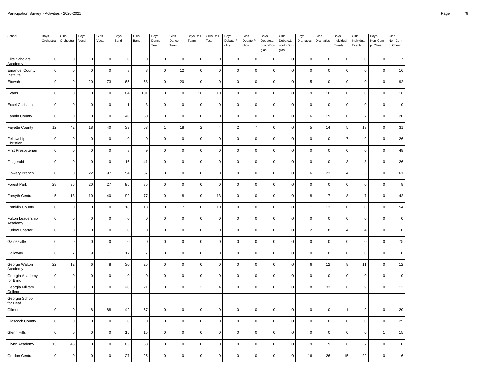| School                                    | Boys<br>Orchestra | Girls<br>Orchestra  | Boys<br>Vocal       | Girls<br>Vocal | Boys<br>Band | Girls<br>Band  | <b>Boys</b><br>Dance<br>Team | Girls<br>Dance<br>Team | Boys Drill<br>Team | Girls Drill<br>Team | Boys<br>Debate:P<br>olicy | Girls<br>Debate:P<br>olicy | Boys<br>Debate:Li<br>ncoln-Dou<br>glas | Girls<br>Debate:Li<br>ncoln-Dou<br>glas | Boys<br>Dramatics | Girls<br>Dramatics | Boys<br>Individual<br>Events | Girls<br>Individual<br>Events | Boys<br>Non-Com<br>p. Cheer | Girls<br>Non-Com<br>p. Cheer |
|-------------------------------------------|-------------------|---------------------|---------------------|----------------|--------------|----------------|------------------------------|------------------------|--------------------|---------------------|---------------------------|----------------------------|----------------------------------------|-----------------------------------------|-------------------|--------------------|------------------------------|-------------------------------|-----------------------------|------------------------------|
| Elite Scholars<br>Academy                 | $\pmb{0}$         | $\mathsf{O}\xspace$ | $\mathbf 0$         | $\pmb{0}$      | $\pmb{0}$    | $\pmb{0}$      | 0                            | $\mathbf 0$            | $\mathbf 0$        | $\pmb{0}$           | $\mathbf 0$               | $\mathsf 0$                | $\mathbf 0$                            | $\Omega$                                | $\pmb{0}$         | $\pmb{0}$          | $\mathsf 0$                  | $\pmb{0}$                     | $\pmb{0}$                   | $\overline{7}$               |
| <b>Emanuel County</b><br><b>Institute</b> | $\mathbf 0$       | $\mathsf 0$         | $\pmb{0}$           | $\mathbf 0$    | 8            | $\bf 8$        | $\mathsf{O}\xspace$          | 12                     | $\mathsf 0$        | $\pmb{0}$           | $\pmb{0}$                 | $\mathsf 0$                | $\mathbf 0$                            | $\mathbf 0$                             | $\pmb{0}$         | $\pmb{0}$          | $\mathsf 0$                  | $\mathbf 0$                   | $\pmb{0}$                   | 16                           |
| Etowah                                    | 9                 | $\mathsf g$         | 20                  | 73             | 65           | 68             | 0                            | 20                     | 0                  | $\mathbf 0$         | $\mathbf 0$               | $\mathsf{O}\xspace$        | $\mathbf 0$                            | $\Omega$                                | $\overline{5}$    | 10                 | $\mathsf 0$                  | $\mathbf 0$                   | $\mathbf 0$                 | 92                           |
| Evans                                     | $\mathbf 0$       | $\mathsf 0$         | $\mathbf 0$         | $\mathbf 0$    | 84           | 101            | 0                            | $\mathbf 0$            | 16                 | 10                  | $\pmb{0}$                 | $\mathsf 0$                | $\mathsf 0$                            | $\mathbf 0$                             | 9                 | 10                 | $\mathsf 0$                  | $\mathbf 0$                   | $\mathbf 0$                 | 16                           |
| <b>Excel Christian</b>                    | $\pmb{0}$         | $\mathsf 0$         | $\mathbf 0$         | $\pmb{0}$      | $\mathbf{1}$ | $\mathbf{3}$   | 0                            | $\mathbf 0$            | $\pmb{0}$          | $\pmb{0}$           | $\pmb{0}$                 | $\mathsf{O}\xspace$        | $\pmb{0}$                              | $\mathbf 0$                             | $\pmb{0}$         | $\pmb{0}$          | $\mathsf 0$                  | $\pmb{0}$                     | $\overline{0}$              | $\pmb{0}$                    |
| Fannin County                             | $\mathbf 0$       | $\mathsf 0$         | $\mathbf 0$         | $\mathbf 0$    | 40           | 60             | 0                            | $\mathbf 0$            | $\mathbf 0$        | $\mathbf 0$         | $\pmb{0}$                 | $\mathsf 0$                | $\mathbf 0$                            | $\mathbf 0$                             | 6                 | 19                 | $\mathsf 0$                  | $\overline{7}$                | $\mathbf 0$                 | 20                           |
| <b>Fayette County</b>                     | 12                | 42                  | 18                  | 40             | 39           | 63             | $\mathbf{1}$                 | 18                     | $\overline{2}$     | $\overline{4}$      | $\sqrt{2}$                | $\overline{7}$             | $\mathbf 0$                            | $\pmb{0}$                               | 5                 | 14                 | $\,$ 5 $\,$                  | 19                            | $\pmb{0}$                   | 31                           |
| Fellowship<br>Christian                   | $\pmb{0}$         | $\mathsf{O}\xspace$ | $\pmb{0}$           | $\pmb{0}$      | $\mathbf 0$  | $\pmb{0}$      | $\mathsf 0$                  | $\pmb{0}$              | $\pmb{0}$          | $\pmb{0}$           | $\pmb{0}$                 | $\pmb{0}$                  | $\pmb{0}$                              | $\Omega$                                | $\pmb{0}$         | $\pmb{0}$          | $\overline{7}$               | $\boldsymbol{9}$              | $\pmb{0}$                   | 26                           |
| First Presbyterian                        | $\mathbf 0$       | $\mathsf 0$         | $\mathbf 0$         | $\mathbf 0$    | 8            | $\mathsf g$    | 0                            | $\mathbf 0$            | $\mathsf 0$        | $\mathbf 0$         | $\pmb{0}$                 | $\mathsf 0$                | $\mathsf 0$                            | $\mathbf 0$                             | $\mathbf 0$       | $\mathbf 0$        | $\mathsf 0$                  | $\mathbf 0$                   | $\overline{0}$              | 48                           |
| Fitzgerald                                | $\pmb{0}$         | $\mathsf 0$         | $\mathbf 0$         | $\pmb{0}$      | 16           | 41             | $\mathsf{O}\xspace$          | $\mathbf 0$            | $\pmb{0}$          | $\pmb{0}$           | $\pmb{0}$                 | $\mathsf 0$                | $\mathsf 0$                            | $\pmb{0}$                               | $\pmb{0}$         | $\pmb{0}$          | $\mathbf{3}$                 | 8                             | $\pmb{0}$                   | 26                           |
| Flowery Branch                            | $\mathbf 0$       | $\mathsf 0$         | 22                  | 97             | 54           | 37             | 0                            | $\mathbf 0$            | $\pmb{0}$          | $\mathbf 0$         | $\pmb{0}$                 | $\mathsf{O}\xspace$        | $\mathbf 0$                            | $\mathbf 0$                             | 6                 | 23                 | $\overline{4}$               | 3                             | $\overline{0}$              | 61                           |
| <b>Forest Park</b>                        | 28                | 36                  | 20                  | 27             | 95           | 85             | $\mathsf{O}\xspace$          | $\mathbf 0$            | $\mathsf 0$        | $\pmb{0}$           | $\pmb{0}$                 | $\mathsf 0$                | $\mathsf 0$                            | $\mathbf 0$                             | $\pmb{0}$         | $\mathsf 0$        | $\mathsf{O}\xspace$          | $\mathbf 0$                   | $\pmb{0}$                   | $\bf8$                       |
| Forsyth Central                           | 5                 | 13                  | 10                  | 40             | 92           | 77             | $\mathsf{O}\xspace$          | 8                      | $\mathsf 0$        | 13                  | $\pmb{0}$                 | $\mathsf 0$                | $\mathbf 0$                            | $\mathbf 0$                             | 8                 | $\overline{7}$     | 8                            | $\overline{7}$                | $\mathbf 0$                 | 42                           |
| Franklin County                           | $\mathbf 0$       | $\mathsf{O}\xspace$ | $\mathbf 0$         | $\mathbf 0$    | 18           | 13             | 0                            | $\overline{7}$         | $\mathsf 0$        | 10                  | $\pmb{0}$                 | $\mathsf 0$                | $\mathbf 0$                            | $\mathbf 0$                             | 11                | 13                 | $\mathbf 0$                  | $\mathbf 0$                   | $\mathbf 0$                 | 54                           |
| Fulton Leadership<br>Academy              | $\mathbf 0$       | $\mathsf 0$         | $\mathbf 0$         | $\mathbf 0$    | $\mathbf 0$  | $\mathbf 0$    | 0                            | $\mathbf 0$            | $\mathbf 0$        | $\pmb{0}$           | $\pmb{0}$                 | $\mathsf 0$                | $\mathbf 0$                            | $\mathbf 0$                             | $\mathbf 0$       | $\mathsf 0$        | $\mathsf{O}\xspace$          | $\mathbf 0$                   | $\mathbf 0$                 | $\mathbf 0$                  |
| <b>Furlow Charter</b>                     | $\mathbf 0$       | $\mathsf 0$         | $\mathbf 0$         | $\mathbf 0$    | $\mathbf 0$  | $\pmb{0}$      | $\mathsf{O}\xspace$          | $\mathbf 0$            | $\mathsf 0$        | $\pmb{0}$           | $\pmb{0}$                 | $\mathsf 0$                | $\mathsf 0$                            | $\mathbf 0$                             | $\overline{2}$    | 8                  | $\overline{4}$               | $\overline{4}$                | $\overline{0}$              | $\pmb{0}$                    |
| Gainesville                               | $\pmb{0}$         | $\mathsf 0$         | $\mathbf 0$         | $\mathbf 0$    | $\mathbf 0$  | $\pmb{0}$      | $\mathsf{O}\xspace$          | $\mathbf 0$            | $\mathbf 0$        | $\pmb{0}$           | $\pmb{0}$                 | $\mathsf 0$                | $\mathbf 0$                            | $\mathbf 0$                             | $\pmb{0}$         | $\pmb{0}$          | $\mathsf 0$                  | $\mathbf 0$                   | $\overline{0}$              | 75                           |
| Galloway                                  | 6                 | $\overline{7}$      | $\boldsymbol{9}$    | 11             | 17           | $\overline{7}$ | 0                            | $\mathbf 0$            | $\mathsf 0$        | $\pmb{0}$           | $\pmb{0}$                 | $\mathsf 0$                | $\mathbf 0$                            | $\mathbf 0$                             | $\mathbf 0$       | $\pmb{0}$          | $\mathsf 0$                  | $\mathbf 0$                   | $\overline{0}$              | $\pmb{0}$                    |
| George Walton<br>Academy                  | 22                | 12                  | 6                   | 8              | 30           | 25             | 0                            | $\mathbf 0$            | $\mathsf 0$        | $\mathbf 0$         | $\pmb{0}$                 | $\pmb{0}$                  | $\pmb{0}$                              | $\mathbf 0$                             | 6                 | 12                 | 8                            | 11                            | $\pmb{0}$                   | 12                           |
| Georgia Academy<br>for Blind              | $\mathbf 0$       | $\mathsf{O}\xspace$ | $\mathbf 0$         | $\mathbf 0$    | $\mathbf 0$  | $\mathbf 0$    | $\pmb{0}$                    | $\mathbf 0$            | $\mathbf 0$        | $\mathbf 0$         | $\pmb{0}$                 | $\mathsf 0$                | $\mathbf 0$                            | $\Omega$                                | $\mathbf 0$       | $\mathbf 0$        | $\mathsf 0$                  | $\mathbf 0$                   | $\overline{0}$              | $\mathbf 0$                  |
| Georgia Military<br>College               | $\mathbf 0$       | $\mathsf{O}\xspace$ | $\mathbf 0$         | $\mathbf 0$    | 20           | 21             | 0                            | $\mathbf 0$            | 3                  | $\overline{4}$      | $\pmb{0}$                 | $\mathsf 0$                | $\mathbf 0$                            | $\mathbf 0$                             | 18                | 33                 | 6                            | $\boldsymbol{9}$              | $\overline{0}$              | 12                           |
| Georgia School<br>for Deaf                |                   |                     |                     |                |              |                |                              |                        |                    |                     |                           |                            |                                        |                                         |                   |                    |                              |                               |                             |                              |
| Gilmer                                    | $\mathbf 0$       | $\mathsf 0$         | 8                   | 88             | 42           | 67             | $\mathsf 0$                  | $\mathbf 0$            | $\mathsf 0$        | $\pmb{0}$           | $\pmb{0}$                 | $\mathsf 0$                | $\mathbf 0$                            | $\mathbf 0$                             | $\pmb{0}$         | $\mathbf 0$        | $\mathbf{1}$                 | $\boldsymbol{9}$              | $\overline{0}$              | 20                           |
| <b>Glascock County</b>                    | $\mathbf 0$       | $\mathsf 0$         | $\mathbf 0$         | $\mathbf 0$    | $\mathbf 0$  | $\mathbf 0$    | $\mathsf 0$                  | $\mathbf 0$            | $\mathsf 0$        | $\mathbf 0$         | $\pmb{0}$                 | $\mathbf 0$                | $\mathbf 0$                            | $\mathsf 0$                             | $\mathbf 0$       | $\mathsf 0$        | $\mathsf 0$                  | $\mathbf 0$                   | $\mathbf 0$                 | 25                           |
| Glenn Hills                               | $\mathbf 0$       | $\mathsf 0$         | $\mathbf 0$         | $\mathbf 0$    | 15           | 15             | $\pmb{0}$                    | $\mathbf 0$            | $\pmb{0}$          | $\pmb{0}$           | $\pmb{0}$                 | $\mathsf 0$                | $\mathbf 0$                            | $\mathbf 0$                             | $\mathbf 0$       | $\mathbf 0$        | $\mathsf 0$                  | $\mathbf 0$                   |                             | 15                           |
| Glynn Academy                             | 13                | $\bf 45$            | $\mathbf 0$         | $\mathbf 0$    | 65           | 68             | 0                            | $\mathbf 0$            | $\mathbf 0$        | $\pmb{0}$           | $\pmb{0}$                 | $\mathsf 0$                | $\mathbf 0$                            | $\mathbf 0$                             | 9                 | $\boldsymbol{9}$   | 6                            | $\overline{7}$                | $\mathbf 0$                 | $\mathbf 0$                  |
| Gordon Central                            | $\mathbf 0$       | $\mathsf 0$         | $\mathsf{O}\xspace$ | $\mathbf 0$    | 27           | 25             | $\mathsf 0$                  | $\pmb{0}$              | $\pmb{0}$          | $\mathbf 0$         | $\pmb{0}$                 | $\mathsf{O}\xspace$        | $\mathbf 0$                            | $\overline{0}$                          | 16                | 26                 | 15                           | 22                            | $\overline{0}$              | 16                           |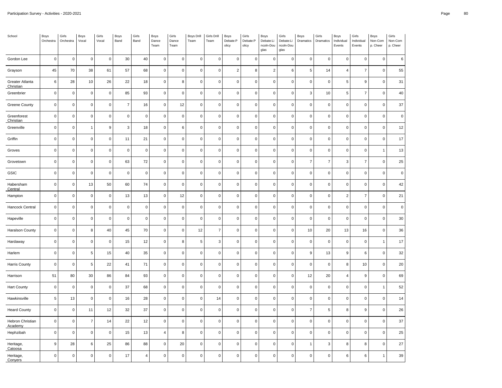| School                       | Boys<br>Orchestra | Girls<br>Orchestra  | Boys<br>Vocal   | Girls<br>Vocal | Boys<br>Band   | Girls<br>Band  | Boys<br>Dance<br>Team | Girls<br>Dance<br>Team | Boys Drill<br>Team | Girls Drill<br>Team | Boys<br>Debate:P<br>olicy | Girls<br>Debate:P<br>olicy | Boys<br>Debate:Li<br>ncoln-Dou<br>glas | Girls<br>Debate:Li<br>ncoln-Dou<br>glas | Boys<br>Dramatics | Girls<br>Dramatics | Boys<br>Individual<br>Events | Girls<br>Individual<br>Events | Boys<br>Non-Com<br>p. Cheer | Girls<br>Non-Com<br>p. Cheer |
|------------------------------|-------------------|---------------------|-----------------|----------------|----------------|----------------|-----------------------|------------------------|--------------------|---------------------|---------------------------|----------------------------|----------------------------------------|-----------------------------------------|-------------------|--------------------|------------------------------|-------------------------------|-----------------------------|------------------------------|
| Gordon Lee                   | $\mathbf 0$       | $\mathsf 0$         | $\mathbf 0$     | $\mathbf 0$    | 30             | 40             | $\mathsf 0$           | $\mathbf 0$            | $\mathsf 0$        | $\pmb{0}$           | $\mathbf 0$               | 0                          | $\mathbf 0$                            | 0                                       | $\pmb{0}$         | $\pmb{0}$          | $\mathsf 0$                  | $\mathbf 0$                   | $\mathbf 0$                 | $\,6\,$                      |
| Grayson                      | 45                | 70                  | 38              | 61             | 57             | 68             | $\mathsf 0$           | $\mathbf 0$            | $\pmb{0}$          | $\pmb{0}$           | $\sqrt{2}$                | 8                          | $\overline{2}$                         | 6                                       | $\,$ 5            | 14                 | $\overline{4}$               | $\overline{7}$                | $\mathbf 0$                 | 55                           |
| Greater Atlanta<br>Christian | $\,6\,$           | 28                  | 10              | 26             | 22             | 18             | $\mathsf 0$           | 8                      | $\mathbf 0$        | $\pmb{0}$           | $\mathbf 0$               | 0                          | $\mathsf 0$                            | $\mathsf 0$                             | $\pmb{0}$         | $\pmb{0}$          | 5                            | 9                             | $\mathbf 0$                 | 31                           |
| Greenbrier                   | $\mathbf 0$       | $\mathsf 0$         | $\mathbf 0$     | $\mathbf 0$    | 85             | 93             | $\mathbf 0$           | $\mathbf 0$            | $\mathbf 0$        | $\pmb{0}$           | $\mathbf 0$               | 0                          | $\mathsf 0$                            | $\mathbf 0$                             | $\mathbf{3}$      | 10                 | 5                            | $\overline{7}$                | $\Omega$                    | 40                           |
| Greene County                | $\mathbf 0$       | $\mathsf 0$         | $\mathbf 0$     | $\mathbf 0$    | $\overline{7}$ | 16             | $\mathsf 0$           | 12                     | $\mathbf 0$        | $\pmb{0}$           | $\mathbf 0$               | $\mathsf 0$                | $\mathbf 0$                            | $\mathbf 0$                             | $\mathbf 0$       | $\pmb{0}$          | $\mathsf 0$                  | $\mathsf 0$                   | $\mathbf 0$                 | 37                           |
| Greenforest<br>Christian     | $\mathbf 0$       | $\mathsf 0$         | $\mathbf 0$     | $\mathbf 0$    | $\mathbf 0$    | $\pmb{0}$      | $\mathsf 0$           | $\mathbf 0$            | $\pmb{0}$          | $\pmb{0}$           | $\mathbf 0$               | 0                          | $\mathsf 0$                            | $\mathsf 0$                             | $\mathbf 0$       | $\pmb{0}$          | $\mathsf 0$                  | $\mathsf 0$                   | $\mathbf 0$                 | $\pmb{0}$                    |
| Greenville                   | $\mathbf 0$       | $\mathsf 0$         | $\mathbf{1}$    | 9              | 3              | 18             | $\mathsf 0$           | 6                      | $\mathbf 0$        | $\pmb{0}$           | $\pmb{0}$                 | 0                          | $\mathsf 0$                            | $\mathbf 0$                             | $\mathbf 0$       | $\pmb{0}$          | $\mathsf 0$                  | $\mathbf 0$                   | $\mathbf 0$                 | 12                           |
| Griffin                      | $\mathbf 0$       | $\mathsf 0$         | $\mathbf 0$     | $\mathbf 0$    | 11             | 21             | $\mathsf 0$           | $\mathsf 0$            | $\mathbf 0$        | $\pmb{0}$           | $\mathbf 0$               | $\mathsf 0$                | $\mathsf 0$                            | $\mathbf 0$                             | $\mathbf 0$       | $\pmb{0}$          | $\mathsf 0$                  | $\mathbf 0$                   | $\mathbf 0$                 | 17                           |
| Groves                       | $\pmb{0}$         | $\mathsf 0$         | $\mathbf 0$     | $\mathbf 0$    | $\mathbf 0$    | $\pmb{0}$      | $\mathsf{O}\xspace$   | $\mathbf 0$            | $\pmb{0}$          | $\pmb{0}$           | $\pmb{0}$                 | 0                          | $\mathsf 0$                            | $\mathsf 0$                             | $\pmb{0}$         | $\pmb{0}$          | $\mathsf 0$                  | $\mathbf 0$                   | $\mathbf{1}$                | 13                           |
| Grovetown                    | $\mathbf 0$       | $\mathsf 0$         | $\mathbf 0$     | $\mathbf 0$    | 63             | 72             | $\mathsf 0$           | $\mathbf 0$            | $\pmb{0}$          | $\pmb{0}$           | $\mathbf 0$               | 0                          | $\mathbf 0$                            | $\mathbf 0$                             | $\overline{7}$    | $\boldsymbol{7}$   | $\mathsf 3$                  | $\overline{7}$                | $\Omega$                    | 25                           |
| GSIC                         | $\mathbf 0$       | $\mathsf 0$         | $\mathbf 0$     | $\mathbf 0$    | $\mathbf 0$    | $\pmb{0}$      | $\mathsf 0$           | $\mathsf 0$            | $\mathbf 0$        | $\pmb{0}$           | $\mathbf 0$               | 0                          | $\mathsf 0$                            | $\mathsf 0$                             | $\mathbf 0$       | $\pmb{0}$          | $\mathsf 0$                  | $\mathsf 0$                   | $\mathbf 0$                 | $\pmb{0}$                    |
| Habersham<br>Central         | $\mathbf 0$       | $\mathsf{O}\xspace$ | 13              | 50             | 60             | 74             | $\mathsf{O}\xspace$   | $\mathbf 0$            | $\pmb{0}$          | $\pmb{0}$           | $\pmb{0}$                 | 0                          | $\mathbf 0$                            | $\pmb{0}$                               | $\pmb{0}$         | $\pmb{0}$          | $\mathsf 0$                  | $\mathbf 0$                   | $\mathbf 0$                 | 42                           |
| Hampton                      | $\mathbf 0$       | $\mathsf 0$         | $\mathbf 0$     | $\mathbf 0$    | 13             | 13             | $\mathsf 0$           | 12                     | $\mathbf 0$        | $\mathbf 0$         | $\mathbf 0$               | 0                          | $\mathbf 0$                            | $\mathbf 0$                             | $\mathbf 0$       | $\mathsf 0$        | $\overline{2}$               | $\overline{7}$                | $\Omega$                    | 21                           |
| Hancock Central              | $\pmb{0}$         | $\mathsf 0$         | $\mathbf 0$     | $\mathbf 0$    | $\mathbf 0$    | $\pmb{0}$      | $\mathsf 0$           | $\mathbf 0$            | $\pmb{0}$          | $\pmb{0}$           | $\pmb{0}$                 | $\mathsf 0$                | $\mathbf 0$                            | $\mathsf 0$                             | $\pmb{0}$         | $\mathsf 0$        | $\mathsf 0$                  | $\mathsf 0$                   | $\mathbf 0$                 | $\pmb{0}$                    |
| Hapeville                    | $\mathbf 0$       | $\mathsf{O}\xspace$ | $\mathbf 0$     | $\mathbf 0$    | $\mathbf 0$    | $\pmb{0}$      | $\mathsf{O}\xspace$   | $\mathbf 0$            | $\pmb{0}$          | $\mathbf 0$         | $\pmb{0}$                 | 0                          | $\pmb{0}$                              | $\mathsf 0$                             | $\mathbf 0$       | $\mathsf 0$        | $\pmb{0}$                    | $\mathbf 0$                   | $\overline{0}$              | 30                           |
| Haralson County              | $\mathbf 0$       | $\mathsf 0$         | 8               | 40             | 45             | 70             | $\mathsf 0$           | $\mathsf 0$            | 12                 | $\overline{7}$      | $\mathbf 0$               | 0                          | $\mathsf 0$                            | $\mathbf 0$                             | $10$              | 20                 | 13                           | 16                            | $\mathbf 0$                 | 36                           |
| Hardaway                     | $\mathbf 0$       | $\mathsf 0$         | $\mathbf 0$     | $\mathbf 0$    | 15             | 12             | $\mathsf 0$           | 8                      | $\,$ 5 $\,$        | 3                   | $\pmb{0}$                 | 0                          | $\mathbf 0$                            | $\mathsf 0$                             | $\pmb{0}$         | $\mathsf 0$        | $\mathsf 0$                  | $\mathbf 0$                   | 1                           | 17                           |
| Harlem                       | $\mathbf 0$       | $\mathsf{O}\xspace$ | $5\phantom{.0}$ | 15             | 40             | 35             | $\mathsf{O}\xspace$   | $\mathbf 0$            | $\pmb{0}$          | $\mathbf 0$         | $\pmb{0}$                 | 0                          | $\mathbf 0$                            | $\mathsf 0$                             | $\mathsf g$       | 13                 | 9                            | $\,6\,$                       | $\Omega$                    | 32                           |
| Harris County                | $\mathbf 0$       | $\pmb{0}$           | $\sqrt{5}$      | 22             | 41             | 71             | $\mathsf 0$           | $\mathbf 0$            | $\mathbf 0$        | $\mathbf 0$         | $\mathbf 0$               | 0                          | $\mathsf 0$                            | $\mathbf 0$                             | $\mathbf 0$       | $\pmb{0}$          | 8                            | 10                            | $\Omega$                    | 20                           |
| Harrison                     | 51                | 80                  | 30              | 86             | 84             | 93             | $\mathsf{O}\xspace$   | $\mathbf 0$            | $\mathbf 0$        | $\pmb{0}$           | $\mathbf 0$               | $\mathsf 0$                | $\mathbf 0$                            | $\mathsf 0$                             | 12                | 20                 | $\overline{4}$               | 9                             | $\mathbf 0$                 | 69                           |
| <b>Hart County</b>           | $\pmb{0}$         | $\mathsf 0$         | $\pmb{0}$       | $\mathbf 0$    | 37             | 68             | $\mathsf 0$           | $\mathsf 0$            | $\mathbf 0$        | $\pmb{0}$           | $\pmb{0}$                 | 0                          | $\pmb{0}$                              | $\mathsf 0$                             | $\pmb{0}$         | $\pmb{0}$          | $\mathsf 0$                  | $\mathbf 0$                   | $\mathbf{1}$                | 52                           |
| Hawkinsville                 | 5                 | 13                  | $\mathbf 0$     | $\mathbf 0$    | 16             | 28             | $\mathsf{O}\xspace$   | $\mathsf 0$            | $\mathbf 0$        | 14                  | $\mathbf 0$               | 0                          | $\mathbf 0$                            | $\mathbf 0$                             | $\mathbf 0$       | $\mathbf 0$        | $\mathsf 0$                  | $\mathbf 0$                   | $\Omega$                    | 14                           |
| <b>Heard County</b>          | $\mathbf 0$       | $\mathsf 0$         | 11              | 12             | 32             | 37             | $\mathsf 0$           | $\mathbf 0$            | $\pmb{0}$          | $\pmb{0}$           | $\mathbf 0$               | 0                          | $\mathsf 0$                            | $\mathsf 0$                             | $\overline{7}$    | $\sqrt{5}$         | 8                            | 9                             | $\mathbf 0$                 | 26                           |
| Hebron Christian<br>Academy  | $\pmb{0}$         | $\mathsf 0$         | $\overline{7}$  | 14             | 22             | 12             | $\mathsf 0$           | $\mathsf 0$            | $\mathbf 0$        | $\pmb{0}$           | $\pmb{0}$                 | 0                          | $\pmb{0}$                              | $\pmb{0}$                               | $\pmb{0}$         | $\pmb{0}$          | $\mathsf 0$                  | $\mathbf 0$                   | $\Omega$                    | 37                           |
| Hephzibah                    | $\mathbf 0$       | $\mathsf 0$         | $\mathbf 0$     | $\mathbf 0$    | 15             | 13             | $\overline{4}$        | 8                      | $\mathbf 0$        | $\mathbf 0$         | $\mathbf 0$               | 0                          | $\mathsf 0$                            | $\mathbf 0$                             | $\overline{0}$    | $\mathbf 0$        | $\mathsf 0$                  | $\mathbf 0$                   | $\mathbf 0$                 | 25                           |
| Heritage,<br>Catoosa         | $\mathsf g$       | 28                  | 6               | 25             | 86             | 88             | $\mathsf{O}\xspace$   | 20                     | $\pmb{0}$          | $\pmb{0}$           | $\pmb{0}$                 | 0                          | $\mathbf 0$                            | $\mathsf 0$                             | $\overline{1}$    | 3                  | 8                            | 8                             | $\pmb{0}$                   | 27                           |
| Heritage,<br>Convers         | $\pmb{0}$         | $\mathsf 0$         | $\mathbf 0$     | $\mathbf 0$    | 17             | $\overline{4}$ | $\mathsf 0$           | $\pmb{0}$              | $\mathbf 0$        | $\mathbf 0$         | $\pmb{0}$                 | 0                          | $\pmb{0}$                              | $\mathbf 0$                             | $\pmb{0}$         | $\pmb{0}$          | 6                            | $\,6$                         | 1                           | 39                           |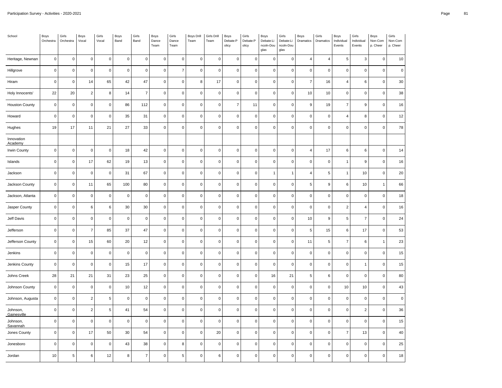| School                  | Boys<br>Orchestra | Girls<br>Orchestra  | Boys<br>Vocal       | Girls<br>Vocal      | Boys<br>Band   | Girls<br>Band  | Boys<br>Dance<br>Team | Girls<br>Dance<br>Team | <b>Boys Drill</b><br>Team | Girls Drill<br>Team | Boys<br>Debate:P<br>olicy | Girls<br>Debate:P<br>olicy | Boys<br>Debate:Li<br>ncoln-Dou<br>glas | Girls<br>Debate:Li<br>ncoln-Dou<br>glas | Boys<br>Dramatics | Girls<br>Dramatics | Boys<br>Individual<br>Events | Girls<br>Individual<br>Events | Boys<br>Non-Com<br>p. Cheer | Girls<br>Non-Com<br>p. Cheer |
|-------------------------|-------------------|---------------------|---------------------|---------------------|----------------|----------------|-----------------------|------------------------|---------------------------|---------------------|---------------------------|----------------------------|----------------------------------------|-----------------------------------------|-------------------|--------------------|------------------------------|-------------------------------|-----------------------------|------------------------------|
| Heritage, Newnan        | $\mathbf 0$       | $\mathsf{O}\xspace$ | $\mathsf{O}\xspace$ | $\mathbf 0$         | $\mathsf 0$    | $\mathbf 0$    | $\mathsf 0$           | $\mathsf 0$            | $\mathbf 0$               | $\mathbf 0$         | $\mathbf 0$               | 0                          | $\mathbf 0$                            | $\mathbf 0$                             | $\overline{4}$    | $\overline{4}$     | 5                            | 3                             | $\mathbf 0$                 | $10$                         |
| Hillgrove               | $\pmb{0}$         | $\mathsf 0$         | $\mathbf 0$         | $\mathsf 0$         | $\mathsf 0$    | $\pmb{0}$      | $\mathsf 0$           | $\overline{7}$         | $\pmb{0}$                 | $\mathbf 0$         | $\pmb{0}$                 | 0                          | $\mathbf 0$                            | $\pmb{0}$                               | $\pmb{0}$         | $\pmb{0}$          | $\mathsf 0$                  | $\mathbf 0$                   | $\mathsf 0$                 | $\mathbf 0$                  |
| Hiram                   | $\pmb{0}$         | $\mathsf{O}\xspace$ | 14                  | 65                  | 42             | 47             | $\mathsf{O}\xspace$   | $\mathbf 0$            | 8                         | 17                  | $\pmb{0}$                 | $\pmb{0}$                  | $\mathbf 0$                            | $\pmb{0}$                               | $\overline{7}$    | 16                 | 4                            | 6                             | $\mathbf 0$                 | $30\,$                       |
| Holy Innocents'         | 22                | 20                  | $\overline{2}$      | 8                   | 14             | $\overline{7}$ | $\mathsf 0$           | $\mathsf 0$            | $\mathbf 0$               | $\mathbf 0$         | $\mathbf 0$               | 0                          | $\mathsf 0$                            | $\mathbf 0$                             | 10                | 10                 | 0                            | $\mathbf 0$                   | $\mathsf 0$                 | 38                           |
| <b>Houston County</b>   | $\pmb{0}$         | $\pmb{0}$           | $\mathbf 0$         | $\mathsf 0$         | 86             | 112            | $\mathsf 0$           | $\mathbf 0$            | $\pmb{0}$                 | $\mathbf 0$         | $\overline{7}$            | 11                         | $\mathbf 0$                            | $\pmb{0}$                               | 9                 | 19                 | $\overline{7}$               | $\boldsymbol{9}$              | $\mathsf 0$                 | 16                           |
| Howard                  | $\mathbf 0$       | $\mathsf{O}\xspace$ | $\mathbf 0$         | $\mathbf 0$         | 35             | 31             | $\mathsf 0$           | $\mathsf 0$            | $\mathbf 0$               | $\mathbf 0$         | $\mathbf 0$               | $\mathsf 0$                | $\mathbf 0$                            | $\mathbf 0$                             | $\mathbf 0$       | $\mathbf 0$        | $\overline{4}$               | 8                             | $\mathsf 0$                 | 12                           |
| Hughes                  | 19                | 17                  | 11                  | 21                  | 27             | 33             | $\mathsf 0$           | $\mathbf 0$            | $\pmb{0}$                 | $\mathbf 0$         | $\pmb{0}$                 | 0                          | $\mathbf 0$                            | $\pmb{0}$                               | $\mathbf 0$       | $\pmb{0}$          | $\mathsf 0$                  | $\mathbf 0$                   | $\mathsf 0$                 | 78                           |
| Innovation<br>Academy   |                   |                     |                     |                     |                |                |                       |                        |                           |                     |                           |                            |                                        |                                         |                   |                    |                              |                               |                             |                              |
| Irwin County            | $\mathbf 0$       | $\mathsf 0$         | $\mathbf 0$         | $\mathbf 0$         | 18             | 42             | $\mathsf 0$           | $\mathsf 0$            | $\mathbf 0$               | $\mathbf 0$         | $\pmb{0}$                 | 0                          | $\mathbf 0$                            | $\mathbf 0$                             | $\overline{4}$    | 17                 | 6                            | 6                             | $\mathsf 0$                 | 14                           |
| Islands                 | $\pmb{0}$         | $\mathsf 0$         | 17                  | 62                  | $19$           | 13             | $\mathsf{O}\xspace$   | $\mathbf 0$            | $\pmb{0}$                 | $\mathbf{0}$        | $\pmb{0}$                 | $\pmb{0}$                  | $\mathbf 0$                            | $\pmb{0}$                               | $\pmb{0}$         | $\pmb{0}$          | $\mathbf{1}$                 | $\boldsymbol{9}$              | $\mathbf 0$                 | 16                           |
| Jackson                 | $\mathbf 0$       | $\mathsf 0$         | $\pmb{0}$           | $\mathbf 0$         | 31             | 67             | $\mathsf 0$           | $\mathbf 0$            | $\mathbf 0$               | $\mathbf{0}$        | $\pmb{0}$                 | $\pmb{0}$                  | $\mathbf{1}$                           | $\overline{1}$                          | $\overline{4}$    | $\sqrt{5}$         | $\mathbf{1}$                 | $10$                          | $\mathsf 0$                 | 20                           |
| Jackson County          | $\pmb{0}$         | $\mathsf 0$         | 11                  | 65                  | 100            | 80             | $\mathsf 0$           | $\mathbf 0$            | $\mathbf 0$               | $\mathbf 0$         | $\pmb{0}$                 | $\pmb{0}$                  | $\mathbf 0$                            | $\mathbf 0$                             | 5                 | $\boldsymbol{9}$   | 6                            | 10                            | $\overline{1}$              | 66                           |
| Jackson, Atlanta        | $\mathbf 0$       | $\mathsf{O}\xspace$ | $\mathbf 0$         | $\mathbf 0$         | $\mathbf 0$    | $\pmb{0}$      | $\mathsf{O}\xspace$   | $\mathbf 0$            | $\mathbf 0$               | $\mathbf 0$         | $\pmb{0}$                 | $\pmb{0}$                  | $\mathsf 0$                            | $\mathbf 0$                             | $\mathbf 0$       | $\mathbf 0$        | $\mathsf 0$                  | $\mathbf 0$                   | $\mathsf 0$                 | 18                           |
| Jasper County           | $\pmb{0}$         | $\mathsf{O}\xspace$ | 6                   | $\,6\,$             | 30             | 30             | $\mathsf{O}\xspace$   | $\pmb{0}$              | $\pmb{0}$                 | $\pmb{0}$           | $\pmb{0}$                 | 0                          | $\mathbf 0$                            | $\pmb{0}$                               | $\pmb{0}$         | $\pmb{0}$          | $\overline{2}$               | $\overline{4}$                | $\mathsf 0$                 | 16                           |
| Jeff Davis              | $\overline{0}$    | $\mathsf 0$         | $\mathbf 0$         | $\mathbf 0$         | $\overline{0}$ | $\mathbf 0$    | $\mathsf 0$           | $\mathsf 0$            | $\mathbf 0$               | $\mathbf 0$         | $\mathbf 0$               | 0                          | $\mathsf 0$                            | $\mathbf 0$                             | 10                | 9                  | 5                            | $\overline{7}$                | $\mathbf 0$                 | 24                           |
| Jefferson               | $\mathbf 0$       | $\mathsf 0$         | $\overline{7}$      | 85                  | $37\,$         | 47             | $\mathsf 0$           | $\mathbf 0$            | $\pmb{0}$                 | $\mathbf{0}$        | $\pmb{0}$                 | 0                          | $\mathbf 0$                            | $\pmb{0}$                               | 5                 | 15                 | 6                            | 17                            | $\mathsf 0$                 | 53                           |
| Jefferson County        | $\mathbf 0$       | $\mathsf 0$         | 15                  | 60                  | $20\,$         | 12             | $\mathsf 0$           | $\mathsf 0$            | $\mathsf 0$               | $\mathbf 0$         | $\mathbf 0$               | $\mathsf 0$                | $\mathbf 0$                            | $\mathbf 0$                             | 11                | 5                  | $\overline{7}$               | $\,6\,$                       | $\overline{1}$              | 23                           |
| Jenkins                 | $\mathbf 0$       | $\pmb{0}$           | $\mathbf 0$         | $\mathbf 0$         | $\pmb{0}$      | $\pmb{0}$      | $\mathsf 0$           | $\mathbf 0$            | $\mathbf 0$               | $\mathbf 0$         | $\mathbf 0$               | 0                          | $\mathbf 0$                            | $\mathbf 0$                             | $\mathbf 0$       | $\mathbf 0$        | $\mathsf 0$                  | $\mathbf 0$                   | $\mathsf 0$                 | 15                           |
| Jenkins County          | $\pmb{0}$         | $\mathsf 0$         | $\pmb{0}$           | $\mathsf{O}\xspace$ | 15             | 17             | $\mathsf{O}\xspace$   | $\mathbf 0$            | $\pmb{0}$                 | $\mathbf 0$         | $\pmb{0}$                 | $\pmb{0}$                  | $\mathbf 0$                            | $\pmb{0}$                               | $\pmb{0}$         | $\pmb{0}$          | $\pmb{0}$                    | $\mathbf{1}$                  | $\pmb{0}$                   | 15                           |
| Johns Creek             | 28                | 21                  | 21                  | 31                  | 23             | 25             | $\mathsf 0$           | $\pmb{0}$              | $\mathbf 0$               | $\mathbf 0$         | $\mathbf 0$               | 0                          | 16                                     | 21                                      | 5                 | $6\phantom{1}6$    | $\pmb{0}$                    | $\mathbf 0$                   | $\mathsf 0$                 | 80                           |
| Johnson County          | $\pmb{0}$         | $\mathsf 0$         | $\mathsf{O}\xspace$ | $\mathbf 0$         | $10$           | 12             | $\mathsf 0$           | $\mathbf 0$            | $\pmb{0}$                 | $\pmb{0}$           | $\pmb{0}$                 | $\pmb{0}$                  | $\mathbf 0$                            | $\mathbf 0$                             | $\mathbf 0$       | $\pmb{0}$          | $10\,$                       | $10$                          | $\mathsf 0$                 | 43                           |
| Johnson, Augusta        | $\mathbf 0$       | $\mathsf 0$         | $\overline{2}$      | 5                   | $\pmb{0}$      | $\pmb{0}$      | $\mathsf 0$           | $\mathbf 0$            | $\mathsf 0$               | $\mathsf 0$         | $\mathbf 0$               | 0                          | $\mathbf 0$                            | $\mathsf 0$                             | $\mathbf 0$       | $\pmb{0}$          | $\mathsf{O}\xspace$          | $\mathbf 0$                   | $\mathsf 0$                 | $\mathbf 0$                  |
| Johnson,<br>Gainesville | $\mathbf 0$       | $\mathsf 0$         | $\overline{2}$      | 5                   | 41             | 54             | $\mathsf 0$           | $\mathbf 0$            | $\mathbf 0$               | $\mathsf 0$         | $\pmb{0}$                 | 0                          | $\mathbf 0$                            | $\mathbf 0$                             | $\mathbf 0$       | $\mathbf 0$        | 0                            | $\overline{2}$                | $\mathsf 0$                 | 36                           |
| Johnson,<br>Savannah    | $\mathbf 0$       | $\mathsf 0$         | $\mathbf 0$         | $\mathbf 0$         | $\mathsf 0$    | $\pmb{0}$      | $\mathsf{O}\xspace$   | $\mathbf 0$            | $\mathbf 0$               | $\mathbf 0$         | $\pmb{0}$                 | $\pmb{0}$                  | $\mathbf 0$                            | $\mathbf 0$                             | $\mathbf 0$       | $\pmb{0}$          | $\mathsf 0$                  | $\mathbf 0$                   | $\mathsf 0$                 | $15\,$                       |
| Jones County            | $\mathbf 0$       | $\mathsf{O}\xspace$ | 17                  | 50                  | 30             | 54             | $\mathsf{O}\xspace$   | $\pmb{0}$              | $\mathbf 0$               | 20                  | $\pmb{0}$                 | $\pmb{0}$                  | $\mathbf 0$                            | $\mathbf 0$                             | $\mathbf 0$       | $\pmb{0}$          | $\overline{7}$               | 13                            | $\mathsf 0$                 | $40\,$                       |
| Jonesboro               | $\mathbf 0$       | $\mathsf 0$         | $\mathbf 0$         | $\mathbf 0$         | 43             | 38             | $\mathsf 0$           | 8                      | $\mathbf 0$               | $\mathbf 0$         | $\mathbf 0$               | 0                          | $\mathsf 0$                            | $\mathbf 0$                             | $\mathbf 0$       | $\mathbf 0$        | $\mathsf{O}$                 | $\mathbf 0$                   | $\mathbf 0$                 | 25                           |
| Jordan                  | 10                | 5                   | 6                   | 12                  | 8              | $\overline{7}$ | $\mathsf{O}\xspace$   | 5                      | $\mathbf 0$               | 6                   | $\pmb{0}$                 | $\pmb{0}$                  | $\mathbf 0$                            | $\mathbf 0$                             | $\mathbf 0$       | $\mathbf 0$        | $\pmb{0}$                    | $\pmb{0}$                     | $\mathbf 0$                 | 18                           |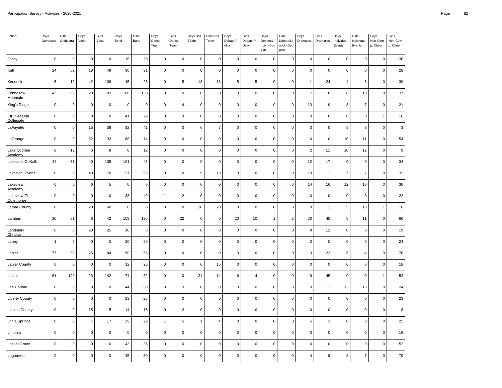| School                            | Boys<br>Orchestra | Girls<br>Orchestra | Boys<br>Vocal  | Girls<br>Vocal | Boys<br>Band        | Girls<br>Band | Boys<br>Dance<br>Team | Girls<br>Dance<br>Team | Boys Drill<br>Team | Girls Drill<br>Team | Boys<br>Debate:P<br>olicy | Girls<br>Debate:P<br>olicy | Boys<br>Debate:Li<br>ncoln-Dou<br>glas | Girls<br>Debate:Li<br>ncoln-Dou<br>glas | Boys<br>Dramatics | Girls<br>Dramatics        | Boys<br>Individual<br>Events | Girls<br>Individual<br>Events | Boys<br>Non-Com<br>p. Cheer | Girls<br>Non-Com<br>p. Cheer |
|-----------------------------------|-------------------|--------------------|----------------|----------------|---------------------|---------------|-----------------------|------------------------|--------------------|---------------------|---------------------------|----------------------------|----------------------------------------|-----------------------------------------|-------------------|---------------------------|------------------------------|-------------------------------|-----------------------------|------------------------------|
| Josey                             | $\mathbf 0$       | $\pmb{0}$          | $\pmb{0}$      | $\pmb{0}$      | 15                  | $20\,$        | $\pmb{0}$             | $\mathbf 0$            | $\pmb{0}$          | $\pmb{0}$           | $\pmb{0}$                 | $\mathsf 0$                | $\pmb{0}$                              | $\mathbf 0$                             | $\pmb{0}$         | $\pmb{0}$                 | $\mathsf 0$                  | $\mathbf 0$                   | $\mathbf 0$                 | 30                           |
| Kell                              | 24                | 62                 | 18             | 49             | 30                  | 91            | $\mathsf 0$           | $\mathsf 0$            | $\pmb{0}$          | $\pmb{0}$           | $\mathbf 0$               | $\mathsf{O}\xspace$        | $\mathsf 0$                            | $\mathbf 0$                             | $\mathbf 0$       | $\pmb{0}$                 | $\mathsf 0$                  | $\mathbf 0$                   | $\mathsf 0$                 | 28                           |
| Kendrick                          | $\overline{5}$    | 12                 | 42             | 108            | 45                  | 25            | $\pmb{0}$             | 5                      | 13                 | 18                  | 5                         | $\sqrt{5}$                 | $\mathbf 0$                            | $\Omega$                                | $\overline{1}$    | 24                        | $\overline{4}$               | 6                             | 0                           | $30\,$                       |
| Kennesaw<br>Mountain              | 42                | 69                 | 28             | 103            | 168                 | 138           | $\mathsf 0$           | $\mathbf 0$            | $\overline{0}$     | $\pmb{0}$           | $\pmb{0}$                 | $\mathsf{O}\xspace$        | $\mathsf 0$                            | $\mathbf 0$                             | $\overline{7}$    | 16                        | 8                            | 10                            | $\mathsf 0$                 | 37                           |
| King's Ridge                      | $\mathbf 0$       | $\pmb{0}$          | $\mathbf 0$    | $\pmb{0}$      | $\mathsf 0$         | $\mathbf 0$   | $\mathsf 0$           | 14                     | $\pmb{0}$          | $\pmb{0}$           | 0                         | $\mathsf 0$                | $\pmb{0}$                              | $\mathbf 0$                             | 13                | $\boldsymbol{9}$          | 8                            | $\overline{7}$                | $\pmb{0}$                   | 21                           |
| <b>KIPP Atlanta</b><br>Collegiate | $\mathsf 0$       | $\mathbf 0$        | $\mathbf 0$    | $\mathbf 0$    | 41                  | 29            | $\mathsf 0$           | 9                      | $\mathbf 0$        | $\mathbf 0$         | $\mathsf 0$               | $\mathsf 0$                | $\mathbf 0$                            | $\mathbf 0$                             | $\mathbf 0$       | $\mathsf 0$               | $\mathsf 0$                  | $\mathbf{0}$                  | $\overline{1}$              | 16                           |
| LaFayette                         | $\mathbf 0$       | $\pmb{0}$          | 15             | 39             | 32                  | 41            | $\mathsf 0$           | $\mathsf 0$            | $\,6$              | $\overline{7}$      | $\mathbf 0$               | $\mathsf 0$                | $\pmb{0}$                              | $\mathbf 0$                             | $\pmb{0}$         | $\mathsf 0$               | 8                            | 8                             | $\mathsf 0$                 | $\mathbf{3}$                 |
| LaGrange                          | $\pmb{0}$         | $\pmb{0}$          | 32             | 132            | 68                  | 74            | $\pmb{0}$             | $\pmb{0}$              | $\pmb{0}$          | $\pmb{0}$           | $\pmb{0}$                 | $\mathsf 0$                | $\pmb{0}$                              | $\Omega$                                | $\pmb{0}$         | $\pmb{0}$                 | 10                           | 11                            | $\mathbf 0$                 | 54                           |
| Lake Oconee<br>Academy            | 8                 | 12                 | 6              | 8              | 8                   | 12            | $\mathsf 0$           | $\mathbf 0$            | $\mathbf 0$        | $\mathbf 0$         | $\mathbf 0$               | $\mathsf 0$                | $\mathbf 0$                            | $\mathbf 0$                             | $\overline{2}$    | 11                        | 10                           | 12                            | $\mathbf 0$                 | $\boldsymbol{9}$             |
| Lakeside, DeKalb                  | 44                | 61                 | 40             | 105            | 101                 | 45            | $\mathsf{O}\xspace$   | $\pmb{0}$              | $\pmb{0}$          | $\pmb{0}$           | $\pmb{0}$                 | $\mathsf{O}\xspace$        | $\pmb{0}$                              | $\mathbf 0$                             | 12                | 17                        | $\mathsf 0$                  | $\mathsf{O}\xspace$           | $\mathsf 0$                 | 34                           |
| Lakeside, Evans                   | $\mathsf 0$       | $\mathsf 0$        | 40             | 70             | 137                 | 95            | $\mathsf 0$           | $\mathsf 0$            | 9                  | 13                  | $\mathsf 0$               | $\mathsf 0$                | $\mathsf 0$                            | $\mathbf 0$                             | 10                | 11                        | $\overline{7}$               | $\overline{7}$                | $\mathsf 0$                 | 32                           |
| Lakeview<br>Academy               | $\mathbf 0$       | $\pmb{0}$          | 6              | $\sqrt{5}$     | $\pmb{0}$           | $\mathbf 0$   | $\mathsf 0$           | $\mathsf 0$            | $\,0\,$            | $\pmb{0}$           | $\mathbf 0$               | $\mathsf{O}\xspace$        | $\pmb{0}$                              | $\mathbf 0$                             | 14                | 16                        | 12                           | 10                            | $\mathsf 0$                 | $30\,$                       |
| Lakeview-Ft.<br>Oglethorpe        | $\mathbf 0$       | $\mathsf 0$        | $\mathbf 0$    | $\mathbf 0$    | 38                  | 49            | $\mathbf{1}$          | 12                     | $\mathbf 0$        | $\mathbf 0$         | $\mathsf 0$               | $\mathsf{O}\xspace$        | $\mathsf 0$                            | $\mathbf 0$                             | $\mathbf 0$       | $\pmb{0}$                 | $\mathsf 0$                  | $\mathbf 0$                   | $\mathsf 0$                 | 22                           |
| Lamar County                      | $\mathsf 0$       | $\mathsf 0$        | 20             | 60             | 8                   | 8             | $\mathsf 0$           | $\mathsf 0$            | 20                 | 20                  | $\pmb{0}$                 | $\mathsf 0$                | $\mathsf 0$                            | $\mathbf 0$                             | $\mathbf 0$       | $\mathbf{1}$              | 5                            | 18                            | $\mathbf{1}$                | 16                           |
| Lambert                           | 30                | 51                 | $\,6$          | 42             | 108                 | 120           | $\mathsf 0$           | 22                     | $\mathbf 0$        | $\mathbf 0$         | 20                        | $10$                       | $\overline{1}$                         | $\sqrt{2}$                              | 30                | 45                        | $\,$ 5 $\,$                  | 11                            | $\mathbf 0$                 | 60                           |
| Landmark<br>Christian             | $\mathbf 0$       | $\pmb{0}$          | 20             | 25             | 10                  | 8             | $\mathsf 0$           | $\mathsf 0$            | $\pmb{0}$          | $\pmb{0}$           | $\mathsf 0$               | $\mathsf{O}\xspace$        | $\mathsf 0$                            | $\mathbf 0$                             | 9                 | 12                        | $\mathsf 0$                  | $\mathbf 0$                   | $\mathsf 0$                 | 19                           |
| Laney                             | $\mathbf{1}$      | $\sqrt{2}$         | $\pmb{0}$      | $\pmb{0}$      | 20                  | 20            | $\mathsf{O}\xspace$   | $\mathbf 0$            | $\pmb{0}$          | $\pmb{0}$           | $\pmb{0}$                 | $\mathsf{O}\xspace$        | $\mathbf 0$                            | $\mathbf 0$                             | $\pmb{0}$         | $\pmb{0}$                 | $\mathsf 0$                  | $\mathbf 0$                   | $\mathbf 0$                 | 24                           |
| Lanier                            | 77                | 98                 | 25             | 84             | 50                  | 55            | $\mathsf 0$           | $\mathsf 0$            | $\pmb{0}$          | $\pmb{0}$           | 0                         | $\mathsf{O}\xspace$        | $\mathbf 0$                            | $\mathbf 0$                             | $\mathbf{3}$      | 22                        | 5                            | $\overline{4}$                | $\mathsf 0$                 | 78                           |
| <b>Lanier County</b>              | $\mathbf 0$       | $\pmb{0}$          | $\mathbf 0$    | $\pmb{0}$      | 32                  | 26            | $\mathsf 0$           | $\mathsf 0$            | $\pmb{0}$          | 15                  | 0                         | $\mathsf 0$                | $\mathbf 0$                            | $\mathbf 0$                             | $\pmb{0}$         | $\pmb{0}$                 | $\mathsf 0$                  | $\mathbf 0$                   | $\mathsf 0$                 | 18                           |
| Lassiter                          | 61                | 120                | 23             | 142            | 74                  | 32            | $\mathsf 0$           | $\mathbf 0$            | 24                 | 14                  | 6                         | $\overline{4}$             | $\mathbf 0$                            | $\Omega$                                | 9                 | 45                        | $\mathsf 0$                  | $\mathbf 0$                   | $\overline{1}$              | 52                           |
| Lee County                        | $\mathbf 0$       | $\pmb{0}$          | $\mathbf 0$    | $\pmb{0}$      | 44                  | 50            | $\mathsf 0$           | 13                     | $\overline{0}$     | $\pmb{0}$           | 0                         | $\mathsf 0$                | $\pmb{0}$                              | $\mathbf 0$                             | 9                 | 11                        | 13                           | 15                            | $\mathsf 0$                 | 24                           |
| <b>Liberty County</b>             | $\mathsf 0$       | $\mathsf 0$        | $\mathbf 0$    | $\mathbf 0$    | 23                  | 25            | $\mathsf 0$           | $\pmb{0}$              | $\mathbf 0$        | $\mathbf 0$         | $\mathsf 0$               | $\mathsf 0$                | $\mathsf 0$                            | $\mathbf 0$                             | $\mathbf 0$       | $\mathsf{O}\xspace$       | $\mathsf 0$                  | $\mathbf 0$                   | $\pmb{0}$                   | 23                           |
| <b>Lincoln County</b>             | $\mathbf 0$       | $\mathsf 0$        | 15             | 15             | 14                  | 16            | $\mathbf 0$           | 12                     | $\mathbf 0$        | $\pmb{0}$           | $\mathbf 0$               | $\mathsf 0$                | $\mathbf 0$                            | $\mathbf 0$                             | $\mathbf 0$       | $\mathsf{O}\xspace$       | $\mathsf 0$                  | $\mathbf{0}$                  | $\mathbf 0$                 | 18                           |
| Lithia Springs                    | $\mathbf 0$       | $\mathsf 0$        | $\overline{7}$ | 17             | 29                  | 29            | $\overline{1}$        | 5                      | $\overline{1}$     | $\overline{4}$      | $\mathsf 0$               | $\pmb{0}$                  | $\mathsf 0$                            | $\mathbf 0$                             | 5                 | $\ensuremath{\mathsf{3}}$ | $\mathsf 0$                  | $\mathbf 0$                   | $\mathsf 0$                 | 25                           |
| Lithonia                          | $\pmb{0}$         | $\mathsf 0$        | $\mathbf 0$    | $\mathbf 0$    | $\mathsf{O}\xspace$ | $\mathbf 0$   | $\mathsf 0$           | $\pmb{0}$              | $\mathbf 0$        | $\mathbf 0$         | $\pmb{0}$                 | $\mathsf{O}\xspace$        | $\mathbf 0$                            | $\mathbf 0$                             | $\mathbf 0$       | $\mathsf{O}\xspace$       | $\mathsf 0$                  | $\mathbf 0$                   | $\pmb{0}$                   | 19                           |
| Locust Grove                      | $\mathbf 0$       | $\mathsf 0$        | $\mathbf 0$    | $\pmb{0}$      | 43                  | 36            | $\mathsf{O}\xspace$   | $\mathbf 0$            | $\pmb{0}$          | $\pmb{0}$           | $\pmb{0}$                 | $\mathsf{O}\xspace$        | $\pmb{0}$                              | $\mathbf 0$                             | $\pmb{0}$         | $\pmb{0}$                 | $\mathsf 0$                  | $\mathbf 0$                   | $\mathbf 0$                 | 52                           |
| Loganville                        | $\mathbf 0$       | $\mathsf 0$        | $\mathbf 0$    | $\mathbf 0$    | 45                  | 50            | $\mathsf 0$           | $\pmb{0}$              | $\mathbf 0$        | $\mathbf 0$         | $\mathsf 0$               | $\mathsf{O}\xspace$        | $\mathbf 0$                            | $\overline{0}$                          | $\overline{4}$    | 8                         | 8                            | $\overline{7}$                | $\mathbf 0$                 | 70                           |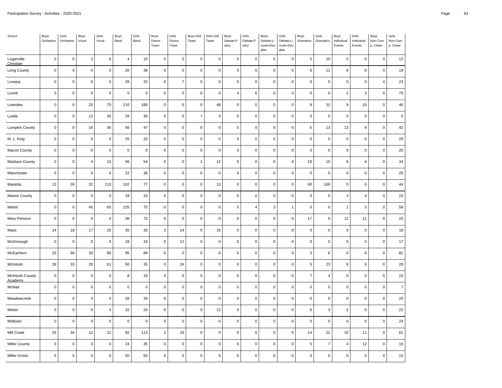| School                     | Boys<br>Orchestra | Girls<br>Orchestra  | Boys<br>Vocal           | Girls<br>Vocal | Boys<br>Band   | Girls<br>Band | Boys<br>Dance<br>Team | Girls<br>Dance<br>Team | Boys Drill<br>Team  | Girls Drill<br>Team | Boys<br>Debate:P<br>olicy | Girls<br>Debate:P<br>olicy | Boys<br>Debate:Li<br>ncoln-Dou<br>glas | Girls<br>Debate:Li<br>ncoln-Dou<br>glas | Boys<br>Dramatics | Girls<br>Dramatics  | Boys<br>Individual<br>Events | Girls<br>Individual<br>Events | Boys<br>Non-Com<br>p. Cheer | Girls<br>Non-Com<br>p. Cheer |
|----------------------------|-------------------|---------------------|-------------------------|----------------|----------------|---------------|-----------------------|------------------------|---------------------|---------------------|---------------------------|----------------------------|----------------------------------------|-----------------------------------------|-------------------|---------------------|------------------------------|-------------------------------|-----------------------------|------------------------------|
| Loganville<br>Christian    | $\pmb{0}$         | $\mathsf 0$         | $\overline{2}$          | 6              | $\overline{4}$ | 10            | $\mathbf 0$           | $\mathbf 0$            | $\mathsf{O}\xspace$ | $\mathsf 0$         | $\mathbf 0$               | $\mathsf 0$                | $\pmb{0}$                              | $\mathbf 0$                             | 5                 | 10                  | $\mathbf 0$                  | $\mathsf 0$                   | $\mathbf 0$                 | 12                           |
| Long County                | $\pmb{0}$         | $\mathsf{O}\xspace$ | $\pmb{0}$               | $\mathbf 0$    | 26             | 38            | $\pmb{0}$             | $\pmb{0}$              | $\pmb{0}$           | $\mathsf 0$         | $\pmb{0}$                 | $\pmb{0}$                  | $\pmb{0}$                              | $\pmb{0}$                               | 6                 | 11                  | 6                            | 8                             | $\mathbf 0$                 | 18                           |
| Lovejoy                    | $\pmb{0}$         | $\mathsf 0$         | $\mathbf 0$             | $\mathbf 0$    | 28             | 32            | $\mathbf 0$           | $\overline{7}$         | $\pmb{0}$           | $\pmb{0}$           | $\mathbf 0$               | $\mathsf 0$                | $\pmb{0}$                              | $\mathbf 0$                             | $\mathbf 0$       | $\mathbf 0$         | $\mathbf 0$                  | 0                             | $\overline{4}$              | 23                           |
| Lovett                     | $\pmb{0}$         | $\mathsf 0$         | $\mathbf 0$             | $\pmb{0}$      | $\mathsf 0$    | $\pmb{0}$     | $\pmb{0}$             | $\pmb{0}$              | $\pmb{0}$           | $\mathsf 0$         | 4                         | 6                          | $\pmb{0}$                              | $\pmb{0}$                               | 0                 | $\mathsf 0$         | $\overline{c}$               | 3                             | $\mathbf 0$                 | 79                           |
| Lowndes                    | $\mathbf 0$       | $\mathsf 0$         | 20                      | 70             | 210            | 180           | $\mathbf 0$           | $\pmb{0}$              | $\pmb{0}$           | 48                  | $\pmb{0}$                 | $\mathsf 0$                | $\pmb{0}$                              | $\mathbf 0$                             | 8                 | 31                  | 9                            | 10                            | $\mathbf 0$                 | 46                           |
| Luella                     | $\pmb{0}$         | $\mathsf{O}\xspace$ | 12                      | 35             | 29             | $30\,$        | $\pmb{0}$             | $\pmb{0}$              | $\overline{7}$      | $\mathbf{3}$        | $\pmb{0}$                 | $\mathsf 0$                | $\pmb{0}$                              | $\pmb{0}$                               | 0                 | $\mathbf 0$         | $\mathsf{O}\xspace$          | $\mathsf 0$                   | $\mathbf 0$                 | $\pmb{0}$                    |
| Lumpkin County             | $\pmb{0}$         | $\mathsf{O}\xspace$ | 16                      | 36             | 56             | 47            | $\pmb{0}$             | $\pmb{0}$              | $\mathsf{O}\xspace$ | $\mathbf 0$         | $\pmb{0}$                 | $\pmb{0}$                  | $\pmb{0}$                              | $\pmb{0}$                               | 6                 | 13                  | 13                           | $\boldsymbol{9}$              | $\mathbf 0$                 | 42                           |
| M. L. King                 | $\pmb{0}$         | $\mathsf 0$         | $\pmb{0}$               | $\mathbf 0$    | 25             | 20            | $\pmb{0}$             | $\pmb{0}$              | $\pmb{0}$           | $\mathbf 0$         | $\mathsf 0$               | $\pmb{0}$                  | $\pmb{0}$                              | $\pmb{0}$                               | $\pmb{0}$         | $\mathbf 0$         | $\pmb{0}$                    | $\pmb{0}$                     | $\pmb{0}$                   | 20                           |
| Macon County               | $\mathbf 0$       | $\mathsf 0$         | $\mathbf 0$             | $\mathbf 0$    | $\mathbf 0$    | $\mathsf 0$   | $\mathsf 0$           | $\pmb{0}$              | $\mathsf 0$         | $\mathsf 0$         | $\pmb{0}$                 | $\mathsf 0$                | $\pmb{0}$                              | $\mathbf 0$                             | $\mathsf 0$       | $\mathbf 0$         | $\pmb{0}$                    | $\mathsf 0$                   | $\mathbf 0$                 | 20                           |
| Madison County             | $\pmb{0}$         | $\mathsf{O}\xspace$ | $\overline{\mathbf{A}}$ | 15             | 56             | 54            | $\pmb{0}$             | $\pmb{0}$              | $\mathbf{1}$        | 12                  | $\mathsf 0$               | $\pmb{0}$                  | $\pmb{0}$                              | $\pmb{0}$                               | 18                | 15                  | 8                            | 4                             | $\mathbf 0$                 | 34                           |
| Manchester                 | $\pmb{0}$         | $\mathsf 0$         | $\mathbf 0$             | $\mathbf 0$    | 22             | 36            | $\mathbf 0$           | $\pmb{0}$              | $\mathbf 0$         | $\mathsf 0$         | $\pmb{0}$                 | $\pmb{0}$                  | $\pmb{0}$                              | $\mathbf 0$                             | $\pmb{0}$         | $\pmb{0}$           | $\mathsf 0$                  | $\mathsf 0$                   | $\mathbf 0$                 | 20                           |
| Marietta                   | 13                | 26                  | 32                      | 110            | 102            | $77 \,$       | $\pmb{0}$             | $\pmb{0}$              | $\mathbf 0$         | 13                  | $\pmb{0}$                 | $\pmb{0}$                  | $\pmb{0}$                              | $\pmb{0}$                               | 60                | 169                 | $\mathsf 0$                  | 0                             | $\mathbf 0$                 | 44                           |
| <b>Marion County</b>       | $\pmb{0}$         | $\mathsf{O}\xspace$ | $\mathsf 0$             | $\mathsf 0$    | 18             | 24            | $\mathbf 0$           | $\pmb{0}$              | $\pmb{0}$           | $\mathbf 0$         | $\pmb{0}$                 | $\mathsf 0$                | $\pmb{0}$                              | $\mathbf 0$                             | $\mathsf 0$       | $\pmb{0}$           | 3                            | $\overline{4}$                | $\mathbf 0$                 | 15                           |
| Marist                     | $\pmb{0}$         | $\mathsf{O}\xspace$ | 45                      | 65             | 125            | 75            | $\pmb{0}$             | $\pmb{0}$              | $\pmb{0}$           | $\mathsf{O}\xspace$ | 5                         | $\overline{4}$             | $\sqrt{3}$                             | $\mathbf{1}$                            | 0                 | $\pmb{0}$           | $\mathbf{1}$                 | 3                             | $\mathbf 0$                 | 58                           |
| Mary Persons               | $\pmb{0}$         | $\mathsf 0$         | $\pmb{0}$               | $\mathbf 0$    | $38\,$         | 72            | $\pmb{0}$             | $\pmb{0}$              | $\mathbf 0$         | $\mathbf 0$         | $\pmb{0}$                 | $\mathsf 0$                | $\pmb{0}$                              | $\pmb{0}$                               | 17                | 5                   | 12                           | 11                            | $\mathbf 0$                 | 25                           |
| Mays                       | 14                | 18                  | 17                      | 28             | 35             | 30            | $_{\rm 3}$            | 14                     | $\mathbf 0$         | 16                  | $\pmb{0}$                 | $\pmb{0}$                  | $\pmb{0}$                              | $\pmb{0}$                               | 0                 | $\pmb{0}$           | $\pmb{0}$                    | $\mathsf 0$                   | $\mathbf 0$                 | 18                           |
| McDonough                  | $\pmb{0}$         | $\mathsf 0$         | $\mathbf 0$             | $\mathbf 0$    | 18             | 24            | $\mathbf 0$           | 12                     | $\mathsf{O}\xspace$ | $\mathbf 0$         | $\pmb{0}$                 | $\mathsf 0$                | $\pmb{0}$                              | $\mathbf 0$                             | $\pmb{0}$         | $\mathbf 0$         | $\mathsf 0$                  | $\mathbf 0$                   | $\mathbf 0$                 | 17                           |
| McEachern                  | 23                | 66                  | 33                      | 80             | 95             | 89            | $\pmb{0}$             | $\pmb{0}$              | $\mathsf{O}\xspace$ | $\mathsf 0$         | $\pmb{0}$                 | $\mathsf 0$                | $\pmb{0}$                              | $\pmb{0}$                               | 3                 | 6                   | $\pmb{0}$                    | $\mathsf 0$                   | $\mathbf 0$                 | 82                           |
| McIntosh                   | 29                | 33                  | 29                      | 61             | 50             | 35            | $\pmb{0}$             | 24                     | $\pmb{0}$           | $\mathsf 0$         | $\mathsf 0$               | $\pmb{0}$                  | $\pmb{0}$                              | $\mathbf 0$                             | 5                 | 23                  | $9\,$                        | $\boldsymbol{9}$              | $\mathbf 0$                 | 28                           |
| McIntosh County<br>Academy | $\pmb{0}$         | $\mathsf{O}\xspace$ | $\pmb{0}$               | $\mathbf 0$    | 8              | 18            | $\pmb{0}$             | $\pmb{0}$              | $\pmb{0}$           | $\mathsf 0$         | $\pmb{0}$                 | $\pmb{0}$                  | $\pmb{0}$                              | $\pmb{0}$                               | $\overline{7}$    | 4                   | $\pmb{0}$                    | 0                             | $\mathbf 0$                 | 15                           |
| McNair                     | $\pmb{0}$         | $\mathsf{O}\xspace$ | $\mathbf 0$             | $\mathbf 0$    | $\mathsf 0$    | $\mathbf 0$   | $\pmb{0}$             | $\pmb{0}$              | $\mathsf{O}\xspace$ | $\mathsf 0$         | $\mathsf 0$               | $\mathsf 0$                | $\pmb{0}$                              | $\pmb{0}$                               | $\pmb{0}$         | $\mathsf{O}\xspace$ | $\mathsf 0$                  | $\mathsf 0$                   | $\mathbf 0$                 | $\overline{7}$               |
| Meadowcreek                | $\pmb{0}$         | $\mathsf 0$         | $\pmb{0}$               | $\mathbf 0$    | 28             | 34            | $\pmb{0}$             | $\pmb{0}$              | $\pmb{0}$           | $\mathsf 0$         | $\mathsf 0$               | $\mathsf 0$                | $\pmb{0}$                              | $\pmb{0}$                               | 0                 | $\mathsf{O}\xspace$ | $\mathsf 0$                  | $\mathbf 0$                   | $\mathbf 0$                 | 20                           |
| Metter                     | $\mathbf 0$       | $\mathsf 0$         | 5                       | $\overline{4}$ | $32\,$         | 24            | $\mathbf 0$           | $\pmb{0}$              | $\mathbf 0$         | 12                  | $\pmb{0}$                 | $\mathsf 0$                | $\pmb{0}$                              | $\mathbf 0$                             | 6                 | 3                   | $\overline{2}$               | 6                             | $\mathbf 0$                 | 22                           |
| Midtown                    | $\pmb{0}$         | $\mathsf 0$         | $\pmb{0}$               | $\pmb{0}$      | $\mathsf 0$    | $\pmb{0}$     | $\pmb{0}$             | $\pmb{0}$              | $\mathbf 0$         | $\mathbf 0$         | $\mathsf 0$               | $\pmb{0}$                  | $\pmb{0}$                              | $\pmb{0}$                               | 0                 | $\pmb{0}$           | $\pmb{0}$                    | $\pmb{0}$                     | $\pmb{0}$                   | 24                           |
| Mill Creek                 | 25                | 34                  | 12                      | 31             | 92             | 113           | $\overline{2}$        | 19                     | $\pmb{0}$           | $\mathbf 0$         | $\pmb{0}$                 | $\mathsf 0$                | $\pmb{0}$                              | $\mathbf 0$                             | 14                | 22                  | 10                           | 11                            | $\mathbf 0$                 | 61                           |
| <b>Miller County</b>       | $\pmb{0}$         | $\mathsf 0$         | $\pmb{0}$               | $\mathbf 0$    | 24             | 35            | $\pmb{0}$             | $\mathbf 0$            | $\pmb{0}$           | $\mathsf 0$         | $\pmb{0}$                 | $\pmb{0}$                  | $\pmb{0}$                              | $\pmb{0}$                               | 5                 | $\overline{7}$      | 4                            | 12                            | $\mathbf 0$                 | 16                           |
| <b>Miller Grove</b>        | $\overline{5}$    | $\sqrt{5}$          | 0                       | $\mathbf 0$    | 50             | 50            | $\mathbf 0$           | $\sqrt{5}$             | 0                   | 5                   | $\pmb{0}$                 | $\Omega$                   | $\overline{0}$                         | $\mathbf 0$                             | $\pmb{0}$         | $\mathbf 0$         | $\mathbf 0$                  | $\pmb{0}$                     | $\Omega$                    | $15\,$                       |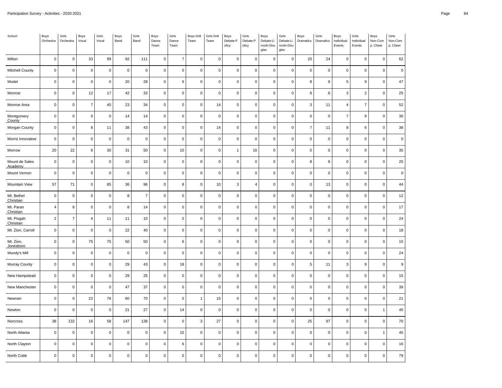| School                    | Boys<br>Orchestra | Girls<br>Orchestra  | Boys<br>Vocal  | Girls<br>Vocal | Boys<br>Band   | Girls<br>Band  | Boys<br>Dance<br>Team | Girls<br>Dance<br>Team | Boys Drill<br>Team | Girls Drill<br>Team | Boys<br>Debate:P<br>olicy | Girls<br>Debate:P<br>olicy | Boys<br>Debate:Li<br>ncoln-Dou<br>glas | Girls<br>Debate:Li<br>ncoln-Dou<br>glas | Boys<br>Dramatics | Girls<br>Dramatics  | Boys<br>Individual<br>Events | Girls<br>Individual<br>Events | Boys<br>Non-Com<br>p. Cheer | Girls<br>Non-Com<br>p. Cheer |
|---------------------------|-------------------|---------------------|----------------|----------------|----------------|----------------|-----------------------|------------------------|--------------------|---------------------|---------------------------|----------------------------|----------------------------------------|-----------------------------------------|-------------------|---------------------|------------------------------|-------------------------------|-----------------------------|------------------------------|
| Milton                    | $\mathbf 0$       | $\mathsf 0$         | 33             | 99             | 92             | 111            | $\mathsf 0$           | $\overline{7}$         | $\mathbf 0$        | $\pmb{0}$           | $\pmb{0}$                 | $\mathsf 0$                | $\pmb{0}$                              | $\mathbf 0$                             | 20                | 24                  | $\mathsf 0$                  | $\mathbf 0$                   | $\mathbf 0$                 | 62                           |
| <b>Mitchell County</b>    | $\mathbf 0$       | $\mathsf 0$         | $\mathbf 0$    | $\mathbf 0$    | $\mathbf 0$    | $\pmb{0}$      | $\mathsf 0$           | $\mathbf 0$            | $\mathbf 0$        | $\pmb{0}$           | $\mathbf 0$               | $\mathsf 0$                | $\mathsf 0$                            | $\mathsf 0$                             | $\pmb{0}$         | $\pmb{0}$           | $\mathsf 0$                  | $\mathbf 0$                   | $\mathbf 0$                 | $\pmb{0}$                    |
| Model                     | $\mathbf 0$       | $\mathsf 0$         | $\pmb{0}$      | $\mathbf 0$    | 20             | 28             | $\mathsf{O}\xspace$   | 9                      | $\mathbf 0$        | $\mathbf 0$         | $\mathbf 0$               | 0                          | $\mathbf 0$                            | 0                                       | 8                 | 8                   | 5                            | 9                             | $\Omega$                    | 47                           |
| Monroe                    | $\mathbf 0$       | $\mathsf 0$         | 12             | 17             | 42             | 33             | $\mathsf 0$           | $\mathsf 0$            | $\mathbf 0$        | $\mathbf 0$         | $\mathbf 0$               | $\mathsf 0$                | $\mathsf 0$                            | $\mathsf 0$                             | 6                 | 6                   | 3                            | $\overline{2}$                | $\mathbf 0$                 | 25                           |
| Monroe Area               | $\mathbf 0$       | $\mathsf 0$         | $\overline{7}$ | 40             | 23             | 34             | $\mathsf 0$           | $\mathbf 0$            | $\pmb{0}$          | 14                  | $\pmb{0}$                 | 0                          | $\mathbf 0$                            | $\pmb{0}$                               | 3                 | 11                  | 4                            | $\overline{7}$                | $\overline{0}$              | 52                           |
| Montgomery<br>County      | $\mathbf 0$       | $\mathsf 0$         | $\mathbf 0$    | $\mathbf 0$    | 14             | 14             | $\mathsf 0$           | $\mathbf{0}$           | $\mathbf 0$        | $\mathbf 0$         | $\mathbf 0$               | 0                          | $\mathbf 0$                            | $\mathbf 0$                             | $\overline{0}$    | $\mathbf 0$         | $\overline{7}$               | 9                             | $\Omega$                    | 30                           |
| Morgan County             | $\pmb{0}$         | $\mathsf 0$         | 8              | 11             | 38             | 43             | $\mathsf 0$           | $\mathbf 0$            | $\pmb{0}$          | 14                  | $\pmb{0}$                 | $\mathsf 0$                | $\mathbf 0$                            | $\mathsf 0$                             | $\overline{7}$    | 11                  | 8                            | 6                             | $\pmb{0}$                   | 38                           |
| Morris Innovative         | $\pmb{0}$         | $\mathsf{O}\xspace$ | $\pmb{0}$      | $\mathbf 0$    | $\mathbf 0$    | $\pmb{0}$      | $\mathsf 0$           | $\mathsf 0$            | $\pmb{0}$          | $\pmb{0}$           | $\pmb{0}$                 | $\pmb{0}$                  | $\pmb{0}$                              | $\mathbf 0$                             | $\pmb{0}$         | $\pmb{0}$           | $\mathsf{O}\xspace$          | $\mathbf 0$                   | $\Omega$                    | $\pmb{0}$                    |
| Morrow                    | 20                | 22                  | 6              | 30             | 31             | 50             | $\mathsf{O}\xspace$   | 10                     | $\mathbf 0$        | $\mathbf 0$         | $\mathbf{1}$              | 16                         | $\mathsf 0$                            | $\mathbf 0$                             | $\mathbf 0$       | $\mathbf 0$         | $\mathsf 0$                  | $\mathbf 0$                   | $\mathbf 0$                 | 35                           |
| Mount de Sales<br>Academy | $\pmb{0}$         | $\mathsf{O}\xspace$ | $\mathbf 0$    | $\pmb{0}$      | $10$           | 10             | $\mathsf{O}\xspace$   | $\mathbf 0$            | $\pmb{0}$          | $\pmb{0}$           | $\pmb{0}$                 | $\mathsf{O}\xspace$        | $\mathsf 0$                            | $\pmb{0}$                               | 8                 | 8                   | $\mathsf 0$                  | $\mathsf 0$                   | $\pmb{0}$                   | 25                           |
| Mount Vernon              | $\mathbf 0$       | $\mathsf 0$         | $\mathbf 0$    | $\mathbf 0$    | $\overline{0}$ | $\mathbf 0$    | $\mathsf 0$           | $\mathbf 0$            | $\mathbf 0$        | $\mathbf 0$         | $\mathbf 0$               | 0                          | $\mathsf 0$                            | $\pmb{0}$                               | $\mathbf 0$       | $\mathsf 0$         | $\mathsf{O}\xspace$          | $\mathbf 0$                   | $\Omega$                    | $\pmb{0}$                    |
| Mountain View             | 57                | 71                  | $\mathbf 0$    | 85             | 36             | 96             | $\mathsf 0$           | 8                      | $\pmb{0}$          | 10                  | $\mathbf{3}$              | 4                          | $\mathbf 0$                            | $\mathsf 0$                             | $\pmb{0}$         | 13                  | $\mathsf 0$                  | $\mathbf 0$                   | $\mathbf 0$                 | 44                           |
| Mt. Bethel<br>Christian   | $\mathbf 0$       | $\mathsf 0$         | $\mathbf 0$    | $\mathbf 0$    | 8              | $\overline{7}$ | $\mathsf 0$           | $\mathsf 0$            | $\mathsf 0$        | $\pmb{0}$           | $\mathbf 0$               | $\pmb{0}$                  | $\mathsf 0$                            | $\mathsf 0$                             | $\mathbf 0$       | $\pmb{0}$           | $\mathsf 0$                  | $\mathbf 0$                   | $\mathsf 0$                 | 12                           |
| Mt. Paran<br>Christian    | $\overline{4}$    | 8                   | $\mathbf 0$    | $\mathbf 0$    | 8              | 14             | $\mathsf 0$           | $\mathsf 0$            | $\mathbf 0$        | $\mathbf 0$         | $\mathbf 0$               | 0                          | $\mathbf 0$                            | $\mathsf 0$                             | $\mathbf 0$       | $\mathsf{O}\xspace$ | $\mathsf 0$                  | $\pmb{0}$                     | $\mathbf 0$                 | 17                           |
| Mt. Pisgah<br>Christian   | $\overline{2}$    | $\boldsymbol{7}$    | $\overline{4}$ | 11             | 11             | 10             | $\mathsf 0$           | $\mathsf 0$            | $\mathbf 0$        | $\pmb{0}$           | $\mathbf 0$               | $\mathsf 0$                | $\mathbf 0$                            | $\mathbf 0$                             | $\mathbf 0$       | $\mathsf{O}\xspace$ | $\mathsf 0$                  | $\mathbf 0$                   | $\mathbf 0$                 | 24                           |
| Mt. Zion, Carroll         | $\mathbf 0$       | $\mathsf{O}\xspace$ | $\mathbf 0$    | $\mathbf 0$    | 22             | 40             | $\mathsf 0$           | $\mathbf 0$            | $\mathbf 0$        | $\pmb{0}$           | $\mathbf 0$               | 0                          | $\mathsf 0$                            | $\mathsf 0$                             | $\mathbf 0$       | $\pmb{0}$           | $\mathsf 0$                  | $\mathsf 0$                   | $\pmb{0}$                   | 18                           |
| Mt. Zion,<br>Jonesboro    | $\mathbf 0$       | 0                   | 75             | 75             | 50             | 50             | $\mathsf{O}\xspace$   | 6                      | $\mathbf 0$        | $\pmb{0}$           | $\pmb{0}$                 | 0                          | $\mathsf 0$                            | $\mathbf 0$                             | $\mathbf 0$       | $\pmb{0}$           | $\mathsf 0$                  | $\mathbf 0$                   | $\Omega$                    | 15                           |
| Mundy's Mill              | $\mathbf 0$       | $\mathsf 0$         | $\mathbf 0$    | $\mathbf 0$    | $\mathbf 0$    | $\pmb{0}$      | $\mathsf 0$           | $\mathsf 0$            | $\mathbf 0$        | $\pmb{0}$           | $\mathbf 0$               | $\mathsf{O}\xspace$        | $\mathsf 0$                            | $\mathbf 0$                             | $\mathbf 0$       | $\pmb{0}$           | $\mathsf 0$                  | $\mathbf 0$                   | $\mathbf 0$                 | 24                           |
| <b>Murray County</b>      | $\pmb{0}$         | $\mathsf{O}\xspace$ | $\pmb{0}$      | $\mathbf 0$    | 29             | 43             | $\mathsf{O}\xspace$   | 18                     | $\mathbf 0$        | $\pmb{0}$           | $\pmb{0}$                 | 0                          | $\pmb{0}$                              | $\mathsf 0$                             | $\sqrt{5}$        | 11                  | 3                            | 9                             | $\Omega$                    | 9                            |
| New Hampstead             | $\mathbf 0$       | $\mathsf{O}\xspace$ | $\mathbf 0$    | $\mathbf 0$    | 29             | 25             | $\mathsf{O}\xspace$   | $\mathsf 0$            | $\mathbf 0$        | $\mathbf 0$         | $\mathbf 0$               | 0                          | $\mathbf 0$                            | $\mathbf 0$                             | $\mathbf 0$       | $\mathbf 0$         | $\mathsf 0$                  | $\mathbf 0$                   | $\Omega$                    | 15                           |
| New Manchester            | $\mathbf 0$       | $\mathsf 0$         | $\mathbf 0$    | $\mathbf 0$    | 47             | 37             | $\mathsf 0$           | $\mathbf 0$            | $\pmb{0}$          | $\pmb{0}$           | $\pmb{0}$                 | 0                          | $\mathbf 0$                            | $\mathsf 0$                             | $\pmb{0}$         | $\mathsf 0$         | $\mathsf 0$                  | $\mathsf 0$                   | $\mathbf 0$                 | 39                           |
| Newnan                    | $\mathbf 0$       | $\mathsf 0$         | 22             | 76             | 60             | 70             | $\mathsf 0$           | $\mathbf 0$            | $\overline{1}$     | 15                  | $\mathbf 0$               | 0                          | $\mathsf 0$                            | $\mathbf 0$                             | $\mathbf 0$       | $\mathsf 0$         | $\mathsf 0$                  | $\mathbf 0$                   | $\mathbf 0$                 | 21                           |
| Newton                    | $\mathbf 0$       | $\mathsf 0$         | $\mathbf 0$    | $\mathbf 0$    | 21             | 27             | $\mathsf 0$           | 14                     | $\mathbf 0$        | $\pmb{0}$           | $\mathbf 0$               | $\mathsf 0$                | $\mathsf 0$                            | $\mathbf 0$                             | $\mathbf 0$       | $\mathsf 0$         | $\mathsf 0$                  | $\mathbf 0$                   | 1                           | 45                           |
| Norcross                  | 38                | 132                 | 16             | 58             | 147            | 138            | $\mathsf 0$           | $\mathsf 0$            | 3                  | 27                  | $\mathbf 0$               | $\mathsf 0$                | $\mathsf 0$                            | $\mathsf 0$                             | 25                | 97                  | $\mathsf 0$                  | $\mathbf 0$                   | $\mathsf 0$                 | $70\,$                       |
| North Atlanta             | $\mathbf 0$       | $\mathsf{O}\xspace$ | $\pmb{0}$      | $\mathbf 0$    | $\mathbf 0$    | $\mathbf 0$    | $\mathsf{O}\xspace$   | 15                     | $\mathbf 0$        | $\mathbf 0$         | $\mathbf 0$               | 0                          | $\mathbf 0$                            | $\pmb{0}$                               | $\mathbf 0$       | $\mathbf 0$         | $\mathsf{O}\xspace$          | $\mathbf 0$                   | 1                           | 45                           |
| North Clayton             | $\pmb{0}$         | $\mathsf 0$         | $\mathbf 0$    | $\mathbf 0$    | $\mathbf 0$    | $\pmb{0}$      | $\mathsf 0$           | $\,6\,$                | $\mathbf 0$        | $\pmb{0}$           | $\pmb{0}$                 | 0                          | $\mathsf 0$                            | $\mathbf 0$                             | $\pmb{0}$         | $\pmb{0}$           | $\mathbf 0$                  | $\mathbf 0$                   | $\mathbf 0$                 | 16                           |
| North Cobb                | $\mathbf 0$       | $\mathsf{O}\xspace$ | $\mathbf 0$    | $\mathbf 0$    | $\overline{0}$ | $\mathbf 0$    | $\mathsf 0$           | $\mathsf 0$            | $\mathbf 0$        | $\mathbf 0$         | $\mathbf 0$               | 0                          | $\mathsf 0$                            | $\pmb{0}$                               | $\mathbf 0$       | $\pmb{0}$           | $\mathsf{O}\xspace$          | $\mathbf 0$                   | $\mathbf 0$                 | 79                           |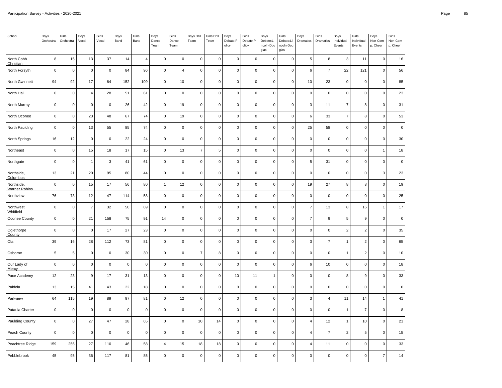| School                             | Boys<br>Orchestra | Girls<br>Orchestra  | Boys<br>Vocal  | Girls<br>Vocal | Boys<br>Band | Girls<br>Band  | Boys<br>Dance<br>Team | Girls<br>Dance<br>Team | <b>Boys Drill</b><br>Team | Girls Drill<br>Team | Boys<br>Debate:P<br>olicy | Girls<br>Debate:P<br>olicy | Boys<br>Debate:Li<br>ncoln-Dou<br>glas | Girls<br>Debate:Li<br>ncoln-Dou<br>glas | Boys<br>Dramatics | Girls<br>Dramatics  | Boys<br>Individual<br>Events | Girls<br>Individual<br>Events | Boys<br>Non-Com<br>p. Cheer | Girls<br>Non-Com<br>p. Cheer |
|------------------------------------|-------------------|---------------------|----------------|----------------|--------------|----------------|-----------------------|------------------------|---------------------------|---------------------|---------------------------|----------------------------|----------------------------------------|-----------------------------------------|-------------------|---------------------|------------------------------|-------------------------------|-----------------------------|------------------------------|
| North Cobb<br>Christian            | 8                 | 15                  | 13             | 37             | 14           | $\overline{4}$ | $\mathsf{O}\xspace$   | $\mathbf{0}$           | $\mathbf 0$               | $\mathbf 0$         | $\mathbf 0$               | 0                          | $\mathbf 0$                            | $\mathbf 0$                             | 5                 | 8                   | 3                            | 11                            | $\mathbf 0$                 | 16                           |
| North Forsyth                      | $\pmb{0}$         | $\mathsf 0$         | $\mathbf 0$    | $\pmb{0}$      | 84           | 96             | $\mathsf 0$           | $\overline{4}$         | $\pmb{0}$                 | $\pmb{0}$           | $\mathbf 0$               | $\mathsf 0$                | $\mathsf 0$                            | $\mathsf 0$                             | $\,6\,$           | $\overline{7}$      | 22                           | 121                           | $\pmb{0}$                   | 56                           |
| North Gwinnett                     | 94                | 92                  | 17             | 64             | 152          | 109            | $\mathsf 0$           | 10                     | $\mathbf 0$               | $\pmb{0}$           | $\pmb{0}$                 | 0                          | $\pmb{0}$                              | $\mathbf 0$                             | 10                | 23                  | $\mathsf 0$                  | $\mathbf 0$                   | $\Omega$                    | 85                           |
| North Hall                         | $\mathbf 0$       | $\mathsf 0$         | $\overline{4}$ | 28             | 51           | 61             | $\mathsf{O}\xspace$   | $\mathsf 0$            | $\mathbf 0$               | $\mathbf 0$         | $\mathbf 0$               | 0                          | $\mathsf 0$                            | $\mathbf 0$                             | $\mathbf 0$       | $\mathbf 0$         | $\mathsf 0$                  | $\mathbf 0$                   | $\mathbf 0$                 | 23                           |
| North Murray                       | $\pmb{0}$         | $\mathsf 0$         | $\mathbf 0$    | $\mathbf 0$    | 26           | 42             | $\mathsf 0$           | 19                     | $\pmb{0}$                 | $\pmb{0}$           | $\pmb{0}$                 | $\mathsf 0$                | $\mathbf 0$                            | $\mathsf 0$                             | 3                 | 11                  | $\overline{7}$               | 8                             | $\pmb{0}$                   | 31                           |
| North Oconee                       | $\mathbf 0$       | $\mathsf 0$         | 23             | 48             | 67           | 74             | $\mathsf 0$           | 19                     | $\mathbf 0$               | $\mathbf 0$         | $\mathbf 0$               | 0                          | $\mathsf 0$                            | $\mathsf 0$                             | 6                 | 33                  | $\overline{7}$               | 8                             | $\mathbf 0$                 | 53                           |
| North Paulding                     | $\mathbf 0$       | $\pmb{0}$           | 13             | 55             | 85           | 74             | $\mathsf{O}\xspace$   | $\mathbf 0$            | $\mathbf 0$               | $\pmb{0}$           | $\pmb{0}$                 | $\pmb{0}$                  | $\mathbf 0$                            | $\mathsf 0$                             | 25                | 58                  | $\mathsf 0$                  | $\mathbf 0$                   | $\mathbf 0$                 | $\mathbf 0$                  |
| North Springs                      | 16                | $12\,$              | $\pmb{0}$      | $\mathbf 0$    | 22           | 24             | $\mathsf 0$           | $\mathsf 0$            | $\mathsf 0$               | $\mathbf 0$         | $\mathbf 0$               | 0                          | $\mathsf 0$                            | $\mathsf 0$                             | $\mathbf 0$       | $\mathsf 0$         | $\mathsf 0$                  | $\mathbf 0$                   | $\mathsf 0$                 | $30\,$                       |
| Northeast                          | $\mathbf 0$       | $\mathsf{O}\xspace$ | 15             | 18             | 17           | 15             | $\mathsf 0$           | 13                     | $\overline{7}$            | 5                   | $\mathbf 0$               | 0                          | $\mathbf 0$                            | $\mathsf 0$                             | $\mathbf 0$       | $\mathbf 0$         | $\mathsf 0$                  | $\mathbf 0$                   | 1                           | 18                           |
| Northgate                          | $\pmb{0}$         | $\mathsf 0$         | $\overline{1}$ | $\mathbf 3$    | 41           | 61             | $\mathsf{O}\xspace$   | $\mathsf 0$            | $\pmb{0}$                 | $\pmb{0}$           | $\pmb{0}$                 | $\pmb{0}$                  | $\mathbf 0$                            | $\mathbf 0$                             | $\sqrt{5}$        | 31                  | $\mathsf 0$                  | $\mathbf 0$                   | $\mathbf 0$                 | $\pmb{0}$                    |
| Northside,<br>Columbus             | 13                | 21                  | 20             | 95             | 80           | 44             | $\mathsf 0$           | $\mathbf 0$            | $\mathbf 0$               | $\pmb{0}$           | $\mathbf 0$               | 0                          | $\mathsf 0$                            | $\mathsf 0$                             | $\mathbf 0$       | $\pmb{0}$           | $\mathsf 0$                  | $\mathsf 0$                   | 3                           | 23                           |
| Northside,<br><b>Warner Robins</b> | $\mathbf 0$       | $\mathsf 0$         | 15             | 17             | 56           | 80             | $\mathbf{1}$          | 12                     | $\mathbf 0$               | $\pmb{0}$           | $\pmb{0}$                 | 0                          | $\mathbf 0$                            | $\mathbf 0$                             | 19                | 27                  | 8                            | 8                             | $\Omega$                    | 19                           |
| Northview                          | 76                | 73                  | 12             | 47             | 114          | 58             | $\mathsf{O}\xspace$   | $\mathsf 0$            | $\mathbf 0$               | $\pmb{0}$           | $\mathbf 0$               | $\mathsf 0$                | $\mathsf 0$                            | $\mathsf 0$                             | $\mathbf 0$       | $\pmb{0}$           | $\mathsf 0$                  | $\mathbf 0$                   | $\mathbf 0$                 | 25                           |
| Northwest<br>Whitfield             | $\pmb{0}$         | $\mathsf{O}\xspace$ | $\overline{7}$ | 32             | 50           | 69             | $\mathsf{O}\xspace$   | $\mathbf 0$            | $\pmb{0}$                 | $\mathbf 0$         | $\pmb{0}$                 | 0                          | $\pmb{0}$                              | $\mathsf 0$                             | $\overline{7}$    | 13                  | 8                            | 16                            | $\mathbf{1}$                | 17                           |
| Oconee County                      | $\mathbf 0$       | $\mathsf 0$         | 21             | 158            | 75           | 91             | 14                    | $\mathsf 0$            | $\mathbf 0$               | $\mathbf 0$         | $\mathbf 0$               | 0                          | $\mathbf 0$                            | $\mathbf 0$                             | $\overline{7}$    | $\boldsymbol{9}$    | 5                            | 9                             | $\Omega$                    | $\mathbf 0$                  |
| Oglethorpe<br>County               | $\mathbf 0$       | $\mathsf{O}\xspace$ | $\mathbf 0$    | 17             | 27           | 23             | $\mathsf{O}\xspace$   | $\mathbf 0$            | $\pmb{0}$                 | $\pmb{0}$           | $\pmb{0}$                 | 0                          | $\mathsf 0$                            | $\mathsf 0$                             | $\mathbf 0$       | $\mathsf{O}\xspace$ | $\overline{2}$               | $\overline{2}$                | $\mathbf 0$                 | 35                           |
| Ola                                | 39                | 16                  | 28             | 112            | 73           | 81             | $\mathsf 0$           | $\mathsf 0$            | $\mathbf 0$               | $\mathbf 0$         | $\mathbf 0$               | 0                          | $\mathsf 0$                            | $\pmb{0}$                               | 3                 | $\overline{7}$      | 1                            | $\overline{2}$                | $\mathbf 0$                 | 65                           |
| Osborne                            | 5                 | $\,$ 5 $\,$         | $\mathbf 0$    | $\mathbf 0$    | 30           | 30             | $\mathsf{O}\xspace$   | $\mathbf 0$            | $\overline{7}$            | 8                   | $\mathbf 0$               | 0                          | $\mathsf 0$                            | $\mathbf 0$                             | $\mathbf 0$       | $\mathsf{O}\xspace$ | $\mathbf{1}$                 | $\overline{2}$                | $\mathbf 0$                 | 10                           |
| Our Lady of<br>Mercy               | $\pmb{0}$         | $\mathsf 0$         | $\mathbf 0$    | $\pmb{0}$      | $\mathbf 0$  | $\pmb{0}$      | $\mathsf{O}\xspace$   | $\mathbf 0$            | $\pmb{0}$                 | $\pmb{0}$           | $\pmb{0}$                 | $\pmb{0}$                  | $\mathsf 0$                            | $\pmb{0}$                               | $\,6$             | $10$                | $\mathsf 0$                  | $\mathbf 0$                   | $\pmb{0}$                   | 18                           |
| Pace Academy                       | 12                | 23                  | 9              | 17             | 31           | 13             | $\mathsf{O}\xspace$   | $\mathsf 0$            | $\mathbf 0$               | $\mathbf 0$         | 10                        | 11                         | $\mathbf{1}$                           | $\pmb{0}$                               | $\mathbf 0$       | $\mathbf 0$         | 8                            | $\boldsymbol{9}$              | $\mathbf 0$                 | 33                           |
| Paideia                            | 13                | 15                  | 41             | 43             | 22           | 18             | $\mathsf 0$           | $\mathsf 0$            | $\mathbf 0$               | $\pmb{0}$           | $\pmb{0}$                 | $\mathsf 0$                | $\mathsf 0$                            | $\mathsf 0$                             | $\pmb{0}$         | $\pmb{0}$           | $\mathsf 0$                  | $\mathbf 0$                   | $\mathbf 0$                 | $\pmb{0}$                    |
| Parkview                           | 64                | 115                 | 19             | 89             | 97           | 81             | $\mathsf 0$           | 12                     | $\mathbf 0$               | $\mathbf 0$         | $\mathbf 0$               | 0                          | $\mathsf 0$                            | $\mathsf 0$                             | 3                 | $\overline{4}$      | 11                           | 14                            | 1                           | 41                           |
| Pataula Charter                    | $\mathbf 0$       | $\mathsf 0$         | $\mathbf 0$    | $\mathbf 0$    | $\mathbf 0$  | $\pmb{0}$      | $\mathsf{O}\xspace$   | $\mathbf 0$            | $\mathbf 0$               | $\mathbf 0$         | $\mathbf 0$               | 0                          | $\mathsf 0$                            | $\mathsf 0$                             | $\mathbf 0$       | $\mathsf 0$         | $\overline{1}$               | $\overline{7}$                | $\mathbf 0$                 | 8                            |
| Paulding County                    | $\mathbf 0$       | $\mathsf 0$         | 27             | 47             | 28           | 65             | $\mathsf 0$           | $\mathbf 0$            | 10                        | 14                  | $\pmb{0}$                 | $\mathsf 0$                | $\mathbf 0$                            | $\mathsf 0$                             | $\overline{4}$    | 12                  | $\mathbf{1}$                 | 10                            | $\mathbf 0$                 | 21                           |
| Peach County                       | $\mathbf 0$       | $\mathsf 0$         | $\mathbf 0$    | $\mathbf 0$    | $\mathbf 0$  | $\pmb{0}$      | $\mathsf 0$           | $\mathsf 0$            | $\mathbf 0$               | $\pmb{0}$           | $\mathbf 0$               | 0                          | $\mathbf 0$                            | $\mathsf 0$                             | $\overline{4}$    | $\overline{7}$      | $\overline{2}$               | 5                             | $\mathbf 0$                 | 15                           |
| Peachtree Ridge                    | 159               | 256                 | 27             | 110            | 46           | 58             | $\overline{4}$        | 15                     | 18                        | 18                  | $\mathbf 0$               | 0                          | $\mathsf 0$                            | $\mathbf 0$                             | $\overline{4}$    | 11                  | $\mathsf 0$                  | $\mathbf 0$                   | $\mathbf 0$                 | 33                           |
| Pebblebrook                        | 45                | 95                  | 36             | 117            | 81           | 85             | $\mathsf 0$           | $\mathsf 0$            | $\mathbf 0$               | $\mathbf 0$         | $\mathbf 0$               | 0                          | $\mathbf 0$                            | $\mathbf 0$                             | $\mathbf 0$       | $\mathsf 0$         | $\mathsf{O}\xspace$          | $\mathbf 0$                   | $\overline{7}$              | 14                           |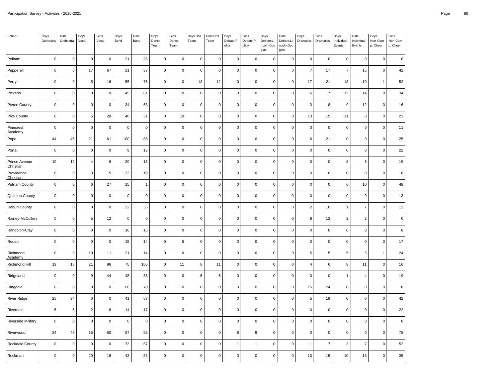| School                     | Boys<br>Orchestra | Girls<br>Orchestra  | Boys<br>Vocal  | Girls<br>Vocal | Boys<br>Band | Girls<br>Band  | Boys<br>Dance<br>Team | Girls<br>Dance<br>Team | <b>Boys Drill</b><br>Team | Girls Drill<br>Team | Boys<br>Debate:P<br>olicy | Girls<br>Debate:P<br>olicy | Boys<br>Debate:Li<br>ncoln-Dou<br>glas | Girls<br>Debate:Li<br>ncoln-Dou<br>glas | Boys<br>Dramatics | Girls<br>Dramatics | Boys<br>Individual<br>Events | Girls<br>Individual<br>Events | Boys<br>Non-Com<br>p. Cheer | Girls<br>Non-Com<br>p. Cheer |
|----------------------------|-------------------|---------------------|----------------|----------------|--------------|----------------|-----------------------|------------------------|---------------------------|---------------------|---------------------------|----------------------------|----------------------------------------|-----------------------------------------|-------------------|--------------------|------------------------------|-------------------------------|-----------------------------|------------------------------|
| Pelham                     | $\mathbf 0$       | $\mathsf 0$         | $\mathsf 0$    | $\mathbf 0$    | 21           | 26             | $\mathsf 0$           | $\mathsf 0$            | $\mathbf 0$               | $\mathbf 0$         | $\mathbf 0$               | 0                          | $\mathsf 0$                            | $\mathbf 0$                             | $\mathbf 0$       | $\mathbf 0$        | $\pmb{0}$                    | $\mathbf 0$                   | $\mathbf 0$                 | $\mathsf 0$                  |
| Pepperell                  | $\pmb{0}$         | $\mathsf{O}\xspace$ | 17             | 67             | 21           | 37             | $\mathsf{O}\xspace$   | $\mathbf 0$            | $\pmb{0}$                 | $\mathbf 0$         | $\pmb{0}$                 | 0                          | $\mathbf 0$                            | $\pmb{0}$                               | $\overline{7}$    | 17                 | $\overline{7}$               | 15                            | $\mathsf 0$                 | 42                           |
| Perry                      | $\pmb{0}$         | $\mathsf{O}\xspace$ | 5              | 16             | 55           | 76             | $\mathsf{O}\xspace$   | $\mathbf 0$            | 13                        | 12                  | $\pmb{0}$                 | $\pmb{0}$                  | $\mathsf 0$                            | $\mathbf 0$                             | 17                | 21                 | 13                           | 10                            | 1                           | 52                           |
| Pickens                    | $\mathbf 0$       | $\mathsf{O}\xspace$ | $\mathbf 0$    | $\mathbf 0$    | 45           | 61             | $\mathsf 0$           | 10                     | $\mathbf 0$               | $\mathbf 0$         | $\mathbf 0$               | 0                          | $\mathsf 0$                            | $\mathbf 0$                             | 6                 | $\overline{7}$     | 12                           | 14                            | $\mathsf 0$                 | 34                           |
| Pierce County              | $\pmb{0}$         | $\mathsf{O}\xspace$ | $\mathbf 0$    | $\mathbf 0$    | 34           | 63             | $\mathsf{O}\xspace$   | $\mathbf 0$            | $\pmb{0}$                 | $\mathbf 0$         | $\pmb{0}$                 | 0                          | $\mathbf 0$                            | $\pmb{0}$                               | 3                 | 8                  | 9                            | 12                            | $\mathsf 0$                 | 16                           |
| Pike County                | $\mathbf 0$       | $\mathsf 0$         | 5              | 28             | 40           | 31             | $\mathsf 0$           | 10                     | $\mathbf 0$               | $\mathbf 0$         | $\mathbf 0$               | 0                          | $\mathbf 0$                            | $\mathbf 0$                             | 13                | 19                 | 11                           | 8                             | $\mathsf 0$                 | 23                           |
| Pinecrest<br>Academy       | $\mathbf 0$       | $\pmb{0}$           | $\mathbf 0$    | $\mathbf 0$    | $\mathbf 0$  | $\pmb{0}$      | $\mathsf{O}\xspace$   | $\mathbf 0$            | $\pmb{0}$                 | $\mathbf 0$         | $\pmb{0}$                 | 0                          | $\mathbf 0$                            | $\mathbf 0$                             | $\pmb{0}$         | $\pmb{0}$          | $\mathsf 0$                  | $\mathbf 0$                   | $\mathsf 0$                 | 11                           |
| Pope                       | 44                | $\bf 45$            | 21             | 61             | 100          | 88             | $\mathsf 0$           | $\mathbf 0$            | $\mathsf 0$               | $\mathbf 0$         | $\mathbf 0$               | 0                          | $\mathbf 0$                            | $\mathsf 0$                             | $\,6$             | 21                 | 0                            | $\mathbf 0$                   | $\mathsf 0$                 | 25                           |
| Portal                     | $\mathbf 0$       | $\mathsf 0$         | $\mathbf 0$    | $\mathbf 0$    | 9            | 13             | $\mathsf 0$           | $\mathbf 0$            | $\mathbf 0$               | $\mathbf 0$         | $\mathbf 0$               | 0                          | $\mathsf 0$                            | $\mathbf 0$                             | $\mathbf 0$       | $\mathbf 0$        | 0                            | $\mathbf 0$                   | 0                           | 22                           |
| Prince Avenue<br>Christian | 10                | $12\,$              | $\sqrt{4}$     | $\,6\,$        | 20           | 15             | $\mathsf{O}\xspace$   | $\mathbf 0$            | $\pmb{0}$                 | $\pmb{0}$           | $\pmb{0}$                 | $\pmb{0}$                  | $\mathsf 0$                            | $\pmb{0}$                               | $\pmb{0}$         | $\pmb{0}$          | 8                            | 6                             | $\mathbf 0$                 | 19                           |
| Providence<br>Christian    | $\mathbf 0$       | $\mathsf{O}\xspace$ | $\mathbf{3}$   | 15             | 32           | 19             | $\mathsf{O}\xspace$   | $\mathbf 0$            | $\mathbf 0$               | $\pmb{0}$           | $\pmb{0}$                 | $\pmb{0}$                  | $\mathbf 0$                            | $\mathbf 0$                             | $\mathbf 0$       | $\mathbf 0$        | 0                            | $\mathbf 0$                   | $\mathsf 0$                 | 18                           |
| <b>Putnam County</b>       | $\pmb{0}$         | 0                   | 6              | 27             | 15           | $\overline{1}$ | $\mathsf{O}\xspace$   | $\mathbf 0$            | $\mathbf 0$               | $\pmb{0}$           | $\pmb{0}$                 | $\pmb{0}$                  | $\mathbf 0$                            | $\mathbf 0$                             | $\mathbf 0$       | $\pmb{0}$          | 6                            | 10                            | $\mathbf 0$                 | 48                           |
| Quitman County             | $\mathbf 0$       | $\mathsf{O}\xspace$ | $\mathbf 0$    | $\mathbf 0$    | $\mathbf 0$  | $\pmb{0}$      | $\mathsf{O}\xspace$   | $\mathbf 0$            | $\mathbf 0$               | $\mathbf 0$         | $\pmb{0}$                 | $\pmb{0}$                  | $\mathsf 0$                            | $\mathbf 0$                             | $\mathbf 0$       | $\mathbf 0$        | $\mathsf 0$                  | $\mathbf 0$                   | $\mathsf 0$                 | 13                           |
| Rabun County               | $\pmb{0}$         | $\mathsf{O}\xspace$ | $\mathbf 0$    | $\pmb{0}$      | 22           | 35             | $\mathsf{O}\xspace$   | $\pmb{0}$              | $\pmb{0}$                 | $\pmb{0}$           | $\pmb{0}$                 | 0                          | $\mathbf 0$                            | $\pmb{0}$                               | $\overline{2}$    | 10                 | $\mathbf{1}$                 | $\overline{7}$                | $\mathsf 0$                 | 12                           |
| Rainey-McCullers           | $\mathbf 0$       | $\mathsf 0$         | 5              | 12             | $\Omega$     | $\mathbf 0$    | $\mathsf 0$           | $\mathsf 0$            | $\mathbf 0$               | $\mathbf 0$         | $\mathbf 0$               | 0                          | $\mathsf 0$                            | $\mathbf 0$                             | 8                 | 12                 | $\overline{c}$               | $\overline{2}$                | $\mathbf 0$                 | $\mathsf{O}\xspace$          |
| Randolph-Clay              | $\pmb{0}$         | $\mathsf 0$         | $\mathsf 0$    | $\mathsf 0$    | 10           | 15             | $\mathsf 0$           | $\mathbf 0$            | $\pmb{0}$                 | $\mathbf{0}$        | $\pmb{0}$                 | 0                          | $\mathbf 0$                            | $\pmb{0}$                               | $\mathbf 0$       | $\pmb{0}$          | 0                            | $\mathbf 0$                   | $\mathsf 0$                 | $\bf8$                       |
| Redan                      | $\mathbf 0$       | $\mathsf{O}\xspace$ | $\mathbf 0$    | $\mathbf 0$    | 15           | 14             | $\mathsf 0$           | 5                      | $\mathbf 0$               | $\mathbf 0$         | $\mathbf 0$               | 0                          | $\mathsf 0$                            | $\mathbf 0$                             | $\mathbf 0$       | $\mathbf 0$        | $\pmb{0}$                    | $\mathsf 0$                   | $\pmb{0}$                   | $17$                         |
| Richmond<br>Academy        | $\overline{0}$    | $\pmb{0}$           | 10             | 11             | 21           | 14             | $\mathsf{O}\xspace$   | $\mathbf 0$            | $\mathbf 0$               | $\mathbf 0$         | $\mathbf 0$               | 0                          | $\mathbf 0$                            | $\mathbf 0$                             | 5                 | $\sqrt{5}$         | $\,$ 5 $\,$                  | 5                             | $\overline{1}$              | 24                           |
| Richmond Hill              | 19                | $18\,$              | 21             | 96             | 75           | 106            | $\mathsf{O}\xspace$   | 11                     | $\bf 8$                   | $11$                | $\pmb{0}$                 | $\pmb{0}$                  | $\mathbf 0$                            | $\pmb{0}$                               | $\overline{4}$    | $\,6\,$            | 8                            | 11                            | $\pmb{0}$                   | 16                           |
| Ridgeland                  | $\mathbf 0$       | $\mathsf{O}\xspace$ | 9              | 44             | 48           | 38             | $\mathsf 0$           | $\mathbf 0$            | 5                         | 5                   | $\mathbf 0$               | $\pmb{0}$                  | $\mathsf 0$                            | $\mathbf 0$                             | $\mathbf 0$       | $\mathbf 0$        | $\mathbf{1}$                 | $\overline{4}$                | $\pmb{0}$                   | 19                           |
| Ringgold                   | $\mathbf 0$       | $\mathsf 0$         | $\mathsf 0$    | $\mathbf 0$    | 60           | 70             | $\mathsf 0$           | 10                     | $\mathsf 0$               | $\pmb{0}$           | $\pmb{0}$                 | $\pmb{0}$                  | $\mathbf 0$                            | $\mathbf 0$                             | 15                | 24                 | 0                            | $\mathbf 0$                   | $\mathsf 0$                 | $\mathbf 0$                  |
| <b>River Ridge</b>         | 25                | 34                  | $\overline{0}$ | $\mathbf 0$    | 41           | 53             | $\mathsf 0$           | $\mathbf 0$            | $\mathsf 0$               | $\mathsf 0$         | $\mathbf 0$               | 0                          | $\mathbf 0$                            | $\mathsf 0$                             | 5                 | 19                 | $\mathsf{O}\xspace$          | $\mathbf 0$                   | $\mathsf 0$                 | 42                           |
| Riverdale                  | 5                 | 6                   | $\overline{2}$ | 8              | 14           | 17             | $\mathsf{O}\xspace$   | $\mathbf 0$            | $\mathbf 0$               | $\mathbf 0$         | $\mathbf 0$               | 0                          | $\mathbf 0$                            | $\mathbf 0$                             | $\mathbf 0$       | $\mathbf 0$        | 0                            | $\mathbf 0$                   | $\mathsf 0$                 | 22                           |
| <b>Riverside Military</b>  | $\mathbf 0$       | $\mathsf{O}\xspace$ | $\mathbf 0$    | $\mathbf 0$    | $\mathsf 0$  | $\pmb{0}$      | $\mathsf 0$           | $\mathbf 0$            | $\mathbf 0$               | $\mathbf 0$         | $\pmb{0}$                 | 0                          | $\mathbf 0$                            | $\mathbf 0$                             | $\mathbf 0$       | $\pmb{0}$          | $\mathsf{O}\xspace$          | $\mathbf 0$                   | $\mathsf 0$                 | $\mathbf 0$                  |
| Riverwood                  | 24                | 49                  | 15             | 60             | 57           | 53             | $\mathsf{O}\xspace$   | $\pmb{0}$              | $\mathbf 0$               | $\pmb{0}$           | 8                         | 9                          | $\mathbf 0$                            | $\mathbf 0$                             | $\mathbf 0$       | $\pmb{0}$          | 0                            | $\mathbf 0$                   | $\mathsf 0$                 | 78                           |
| Rockdale County            | $\mathbf 0$       | $\mathsf 0$         | $\mathbf 0$    | $\mathbf 0$    | $73\,$       | 67             | $\mathsf 0$           | $\mathbf 0$            | $\mathbf 0$               | $\mathbf 0$         | $\overline{1}$            | $\mathbf{1}$               | $\mathsf 0$                            | $\mathbf 0$                             | -1                | $\overline{7}$     | 3                            | $\overline{7}$                | $\mathbf 0$                 | 52                           |
| Rockmart                   | $\mathbf 0$       | $\mathsf{O}\xspace$ | 20             | 18             | 43           | 83             | $\mathsf 0$           | $\mathsf 0$            | $\mathbf 0$               | $\mathbf 0$         | $\pmb{0}$                 | $\pmb{0}$                  | $\mathsf 0$                            | $\mathbf 0$                             | 10                | 15                 | 10                           | 13                            | $\mathbf 0$                 | 35                           |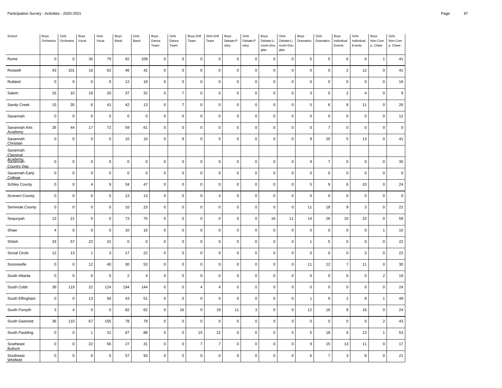| School                               | Boys<br>Orchestra | Girls<br>Orchestra  | Boys<br>Vocal  | Girls<br>Vocal | Boys<br>Band   | Girls<br>Band  | <b>Boys</b><br>Dance<br>Team | Girls<br>Dance<br>Team | Boys Drill<br>Team | Girls Drill<br>Team | Boys<br>Debate:P<br>olicy | Girls<br>Debate:P<br>olicy | Boys<br>Debate:Li<br>ncoln-Dou<br>glas | Girls<br>Debate:Li<br>ncoln-Dou<br>glas | Boys<br>Dramatics | Girls<br>Dramatics  | Boys<br>Individual<br>Events | Girls<br>Individual<br>Events | Boys<br>Non-Com<br>p. Cheer | Girls<br>Non-Com<br>p. Cheer |
|--------------------------------------|-------------------|---------------------|----------------|----------------|----------------|----------------|------------------------------|------------------------|--------------------|---------------------|---------------------------|----------------------------|----------------------------------------|-----------------------------------------|-------------------|---------------------|------------------------------|-------------------------------|-----------------------------|------------------------------|
| Rome                                 | $\mathbf 0$       | $\mathsf{O}\xspace$ | 30             | 79             | 92             | 109            | $\mathsf 0$                  | $\mathbf 0$            | $\mathsf 0$        | $\pmb{0}$           | $\pmb{0}$                 | $\mathbf{0}$               | $\mathbf 0$                            | $\overline{0}$                          | 5                 | $\,$ 5 $\,$         | 6                            | 6                             | $\overline{1}$              | 41                           |
| Roswell                              | 43                | 101                 | 16             | 62             | 46             | 42             | $\mathsf 0$                  | $\mathbf 0$            | $\pmb{0}$          | $\pmb{0}$           | $\pmb{0}$                 | $\mathsf 0$                | $\pmb{0}$                              | $\pmb{0}$                               | $\pmb{0}$         | $\pmb{0}$           | $\overline{2}$               | 12                            | $\pmb{0}$                   | 41                           |
| Rutland                              | $\mathbf 0$       | $\mathsf 0$         | $\mathbf 0$    | $\mathbf 0$    | 12             | 18             | $\pmb{0}$                    | $\mathbf 0$            | $\pmb{0}$          | $\mathbf 0$         | $\pmb{0}$                 | $\mathsf 0$                | $\mathbf 0$                            | $\mathbf 0$                             | $\mathbf 0$       | $\mathbf 0$         | $\mathsf 0$                  | $\mathbf 0$                   | $\overline{0}$              | 16                           |
| Salem                                | 15                | 10                  | 16             | 20             | 37             | 32             | 0                            | $\overline{7}$         | $\mathsf 0$        | $\pmb{0}$           | $\pmb{0}$                 | $\mathsf 0$                | $\mathbf 0$                            | $\mathbf 0$                             | $\mathbf{3}$      | $\,$ 5 $\,$         | $\overline{2}$               | $\overline{4}$                | $\overline{0}$              | $\boldsymbol{9}$             |
| Sandy Creek                          | 15                | 35                  | $\,6\,$        | 41             | 42             | 13             | $\mathsf{O}\xspace$          | $\overline{7}$         | $\pmb{0}$          | $\pmb{0}$           | $\pmb{0}$                 | $\mathsf 0$                | $\mathsf 0$                            | $\pmb{0}$                               | $\overline{5}$    | $\,6\,$             | $\bf8$                       | 11                            | $\pmb{0}$                   | 26                           |
| Savannah                             | $\mathbf 0$       | $\mathsf 0$         | $\mathbf 0$    | $\mathbf 0$    | $\mathbf 0$    | $\mathbf 0$    | 0                            | $\mathbf 0$            | $\pmb{0}$          | $\mathbf 0$         | $\pmb{0}$                 | $\mathsf 0$                | $\mathbf 0$                            | $\mathbf 0$                             | $\mathbf 0$       | $\mathsf 0$         | $\mathsf 0$                  | $\mathbf 0$                   | $\overline{0}$              | 12                           |
| Savannah Arts<br>Academy             | 26                | 44                  | 17             | 72             | 59             | 61             | 0                            | $\mathbf 0$            | $\mathsf 0$        | $\pmb{0}$           | $\pmb{0}$                 | $\mathsf 0$                | $\mathsf 0$                            | $\mathbf 0$                             | $\pmb{0}$         | $\overline{7}$      | $\mathsf{O}\xspace$          | $\mathbf 0$                   | $\overline{0}$              | $\pmb{0}$                    |
| Savannah<br>Christian                | $\pmb{0}$         | $\mathsf{O}\xspace$ | $\pmb{0}$      | $\pmb{0}$      | 10             | 10             | $\mathsf{O}\xspace$          | $\boldsymbol{9}$       | $\mathsf 0$        | 5                   | $\pmb{0}$                 | $\mathsf 0$                | $\mathbf 0$                            | $\pmb{0}$                               | 9                 | 20                  | $\,$ 5 $\,$                  | 13                            | $\pmb{0}$                   | 41                           |
| Savannah<br>Classical                |                   |                     |                |                |                |                |                              |                        |                    |                     |                           |                            |                                        |                                         |                   |                     |                              |                               |                             |                              |
| <b>Agademy</b><br><b>Country Day</b> | $\mathbf 0$       | $\mathsf 0$         | $\mathbf 0$    | $\mathbf 0$    | $\mathbf 0$    | $\mathbf 0$    | 0                            | $\mathbf 0$            | $\mathsf 0$        | $\pmb{0}$           | $\pmb{0}$                 | $\mathsf 0$                | $\mathbf 0$                            | $\overline{0}$                          | 9                 | $\overline{7}$      | $\mathsf 0$                  | $\pmb{0}$                     | $\overline{0}$              | 30                           |
| Savannah Early<br>College            | $\pmb{0}$         | $\mathsf 0$         | $\mathbf 0$    | $\mathbf 0$    | $\pmb{0}$      | $\pmb{0}$      | $\mathsf{O}\xspace$          | $\mathbf 0$            | $\pmb{0}$          | $\pmb{0}$           | $\pmb{0}$                 | $\mathsf 0$                | $\mathsf 0$                            | $\mathbf 0$                             | $\pmb{0}$         | $\pmb{0}$           | $\mathsf 0$                  | $\pmb{0}$                     | $\mathbf 0$                 | $\pmb{0}$                    |
| <b>Schley County</b>                 | $\mathbf 0$       | $\mathsf{O}\xspace$ | $\overline{4}$ | 9              | 34             | 47             | $\pmb{0}$                    | $\mathbf 0$            | $\pmb{0}$          | $\mathbf 0$         | $\pmb{0}$                 | $\mathsf{O}\xspace$        | $\mathbf 0$                            | $\mathbf 0$                             | 5                 | 9                   | 6                            | 10                            | $\overline{0}$              | 24                           |
| <b>Screven County</b>                | $\mathbf 0$       | $\mathsf{O}\xspace$ | $\mathbf 0$    | $\mathbf 0$    | 13             | 13             | 0                            | $\mathbf 0$            | $\mathbf 0$        | $\overline{4}$      | $\pmb{0}$                 | $\mathsf 0$                | $\mathbf 0$                            | $\mathbf 0$                             | $\mathbf 0$       | $\mathbf 0$         | $\mathsf 0$                  | $\mathbf 0$                   | $\overline{0}$              | $\mathbf 0$                  |
| Seminole County                      | $\mathbf 0$       | $\mathsf 0$         | $\mathbf 0$    | $\pmb{0}$      | 10             | 23             | $\mathsf 0$                  | $\mathbf 0$            | $\mathsf 0$        | $\pmb{0}$           | $\pmb{0}$                 | $\mathsf 0$                | $\pmb{0}$                              | $\pmb{0}$                               | 11                | 18                  | 9                            | $\mathbf 3$                   | $\pmb{0}$                   | 21                           |
| Sequoyah                             | 13                | 21                  | $\mathbf 0$    | $\mathbf 0$    | 73             | 75             | $\pmb{0}$                    | $\mathbf 0$            | $\pmb{0}$          | $\mathbf 0$         | $\pmb{0}$                 | $\mathsf 0$                | 16                                     | 11                                      | 14                | 26                  | 10                           | 10                            | $\overline{0}$              | 59                           |
| Shaw                                 | $\overline{4}$    | $\mathsf 0$         | $\mathbf 0$    | $\mathbf 0$    | 10             | 16             | 0                            | $\mathbf 0$            | $\mathsf 0$        | $\mathbf 0$         | $\pmb{0}$                 | $\mathsf 0$                | $\mathsf 0$                            | $\mathbf 0$                             | $\mathbf 0$       | $\mathbf 0$         | $\mathsf 0$                  | $\mathbf 0$                   | $\overline{1}$              | 10                           |
| Shiloh                               | 33                | 57                  | 22             | 31             | $\pmb{0}$      | $\pmb{0}$      | $\mathsf 0$                  | $\mathbf 0$            | $\mathsf 0$        | $\pmb{0}$           | $\pmb{0}$                 | $\mathsf 0$                | $\pmb{0}$                              | $\pmb{0}$                               | $\overline{1}$    | 5                   | $\mathsf 0$                  | $\pmb{0}$                     | $\pmb{0}$                   | 22                           |
| Social Circle                        | 12                | 13                  | $\mathbf{1}$   | 3              | 17             | 22             | 0                            | $\mathsf 0$            | $\mathsf 0$        | $\mathbf 0$         | $\pmb{0}$                 | $\mathsf{O}\xspace$        | $\mathbf 0$                            | $\mathbf 0$                             | $\mathbf 0$       | $\mathsf 0$         | $\mathsf 0$                  | 3                             | $\mathbf 0$                 | 22                           |
| Sonoraville                          | $\mathbf 0$       | $\mathsf 0$         | 12             | 40             | 30             | 53             | 0                            | $\mathbf 0$            | $\mathsf 0$        | $\pmb{0}$           | $\pmb{0}$                 | $\mathsf 0$                | $\mathsf 0$                            | $\mathbf 0$                             | 11                | 12                  | $\overline{7}$               | 11                            | $\overline{0}$              | 30                           |
| South Atlanta                        | $\pmb{0}$         | $\mathsf{O}\xspace$ | $\mathbf 0$    | $\mathbf 0$    | $\overline{c}$ | $\overline{4}$ | 0                            | $\mathbf 0$            | $\mathsf 0$        | $\mathbf 0$         | $\pmb{0}$                 | $\overline{0}$             | $\mathbf 0$                            | $\mathbf 0$                             | $\pmb{0}$         | $\pmb{0}$           | $\mathsf 0$                  | $\pmb{0}$                     | $\overline{2}$              | 16                           |
| South Cobb                           | 39                | 119                 | 22             | 124            | 194            | 144            | $\pmb{0}$                    | $\mathsf 0$            | 4                  | $\overline{4}$      | $\mathbf 0$               | $\mathsf 0$                | $\mathbf 0$                            | $\mathbf 0$                             | $\mathbf 0$       | $\mathsf 0$         | $\mathsf 0$                  | $\mathbf 0$                   | $\overline{0}$              | 24                           |
| South Effingham                      | $\mathbf 0$       | $\mathsf{O}\xspace$ | 13             | 58             | 43             | 51             | $\pmb{0}$                    | $\mathbf 0$            | $\mathbf 0$        | $\mathbf 0$         | $\mathbf 0$               | $\mathsf 0$                | $\mathbf 0$                            | $\Omega$                                | $\overline{1}$    | 9                   | $\overline{2}$               | 8                             | $\mathbf{1}$                | 49                           |
| South Forsyth                        | $\mathbf{3}$      | 4                   | $\mathbf 0$    | $\pmb{0}$      | 82             | 62             | $\mathsf 0$                  | 16                     | $\mathsf 0$        | 19                  | 11                        | 3                          | $\mathsf 0$                            | $\pmb{0}$                               | 12                | 16                  | 8                            | 16                            | $\pmb{0}$                   | 24                           |
| South Gwinnett                       | 36                | 110                 | 67             | 155            | 78             | 79             | $\pmb{0}$                    | $\pmb{0}$              | $\pmb{0}$          | $\pmb{0}$           | $\pmb{0}$                 | $\mathsf{O}\xspace$        | $\pmb{0}$                              | $\mathbf 0$                             | $\pmb{0}$         | $\mathsf{O}\xspace$ | $\mathsf 0$                  | $\pmb{0}$                     | $\overline{2}$              | 43                           |
| South Paulding                       | $\mathbf 0$       | $\mathsf 0$         | $\overline{1}$ | 31             | 67             | 88             | 0                            | $\mathbf 0$            | 15                 | 12                  | $\mathbf 0$               | $\mathsf 0$                | $\mathbf 0$                            | $\mathbf 0$                             | 5                 | 18                  | 6                            | 13                            | $\overline{1}$              | 53                           |
| Southeast<br>Bulloch                 | $\pmb{0}$         | $\mathsf 0$         | 22             | 56             | 27             | 31             | $\mathsf 0$                  | $\mathbf 0$            | $\overline{7}$     | $\overline{7}$      | $\pmb{0}$                 | $\mathsf 0$                | $\pmb{0}$                              | $\mathbf 0$                             | 9                 | 15                  | 13                           | 11                            | $\pmb{0}$                   | 17                           |
| Southeast<br>Whitfield               | $\pmb{0}$         | $\pmb{0}$           | $\pmb{0}$      | $\mathbf 0$    | 57             | 93             | $\pmb{0}$                    | $\pmb{0}$              | $\mathbf 0$        | $\pmb{0}$           | $\pmb{0}$                 | $\overline{0}$             | $\pmb{0}$                              | C                                       | $\,6\,$           | $\overline{7}$      | $\mathsf 3$                  | 8                             | $\mathbf 0$                 | 21                           |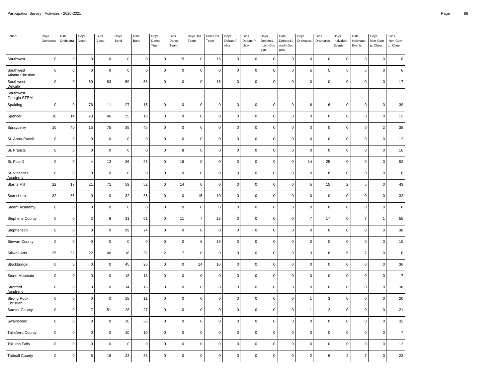| School                          | Boys<br>Orchestra   | Girls<br>Orchestra | Boys<br>Vocal  | Girls<br>Vocal | Boys<br>Band | Girls<br>Band | Boys<br>Dance<br>Team | Girls<br>Dance<br>Team | <b>Boys Drill</b><br>Team | Girls Drill<br>Team | Boys<br>Debate:P<br>olicy | Girls<br>Debate:P<br>olicy | Boys<br>Debate:Li<br>ncoln-Dou<br>glas | Girls<br>Debate:Li<br>ncoln-Dou<br>glas | Boys<br>Dramatics   | Girls<br>Dramatics        | Boys<br>Individual<br>Events | Girls<br>Individual<br>Events | Boys<br>Non-Com<br>p. Cheer | Girls<br>Non-Com<br>p. Cheer |
|---------------------------------|---------------------|--------------------|----------------|----------------|--------------|---------------|-----------------------|------------------------|---------------------------|---------------------|---------------------------|----------------------------|----------------------------------------|-----------------------------------------|---------------------|---------------------------|------------------------------|-------------------------------|-----------------------------|------------------------------|
| Southwest                       | $\mathsf 0$         | $\mathsf 0$        | $\mathbf 0$    | $\mathbf 0$    | $\pmb{0}$    | $\mathsf 0$   | $\mathbf 0$           | 15                     | $\mathbf 0$               | 15                  | 0                         | $\mathbf 0$                | $\pmb{0}$                              | $\mathbf 0$                             | $\mathbf 0$         | $\mathbf 0$               | $\mathsf 0$                  | $\mathsf 0$                   | $\mathbf 0$                 | 8                            |
| Southwest<br>Atlanta Christian  | $\mathsf 0$         | $\pmb{0}$          | $\mathbf 0$    | $\pmb{0}$      | $\pmb{0}$    | $\mathsf 0$   | $\mathsf 0$           | $\mathbf 0$            | $\pmb{0}$                 | $\pmb{0}$           | $\mathsf 0$               | $\mathsf 0$                | $\mathbf 0$                            | $\pmb{0}$                               | $\sqrt{5}$          | $\overline{5}$            | $\,$ 5 $\,$                  | 5                             | $\mathbf 0$                 | $\,6\,$                      |
| Southwest<br>DeKalb             | $\mathsf{O}\xspace$ | $\pmb{0}$          | 50             | 63             | 59           | 68            | $\mathbf 0$           | $\pmb{0}$              | $\pmb{0}$                 | 15                  | $\pmb{0}$                 | $\mathsf{O}\xspace$        | $\pmb{0}$                              | $\pmb{0}$                               | $\pmb{0}$           | $\pmb{0}$                 | $\mathsf 0$                  | $\mathbf 0$                   | $\pmb{0}$                   | 17                           |
| Southwest<br>Georgia STEM       |                     |                    |                |                |              |               |                       |                        |                           |                     |                           |                            |                                        |                                         |                     |                           |                              |                               |                             |                              |
| Spalding                        | $\mathsf{O}\xspace$ | $\pmb{0}$          | 76             | 11             | 27           | 15            | $\mathsf 0$           | $\pmb{0}$              | $\pmb{0}$                 | $\pmb{0}$           | $\mathbf 0$               | $\mathsf 0$                | $\pmb{0}$                              | $\pmb{0}$                               | $\,6\,$             | 6                         | $\mathsf 0$                  | $\mathsf 0$                   | $\pmb{0}$                   | 39                           |
| Spencer                         | $10$                | 14                 | 23             | 46             | 35           | 18            | $\mathsf 0$           | $\boldsymbol{9}$       | $\mathbf 0$               | $\pmb{0}$           | $\mathsf 0$               | $\mathsf 0$                | $\mathbf 0$                            | $\mathbf 0$                             | $\mathsf 0$         | $\mathsf{O}\xspace$       | $\mathsf 0$                  | $\mathsf 0$                   | $\mathbf 0$                 | 15                           |
| Sprayberry                      | 10                  | 40                 | 15             | 75             | 35           | 45            | $\mathsf 0$           | $\mathbf 0$            | $\pmb{0}$                 | $\mathsf 0$         | $\mathbf 0$               | $\mathsf{O}\xspace$        | $\mathbf 0$                            | $\pmb{0}$                               | $\mathsf 0$         | 0                         | $\mathsf 0$                  | $\mathbf 0$                   | $\overline{2}$              | 38                           |
| St. Anne-Pacelli                | $\mathsf{O}\xspace$ | $\pmb{0}$          | $\pmb{0}$      | $\pmb{0}$      | $\mathsf 0$  | $\mathbf 0$   | $\mathbf 0$           | $\mathbf 0$            | $\pmb{0}$                 | $\pmb{0}$           | $\mathbf 0$               | $\mathbf 0$                | $\mathbf 0$                            | $\pmb{0}$                               | $\pmb{0}$           | $\mathbf 0$               | $\mathsf 0$                  | $\mathbf 0$                   | $\pmb{0}$                   | 12                           |
| St. Francis                     | $\mathbf 0$         | $\pmb{0}$          | $\mathbf 0$    | $\pmb{0}$      | $\pmb{0}$    | $\mathbf 0$   | $\mathsf 0$           | 8                      | $\pmb{0}$                 | $\pmb{0}$           | 0                         | $\mathsf 0$                | $\mathbf 0$                            | $\pmb{0}$                               | $\pmb{0}$           | $\pmb{0}$                 | $\mathsf 0$                  | $\mathsf 0$                   | $\pmb{0}$                   | 16                           |
| St. Pius X                      | $\mathsf{O}\xspace$ | $\mathbf 0$        | $\overline{4}$ | 12             | 36           | 26            | $\mathsf 0$           | 16                     | $\mathbf 0$               | $\mathsf{O}\xspace$ | $\mathsf 0$               | $\mathbf 0$                | $\mathbf 0$                            | $\mathbf 0$                             | 14                  | 25                        | $\pmb{0}$                    | $\mathbf 0$                   | $\mathbf 0$                 | 92                           |
| St. Vincent's<br>Academy        | $\mathbf 0$         | $\pmb{0}$          | $\mathbf 0$    | $\pmb{0}$      | $\pmb{0}$    | $\mathbf 0$   | $\mathsf 0$           | $\mathbf 0$            | $\pmb{0}$                 | $\pmb{0}$           | $\mathsf 0$               | $\mathsf{O}\xspace$        | $\mathsf 0$                            | $\mathbf 0$                             | $\mathsf 0$         | 8                         | $\mathsf 0$                  | $\mathbf 0$                   | $\mathbf 0$                 | $\pmb{0}$                    |
| Starr's Mill                    | 22                  | 17                 | 21             | 71             | 59           | 52            | $\mathsf 0$           | 14                     | $\pmb{0}$                 | $\pmb{0}$           | 0                         | $\mathbf 0$                | $\pmb{0}$                              | $\pmb{0}$                               | $\,$ 5 $\,$         | 15                        | $\overline{2}$               | 5                             | $\pmb{0}$                   | 43                           |
| Statesboro                      | 32                  | 36                 | $\mathbf 0$    | $\mathbf 0$    | 32           | 36            | $\mathbf 0$           | $\mathbf 0$            | 15                        | $10$                | $\mathbf 0$               | $\mathbf 0$                | $\mathbf 0$                            | $\mathbf 0$                             | $\mathsf 0$         | $\mathsf{O}\xspace$       | $\mathsf 0$                  | $\mathbf 0$                   | $\overline{0}$              | 32                           |
| Steam Academy                   | $\mathsf 0$         | $\pmb{0}$          | $\mathbf 0$    | $\pmb{0}$      | $\pmb{0}$    | $\mathsf 0$   | $\mathsf 0$           | $\mathbf 0$            | $\pmb{0}$                 | $\mathsf 0$         | $\mathbf 0$               | $\mathsf 0$                | $\mathbf 0$                            | $\pmb{0}$                               | $\mathsf 0$         | $\mathbf 0$               | $\mathsf 0$                  | $\mathsf 0$                   | $\pmb{0}$                   | $\pmb{0}$                    |
| <b>Stephens County</b>          | $\mathbf 0$         | $\pmb{0}$          | 3              | 8              | 31           | 61            | $\mathsf 0$           | 11                     | $\overline{7}$            | 12                  | $\pmb{0}$                 | $\pmb{0}$                  | $\pmb{0}$                              | $\pmb{0}$                               | $\overline{7}$      | 17                        | $\mathsf 0$                  | $\overline{7}$                | $\overline{1}$              | 55                           |
| Stephenson                      | $\mathbf 0$         | $\mathsf 0$        | $\mathbf 0$    | $\mathbf 0$    | 99           | 74            | $\mathsf 0$           | $\mathbf 0$            | $\mathbf 0$               | $\pmb{0}$           | $\mathsf 0$               | $\mathsf 0$                | $\mathbf 0$                            | $\mathbf 0$                             | $\mathsf{O}\xspace$ | $\mathsf 0$               | $\mathsf 0$                  | $\mathbf 0$                   | $\mathbf 0$                 | 30                           |
| <b>Stewart County</b>           | $\mathsf 0$         | $\pmb{0}$          | $\mathbf 0$    | $\pmb{0}$      | $\pmb{0}$    | $\mathsf 0$   | $\mathsf 0$           | $\mathbf 0$            | 6                         | 19                  | $\mathbf 0$               | $\mathsf 0$                | $\mathsf 0$                            | $\pmb{0}$                               | $\mathsf{O}\xspace$ | $\mathsf{O}\xspace$       | $\mathsf 0$                  | $\mathsf 0$                   | $\pmb{0}$                   | $10$                         |
| <b>Stilwell Arts</b>            | 25                  | 32                 | 22             | 46             | 18           | 32            | $\overline{2}$        | $\overline{7}$         | $\mathbf 0$               | $\mathbf 0$         | $\mathbf 0$               | $\mathsf 0$                | $\pmb{0}$                              | $\mathbf 0$                             | 3                   | 6                         | 5                            | $\overline{7}$                | $\mathbf 0$                 | $\mathbf 0$                  |
| Stockbridge                     | $\mathsf 0$         | $\pmb{0}$          | $\mathbf 0$    | $\pmb{0}$      | 45           | 26            | $\mathsf 0$           | $\mathbf 0$            | 14                        | 16                  | $\mathsf 0$               | $\mathsf 0$                | $\mathbf 0$                            | $\pmb{0}$                               | $\mathsf{O}\xspace$ | $\mathsf{O}\xspace$       | $\mathsf 0$                  | $\mathsf 0$                   | $\pmb{0}$                   | 36                           |
| Stone Mountain                  | $\mathsf{O}\xspace$ | $\pmb{0}$          | $\mathbf 0$    | $\pmb{0}$      | 18           | 18            | $\pmb{0}$             | $\pmb{0}$              | $\pmb{0}$                 | $\pmb{0}$           | $\pmb{0}$                 | $\mathsf 0$                | $\mathbf 0$                            | $\pmb{0}$                               | $\pmb{0}$           | $\mathbf 0$               | $\mathsf 0$                  | $\mathbf 0$                   | $\pmb{0}$                   | $\overline{7}$               |
| Stratford<br>Academy            | $\mathsf 0$         | $\mathsf 0$        | $\mathbf 0$    | $\mathbf 0$    | 14           | 16            | $\mathsf 0$           | $\mathbf 0$            | $\mathbf 0$               | $\mathbf 0$         | $\pmb{0}$                 | $\mathbf 0$                | $\mathsf 0$                            | $\mathbf 0$                             | $\mathsf 0$         | 0                         | $\mathsf 0$                  | $\pmb{0}$                     | $\mathbf 0$                 | 38                           |
| <b>Strong Rock</b><br>Christian | $\mathsf 0$         | $\pmb{0}$          | $\mathbf 0$    | $\pmb{0}$      | 18           | 11            | $\mathsf 0$           | $\mathbf 0$            | $\pmb{0}$                 | $\pmb{0}$           | $\mathbf 0$               | $\mathsf 0$                | $\pmb{0}$                              | $\pmb{0}$                               | $\mathbf{1}$        | $\ensuremath{\mathsf{3}}$ | $\pmb{0}$                    | 0                             | $\pmb{0}$                   | 20                           |
| <b>Sumter County</b>            | $\mathsf 0$         | $\mathsf 0$        | $\overline{7}$ | 51             | 28           | 27            | $\mathsf 0$           | $\mathsf 0$            | $\mathbf 0$               | $\mathsf{O}\xspace$ | $\mathsf 0$               | $\mathsf 0$                | $\mathbf 0$                            | $\mathbf 0$                             | $\overline{1}$      | $\sqrt{2}$                | $\mathsf 0$                  | $\mathsf 0$                   | $\mathbf 0$                 | 21                           |
| Swainsboro                      | $\mathsf 0$         | $\mathsf 0$        | $\mathbf 0$    | $\pmb{0}$      | 30           | 36            | $\mathsf 0$           | $\mathbf 0$            | $\pmb{0}$                 | $\mathsf 0$         | $\mathsf 0$               | $\mathsf{O}\xspace$        | $\pmb{0}$                              | $\mathbf 0$                             | $\mathsf 0$         | 0                         | $\mathsf 0$                  | $\mathbf 0$                   | $\mathbf 0$                 | 32                           |
| <b>Taliaferro County</b>        | $\mathsf{O}\xspace$ | $\pmb{0}$          | $\pmb{0}$      | $\pmb{0}$      | $10$         | 10            | $\mathbf 0$           | $\mathbf 0$            | $\pmb{0}$                 | $\pmb{0}$           | $\mathbf 0$               | $\mathbf 0$                | $\mathbf 0$                            | $\pmb{0}$                               | $\pmb{0}$           | $\mathbf 0$               | $\mathsf 0$                  | $\mathbf 0$                   | $\overline{0}$              | $\overline{7}$               |
| <b>Tallulah Falls</b>           | $\mathbf 0$         | $\mathsf 0$        | $\pmb{0}$      | $\pmb{0}$      | $\pmb{0}$    | $\mathbf 0$   | $\mathsf 0$           | $\mathbf 0$            | $\pmb{0}$                 | $\pmb{0}$           | 0                         | $\mathbf 0$                | $\mathbf 0$                            | $\pmb{0}$                               | $\mathsf 0$         | 0                         | $\mathsf 0$                  | $\mathsf 0$                   | $\pmb{0}$                   | 12                           |
| <b>Tattnall County</b>          | 0                   | $\mathbf 0$        | 8              | 16             | 23           | 38            | $\mathbf 0$           | $\Omega$               | $\mathbf 0$               | $\mathbf 0$         | $\Omega$                  | $\mathbf 0$                | $\mathbf 0$                            | $\Omega$                                | $\sqrt{2}$          | 6                         | $\overline{2}$               | $\overline{7}$                | $\Omega$                    | 23                           |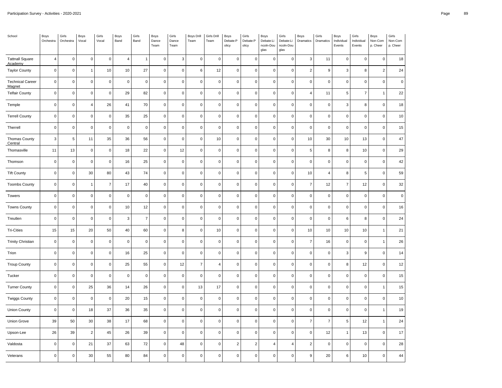| School                            | Boys<br>Orchestra         | Girls<br>Orchestra | Boys<br>Vocal       | Girls<br>Vocal | Boys<br>Band   | Girls<br>Band  | Boys<br>Dance<br>Team | Girls<br>Dance<br>Team | <b>Boys Drill</b><br>Team | Girls Drill<br>Team     | Boys<br>Debate:P<br>olicy | Girls<br>Debate:P<br>olicy | Boys<br>Debate:Li<br>ncoln-Dou<br>glas | Girls<br>Debate:Li<br>ncoln-Dou<br>glas | Boys<br>Dramatics        | Girls<br>Dramatics | Boys<br>Individual<br>Events | Girls<br>Individual<br>Events | Boys<br>Non-Com<br>p. Cheer | Girls<br>Non-Com<br>p. Cheer |
|-----------------------------------|---------------------------|--------------------|---------------------|----------------|----------------|----------------|-----------------------|------------------------|---------------------------|-------------------------|---------------------------|----------------------------|----------------------------------------|-----------------------------------------|--------------------------|--------------------|------------------------------|-------------------------------|-----------------------------|------------------------------|
| <b>Tattnall Square</b><br>Academy | $\overline{4}$            | $\pmb{0}$          | $\pmb{0}$           | $\mathbf 0$    | $\overline{4}$ | $\mathbf{1}$   | $\mathbf 0$           | $\mathsf 3$            | $\mathbf 0$               | $\mathbf 0$             | $\mathsf 0$               | $\mathbf 0$                | $\pmb{0}$                              | $\mathbf 0$                             | $\mathsf 3$              | 11                 | $\mathsf 0$                  | $\mathsf 0$                   | $\mathbf 0$                 | 18                           |
| <b>Taylor County</b>              | $\pmb{0}$                 | $\pmb{0}$          | $\mathbf{1}$        | 10             | $10$           | 27             | $\pmb{0}$             | $\pmb{0}$              | 6                         | 12                      | $\mathbf 0$               | $\mathsf{O}\xspace$        | $\pmb{0}$                              | $\pmb{0}$                               | $\overline{c}$           | 9                  | 3                            | 8                             | $\overline{2}$              | 24                           |
| <b>Technical Career</b><br>Magnet | $\pmb{0}$                 | $\pmb{0}$          | 0                   | $\mathsf 0$    | $\pmb{0}$      | $\pmb{0}$      | $\mathbf 0$           | $\pmb{0}$              | $\pmb{0}$                 | $\mathbf 0$             | 0                         | $\mathbf 0$                | $\overline{0}$                         | $\pmb{0}$                               | $\pmb{0}$                | $\pmb{0}$          | $\boldsymbol{0}$             | $\mathbf 0$                   | $\Omega$                    | $\pmb{0}$                    |
| <b>Telfair County</b>             | $\pmb{0}$                 | $\pmb{0}$          | $\pmb{0}$           | $\mathbf 0$    | 29             | 82             | $\pmb{0}$             | $\pmb{0}$              | $\mathbf 0$               | $\mathsf{O}\xspace$     | $\mathbf 0$               | $\mathsf{O}\xspace$        | $\pmb{0}$                              | $\pmb{0}$                               | $\overline{\mathbf{4}}$  | 11                 | $\,$ 5 $\,$                  | $\overline{7}$                | $\mathbf{1}$                | 22                           |
| Temple                            | $\pmb{0}$                 | $\pmb{0}$          | 4                   | 26             | 41             | 70             | $\pmb{0}$             | $\pmb{0}$              | $\mathsf 0$               | $\mathsf 0$             | $\mathsf 0$               | $\mathsf{O}\xspace$        | $\overline{0}$                         | $\pmb{0}$                               | $\pmb{0}$                | $\mathbf 0$        | 3                            | 8                             | $\mathbf 0$                 | 18                           |
| <b>Terrell County</b>             | $\mathbf 0$               | $\pmb{0}$          | 0                   | $\mathbf 0$    | 35             | 25             | $\mathbf 0$           | $\mathbf 0$            | $\mathsf 0$               | $\mathsf{O}\xspace$     | $\mathsf 0$               | $\mathsf 0$                | $\mathbf 0$                            | $\mathbf 0$                             | $\pmb{0}$                | $\mathsf 0$        | $\mathsf 0$                  | $\mathsf 0$                   | $\mathbf 0$                 | 10                           |
| Therrell                          | $\mathbf 0$               | $\pmb{0}$          | $\pmb{0}$           | $\mathsf 0$    | $\pmb{0}$      | $\mathsf 0$    | $\pmb{0}$             | $\pmb{0}$              | $\mathsf 0$               | $\mathbf 0$             | $\mathbf 0$               | $\mathsf{O}\xspace$        | $\pmb{0}$                              | $\pmb{0}$                               | $\pmb{0}$                | $\mathsf 0$        | $\mathsf 0$                  | $\mathbf 0$                   | $\mathbf 0$                 | 15                           |
| Thomas County<br>Central          | $\ensuremath{\mathsf{3}}$ | $\,$ 5 $\,$        | 11                  | 35             | 36             | 56             | $\mathbf 0$           | $\pmb{0}$              | $\mathbf 0$               | 10                      | $\mathbf 0$               | $\mathsf 0$                | $\pmb{0}$                              | $\mathbf 0$                             | $10$                     | $30\,$             | 10                           | 13                            | $\mathbf 0$                 | 47                           |
| Thomasville                       | 11                        | 13                 | 0                   | $\mathbf 0$    | 18             | 22             | $\pmb{0}$             | 12                     | $\mathsf 0$               | $\mathsf{O}\xspace$     | $\mathbf 0$               | $\mathsf{O}\xspace$        | $\mathbf 0$                            | $\pmb{0}$                               | 5                        | 8                  | 8                            | 10                            | $\mathbf 0$                 | 29                           |
| Thomson                           | $\pmb{0}$                 | $\mathbf 0$        | $\pmb{0}$           | $\pmb{0}$      | 16             | 25             | $\pmb{0}$             | $\pmb{0}$              | $\mathbf 0$               | $\mathsf 0$             | $\mathsf 0$               | $\mathbf 0$                | $\overline{0}$                         | $\pmb{0}$                               | $\mathbf 0$              | $\mathbf 0$        | $\pmb{0}$                    | $\mathsf 0$                   | $\mathbf 0$                 | 42                           |
| <b>Tift County</b>                | $\mathbf 0$               | $\pmb{0}$          | $30\,$              | 80             | 43             | 74             | $\pmb{0}$             | $\pmb{0}$              | $\mathbf 0$               | $\mathsf{O}\xspace$     | $\mathbf 0$               | $\mathsf{O}\xspace$        | $\pmb{0}$                              | $\pmb{0}$                               | 10                       | $\overline{4}$     | 8                            | 5                             | $\mathbf 0$                 | 59                           |
| <b>Toombs County</b>              | $\pmb{0}$                 | $\pmb{0}$          | $\mathbf{1}$        | $\overline{7}$ | 17             | 40             | $\pmb{0}$             | $\pmb{0}$              | $\pmb{0}$                 | $\mathbf 0$             | $\mathbf 0$               | $\mathbf 0$                | $\overline{0}$                         | $\pmb{0}$                               | $\boldsymbol{7}$         | 12                 | $\overline{7}$               | 12                            | $\Omega$                    | 32                           |
| Towers                            | $\mathbf 0$               | $\pmb{0}$          | $\mathsf{O}\xspace$ | $\mathbf 0$    | $\pmb{0}$      | $\pmb{0}$      | $\mathbf 0$           | $\pmb{0}$              | $\pmb{0}$                 | $\mathsf{O}\xspace$     | $\mathbf 0$               | $\mathsf{O}\xspace$        | $\pmb{0}$                              | $\pmb{0}$                               | $\pmb{0}$                | $\mathbf 0$        | $\mathsf 0$                  | $\mathsf 0$                   | $\mathbf 0$                 | $\pmb{0}$                    |
| <b>Towns County</b>               | $\pmb{0}$                 | $\mathsf 0$        | 0                   | $\mathsf 0$    | 10             | 12             | $\mathbf 0$           | $\pmb{0}$              | $\mathbf 0$               | $\mathbf 0$             | $\pmb{0}$                 | $\mathsf{O}\xspace$        | $\pmb{0}$                              | $\pmb{0}$                               | $\pmb{0}$                | $\mathbf 0$        | $\mathsf 0$                  | 0                             | $\mathbf 0$                 | 16                           |
| Treutlen                          | $\mathbf 0$               | $\mathsf 0$        | $\pmb{0}$           | $\mathbf 0$    | 3              | $\overline{7}$ | $\mathbf 0$           | $\pmb{0}$              | $\mathsf 0$               | $\mathsf{O}\xspace$     | $\mathbf 0$               | $\mathsf{O}\xspace$        | $\mathbf 0$                            | $\mathbf 0$                             | $\pmb{0}$                | $\mathsf 0$        | 6                            | 8                             | $\mathbf 0$                 | 24                           |
| <b>Tri-Cities</b>                 | 15                        | 15                 | 20                  | 50             | 40             | 60             | $\pmb{0}$             | 8                      | $\mathbf 0$               | 10                      | $\mathsf 0$               | $\mathsf{O}\xspace$        | $\pmb{0}$                              | $\pmb{0}$                               | $10$                     | 10                 | 10                           | 10                            | $\overline{1}$              | 21                           |
| <b>Trinity Christian</b>          | $\mathbf 0$               | $\mathsf 0$        | 0                   | $\mathsf 0$    | $\pmb{0}$      | $\mathsf 0$    | $\mathbf 0$           | $\mathbf 0$            | $\mathsf 0$               | $\mathbf 0$             | 0                         | $\mathsf 0$                | $\overline{0}$                         | $\mathbf 0$                             | $\boldsymbol{7}$         | 16                 | $\mathsf 0$                  | $\mathbf 0$                   | 1                           | 26                           |
| Trion                             | $\mathbf 0$               | $\pmb{0}$          | $\mathsf{O}\xspace$ | $\mathbf 0$    | 16             | 25             | $\mathbf 0$           | $\pmb{0}$              | $\mathbf 0$               | $\mathbf 0$             | $\mathsf 0$               | $\mathsf{O}\xspace$        | $\pmb{0}$                              | $\mathbf 0$                             | $\pmb{0}$                | $\mathsf 0$        | 3                            | 9                             | $\mathbf 0$                 | 14                           |
| <b>Troup County</b>               | $\pmb{0}$                 | $\pmb{0}$          | $\pmb{0}$           | $\mathsf 0$    | 25             | 55             | $\pmb{0}$             | 12                     | $\overline{\mathbf{7}}$   | $\overline{\mathbf{4}}$ | $\mathbf 0$               | $\mathsf{O}\xspace$        | $\pmb{0}$                              | $\pmb{0}$                               | $\pmb{0}$                | $\mathbf 0$        | 8                            | 12                            | $\mathbf 0$                 | 12                           |
| Tucker                            | $\mathbf 0$               | $\mathbf 0$        | 0                   | $\mathsf 0$    | $\pmb{0}$      | $\mathsf 0$    | $\mathbf 0$           | $\pmb{0}$              | $\pmb{0}$                 | $\mathsf{O}\xspace$     | $\mathbf 0$               | $\mathsf 0$                | $\overline{0}$                         | $\mathbf 0$                             | $\mathsf 0$              | $\pmb{0}$          | $\mathbf 0$                  | $\mathbf 0$                   | $\mathbf 0$                 | 15                           |
| <b>Turner County</b>              | $\pmb{0}$                 | $\mathbf 0$        | 25                  | 36             | 14             | 26             | $\pmb{0}$             | $\pmb{0}$              | 13                        | 17                      | $\mathbf 0$               | $\mathsf{O}\xspace$        | $\pmb{0}$                              | $\pmb{0}$                               | $\mathsf 0$              | $\mathbf 0$        | $\pmb{0}$                    | $\pmb{0}$                     | $\mathbf{1}$                | 15                           |
| <b>Twiggs County</b>              | $\mathbf 0$               | $\pmb{0}$          | $\pmb{0}$           | $\mathbf 0$    | 20             | 15             | $\mathbf 0$           | $\pmb{0}$              | $\mathbf 0$               | $\mathbf 0$             | $\mathbf 0$               | $\mathsf 0$                | $\pmb{0}$                              | $\mathbf 0$                             | $\pmb{0}$                | $\mathbf 0$        | $\mathsf 0$                  | $\mathsf 0$                   | $\mathbf 0$                 | 10                           |
| <b>Union County</b>               | $\pmb{0}$                 | $\pmb{0}$          | 18                  | 37             | 36             | 35             | $\pmb{0}$             | $\pmb{0}$              | $\mathsf 0$               | $\mathsf{O}\xspace$     | $\mathbf 0$               | $\mathsf{O}\xspace$        | $\pmb{0}$                              | $\pmb{0}$                               | $\pmb{0}$                | $\mathsf 0$        | $\mathsf 0$                  | $\mathsf 0$                   | $\overline{1}$              | 19                           |
| Union Grove                       | 39                        | 50                 | 30                  | 38             | 17             | 68             | $\pmb{0}$             | $\pmb{0}$              | $\mathbf 0$               | $\mathsf{O}\xspace$     | $\mathbf 0$               | $\mathsf{O}\xspace$        | $\pmb{0}$                              | $\pmb{0}$                               | $\overline{\mathcal{I}}$ | $\overline{7}$     | 5                            | 12                            | $\overline{1}$              | 24                           |
| Upson-Lee                         | 26                        | 39                 | $\mathbf 2$         | 45             | 26             | 39             | $\pmb{0}$             | $\pmb{0}$              | $\pmb{0}$                 | $\mathsf{O}\xspace$     | $\mathbf 0$               | $\mathsf 0$                | $\pmb{0}$                              | $\mathbf 0$                             | $\pmb{0}$                | 12                 | $\mathbf{1}$                 | 13                            | $\mathbf 0$                 | 17                           |
| Valdosta                          | $\mathbf 0$               | $\mathsf 0$        | 21                  | 37             | 63             | $\bf 72$       | $\mathbf 0$           | 48                     | $\mathbf 0$               | $\mathsf 0$             | $\overline{c}$            | $\overline{2}$             | $\overline{4}$                         | $\overline{4}$                          | $\sqrt{2}$               | $\mathsf 0$        | $\pmb{0}$                    | $\mathsf 0$                   | $\mathbf 0$                 | 28                           |
| Veterans                          | $\mathbf 0$               | $\pmb{0}$          | 30                  | 55             | 80             | 84             | $\mathbf 0$           | $\mathbf 0$            | $\pmb{0}$                 | $\pmb{0}$               | $\mathbf 0$               | $\mathbf 0$                | $\overline{0}$                         | $\mathbf 0$                             | 9                        | 20                 | 6                            | 10                            | $\Omega$                    | 44                           |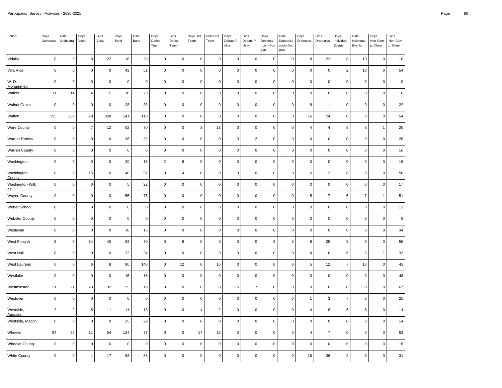| School                | Boys<br>Orchestra | Girls<br>Orchestra  | Boys<br>Vocal  | Girls<br>Vocal | Boys<br>Band | Girls<br>Band | Boys<br>Dance<br>Team | Girls<br>Dance<br>Team | <b>Boys Drill</b><br>Team | Girls Drill<br>Team | Boys<br>Debate:P<br>olicy | Girls<br>Debate:P<br>olicy | Boys<br>Debate:Li<br>ncoln-Dou<br>glas | Girls<br>Debate:Li<br>ncoln-Dou<br>glas | Boys<br>Dramatics | Girls<br>Dramatics | Boys<br>Individual<br>Events | Girls<br>Individual<br>Events | Boys<br>Non-Com<br>p. Cheer | Girls<br>Non-Com<br>p. Cheer |
|-----------------------|-------------------|---------------------|----------------|----------------|--------------|---------------|-----------------------|------------------------|---------------------------|---------------------|---------------------------|----------------------------|----------------------------------------|-----------------------------------------|-------------------|--------------------|------------------------------|-------------------------------|-----------------------------|------------------------------|
| Vidalia               | $\mathbf 0$       | $\mathsf 0$         | 8              | 22             | $18\,$       | 23            | $\mathsf 0$           | 10                     | $\mathbf 0$               | $\mathbf 0$         | $\mathbf 0$               | 0                          | $\mathsf 0$                            | $\mathbf 0$                             | 8                 | 23                 | 8                            | 10                            | $\mathbf 0$                 | $10$                         |
| Villa Rica            | $\pmb{0}$         | $\mathsf{O}\xspace$ | $\mathbf 0$    | $\mathsf 0$    | 42           | 51            | $\mathsf 0$           | $\mathbf 0$            | $\pmb{0}$                 | $\mathbf 0$         | $\pmb{0}$                 | 0                          | $\mathbf 0$                            | $\pmb{0}$                               | $\pmb{0}$         | $\pmb{0}$          | $\overline{2}$               | 10                            | $\mathsf 0$                 | 54                           |
| W. D.<br>Mohammed     | $\pmb{0}$         | $\mathsf 0$         | $\pmb{0}$      | $\mathbf 0$    | $\mathbf 0$  | $\pmb{0}$     | $\mathsf{O}\xspace$   | $\mathbf 0$            | $\mathbf 0$               | $\pmb{0}$           | $\pmb{0}$                 | $\mathsf 0$                | $\mathsf{O}\xspace$                    | $\mathbf 0$                             | $\overline{0}$    | $\pmb{0}$          | $\mathsf{O}\xspace$          | $\pmb{0}$                     | $\mathbf 0$                 | $\mathbf 0$                  |
| Walker                | 11                | 14                  | $\overline{4}$ | 15             | 18           | 23            | $\mathsf 0$           | $\mathsf 0$            | $\mathbf 0$               | $\mathbf 0$         | $\mathbf 0$               | 0                          | $\mathsf 0$                            | $\mathbf 0$                             | $\mathbf 0$       | $\mathbf 0$        | 0                            | $\mathbf 0$                   | $\mathsf 0$                 | 16                           |
| <b>Walnut Grove</b>   | $\mathbf 0$       | $\pmb{0}$           | $\mathbf 0$    | $\mathbf 0$    | 28           | 33            | $\mathsf 0$           | $\mathbf 0$            | $\pmb{0}$                 | $\mathbf 0$         | $\pmb{0}$                 | 0                          | $\mathbf 0$                            | $\pmb{0}$                               | 8                 | 11                 | 0                            | $\mathbf 0$                   | $\mathsf 0$                 | 22                           |
| Walton                | 155               | 239                 | 78             | 328            | 141          | 118           | $\mathsf 0$           | $\mathsf 0$            | $\mathbf 0$               | $\mathbf 0$         | $\mathbf 0$               | $\mathsf 0$                | $\mathbf 0$                            | $\mathbf 0$                             | 16                | 24                 | 0                            | $\mathbf 0$                   | $\mathsf 0$                 | 54                           |
| <b>Ware County</b>    | $\pmb{0}$         | $\pmb{0}$           | $\overline{7}$ | 12             | 52           | 70            | $\mathsf 0$           | $\mathbf 0$            | 3                         | 18                  | $\pmb{0}$                 | 0                          | $\mathbf 0$                            | $\mathbf 0$                             | $\overline{4}$    | $\overline{4}$     | 8                            | 8                             | $\overline{1}$              | 20                           |
| Warner Robins         | $\mathbf 0$       | $\mathsf 0$         | $\mathbf 0$    | $\mathbf 0$    | 36           | 32            | $\mathsf{O}\xspace$   | $\mathbf 0$            | $\mathsf 0$               | $\mathbf 0$         | $\mathbf{3}$              | $\overline{\mathbf{c}}$    | $\mathbf 0$                            | $\mathsf 0$                             | $\mathbf 0$       | $\mathbf 0$        | 0                            | $\mathbf 0$                   | $\mathsf 0$                 | 28                           |
| <b>Warren County</b>  | $\mathbf 0$       | $\mathsf 0$         | $\mathbf 0$    | $\pmb{0}$      | $\mathbf 0$  | $\pmb{0}$     | $\mathsf 0$           | $\mathbf 0$            | $\mathbf 0$               | $\mathbf 0$         | $\mathbf 0$               | 0                          | $\mathsf 0$                            | $\mathbf 0$                             | $\mathbf 0$       | $\mathbf 0$        | 0                            | $\mathbf 0$                   | 0                           | 16                           |
| Washington            | $\pmb{0}$         | $\mathsf 0$         | $\mathbf 0$    | $\mathbf 0$    | 20           | 15            | $\sqrt{2}$            | 8                      | $\pmb{0}$                 | $\mathbf 0$         | $\pmb{0}$                 | $\pmb{0}$                  | $\mathbf 0$                            | $\pmb{0}$                               | $\pmb{0}$         | $\pmb{0}$          | $\pmb{0}$                    | $\mathbf 0$                   | $\mathbf 0$                 | 16                           |
| Washington<br>County  | $\mathbf 0$       | $\mathsf 0$         | 15             | 10             | 40           | 57            | $\mathsf 0$           | $\overline{4}$         | $\mathbf 0$               | $\pmb{0}$           | $\pmb{0}$                 | $\pmb{0}$                  | $\mathbf 0$                            | $\mathbf 0$                             | $\,6$             | 12                 | 8                            | 8                             | $\mathsf 0$                 | 50                           |
| Washington-Wilk<br>es | $\pmb{0}$         | $\mathsf 0$         | $\mathsf 0$    | $\mathbf 0$    | 5            | 22            | $\mathsf 0$           | $\mathbf 0$            | $\mathbf 0$               | $\mathbf 0$         | $\pmb{0}$                 | $\pmb{0}$                  | $\mathbf 0$                            | $\mathbf 0$                             | $\mathbf 0$       | $\pmb{0}$          | $\mathsf{O}\xspace$          | $\mathbf 0$                   | $\mathbf 0$                 | $17\,$                       |
| <b>Wayne County</b>   | $\mathbf 0$       | $\mathsf 0$         | $\mathbf 0$    | $\mathsf 0$    | 55           | 75            | $\mathsf 0$           | $\mathbf 0$            | $\mathbf 0$               | $\mathbf 0$         | $\pmb{0}$                 | $\pmb{0}$                  | $\mathsf 0$                            | $\mathbf 0$                             | 5                 | $\overline{7}$     | 6                            | $\overline{7}$                | $\overline{1}$              | 51                           |
| Weber School          | $\pmb{0}$         | $\mathsf{O}\xspace$ | $\mathbf 0$    | $\pmb{0}$      | $\pmb{0}$    | $\pmb{0}$     | $\mathsf{O}\xspace$   | $\pmb{0}$              | $\pmb{0}$                 | $\pmb{0}$           | $\pmb{0}$                 | 0                          | $\mathbf 0$                            | $\pmb{0}$                               | $\pmb{0}$         | $\pmb{0}$          | $\pmb{0}$                    | $\mathbf 0$                   | $\mathsf 0$                 | 13                           |
| <b>Webster County</b> | $\mathbf 0$       | $\mathsf{O}\xspace$ | $\mathbf 0$    | $\mathbf 0$    | $\Omega$     | $\mathbf 0$   | $\mathsf 0$           | $\mathsf 0$            | $\mathbf 0$               | $\mathbf 0$         | $\mathbf 0$               | 0                          | $\mathsf 0$                            | $\mathbf 0$                             | $\mathbf 0$       | $\mathbf 0$        | $\pmb{0}$                    | $\mathbf 0$                   | $\mathbf 0$                 | 6                            |
| Wesleyan              | $\mathbf 0$       | $\mathsf 0$         | $\mathbf 0$    | $\mathsf 0$    | 30           | 16            | $\mathsf 0$           | $\mathbf 0$            | $\pmb{0}$                 | $\mathbf{0}$        | $\pmb{0}$                 | 0                          | $\mathbf 0$                            | $\pmb{0}$                               | $\mathbf 0$       | $\pmb{0}$          | 0                            | $\mathbf 0$                   | $\mathsf 0$                 | 34                           |
| West Forsyth          | 5                 | $\mathsf g$         | 14             | 40             | 63           | 70            | $\mathsf 0$           | 9                      | $\mathbf 0$               | $\mathbf 0$         | $\mathbf 0$               | 0                          | 3                                      | 5                                       | 8                 | 25                 | 8                            | $\boldsymbol{9}$              | $\mathsf 0$                 | 55                           |
| West Hall             | $\mathbf 0$       | $\pmb{0}$           | $\mathbf 0$    | $\mathbf 0$    | 32           | 34            | $\mathsf 0$           | $\mathbf 0$            | $\mathbf 0$               | $\mathbf 0$         | $\mathbf 0$               | 0                          | $\mathbf 0$                            | $\mathbf 0$                             | $\overline{4}$    | 10                 | 6                            | 6                             | $\overline{1}$              | 33                           |
| West Laurens          | $\pmb{0}$         | $\mathsf 0$         | 6,             | 8              | 80           | 140           | $\mathsf{O}\xspace$   | 12                     | $\pmb{0}$                 | $16\,$              | $\pmb{0}$                 | $\pmb{0}$                  | $\mathbf 0$                            | $\pmb{0}$                               | $\sqrt{5}$        | 12                 | $\boldsymbol{7}$             | $10$                          | $\pmb{0}$                   | 41                           |
| Westlake              | $\mathbf 0$       | $\mathsf 0$         | $\mathbf 0$    | $\pmb{0}$      | 15           | 15            | $\mathsf 0$           | $\mathbf 0$            | $\mathbf 0$               | $\mathbf 0$         | $\mathbf 0$               | 0                          | $\mathbf 0$                            | $\mathbf 0$                             | $\mathbf 0$       | $\mathbf 0$        | $\pmb{0}$                    | $\mathbf 0$                   | $\pmb{0}$                   | 48                           |
| Westminster           | 21                | $21$                | 23             | 32             | 55           | 19            | $\mathsf 0$           | $\mathbf 0$            | $\pmb{0}$                 | $\mathbf 0$         | 15                        | $\boldsymbol{7}$           | $\mathbf 0$                            | $\mathbf 0$                             | $\pmb{0}$         | $\pmb{0}$          | 0                            | $\mathbf 0$                   | $\mathsf 0$                 | 67                           |
| Westover              | $\mathbf 0$       | $\mathsf 0$         | $\mathsf 0$    | $\mathbf 0$    | $\pmb{0}$    | $\pmb{0}$     | $\mathsf 0$           | $\mathbf 0$            | $\mathbf 0$               | $\mathbf 0$         | $\mathbf 0$               | 0                          | $\mathbf 0$                            | $\mathsf 0$                             | $\overline{1}$    | $\mathbf{3}$       | $\overline{7}$               | 8                             | $\mathsf 0$                 | 25                           |
| Westside,<br>Augusta  | $\overline{2}$    | $\overline{c}$      | 5              | 11             | 11           | 13            | $\mathsf{O}\xspace$   | $\mathbf 0$            | $\overline{4}$            | $\overline{2}$      | $\pmb{0}$                 | 0                          | $\mathbf 0$                            | $\mathbf 0$                             | $\overline{4}$    | 8                  | 6                            | 8                             | 0                           | 14                           |
| Westside, Macon       | $\mathbf 0$       | $\mathsf{O}\xspace$ | $\mathbf 0$    | $\mathbf 0$    | 25           | 29            | $\mathsf{O}\xspace$   | $\mathbf 0$            | $\pmb{0}$                 | $\mathbf 0$         | $\pmb{0}$                 | 0                          | $\mathbf 0$                            | $\mathbf 0$                             | $\mathbf 0$       | $\pmb{0}$          | $\mathsf{O}\xspace$          | $\mathbf 0$                   | $\mathsf 0$                 | 14                           |
| Wheeler               | 94                | 95                  | 11             | 54             | 124          | 77            | $\mathsf 0$           | $\pmb{0}$              | 17                        | 13                  | $\pmb{0}$                 | $\pmb{0}$                  | $\mathbf 0$                            | $\mathbf 0$                             | $\overline{4}$    | $\overline{7}$     | 0                            | $\mathbf 0$                   | $\mathsf 0$                 | 53                           |
| <b>Wheeler County</b> | $\mathbf 0$       | $\mathsf{O}\xspace$ | $\mathbf 0$    | $\mathbf 0$    | $\mathbf 0$  | $\mathbf 0$   | $\mathsf 0$           | $\mathsf 0$            | $\mathbf 0$               | $\mathbf 0$         | $\mathbf 0$               | 0                          | $\mathsf 0$                            | $\mathbf 0$                             | $\mathbf 0$       | $\mathbf 0$        | 0                            | $\mathbf 0$                   | $\mathbf 0$                 | 16                           |
| <b>White County</b>   | $\mathbf 0$       | $\mathsf{O}\xspace$ | $\mathbf{1}$   | 17             | 63           | 68            | $\mathsf{O}\xspace$   | $\mathsf 0$            | $\mathbf 0$               | $\mathsf 0$         | $\pmb{0}$                 | $\pmb{0}$                  | $\mathsf 0$                            | $\mathbf 0$                             | 16                | 36                 | $\boldsymbol{2}$             | 8                             | $\mathbf 0$                 | 31                           |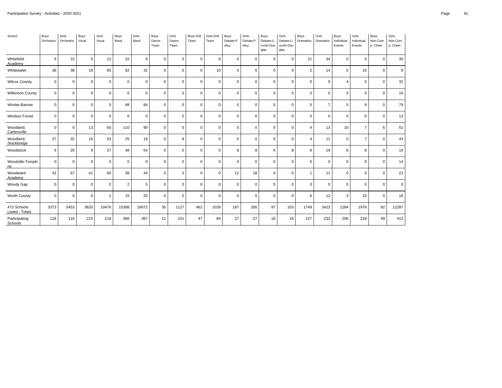| School                         | Boys<br>Orchestra | Girls<br>Orchestra | Boys<br>Vocal | Girls<br>Vocal | Boys<br>Band | Girls<br>Band | Boys<br>Dance<br>Team | Girls<br>Dance<br>Team | <b>Boys Drill</b><br>Team | Girls Drill<br>Team | Boys<br>Debate:P<br>olicy | Girls<br>Debate:P<br>olicy | Boys<br>Debate:Li<br>ncoln-Dou<br>glas | Girls<br>Debate:Li<br>ncoln-Dou<br>glas | Boys<br>Dramatics     | Girls<br>Dramatics | Boys<br>Individual<br>Events | Girls<br>Individual<br>Events | Boys<br>Non-Com<br>p. Cheer | Girls<br>Non-Com<br>p. Cheer |
|--------------------------------|-------------------|--------------------|---------------|----------------|--------------|---------------|-----------------------|------------------------|---------------------------|---------------------|---------------------------|----------------------------|----------------------------------------|-----------------------------------------|-----------------------|--------------------|------------------------------|-------------------------------|-----------------------------|------------------------------|
| Whitefield<br>Academy          | 9                 | 15                 | 5             | 12             | 22           | 9             | $\Omega$              | $\Omega$               | $\mathbf 0$               | 8                   | $\mathbf{0}$              | $\Omega$                   | $\mathbf 0$                            | $\mathbf 0$                             | 21                    | 34                 | $\mathbf 0$                  | $\Omega$                      | $\Omega$                    | 30                           |
| Whitewater                     | 36                | 38                 | 18            | 65             | 62           | 32            | $\Omega$              | $\mathbf 0$            | $\mathbf 0$               | 10                  | $\mathbf 0$               | $\Omega$                   | $\mathbf 0$                            | $\mathbf 0$                             | $\overline{2}$        | 14                 | 5                            | 10                            | $\Omega$                    | 8 <sup>1</sup>               |
| <b>Wilcox County</b>           | $\mathbf 0$       | $\mathbf 0$        | $\mathbf 0$   | $\mathbf 0$    | $\Omega$     | $\Omega$      | $\Omega$              | $\Omega$               | $\mathbf 0$               | $\mathbf 0$         | $\mathbf{0}$              | $\Omega$                   | $\mathbf 0$                            | $\mathbf 0$                             | $\mathbf 0$           | $\mathbf 0$        | $\overline{4}$               | 5                             | $\Omega$                    | 32                           |
| <b>Wilkinson County</b>        | $\mathbf 0$       | $\mathbf 0$        | $\mathbf 0$   | $\mathbf 0$    | $\mathbf 0$  | $\mathbf 0$   | $\Omega$              | $\mathbf 0$            | $\mathbf 0$               | $\mathbf 0$         | $\mathbf 0$               | $\Omega$                   | $\mathbf 0$                            | $\mathbf 0$                             | $\mathbf 0$           | $\mathbf 0$        | $\mathbf 0$                  | $\Omega$                      | $\mathbf 0$                 | 16                           |
| Winder-Barrow                  | 0                 | $\mathbf 0$        | $\mathbf 0$   | $\mathbf 0$    | 68           | 84            | $\mathbf 0$           | $\mathbf 0$            | $\mathbf 0$               | $\mathbf 0$         | $\mathbf{0}$              | $\Omega$                   | $\mathbf 0$                            | $\mathbf 0$                             | 5                     | $\overline{7}$     | 5                            | 9                             | $\mathbf 0$                 | 79                           |
| <b>Windsor Forest</b>          | 0                 | $\mathbf 0$        | $\mathbf 0$   | $\mathbf 0$    | $\mathbf 0$  | $\mathbf 0$   | $\Omega$              | $\mathbf 0$            | $\mathbf 0$               | $\mathbf 0$         | $\mathbf 0$               | $\Omega$                   | $\mathbf 0$                            | $\mathbf 0$                             | $\mathbf 0$           | $\mathbf 0$        | $\mathbf 0$                  | $\Omega$                      | $\Omega$                    | 13                           |
| Woodland,<br>Cartersville      | $\mathbf 0$       | $\mathbf 0$        | 13            | 65             | 110          | 90            | $\mathbf 0$           | $\Omega$               | $\mathbf 0$               | $\mathbf 0$         | $\mathbf 0$               | $\Omega$                   | $\mathbf 0$                            | $\mathbf 0$                             | $\overline{4}$        | 13                 | 10                           | $\overline{7}$                | 6                           | 51                           |
| Woodland,<br>Stockbridge       | 27                | 32                 | 16            | 53             | 25           | 19            | $\Omega$              | 8                      | $\mathbf 0$               | $\mathbf 0$         | $\mathbf 0$               | $\Omega$                   | $\mathbf 0$                            | $\mathbf 0$                             | $\boldsymbol{\Delta}$ | 11                 | $\mathbf 0$                  | $\overline{7}$                | $\Omega$                    | 43                           |
| Woodstock                      | 9                 | 20                 | 9             | 37             | 48           | 54            | $\mathbf 0$           | $\mathbf 0$            | $\mathbf 0$               | $\mathbf 0$         | 6                         | 8                          | 6                                      | 8                                       | 8                     | 19                 | 6                            | 8                             | $\mathbf 0$                 | 10                           |
| Woodville-Tompki<br>ns         | $\mathbf 0$       | $\mathbf 0$        | $\mathbf 0$   | $\mathbf 0$    | $\mathbf{0}$ | $\mathbf 0$   | $\Omega$              | $\Omega$               | $\mathbf 0$               | $\mathbf 0$         | $\mathbf 0$               | $\Omega$                   | $\mathbf 0$                            | $\mathbf 0$                             | $\Omega$              | $\mathbf 0$        | $\mathbf 0$                  | $\Omega$                      | $\Omega$                    | 14                           |
| Woodward<br>Academy            | 42                | 57                 | 41            | 60             | 39           | 44            | $\mathbf 0$           | $\mathbf 0$            | $\mathbf 0$               | $\mathbf 0$         | 12                        | 18                         | $\mathbf 0$                            | $\mathbf 0$                             | $\mathbf 1$           | 11                 | $\mathbf 0$                  | $\mathbf 0$                   | $\mathbf 0$                 | 21                           |
| Woody Gap                      | $\mathbf 0$       | $\mathbf 0$        | $\mathbf 0$   | $\mathbf 0$    | 2            | 5             | $\Omega$              | $\Omega$               | $\mathbf 0$               | $\mathbf 0$         | $\mathbf 0$               | $\Omega$                   | $\mathbf 0$                            | $\mathbf 0$                             | $\mathbf 0$           | $\mathbf 0$        | $\mathbf 0$                  | $\Omega$                      | $\Omega$                    | $\overline{0}$               |
| Worth County                   | $\mathbf 0$       | $\mathbf 0$        | $\mathbf 0$   | $\overline{2}$ | 15           | 25            | $\Omega$              | $\mathbf 0$            | $\mathbf 0$               | $\mathbf 0$         | $\mathbf 0$               | $\Omega$                   | $\mathbf 0$                            | $\mathbf 0$                             | 6                     | 12                 | 3                            | 10                            | $\Omega$                    | 16                           |
| 472 Schools<br>Listed - Totals | 3373              | 5453               | 3620          | 10476          | 15388        | 16672         | 35                    | 1127                   | 462                       | 1028                | 187                       | 200                        | 97                                     | 103                                     | 1749                  | 3423               | 1284                         | 1976                          | 82                          | 12287                        |
| Participating<br>Schools       | 118               | 116                | 215           | 219            | 366          | 367           | 11                    | 101                    | 47                        | 84                  | 27                        | 27                         | 18                                     | 16                                      | 227                   | 233                | 206                          | 218                           | 59                          | 413                          |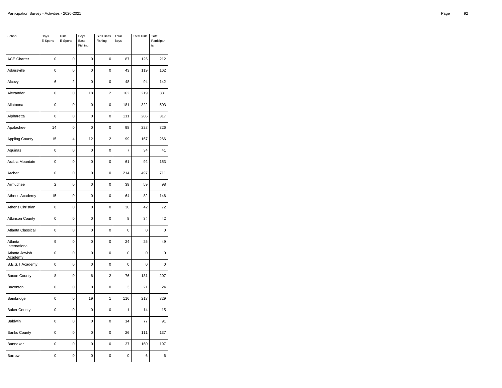| School                    | Boys<br>E-Sports | Girls<br>E-Sports | <b>Boys</b><br>Bass<br>Fishing | <b>Girls Bass</b><br>Fishing | Total<br>Boys  | <b>Total Girls</b> | Total<br>Participan<br>ts |
|---------------------------|------------------|-------------------|--------------------------------|------------------------------|----------------|--------------------|---------------------------|
| <b>ACE Charter</b>        | 0                | 0                 | 0                              | $\mathbf 0$                  | 87             | 125                | 212                       |
| Adairsville               | 0                | 0                 | 0                              | 0                            | 43             | 119                | 162                       |
| Alcovy                    | 6                | $\overline{c}$    | $\mathbf 0$                    | $\mathbf 0$                  | 48             | 94                 | 142                       |
| Alexander                 | $\mathbf 0$      | 0                 | 18                             | $\overline{2}$               | 162            | 219                | 381                       |
| Allatoona                 | $\overline{0}$   | 0                 | $\overline{0}$                 | 0                            | 181            | 322                | 503                       |
| Alpharetta                | 0                | $\mathbf 0$       | 0                              | $\mathbf 0$                  | 111            | 206                | 317                       |
| Apalachee                 | 14               | 0                 | 0                              | $\pmb{0}$                    | 98             | 228                | 326                       |
| <b>Appling County</b>     | 15               | 4                 | 12                             | $\overline{2}$               | 99             | 167                | 266                       |
| Aquinas                   | $\pmb{0}$        | 0                 | 0                              | $\pmb{0}$                    | $\overline{7}$ | 34                 | 41                        |
| Arabia Mountain           | 0                | 0                 | 0                              | 0                            | 61             | 92                 | 153                       |
| Archer                    | $\mathbf 0$      | $\mathbf 0$       | 0                              | $\mathbf 0$                  | 214            | 497                | 711                       |
| Armuchee                  | $\overline{2}$   | $\mathbf 0$       | 0                              | $\mathbf 0$                  | 39             | 59                 | 98                        |
| Athens Academy            | 15               | 0                 | 0                              | $\mathbf 0$                  | 64             | 82                 | 146                       |
| Athens Christian          | $\mathbf 0$      | $\mathbf 0$       | $\mathbf 0$                    | $\mathbf 0$                  | 30             | 42                 | 72                        |
| <b>Atkinson County</b>    | 0                | $\mathbf 0$       | 0                              | $\mathbf 0$                  | 8              | 34                 | 42                        |
| Atlanta Classical         | 0                | 0                 | 0                              | $\mathbf 0$                  | 0              | 0                  | 0                         |
| Atlanta<br>International  | 9                | $\mathbf 0$       | 0                              | $\mathbf 0$                  | 24             | 25                 | 49                        |
| Atlanta Jewish<br>Academy | 0                | 0                 | 0                              | $\mathbf 0$                  | 0              | 0                  | 0                         |
| <b>B.E.S.T Academy</b>    | $\mathbf 0$      | $\overline{0}$    | 0                              | $\mathbf 0$                  | 0              | 0                  | 0                         |
| <b>Bacon County</b>       | 8                | $\mathbf 0$       | 6                              | $\overline{2}$               | 76             | 131                | 207                       |
| Baconton                  | 0                | $\mathbf 0$       | 0                              | 0                            | 3              | 21                 | 24                        |
| Bainbridge                | $\mathbf 0$      | 0                 | 19                             | 1                            | 116            | 213                | 329                       |
| <b>Baker County</b>       | $\mathbf 0$      | 0                 | 0                              | $\pmb{0}$                    | $\mathbf{1}$   | 14                 | 15                        |
| Baldwin                   | 0                | 0                 | 0                              | 0                            | 14             | 77                 | 91                        |
| <b>Banks County</b>       | $\mathbf 0$      | $\mathbf 0$       | 0                              | $\mathbf 0$                  | 26             | 111                | 137                       |
| Banneker                  | 0                | 0                 | 0                              | $\mathbf 0$                  | 37             | 160                | 197                       |
| Barrow                    | 0                | 0                 | 0                              | 0                            | 0              | 6                  | 6                         |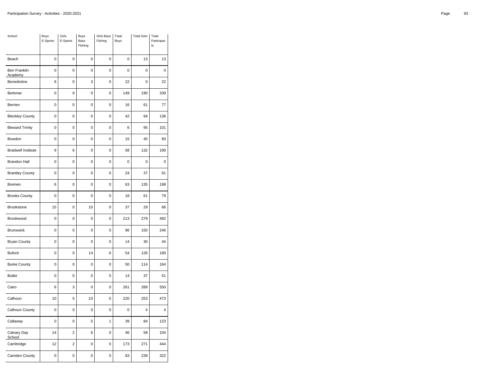| School                         | Boys<br>E-Sports | Girls<br>E-Sports       | Boys<br>Bass<br>Fishing | <b>Girls Bass</b><br>Fishing | Total<br>Boys | <b>Total Girls</b> | Total<br>Participan<br>ts |
|--------------------------------|------------------|-------------------------|-------------------------|------------------------------|---------------|--------------------|---------------------------|
| Beach                          | $\mathbf 0$      | $\mathbf 0$             | $\mathbf 0$             | $\mathbf 0$                  | 0             | 13                 | 13                        |
| <b>Ben Franklin</b><br>Academy | 0                | 0                       | $\mathbf 0$             | 0                            | $\mathbf 0$   | $\mathbf 0$        | 0                         |
| Benedictine                    | 6                | $\overline{0}$          | 3                       | $\overline{0}$               | 22            | $\overline{0}$     | 22                        |
| Berkmar                        | $\mathbf 0$      | 0                       | $\mathbf 0$             | 0                            | 149           | 190                | 339                       |
| Berrien                        | 0                | 0                       | 0                       | 0                            | 16            | 61                 | 77                        |
| <b>Bleckley County</b>         | $\mathbf 0$      | $\overline{0}$          | $\mathbf 0$             | 0                            | 42            | 94                 | 136                       |
| <b>Blessed Trinity</b>         | 0                | $\mathbf 0$             | $\mathbf 0$             | 0                            | 6             | 95                 | 101                       |
| Bowdon                         | 0                | 0                       | 0                       | 0                            | 15            | 45                 | 60                        |
| <b>Bradwell Institute</b>      | 9                | 6                       | $\mathbf 0$             | 0                            | 58            | 132                | 190                       |
| <b>Brandon Hall</b>            | 0                | 0                       | $\mathbf 0$             | 0                            | 0             | 0                  | 0                         |
| <b>Brantley County</b>         | 0                | 0                       | 0                       | 0                            | 24            | 37                 | 61                        |
| Bremen                         | 6                | $\overline{0}$          | $\mathbf 0$             | 0                            | 63            | 135                | 198                       |
| <b>Brooks County</b>           | $\mathbf 0$      | $\mathbf 0$             | $\mathbf 0$             | 0                            | 18            | 61                 | 79                        |
| Brookstone                     | 15               | 0                       | 10                      | 0                            | 37            | 29                 | 66                        |
| Brookwood                      | $\mathbf 0$      | $\overline{0}$          | $\mathbf 0$             | $\overline{0}$               | 213           | 279                | 492                       |
| <b>Brunswick</b>               | $\mathbf 0$      | $\mathbf 0$             | $\mathbf 0$             | 0                            | 96            | 150                | 246                       |
| <b>Bryan County</b>            | 0                | 0                       | 0                       | 0                            | 14            | 30                 | 44                        |
| <b>Buford</b>                  | $\mathbf 0$      | 0                       | 14                      | 6                            | 54            | 126                | 180                       |
| <b>Burke County</b>            | $\mathbf 0$      | $\mathbf 0$             | $\mathbf 0$             | 0                            | 50            | 114                | 164                       |
| <b>Butler</b>                  | $\mathbf 0$      | $\mathbf 0$             | 0                       | 0                            | 14            | 37                 | 51                        |
| Cairo                          | 6                | 3                       | $\mathbf 0$             | 0                            | 261           | 289                | 550                       |
| Calhoun                        | 10               | 5                       | 10                      | 5                            | 220           | 253                | 473                       |
| Calhoun County                 | 0                | 0                       | 0                       | 0                            | 0             | 4                  | 4                         |
| Callaway                       | 0                | 0                       | 5                       | 1                            | 39            | 84                 | 123                       |
| Calvary Day<br>School          | 14               | $\overline{2}$          | 6                       | 0                            | 46            | 58                 | 104                       |
| Cambridge                      | 12               | $\overline{\mathbf{c}}$ | $\pmb{0}$               | 0                            | 173           | 271                | 444                       |
| Camden County                  | 0                | 0                       | 0                       | 0                            | 83            | 239                | 322                       |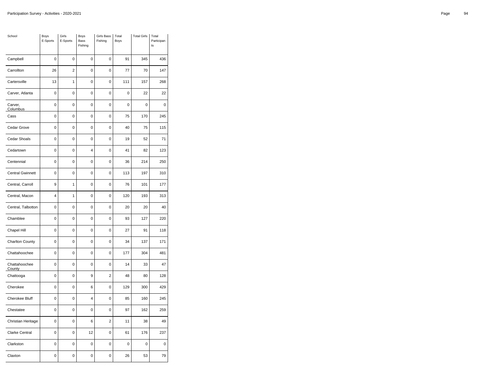| School                  | Boys<br>E-Sports | Girls<br>E-Sports | Boys<br><b>Bass</b><br>Fishing | <b>Girls Bass</b><br>Fishing | Total<br>Boys | <b>Total Girls</b> | Total<br>Participan<br>ts |
|-------------------------|------------------|-------------------|--------------------------------|------------------------------|---------------|--------------------|---------------------------|
| Campbell                | $\mathbf 0$      | $\mathbf 0$       | $\mathbf 0$                    | $\mathbf 0$                  | 91            | 345                | 436                       |
| Carrollton              | 26               | $\boldsymbol{2}$  | 0                              | 0                            | 77            | 70                 | 147                       |
| Cartersville            | 13               | $\mathbf{1}$      | 0                              | 0                            | 111           | 157                | 268                       |
| Carver, Atlanta         | $\mathbf 0$      | $\mathbf 0$       | 0                              | $\mathbf 0$                  | 0             | 22                 | 22                        |
| Carver,<br>Columbus     | $\mathbf 0$      | $\pmb{0}$         | 0                              | $\mathbf 0$                  | 0             | 0                  | $\mathbf 0$               |
| Cass                    | 0                | $\mathbf 0$       | 0                              | 0                            | 75            | 170                | 245                       |
| Cedar Grove             | 0                | $\mathbf 0$       | $\mathbf 0$                    | $\mathbf 0$                  | 40            | 75                 | 115                       |
| Cedar Shoals            | $\mathbf 0$      | 0                 | 0                              | 0                            | 19            | 52                 | 71                        |
| Cedartown               | $\mathbf 0$      | $\overline{0}$    | 4                              | 0                            | 41            | 82                 | 123                       |
| Centennial              | $\mathbf 0$      | $\pmb{0}$         | 0                              | 0                            | 36            | 214                | 250                       |
| <b>Central Gwinnett</b> | 0                | $\mathbf 0$       | 0                              | 0                            | 113           | 197                | 310                       |
| Central, Carroll        | 9                | 1                 | 0                              | $\mathbf 0$                  | 76            | 101                | 177                       |
| Central, Macon          | $\overline{4}$   | 1                 | 0                              | 0                            | 120           | 193                | 313                       |
| Central, Talbotton      | 0                | 0                 | 0                              | 0                            | 20            | 20                 | 40                        |
| Chamblee                | $\mathbf 0$      | $\mathbf 0$       | 0                              | $\mathbf 0$                  | 93            | 127                | 220                       |
| Chapel Hill             | 0                | $\pmb{0}$         | 0                              | 0                            | 27            | 91                 | 118                       |
| Charlton County         | $\mathbf 0$      | $\mathbf 0$       | 0                              | $\mathbf 0$                  | 34            | 137                | 171                       |
| Chattahoochee           | $\mathbf 0$      | $\pmb{0}$         | 0                              | $\mathbf 0$                  | 177           | 304                | 481                       |
| Chattahoochee<br>County | $\mathbf 0$      | 0                 | 0                              | 0                            | 14            | 33                 | 47                        |
| Chattooga               | 0                | $\mathbf 0$       | 9                              | $\overline{2}$               | 48            | 80                 | 128                       |
| Cherokee                | $\mathbf 0$      | $\pmb{0}$         | 6                              | $\mathbf 0$                  | 129           | 300                | 429                       |
| Cherokee Bluff          | 0                | $\mathbf 0$       | 4                              | 0                            | 85            | 160                | 245                       |
| Chestatee               | $\mathbf 0$      | $\mathbf 0$       | $\mathbf 0$                    | $\mathbf 0$                  | 97            | 162                | 259                       |
| Christian Heritage      | 0                | $\pmb{0}$         | 6                              | $\overline{2}$               | 11            | 38                 | 49                        |
| <b>Clarke Central</b>   | $\mathbf 0$      | $\overline{0}$    | 12                             | 0                            | 61            | 176                | 237                       |
| Clarkston               | 0                | $\pmb{0}$         | $\pmb{0}$                      | $\pmb{0}$                    | 0             | 0                  | 0                         |
| Claxton                 | 0                | 0                 | 0                              | 0                            | 26            | 53                 | 79                        |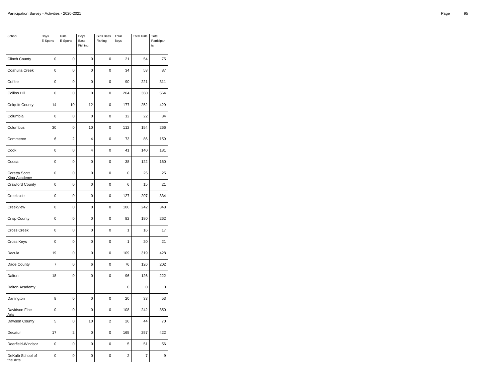| School                               | Boys<br>E-Sports | Girls<br>E-Sports | Boys<br>Bass<br>Fishing | Girls Bass<br>Fishing   | Total<br>Boys           | <b>Total Girls</b> | Total<br>Participan<br>ts |
|--------------------------------------|------------------|-------------------|-------------------------|-------------------------|-------------------------|--------------------|---------------------------|
| <b>Clinch County</b>                 | 0                | 0                 | 0                       | 0                       | 21                      | 54                 | 75                        |
| Coahulla Creek                       | $\mathbf 0$      | $\mathbf 0$       | $\mathbf 0$             | $\mathbf 0$             | 34                      | 53                 | 87                        |
| Coffee                               | $\mathbf 0$      | $\pmb{0}$         | 0                       | $\mathbf 0$             | 90                      | 221                | 311                       |
| <b>Collins Hill</b>                  | $\mathbf 0$      | $\mathbf 0$       | 0                       | 0                       | 204                     | 360                | 564                       |
| <b>Colquitt County</b>               | 14               | 10                | 12                      | $\mathbf 0$             | 177                     | 252                | 429                       |
| Columbia                             | 0                | 0                 | $\mathbf 0$             | $\pmb{0}$               | 12                      | 22                 | 34                        |
| Columbus                             | 30               | $\mathbf 0$       | 10                      | 0                       | 112                     | 154                | 266                       |
| Commerce                             | 6                | $\overline{2}$    | 4                       | $\mathbf 0$             | 73                      | 86                 | 159                       |
| Cook                                 | $\mathbf 0$      | $\pmb{0}$         | 4                       | $\mathbf 0$             | 41                      | 140                | 181                       |
| Coosa                                | $\mathbf 0$      | $\mathbf 0$       | 0                       | $\mathbf 0$             | 38                      | 122                | 160                       |
| Coretta Scott<br><b>King Academy</b> | $\mathbf 0$      | $\mathbf 0$       | $\mathbf 0$             | $\mathbf 0$             | 0                       | 25                 | 25                        |
| <b>Crawford County</b>               | 0                | $\pmb{0}$         | 0                       | 0                       | 6                       | 15                 | 21                        |
| Creekside                            | $\mathbf 0$      | $\mathbf 0$       | 0                       | $\mathbf 0$             | 127                     | 207                | 334                       |
| Creekview                            | 0                | $\pmb{0}$         | $\mathbf 0$             | $\mathbf 0$             | 106                     | 242                | 348                       |
| <b>Crisp County</b>                  | $\mathbf 0$      | $\mathbf 0$       | 0                       | $\mathbf 0$             | 82                      | 180                | 262                       |
| <b>Cross Creek</b>                   | $\mathbf 0$      | $\mathbf 0$       | 0                       | $\mathbf 0$             | $\mathbf{1}$            | 16                 | 17                        |
| Cross Keys                           | 0                | $\mathbf 0$       | 0                       | $\mathbf 0$             | 1                       | 20                 | 21                        |
| Dacula                               | 19               | $\pmb{0}$         | 0                       | 0                       | 109                     | 319                | 428                       |
| Dade County                          | $\overline{7}$   | $\mathbf 0$       | 6                       | $\mathbf 0$             | 76                      | 126                | 202                       |
| Dalton                               | 18               | $\pmb{0}$         | $\mathbf 0$             | $\mathbf 0$             | 96                      | 126                | 222                       |
| Dalton Academy                       |                  |                   |                         |                         | 0                       | 0                  | 0                         |
| Darlington                           | 8                | $\mathbf 0$       | 0                       | $\mathbf 0$             | 20                      | 33                 | 53                        |
| Davidson Fine<br><b>Arts</b>         | 0                | $\mathbf 0$       | $\mathbf 0$             | $\pmb{0}$               | 108                     | 242                | 350                       |
| Dawson County                        | 5                | $\pmb{0}$         | 10                      | $\overline{\mathbf{c}}$ | 26                      | 44                 | 70                        |
| Decatur                              | 17               | $\overline{2}$    | $\mathbf 0$             | $\mathbf 0$             | 165                     | 257                | 422                       |
| Deerfield-Windsor                    | $\mathbf 0$      | $\mathbf 0$       | $\pmb{0}$               | $\pmb{0}$               | 5                       | 51                 | 56                        |
| DeKalb School of<br>the Arts         | 0                | 0                 | 0                       | 0                       | $\overline{\mathbf{c}}$ | $\overline{7}$     | 9                         |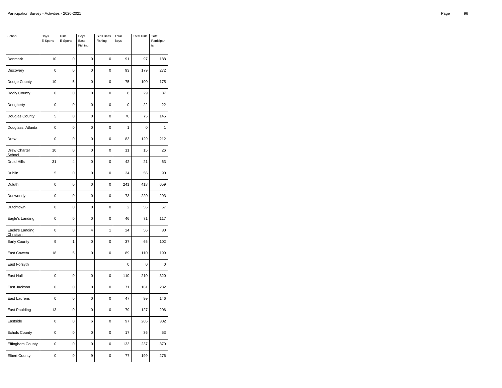| School                       | Boys<br>E-Sports | Girls<br>E-Sports | Boys<br>Bass<br>Fishing | <b>Girls Bass</b><br>Fishing | Total<br>Boys           | <b>Total Girls</b> | Total<br>Participan<br>ts |
|------------------------------|------------------|-------------------|-------------------------|------------------------------|-------------------------|--------------------|---------------------------|
| Denmark                      | 10               | $\mathbf 0$       | 0                       | $\mathbf 0$                  | 91                      | 97                 | 188                       |
| Discovery                    | 0                | $\mathbf 0$       | 0                       | $\mathbf 0$                  | 93                      | 179                | 272                       |
| Dodge County                 | 10               | 5                 | 0                       | 0                            | 75                      | 100                | 175                       |
| Dooly County                 | $\mathbf 0$      | $\overline{0}$    | 0                       | $\mathbf 0$                  | 8                       | 29                 | 37                        |
| Dougherty                    | $\mathbf 0$      | $\mathbf 0$       | 0                       | $\mathbf 0$                  | 0                       | 22                 | 22                        |
| Douglas County               | 5                | $\pmb{0}$         | 0                       | 0                            | 70                      | 75                 | 145                       |
| Douglass, Atlanta            | $\mathbf 0$      | $\mathbf 0$       | 0                       | $\mathbf 0$                  | 1                       | 0                  | 1                         |
| Drew                         | $\mathbf 0$      | $\pmb{0}$         | 0                       | $\mathbf 0$                  | 83                      | 129                | 212                       |
| Drew Charter<br>School       | 10               | 0                 | 0                       | 0                            | 11                      | 15                 | 26                        |
| <b>Druid Hills</b>           | 31               | 4                 | 0                       | $\mathbf 0$                  | 42                      | 21                 | 63                        |
| Dublin                       | 5                | $\pmb{0}$         | 0                       | $\pmb{0}$                    | 34                      | 56                 | 90                        |
| Duluth                       | $\mathbf 0$      | 0                 | 0                       | $\mathbf 0$                  | 241                     | 418                | 659                       |
| Dunwoody                     | $\mathbf 0$      | $\mathbf 0$       | 0                       | $\mathbf 0$                  | 73                      | 220                | 293                       |
| Dutchtown                    | $\pmb{0}$        | $\mathbf 0$       | 0                       | $\pmb{0}$                    | $\overline{\mathbf{c}}$ | 55                 | 57                        |
| Eagle's Landing              | 0                | $\mathbf 0$       | 0                       | 0                            | 46                      | 71                 | 117                       |
| Eagle's Landing<br>Christian | $\mathbf 0$      | 0                 | 4                       | 1                            | 24                      | 56                 | 80                        |
| Early County                 | 9                | 1                 | 0                       | $\pmb{0}$                    | 37                      | 65                 | 102                       |
| East Coweta                  | 18               | 5                 | 0                       | 0                            | 89                      | 110                | 199                       |
| East Forsyth                 |                  |                   |                         |                              | 0                       | 0                  | $\mathbf 0$               |
| East Hall                    | 0                | $\pmb{0}$         | 0                       | $\mathbf 0$                  | 110                     | 210                | 320                       |
| East Jackson                 | 0                | $\mathbf 0$       | 0                       | 0                            | 71                      | 161                | 232                       |
| East Laurens                 | 0                | $\mathbf 0$       | 0                       | 0                            | 47                      | 99                 | 146                       |
| East Paulding                | 13               | $\pmb{0}$         | 0                       | $\mathbf 0$                  | 79                      | 127                | 206                       |
| Eastside                     | 0                | $\mathbf 0$       | 6                       | 0                            | 97                      | 205                | 302                       |
| <b>Echols County</b>         | $\mathbf 0$      | $\mathbf 0$       | $\mathbf 0$             | $\mathbf 0$                  | 17                      | 36                 | 53                        |
| Effingham County             | 0                | $\pmb{0}$         | 0                       | $\mathbf 0$                  | 133                     | 237                | 370                       |
| <b>Elbert County</b>         | 0                | 0                 | 9                       | 0                            | 77                      | 199                | 276                       |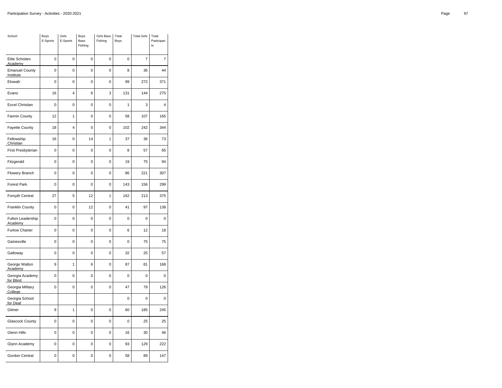| School                             | Boys<br>E-Sports | Girls<br>E-Sports | Boys<br>Bass<br>Fishing | <b>Girls Bass</b><br>Fishing | Total<br>Boys | <b>Total Girls</b> | Total<br>Participan<br>ts |
|------------------------------------|------------------|-------------------|-------------------------|------------------------------|---------------|--------------------|---------------------------|
| <b>Elite Scholars</b><br>Academy   | $\mathbf 0$      | $\mathbf 0$       | 0                       | $\mathbf 0$                  | $\mathbf 0$   | $\overline{7}$     | 7                         |
| <b>Emanuel County</b><br>Institute | $\mathbf 0$      | $\mathbf 0$       | 0                       | $\mathbf 0$                  | 8             | 36                 | 44                        |
| Etowah                             | $\mathbf 0$      | 0                 | 0                       | 0                            | 99            | 272                | 371                       |
| Evans                              | 16               | 4                 | 6                       | 3                            | 131           | 144                | 275                       |
| <b>Excel Christian</b>             | $\mathbf 0$      | $\mathbf 0$       | 0                       | $\mathbf 0$                  | 1             | 3                  | 4                         |
| Fannin County                      | 12               | 1                 | 0                       | 0                            | 58            | 107                | 165                       |
| Fayette County                     | 18               | $\overline{4}$    | 0                       | $\mathbf 0$                  | 102           | 242                | 344                       |
| Fellowship<br>Christian            | 16               | $\pmb{0}$         | 14                      | 1                            | 37            | 36                 | 73                        |
| First Presbyterian                 | $\mathbf 0$      | 0                 | 0                       | 0                            | 8             | 57                 | 65                        |
| Fitzgerald                         | $\mathbf 0$      | $\overline{0}$    | 0                       | $\mathbf 0$                  | 19            | 75                 | 94                        |
| Flowery Branch                     | 0                | $\pmb{0}$         | 0                       | $\pmb{0}$                    | 86            | 221                | 307                       |
| <b>Forest Park</b>                 | 0                | 0                 | 0                       | $\mathbf 0$                  | 143           | 156                | 299                       |
| Forsyth Central                    | 27               | 5                 | 12                      | 1                            | 162           | 213                | 375                       |
| Franklin County                    | 0                | $\mathbf 0$       | 12                      | $\pmb{0}$                    | 41            | 97                 | 138                       |
| Fulton Leadership<br>Academy       | 0                | $\mathbf 0$       | 0                       | 0                            | $\mathbf 0$   | $\overline{0}$     | 0                         |
| <b>Furlow Charter</b>              | $\mathbf 0$      | 0                 | 0                       | $\mathbf 0$                  | 6             | 12                 | 18                        |
| Gainesville                        | $\mathbf 0$      | $\mathbf 0$       | 0                       | $\pmb{0}$                    | $\mathbf 0$   | 75                 | 75                        |
| Galloway                           | 0                | $\mathbf 0$       | 0                       | 0                            | 32            | 25                 | 57                        |
| George Walton<br><b>Academy</b>    | 9                | 1                 | 6                       | $\mathbf 0$                  | 87            | 81                 | 168                       |
| Georgia Academy<br>for Blind       | 0                | 0                 | 0                       | $\mathbf 0$                  | $\mathbf 0$   | 0                  | 0                         |
| Georgia Military<br>College        | 0                | 0                 | 0                       | 0                            | 47            | 79                 | 126                       |
| Georgia School<br>for Deaf         |                  |                   |                         |                              | 0             | 0                  | 0                         |
| Gilmer                             | 9                | 1                 | 0                       | $\mathbf 0$                  | 60            | 185                | 245                       |
| Glascock County                    | 0                | $\mathbf 0$       | 0                       | 0                            | 0             | 25                 | 25                        |
| Glenn Hills                        | $\mathbf 0$      | $\mathbf 0$       | $\mathbf 0$             | $\mathbf 0$                  | 16            | 30                 | 46                        |
| Glynn Academy                      | 0                | $\pmb{0}$         | 0                       | 0                            | 93            | 129                | 222                       |
| Gordon Central                     | 0                | 0                 | 0                       | 0                            | 58            | 89                 | 147                       |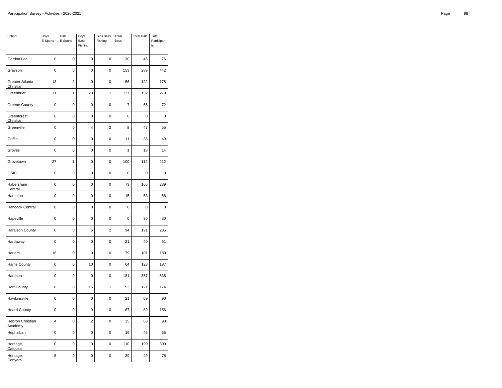| School                       | Boys<br>E-Sports | Girls<br>E-Sports | Boys<br>Bass<br>Fishing | Girls Bass<br>Fishing | Total<br>Boys  | <b>Total Girls</b> | Total<br>Participan<br>ts |
|------------------------------|------------------|-------------------|-------------------------|-----------------------|----------------|--------------------|---------------------------|
| Gordon Lee                   | 0                | 0                 | 0                       | 0                     | 30             | 46                 | 76                        |
| Grayson                      | $\mathbf 0$      | $\mathbf 0$       | $\mathbf 0$             | $\mathbf 0$           | 153            | 289                | 442                       |
| Greater Atlanta<br>Christian | 13               | $\overline{2}$    | 0                       | $\mathbf 0$           | 56             | 122                | 178                       |
| Greenbrier                   | 11               | $\mathbf{1}$      | 23                      | $\mathbf{1}$          | 127            | 152                | 279                       |
| <b>Greene County</b>         | $\mathbf 0$      | $\mathbf 0$       | $\mathbf 0$             | $\mathbf 0$           | $\overline{7}$ | 65                 | 72                        |
| Greenforest<br>Christian     | 0                | $\pmb{0}$         | 0                       | $\mathbf 0$           | 0              | 0                  | $\mathbf 0$               |
| Greenville                   | $\mathbf 0$      | $\mathbf 0$       | 4                       | $\overline{2}$        | 8              | 47                 | 55                        |
| Griffin                      | $\mathbf 0$      | $\mathbf 0$       | $\mathbf 0$             | $\mathbf 0$           | 11             | 38                 | 49                        |
| Groves                       | 0                | $\pmb{0}$         | 0                       | $\mathbf 0$           | 1              | 13                 | 14                        |
| Grovetown                    | 27               | 1                 | 0                       | $\mathbf 0$           | 100            | 112                | 212                       |
| GSIC                         | $\mathbf 0$      | $\mathbf 0$       | $\mathbf 0$             | $\mathbf 0$           | 0              | 0                  | 0                         |
| Habersham<br>Central         | 0                | $\pmb{0}$         | 0                       | 0                     | 73             | 166                | 239                       |
| Hampton                      | $\mathbf 0$      | $\mathbf 0$       | 0                       | $\mathbf 0$           | 15             | 53                 | 68                        |
| Hancock Central              | $\mathbf 0$      | $\pmb{0}$         | $\mathbf 0$             | $\mathbf 0$           | 0              | 0                  | 0                         |
| Hapeville                    | $\mathbf 0$      | $\mathbf 0$       | 0                       | $\mathbf 0$           | $\mathbf 0$    | 30                 | 30                        |
| Haralson County              | $\mathbf 0$      | $\mathbf 0$       | 6                       | $\overline{2}$        | 94             | 191                | 285                       |
| Hardaway                     | 0                | $\mathbf 0$       | 0                       | $\mathbf 0$           | 21             | 40                 | 61                        |
| Harlem                       | 16               | $\pmb{0}$         | 0                       | $\mathbf 0$           | 79             | 101                | 180                       |
| Harris County                | $\mathbf 0$      | $\mathbf 0$       | 10                      | $\mathbf 0$           | 64             | 123                | 187                       |
| Harrison                     | $\mathbf 0$      | $\pmb{0}$         | $\mathbf 0$             | $\mathbf 0$           | 181            | 357                | 538                       |
| Hart County                  | 0                | $\mathbf 0$       | 15                      | 1                     | 53             | 121                | 174                       |
| Hawkinsville                 | $\mathbf 0$      | $\mathbf 0$       | 0                       | $\mathbf 0$           | 21             | 69                 | 90                        |
| <b>Heard County</b>          | $\mathbf 0$      | $\mathbf 0$       | 9                       | $\pmb{0}$             | 67             | 89                 | 156                       |
| Hebron Christian<br>Academy  | 4                | $\pmb{0}$         | $\overline{\mathbf{c}}$ | 0                     | 35             | 63                 | 98                        |
| Hephzibah                    | $\mathbf 0$      | $\mathbf 0$       | 0                       | $\mathbf 0$           | 19             | 46                 | 65                        |
| Heritage,<br>Catoosa         | $\mathbf 0$      | $\mathbf 0$       | $\pmb{0}$               | $\pmb{0}$             | 110            | 199                | 309                       |
| Heritage,<br>Conyers         | 5                | 0                 | 0                       | 0                     | 29             | 49                 | 78                        |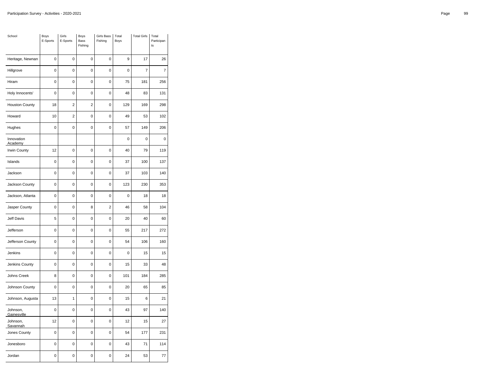| School                  | Boys<br>E-Sports | Girls<br>E-Sports | Boys<br>Bass<br>Fishing | Girls Bass<br>Fishing | Total<br>Boys  | <b>Total Girls</b> | Total<br>Participan<br>ts |
|-------------------------|------------------|-------------------|-------------------------|-----------------------|----------------|--------------------|---------------------------|
| Heritage, Newnan        | $\mathbf 0$      | $\overline{0}$    | $\mathbf 0$             | 0                     | 9              | 17                 | 26                        |
| Hillgrove               | $\mathbf 0$      | 0                 | 0                       | 0                     | $\mathbf 0$    | $\overline{7}$     | 7                         |
| Hiram                   | 0                | $\mathbf 0$       | 0                       | 0                     | 75             | 181                | 256                       |
| Holy Innocents'         | $\mathbf 0$      | $\mathbf 0$       | $\overline{0}$          | $\overline{0}$        | 48             | 83                 | 131                       |
| <b>Houston County</b>   | 18               | $\overline{2}$    | $\overline{2}$          | 0                     | 129            | 169                | 298                       |
| Howard                  | 10               | $\overline{2}$    | 0                       | $\overline{0}$        | 49             | 53                 | 102                       |
| Hughes                  | 0                | $\mathbf 0$       | $\mathbf 0$             | $\mathbf 0$           | 57             | 149                | 206                       |
| Innovation<br>Academy   |                  |                   |                         |                       | $\overline{0}$ | $\mathbf 0$        | 0                         |
| Irwin County            | 12               | $\mathbf 0$       | 0                       | 0                     | 40             | 79                 | 119                       |
| Islands                 | 0                | $\mathbf 0$       | $\mathbf 0$             | 0                     | 37             | 100                | 137                       |
| Jackson                 | 0                | 0                 | 0                       | 0                     | 37             | 103                | 140                       |
| Jackson County          | $\mathbf 0$      | $\mathbf 0$       | $\mathbf 0$             | $\mathbf 0$           | 123            | 230                | 353                       |
| Jackson, Atlanta        | 0                | $\mathbf 0$       | 0                       | 0                     | 0              | 18                 | 18                        |
| Jasper County           | $\mathbf 0$      | $\mathbf 0$       | 8                       | $\overline{2}$        | 46             | 58                 | 104                       |
| Jeff Davis              | 5                | 0                 | 0                       | 0                     | 20             | 40                 | 60                        |
| Jefferson               | $\mathbf 0$      | 0                 | 0                       | 0                     | 55             | 217                | 272                       |
| Jefferson County        | $\mathbf 0$      | $\mathbf 0$       | $\mathbf 0$             | 0                     | 54             | 106                | 160                       |
| Jenkins                 | 0                | $\mathbf 0$       | 0                       | 0                     | $\overline{0}$ | 15                 | 15                        |
| Jenkins County          | 0                | $\mathbf 0$       | 0                       | 0                     | 15             | 33                 | 48                        |
| Johns Creek             | 8                | $\mathbf 0$       | $\mathbf 0$             | 0                     | 101            | 184                | 285                       |
| Johnson County          | 0                | 0                 | 0                       | 0                     | 20             | 65                 | 85                        |
| Johnson, Augusta        | 13               | 1                 | 0                       | 0                     | 15             | 6                  | 21                        |
| Johnson,<br>Gainesville | $\mathbf 0$      | $\mathbf 0$       | 0                       | 0                     | 43             | 97                 | 140                       |
| Johnson,<br>Savannah    | 12               | $\mathbf 0$       | 0                       | 0                     | 12             | 15                 | 27                        |
| Jones County            | $\mathbf 0$      | 0                 | $\mathbf 0$             | $\mathbf 0$           | 54             | 177                | 231                       |
| Jonesboro               | 0                | 0                 | $\mathbf 0$             | 0                     | 43             | 71                 | 114                       |
| Jordan                  | $\mathbf 0$      | $\overline{0}$    | 0                       | 0                     | 24             | 53                 | 77                        |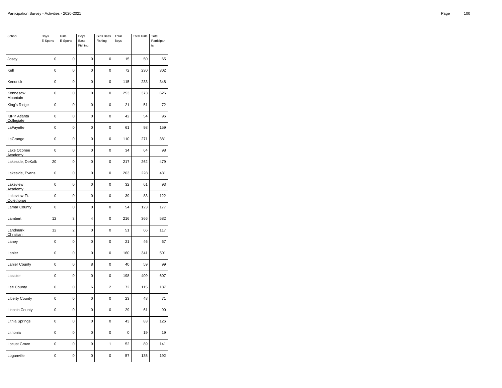| School                            | Boys<br>E-Sports | Girls<br>E-Sports | Boys<br>Bass<br>Fishing | Girls Bass<br>Fishing | Total<br>Boys | <b>Total Girls</b> | Total<br>Participan<br>ts |
|-----------------------------------|------------------|-------------------|-------------------------|-----------------------|---------------|--------------------|---------------------------|
| Josey                             | $\overline{0}$   | $\overline{0}$    | $\mathbf 0$             | 0                     | 15            | 50                 | 65                        |
| Kell                              | 0                | 0                 | $\mathbf 0$             | 0                     | 72            | 230                | 302                       |
| Kendrick                          | 0                | 0                 | 0                       | 0                     | 115           | 233                | 348                       |
| Kennesaw<br>Mountain              | $\overline{0}$   | $\overline{0}$    | $\mathbf 0$             | 0                     | 253           | 373                | 626                       |
| King's Ridge                      | 0                | 0                 | 0                       | 0                     | 21            | 51                 | 72                        |
| <b>KIPP Atlanta</b><br>Collegiate | $\overline{0}$   | $\overline{0}$    | $\mathbf 0$             | 0                     | 42            | 54                 | 96                        |
| LaFayette                         | 0                | 0                 | $\mathbf 0$             | 0                     | 61            | 98                 | 159                       |
| LaGrange                          | 0                | 0                 | 0                       | 0                     | 110           | 271                | 381                       |
| Lake Oconee<br>Academy            | 0                | $\mathbf 0$       | $\pmb{0}$               | 0                     | 34            | 64                 | 98                        |
| Lakeside, DeKalb                  | 20               | 0                 | 0                       | 0                     | 217           | 262                | 479                       |
| Lakeside, Evans                   | 0                | 0                 | 0                       | 0                     | 203           | 228                | 431                       |
| Lakeview<br>Academy               | 0                | 0                 | $\pmb{0}$               | 0                     | 32            | 61                 | 93                        |
| Lakeview-Ft.<br>Oglethorpe        | 0                | $\mathbf 0$       | $\mathbf 0$             | 0                     | 39            | 83                 | 122                       |
| Lamar County                      | 0                | $\mathbf 0$       | $\mathbf 0$             | 0                     | 54            | 123                | 177                       |
| Lambert                           | 12               | 3                 | 4                       | 0                     | 216           | 366                | 582                       |
| Landmark<br>Christian             | 12               | $\overline{2}$    | 0                       | 0                     | 51            | 66                 | 117                       |
| Laney                             | 0                | $\mathbf 0$       | $\mathbf 0$             | 0                     | 21            | 46                 | 67                        |
| Lanier                            | 0                | 0                 | $\mathbf 0$             | 0                     | 160           | 341                | 501                       |
| Lanier County                     | 0                | $\mathbf 0$       | 8                       | 0                     | 40            | 59                 | 99                        |
| Lassiter                          | 0                | 0                 | 0                       | 0                     | 198           | 409                | 607                       |
| Lee County                        | 0                | 0                 | 6                       | $\overline{2}$        | 72            | 115                | 187                       |
| <b>Liberty County</b>             | 0                | $\mathbf 0$       | $\pmb{0}$               | 0                     | 23            | 48                 | 71                        |
| <b>Lincoln County</b>             | 0                | $\mathbf 0$       | $\mathbf 0$             | 0                     | 29            | 61                 | 90                        |
| Lithia Springs                    | $\overline{0}$   | $\overline{0}$    | $\mathbf 0$             | 0                     | 43            | 83                 | 126                       |
| Lithonia                          | 0                | 0                 | 0                       | 0                     | 0             | 19                 | 19                        |
| Locust Grove                      | 0                | 0                 | 9                       | 1                     | 52            | 89                 | 141                       |
| Loganville                        | 0                | 0                 | 0                       | 0                     | 57            | 135                | 192                       |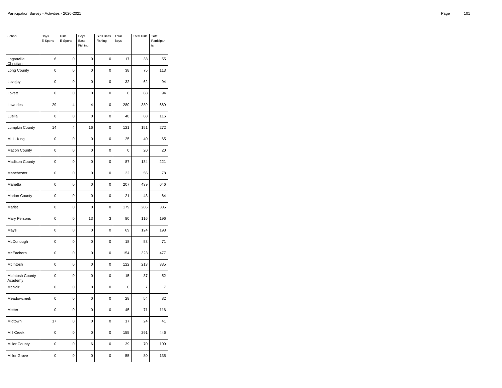| School                     | Boys<br>E-Sports | Girls<br>E-Sports | Boys<br>Bass<br>Fishing | Girls Bass<br>Fishing | Total<br>Boys | <b>Total Girls</b> | Total<br>Participan<br>ts |
|----------------------------|------------------|-------------------|-------------------------|-----------------------|---------------|--------------------|---------------------------|
| Loganville<br>Christian    | 6                | $\mathbf 0$       | 0                       | $\mathbf 0$           | 17            | 38                 | 55                        |
| Long County                | $\mathbf 0$      | $\pmb{0}$         | 0                       | $\mathbf 0$           | 38            | 75                 | 113                       |
| Lovejoy                    | 0                | 0                 | 0                       | $\mathbf 0$           | 32            | 62                 | 94                        |
| Lovett                     | $\mathbf 0$      | $\mathbf 0$       | 0                       | $\mathbf 0$           | 6             | 88                 | 94                        |
| Lowndes                    | 29               | $\overline{4}$    | 4                       | $\mathbf 0$           | 280           | 389                | 669                       |
| Luella                     | 0                | $\pmb{0}$         | 0                       | 0                     | 48            | 68                 | 116                       |
| Lumpkin County             | 14               | $\overline{4}$    | 16                      | $\mathbf 0$           | 121           | 151                | 272                       |
| M. L. King                 | $\mathbf 0$      | $\pmb{0}$         | 0                       | $\mathbf 0$           | 25            | 40                 | 65                        |
| Macon County               | $\mathbf 0$      | 0                 | 0                       | 0                     | $\mathbf 0$   | 20                 | 20                        |
| <b>Madison County</b>      | $\mathbf 0$      | $\mathbf 0$       | 0                       | $\mathbf 0$           | 87            | 134                | 221                       |
| Manchester                 | 0                | $\pmb{0}$         | 0                       | 0                     | 22            | 56                 | 78                        |
| Marietta                   | 0                | 0                 | 0                       | $\mathbf 0$           | 207           | 439                | 646                       |
| <b>Marion County</b>       | $\mathbf 0$      | $\mathbf 0$       | 0                       | $\mathbf 0$           | 21            | 43                 | 64                        |
| Marist                     | $\pmb{0}$        | $\mathbf 0$       | 0                       | $\pmb{0}$             | 179           | 206                | 385                       |
| Mary Persons               | 0                | $\mathbf 0$       | 13                      | 3                     | 80            | 116                | 196                       |
| Mays                       | $\mathbf 0$      | 0                 | 0                       | $\mathbf 0$           | 69            | 124                | 193                       |
| McDonough                  | $\mathbf 0$      | $\mathbf 0$       | 0                       | $\mathbf 0$           | 18            | 53                 | 71                        |
| McEachern                  | 0                | $\mathbf 0$       | 0                       | 0                     | 154           | 323                | 477                       |
| McIntosh                   | $\mathbf 0$      | $\pmb{0}$         | 0                       | $\mathbf 0$           | 122           | 213                | 335                       |
| McIntosh County<br>Academy | 0                | $\pmb{0}$         | 0                       | 0                     | 15            | 37                 | 52                        |
| McNair                     | 0                | 0                 | 0                       | 0                     | 0             | 7                  | 7                         |
| Meadowcreek                | 0                | 0                 | 0                       | 0                     | 28            | 54                 | 82                        |
| Metter                     | 0                | 0                 | 0                       | $\mathbf 0$           | 45            | 71                 | 116                       |
| Midtown                    | 17               | $\mathbf 0$       | 0                       | 0                     | 17            | 24                 | 41                        |
| Mill Creek                 | $\mathbf 0$      | $\mathbf 0$       | $\mathbf 0$             | $\mathbf 0$           | 155           | 291                | 446                       |
| <b>Miller County</b>       | 0                | $\pmb{0}$         | 6                       | $\mathbf 0$           | 39            | 70                 | 109                       |
| <b>Miller Grove</b>        | 0                | 0                 | 0                       | 0                     | 55            | 80                 | 135                       |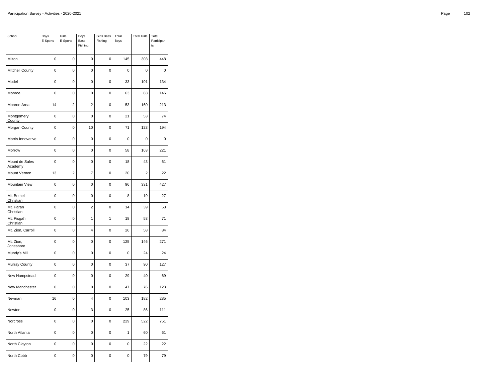| School                    | Boys<br>E-Sports | Girls<br>E-Sports | Boys<br>Bass<br>Fishing | <b>Girls Bass</b><br>Fishing | Total<br>Boys | <b>Total Girls</b> | Total<br>Participan<br>ts |
|---------------------------|------------------|-------------------|-------------------------|------------------------------|---------------|--------------------|---------------------------|
| Milton                    | $\mathbf 0$      | $\mathbf 0$       | 0                       | $\mathbf 0$                  | 145           | 303                | 448                       |
| Mitchell County           | $\mathbf 0$      | $\mathbf 0$       | 0                       | $\mathbf 0$                  | 0             | 0                  | 0                         |
| Model                     | 0                | 0                 | 0                       | 0                            | 33            | 101                | 134                       |
| Monroe                    | $\mathbf 0$      | $\overline{0}$    | 0                       | $\mathbf 0$                  | 63            | 83                 | 146                       |
| Monroe Area               | 14               | $\overline{2}$    | $\overline{2}$          | $\mathbf 0$                  | 53            | 160                | 213                       |
| Montgomery<br>County      | 0                | 0                 | 0                       | 0                            | 21            | 53                 | 74                        |
| Morgan County             | $\mathbf 0$      | $\mathbf 0$       | 10                      | $\mathbf 0$                  | 71            | 123                | 194                       |
| Morris Innovative         | $\mathbf 0$      | $\pmb{0}$         | 0                       | $\mathbf 0$                  | $\mathbf 0$   | 0                  | $\mathbf 0$               |
| Morrow                    | $\mathbf 0$      | 0                 | 0                       | 0                            | 58            | 163                | 221                       |
| Mount de Sales<br>Academy | $\mathbf 0$      | $\mathbf 0$       | 0                       | $\mathbf 0$                  | 18            | 43                 | 61                        |
| Mount Vernon              | 13               | $\overline{2}$    | 7                       | $\pmb{0}$                    | 20            | $\overline{c}$     | 22                        |
| Mountain View             | 0                | 0                 | 0                       | $\mathbf 0$                  | 96            | 331                | 427                       |
| Mt. Bethel<br>Christian   | $\mathbf 0$      | $\mathbf 0$       | 0                       | $\mathbf 0$                  | 8             | 19                 | 27                        |
| Mt. Paran<br>Christian    | $\pmb{0}$        | $\mathbf 0$       | $\overline{\mathbf{c}}$ | $\pmb{0}$                    | 14            | 39                 | 53                        |
| Mt. Pisgah<br>Christian   | 0                | 0                 | $\mathbf{1}$            | 1                            | 18            | 53                 | 71                        |
| Mt. Zion, Carroll         | $\mathbf 0$      | 0                 | 4                       | $\mathbf 0$                  | 26            | 58                 | 84                        |
| Mt. Zion,<br>Jonesboro    | $\mathbf 0$      | $\mathbf 0$       | 0                       | $\mathbf 0$                  | 125           | 146                | 271                       |
| Mundy's Mill              | 0                | $\mathbf 0$       | 0                       | 0                            | 0             | 24                 | 24                        |
| Murray County             | $\mathbf 0$      | $\pmb{0}$         | 0                       | $\mathbf 0$                  | 37            | 90                 | 127                       |
| New Hampstead             | 0                | 0                 | 0                       | 0                            | 29            | 40                 | 69                        |
| New Manchester            | 0                | 0                 | 0                       | 0                            | 47            | 76                 | 123                       |
| Newnan                    | 16               | 0                 | 4                       | 0                            | 103           | 182                | 285                       |
| Newton                    | 0                | 0                 | 3                       | $\mathbf 0$                  | 25            | 86                 | 111                       |
| Norcross                  | 0                | $\mathbf 0$       | 0                       | 0                            | 229           | 522                | 751                       |
| North Atlanta             | $\mathbf 0$      | $\mathbf 0$       | $\mathbf 0$             | $\mathbf 0$                  | $\mathbf{1}$  | 60                 | 61                        |
| North Clayton             | 0                | $\pmb{0}$         | 0                       | $\mathbf 0$                  | 0             | 22                 | 22                        |
| North Cobb                | 0                | 0                 | 0                       | 0                            | 0             | 79                 | 79                        |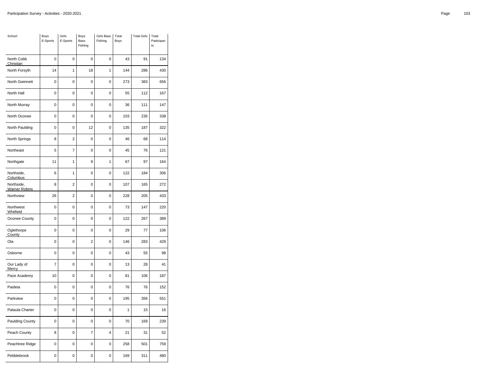| School                             | Boys<br>E-Sports | Girls<br>E-Sports | Boys<br>Bass<br>Fishing | <b>Girls Bass</b><br>Fishing | Total<br>Boys | <b>Total Girls</b> | Total<br>Participan<br>ts |
|------------------------------------|------------------|-------------------|-------------------------|------------------------------|---------------|--------------------|---------------------------|
| North Cobb<br>Christian            | $\mathbf 0$      | $\mathbf 0$       | 0                       | $\mathbf 0$                  | 43            | 91                 | 134                       |
| North Forsyth                      | 14               | 1                 | 18                      | 1                            | 144           | 286                | 430                       |
| North Gwinnett                     | 0                | $\mathbf 0$       | 0                       | 0                            | 273           | 383                | 656                       |
| North Hall                         | $\mathbf 0$      | $\overline{0}$    | 0                       | $\mathbf 0$                  | 55            | 112                | 167                       |
| North Murray                       | $\mathbf 0$      | $\mathbf 0$       | 0                       | $\mathbf 0$                  | 36            | 111                | 147                       |
| North Oconee                       | 0                | $\mathbf 0$       | 0                       | 0                            | 103           | 235                | 338                       |
| North Paulding                     | $\mathbf 0$      | $\mathbf 0$       | 12                      | $\mathbf 0$                  | 135           | 187                | 322                       |
| North Springs                      | 8                | $\overline{2}$    | 0                       | $\mathbf 0$                  | 46            | 68                 | 114                       |
| Northeast                          | 5                | $\overline{7}$    | 0                       | $\overline{0}$               | 45            | 76                 | 121                       |
| Northgate                          | 11               | 1                 | 9                       | 1                            | 67            | 97                 | 164                       |
| Northside,<br>Columbus             | 6                | 1                 | $\mathbf 0$             | 0                            | 122           | 184                | 306                       |
| Northside,<br><b>Warner Robins</b> | 8                | $\overline{2}$    | 0                       | 0                            | 107           | 165                | 272                       |
| Northview                          | 26               | $\overline{2}$    | 0                       | $\mathbf 0$                  | 228           | 205                | 433                       |
| Northwest<br>Whitfield             | $\pmb{0}$        | $\pmb{0}$         | 0                       | $\pmb{0}$                    | 73            | 147                | 220                       |
| Oconee County                      | 0                | 0                 | 0                       | 0                            | 122           | 267                | 389                       |
| Oglethorpe<br>County               | $\mathbf 0$      | 0                 | 0                       | $\mathbf 0$                  | 29            | 77                 | 106                       |
| Ola                                | $\mathbf 0$      | 0                 | $\overline{\mathbf{c}}$ | $\mathbf 0$                  | 146           | 283                | 429                       |
| Osborne                            | 0                | 0                 | 0                       | 0                            | 43            | 55                 | 98                        |
| Our Lady of<br><b>Mercy</b>        | $\overline{7}$   | $\pmb{0}$         | 0                       | $\mathbf 0$                  | 13            | 28                 | 41                        |
| Pace Academy                       | 10               | 0                 | 0                       | 0                            | 81            | 106                | 187                       |
| Paideia                            | 0                | 0                 | 0                       | 0                            | 76            | 76                 | 152                       |
| Parkview                           | 0                | 0                 | 0                       | 0                            | 195           | 356                | 551                       |
| Pataula Charter                    | 0                | 0                 | 0                       | $\mathbf 0$                  | 1             | 15                 | 16                        |
| Paulding County                    | 0                | $\mathbf 0$       | 0                       | 0                            | 70            | 169                | 239                       |
| Peach County                       | 8                | $\mathbf 0$       | $\overline{7}$          | $\overline{\mathbf{4}}$      | 21            | 31                 | 52                        |
| Peachtree Ridge                    | 0                | $\pmb{0}$         | 0                       | 0                            | 258           | 501                | 759                       |
| Pebblebrook                        | 0                | 0                 | 0                       | 0                            | 169           | 311                | 480                       |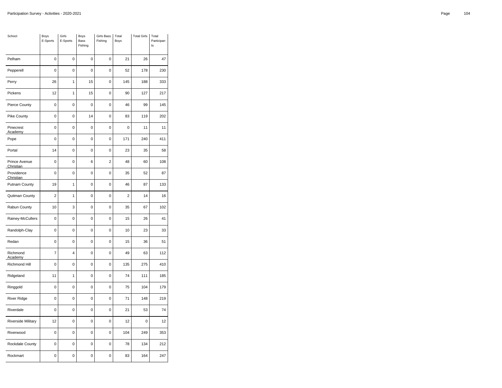| School                     | Boys<br>E-Sports | Girls<br>E-Sports | <b>Boys</b><br>Bass<br>Fishing | <b>Girls Bass</b><br>Fishing | Total<br>Boys  | <b>Total Girls</b> | Total<br>Participan<br>ts |
|----------------------------|------------------|-------------------|--------------------------------|------------------------------|----------------|--------------------|---------------------------|
| Pelham                     | $\mathbf 0$      | $\mathbf 0$       | 0                              | $\mathbf 0$                  | 21             | 26                 | 47                        |
| Pepperell                  | $\mathbf 0$      | $\mathbf 0$       | 0                              | $\mathbf 0$                  | 52             | 178                | 230                       |
| Perry                      | 26               | 1                 | 15                             | $\mathbf 0$                  | 145            | 188                | 333                       |
| Pickens                    | 12               | 1                 | 15                             | $\mathbf 0$                  | 90             | 127                | 217                       |
| Pierce County              | $\mathbf 0$      | $\mathbf 0$       | 0                              | $\mathbf 0$                  | 46             | 99                 | 145                       |
| <b>Pike County</b>         | 0                | $\pmb{0}$         | 14                             | 0                            | 83             | 119                | 202                       |
| Pinecrest<br>Academy       | $\mathbf 0$      | $\mathbf 0$       | 0                              | $\mathbf 0$                  | $\mathbf 0$    | 11                 | 11                        |
| Pope                       | $\mathbf 0$      | $\pmb{0}$         | 0                              | $\mathbf 0$                  | 171            | 240                | 411                       |
| Portal                     | 14               | 0                 | 0                              | 0                            | 23             | 35                 | 58                        |
| Prince Avenue<br>Christian | $\mathbf 0$      | $\overline{0}$    | 6                              | $\overline{2}$               | 48             | 60                 | 108                       |
| Providence<br>Christian    | 0                | $\pmb{0}$         | 0                              | $\pmb{0}$                    | 35             | 52                 | 87                        |
| <b>Putnam County</b>       | 19               | 1                 | 0                              | $\mathbf 0$                  | 46             | 87                 | 133                       |
| Quitman County             | $\overline{2}$   | 1                 | 0                              | $\mathbf 0$                  | $\overline{2}$ | 14                 | 16                        |
| Rabun County               | 10               | 3                 | 0                              | $\pmb{0}$                    | 35             | 67                 | 102                       |
| Rainey-McCullers           | 0                | $\mathbf 0$       | 0                              | 0                            | 15             | 26                 | 41                        |
| Randolph-Clay              | $\mathbf 0$      | 0                 | 0                              | $\mathbf 0$                  | 10             | 23                 | 33                        |
| Redan                      | $\mathbf 0$      | $\mathbf 0$       | 0                              | $\pmb{0}$                    | 15             | 36                 | 51                        |
| Richmond<br>Academy        | 7                | 4                 | 0                              | 0                            | 49             | 63                 | 112                       |
| Richmond Hill              | $\mathbf 0$      | $\pmb{0}$         | 0                              | $\mathbf 0$                  | 135            | 275                | 410                       |
| Ridgeland                  | 11               | 1                 | 0                              | 0                            | 74             | 111                | 185                       |
| Ringgold                   | 0                | 0                 | 0                              | 0                            | 75             | 104                | 179                       |
| <b>River Ridge</b>         | 0                | $\mathbf 0$       | 0                              | 0                            | 71             | 148                | 219                       |
| Riverdale                  | 0                | 0                 | 0                              | $\mathbf 0$                  | 21             | 53                 | 74                        |
| Riverside Military         | 12               | $\mathbf 0$       | 0                              | 0                            | 12             | 0                  | 12                        |
| Riverwood                  | $\mathbf 0$      | $\mathbf 0$       | $\mathbf 0$                    | $\mathbf 0$                  | 104            | 249                | 353                       |
| Rockdale County            | 0                | $\pmb{0}$         | 0                              | $\mathbf 0$                  | 78             | 134                | 212                       |
| Rockmart                   | 0                | 0                 | 0                              | 0                            | 83             | 164                | 247                       |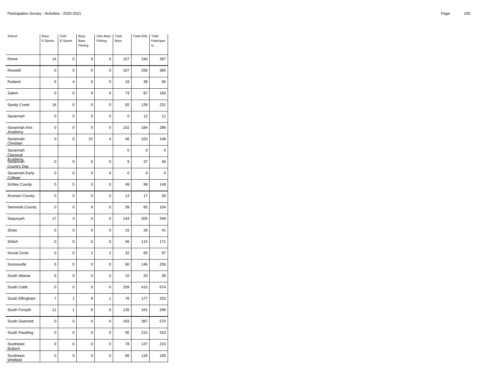| School                                    | Boys<br>E-Sports | Girls<br>E-Sports | Boys<br><b>Bass</b><br>Fishing | Girls Bass<br>Fishing | Total<br>Boys | <b>Total Girls</b> | Total<br>Participan<br>ts |
|-------------------------------------------|------------------|-------------------|--------------------------------|-----------------------|---------------|--------------------|---------------------------|
| Rome                                      | 14               | 0                 | 9                              | 0                     | 157           | 240                | 397                       |
| Roswell                                   | $\mathbf 0$      | $\mathbf 0$       | $\mathbf 0$                    | $\mathbf 0$           | 107           | 258                | 365                       |
| Rutland                                   | 6                | 4                 | 0                              | $\mathbf 0$           | 18            | 38                 | 56                        |
| Salem                                     | $\mathbf 0$      | $\mathbf 0$       | 0                              | 0                     | 73            | 87                 | 160                       |
| Sandy Creek                               | 16               | $\mathbf 0$       | 0                              | $\mathbf 0$           | 92            | 139                | 231                       |
| Savannah                                  | 0                | 0                 | 0                              | $\mathbf 0$           | 0             | 12                 | 12                        |
| Savannah Arts<br>Academy                  | $\mathbf 0$      | $\mathbf 0$       | 0                              | 0                     | 102           | 184                | 286                       |
| Savannah<br>Christian                     | $\mathbf 0$      | $\mathbf 0$       | 22                             | 4                     | 46            | 102                | 148                       |
| Savannah<br>Classical                     |                  |                   |                                |                       | 0             | 0                  | $\mathbf 0$               |
| Agademy<br>Savannah<br><b>Country Day</b> | $\mathbf 0$      | $\mathbf 0$       | 0                              | $\mathbf 0$           | 9             | 37                 | 46                        |
| Savannah Early<br>College                 | $\mathbf 0$      | $\mathbf 0$       | $\mathbf 0$                    | $\mathbf 0$           | 0             | 0                  | 0                         |
| <b>Schley County</b>                      | 0                | $\pmb{0}$         | 0                              | 0                     | 49            | 99                 | 148                       |
| <b>Screven County</b>                     | $\mathbf 0$      | $\mathbf 0$       | 0                              | $\mathbf 0$           | 13            | 17                 | 30                        |
| Seminole County                           | $\mathbf 0$      | $\pmb{0}$         | 9                              | $\mathbf 0$           | 39            | 65                 | 104                       |
| Sequoyah                                  | 17               | 3                 | 0                              | $\mathbf 0$           | 143           | 205                | 348                       |
| Shaw                                      | $\mathbf 0$      | $\mathbf 0$       | 0                              | $\mathbf 0$           | 15            | 26                 | 41                        |
| Shiloh                                    | 0                | $\mathbf 0$       | 0                              | $\mathbf 0$           | 56            | 115                | 171                       |
| Social Circle                             | 0                | $\pmb{0}$         | $\overline{2}$                 | $\overline{2}$        | 32            | 65                 | 97                        |
| Sonoraville                               | $\mathbf 0$      | $\mathbf 0$       | 0                              | $\mathbf 0$           | 60            | 146                | 206                       |
| South Atlanta                             | 6                | $\pmb{0}$         | $\mathbf 0$                    | $\mathbf 0$           | 10            | 20                 | 30                        |
| South Cobb                                | 0                | $\mathbf 0$       | 0                              | $\mathbf 0$           | 259           | 415                | 674                       |
| South Effingham                           | $\overline{7}$   | 1                 | 9                              | 1                     | 76            | 177                | 253                       |
| South Forsyth                             | 11               | 1                 | 8                              | $\pmb{0}$             | 135           | 161                | 296                       |
| South Gwinnett                            | 0                | $\pmb{0}$         | 0                              | 0                     | 183           | 387                | 570                       |
| South Paulding                            | $\mathbf 0$      | $\mathbf 0$       | 0                              | $\mathbf 0$           | 95            | 215                | 310                       |
| Southeast<br><b>Bulloch</b>               | $\mathbf 0$      | $\mathbf 0$       | 0                              | $\pmb{0}$             | 78            | 137                | 215                       |
| Southeast<br>Whitfield                    | 0                | 0                 | 0                              | 0                     | 66            | 129                | 195                       |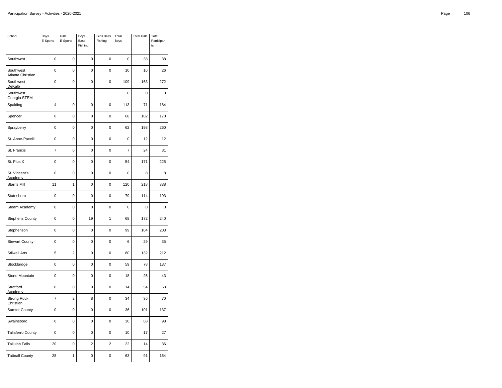| School                          | <b>Boys</b><br>E-Sports | Girls<br>E-Sports | Boys<br>Bass<br>Fishing | <b>Girls Bass</b><br>Fishing | Total<br>Boys | <b>Total Girls</b> | Total<br>Participan<br>ts |
|---------------------------------|-------------------------|-------------------|-------------------------|------------------------------|---------------|--------------------|---------------------------|
| Southwest                       | $\mathbf 0$             | $\mathbf 0$       | 0                       | $\mathbf 0$                  | $\mathbf 0$   | 38                 | 38                        |
| Southwest<br>Atlanta Christian  | $\mathbf 0$             | 0                 | 0                       | 0                            | 10            | 16                 | 26                        |
| Southwest<br>DeKalb             | 0                       | 0                 | 0                       | 0                            | 109           | 163                | 272                       |
| Southwest<br>Georgia STEM       |                         |                   |                         |                              | $\mathbf 0$   | 0                  | $\mathbf 0$               |
| Spalding                        | 4                       | 0                 | 0                       | 0                            | 113           | 71                 | 184                       |
| Spencer                         | 0                       | $\mathbf 0$       | 0                       | 0                            | 68            | 102                | 170                       |
| Sprayberry                      | $\mathbf 0$             | $\mathbf 0$       | $\overline{0}$          | $\mathbf 0$                  | 62            | 198                | 260                       |
| St. Anne-Pacelli                | $\mathbf 0$             | 0                 | 0                       | $\overline{0}$               | $\mathbf 0$   | 12                 | 12                        |
| St. Francis                     | $\overline{7}$          | 0                 | 0                       | 0                            | 7             | 24                 | 31                        |
| St. Pius X                      | 0                       | $\mathbf 0$       | 0                       | 0                            | 54            | 171                | 225                       |
| St. Vincent's<br>Academy        | $\mathbf 0$             | $\mathbf 0$       | 0                       | $\pmb{0}$                    | $\mathbf 0$   | 8                  | 8                         |
| Starr's Mill                    | 11                      | 1                 | 0                       | 0                            | 120           | 218                | 338                       |
| Statesboro                      | $\mathbf 0$             | $\mathbf 0$       | 0                       | 0                            | 79            | 114                | 193                       |
| Steam Academy                   | $\mathbf 0$             | $\mathbf 0$       | 0                       | $\pmb{0}$                    | $\mathbf 0$   | 0                  | 0                         |
| <b>Stephens County</b>          | $\mathbf 0$             | $\overline{0}$    | 19                      | $\overline{1}$               | 68            | 172                | 240                       |
| Stephenson                      | $\mathbf 0$             | $\overline{0}$    | 0                       | 0                            | 99            | 104                | 203                       |
| <b>Stewart County</b>           | $\mathbf 0$             | $\pmb{0}$         | 0                       | $\mathbf 0$                  | 6             | 29                 | 35                        |
| <b>Stilwell Arts</b>            | 5                       | $\overline{2}$    | 0                       | 0                            | 80            | 132                | 212                       |
| Stockbridge                     | $\mathbf 0$             | $\mathbf 0$       | 0                       | $\mathbf 0$                  | 59            | 78                 | 137                       |
| Stone Mountain                  | $\mathbf 0$             | $\mathbf 0$       | 0                       | $\mathbf 0$                  | 18            | 25                 | 43                        |
| Stratford<br><b>Academy</b>     | $\mathbf 0$             | $\pmb{0}$         | 0                       | 0                            | 14            | 54                 | 68                        |
| <b>Strong Rock</b><br>Christian | $\overline{7}$          | $\overline{2}$    | 8                       | 0                            | 34            | 36                 | 70                        |
| <b>Sumter County</b>            | $\mathbf 0$             | $\mathbf 0$       | 0                       | $\mathbf 0$                  | 36            | 101                | 137                       |
| Swainsboro                      | 0                       | 0                 | 0                       | $\mathbf 0$                  | 30            | 68                 | 98                        |
| <b>Taliaferro County</b>        | 0                       | $\mathbf 0$       | 0                       | 0                            | 10            | 17                 | 27                        |
| <b>Tallulah Falls</b>           | 20                      | $\mathbf 0$       | $\overline{\mathbf{c}}$ | $\overline{2}$               | 22            | 14                 | 36                        |
| <b>Tattnall County</b>          | 28                      | 1                 | 0                       | 0                            | 63            | 91                 | 154                       |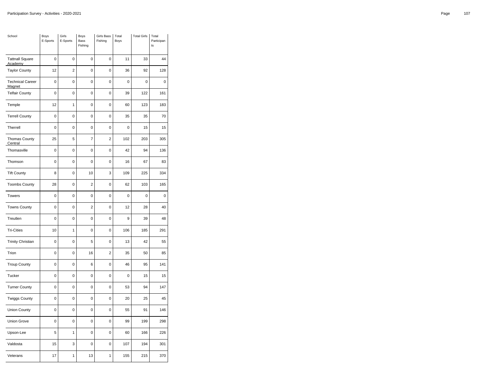| School                            | Boys<br>E-Sports | Girls<br>E-Sports | Boys<br>Bass<br>Fishing | Girls Bass<br>Fishing | Total<br>Boys  | <b>Total Girls</b> | Total<br>Participan<br>t s |
|-----------------------------------|------------------|-------------------|-------------------------|-----------------------|----------------|--------------------|----------------------------|
| <b>Tattnall Square</b><br>Academy | 0                | 0                 | 0                       | 0                     | 11             | 33                 | 44                         |
| <b>Taylor County</b>              | 12               | $\overline{c}$    | $\mathbf 0$             | 0                     | 36             | 92                 | 128                        |
| <b>Technical Career</b><br>Magnet | 0                | $\mathbf 0$       | $\mathbf 0$             | 0                     | 0              | 0                  | 0                          |
| <b>Telfair County</b>             | $\overline{0}$   | $\overline{0}$    | $\mathbf 0$             | 0                     | 39             | 122                | 161                        |
| Temple                            | 12               | 1                 | $\mathbf 0$             | 0                     | 60             | 123                | 183                        |
| <b>Terrell County</b>             | 0                | 0                 | 0                       | 0                     | 35             | 35                 | 70                         |
| Therrell                          | $\overline{0}$   | $\overline{0}$    | $\mathbf 0$             | 0                     | 0              | 15                 | 15                         |
| <b>Thomas County</b><br>Central   | 25               | 5                 | $\overline{7}$          | $\overline{2}$        | 102            | 203                | 305                        |
| Thomasville                       | 0                | $\mathbf 0$       | $\pmb{0}$               | $\mathbf 0$           | 42             | 94                 | 136                        |
| Thomson                           | $\overline{0}$   | $\overline{0}$    | $\mathbf 0$             | 0                     | 16             | 67                 | 83                         |
| <b>Tift County</b>                | 8                | 0                 | 10                      | 3                     | 109            | 225                | 334                        |
| <b>Toombs County</b>              | 28               | $\mathbf 0$       | $\overline{2}$          | 0                     | 62             | 103                | 165                        |
| <b>Towers</b>                     | $\overline{0}$   | $\overline{0}$    | $\mathbf 0$             | 0                     | $\overline{0}$ | $\mathbf 0$        | $\mathbf 0$                |
| <b>Towns County</b>               | 0                | 0                 | $\overline{c}$          | 0                     | 12             | 28                 | 40                         |
| Treutlen                          | 0                | $\mathbf 0$       | $\mathbf 0$             | 0                     | 9              | 39                 | 48                         |
| <b>Tri-Cities</b>                 | 10               | 1                 | $\pmb{0}$               | 0                     | 106            | 185                | 291                        |
| <b>Trinity Christian</b>          | 0                | 0                 | 5                       | 0                     | 13             | 42                 | 55                         |
| Trion                             | 0                | $\mathbf 0$       | 16                      | $\overline{2}$        | 35             | 50                 | 85                         |
| <b>Troup County</b>               | 0                | $\mathbf 0$       | 6                       | 0                     | 46             | 95                 | 141                        |
| Tucker                            | $\overline{0}$   | $\mathbf 0$       | $\mathbf 0$             | 0                     | $\overline{0}$ | 15                 | 15                         |
| <b>Turner County</b>              | 0                | $\mathbf 0$       | $\mathbf 0$             | 0                     | 53             | 94                 | 147                        |
| <b>Twiggs County</b>              | $\overline{0}$   | 0                 | $\mathbf 0$             | 0                     | 20             | 25                 | 45                         |
| <b>Union County</b>               | 0                | $\mathbf 0$       | $\pmb{0}$               | 0                     | 55             | 91                 | 146                        |
| <b>Union Grove</b>                | 0                | 0                 | 0                       | 0                     | 99             | 199                | 298                        |
| Upson-Lee                         | 5                | $\mathbf{1}$      | $\mathbf 0$             | $\mathbf 0$           | 60             | 166                | 226                        |
| Valdosta                          | 15               | 3                 | $\pmb{0}$               | 0                     | 107            | 194                | 301                        |
| Veterans                          | 17               | 1                 | 13                      | 1                     | 155            | 215                | 370                        |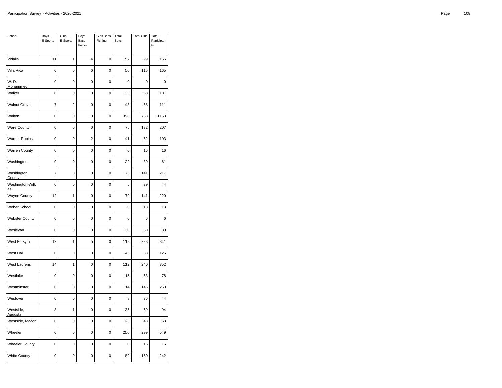| School                | Boys<br>E-Sports | Girls<br>E-Sports | Boys<br><b>Bass</b><br>Fishing | <b>Girls Bass</b><br>Fishing | Total<br>Boys | <b>Total Girls</b> | Total<br>Participan<br>ts |
|-----------------------|------------------|-------------------|--------------------------------|------------------------------|---------------|--------------------|---------------------------|
| Vidalia               | 11               | 1                 | 4                              | $\mathbf 0$                  | 57            | 99                 | 156                       |
| Villa Rica            | $\pmb{0}$        | $\mathbf 0$       | 6                              | $\pmb{0}$                    | 50            | 115                | 165                       |
| W. D.<br>Mohammed     | 0                | 0                 | 0                              | 0                            | 0             | 0                  | 0                         |
| Walker                | $\mathbf 0$      | $\mathbf 0$       | 0                              | $\mathbf 0$                  | 33            | 68                 | 101                       |
| <b>Walnut Grove</b>   | $\overline{7}$   | $\overline{2}$    | 0                              | $\mathbf 0$                  | 43            | 68                 | 111                       |
| Walton                | $\mathbf 0$      | $\overline{0}$    | 0                              | $\mathbf 0$                  | 390           | 763                | 1153                      |
| <b>Ware County</b>    | $\mathbf 0$      | $\mathbf 0$       | 0                              | $\pmb{0}$                    | 75            | 132                | 207                       |
| <b>Warner Robins</b>  | 0                | $\mathbf 0$       | $\overline{2}$                 | $\mathbf 0$                  | 41            | 62                 | 103                       |
| <b>Warren County</b>  | $\mathbf 0$      | $\mathbf 0$       | 0                              | $\mathbf 0$                  | 0             | 16                 | 16                        |
| Washington            | 0                | 0                 | 0                              | $\mathbf 0$                  | 22            | 39                 | 61                        |
| Washington<br>County  | $\overline{7}$   | 0                 | 0                              | $\mathbf 0$                  | 76            | 141                | 217                       |
| Washington-Wilk<br>es | 0                | $\mathbf 0$       | 0                              | $\mathbf 0$                  | 5             | 39                 | 44                        |
| <b>Wayne County</b>   | 12               | $\mathbf{1}$      | 0                              | $\mathbf 0$                  | 79            | 141                | 220                       |
| Weber School          | 0                | $\mathbf 0$       | 0                              | $\mathbf 0$                  | 0             | 13                 | 13                        |
| <b>Webster County</b> | 0                | $\mathbf 0$       | 0                              | $\mathbf 0$                  | 0             | 6                  | 6                         |
| Wesleyan              | 0                | 0                 | 0                              | $\mathbf 0$                  | 30            | 50                 | 80                        |
| West Forsyth          | 12               | 1                 | 5                              | $\mathbf 0$                  | 118           | 223                | 341                       |
| West Hall             | 0                | 0                 | 0                              | $\mathbf 0$                  | 43            | 83                 | 126                       |
| <b>West Laurens</b>   | 14               | 1                 | 0                              | $\mathbf 0$                  | 112           | 240                | 352                       |
| Westlake              | 0                | 0                 | 0                              | 0                            | 15            | 63                 | 78                        |
| Westminster           | 0                | 0                 | 0                              | $\mathbf 0$                  | 114           | 146                | 260                       |
| Westover              | 0                | $\mathbf 0$       | 0                              | $\mathbf 0$                  | 8             | 36                 | 44                        |
| Westside,<br>Augusta  | 3                | 1                 | 0                              | $\mathbf 0$                  | 35            | 59                 | 94                        |
| Westside, Macon       | $\mathbf 0$      | $\overline{0}$    | 0                              | $\mathbf 0$                  | 25            | 43                 | 68                        |
| Wheeler               | $\mathbf 0$      | 0                 | 0                              | $\pmb{0}$                    | 250           | 299                | 549                       |
| <b>Wheeler County</b> | 0                | 0                 | 0                              | 0                            | 0             | 16                 | 16                        |
| <b>White County</b>   | 0                | $\mathbf 0$       | 0                              | 0                            | 82            | 160                | 242                       |